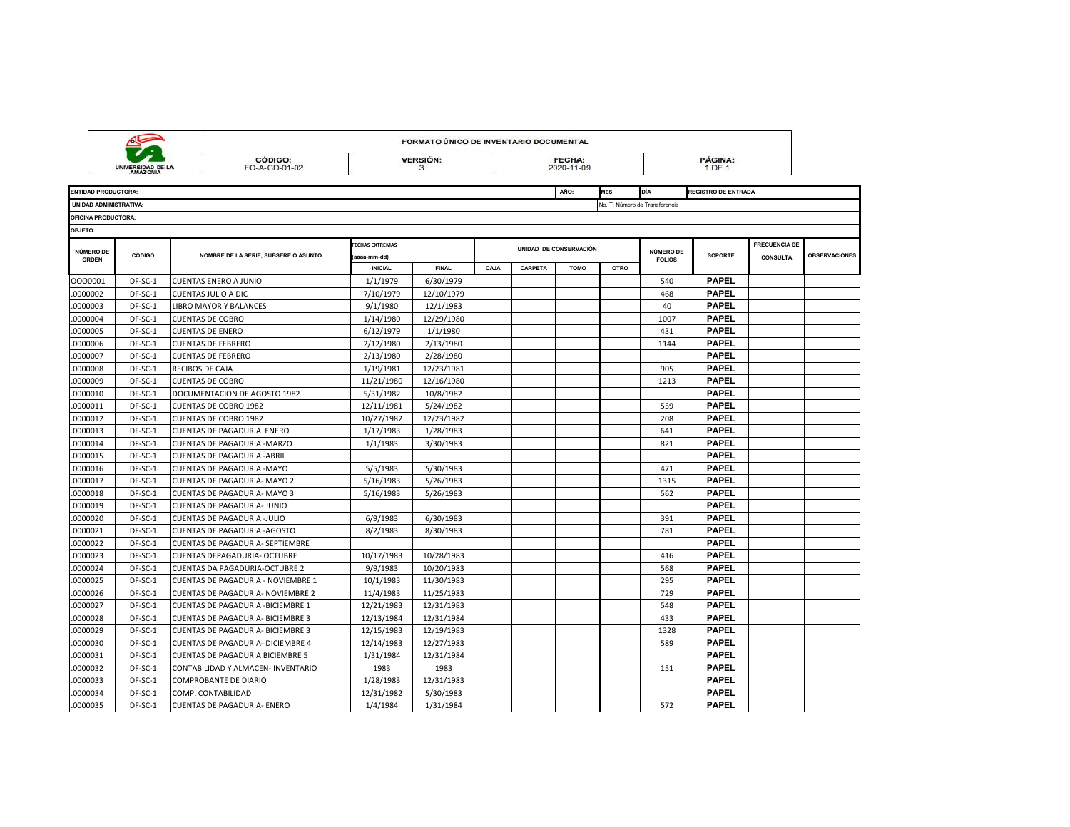|                                  |                                     |                 |                                          | FORMATO ÚNICO DE INVENTARIO DOCUMENTAL |                      |      |         |                             |             |                                |                            |                                         |                      |
|----------------------------------|-------------------------------------|-----------------|------------------------------------------|----------------------------------------|----------------------|------|---------|-----------------------------|-------------|--------------------------------|----------------------------|-----------------------------------------|----------------------|
|                                  | UNIVERSIDAD DE L<br><b>AMAZONIA</b> |                 | CÓDIGO:<br>FO-A-GD-01-02                 |                                        | <b>VERSIÓN:</b><br>3 |      |         | <b>FECHA:</b><br>2020-11-09 |             |                                | <b>PÁGINA:</b><br>1 DE 1   |                                         |                      |
| <b>ENTIDAD PRODUCTORA:</b>       |                                     |                 |                                          |                                        |                      |      |         | AÑO:                        | <b>MES</b>  | DÍA                            | <b>REGISTRO DE ENTRADA</b> |                                         |                      |
| UNIDAD ADMINISTRATIVA:           |                                     |                 |                                          |                                        |                      |      |         |                             |             | No. T: Número de Transferencia |                            |                                         |                      |
| OFICINA PRODUCTORA:              |                                     |                 |                                          |                                        |                      |      |         |                             |             |                                |                            |                                         |                      |
| OBJETO:                          |                                     |                 |                                          |                                        |                      |      |         |                             |             |                                |                            |                                         |                      |
| <b>NÚMERO DE</b><br><b>ORDEN</b> | <b>CÓDIGO</b>                       |                 | NOMBRE DE LA SERIE, SUBSERE O ASUNTO     | <b>FECHAS EXTREMAS</b><br>(aaaa-mm-dd) |                      |      |         | UNIDAD DE CONSERVACIÓN      |             | NÚMERO DE<br><b>FOLIOS</b>     | <b>SOPORTE</b>             | <b>FRECUENCIA DE</b><br><b>CONSULTA</b> | <b>OBSERVACIONES</b> |
|                                  |                                     |                 |                                          | <b>INICIAL</b>                         | <b>FINAL</b>         | CAJA | CARPETA | <b>TOMO</b>                 | <b>OTRO</b> |                                |                            |                                         |                      |
| 0000001                          | DF-SC-1                             |                 | CUENTAS ENERO A JUNIO                    | 1/1/1979                               | 6/30/1979            |      |         |                             |             | 540                            | <b>PAPEL</b>               |                                         |                      |
| 0000002                          | DF-SC-1                             |                 | CUENTAS JULIO A DIC                      | 7/10/1979                              | 12/10/1979           |      |         |                             |             | 468                            | <b>PAPEL</b>               |                                         |                      |
| 0000003                          | DF-SC-1                             |                 | LIBRO MAYOR Y BALANCES                   | 9/1/1980                               | 12/1/1983            |      |         |                             |             | 40                             | <b>PAPEL</b>               |                                         |                      |
| 0000004                          | DF-SC-1                             |                 | <b>CUENTAS DE COBRO</b>                  | 1/14/1980                              | 12/29/1980           |      |         |                             |             | 1007                           | <b>PAPEL</b>               |                                         |                      |
| 0000005                          | DF-SC-1                             |                 | <b>CUENTAS DE ENERO</b>                  | 6/12/1979                              | 1/1/1980             |      |         |                             |             | 431                            | <b>PAPEL</b>               |                                         |                      |
| 0000006                          | DF-SC-1                             |                 | <b>CUENTAS DE FEBRERO</b>                | 2/12/1980                              | 2/13/1980            |      |         |                             |             | 1144                           | <b>PAPEL</b>               |                                         |                      |
| 0000007                          | DF-SC-1                             |                 | <b>CUENTAS DE FEBRERO</b>                | 2/13/1980                              | 2/28/1980            |      |         |                             |             |                                | <b>PAPEL</b>               |                                         |                      |
| 0000008                          | DF-SC-1                             | RECIBOS DE CAJA |                                          | 1/19/1981                              | 12/23/1981           |      |         |                             |             | 905                            | <b>PAPEL</b>               |                                         |                      |
| 0000009                          | DF-SC-1                             |                 | <b>CUENTAS DE COBRO</b>                  | 11/21/1980                             | 12/16/1980           |      |         |                             |             | 1213                           | <b>PAPEL</b>               |                                         |                      |
| 0000010                          | DF-SC-1                             |                 | DOCUMENTACION DE AGOSTO 1982             | 5/31/1982                              | 10/8/1982            |      |         |                             |             |                                | <b>PAPEL</b>               |                                         |                      |
| .0000011                         | DF-SC-1                             |                 | <b>CUENTAS DE COBRO 1982</b>             | 12/11/1981                             | 5/24/1982            |      |         |                             |             | 559                            | <b>PAPEL</b>               |                                         |                      |
| 0000012                          | DF-SC-1                             |                 | <b>CUENTAS DE COBRO 1982</b>             | 10/27/1982                             | 12/23/1982           |      |         |                             |             | 208                            | <b>PAPEL</b>               |                                         |                      |
| 0000013                          | DF-SC-1                             |                 | CUENTAS DE PAGADURIA ENERO               | 1/17/1983                              | 1/28/1983            |      |         |                             |             | 641                            | <b>PAPEL</b>               |                                         |                      |
| 0000014                          | DF-SC-1                             |                 | CUENTAS DE PAGADURIA - MARZO             | 1/1/1983                               | 3/30/1983            |      |         |                             |             | 821                            | <b>PAPEL</b>               |                                         |                      |
| 0000015                          | DF-SC-1                             |                 | CUENTAS DE PAGADURIA -ABRIL              |                                        |                      |      |         |                             |             |                                | <b>PAPEL</b>               |                                         |                      |
| .0000016                         | DF-SC-1                             |                 | <b>CUENTAS DE PAGADURIA -MAYO</b>        | 5/5/1983                               | 5/30/1983            |      |         |                             |             | 471                            | <b>PAPEL</b>               |                                         |                      |
| 0000017                          | DF-SC-1                             |                 | CUENTAS DE PAGADURIA- MAYO 2             | 5/16/1983                              | 5/26/1983            |      |         |                             |             | 1315                           | <b>PAPEL</b>               |                                         |                      |
| 0000018                          | DF-SC-1                             |                 | CUENTAS DE PAGADURIA- MAYO 3             | 5/16/1983                              | 5/26/1983            |      |         |                             |             | 562                            | <b>PAPEL</b>               |                                         |                      |
| 0000019                          | DF-SC-1                             |                 | <b>CUENTAS DE PAGADURIA- JUNIO</b>       |                                        |                      |      |         |                             |             |                                | <b>PAPEL</b>               |                                         |                      |
| 0000020                          | DF-SC-1                             |                 | CUENTAS DE PAGADURIA -JULIO              | 6/9/1983                               | 6/30/1983            |      |         |                             |             | 391                            | <b>PAPEL</b>               |                                         |                      |
| 0000021                          | DF-SC-1                             |                 | CUENTAS DE PAGADURIA - AGOSTO            | 8/2/1983                               | 8/30/1983            |      |         |                             |             | 781                            | <b>PAPEL</b>               |                                         |                      |
| 0000022                          | DF-SC-1                             |                 | CUENTAS DE PAGADURIA- SEPTIEMBRE         |                                        |                      |      |         |                             |             |                                | <b>PAPEL</b>               |                                         |                      |
| 0000023                          | DF-SC-1                             |                 | CUENTAS DEPAGADURIA- OCTUBRE             | 10/17/1983                             | 10/28/1983           |      |         |                             |             | 416                            | PAPEL                      |                                         |                      |
| .0000024                         | DF-SC-1                             |                 | <b>CUENTAS DA PAGADURIA-OCTUBRE 2</b>    | 9/9/1983                               | 10/20/1983           |      |         |                             |             | 568                            | <b>PAPEL</b>               |                                         |                      |
| 0000025                          | DF-SC-1                             |                 | CUENTAS DE PAGADURIA - NOVIEMBRE 1       | 10/1/1983                              | 11/30/1983           |      |         |                             |             | 295                            | <b>PAPEL</b>               |                                         |                      |
| 0000026                          | DF-SC-1                             |                 | CUENTAS DE PAGADURIA- NOVIEMBRE 2        | 11/4/1983                              | 11/25/1983           |      |         |                             |             | 729                            | <b>PAPEL</b>               |                                         |                      |
| .0000027                         | DF-SC-1                             |                 | CUENTAS DE PAGADURIA - BICIEMBRE 1       | 12/21/1983                             | 12/31/1983           |      |         |                             |             | 548                            | <b>PAPEL</b>               |                                         |                      |
| 0000028                          | DF-SC-1                             |                 | <b>CUENTAS DE PAGADURIA- BICIEMBRE 3</b> | 12/13/1984                             | 12/31/1984           |      |         |                             |             | 433                            | <b>PAPEL</b>               |                                         |                      |
| 0000029                          | DF-SC-1                             |                 | CUENTAS DE PAGADURIA- BICIEMBRE 3        | 12/15/1983                             | 12/19/1983           |      |         |                             |             | 1328                           | <b>PAPEL</b>               |                                         |                      |
| 0000030                          | DF-SC-1                             |                 | <b>CUENTAS DE PAGADURIA- DICIEMBRE 4</b> | 12/14/1983                             | 12/27/1983           |      |         |                             |             | 589                            | <b>PAPEL</b>               |                                         |                      |
| .0000031                         | DF-SC-1                             |                 | <b>CUENTAS DE PAGADURIA BICIEMBRE 5</b>  | 1/31/1984                              | 12/31/1984           |      |         |                             |             |                                | <b>PAPEL</b>               |                                         |                      |
| .0000032                         | DF-SC-1                             |                 | CONTABILIDAD Y ALMACEN- INVENTARIO       | 1983                                   | 1983                 |      |         |                             |             | 151                            | <b>PAPEL</b>               |                                         |                      |
| 0000033                          | DF-SC-1                             |                 | COMPROBANTE DE DIARIO                    | 1/28/1983                              | 12/31/1983           |      |         |                             |             |                                | <b>PAPEL</b>               |                                         |                      |
| 0000034                          | DF-SC-1                             |                 | COMP. CONTABILIDAD                       | 12/31/1982                             | 5/30/1983            |      |         |                             |             |                                | <b>PAPEL</b>               |                                         |                      |
| .0000035                         | DF-SC-1                             |                 | <b>CUENTAS DE PAGADURIA- ENERO</b>       | 1/4/1984                               | 1/31/1984            |      |         |                             |             | 572                            | <b>PAPEL</b>               |                                         |                      |

- 0

┱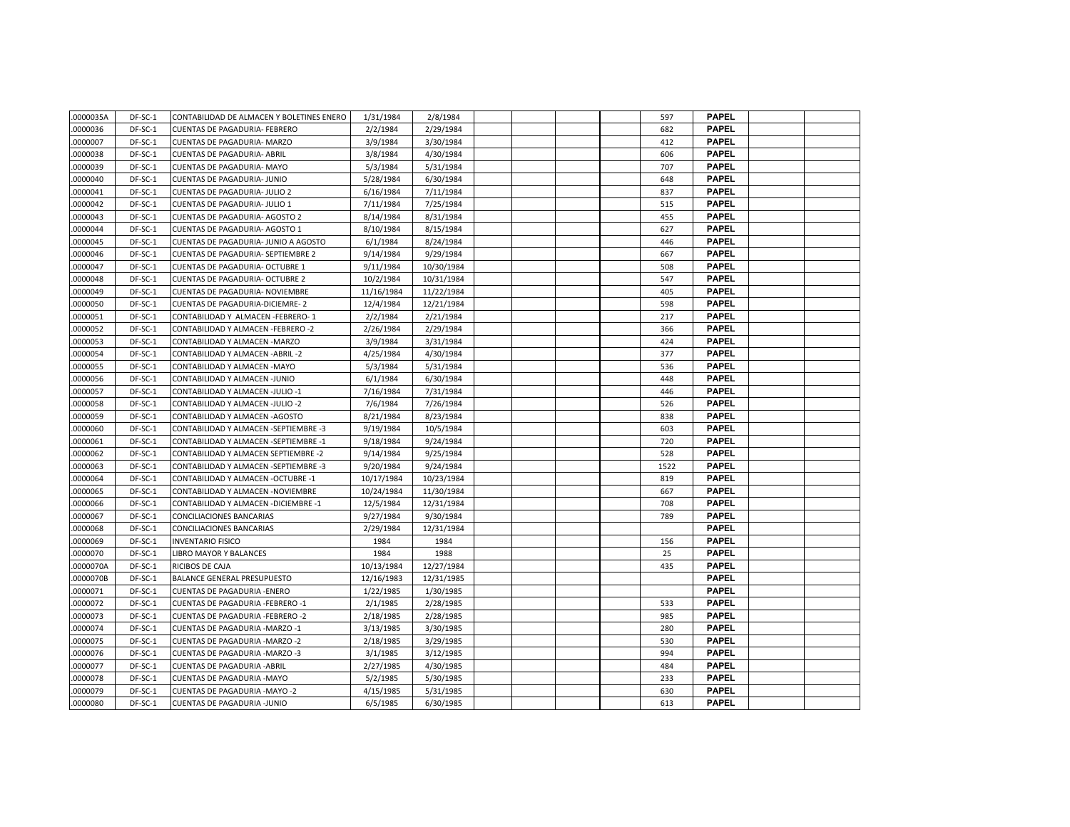| .0000035A | DF-SC-1 | CONTABILIDAD DE ALMACEN Y BOLETINES ENERO | 1/31/1984  | 2/8/1984   |  |  | 597  | <b>PAPEL</b> |  |
|-----------|---------|-------------------------------------------|------------|------------|--|--|------|--------------|--|
| .0000036  | DF-SC-1 | <b>CUENTAS DE PAGADURIA- FEBRERO</b>      | 2/2/1984   | 2/29/1984  |  |  | 682  | <b>PAPEL</b> |  |
| .0000007  | DF-SC-1 | CUENTAS DE PAGADURIA- MARZO               | 3/9/1984   | 3/30/1984  |  |  | 412  | <b>PAPEL</b> |  |
| .0000038  | DF-SC-1 | <b>CUENTAS DE PAGADURIA- ABRIL</b>        | 3/8/1984   | 4/30/1984  |  |  | 606  | <b>PAPEL</b> |  |
| .0000039  | DF-SC-1 | <b>CUENTAS DE PAGADURIA- MAYO</b>         | 5/3/1984   | 5/31/1984  |  |  | 707  | <b>PAPEL</b> |  |
| .0000040  | DF-SC-1 | <b>CUENTAS DE PAGADURIA- JUNIO</b>        | 5/28/1984  | 6/30/1984  |  |  | 648  | <b>PAPEL</b> |  |
| .0000041  | DF-SC-1 | <b>CUENTAS DE PAGADURIA- JULIO 2</b>      | 6/16/1984  | 7/11/1984  |  |  | 837  | <b>PAPEL</b> |  |
| 0000042   | DF-SC-1 | <b>CUENTAS DE PAGADURIA- JULIO 1</b>      | 7/11/1984  | 7/25/1984  |  |  | 515  | <b>PAPEL</b> |  |
| .0000043  | DF-SC-1 | <b>CUENTAS DE PAGADURIA- AGOSTO 2</b>     | 8/14/1984  | 8/31/1984  |  |  | 455  | <b>PAPEL</b> |  |
| .0000044  | DF-SC-1 | CUENTAS DE PAGADURIA- AGOSTO 1            | 8/10/1984  | 8/15/1984  |  |  | 627  | <b>PAPEL</b> |  |
| .0000045  | DF-SC-1 | CUENTAS DE PAGADURIA- JUNIO A AGOSTO      | 6/1/1984   | 8/24/1984  |  |  | 446  | <b>PAPEL</b> |  |
| .0000046  | DF-SC-1 | CUENTAS DE PAGADURIA- SEPTIEMBRE 2        | 9/14/1984  | 9/29/1984  |  |  | 667  | <b>PAPEL</b> |  |
| .0000047  | DF-SC-1 | <b>CUENTAS DE PAGADURIA- OCTUBRE 1</b>    | 9/11/1984  | 10/30/1984 |  |  | 508  | <b>PAPEL</b> |  |
| .0000048  | DF-SC-1 | <b>CUENTAS DE PAGADURIA- OCTUBRE 2</b>    | 10/2/1984  | 10/31/1984 |  |  | 547  | <b>PAPEL</b> |  |
| .0000049  | DF-SC-1 | CUENTAS DE PAGADURIA- NOVIEMBRE           | 11/16/1984 | 11/22/1984 |  |  | 405  | <b>PAPEL</b> |  |
| .0000050  | DF-SC-1 | CUENTAS DE PAGADURIA-DICIEMRE-2           | 12/4/1984  | 12/21/1984 |  |  | 598  | <b>PAPEL</b> |  |
| 0000051   | DF-SC-1 | CONTABILIDAD Y ALMACEN -FEBRERO-1         | 2/2/1984   | 2/21/1984  |  |  | 217  | <b>PAPEL</b> |  |
| .0000052  | DF-SC-1 | CONTABILIDAD Y ALMACEN -FEBRERO -2        | 2/26/1984  | 2/29/1984  |  |  | 366  | <b>PAPEL</b> |  |
| .0000053  | DF-SC-1 | CONTABILIDAD Y ALMACEN - MARZO            | 3/9/1984   | 3/31/1984  |  |  | 424  | <b>PAPEL</b> |  |
| .0000054  | DF-SC-1 | CONTABILIDAD Y ALMACEN - ABRIL - 2        | 4/25/1984  | 4/30/1984  |  |  | 377  | <b>PAPEL</b> |  |
| .0000055  | DF-SC-1 | CONTABILIDAD Y ALMACEN - MAYO             | 5/3/1984   | 5/31/1984  |  |  | 536  | <b>PAPEL</b> |  |
| .0000056  | DF-SC-1 | CONTABILIDAD Y ALMACEN -JUNIO             | 6/1/1984   | 6/30/1984  |  |  | 448  | <b>PAPEL</b> |  |
| .0000057  | DF-SC-1 | CONTABILIDAD Y ALMACEN -JULIO -1          | 7/16/1984  | 7/31/1984  |  |  | 446  | <b>PAPEL</b> |  |
| .0000058  | DF-SC-1 | CONTABILIDAD Y ALMACEN -JULIO -2          | 7/6/1984   | 7/26/1984  |  |  | 526  | <b>PAPEL</b> |  |
| .0000059  | DF-SC-1 | CONTABILIDAD Y ALMACEN - AGOSTO           | 8/21/1984  | 8/23/1984  |  |  | 838  | <b>PAPEL</b> |  |
| .0000060  | DF-SC-1 | CONTABILIDAD Y ALMACEN -SEPTIEMBRE -3     | 9/19/1984  | 10/5/1984  |  |  | 603  | <b>PAPEL</b> |  |
| .0000061  | DF-SC-1 | CONTABILIDAD Y ALMACEN -SEPTIEMBRE -1     | 9/18/1984  | 9/24/1984  |  |  | 720  | <b>PAPEL</b> |  |
| .0000062  | DF-SC-1 | CONTABILIDAD Y ALMACEN SEPTIEMBRE -2      | 9/14/1984  | 9/25/1984  |  |  | 528  | <b>PAPEL</b> |  |
| .0000063  | DF-SC-1 | CONTABILIDAD Y ALMACEN -SEPTIEMBRE -3     | 9/20/1984  | 9/24/1984  |  |  | 1522 | <b>PAPEL</b> |  |
| .0000064  | DF-SC-1 | CONTABILIDAD Y ALMACEN - OCTUBRE -1       | 10/17/1984 | 10/23/1984 |  |  | 819  | <b>PAPEL</b> |  |
| .0000065  | DF-SC-1 | CONTABILIDAD Y ALMACEN - NOVIEMBRE        | 10/24/1984 | 11/30/1984 |  |  | 667  | <b>PAPEL</b> |  |
| .0000066  | DF-SC-1 | CONTABILIDAD Y ALMACEN - DICIEMBRE -1     | 12/5/1984  | 12/31/1984 |  |  | 708  | <b>PAPEL</b> |  |
| .0000067  | DF-SC-1 | CONCILIACIONES BANCARIAS                  | 9/27/1984  | 9/30/1984  |  |  | 789  | <b>PAPEL</b> |  |
| .0000068  | DF-SC-1 | CONCILIACIONES BANCARIAS                  | 2/29/1984  | 12/31/1984 |  |  |      | <b>PAPEL</b> |  |
| .0000069  | DF-SC-1 | <b>INVENTARIO FISICO</b>                  | 1984       | 1984       |  |  | 156  | <b>PAPEL</b> |  |
| .0000070  | DF-SC-1 | LIBRO MAYOR Y BALANCES                    | 1984       | 1988       |  |  | 25   | <b>PAPEL</b> |  |
| .0000070A | DF-SC-1 | RICIBOS DE CAJA                           | 10/13/1984 | 12/27/1984 |  |  | 435  | <b>PAPEL</b> |  |
| .0000070B | DF-SC-1 | <b>BALANCE GENERAL PRESUPUESTO</b>        | 12/16/1983 | 12/31/1985 |  |  |      | <b>PAPEL</b> |  |
| .0000071  | DF-SC-1 | <b>CUENTAS DE PAGADURIA -ENERO</b>        | 1/22/1985  | 1/30/1985  |  |  |      | <b>PAPEL</b> |  |
| .0000072  | DF-SC-1 | CUENTAS DE PAGADURIA -FEBRERO -1          | 2/1/1985   | 2/28/1985  |  |  | 533  | <b>PAPEL</b> |  |
| .0000073  | DF-SC-1 | <b>CUENTAS DE PAGADURIA -FEBRERO -2</b>   | 2/18/1985  | 2/28/1985  |  |  | 985  | <b>PAPEL</b> |  |
| .0000074  | DF-SC-1 | CUENTAS DE PAGADURIA - MARZO -1           | 3/13/1985  | 3/30/1985  |  |  | 280  | <b>PAPEL</b> |  |
| .0000075  | DF-SC-1 | <b>CUENTAS DE PAGADURIA -MARZO -2</b>     | 2/18/1985  | 3/29/1985  |  |  | 530  | <b>PAPEL</b> |  |
| .0000076  | DF-SC-1 | <b>CUENTAS DE PAGADURIA -MARZO -3</b>     | 3/1/1985   | 3/12/1985  |  |  | 994  | <b>PAPEL</b> |  |
| .0000077  | DF-SC-1 | <b>CUENTAS DE PAGADURIA - ABRIL</b>       | 2/27/1985  | 4/30/1985  |  |  | 484  | <b>PAPEL</b> |  |
| 0000078   | DF-SC-1 | CUENTAS DE PAGADURIA - MAYO               | 5/2/1985   | 5/30/1985  |  |  | 233  | <b>PAPEL</b> |  |
| .0000079  | DF-SC-1 | CUENTAS DE PAGADURIA - MAYO -2            | 4/15/1985  | 5/31/1985  |  |  | 630  | <b>PAPEL</b> |  |
| .0000080  | DF-SC-1 | <b>CUENTAS DE PAGADURIA -JUNIO</b>        | 6/5/1985   | 6/30/1985  |  |  | 613  | <b>PAPEL</b> |  |
|           |         |                                           |            |            |  |  |      |              |  |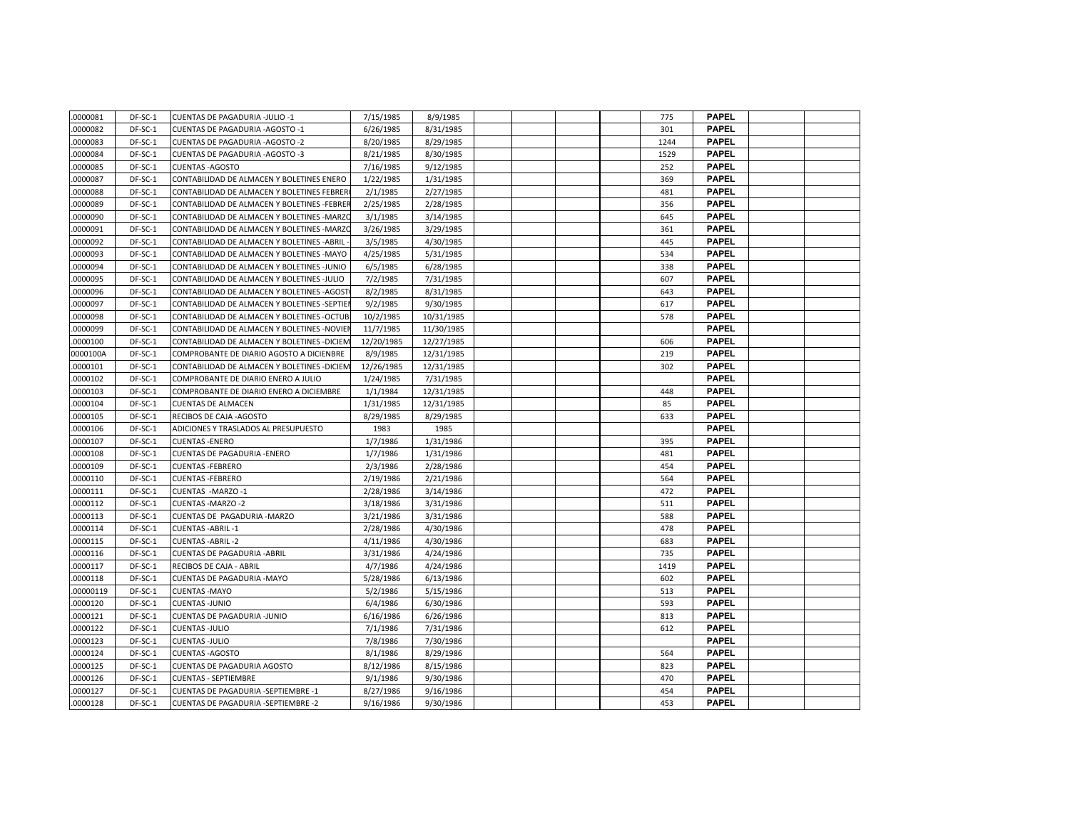| .0000081 | DF-SC-1 | CUENTAS DE PAGADURIA -JULIO -1               | 7/15/1985  | 8/9/1985   |  |  | 775  | <b>PAPEL</b> |  |
|----------|---------|----------------------------------------------|------------|------------|--|--|------|--------------|--|
| 0000082  | DF-SC-1 | CUENTAS DE PAGADURIA - AGOSTO -1             | 6/26/1985  | 8/31/1985  |  |  | 301  | <b>PAPEL</b> |  |
| .0000083 | DF-SC-1 | CUENTAS DE PAGADURIA - AGOSTO - 2            | 8/20/1985  | 8/29/1985  |  |  | 1244 | <b>PAPEL</b> |  |
| .0000084 | DF-SC-1 | CUENTAS DE PAGADURIA - AGOSTO -3             | 8/21/1985  | 8/30/1985  |  |  | 1529 | <b>PAPEL</b> |  |
| .0000085 | DF-SC-1 | <b>CUENTAS - AGOSTO</b>                      | 7/16/1985  | 9/12/1985  |  |  | 252  | <b>PAPEL</b> |  |
| .0000087 | DF-SC-1 | CONTABILIDAD DE ALMACEN Y BOLETINES ENERO    | 1/22/1985  | 1/31/1985  |  |  | 369  | <b>PAPEL</b> |  |
| .0000088 | DF-SC-1 | CONTABILIDAD DE ALMACEN Y BOLETINES FEBRER   | 2/1/1985   | 2/27/1985  |  |  | 481  | <b>PAPEL</b> |  |
| .0000089 | DF-SC-1 | CONTABILIDAD DE ALMACEN Y BOLETINES -FEBRER  | 2/25/1985  | 2/28/1985  |  |  | 356  | <b>PAPEL</b> |  |
| .0000090 | DF-SC-1 | CONTABILIDAD DE ALMACEN Y BOLETINES - MARZO  | 3/1/1985   | 3/14/1985  |  |  | 645  | PAPEL        |  |
| .0000091 | DF-SC-1 | CONTABILIDAD DE ALMACEN Y BOLETINES - MARZO  | 3/26/1985  | 3/29/1985  |  |  | 361  | <b>PAPEL</b> |  |
| .0000092 | DF-SC-1 | CONTABILIDAD DE ALMACEN Y BOLETINES - ABRIL  | 3/5/1985   | 4/30/1985  |  |  | 445  | <b>PAPEL</b> |  |
| .0000093 | DF-SC-1 | CONTABILIDAD DE ALMACEN Y BOLETINES -MAYO    | 4/25/1985  | 5/31/1985  |  |  | 534  | <b>PAPEL</b> |  |
| .0000094 | DF-SC-1 | CONTABILIDAD DE ALMACEN Y BOLETINES -JUNIO   | 6/5/1985   | 6/28/1985  |  |  | 338  | <b>PAPEL</b> |  |
| .0000095 | DF-SC-1 | CONTABILIDAD DE ALMACEN Y BOLETINES -JULIO   | 7/2/1985   | 7/31/1985  |  |  | 607  | <b>PAPEL</b> |  |
| .0000096 | DF-SC-1 | CONTABILIDAD DE ALMACEN Y BOLETINES - AGOST  | 8/2/1985   | 8/31/1985  |  |  | 643  | <b>PAPEL</b> |  |
| .0000097 | DF-SC-1 | CONTABILIDAD DE ALMACEN Y BOLETINES -SEPTIEI | 9/2/1985   | 9/30/1985  |  |  | 617  | <b>PAPEL</b> |  |
| .0000098 | DF-SC-1 | CONTABILIDAD DE ALMACEN Y BOLETINES - OCTUB  | 10/2/1985  | 10/31/1985 |  |  | 578  | <b>PAPEL</b> |  |
| .0000099 | DF-SC-1 | CONTABILIDAD DE ALMACEN Y BOLETINES -NOVIEI  | 11/7/1985  | 11/30/1985 |  |  |      | <b>PAPEL</b> |  |
| .0000100 | DF-SC-1 | CONTABILIDAD DE ALMACEN Y BOLETINES - DICIEM | 12/20/1985 | 12/27/1985 |  |  | 606  | <b>PAPEL</b> |  |
| 0000100A | DF-SC-1 | COMPROBANTE DE DIARIO AGOSTO A DICIENBRE     | 8/9/1985   | 12/31/1985 |  |  | 219  | <b>PAPEL</b> |  |
| .0000101 | DF-SC-1 | CONTABILIDAD DE ALMACEN Y BOLETINES - DICIEM | 12/26/1985 | 12/31/1985 |  |  | 302  | <b>PAPEL</b> |  |
| .0000102 | DF-SC-1 | COMPROBANTE DE DIARIO ENERO A JULIO          | 1/24/1985  | 7/31/1985  |  |  |      | <b>PAPEL</b> |  |
| .0000103 | DF-SC-1 | COMPROBANTE DE DIARIO ENERO A DICIEMBRE      | 1/1/1984   | 12/31/1985 |  |  | 448  | <b>PAPEL</b> |  |
| .0000104 | DF-SC-1 | <b>CUENTAS DE ALMACEN</b>                    | 1/31/1985  | 12/31/1985 |  |  | 85   | <b>PAPEL</b> |  |
| .0000105 | DF-SC-1 | RECIBOS DE CAJA - AGOSTO                     | 8/29/1985  | 8/29/1985  |  |  | 633  | <b>PAPEL</b> |  |
| .0000106 | DF-SC-1 | ADICIONES Y TRASLADOS AL PRESUPUESTO         | 1983       | 1985       |  |  |      | <b>PAPEL</b> |  |
| .0000107 | DF-SC-1 | <b>CUENTAS - ENERO</b>                       | 1/7/1986   | 1/31/1986  |  |  | 395  | <b>PAPEL</b> |  |
| .0000108 | DF-SC-1 | <b>CUENTAS DE PAGADURIA -ENERO</b>           | 1/7/1986   | 1/31/1986  |  |  | 481  | <b>PAPEL</b> |  |
| .0000109 | DF-SC-1 | <b>CUENTAS - FEBRERO</b>                     | 2/3/1986   | 2/28/1986  |  |  | 454  | <b>PAPEL</b> |  |
| .0000110 | DF-SC-1 | <b>CUENTAS - FEBRERO</b>                     | 2/19/1986  | 2/21/1986  |  |  | 564  | <b>PAPEL</b> |  |
| .0000111 | DF-SC-1 | CUENTAS -MARZO-1                             | 2/28/1986  | 3/14/1986  |  |  | 472  | <b>PAPEL</b> |  |
| .0000112 | DF-SC-1 | CUENTAS - MARZO - 2                          | 3/18/1986  | 3/31/1986  |  |  | 511  | <b>PAPEL</b> |  |
| .0000113 | DF-SC-1 | CUENTAS DE PAGADURIA - MARZO                 | 3/21/1986  | 3/31/1986  |  |  | 588  | <b>PAPEL</b> |  |
| .0000114 | DF-SC-1 | <b>CUENTAS - ABRIL -1</b>                    | 2/28/1986  | 4/30/1986  |  |  | 478  | <b>PAPEL</b> |  |
| .0000115 | DF-SC-1 | <b>CUENTAS - ABRIL - 2</b>                   | 4/11/1986  | 4/30/1986  |  |  | 683  | <b>PAPEL</b> |  |
| .0000116 | DF-SC-1 | <b>CUENTAS DE PAGADURIA - ABRIL</b>          | 3/31/1986  | 4/24/1986  |  |  | 735  | <b>PAPEL</b> |  |
| 0000117  | DF-SC-1 | RECIBOS DE CAJA - ABRIL                      | 4/7/1986   | 4/24/1986  |  |  | 1419 | <b>PAPEL</b> |  |
| .0000118 | DF-SC-1 | <b>CUENTAS DE PAGADURIA -MAYO</b>            | 5/28/1986  | 6/13/1986  |  |  | 602  | <b>PAPEL</b> |  |
| 00000119 | DF-SC-1 | <b>CUENTAS - MAYO</b>                        | 5/2/1986   | 5/15/1986  |  |  | 513  | <b>PAPEL</b> |  |
| .0000120 | DF-SC-1 | <b>CUENTAS-JUNIO</b>                         | 6/4/1986   | 6/30/1986  |  |  | 593  | <b>PAPEL</b> |  |
| .0000121 | DF-SC-1 | <b>CUENTAS DE PAGADURIA -JUNIO</b>           | 6/16/1986  | 6/26/1986  |  |  | 813  | <b>PAPEL</b> |  |
| .0000122 | DF-SC-1 | <b>CUENTAS -JULIO</b>                        | 7/1/1986   | 7/31/1986  |  |  | 612  | <b>PAPEL</b> |  |
| .0000123 | DF-SC-1 | <b>CUENTAS-JULIO</b>                         | 7/8/1986   | 7/30/1986  |  |  |      | <b>PAPEL</b> |  |
| .0000124 | DF-SC-1 | <b>CUENTAS-AGOSTO</b>                        | 8/1/1986   | 8/29/1986  |  |  | 564  | <b>PAPEL</b> |  |
| .0000125 | DF-SC-1 | <b>CUENTAS DE PAGADURIA AGOSTO</b>           | 8/12/1986  | 8/15/1986  |  |  | 823  | <b>PAPEL</b> |  |
| .0000126 | DF-SC-1 | <b>CUENTAS - SEPTIEMBRE</b>                  | 9/1/1986   | 9/30/1986  |  |  | 470  | <b>PAPEL</b> |  |
| .0000127 | DF-SC-1 | <b>CUENTAS DE PAGADURIA -SEPTIEMBRE -1</b>   | 8/27/1986  | 9/16/1986  |  |  | 454  | <b>PAPEL</b> |  |
| .0000128 | DF-SC-1 | <b>CUENTAS DE PAGADURIA -SEPTIEMBRE -2</b>   | 9/16/1986  | 9/30/1986  |  |  | 453  | <b>PAPEL</b> |  |
|          |         |                                              |            |            |  |  |      |              |  |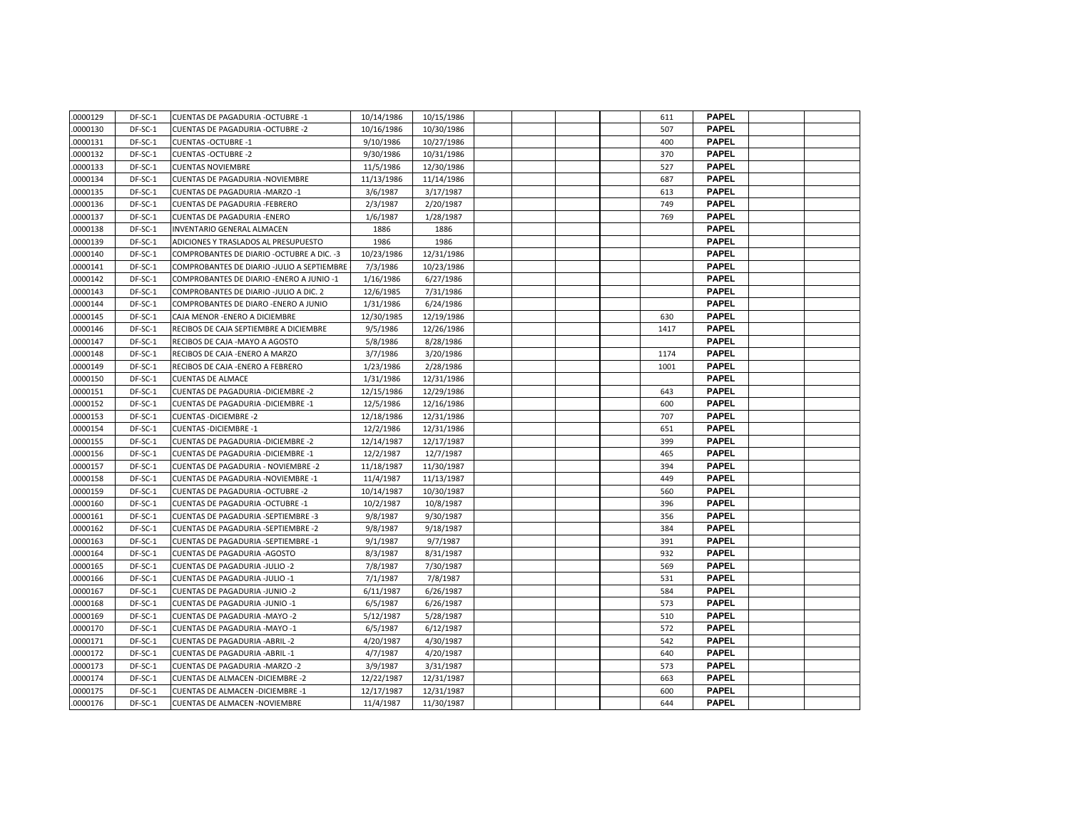| .0000129 | DF-SC-1 | <b>CUENTAS DE PAGADURIA -OCTUBRE -1</b>     | 10/14/1986 | 10/15/1986 |  |  | 611  | <b>PAPEL</b> |  |
|----------|---------|---------------------------------------------|------------|------------|--|--|------|--------------|--|
| 0000130  | DF-SC-1 | <b>CUENTAS DE PAGADURIA -OCTUBRE -2</b>     | 10/16/1986 | 10/30/1986 |  |  | 507  | <b>PAPEL</b> |  |
| 0000131  | DF-SC-1 | <b>CUENTAS - OCTUBRE -1</b>                 | 9/10/1986  | 10/27/1986 |  |  | 400  | <b>PAPEL</b> |  |
| 0000132  | DF-SC-1 | <b>CUENTAS - OCTUBRE -2</b>                 | 9/30/1986  | 10/31/1986 |  |  | 370  | <b>PAPEL</b> |  |
| 0000133  | DF-SC-1 | <b>CUENTAS NOVIEMBRE</b>                    | 11/5/1986  | 12/30/1986 |  |  | 527  | <b>PAPEL</b> |  |
| 0000134  | DF-SC-1 | <b>CUENTAS DE PAGADURIA -NOVIEMBRE</b>      | 11/13/1986 | 11/14/1986 |  |  | 687  | <b>PAPEL</b> |  |
| 0000135  | DF-SC-1 | <b>CUENTAS DE PAGADURIA -MARZO -1</b>       | 3/6/1987   | 3/17/1987  |  |  | 613  | <b>PAPEL</b> |  |
| 0000136  | DF-SC-1 | <b>CUENTAS DE PAGADURIA -FEBRERO</b>        | 2/3/1987   | 2/20/1987  |  |  | 749  | <b>PAPEL</b> |  |
| 0000137  | DF-SC-1 | <b>CUENTAS DE PAGADURIA -ENERO</b>          | 1/6/1987   | 1/28/1987  |  |  | 769  | <b>PAPEL</b> |  |
| 0000138  | DF-SC-1 | INVENTARIO GENERAL ALMACEN                  | 1886       | 1886       |  |  |      | <b>PAPEL</b> |  |
| 0000139  | DF-SC-1 | ADICIONES Y TRASLADOS AL PRESUPUESTO        | 1986       | 1986       |  |  |      | <b>PAPEL</b> |  |
| 0000140  | DF-SC-1 | COMPROBANTES DE DIARIO - OCTUBRE A DIC. - 3 | 10/23/1986 | 12/31/1986 |  |  |      | <b>PAPEL</b> |  |
| 0000141  | DF-SC-1 | COMPROBANTES DE DIARIO -JULIO A SEPTIEMBRE  | 7/3/1986   | 10/23/1986 |  |  |      | <b>PAPEL</b> |  |
| .0000142 | DF-SC-1 | COMPROBANTES DE DIARIO - ENERO A JUNIO -1   | 1/16/1986  | 6/27/1986  |  |  |      | <b>PAPEL</b> |  |
| 0000143  | DF-SC-1 | COMPROBANTES DE DIARIO -JULIO A DIC. 2      | 12/6/1985  | 7/31/1986  |  |  |      | <b>PAPEL</b> |  |
| 0000144  | DF-SC-1 | COMPROBANTES DE DIARO - ENERO A JUNIO       | 1/31/1986  | 6/24/1986  |  |  |      | <b>PAPEL</b> |  |
| 0000145  | DF-SC-1 | CAJA MENOR - ENERO A DICIEMBRE              | 12/30/1985 | 12/19/1986 |  |  | 630  | <b>PAPEL</b> |  |
| 0000146  | DF-SC-1 | RECIBOS DE CAJA SEPTIEMBRE A DICIEMBRE      | 9/5/1986   | 12/26/1986 |  |  | 1417 | <b>PAPEL</b> |  |
| 0000147  | DF-SC-1 | RECIBOS DE CAJA - MAYO A AGOSTO             | 5/8/1986   | 8/28/1986  |  |  |      | <b>PAPEL</b> |  |
| 0000148  | DF-SC-1 | RECIBOS DE CAJA - ENERO A MARZO             | 3/7/1986   | 3/20/1986  |  |  | 1174 | <b>PAPEL</b> |  |
| 0000149  | DF-SC-1 | RECIBOS DE CAJA -ENERO A FEBRERO            | 1/23/1986  | 2/28/1986  |  |  | 1001 | <b>PAPEL</b> |  |
| 0000150  | DF-SC-1 | <b>CUENTAS DE ALMACE</b>                    | 1/31/1986  | 12/31/1986 |  |  |      | <b>PAPEL</b> |  |
| 0000151  | DF-SC-1 | <b>CUENTAS DE PAGADURIA - DICIEMBRE -2</b>  | 12/15/1986 | 12/29/1986 |  |  | 643  | <b>PAPEL</b> |  |
| 0000152  | DF-SC-1 | CUENTAS DE PAGADURIA - DICIEMBRE -1         | 12/5/1986  | 12/16/1986 |  |  | 600  | <b>PAPEL</b> |  |
| 0000153  | DF-SC-1 | <b>CUENTAS - DICIEMBRE -2</b>               | 12/18/1986 | 12/31/1986 |  |  | 707  | <b>PAPEL</b> |  |
| 0000154  | DF-SC-1 | <b>CUENTAS - DICIEMBRE -1</b>               | 12/2/1986  | 12/31/1986 |  |  | 651  | <b>PAPEL</b> |  |
| 0000155  | DF-SC-1 | <b>CUENTAS DE PAGADURIA - DICIEMBRE -2</b>  | 12/14/1987 | 12/17/1987 |  |  | 399  | <b>PAPEL</b> |  |
| 0000156  | DF-SC-1 | CUENTAS DE PAGADURIA - DICIEMBRE -1         | 12/2/1987  | 12/7/1987  |  |  | 465  | <b>PAPEL</b> |  |
| 0000157  | DF-SC-1 | CUENTAS DE PAGADURIA - NOVIEMBRE -2         | 11/18/1987 | 11/30/1987 |  |  | 394  | <b>PAPEL</b> |  |
| 0000158  | DF-SC-1 | <b>CUENTAS DE PAGADURIA -NOVIEMBRE -1</b>   | 11/4/1987  | 11/13/1987 |  |  | 449  | <b>PAPEL</b> |  |
| 0000159  | DF-SC-1 | <b>CUENTAS DE PAGADURIA -OCTUBRE -2</b>     | 10/14/1987 | 10/30/1987 |  |  | 560  | <b>PAPEL</b> |  |
| 0000160  | DF-SC-1 | <b>CUENTAS DE PAGADURIA -OCTUBRE -1</b>     | 10/2/1987  | 10/8/1987  |  |  | 396  | <b>PAPEL</b> |  |
| 0000161  | DF-SC-1 | <b>CUENTAS DE PAGADURIA -SEPTIEMBRE -3</b>  | 9/8/1987   | 9/30/1987  |  |  | 356  | <b>PAPEL</b> |  |
| 0000162  | DF-SC-1 | CUENTAS DE PAGADURIA -SEPTIEMBRE -2         | 9/8/1987   | 9/18/1987  |  |  | 384  | <b>PAPEL</b> |  |
| 0000163  | DF-SC-1 | CUENTAS DE PAGADURIA -SEPTIEMBRE -1         | 9/1/1987   | 9/7/1987   |  |  | 391  | <b>PAPEL</b> |  |
| 0000164  | DF-SC-1 | <b>CUENTAS DE PAGADURIA -AGOSTO</b>         | 8/3/1987   | 8/31/1987  |  |  | 932  | <b>PAPEL</b> |  |
| 0000165  | DF-SC-1 | CUENTAS DE PAGADURIA -JULIO -2              | 7/8/1987   | 7/30/1987  |  |  | 569  | <b>PAPEL</b> |  |
| 0000166  | DF-SC-1 | <b>CUENTAS DE PAGADURIA -JULIO -1</b>       | 7/1/1987   | 7/8/1987   |  |  | 531  | <b>PAPEL</b> |  |
| 0000167  | DF-SC-1 | <b>CUENTAS DE PAGADURIA -JUNIO -2</b>       | 6/11/1987  | 6/26/1987  |  |  | 584  | <b>PAPEL</b> |  |
| 0000168  | DF-SC-1 | CUENTAS DE PAGADURIA -JUNIO -1              | 6/5/1987   | 6/26/1987  |  |  | 573  | <b>PAPEL</b> |  |
| 0000169  | DF-SC-1 | CUENTAS DE PAGADURIA - MAYO -2              | 5/12/1987  | 5/28/1987  |  |  | 510  | <b>PAPEL</b> |  |
| 0000170  | DF-SC-1 | CUENTAS DE PAGADURIA - MAYO -1              | 6/5/1987   | 6/12/1987  |  |  | 572  | <b>PAPEL</b> |  |
| 0000171  | DF-SC-1 | <b>CUENTAS DE PAGADURIA - ABRIL - 2</b>     | 4/20/1987  | 4/30/1987  |  |  | 542  | <b>PAPEL</b> |  |
| 0000172  | DF-SC-1 | <b>CUENTAS DE PAGADURIA - ABRIL -1</b>      | 4/7/1987   | 4/20/1987  |  |  | 640  | <b>PAPEL</b> |  |
| 0000173  | DF-SC-1 | CUENTAS DE PAGADURIA - MARZO - 2            | 3/9/1987   | 3/31/1987  |  |  | 573  | <b>PAPEL</b> |  |
| 0000174  | DF-SC-1 | <b>CUENTAS DE ALMACEN - DICIEMBRE -2</b>    | 12/22/1987 | 12/31/1987 |  |  | 663  | <b>PAPEL</b> |  |
| 0000175  | DF-SC-1 | <b>CUENTAS DE ALMACEN - DICIEMBRE -1</b>    | 12/17/1987 | 12/31/1987 |  |  | 600  | <b>PAPEL</b> |  |
| 0000176  | DF-SC-1 | <b>CUENTAS DE ALMACEN -NOVIEMBRE</b>        | 11/4/1987  | 11/30/1987 |  |  | 644  | <b>PAPEL</b> |  |
|          |         |                                             |            |            |  |  |      |              |  |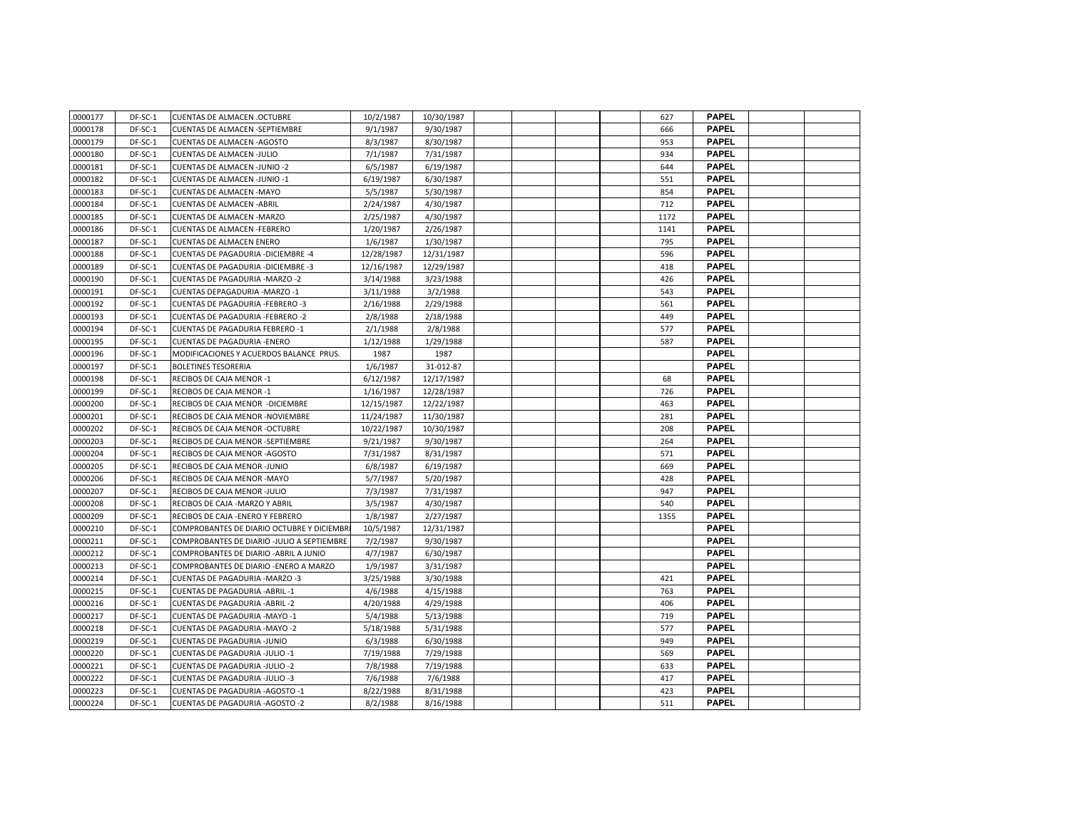| .0000177 | DF-SC-1 | <b>CUENTAS DE ALMACEN .OCTUBRE</b>         | 10/2/1987  | 10/30/1987 |  |  | 627  | <b>PAPEL</b> |  |
|----------|---------|--------------------------------------------|------------|------------|--|--|------|--------------|--|
| 0000178  | DF-SC-1 | <b>CUENTAS DE ALMACEN -SEPTIEMBRE</b>      | 9/1/1987   | 9/30/1987  |  |  | 666  | <b>PAPEL</b> |  |
| 0000179  | DF-SC-1 | <b>CUENTAS DE ALMACEN -AGOSTO</b>          | 8/3/1987   | 8/30/1987  |  |  | 953  | <b>PAPEL</b> |  |
| 0000180  | DF-SC-1 | <b>CUENTAS DE ALMACEN -JULIO</b>           | 7/1/1987   | 7/31/1987  |  |  | 934  | <b>PAPEL</b> |  |
| 0000181  | DF-SC-1 | <b>CUENTAS DE ALMACEN -JUNIO -2</b>        | 6/5/1987   | 6/19/1987  |  |  | 644  | <b>PAPEL</b> |  |
| 0000182  | DF-SC-1 | <b>CUENTAS DE ALMACEN -JUNIO -1</b>        | 6/19/1987  | 6/30/1987  |  |  | 551  | <b>PAPEL</b> |  |
| 0000183  | DF-SC-1 | <b>CUENTAS DE ALMACEN -MAYO</b>            | 5/5/1987   | 5/30/1987  |  |  | 854  | <b>PAPEL</b> |  |
| 0000184  | DF-SC-1 | <b>CUENTAS DE ALMACEN - ABRIL</b>          | 2/24/1987  | 4/30/1987  |  |  | 712  | <b>PAPEL</b> |  |
| 0000185  | DF-SC-1 | <b>CUENTAS DE ALMACEN -MARZO</b>           | 2/25/1987  | 4/30/1987  |  |  | 1172 | <b>PAPEL</b> |  |
| 0000186  | DF-SC-1 | <b>CUENTAS DE ALMACEN -FEBRERO</b>         | 1/20/1987  | 2/26/1987  |  |  | 1141 | <b>PAPEL</b> |  |
| 0000187  | DF-SC-1 | <b>CUENTAS DE ALMACEN ENERO</b>            | 1/6/1987   | 1/30/1987  |  |  | 795  | <b>PAPEL</b> |  |
| 0000188  | DF-SC-1 | <b>CUENTAS DE PAGADURIA - DICIEMBRE -4</b> | 12/28/1987 | 12/31/1987 |  |  | 596  | <b>PAPEL</b> |  |
| 0000189  | DF-SC-1 | <b>CUENTAS DE PAGADURIA - DICIEMBRE -3</b> | 12/16/1987 | 12/29/1987 |  |  | 418  | <b>PAPEL</b> |  |
| 0000190  | DF-SC-1 | <b>CUENTAS DE PAGADURIA -MARZO -2</b>      | 3/14/1988  | 3/23/1988  |  |  | 426  | <b>PAPEL</b> |  |
| 0000191  | DF-SC-1 | CUENTAS DEPAGADURIA - MARZO -1             | 3/11/1988  | 3/2/1988   |  |  | 543  | <b>PAPEL</b> |  |
| 0000192  | DF-SC-1 | <b>CUENTAS DE PAGADURIA -FEBRERO -3</b>    | 2/16/1988  | 2/29/1988  |  |  | 561  | <b>PAPEL</b> |  |
| 0000193  | DF-SC-1 | <b>CUENTAS DE PAGADURIA -FEBRERO -2</b>    | 2/8/1988   | 2/18/1988  |  |  | 449  | <b>PAPEL</b> |  |
| 0000194  | DF-SC-1 | <b>CUENTAS DE PAGADURIA FEBRERO -1</b>     | 2/1/1988   | 2/8/1988   |  |  | 577  | <b>PAPEL</b> |  |
| 0000195  | DF-SC-1 | <b>CUENTAS DE PAGADURIA -ENERO</b>         | 1/12/1988  | 1/29/1988  |  |  | 587  | <b>PAPEL</b> |  |
| 0000196  | DF-SC-1 | MODIFICACIONES Y ACUERDOS BALANCE PRUS.    | 1987       | 1987       |  |  |      | <b>PAPEL</b> |  |
| 0000197  | DF-SC-1 | <b>BOLETINES TESORERIA</b>                 | 1/6/1987   | 31-012-87  |  |  |      | <b>PAPEL</b> |  |
| 0000198  | DF-SC-1 | RECIBOS DE CAJA MENOR -1                   | 6/12/1987  | 12/17/1987 |  |  | 68   | <b>PAPEL</b> |  |
| 0000199  | DF-SC-1 | RECIBOS DE CAJA MENOR -1                   | 1/16/1987  | 12/28/1987 |  |  | 726  | <b>PAPEL</b> |  |
| 0000200  | DF-SC-1 | RECIBOS DE CAJA MENOR - DICIEMBRE          | 12/15/1987 | 12/22/1987 |  |  | 463  | <b>PAPEL</b> |  |
| 0000201  | DF-SC-1 | RECIBOS DE CAJA MENOR -NOVIEMBRE           | 11/24/1987 | 11/30/1987 |  |  | 281  | <b>PAPEL</b> |  |
| 0000202  | DF-SC-1 | RECIBOS DE CAJA MENOR -OCTUBRE             | 10/22/1987 | 10/30/1987 |  |  | 208  | <b>PAPEL</b> |  |
| 0000203  | DF-SC-1 | RECIBOS DE CAJA MENOR -SEPTIEMBRE          | 9/21/1987  | 9/30/1987  |  |  | 264  | <b>PAPEL</b> |  |
| 0000204  | DF-SC-1 | RECIBOS DE CAJA MENOR - AGOSTO             | 7/31/1987  | 8/31/1987  |  |  | 571  | <b>PAPEL</b> |  |
| 0000205  | DF-SC-1 | RECIBOS DE CAJA MENOR -JUNIO               | 6/8/1987   | 6/19/1987  |  |  | 669  | <b>PAPEL</b> |  |
| 0000206  | DF-SC-1 | RECIBOS DE CAJA MENOR - MAYO               | 5/7/1987   | 5/20/1987  |  |  | 428  | <b>PAPEL</b> |  |
| 0000207  | DF-SC-1 | RECIBOS DE CAJA MENOR -JULIO               | 7/3/1987   | 7/31/1987  |  |  | 947  | <b>PAPEL</b> |  |
| 0000208  | DF-SC-1 | RECIBOS DE CAJA - MARZO Y ABRIL            | 3/5/1987   | 4/30/1987  |  |  | 540  | <b>PAPEL</b> |  |
| 0000209  | DF-SC-1 | RECIBOS DE CAJA - ENERO Y FEBRERO          | 1/8/1987   | 2/27/1987  |  |  | 1355 | <b>PAPEL</b> |  |
| 0000210  | DF-SC-1 | COMPROBANTES DE DIARIO OCTUBRE Y DICIEMBR  | 10/5/1987  | 12/31/1987 |  |  |      | <b>PAPEL</b> |  |
| 0000211  | DF-SC-1 | COMPROBANTES DE DIARIO -JULIO A SEPTIEMBRE | 7/2/1987   | 9/30/1987  |  |  |      | <b>PAPEL</b> |  |
| 0000212  | DF-SC-1 | COMPROBANTES DE DIARIO - ABRIL A JUNIO     | 4/7/1987   | 6/30/1987  |  |  |      | <b>PAPEL</b> |  |
| 0000213  | DF-SC-1 | COMPROBANTES DE DIARIO -ENERO A MARZO      | 1/9/1987   | 3/31/1987  |  |  |      | <b>PAPEL</b> |  |
| 0000214  | DF-SC-1 | <b>CUENTAS DE PAGADURIA -MARZO -3</b>      | 3/25/1988  | 3/30/1988  |  |  | 421  | <b>PAPEL</b> |  |
| 0000215  | DF-SC-1 | <b>CUENTAS DE PAGADURIA - ABRIL -1</b>     | 4/6/1988   | 4/15/1988  |  |  | 763  | <b>PAPEL</b> |  |
| 0000216  | DF-SC-1 | <b>CUENTAS DE PAGADURIA - ABRIL -2</b>     | 4/20/1988  | 4/29/1988  |  |  | 406  | <b>PAPEL</b> |  |
| 0000217  | DF-SC-1 | CUENTAS DE PAGADURIA - MAYO -1             | 5/4/1988   | 5/13/1988  |  |  | 719  | <b>PAPEL</b> |  |
| 0000218  | DF-SC-1 | <b>CUENTAS DE PAGADURIA -MAYO -2</b>       | 5/18/1988  | 5/31/1988  |  |  | 577  | <b>PAPEL</b> |  |
| 0000219  | DF-SC-1 | <b>CUENTAS DE PAGADURIA -JUNIO</b>         | 6/3/1988   | 6/30/1988  |  |  | 949  | <b>PAPEL</b> |  |
| 0000220  | DF-SC-1 | <b>CUENTAS DE PAGADURIA -JULIO -1</b>      | 7/19/1988  | 7/29/1988  |  |  | 569  | <b>PAPEL</b> |  |
| 0000221  | DF-SC-1 | <b>CUENTAS DE PAGADURIA -JULIO -2</b>      | 7/8/1988   | 7/19/1988  |  |  | 633  | <b>PAPEL</b> |  |
| 0000222  | DF-SC-1 | CUENTAS DE PAGADURIA -JULIO -3             | 7/6/1988   | 7/6/1988   |  |  | 417  | <b>PAPEL</b> |  |
| 0000223  | DF-SC-1 | <b>CUENTAS DE PAGADURIA - AGOSTO -1</b>    | 8/22/1988  | 8/31/1988  |  |  | 423  | <b>PAPEL</b> |  |
| 0000224  | DF-SC-1 | <b>CUENTAS DE PAGADURIA -AGOSTO -2</b>     | 8/2/1988   | 8/16/1988  |  |  | 511  | <b>PAPEL</b> |  |
|          |         |                                            |            |            |  |  |      |              |  |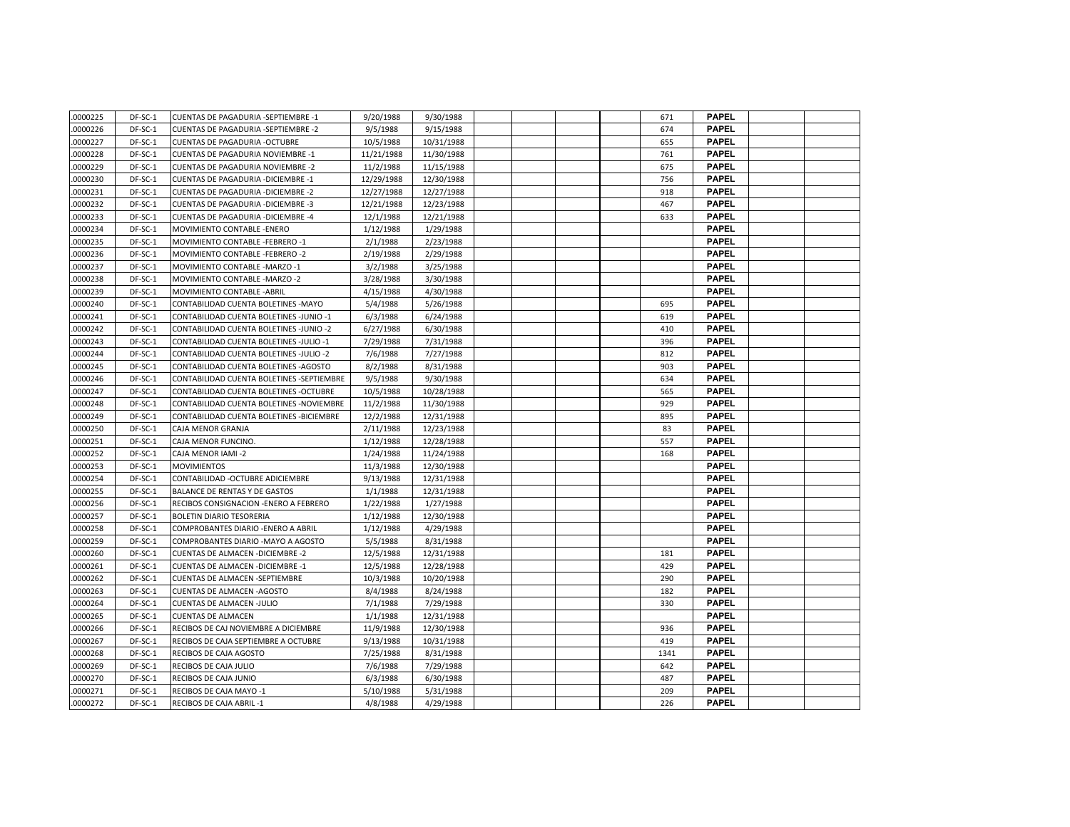| .0000225 | DF-SC-1   | <b>CUENTAS DE PAGADURIA -SEPTIEMBRE -1</b> | 9/20/1988  | 9/30/1988  |  |  | 671  | <b>PAPEL</b> |  |
|----------|-----------|--------------------------------------------|------------|------------|--|--|------|--------------|--|
| 0000226  | DF-SC-1   | <b>CUENTAS DE PAGADURIA -SEPTIEMBRE -2</b> | 9/5/1988   | 9/15/1988  |  |  | 674  | <b>PAPEL</b> |  |
| 0000227  | DF-SC-1   | <b>CUENTAS DE PAGADURIA -OCTUBRE</b>       | 10/5/1988  | 10/31/1988 |  |  | 655  | <b>PAPEL</b> |  |
| 0000228  | DF-SC-1   | <b>CUENTAS DE PAGADURIA NOVIEMBRE -1</b>   | 11/21/1988 | 11/30/1988 |  |  | 761  | <b>PAPEL</b> |  |
| 0000229  | DF-SC-1   | <b>CUENTAS DE PAGADURIA NOVIEMBRE -2</b>   | 11/2/1988  | 11/15/1988 |  |  | 675  | <b>PAPEL</b> |  |
| 0000230  | DF-SC-1   | <b>CUENTAS DE PAGADURIA - DICIEMBRE -1</b> | 12/29/1988 | 12/30/1988 |  |  | 756  | <b>PAPEL</b> |  |
| 0000231  | DF-SC-1   | <b>CUENTAS DE PAGADURIA - DICIEMBRE -2</b> | 12/27/1988 | 12/27/1988 |  |  | 918  | <b>PAPEL</b> |  |
| 0000232  | DF-SC-1   | <b>CUENTAS DE PAGADURIA - DICIEMBRE -3</b> | 12/21/1988 | 12/23/1988 |  |  | 467  | <b>PAPEL</b> |  |
| 0000233  | DF-SC-1   | CUENTAS DE PAGADURIA - DICIEMBRE -4        | 12/1/1988  | 12/21/1988 |  |  | 633  | <b>PAPEL</b> |  |
| 0000234  | DF-SC-1   | MOVIMIENTO CONTABLE - ENERO                | 1/12/1988  | 1/29/1988  |  |  |      | <b>PAPEL</b> |  |
| 0000235  | DF-SC-1   | MOVIMIENTO CONTABLE -FEBRERO -1            | 2/1/1988   | 2/23/1988  |  |  |      | <b>PAPEL</b> |  |
| 0000236  | DF-SC-1   | MOVIMIENTO CONTABLE -FEBRERO -2            | 2/19/1988  | 2/29/1988  |  |  |      | <b>PAPEL</b> |  |
| 0000237  | DF-SC-1   | MOVIMIENTO CONTABLE - MARZO -1             | 3/2/1988   | 3/25/1988  |  |  |      | <b>PAPEL</b> |  |
| 0000238  | DF-SC-1   | MOVIMIENTO CONTABLE - MARZO -2             | 3/28/1988  | 3/30/1988  |  |  |      | <b>PAPEL</b> |  |
| 0000239  | DF-SC-1   | <b>MOVIMIENTO CONTABLE - ABRIL</b>         | 4/15/1988  | 4/30/1988  |  |  |      | <b>PAPEL</b> |  |
| 0000240  | DF-SC-1   | CONTABILIDAD CUENTA BOLETINES - MAYO       | 5/4/1988   | 5/26/1988  |  |  | 695  | <b>PAPEL</b> |  |
| 0000241  | DF-SC-1   | CONTABILIDAD CUENTA BOLETINES -JUNIO -1    | 6/3/1988   | 6/24/1988  |  |  | 619  | <b>PAPEL</b> |  |
| 0000242  | DF-SC-1   | CONTABILIDAD CUENTA BOLETINES -JUNIO -2    | 6/27/1988  | 6/30/1988  |  |  | 410  | <b>PAPEL</b> |  |
| 0000243  | DF-SC-1   | CONTABILIDAD CUENTA BOLETINES -JULIO -1    | 7/29/1988  | 7/31/1988  |  |  | 396  | <b>PAPEL</b> |  |
| 0000244  | DF-SC-1   | CONTABILIDAD CUENTA BOLETINES -JULIO -2    | 7/6/1988   | 7/27/1988  |  |  | 812  | <b>PAPEL</b> |  |
| 0000245  | DF-SC-1   | CONTABILIDAD CUENTA BOLETINES - AGOSTO     | 8/2/1988   | 8/31/1988  |  |  | 903  | <b>PAPEL</b> |  |
| 0000246  | DF-SC-1   | CONTABILIDAD CUENTA BOLETINES -SEPTIEMBRE  | 9/5/1988   | 9/30/1988  |  |  | 634  | <b>PAPEL</b> |  |
| 0000247  | $DF-SC-1$ | CONTABILIDAD CUENTA BOLETINES - OCTUBRE    | 10/5/1988  | 10/28/1988 |  |  | 565  | <b>PAPEL</b> |  |
| 0000248  | DF-SC-1   | CONTABILIDAD CUENTA BOLETINES - NOVIEMBRE  | 11/2/1988  | 11/30/1988 |  |  | 929  | <b>PAPEL</b> |  |
| 0000249  | DF-SC-1   | CONTABILIDAD CUENTA BOLETINES - BICIEMBRE  | 12/2/1988  | 12/31/1988 |  |  | 895  | <b>PAPEL</b> |  |
| 0000250  | DF-SC-1   | CAJA MENOR GRANJA                          | 2/11/1988  | 12/23/1988 |  |  | 83   | <b>PAPEL</b> |  |
| 0000251  | DF-SC-1   | CAJA MENOR FUNCINO.                        | 1/12/1988  | 12/28/1988 |  |  | 557  | <b>PAPEL</b> |  |
| 0000252  | DF-SC-1   | CAJA MENOR IAMI -2                         | 1/24/1988  | 11/24/1988 |  |  | 168  | <b>PAPEL</b> |  |
| 0000253  | DF-SC-1   | <b>MOVIMIENTOS</b>                         | 11/3/1988  | 12/30/1988 |  |  |      | <b>PAPEL</b> |  |
| 0000254  | DF-SC-1   | CONTABILIDAD - OCTUBRE ADICIEMBRE          | 9/13/1988  | 12/31/1988 |  |  |      | <b>PAPEL</b> |  |
| 0000255  | DF-SC-1   | <b>BALANCE DE RENTAS Y DE GASTOS</b>       | 1/1/1988   | 12/31/1988 |  |  |      | <b>PAPEL</b> |  |
| 0000256  | DF-SC-1   | RECIBOS CONSIGNACION - ENERO A FEBRERO     | 1/22/1988  | 1/27/1988  |  |  |      | <b>PAPEL</b> |  |
| 0000257  | DF-SC-1   | <b>BOLETIN DIARIO TESORERIA</b>            | 1/12/1988  | 12/30/1988 |  |  |      | <b>PAPEL</b> |  |
| 0000258  | DF-SC-1   | COMPROBANTES DIARIO - ENERO A ABRIL        | 1/12/1988  | 4/29/1988  |  |  |      | <b>PAPEL</b> |  |
| 0000259  | DF-SC-1   | COMPROBANTES DIARIO - MAYO A AGOSTO        | 5/5/1988   | 8/31/1988  |  |  |      | <b>PAPEL</b> |  |
| 0000260  | DF-SC-1   | <b>CUENTAS DE ALMACEN - DICIEMBRE - 2</b>  | 12/5/1988  | 12/31/1988 |  |  | 181  | <b>PAPEL</b> |  |
| 0000261  | DF-SC-1   | <b>CUENTAS DE ALMACEN - DICIEMBRE -1</b>   | 12/5/1988  | 12/28/1988 |  |  | 429  | <b>PAPEL</b> |  |
| 0000262  | DF-SC-1   | CUENTAS DE ALMACEN -SEPTIEMBRE             | 10/3/1988  | 10/20/1988 |  |  | 290  | <b>PAPEL</b> |  |
| 0000263  | DF-SC-1   | <b>CUENTAS DE ALMACEN -AGOSTO</b>          | 8/4/1988   | 8/24/1988  |  |  | 182  | <b>PAPEL</b> |  |
| 0000264  | DF-SC-1   | <b>CUENTAS DE ALMACEN -JULIO</b>           | 7/1/1988   | 7/29/1988  |  |  | 330  | <b>PAPEL</b> |  |
| 0000265  | DF-SC-1   | <b>CUENTAS DE ALMACEN</b>                  | 1/1/1988   | 12/31/1988 |  |  |      | <b>PAPEL</b> |  |
| 0000266  | DF-SC-1   | RECIBOS DE CAJ NOVIEMBRE A DICIEMBRE       | 11/9/1988  | 12/30/1988 |  |  | 936  | <b>PAPEL</b> |  |
| 0000267  | DF-SC-1   | RECIBOS DE CAJA SEPTIEMBRE A OCTUBRE       | 9/13/1988  | 10/31/1988 |  |  | 419  | <b>PAPEL</b> |  |
| 0000268  | DF-SC-1   | RECIBOS DE CAJA AGOSTO                     | 7/25/1988  | 8/31/1988  |  |  | 1341 | <b>PAPEL</b> |  |
| 0000269  | DF-SC-1   | RECIBOS DE CAJA JULIO                      | 7/6/1988   | 7/29/1988  |  |  | 642  | <b>PAPEL</b> |  |
| 0000270  | DF-SC-1   | RECIBOS DE CAJA JUNIO                      | 6/3/1988   | 6/30/1988  |  |  | 487  | <b>PAPEL</b> |  |
| 0000271  | DF-SC-1   | RECIBOS DE CAJA MAYO -1                    | 5/10/1988  | 5/31/1988  |  |  | 209  | <b>PAPEL</b> |  |
| 0000272  | DF-SC-1   | RECIBOS DE CAJA ABRIL-1                    | 4/8/1988   | 4/29/1988  |  |  | 226  | <b>PAPEL</b> |  |
|          |           |                                            |            |            |  |  |      |              |  |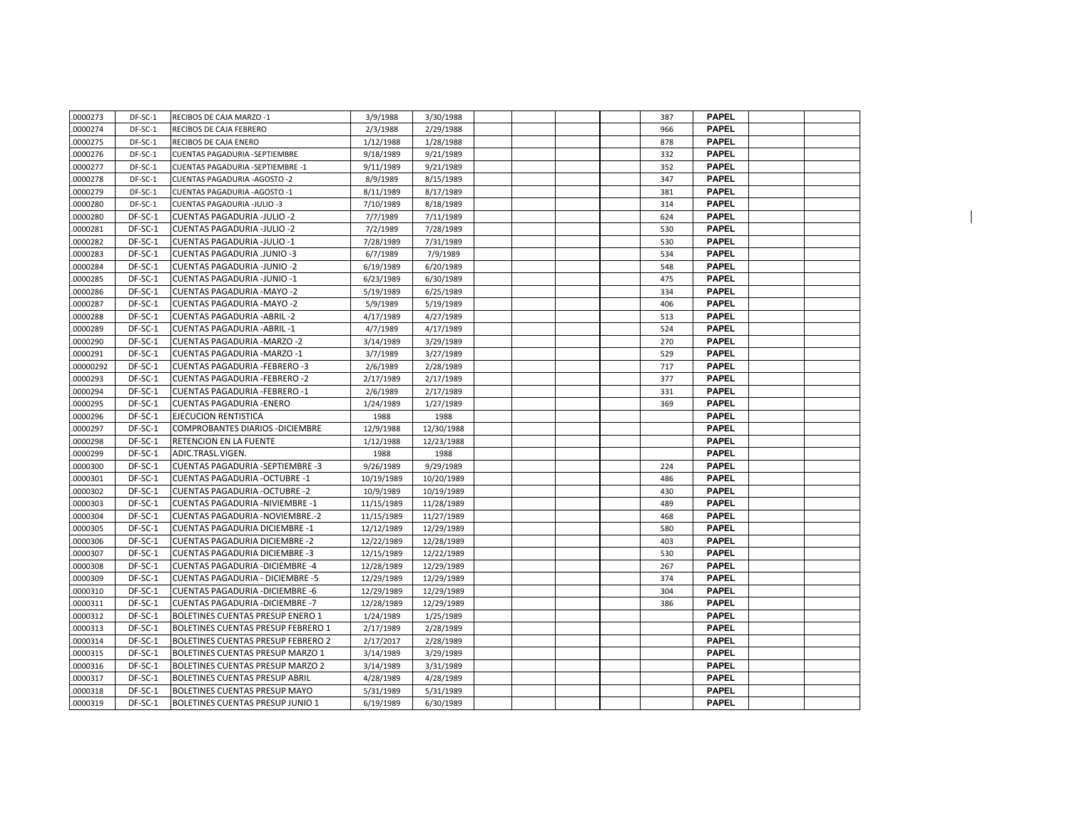| .0000273 | DF-SC-1   | RECIBOS DE CAJA MARZO -1                 | 3/9/1988   | 3/30/1988  |  |  | 387 | <b>PAPEL</b> |  |  |
|----------|-----------|------------------------------------------|------------|------------|--|--|-----|--------------|--|--|
| .0000274 | DF-SC-1   | RECIBOS DE CAJA FEBRERO                  | 2/3/1988   | 2/29/1988  |  |  | 966 | <b>PAPEL</b> |  |  |
| 0000275  | DF-SC-1   | RECIBOS DE CAJA ENERO                    | 1/12/1988  | 1/28/1988  |  |  | 878 | <b>PAPEL</b> |  |  |
| 0000276  | DF-SC-1   | CUENTAS PAGADURIA -SEPTIEMBRE            | 9/18/1989  | 9/21/1989  |  |  | 332 | <b>PAPEL</b> |  |  |
| 0000277  | DF-SC-1   | CUENTAS PAGADURIA -SEPTIEMBRE -1         | 9/11/1989  | 9/21/1989  |  |  | 352 | <b>PAPEL</b> |  |  |
| 0000278  | DF-SC-1   | <b>CUENTAS PAGADURIA - AGOSTO -2</b>     | 8/9/1989   | 8/15/1989  |  |  | 347 | <b>PAPEL</b> |  |  |
| 0000279  | DF-SC-1   | CUENTAS PAGADURIA - AGOSTO - 1           | 8/11/1989  | 8/17/1989  |  |  | 381 | <b>PAPEL</b> |  |  |
| 0000280  | DF-SC-1   | CUENTAS PAGADURIA -JULIO -3              | 7/10/1989  | 8/18/1989  |  |  | 314 | <b>PAPEL</b> |  |  |
| 0000280  | DF-SC-1   | <b>CUENTAS PAGADURIA -JULIO -2</b>       | 7/7/1989   | 7/11/1989  |  |  | 624 | <b>PAPEL</b> |  |  |
| 0000281  | DF-SC-1   | <b>CUENTAS PAGADURIA -JULIO -2</b>       | 7/2/1989   | 7/28/1989  |  |  | 530 | <b>PAPEL</b> |  |  |
| 0000282  | DF-SC-1   | <b>CUENTAS PAGADURIA -JULIO -1</b>       | 7/28/1989  | 7/31/1989  |  |  | 530 | <b>PAPEL</b> |  |  |
| 0000283  | DF-SC-1   | <b>CUENTAS PAGADURIA .JUNIO -3</b>       | 6/7/1989   | 7/9/1989   |  |  | 534 | <b>PAPEL</b> |  |  |
| 0000284  | DF-SC-1   | <b>CUENTAS PAGADURIA -JUNIO -2</b>       | 6/19/1989  | 6/20/1989  |  |  | 548 | <b>PAPEL</b> |  |  |
| 0000285  | DF-SC-1   | CUENTAS PAGADURIA -JUNIO -1              | 6/23/1989  | 6/30/1989  |  |  | 475 | <b>PAPEL</b> |  |  |
| 0000286  | DF-SC-1   | <b>CUENTAS PAGADURIA - MAYO -2</b>       | 5/19/1989  | 6/25/1989  |  |  | 334 | <b>PAPEL</b> |  |  |
| 0000287  | DF-SC-1   | <b>CUENTAS PAGADURIA - MAYO -2</b>       | 5/9/1989   | 5/19/1989  |  |  | 406 | <b>PAPEL</b> |  |  |
| 0000288  | DF-SC-1   | <b>CUENTAS PAGADURIA - ABRIL - 2</b>     | 4/17/1989  | 4/27/1989  |  |  | 513 | <b>PAPEL</b> |  |  |
| 0000289  | DF-SC-1   | <b>CUENTAS PAGADURIA - ABRIL -1</b>      | 4/7/1989   | 4/17/1989  |  |  | 524 | <b>PAPEL</b> |  |  |
| 0000290  | DF-SC-1   | <b>CUENTAS PAGADURIA -MARZO -2</b>       | 3/14/1989  | 3/29/1989  |  |  | 270 | <b>PAPEL</b> |  |  |
| 0000291  | DF-SC-1   | CUENTAS PAGADURIA - MARZO - 1            | 3/7/1989   | 3/27/1989  |  |  | 529 | <b>PAPEL</b> |  |  |
| 00000292 | DF-SC-1   | <b>CUENTAS PAGADURIA -FEBRERO -3</b>     | 2/6/1989   | 2/28/1989  |  |  | 717 | <b>PAPEL</b> |  |  |
| 0000293  | DF-SC-1   | <b>CUENTAS PAGADURIA -FEBRERO -2</b>     | 2/17/1989  | 2/17/1989  |  |  | 377 | <b>PAPEL</b> |  |  |
| 0000294  | DF-SC-1   | <b>CUENTAS PAGADURIA -FEBRERO -1</b>     | 2/6/1989   | 2/17/1989  |  |  | 331 | <b>PAPEL</b> |  |  |
| 0000295  | DF-SC-1   | <b>CUENTAS PAGADURIA -ENERO</b>          | 1/24/1989  | 1/27/1989  |  |  | 369 | <b>PAPEL</b> |  |  |
| .0000296 | DF-SC-1   | EJECUCION RENTISTICA                     | 1988       | 1988       |  |  |     | <b>PAPEL</b> |  |  |
| 0000297  | DF-SC-1   | COMPROBANTES DIARIOS - DICIEMBRE         | 12/9/1988  | 12/30/1988 |  |  |     | <b>PAPEL</b> |  |  |
| 0000298  | DF-SC-1   | <b>RETENCION EN LA FUENTE</b>            | 1/12/1988  | 12/23/1988 |  |  |     | <b>PAPEL</b> |  |  |
| 0000299  | $DF-SC-1$ | ADIC.TRASL.VIGEN.                        | 1988       | 1988       |  |  |     | <b>PAPEL</b> |  |  |
| 0000300  | DF-SC-1   | <b>CUENTAS PAGADURIA -SEPTIEMBRE -3</b>  | 9/26/1989  | 9/29/1989  |  |  | 224 | <b>PAPEL</b> |  |  |
| 0000301  | DF-SC-1   | <b>CUENTAS PAGADURIA - OCTUBRE -1</b>    | 10/19/1989 | 10/20/1989 |  |  | 486 | <b>PAPEL</b> |  |  |
| .0000302 | DF-SC-1   | <b>CUENTAS PAGADURIA -OCTUBRE -2</b>     | 10/9/1989  | 10/19/1989 |  |  | 430 | <b>PAPEL</b> |  |  |
| 0000303  | DF-SC-1   | <b>CUENTAS PAGADURIA -NIVIEMBRE -1</b>   | 11/15/1989 | 11/28/1989 |  |  | 489 | <b>PAPEL</b> |  |  |
| 0000304  | DF-SC-1   | <b>CUENTAS PAGADURIA -NOVIEMBRE.-2</b>   | 11/15/1989 | 11/27/1989 |  |  | 468 | <b>PAPEL</b> |  |  |
| 0000305  | DF-SC-1   | <b>CUENTAS PAGADURIA DICIEMBRE -1</b>    | 12/12/1989 | 12/29/1989 |  |  | 580 | <b>PAPEL</b> |  |  |
| 0000306  | DF-SC-1   | <b>CUENTAS PAGADURIA DICIEMBRE -2</b>    | 12/22/1989 | 12/28/1989 |  |  | 403 | <b>PAPEL</b> |  |  |
| 0000307  | DF-SC-1   | <b>CUENTAS PAGADURIA DICIEMBRE -3</b>    | 12/15/1989 | 12/22/1989 |  |  | 530 | <b>PAPEL</b> |  |  |
| 0000308  | DF-SC-1   | <b>CUENTAS PAGADURIA - DICIEMBRE -4</b>  | 12/28/1989 | 12/29/1989 |  |  | 267 | <b>PAPEL</b> |  |  |
| 0000309  | DF-SC-1   | <b>CUENTAS PAGADURIA - DICIEMBRE -5</b>  | 12/29/1989 | 12/29/1989 |  |  | 374 | <b>PAPEL</b> |  |  |
| 0000310  | DF-SC-1   | <b>CUENTAS PAGADURIA - DICIEMBRE -6</b>  | 12/29/1989 | 12/29/1989 |  |  | 304 | <b>PAPEL</b> |  |  |
| 0000311  | DF-SC-1   | <b>CUENTAS PAGADURIA - DICIEMBRE - 7</b> | 12/28/1989 | 12/29/1989 |  |  | 386 | <b>PAPEL</b> |  |  |
| 0000312  | DF-SC-1   | BOLETINES CUENTAS PRESUP ENERO 1         | 1/24/1989  | 1/25/1989  |  |  |     | <b>PAPEL</b> |  |  |
| 0000313  | DF-SC-1   | BOLETINES CUENTAS PRESUP FEBRERO 1       | 2/17/1989  | 2/28/1989  |  |  |     | <b>PAPEL</b> |  |  |
| 0000314  | DF-SC-1   | BOLETINES CUENTAS PRESUP FEBRERO 2       | 2/17/2017  | 2/28/1989  |  |  |     | <b>PAPEL</b> |  |  |
| 0000315  | DF-SC-1   | BOLETINES CUENTAS PRESUP MARZO 1         | 3/14/1989  | 3/29/1989  |  |  |     | <b>PAPEL</b> |  |  |
| 0000316  | DF-SC-1   | BOLETINES CUENTAS PRESUP MARZO 2         | 3/14/1989  | 3/31/1989  |  |  |     | <b>PAPEL</b> |  |  |
| 0000317  | DF-SC-1   | <b>BOLETINES CUENTAS PRESUP ABRIL</b>    | 4/28/1989  | 4/28/1989  |  |  |     | <b>PAPEL</b> |  |  |
| 0000318  | DF-SC-1   | BOLETINES CUENTAS PRESUP MAYO            | 5/31/1989  | 5/31/1989  |  |  |     | <b>PAPEL</b> |  |  |
| .0000319 | DF-SC-1   | <b>BOLETINES CUENTAS PRESUP JUNIO 1</b>  | 6/19/1989  | 6/30/1989  |  |  |     | <b>PAPEL</b> |  |  |
|          |           |                                          |            |            |  |  |     |              |  |  |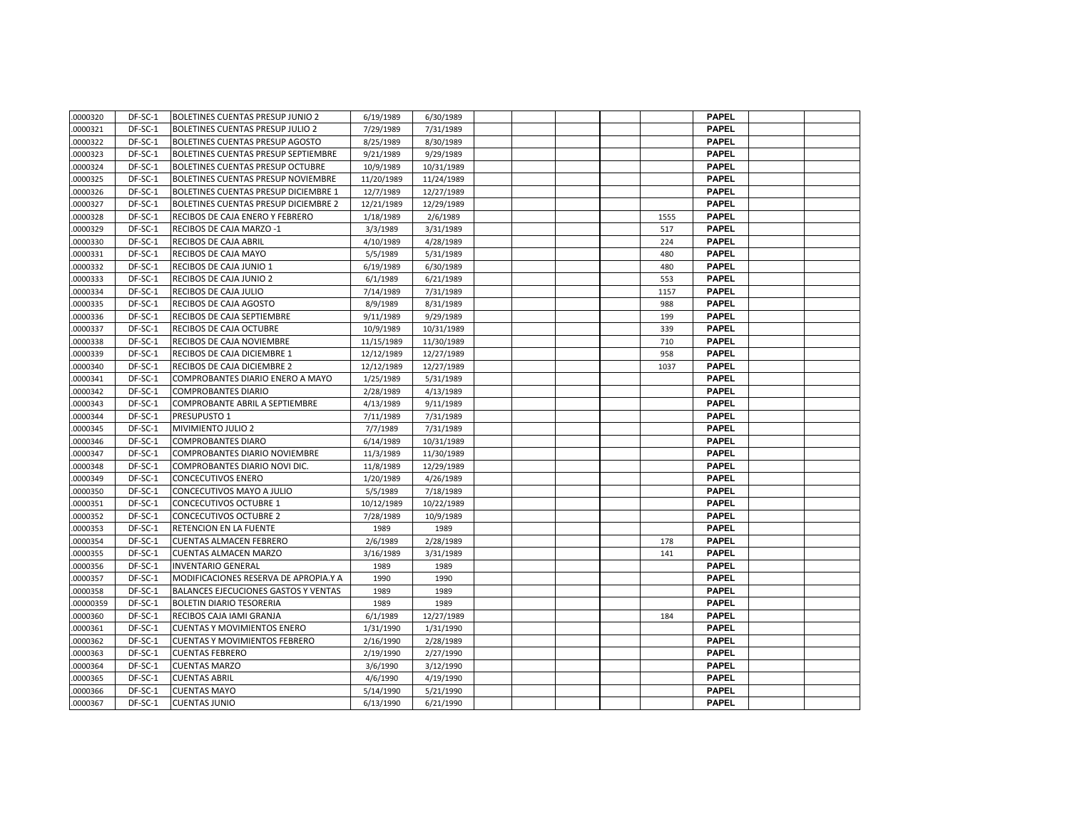| .0000320  | DF-SC-1 | <b>BOLETINES CUENTAS PRESUP JUNIO 2</b> | 6/19/1989  | 6/30/1989  |  |  |      | <b>PAPEL</b> |  |
|-----------|---------|-----------------------------------------|------------|------------|--|--|------|--------------|--|
| .0000321  | DF-SC-1 | <b>BOLETINES CUENTAS PRESUP JULIO 2</b> | 7/29/1989  | 7/31/1989  |  |  |      | <b>PAPEL</b> |  |
| .0000322  | DF-SC-1 | <b>BOLETINES CUENTAS PRESUP AGOSTO</b>  | 8/25/1989  | 8/30/1989  |  |  |      | <b>PAPEL</b> |  |
| .0000323  | DF-SC-1 | BOLETINES CUENTAS PRESUP SEPTIEMBRE     | 9/21/1989  | 9/29/1989  |  |  |      | <b>PAPEL</b> |  |
| .0000324  | DF-SC-1 | BOLETINES CUENTAS PRESUP OCTUBRE        | 10/9/1989  | 10/31/1989 |  |  |      | <b>PAPEL</b> |  |
| .0000325  | DF-SC-1 | BOLETINES CUENTAS PRESUP NOVIEMBRE      | 11/20/1989 | 11/24/1989 |  |  |      | <b>PAPEL</b> |  |
| .0000326  | DF-SC-1 | BOLETINES CUENTAS PRESUP DICIEMBRE 1    | 12/7/1989  | 12/27/1989 |  |  |      | <b>PAPEL</b> |  |
| .0000327  | DF-SC-1 | BOLETINES CUENTAS PRESUP DICIEMBRE 2    | 12/21/1989 | 12/29/1989 |  |  |      | <b>PAPEL</b> |  |
| .0000328  | DF-SC-1 | RECIBOS DE CAJA ENERO Y FEBRERO         | 1/18/1989  | 2/6/1989   |  |  | 1555 | <b>PAPEL</b> |  |
| 0000329   | DF-SC-1 | RECIBOS DE CAJA MARZO -1                | 3/3/1989   | 3/31/1989  |  |  | 517  | <b>PAPEL</b> |  |
| .0000330  | DF-SC-1 | RECIBOS DE CAJA ABRIL                   | 4/10/1989  | 4/28/1989  |  |  | 224  | <b>PAPEL</b> |  |
| .0000331  | DF-SC-1 | RECIBOS DE CAJA MAYO                    | 5/5/1989   | 5/31/1989  |  |  | 480  | <b>PAPEL</b> |  |
| .0000332  | DF-SC-1 | RECIBOS DE CAJA JUNIO 1                 | 6/19/1989  | 6/30/1989  |  |  | 480  | <b>PAPEL</b> |  |
| .0000333  | DF-SC-1 | RECIBOS DE CAJA JUNIO 2                 | 6/1/1989   | 6/21/1989  |  |  | 553  | <b>PAPEL</b> |  |
| .0000334  | DF-SC-1 | RECIBOS DE CAJA JULIO                   | 7/14/1989  | 7/31/1989  |  |  | 1157 | <b>PAPEL</b> |  |
| .0000335  | DF-SC-1 | RECIBOS DE CAJA AGOSTO                  | 8/9/1989   | 8/31/1989  |  |  | 988  | <b>PAPEL</b> |  |
| .0000336  | DF-SC-1 | RECIBOS DE CAJA SEPTIEMBRE              | 9/11/1989  | 9/29/1989  |  |  | 199  | <b>PAPEL</b> |  |
| .0000337  | DF-SC-1 | RECIBOS DE CAJA OCTUBRE                 | 10/9/1989  | 10/31/1989 |  |  | 339  | <b>PAPEL</b> |  |
| 0000338   | DF-SC-1 | RECIBOS DE CAJA NOVIEMBRE               | 11/15/1989 | 11/30/1989 |  |  | 710  | <b>PAPEL</b> |  |
| .0000339  | DF-SC-1 | RECIBOS DE CAJA DICIEMBRE 1             | 12/12/1989 | 12/27/1989 |  |  | 958  | <b>PAPEL</b> |  |
| .0000340  | DF-SC-1 | RECIBOS DE CAJA DICIEMBRE 2             | 12/12/1989 | 12/27/1989 |  |  | 1037 | <b>PAPEL</b> |  |
| .0000341  | DF-SC-1 | COMPROBANTES DIARIO ENERO A MAYO        | 1/25/1989  | 5/31/1989  |  |  |      | <b>PAPEL</b> |  |
| .0000342  | DF-SC-1 | <b>COMPROBANTES DIARIO</b>              | 2/28/1989  | 4/13/1989  |  |  |      | <b>PAPEL</b> |  |
| .0000343  | DF-SC-1 | COMPROBANTE ABRIL A SEPTIEMBRE          | 4/13/1989  | 9/11/1989  |  |  |      | <b>PAPEL</b> |  |
| .0000344  | DF-SC-1 | PRESUPUSTO 1                            | 7/11/1989  | 7/31/1989  |  |  |      | <b>PAPEL</b> |  |
| .0000345  | DF-SC-1 | MIVIMIENTO JULIO 2                      | 7/7/1989   | 7/31/1989  |  |  |      | <b>PAPEL</b> |  |
| .0000346  | DF-SC-1 | <b>COMPROBANTES DIARO</b>               | 6/14/1989  | 10/31/1989 |  |  |      | <b>PAPEL</b> |  |
| 0000347   | DF-SC-1 | COMPROBANTES DIARIO NOVIEMBRE           | 11/3/1989  | 11/30/1989 |  |  |      | <b>PAPEL</b> |  |
| .0000348  | DF-SC-1 | COMPROBANTES DIARIO NOVI DIC.           | 11/8/1989  | 12/29/1989 |  |  |      | <b>PAPEL</b> |  |
| .0000349  | DF-SC-1 | <b>CONCECUTIVOS ENERO</b>               | 1/20/1989  | 4/26/1989  |  |  |      | <b>PAPEL</b> |  |
| .0000350  | DF-SC-1 | CONCECUTIVOS MAYO A JULIO               | 5/5/1989   | 7/18/1989  |  |  |      | <b>PAPEL</b> |  |
| .0000351  | DF-SC-1 | <b>CONCECUTIVOS OCTUBRE 1</b>           | 10/12/1989 | 10/22/1989 |  |  |      | <b>PAPEL</b> |  |
| .0000352  | DF-SC-1 | <b>CONCECUTIVOS OCTUBRE 2</b>           | 7/28/1989  | 10/9/1989  |  |  |      | <b>PAPEL</b> |  |
| .0000353  | DF-SC-1 | RETENCION EN LA FUENTE                  | 1989       | 1989       |  |  |      | <b>PAPEL</b> |  |
| .0000354  | DF-SC-1 | <b>CUENTAS ALMACEN FEBRERO</b>          | 2/6/1989   | 2/28/1989  |  |  | 178  | <b>PAPEL</b> |  |
| .0000355  | DF-SC-1 | <b>CUENTAS ALMACEN MARZO</b>            | 3/16/1989  | 3/31/1989  |  |  | 141  | <b>PAPEL</b> |  |
| 0000356   | DF-SC-1 | <b>INVENTARIO GENERAL</b>               | 1989       | 1989       |  |  |      | <b>PAPEL</b> |  |
| .0000357  | DF-SC-1 | MODIFICACIONES RESERVA DE APROPIA.Y A   | 1990       | 1990       |  |  |      | <b>PAPEL</b> |  |
| .0000358  | DF-SC-1 | BALANCES EJECUCIONES GASTOS Y VENTAS    | 1989       | 1989       |  |  |      | <b>PAPEL</b> |  |
| .00000359 | DF-SC-1 | <b>BOLETIN DIARIO TESORERIA</b>         | 1989       | 1989       |  |  |      | <b>PAPEL</b> |  |
| .0000360  | DF-SC-1 | RECIBOS CAJA IAMI GRANJA                | 6/1/1989   | 12/27/1989 |  |  | 184  | <b>PAPEL</b> |  |
| .0000361  | DF-SC-1 | <b>CUENTAS Y MOVIMIENTOS ENERO</b>      | 1/31/1990  | 1/31/1990  |  |  |      | <b>PAPEL</b> |  |
| .0000362  | DF-SC-1 | <b>CUENTAS Y MOVIMIENTOS FEBRERO</b>    | 2/16/1990  | 2/28/1989  |  |  |      | <b>PAPEL</b> |  |
| .0000363  | DF-SC-1 | <b>CUENTAS FEBRERO</b>                  | 2/19/1990  | 2/27/1990  |  |  |      | <b>PAPEL</b> |  |
| .0000364  | DF-SC-1 | <b>CUENTAS MARZO</b>                    | 3/6/1990   | 3/12/1990  |  |  |      | <b>PAPEL</b> |  |
| 0000365   | DF-SC-1 | <b>CUENTAS ABRIL</b>                    | 4/6/1990   | 4/19/1990  |  |  |      | <b>PAPEL</b> |  |
| .0000366  | DF-SC-1 | <b>CUENTAS MAYO</b>                     | 5/14/1990  | 5/21/1990  |  |  |      | <b>PAPEL</b> |  |
| .0000367  | DF-SC-1 | <b>CUENTAS JUNIO</b>                    | 6/13/1990  | 6/21/1990  |  |  |      | <b>PAPEL</b> |  |
|           |         |                                         |            |            |  |  |      |              |  |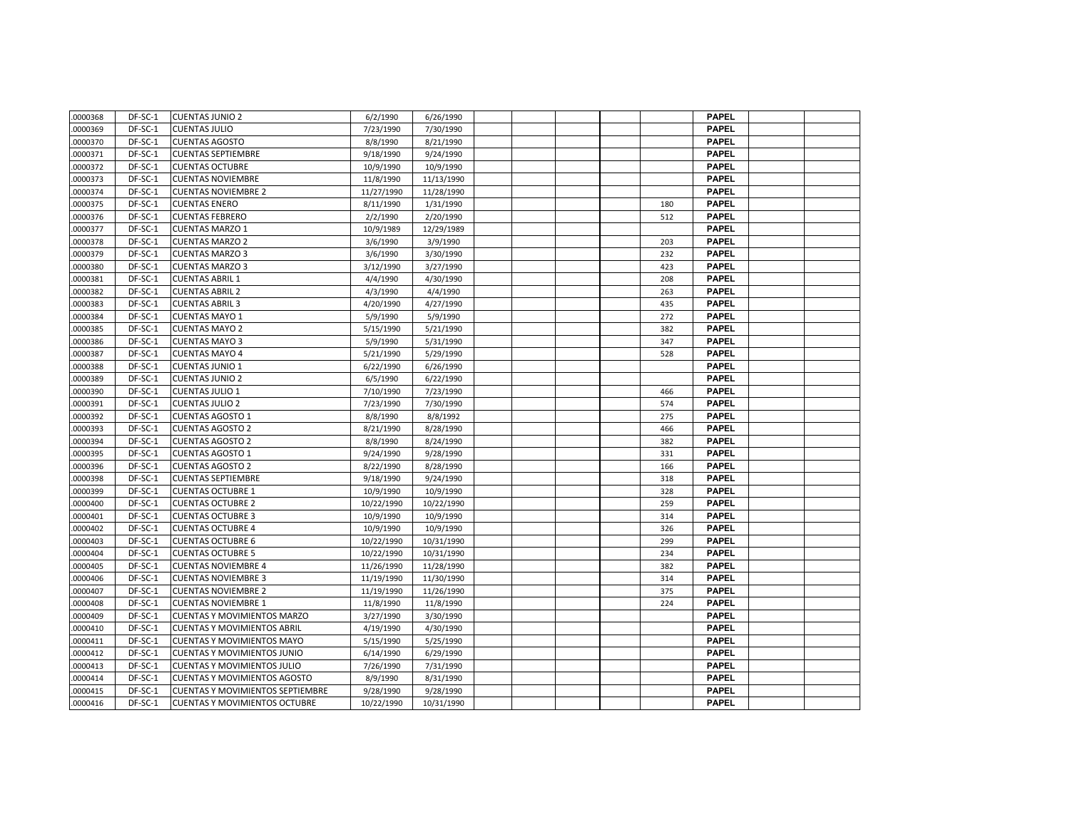| .0000368 | DF-SC-1 | <b>CUENTAS JUNIO 2</b>                  | 6/2/1990   | 6/26/1990  |  |  |     | <b>PAPEL</b> |  |
|----------|---------|-----------------------------------------|------------|------------|--|--|-----|--------------|--|
| 0000369  | DF-SC-1 | <b>CUENTAS JULIO</b>                    | 7/23/1990  | 7/30/1990  |  |  |     | <b>PAPEL</b> |  |
| .0000370 | DF-SC-1 | <b>CUENTAS AGOSTO</b>                   | 8/8/1990   | 8/21/1990  |  |  |     | <b>PAPEL</b> |  |
| .0000371 | DF-SC-1 | <b>CUENTAS SEPTIEMBRE</b>               | 9/18/1990  | 9/24/1990  |  |  |     | <b>PAPEL</b> |  |
| .0000372 | DF-SC-1 | <b>CUENTAS OCTUBRE</b>                  | 10/9/1990  | 10/9/1990  |  |  |     | <b>PAPEL</b> |  |
| .0000373 | DF-SC-1 | <b>CUENTAS NOVIEMBRE</b>                | 11/8/1990  | 11/13/1990 |  |  |     | <b>PAPEL</b> |  |
| .0000374 | DF-SC-1 | <b>CUENTAS NOVIEMBRE 2</b>              | 11/27/1990 | 11/28/1990 |  |  |     | <b>PAPEL</b> |  |
| .0000375 | DF-SC-1 | <b>CUENTAS ENERO</b>                    | 8/11/1990  | 1/31/1990  |  |  | 180 | <b>PAPEL</b> |  |
| .0000376 | DF-SC-1 | <b>CUENTAS FEBRERO</b>                  | 2/2/1990   | 2/20/1990  |  |  | 512 | <b>PAPEL</b> |  |
| 0000377  | DF-SC-1 | <b>CUENTAS MARZO 1</b>                  | 10/9/1989  | 12/29/1989 |  |  |     | <b>PAPEL</b> |  |
| 0000378  | DF-SC-1 | <b>CUENTAS MARZO 2</b>                  | 3/6/1990   | 3/9/1990   |  |  | 203 | <b>PAPEL</b> |  |
| 0000379  | DF-SC-1 | <b>CUENTAS MARZO 3</b>                  | 3/6/1990   | 3/30/1990  |  |  | 232 | <b>PAPEL</b> |  |
| 0000380  | DF-SC-1 | <b>CUENTAS MARZO 3</b>                  | 3/12/1990  | 3/27/1990  |  |  | 423 | <b>PAPEL</b> |  |
| .0000381 | DF-SC-1 | <b>CUENTAS ABRIL 1</b>                  | 4/4/1990   | 4/30/1990  |  |  | 208 | <b>PAPEL</b> |  |
| .0000382 | DF-SC-1 | <b>CUENTAS ABRIL 2</b>                  | 4/3/1990   | 4/4/1990   |  |  | 263 | <b>PAPEL</b> |  |
| .0000383 | DF-SC-1 | <b>CUENTAS ABRIL 3</b>                  | 4/20/1990  | 4/27/1990  |  |  | 435 | <b>PAPEL</b> |  |
| 0000384  | DF-SC-1 | <b>CUENTAS MAYO 1</b>                   | 5/9/1990   | 5/9/1990   |  |  | 272 | <b>PAPEL</b> |  |
| .0000385 | DF-SC-1 | <b>CUENTAS MAYO 2</b>                   | 5/15/1990  | 5/21/1990  |  |  | 382 | <b>PAPEL</b> |  |
| 0000386  | DF-SC-1 | <b>CUENTAS MAYO 3</b>                   | 5/9/1990   | 5/31/1990  |  |  | 347 | <b>PAPEL</b> |  |
| 0000387  | DF-SC-1 | <b>CUENTAS MAYO 4</b>                   | 5/21/1990  | 5/29/1990  |  |  | 528 | <b>PAPEL</b> |  |
| 0000388  | DF-SC-1 | <b>CUENTAS JUNIO 1</b>                  | 6/22/1990  | 6/26/1990  |  |  |     | <b>PAPEL</b> |  |
| .0000389 | DF-SC-1 | <b>CUENTAS JUNIO 2</b>                  | 6/5/1990   | 6/22/1990  |  |  |     | <b>PAPEL</b> |  |
| 0000390  | DF-SC-1 | <b>CUENTAS JULIO 1</b>                  | 7/10/1990  | 7/23/1990  |  |  | 466 | <b>PAPEL</b> |  |
| .0000391 | DF-SC-1 | <b>CUENTAS JULIO 2</b>                  | 7/23/1990  | 7/30/1990  |  |  | 574 | <b>PAPEL</b> |  |
| .0000392 | DF-SC-1 | <b>CUENTAS AGOSTO 1</b>                 | 8/8/1990   | 8/8/1992   |  |  | 275 | <b>PAPEL</b> |  |
| .0000393 | DF-SC-1 | <b>CUENTAS AGOSTO 2</b>                 | 8/21/1990  | 8/28/1990  |  |  | 466 | <b>PAPEL</b> |  |
| .0000394 | DF-SC-1 | <b>CUENTAS AGOSTO 2</b>                 | 8/8/1990   | 8/24/1990  |  |  | 382 | <b>PAPEL</b> |  |
| 0000395  | DF-SC-1 | <b>CUENTAS AGOSTO 1</b>                 | 9/24/1990  | 9/28/1990  |  |  | 331 | <b>PAPEL</b> |  |
| 0000396  | DF-SC-1 | <b>CUENTAS AGOSTO 2</b>                 | 8/22/1990  | 8/28/1990  |  |  | 166 | <b>PAPEL</b> |  |
| 0000398  | DF-SC-1 | <b>CUENTAS SEPTIEMBRE</b>               | 9/18/1990  | 9/24/1990  |  |  | 318 | <b>PAPEL</b> |  |
| 0000399  | DF-SC-1 | <b>CUENTAS OCTUBRE 1</b>                | 10/9/1990  | 10/9/1990  |  |  | 328 | <b>PAPEL</b> |  |
| 0000400  | DF-SC-1 | <b>CUENTAS OCTUBRE 2</b>                | 10/22/1990 | 10/22/1990 |  |  | 259 | <b>PAPEL</b> |  |
| .0000401 | DF-SC-1 | <b>CUENTAS OCTUBRE 3</b>                | 10/9/1990  | 10/9/1990  |  |  | 314 | <b>PAPEL</b> |  |
| .0000402 | DF-SC-1 | <b>CUENTAS OCTUBRE 4</b>                | 10/9/1990  | 10/9/1990  |  |  | 326 | <b>PAPEL</b> |  |
| .0000403 | DF-SC-1 | <b>CUENTAS OCTUBRE 6</b>                | 10/22/1990 | 10/31/1990 |  |  | 299 | <b>PAPEL</b> |  |
| .0000404 | DF-SC-1 | <b>CUENTAS OCTUBRE 5</b>                | 10/22/1990 | 10/31/1990 |  |  | 234 | <b>PAPEL</b> |  |
| .0000405 | DF-SC-1 | <b>CUENTAS NOVIEMBRE 4</b>              | 11/26/1990 | 11/28/1990 |  |  | 382 | <b>PAPEL</b> |  |
| .0000406 | DF-SC-1 | <b>CUENTAS NOVIEMBRE 3</b>              | 11/19/1990 | 11/30/1990 |  |  | 314 | <b>PAPEL</b> |  |
| 0000407  | DF-SC-1 | <b>CUENTAS NOVIEMBRE 2</b>              | 11/19/1990 | 11/26/1990 |  |  | 375 | <b>PAPEL</b> |  |
| 0000408  | DF-SC-1 | <b>CUENTAS NOVIEMBRE 1</b>              | 11/8/1990  | 11/8/1990  |  |  | 224 | <b>PAPEL</b> |  |
| 0000409  | DF-SC-1 | <b>CUENTAS Y MOVIMIENTOS MARZO</b>      | 3/27/1990  | 3/30/1990  |  |  |     | <b>PAPEL</b> |  |
| .0000410 | DF-SC-1 | <b>CUENTAS Y MOVIMIENTOS ABRIL</b>      | 4/19/1990  | 4/30/1990  |  |  |     | <b>PAPEL</b> |  |
| 0000411  | DF-SC-1 | <b>CUENTAS Y MOVIMIENTOS MAYO</b>       | 5/15/1990  | 5/25/1990  |  |  |     | <b>PAPEL</b> |  |
| .0000412 | DF-SC-1 | <b>CUENTAS Y MOVIMIENTOS JUNIO</b>      | 6/14/1990  | 6/29/1990  |  |  |     | <b>PAPEL</b> |  |
| .0000413 | DF-SC-1 | <b>CUENTAS Y MOVIMIENTOS JULIO</b>      | 7/26/1990  | 7/31/1990  |  |  |     | <b>PAPEL</b> |  |
| .0000414 | DF-SC-1 | <b>CUENTAS Y MOVIMIENTOS AGOSTO</b>     | 8/9/1990   | 8/31/1990  |  |  |     | <b>PAPEL</b> |  |
| .0000415 | DF-SC-1 | <b>CUENTAS Y MOVIMIENTOS SEPTIEMBRE</b> | 9/28/1990  | 9/28/1990  |  |  |     | <b>PAPEL</b> |  |
| .0000416 | DF-SC-1 | <b>CUENTAS Y MOVIMIENTOS OCTUBRE</b>    | 10/22/1990 | 10/31/1990 |  |  |     | <b>PAPEL</b> |  |
|          |         |                                         |            |            |  |  |     |              |  |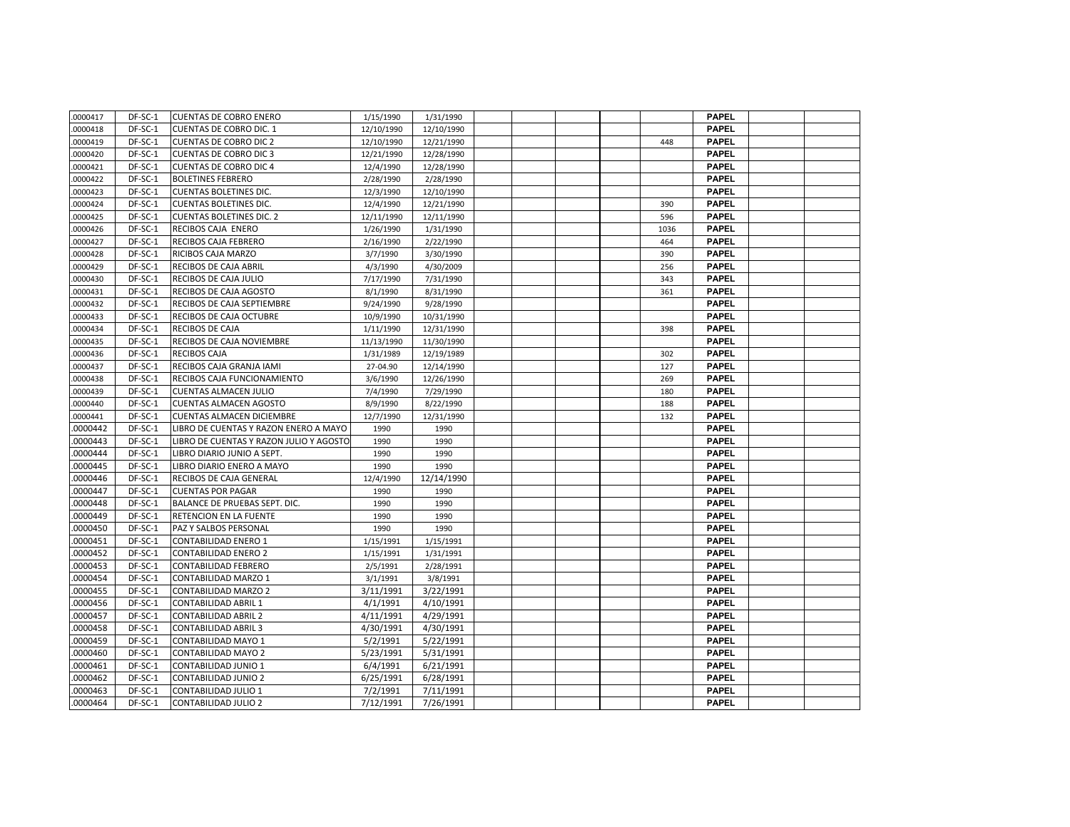| .0000417 | DF-SC-1 | <b>CUENTAS DE COBRO ENERO</b>           | 1/15/1990  | 1/31/1990  |  |  |      | <b>PAPEL</b> |  |
|----------|---------|-----------------------------------------|------------|------------|--|--|------|--------------|--|
| .0000418 | DF-SC-1 | <b>CUENTAS DE COBRO DIC. 1</b>          | 12/10/1990 | 12/10/1990 |  |  |      | <b>PAPEL</b> |  |
| .0000419 | DF-SC-1 | <b>CUENTAS DE COBRO DIC 2</b>           | 12/10/1990 | 12/21/1990 |  |  | 448  | <b>PAPEL</b> |  |
| .0000420 | DF-SC-1 | <b>CUENTAS DE COBRO DIC 3</b>           | 12/21/1990 | 12/28/1990 |  |  |      | <b>PAPEL</b> |  |
| .0000421 | DF-SC-1 | <b>CUENTAS DE COBRO DIC 4</b>           | 12/4/1990  | 12/28/1990 |  |  |      | <b>PAPEL</b> |  |
| .0000422 | DF-SC-1 | <b>BOLETINES FEBRERO</b>                | 2/28/1990  | 2/28/1990  |  |  |      | <b>PAPEL</b> |  |
| .0000423 | DF-SC-1 | <b>CUENTAS BOLETINES DIC.</b>           | 12/3/1990  | 12/10/1990 |  |  |      | <b>PAPEL</b> |  |
| .0000424 | DF-SC-1 | <b>CUENTAS BOLETINES DIC.</b>           | 12/4/1990  | 12/21/1990 |  |  | 390  | <b>PAPEL</b> |  |
| .0000425 | DF-SC-1 | <b>CUENTAS BOLETINES DIC. 2</b>         | 12/11/1990 | 12/11/1990 |  |  | 596  | <b>PAPEL</b> |  |
| .0000426 | DF-SC-1 | RECIBOS CAJA ENERO                      | 1/26/1990  | 1/31/1990  |  |  | 1036 | <b>PAPEL</b> |  |
| .0000427 | DF-SC-1 | <b>RECIBOS CAJA FEBRERO</b>             | 2/16/1990  | 2/22/1990  |  |  | 464  | <b>PAPEL</b> |  |
| .0000428 | DF-SC-1 | RICIBOS CAJA MARZO                      | 3/7/1990   | 3/30/1990  |  |  | 390  | <b>PAPEL</b> |  |
| .0000429 | DF-SC-1 | RECIBOS DE CAJA ABRIL                   | 4/3/1990   | 4/30/2009  |  |  | 256  | <b>PAPEL</b> |  |
| .0000430 | DF-SC-1 | RECIBOS DE CAJA JULIO                   | 7/17/1990  | 7/31/1990  |  |  | 343  | <b>PAPEL</b> |  |
| .0000431 | DF-SC-1 | RECIBOS DE CAJA AGOSTO                  | 8/1/1990   | 8/31/1990  |  |  | 361  | <b>PAPEL</b> |  |
| .0000432 | DF-SC-1 | RECIBOS DE CAJA SEPTIEMBRE              | 9/24/1990  | 9/28/1990  |  |  |      | <b>PAPEL</b> |  |
| .0000433 | DF-SC-1 | RECIBOS DE CAJA OCTUBRE                 | 10/9/1990  | 10/31/1990 |  |  |      | <b>PAPEL</b> |  |
| .0000434 | DF-SC-1 | RECIBOS DE CAJA                         | 1/11/1990  | 12/31/1990 |  |  | 398  | <b>PAPEL</b> |  |
| 0000435  | DF-SC-1 | RECIBOS DE CAJA NOVIEMBRE               | 11/13/1990 | 11/30/1990 |  |  |      | <b>PAPEL</b> |  |
| .0000436 | DF-SC-1 | <b>RECIBOS CAJA</b>                     | 1/31/1989  | 12/19/1989 |  |  | 302  | <b>PAPEL</b> |  |
| .0000437 | DF-SC-1 | RECIBOS CAJA GRANJA IAMI                | 27-04.90   | 12/14/1990 |  |  | 127  | <b>PAPEL</b> |  |
| .0000438 | DF-SC-1 | RECIBOS CAJA FUNCIONAMIENTO             | 3/6/1990   | 12/26/1990 |  |  | 269  | <b>PAPEL</b> |  |
| .0000439 | DF-SC-1 | <b>CUENTAS ALMACEN JULIO</b>            | 7/4/1990   | 7/29/1990  |  |  | 180  | <b>PAPEL</b> |  |
| .0000440 | DF-SC-1 | <b>CUENTAS ALMACEN AGOSTO</b>           | 8/9/1990   | 8/22/1990  |  |  | 188  | <b>PAPEL</b> |  |
| .0000441 | DF-SC-1 | <b>CUENTAS ALMACEN DICIEMBRE</b>        | 12/7/1990  | 12/31/1990 |  |  | 132  | <b>PAPEL</b> |  |
| .0000442 | DF-SC-1 | LIBRO DE CUENTAS Y RAZON ENERO A MAYO   | 1990       | 1990       |  |  |      | <b>PAPEL</b> |  |
| .0000443 | DF-SC-1 | LIBRO DE CUENTAS Y RAZON JULIO Y AGOSTO | 1990       | 1990       |  |  |      | <b>PAPEL</b> |  |
| 0000444  | DF-SC-1 | LIBRO DIARIO JUNIO A SEPT.              | 1990       | 1990       |  |  |      | <b>PAPEL</b> |  |
| .0000445 | DF-SC-1 | LIBRO DIARIO ENERO A MAYO               | 1990       | 1990       |  |  |      | <b>PAPEL</b> |  |
| 0000446  | DF-SC-1 | RECIBOS DE CAJA GENERAL                 | 12/4/1990  | 12/14/1990 |  |  |      | <b>PAPEL</b> |  |
| .0000447 | DF-SC-1 | <b>CUENTAS POR PAGAR</b>                | 1990       | 1990       |  |  |      | <b>PAPEL</b> |  |
| .0000448 | DF-SC-1 | BALANCE DE PRUEBAS SEPT. DIC.           | 1990       | 1990       |  |  |      | <b>PAPEL</b> |  |
| .0000449 | DF-SC-1 | RETENCION EN LA FUENTE                  | 1990       | 1990       |  |  |      | <b>PAPEL</b> |  |
| .0000450 | DF-SC-1 | PAZ Y SALBOS PERSONAL                   | 1990       | 1990       |  |  |      | <b>PAPEL</b> |  |
| .0000451 | DF-SC-1 | <b>CONTABILIDAD ENERO 1</b>             | 1/15/1991  | 1/15/1991  |  |  |      | <b>PAPEL</b> |  |
| .0000452 | DF-SC-1 | <b>CONTABILIDAD ENERO 2</b>             | 1/15/1991  | 1/31/1991  |  |  |      | <b>PAPEL</b> |  |
| 0000453  | DF-SC-1 | <b>CONTABILIDAD FEBRERO</b>             | 2/5/1991   | 2/28/1991  |  |  |      | <b>PAPEL</b> |  |
| .0000454 | DF-SC-1 | <b>CONTABILIDAD MARZO 1</b>             | 3/1/1991   | 3/8/1991   |  |  |      | <b>PAPEL</b> |  |
| 0000455  | DF-SC-1 | <b>CONTABILIDAD MARZO 2</b>             | 3/11/1991  | 3/22/1991  |  |  |      | <b>PAPEL</b> |  |
| .0000456 | DF-SC-1 | <b>CONTABILIDAD ABRIL 1</b>             | 4/1/1991   | 4/10/1991  |  |  |      | <b>PAPEL</b> |  |
| .0000457 | DF-SC-1 | <b>CONTABILIDAD ABRIL 2</b>             | 4/11/1991  | 4/29/1991  |  |  |      | <b>PAPEL</b> |  |
| .0000458 | DF-SC-1 | <b>CONTABILIDAD ABRIL 3</b>             | 4/30/1991  | 4/30/1991  |  |  |      | <b>PAPEL</b> |  |
| .0000459 | DF-SC-1 | <b>CONTABILIDAD MAYO 1</b>              | 5/2/1991   | 5/22/1991  |  |  |      | <b>PAPEL</b> |  |
| .0000460 | DF-SC-1 | <b>CONTABILIDAD MAYO 2</b>              | 5/23/1991  | 5/31/1991  |  |  |      | <b>PAPEL</b> |  |
| .0000461 | DF-SC-1 | <b>CONTABILIDAD JUNIO 1</b>             | 6/4/1991   | 6/21/1991  |  |  |      | <b>PAPEL</b> |  |
| 0000462  | DF-SC-1 | CONTABILIDAD JUNIO 2                    | 6/25/1991  | 6/28/1991  |  |  |      | <b>PAPEL</b> |  |
| .0000463 | DF-SC-1 | <b>CONTABILIDAD JULIO 1</b>             | 7/2/1991   | 7/11/1991  |  |  |      | <b>PAPEL</b> |  |
| .0000464 | DF-SC-1 | <b>CONTABILIDAD JULIO 2</b>             | 7/12/1991  | 7/26/1991  |  |  |      | <b>PAPEL</b> |  |
|          |         |                                         |            |            |  |  |      |              |  |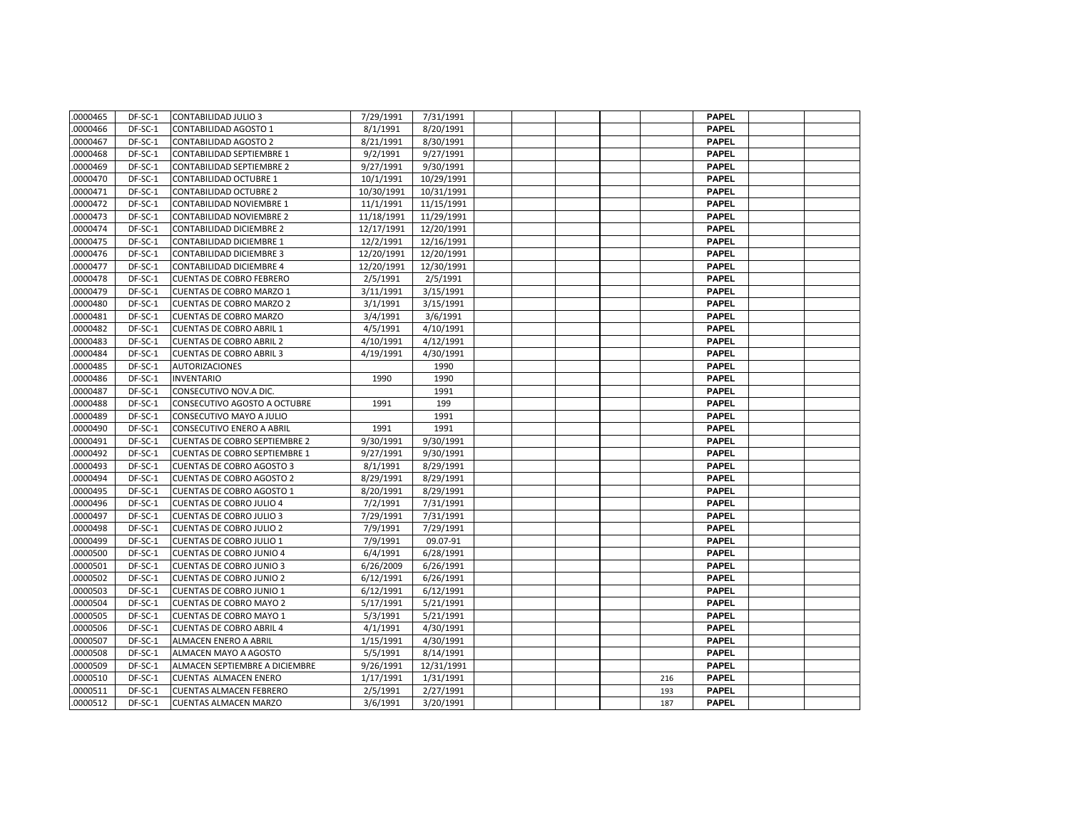| .0000465 | DF-SC-1   | <b>CONTABILIDAD JULIO 3</b>          | 7/29/1991  | 7/31/1991  |  |  |     | <b>PAPEL</b> |  |
|----------|-----------|--------------------------------------|------------|------------|--|--|-----|--------------|--|
| 0000466  | DF-SC-1   | <b>CONTABILIDAD AGOSTO 1</b>         | 8/1/1991   | 8/20/1991  |  |  |     | <b>PAPEL</b> |  |
| 0000467  | DF-SC-1   | <b>CONTABILIDAD AGOSTO 2</b>         | 8/21/1991  | 8/30/1991  |  |  |     | <b>PAPEL</b> |  |
| 0000468  | DF-SC-1   | CONTABILIDAD SEPTIEMBRE 1            | 9/2/1991   | 9/27/1991  |  |  |     | <b>PAPEL</b> |  |
| .0000469 | $DF-SC-1$ | <b>CONTABILIDAD SEPTIEMBRE 2</b>     | 9/27/1991  | 9/30/1991  |  |  |     | <b>PAPEL</b> |  |
| 0000470  | DF-SC-1   | <b>CONTABILIDAD OCTUBRE 1</b>        | 10/1/1991  | 10/29/1991 |  |  |     | <b>PAPEL</b> |  |
| 0000471  | DF-SC-1   | <b>CONTABILIDAD OCTUBRE 2</b>        | 10/30/1991 | 10/31/1991 |  |  |     | <b>PAPEL</b> |  |
| 0000472  | DF-SC-1   | <b>CONTABILIDAD NOVIEMBRE 1</b>      | 11/1/1991  | 11/15/1991 |  |  |     | <b>PAPEL</b> |  |
| 0000473  | DF-SC-1   | <b>CONTABILIDAD NOVIEMBRE 2</b>      | 11/18/1991 | 11/29/1991 |  |  |     | <b>PAPEL</b> |  |
| 0000474  | DF-SC-1   | <b>CONTABILIDAD DICIEMBRE 2</b>      | 12/17/1991 | 12/20/1991 |  |  |     | <b>PAPEL</b> |  |
| 0000475  | DF-SC-1   | CONTABILIDAD DICIEMBRE 1             | 12/2/1991  | 12/16/1991 |  |  |     | <b>PAPEL</b> |  |
| 0000476  | DF-SC-1   | <b>CONTABILIDAD DICIEMBRE 3</b>      | 12/20/1991 | 12/20/1991 |  |  |     | <b>PAPEL</b> |  |
| 0000477  | DF-SC-1   | CONTABILIDAD DICIEMBRE 4             | 12/20/1991 | 12/30/1991 |  |  |     | <b>PAPEL</b> |  |
| 0000478  | DF-SC-1   | <b>CUENTAS DE COBRO FEBRERO</b>      | 2/5/1991   | 2/5/1991   |  |  |     | <b>PAPEL</b> |  |
| 0000479  | DF-SC-1   | <b>CUENTAS DE COBRO MARZO 1</b>      | 3/11/1991  | 3/15/1991  |  |  |     | <b>PAPEL</b> |  |
| 0000480  | DF-SC-1   | <b>CUENTAS DE COBRO MARZO 2</b>      | 3/1/1991   | 3/15/1991  |  |  |     | <b>PAPEL</b> |  |
| 0000481  | DF-SC-1   | <b>CUENTAS DE COBRO MARZO</b>        | 3/4/1991   | 3/6/1991   |  |  |     | <b>PAPEL</b> |  |
| 0000482  | DF-SC-1   | <b>CUENTAS DE COBRO ABRIL 1</b>      | 4/5/1991   | 4/10/1991  |  |  |     | <b>PAPEL</b> |  |
| 0000483  | DF-SC-1   | <b>CUENTAS DE COBRO ABRIL 2</b>      | 4/10/1991  | 4/12/1991  |  |  |     | <b>PAPEL</b> |  |
| 0000484  | DF-SC-1   | <b>CUENTAS DE COBRO ABRIL 3</b>      | 4/19/1991  | 4/30/1991  |  |  |     | <b>PAPEL</b> |  |
| 0000485  | DF-SC-1   | <b>AUTORIZACIONES</b>                |            | 1990       |  |  |     | <b>PAPEL</b> |  |
| 0000486  | DF-SC-1   | <b>INVENTARIO</b>                    | 1990       | 1990       |  |  |     | <b>PAPEL</b> |  |
| 0000487  | DF-SC-1   | CONSECUTIVO NOV.A DIC.               |            | 1991       |  |  |     | <b>PAPEL</b> |  |
| 0000488  | DF-SC-1   | CONSECUTIVO AGOSTO A OCTUBRE         | 1991       | 199        |  |  |     | <b>PAPEL</b> |  |
| 0000489  | DF-SC-1   | CONSECUTIVO MAYO A JULIO             |            | 1991       |  |  |     | <b>PAPEL</b> |  |
| 0000490  | DF-SC-1   | <b>CONSECUTIVO ENERO A ABRIL</b>     | 1991       | 1991       |  |  |     | <b>PAPEL</b> |  |
| 0000491  | DF-SC-1   | <b>CUENTAS DE COBRO SEPTIEMBRE 2</b> | 9/30/1991  | 9/30/1991  |  |  |     | <b>PAPEL</b> |  |
| 0000492  | DF-SC-1   | <b>CUENTAS DE COBRO SEPTIEMBRE 1</b> | 9/27/1991  | 9/30/1991  |  |  |     | <b>PAPEL</b> |  |
| .0000493 | DF-SC-1   | <b>CUENTAS DE COBRO AGOSTO 3</b>     | 8/1/1991   | 8/29/1991  |  |  |     | <b>PAPEL</b> |  |
| 0000494  | DF-SC-1   | <b>CUENTAS DE COBRO AGOSTO 2</b>     | 8/29/1991  | 8/29/1991  |  |  |     | <b>PAPEL</b> |  |
| 0000495  | DF-SC-1   | <b>CUENTAS DE COBRO AGOSTO 1</b>     | 8/20/1991  | 8/29/1991  |  |  |     | <b>PAPEL</b> |  |
| 0000496  | DF-SC-1   | <b>CUENTAS DE COBRO JULIO 4</b>      | 7/2/1991   | 7/31/1991  |  |  |     | <b>PAPEL</b> |  |
| 0000497  | DF-SC-1   | <b>CUENTAS DE COBRO JULIO 3</b>      | 7/29/1991  | 7/31/1991  |  |  |     | <b>PAPEL</b> |  |
| 0000498  | DF-SC-1   | <b>CUENTAS DE COBRO JULIO 2</b>      | 7/9/1991   | 7/29/1991  |  |  |     | <b>PAPEL</b> |  |
| 0000499  | DF-SC-1   | <b>CUENTAS DE COBRO JULIO 1</b>      | 7/9/1991   | 09.07-91   |  |  |     | <b>PAPEL</b> |  |
| .0000500 | DF-SC-1   | <b>CUENTAS DE COBRO JUNIO 4</b>      | 6/4/1991   | 6/28/1991  |  |  |     | <b>PAPEL</b> |  |
| 0000501  | DF-SC-1   | <b>CUENTAS DE COBRO JUNIO 3</b>      | 6/26/2009  | 6/26/1991  |  |  |     | <b>PAPEL</b> |  |
| 0000502  | DF-SC-1   | <b>CUENTAS DE COBRO JUNIO 2</b>      | 6/12/1991  | 6/26/1991  |  |  |     | <b>PAPEL</b> |  |
| 0000503  | DF-SC-1   | <b>CUENTAS DE COBRO JUNIO 1</b>      | 6/12/1991  | 6/12/1991  |  |  |     | <b>PAPEL</b> |  |
| 0000504  | DF-SC-1   | <b>CUENTAS DE COBRO MAYO 2</b>       | 5/17/1991  | 5/21/1991  |  |  |     | <b>PAPEL</b> |  |
| .0000505 | DF-SC-1   | <b>CUENTAS DE COBRO MAYO 1</b>       | 5/3/1991   | 5/21/1991  |  |  |     | <b>PAPEL</b> |  |
| 0000506  | DF-SC-1   | <b>CUENTAS DE COBRO ABRIL 4</b>      | 4/1/1991   | 4/30/1991  |  |  |     | <b>PAPEL</b> |  |
| 0000507  | DF-SC-1   | ALMACEN ENERO A ABRIL                | 1/15/1991  | 4/30/1991  |  |  |     | <b>PAPEL</b> |  |
| .0000508 | DF-SC-1   | ALMACEN MAYO A AGOSTO                | 5/5/1991   | 8/14/1991  |  |  |     | <b>PAPEL</b> |  |
| .0000509 | DF-SC-1   | ALMACEN SEPTIEMBRE A DICIEMBRE       | 9/26/1991  | 12/31/1991 |  |  |     | <b>PAPEL</b> |  |
| 0000510  | DF-SC-1   | <b>CUENTAS ALMACEN ENERO</b>         | 1/17/1991  | 1/31/1991  |  |  | 216 | <b>PAPEL</b> |  |
| .0000511 | DF-SC-1   | <b>CUENTAS ALMACEN FEBRERO</b>       | 2/5/1991   | 2/27/1991  |  |  | 193 | <b>PAPEL</b> |  |
| .0000512 | DF-SC-1   | <b>CUENTAS ALMACEN MARZO</b>         | 3/6/1991   | 3/20/1991  |  |  | 187 | <b>PAPEL</b> |  |
|          |           |                                      |            |            |  |  |     |              |  |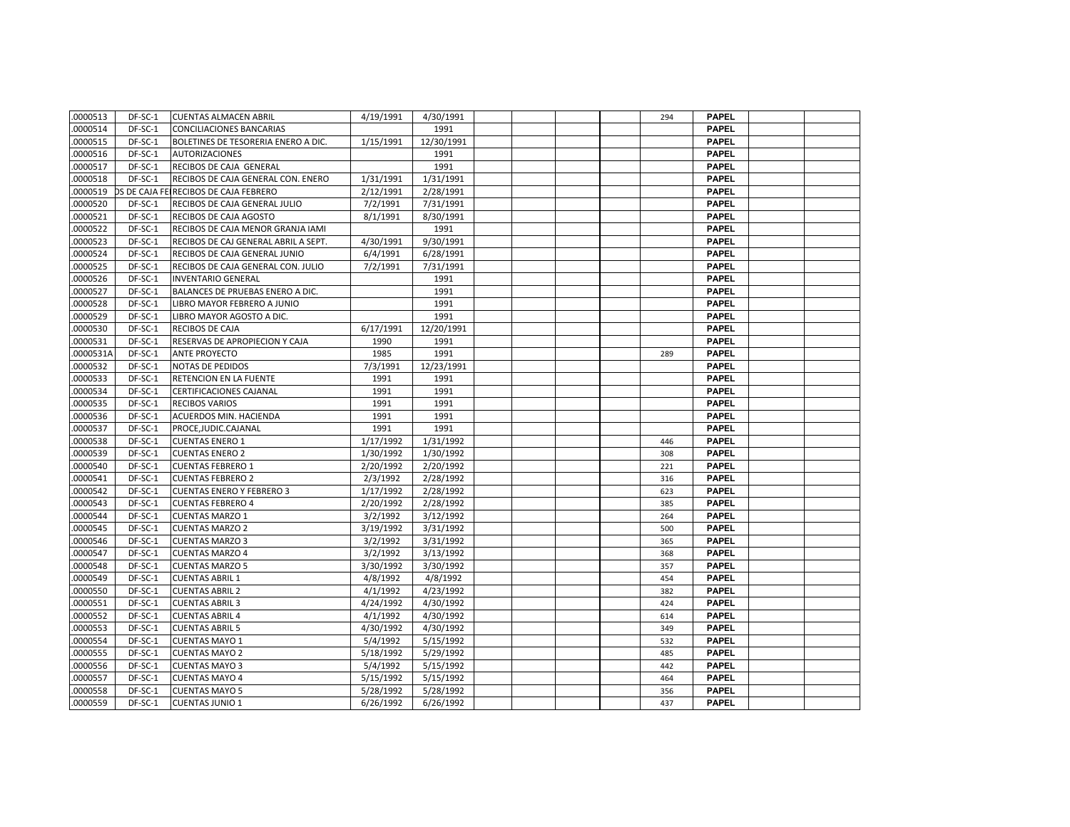| .0000513 | DF-SC-1 | <b>CUENTAS ALMACEN ABRIL</b>          | 4/19/1991 | 4/30/1991  |  |  | 294 | <b>PAPEL</b> |  |
|----------|---------|---------------------------------------|-----------|------------|--|--|-----|--------------|--|
| .0000514 | DF-SC-1 | <b>CONCILIACIONES BANCARIAS</b>       |           | 1991       |  |  |     | <b>PAPEL</b> |  |
| .0000515 | DF-SC-1 | BOLETINES DE TESORERIA ENERO A DIC.   | 1/15/1991 | 12/30/1991 |  |  |     | <b>PAPEL</b> |  |
| .0000516 | DF-SC-1 | <b>AUTORIZACIONES</b>                 |           | 1991       |  |  |     | <b>PAPEL</b> |  |
| .0000517 | DF-SC-1 | RECIBOS DE CAJA GENERAL               |           | 1991       |  |  |     | <b>PAPEL</b> |  |
| .0000518 | DF-SC-1 | RECIBOS DE CAJA GENERAL CON. ENERO    | 1/31/1991 | 1/31/1991  |  |  |     | <b>PAPEL</b> |  |
| .0000519 |         | OS DE CAJA FEIRECIBOS DE CAJA FEBRERO | 2/12/1991 | 2/28/1991  |  |  |     | <b>PAPEL</b> |  |
| .0000520 | DF-SC-1 | RECIBOS DE CAJA GENERAL JULIO         | 7/2/1991  | 7/31/1991  |  |  |     | <b>PAPEL</b> |  |
| .0000521 | DF-SC-1 | RECIBOS DE CAJA AGOSTO                | 8/1/1991  | 8/30/1991  |  |  |     | <b>PAPEL</b> |  |
| 0000522  | DF-SC-1 | RECIBOS DE CAJA MENOR GRANJA IAMI     |           | 1991       |  |  |     | <b>PAPEL</b> |  |
| 0000523  | DF-SC-1 | RECIBOS DE CAJ GENERAL ABRIL A SEPT.  | 4/30/1991 | 9/30/1991  |  |  |     | <b>PAPEL</b> |  |
| 0000524  | DF-SC-1 | RECIBOS DE CAJA GENERAL JUNIO         | 6/4/1991  | 6/28/1991  |  |  |     | <b>PAPEL</b> |  |
| .0000525 | DF-SC-1 | RECIBOS DE CAJA GENERAL CON. JULIO    | 7/2/1991  | 7/31/1991  |  |  |     | <b>PAPEL</b> |  |
| .0000526 | DF-SC-1 | <b>INVENTARIO GENERAL</b>             |           | 1991       |  |  |     | <b>PAPEL</b> |  |
| .0000527 | DF-SC-1 | BALANCES DE PRUEBAS ENERO A DIC.      |           | 1991       |  |  |     | <b>PAPEL</b> |  |
| .0000528 | DF-SC-1 | LIBRO MAYOR FEBRERO A JUNIO           |           | 1991       |  |  |     | <b>PAPEL</b> |  |
| .0000529 | DF-SC-1 | LIBRO MAYOR AGOSTO A DIC.             |           | 1991       |  |  |     | <b>PAPEL</b> |  |
| .0000530 | DF-SC-1 | <b>RECIBOS DE CAJA</b>                | 6/17/1991 | 12/20/1991 |  |  |     | <b>PAPEL</b> |  |
| .0000531 | DF-SC-1 | RESERVAS DE APROPIECION Y CAJA        | 1990      | 1991       |  |  |     | <b>PAPEL</b> |  |
| 0000531A | DF-SC-1 | <b>ANTE PROYECTO</b>                  | 1985      | 1991       |  |  | 289 | <b>PAPEL</b> |  |
| .0000532 | DF-SC-1 | <b>NOTAS DE PEDIDOS</b>               | 7/3/1991  | 12/23/1991 |  |  |     | <b>PAPEL</b> |  |
| .0000533 | DF-SC-1 | <b>RETENCION EN LA FUENTE</b>         | 1991      | 1991       |  |  |     | <b>PAPEL</b> |  |
| .0000534 | DF-SC-1 | CERTIFICACIONES CAJANAL               | 1991      | 1991       |  |  |     | <b>PAPEL</b> |  |
| .0000535 | DF-SC-1 | <b>RECIBOS VARIOS</b>                 | 1991      | 1991       |  |  |     | <b>PAPEL</b> |  |
| .0000536 | DF-SC-1 | <b>ACUERDOS MIN. HACIENDA</b>         | 1991      | 1991       |  |  |     | <b>PAPEL</b> |  |
| .0000537 | DF-SC-1 | PROCE, JUDIC.CAJANAL                  | 1991      | 1991       |  |  |     | <b>PAPEL</b> |  |
| .0000538 | DF-SC-1 | <b>CUENTAS ENERO 1</b>                | 1/17/1992 | 1/31/1992  |  |  | 446 | <b>PAPEL</b> |  |
| .0000539 | DF-SC-1 | <b>CUENTAS ENERO 2</b>                | 1/30/1992 | 1/30/1992  |  |  | 308 | <b>PAPEL</b> |  |
| .0000540 | DF-SC-1 | <b>CUENTAS FEBRERO 1</b>              | 2/20/1992 | 2/20/1992  |  |  | 221 | <b>PAPEL</b> |  |
| 0000541  | DF-SC-1 | <b>CUENTAS FEBRERO 2</b>              | 2/3/1992  | 2/28/1992  |  |  | 316 | <b>PAPEL</b> |  |
| .0000542 | DF-SC-1 | <b>CUENTAS ENERO Y FEBRERO 3</b>      | 1/17/1992 | 2/28/1992  |  |  | 623 | <b>PAPEL</b> |  |
| .0000543 | DF-SC-1 | <b>CUENTAS FEBRERO 4</b>              | 2/20/1992 | 2/28/1992  |  |  | 385 | <b>PAPEL</b> |  |
| .0000544 | DF-SC-1 | <b>CUENTAS MARZO 1</b>                | 3/2/1992  | 3/12/1992  |  |  | 264 | <b>PAPEL</b> |  |
| .0000545 | DF-SC-1 | <b>CUENTAS MARZO 2</b>                | 3/19/1992 | 3/31/1992  |  |  | 500 | <b>PAPEL</b> |  |
| .0000546 | DF-SC-1 | <b>CUENTAS MARZO 3</b>                | 3/2/1992  | 3/31/1992  |  |  | 365 | <b>PAPEL</b> |  |
| .0000547 | DF-SC-1 | <b>CUENTAS MARZO 4</b>                | 3/2/1992  | 3/13/1992  |  |  | 368 | <b>PAPEL</b> |  |
| 0000548  | DF-SC-1 | <b>CUENTAS MARZO 5</b>                | 3/30/1992 | 3/30/1992  |  |  | 357 | <b>PAPEL</b> |  |
| .0000549 | DF-SC-1 | <b>CUENTAS ABRIL 1</b>                | 4/8/1992  | 4/8/1992   |  |  | 454 | <b>PAPEL</b> |  |
| 0000550  | DF-SC-1 | <b>CUENTAS ABRIL 2</b>                | 4/1/1992  | 4/23/1992  |  |  | 382 | <b>PAPEL</b> |  |
| .0000551 | DF-SC-1 | <b>CUENTAS ABRIL 3</b>                | 4/24/1992 | 4/30/1992  |  |  | 424 | <b>PAPEL</b> |  |
| .0000552 | DF-SC-1 | <b>CUENTAS ABRIL 4</b>                | 4/1/1992  | 4/30/1992  |  |  | 614 | <b>PAPEL</b> |  |
| .0000553 | DF-SC-1 | <b>CUENTAS ABRIL 5</b>                | 4/30/1992 | 4/30/1992  |  |  | 349 | <b>PAPEL</b> |  |
| .0000554 | DF-SC-1 | <b>CUENTAS MAYO 1</b>                 | 5/4/1992  | 5/15/1992  |  |  | 532 | <b>PAPEL</b> |  |
| .0000555 | DF-SC-1 | <b>CUENTAS MAYO 2</b>                 | 5/18/1992 | 5/29/1992  |  |  | 485 | <b>PAPEL</b> |  |
| .0000556 | DF-SC-1 | <b>CUENTAS MAYO 3</b>                 | 5/4/1992  | 5/15/1992  |  |  | 442 | <b>PAPEL</b> |  |
| 0000557  | DF-SC-1 | <b>CUENTAS MAYO 4</b>                 | 5/15/1992 | 5/15/1992  |  |  | 464 | <b>PAPEL</b> |  |
| 0000558  | DF-SC-1 | <b>CUENTAS MAYO 5</b>                 | 5/28/1992 | 5/28/1992  |  |  | 356 | <b>PAPEL</b> |  |
| .0000559 | DF-SC-1 | <b>CUENTAS JUNIO 1</b>                | 6/26/1992 | 6/26/1992  |  |  | 437 | <b>PAPEL</b> |  |
|          |         |                                       |           |            |  |  |     |              |  |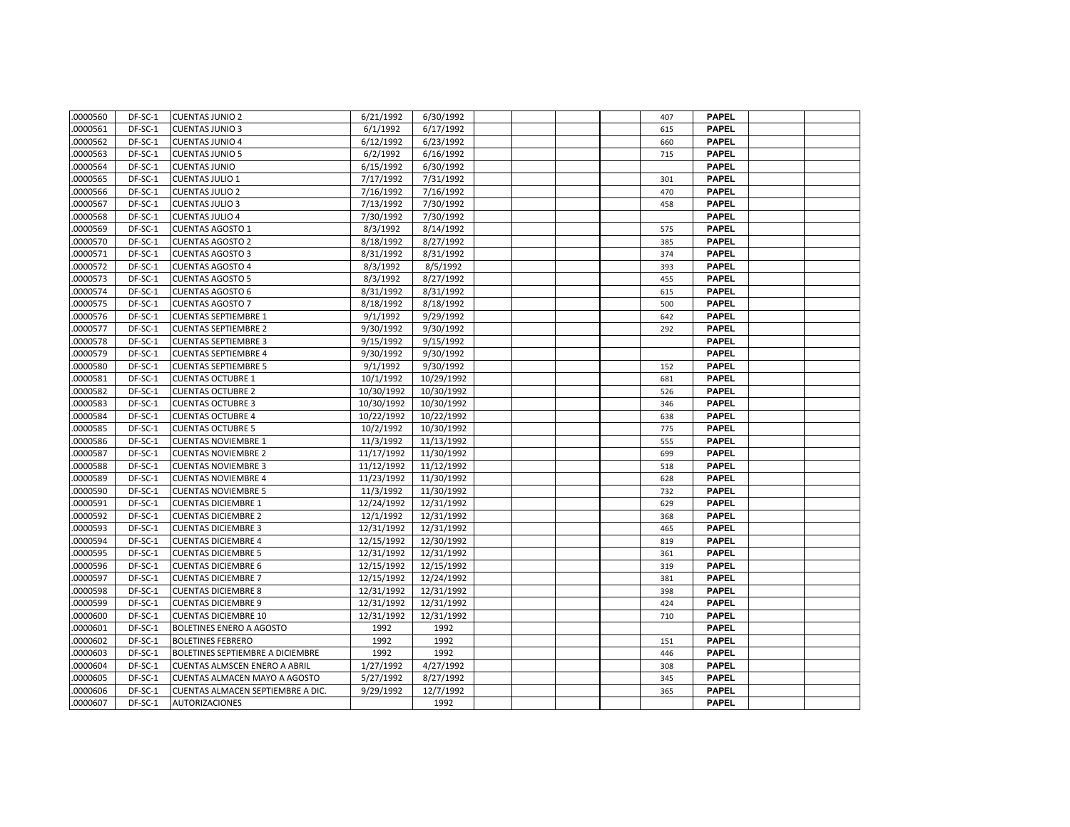| .0000560 | DF-SC-1 | <b>CUENTAS JUNIO 2</b>               | 6/21/1992  | 6/30/1992  |  | 407 | <b>PAPEL</b> |  |
|----------|---------|--------------------------------------|------------|------------|--|-----|--------------|--|
| 0000561  | DF-SC-1 | <b>CUENTAS JUNIO 3</b>               | 6/1/1992   | 6/17/1992  |  | 615 | <b>PAPEL</b> |  |
| 0000562  | DF-SC-1 | <b>CUENTAS JUNIO 4</b>               | 6/12/1992  | 6/23/1992  |  | 660 | <b>PAPEL</b> |  |
| 0000563  | DF-SC-1 | <b>CUENTAS JUNIO 5</b>               | 6/2/1992   | 6/16/1992  |  | 715 | <b>PAPEL</b> |  |
| 0000564  | DF-SC-1 | <b>CUENTAS JUNIO</b>                 | 6/15/1992  | 6/30/1992  |  |     | <b>PAPEL</b> |  |
| 0000565  | DF-SC-1 | <b>CUENTAS JULIO 1</b>               | 7/17/1992  | 7/31/1992  |  | 301 | <b>PAPEL</b> |  |
| 0000566  | DF-SC-1 | <b>CUENTAS JULIO 2</b>               | 7/16/1992  | 7/16/1992  |  | 470 | <b>PAPEL</b> |  |
| 0000567  | DF-SC-1 | <b>CUENTAS JULIO 3</b>               | 7/13/1992  | 7/30/1992  |  | 458 | <b>PAPEL</b> |  |
| 0000568  | DF-SC-1 | <b>CUENTAS JULIO 4</b>               | 7/30/1992  | 7/30/1992  |  |     | <b>PAPEL</b> |  |
| 0000569  | DF-SC-1 | <b>CUENTAS AGOSTO 1</b>              | 8/3/1992   | 8/14/1992  |  | 575 | <b>PAPEL</b> |  |
| 0000570  | DF-SC-1 | <b>CUENTAS AGOSTO 2</b>              | 8/18/1992  | 8/27/1992  |  | 385 | <b>PAPEL</b> |  |
| 0000571  | DF-SC-1 | <b>CUENTAS AGOSTO 3</b>              | 8/31/1992  | 8/31/1992  |  | 374 | <b>PAPEL</b> |  |
| 0000572  | DF-SC-1 | <b>CUENTAS AGOSTO 4</b>              | 8/3/1992   | 8/5/1992   |  | 393 | <b>PAPEL</b> |  |
| 0000573  | DF-SC-1 | <b>CUENTAS AGOSTO 5</b>              | 8/3/1992   | 8/27/1992  |  | 455 | <b>PAPEL</b> |  |
| 0000574  | DF-SC-1 | <b>CUENTAS AGOSTO 6</b>              | 8/31/1992  | 8/31/1992  |  | 615 | <b>PAPEL</b> |  |
| .0000575 | DF-SC-1 | <b>CUENTAS AGOSTO 7</b>              | 8/18/1992  | 8/18/1992  |  | 500 | <b>PAPEL</b> |  |
| 0000576  | DF-SC-1 | <b>CUENTAS SEPTIEMBRE 1</b>          | 9/1/1992   | 9/29/1992  |  | 642 | <b>PAPEL</b> |  |
| 0000577  | DF-SC-1 | <b>CUENTAS SEPTIEMBRE 2</b>          | 9/30/1992  | 9/30/1992  |  | 292 | <b>PAPEL</b> |  |
| 0000578  | DF-SC-1 | <b>CUENTAS SEPTIEMBRE 3</b>          | 9/15/1992  | 9/15/1992  |  |     | <b>PAPEL</b> |  |
| 0000579  | DF-SC-1 | <b>CUENTAS SEPTIEMBRE 4</b>          | 9/30/1992  | 9/30/1992  |  |     | <b>PAPEL</b> |  |
| 0000580  | DF-SC-1 | <b>CUENTAS SEPTIEMBRE 5</b>          | 9/1/1992   | 9/30/1992  |  | 152 | <b>PAPEL</b> |  |
| 0000581  | DF-SC-1 | <b>CUENTAS OCTUBRE 1</b>             | 10/1/1992  | 10/29/1992 |  | 681 | <b>PAPEL</b> |  |
| 0000582  | DF-SC-1 | <b>CUENTAS OCTUBRE 2</b>             | 10/30/1992 | 10/30/1992 |  | 526 | <b>PAPEL</b> |  |
| 0000583  | DF-SC-1 | <b>CUENTAS OCTUBRE 3</b>             | 10/30/1992 | 10/30/1992 |  | 346 | <b>PAPEL</b> |  |
| 0000584  | DF-SC-1 | <b>CUENTAS OCTUBRE 4</b>             | 10/22/1992 | 10/22/1992 |  | 638 | <b>PAPEL</b> |  |
| 0000585  | DF-SC-1 | <b>CUENTAS OCTUBRE 5</b>             | 10/2/1992  | 10/30/1992 |  | 775 | <b>PAPEL</b> |  |
| 0000586  | DF-SC-1 | <b>CUENTAS NOVIEMBRE 1</b>           | 11/3/1992  | 11/13/1992 |  | 555 | <b>PAPEL</b> |  |
| 0000587  | DF-SC-1 | <b>CUENTAS NOVIEMBRE 2</b>           | 11/17/1992 | 11/30/1992 |  | 699 | <b>PAPEL</b> |  |
| 0000588  | DF-SC-1 | <b>CUENTAS NOVIEMBRE 3</b>           | 11/12/1992 | 11/12/1992 |  | 518 | <b>PAPEL</b> |  |
| 0000589  | DF-SC-1 | <b>CUENTAS NOVIEMBRE 4</b>           | 11/23/1992 | 11/30/1992 |  | 628 | <b>PAPEL</b> |  |
| 0000590  | DF-SC-1 | <b>CUENTAS NOVIEMBRE 5</b>           | 11/3/1992  | 11/30/1992 |  | 732 | <b>PAPEL</b> |  |
| 0000591  | DF-SC-1 | <b>CUENTAS DICIEMBRE 1</b>           | 12/24/1992 | 12/31/1992 |  | 629 | <b>PAPEL</b> |  |
| 0000592  | DF-SC-1 | <b>CUENTAS DICIEMBRE 2</b>           | 12/1/1992  | 12/31/1992 |  | 368 | <b>PAPEL</b> |  |
| 0000593  | DF-SC-1 | <b>CUENTAS DICIEMBRE 3</b>           | 12/31/1992 | 12/31/1992 |  | 465 | <b>PAPEL</b> |  |
| 0000594  | DF-SC-1 | <b>CUENTAS DICIEMBRE 4</b>           | 12/15/1992 | 12/30/1992 |  | 819 | <b>PAPEL</b> |  |
| .0000595 | DF-SC-1 | <b>CUENTAS DICIEMBRE 5</b>           | 12/31/1992 | 12/31/1992 |  | 361 | <b>PAPEL</b> |  |
| .0000596 | DF-SC-1 | <b>CUENTAS DICIEMBRE 6</b>           | 12/15/1992 | 12/15/1992 |  | 319 | <b>PAPEL</b> |  |
| 0000597  | DF-SC-1 | <b>CUENTAS DICIEMBRE 7</b>           | 12/15/1992 | 12/24/1992 |  | 381 | <b>PAPEL</b> |  |
| 0000598  | DF-SC-1 | <b>CUENTAS DICIEMBRE 8</b>           | 12/31/1992 | 12/31/1992 |  | 398 | <b>PAPEL</b> |  |
| 0000599  | DF-SC-1 | <b>CUENTAS DICIEMBRE 9</b>           | 12/31/1992 | 12/31/1992 |  | 424 | <b>PAPEL</b> |  |
| 0000600  | DF-SC-1 | <b>CUENTAS DICIEMBRE 10</b>          | 12/31/1992 | 12/31/1992 |  | 710 | <b>PAPEL</b> |  |
| 0000601  | DF-SC-1 | <b>BOLETINES ENERO A AGOSTO</b>      | 1992       | 1992       |  |     | <b>PAPEL</b> |  |
| 0000602  | DF-SC-1 | <b>BOLETINES FEBRERO</b>             | 1992       | 1992       |  | 151 | <b>PAPEL</b> |  |
| 0000603  | DF-SC-1 | BOLETINES SEPTIEMBRE A DICIEMBRE     | 1992       | 1992       |  | 446 | <b>PAPEL</b> |  |
| 0000604  | DF-SC-1 | <b>CUENTAS ALMSCEN ENERO A ABRIL</b> | 1/27/1992  | 4/27/1992  |  | 308 | <b>PAPEL</b> |  |
| 0000605  | DF-SC-1 | <b>CUENTAS ALMACEN MAYO A AGOSTO</b> | 5/27/1992  | 8/27/1992  |  | 345 | <b>PAPEL</b> |  |
| .0000606 | DF-SC-1 | CUENTAS ALMACEN SEPTIEMBRE A DIC.    | 9/29/1992  | 12/7/1992  |  | 365 | PAPEL        |  |
| 0000607  | DF-SC-1 | <b>AUTORIZACIONES</b>                |            | 1992       |  |     | <b>PAPEL</b> |  |
|          |         |                                      |            |            |  |     |              |  |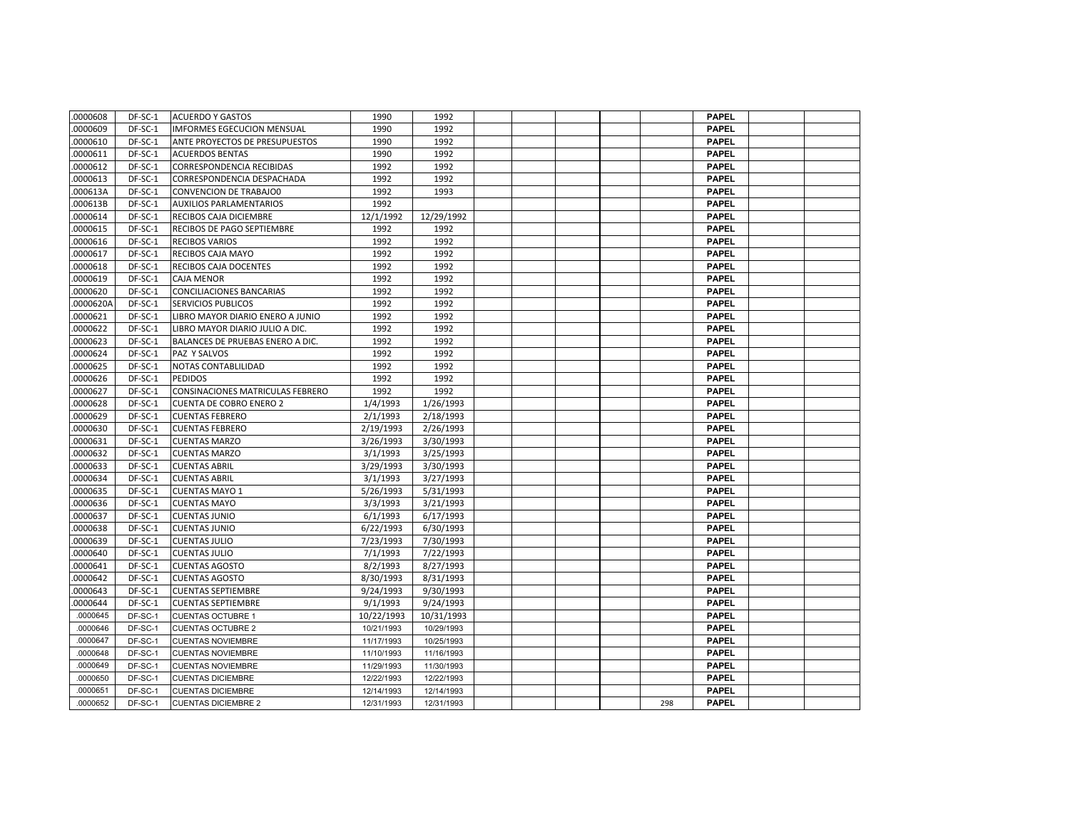| .0000608  | DF-SC-1 | <b>ACUERDO Y GASTOS</b>               | 1990       | 1992       |  |  |     | <b>PAPEL</b> |  |
|-----------|---------|---------------------------------------|------------|------------|--|--|-----|--------------|--|
| .0000609  | DF-SC-1 | <b>IMFORMES EGECUCION MENSUAL</b>     | 1990       | 1992       |  |  |     | <b>PAPEL</b> |  |
| .0000610  | DF-SC-1 | <b>ANTE PROYECTOS DE PRESUPUESTOS</b> | 1990       | 1992       |  |  |     | <b>PAPEL</b> |  |
| .0000611  | DF-SC-1 | <b>ACUERDOS BENTAS</b>                | 1990       | 1992       |  |  |     | <b>PAPEL</b> |  |
| .0000612  | DF-SC-1 | <b>CORRESPONDENCIA RECIBIDAS</b>      | 1992       | 1992       |  |  |     | <b>PAPEL</b> |  |
| .0000613  | DF-SC-1 | CORRESPONDENCIA DESPACHADA            | 1992       | 1992       |  |  |     | <b>PAPEL</b> |  |
| .000613A  | DF-SC-1 | <b>CONVENCION DE TRABAJO0</b>         | 1992       | 1993       |  |  |     | <b>PAPEL</b> |  |
| .000613B  | DF-SC-1 | <b>AUXILIOS PARLAMENTARIOS</b>        | 1992       |            |  |  |     | <b>PAPEL</b> |  |
| .0000614  | DF-SC-1 | RECIBOS CAJA DICIEMBRE                | 12/1/1992  | 12/29/1992 |  |  |     | <b>PAPEL</b> |  |
| 0000615   | DF-SC-1 | RECIBOS DE PAGO SEPTIEMBRE            | 1992       | 1992       |  |  |     | <b>PAPEL</b> |  |
| .0000616  | DF-SC-1 | <b>RECIBOS VARIOS</b>                 | 1992       | 1992       |  |  |     | <b>PAPEL</b> |  |
| .0000617  | DF-SC-1 | RECIBOS CAJA MAYO                     | 1992       | 1992       |  |  |     | <b>PAPEL</b> |  |
| .0000618  | DF-SC-1 | <b>RECIBOS CAJA DOCENTES</b>          | 1992       | 1992       |  |  |     | <b>PAPEL</b> |  |
| .0000619  | DF-SC-1 | <b>CAJA MENOR</b>                     | 1992       | 1992       |  |  |     | <b>PAPEL</b> |  |
| .0000620  | DF-SC-1 | CONCILIACIONES BANCARIAS              | 1992       | 1992       |  |  |     | <b>PAPEL</b> |  |
| .0000620A | DF-SC-1 | <b>SERVICIOS PUBLICOS</b>             | 1992       | 1992       |  |  |     | <b>PAPEL</b> |  |
| .0000621  | DF-SC-1 | LIBRO MAYOR DIARIO ENERO A JUNIO      | 1992       | 1992       |  |  |     | <b>PAPEL</b> |  |
| .0000622  | DF-SC-1 | LIBRO MAYOR DIARIO JULIO A DIC.       | 1992       | 1992       |  |  |     | <b>PAPEL</b> |  |
| .0000623  | DF-SC-1 | BALANCES DE PRUEBAS ENERO A DIC.      | 1992       | 1992       |  |  |     | <b>PAPEL</b> |  |
| .0000624  | DF-SC-1 | PAZ Y SALVOS                          | 1992       | 1992       |  |  |     | <b>PAPEL</b> |  |
| .0000625  | DF-SC-1 | NOTAS CONTABLILIDAD                   | 1992       | 1992       |  |  |     | <b>PAPEL</b> |  |
| .0000626  | DF-SC-1 | <b>PEDIDOS</b>                        | 1992       | 1992       |  |  |     | <b>PAPEL</b> |  |
| .0000627  | DF-SC-1 | CONSINACIONES MATRICULAS FEBRERO      | 1992       | 1992       |  |  |     | <b>PAPEL</b> |  |
| .0000628  | DF-SC-1 | <b>CUENTA DE COBRO ENERO 2</b>        | 1/4/1993   | 1/26/1993  |  |  |     | <b>PAPEL</b> |  |
| .0000629  | DF-SC-1 | <b>CUENTAS FEBRERO</b>                | 2/1/1993   | 2/18/1993  |  |  |     | <b>PAPEL</b> |  |
| .0000630  | DF-SC-1 | <b>CUENTAS FEBRERO</b>                | 2/19/1993  | 2/26/1993  |  |  |     | <b>PAPEL</b> |  |
| .0000631  | DF-SC-1 | <b>CUENTAS MARZO</b>                  | 3/26/1993  | 3/30/1993  |  |  |     | <b>PAPEL</b> |  |
| .0000632  | DF-SC-1 | <b>CUENTAS MARZO</b>                  | 3/1/1993   | 3/25/1993  |  |  |     | <b>PAPEL</b> |  |
| .0000633  | DF-SC-1 | <b>CUENTAS ABRIL</b>                  | 3/29/1993  | 3/30/1993  |  |  |     | <b>PAPEL</b> |  |
| .0000634  | DF-SC-1 | <b>CUENTAS ABRIL</b>                  | 3/1/1993   | 3/27/1993  |  |  |     | <b>PAPEL</b> |  |
| .0000635  | DF-SC-1 | <b>CUENTAS MAYO 1</b>                 | 5/26/1993  | 5/31/1993  |  |  |     | <b>PAPEL</b> |  |
| .0000636  | DF-SC-1 | <b>CUENTAS MAYO</b>                   | 3/3/1993   | 3/21/1993  |  |  |     | <b>PAPEL</b> |  |
| .0000637  | DF-SC-1 | <b>CUENTAS JUNIO</b>                  | 6/1/1993   | 6/17/1993  |  |  |     | <b>PAPEL</b> |  |
| .0000638  | DF-SC-1 | <b>CUENTAS JUNIO</b>                  | 6/22/1993  | 6/30/1993  |  |  |     | <b>PAPEL</b> |  |
| .0000639  | DF-SC-1 | <b>CUENTAS JULIO</b>                  | 7/23/1993  | 7/30/1993  |  |  |     | <b>PAPEL</b> |  |
| .0000640  | DF-SC-1 | <b>CUENTAS JULIO</b>                  | 7/1/1993   | 7/22/1993  |  |  |     | <b>PAPEL</b> |  |
| .0000641  | DF-SC-1 | <b>CUENTAS AGOSTO</b>                 | 8/2/1993   | 8/27/1993  |  |  |     | <b>PAPEL</b> |  |
| .0000642  | DF-SC-1 | <b>CUENTAS AGOSTO</b>                 | 8/30/1993  | 8/31/1993  |  |  |     | <b>PAPEL</b> |  |
| 0000643   | DF-SC-1 | <b>CUENTAS SEPTIEMBRE</b>             | 9/24/1993  | 9/30/1993  |  |  |     | <b>PAPEL</b> |  |
| 0000644   | DF-SC-1 | <b>CUENTAS SEPTIEMBRE</b>             | 9/1/1993   | 9/24/1993  |  |  |     | <b>PAPEL</b> |  |
| .0000645  | DF-SC-1 | <b>CUENTAS OCTUBRE 1</b>              | 10/22/1993 | 10/31/1993 |  |  |     | <b>PAPEL</b> |  |
| .0000646  | DF-SC-1 | <b>CUENTAS OCTUBRE 2</b>              | 10/21/1993 | 10/29/1993 |  |  |     | <b>PAPEL</b> |  |
| .0000647  | DF-SC-1 | <b>CUENTAS NOVIEMBRE</b>              | 11/17/1993 | 10/25/1993 |  |  |     | <b>PAPEL</b> |  |
| .0000648  | DF-SC-1 | <b>CUENTAS NOVIEMBRE</b>              | 11/10/1993 | 11/16/1993 |  |  |     | <b>PAPEL</b> |  |
| .0000649  | DF-SC-1 | <b>CUENTAS NOVIEMBRE</b>              | 11/29/1993 | 11/30/1993 |  |  |     | <b>PAPEL</b> |  |
| .0000650  | DF-SC-1 | <b>CUENTAS DICIEMBRE</b>              | 12/22/1993 | 12/22/1993 |  |  |     | <b>PAPEL</b> |  |
| .0000651  | DF-SC-1 | <b>CUENTAS DICIEMBRE</b>              | 12/14/1993 | 12/14/1993 |  |  |     | <b>PAPEL</b> |  |
| 0000652   | DF-SC-1 | <b>CUENTAS DICIEMBRE 2</b>            | 12/31/1993 | 12/31/1993 |  |  | 298 | <b>PAPEL</b> |  |
|           |         |                                       |            |            |  |  |     |              |  |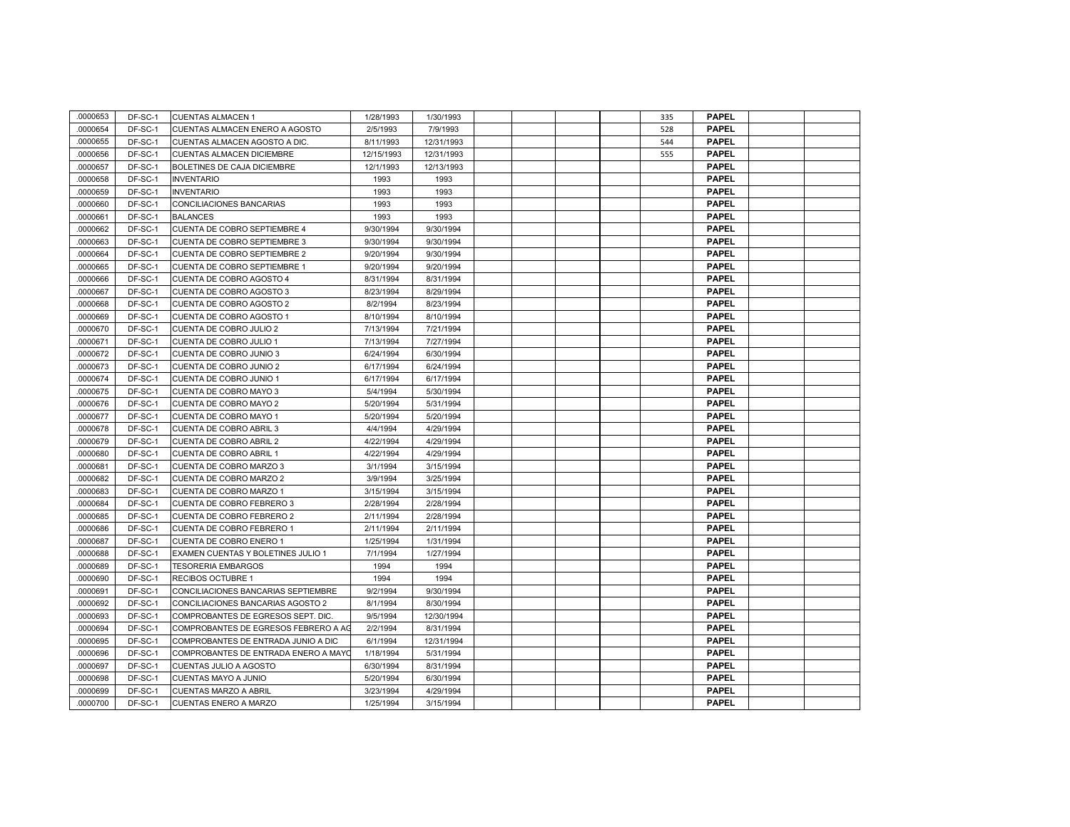| .0000653 | DF-SC-1 | <b>CUENTAS ALMACEN 1</b>              | 1/28/1993  | 1/30/1993  |  |  | 335 | <b>PAPEL</b> |  |
|----------|---------|---------------------------------------|------------|------------|--|--|-----|--------------|--|
| 0000654  | DF-SC-1 | <b>CUENTAS ALMACEN ENERO A AGOSTO</b> | 2/5/1993   | 7/9/1993   |  |  | 528 | <b>PAPEL</b> |  |
| 0000655  | DF-SC-1 | CUENTAS ALMACEN AGOSTO A DIC.         | 8/11/1993  | 12/31/1993 |  |  | 544 | <b>PAPEL</b> |  |
| .0000656 | DF-SC-1 | CUENTAS ALMACEN DICIEMBRE             | 12/15/1993 | 12/31/1993 |  |  | 555 | <b>PAPEL</b> |  |
| 0000657  | DF-SC-1 | BOLETINES DE CAJA DICIEMBRE           | 12/1/1993  | 12/13/1993 |  |  |     | <b>PAPEL</b> |  |
| 0000658  | DF-SC-1 | <b>INVENTARIO</b>                     | 1993       | 1993       |  |  |     | <b>PAPEL</b> |  |
| 0000659  | DF-SC-1 | <b>INVENTARIO</b>                     | 1993       | 1993       |  |  |     | <b>PAPEL</b> |  |
| 0000660  | DF-SC-1 | CONCILIACIONES BANCARIAS              | 1993       | 1993       |  |  |     | <b>PAPEL</b> |  |
| 0000661  | DF-SC-1 | <b>BALANCES</b>                       | 1993       | 1993       |  |  |     | <b>PAPEL</b> |  |
| 0000662  | DF-SC-1 | CUENTA DE COBRO SEPTIEMBRE 4          | 9/30/1994  | 9/30/1994  |  |  |     | <b>PAPEL</b> |  |
| 0000663  | DF-SC-1 | CUENTA DE COBRO SEPTIEMBRE 3          | 9/30/1994  | 9/30/1994  |  |  |     | <b>PAPEL</b> |  |
| 0000664  | DF-SC-1 | CUENTA DE COBRO SEPTIEMBRE 2          | 9/20/1994  | 9/30/1994  |  |  |     | <b>PAPEL</b> |  |
| 0000665  | DF-SC-1 | CUENTA DE COBRO SEPTIEMBRE 1          | 9/20/1994  | 9/20/1994  |  |  |     | <b>PAPEL</b> |  |
| .0000666 | DF-SC-1 | CUENTA DE COBRO AGOSTO 4              | 8/31/1994  | 8/31/1994  |  |  |     | <b>PAPEL</b> |  |
| 0000667  | DF-SC-1 | CUENTA DE COBRO AGOSTO 3              | 8/23/1994  | 8/29/1994  |  |  |     | <b>PAPEL</b> |  |
| 0000668  | DF-SC-1 | CUENTA DE COBRO AGOSTO 2              | 8/2/1994   | 8/23/1994  |  |  |     | <b>PAPEL</b> |  |
| 0000669  | DF-SC-1 | CUENTA DE COBRO AGOSTO 1              | 8/10/1994  | 8/10/1994  |  |  |     | <b>PAPEL</b> |  |
| 0000670  | DF-SC-1 | CUENTA DE COBRO JULIO 2               | 7/13/1994  | 7/21/1994  |  |  |     | <b>PAPEL</b> |  |
| 0000671  | DF-SC-1 | CUENTA DE COBRO JULIO 1               | 7/13/1994  | 7/27/1994  |  |  |     | <b>PAPEL</b> |  |
| 0000672  | DF-SC-1 | CUENTA DE COBRO JUNIO 3               | 6/24/1994  | 6/30/1994  |  |  |     | <b>PAPEL</b> |  |
| 0000673  | DF-SC-1 | CUENTA DE COBRO JUNIO 2               | 6/17/1994  | 6/24/1994  |  |  |     | <b>PAPEL</b> |  |
| 0000674  | DF-SC-1 | CUENTA DE COBRO JUNIO 1               | 6/17/1994  | 6/17/1994  |  |  |     | <b>PAPEL</b> |  |
| 0000675  | DF-SC-1 | CUENTA DE COBRO MAYO 3                | 5/4/1994   | 5/30/1994  |  |  |     | <b>PAPEL</b> |  |
| 0000676  | DF-SC-1 | CUENTA DE COBRO MAYO 2                | 5/20/1994  | 5/31/1994  |  |  |     | <b>PAPEL</b> |  |
| 0000677  | DF-SC-1 | CUENTA DE COBRO MAYO 1                | 5/20/1994  | 5/20/1994  |  |  |     | <b>PAPEL</b> |  |
| 0000678  | DF-SC-1 | CUENTA DE COBRO ABRIL 3               | 4/4/1994   | 4/29/1994  |  |  |     | <b>PAPEL</b> |  |
| 0000679  | DF-SC-1 | CUENTA DE COBRO ABRIL 2               | 4/22/1994  | 4/29/1994  |  |  |     | <b>PAPEL</b> |  |
| 0000680  | DF-SC-1 | CUENTA DE COBRO ABRIL 1               | 4/22/1994  | 4/29/1994  |  |  |     | <b>PAPEL</b> |  |
| 0000681  | DF-SC-1 | CUENTA DE COBRO MARZO 3               | 3/1/1994   | 3/15/1994  |  |  |     | <b>PAPEL</b> |  |
| 0000682  | DF-SC-1 | CUENTA DE COBRO MARZO 2               | 3/9/1994   | 3/25/1994  |  |  |     | <b>PAPEL</b> |  |
| 0000683  | DF-SC-1 | CUENTA DE COBRO MARZO 1               | 3/15/1994  | 3/15/1994  |  |  |     | <b>PAPEL</b> |  |
| 0000684  | DF-SC-1 | CUENTA DE COBRO FEBRERO 3             | 2/28/1994  | 2/28/1994  |  |  |     | <b>PAPEL</b> |  |
| 0000685  | DF-SC-1 | CUENTA DE COBRO FEBRERO 2             | 2/11/1994  | 2/28/1994  |  |  |     | <b>PAPEL</b> |  |
| 0000686  | DF-SC-1 | <b>CUENTA DE COBRO FEBRERO 1</b>      | 2/11/1994  | 2/11/1994  |  |  |     | <b>PAPEL</b> |  |
| 0000687  | DF-SC-1 | CUENTA DE COBRO ENERO 1               | 1/25/1994  | 1/31/1994  |  |  |     | <b>PAPEL</b> |  |
| 0000688  | DF-SC-1 | EXAMEN CUENTAS Y BOLETINES JULIO 1    | 7/1/1994   | 1/27/1994  |  |  |     | <b>PAPEL</b> |  |
| 0000689  | DF-SC-1 | <b>TESORERIA EMBARGOS</b>             | 1994       | 1994       |  |  |     | <b>PAPEL</b> |  |
| 0000690  | DF-SC-1 | RECIBOS OCTUBRE 1                     | 1994       | 1994       |  |  |     | <b>PAPEL</b> |  |
| 0000691  | DF-SC-1 | CONCILIACIONES BANCARIAS SEPTIEMBRE   | 9/2/1994   | 9/30/1994  |  |  |     | <b>PAPEL</b> |  |
| 0000692  | DF-SC-1 | CONCILIACIONES BANCARIAS AGOSTO 2     | 8/1/1994   | 8/30/1994  |  |  |     | <b>PAPEL</b> |  |
| .0000693 | DF-SC-1 | COMPROBANTES DE EGRESOS SEPT. DIC.    | 9/5/1994   | 12/30/1994 |  |  |     | <b>PAPEL</b> |  |
| 0000694  | DF-SC-1 | COMPROBANTES DE EGRESOS FEBRERO A AG  | 2/2/1994   | 8/31/1994  |  |  |     | <b>PAPEL</b> |  |
| 0000695  | DF-SC-1 | COMPROBANTES DE ENTRADA JUNIO A DIC   | 6/1/1994   | 12/31/1994 |  |  |     | <b>PAPEL</b> |  |
| 0000696  | DF-SC-1 | COMPROBANTES DE ENTRADA ENERO A MAYO  | 1/18/1994  | 5/31/1994  |  |  |     | <b>PAPEL</b> |  |
| 0000697  | DF-SC-1 | CUENTAS JULIO A AGOSTO                | 6/30/1994  | 8/31/1994  |  |  |     | <b>PAPEL</b> |  |
| 0000698  | DF-SC-1 | CUENTAS MAYO A JUNIO                  | 5/20/1994  | 6/30/1994  |  |  |     | <b>PAPEL</b> |  |
| 0000699  | DF-SC-1 | <b>CUENTAS MARZO A ABRIL</b>          | 3/23/1994  | 4/29/1994  |  |  |     | <b>PAPEL</b> |  |
| 0000700  | DF-SC-1 | <b>CUENTAS ENERO A MARZO</b>          | 1/25/1994  | 3/15/1994  |  |  |     | <b>PAPEL</b> |  |
|          |         |                                       |            |            |  |  |     |              |  |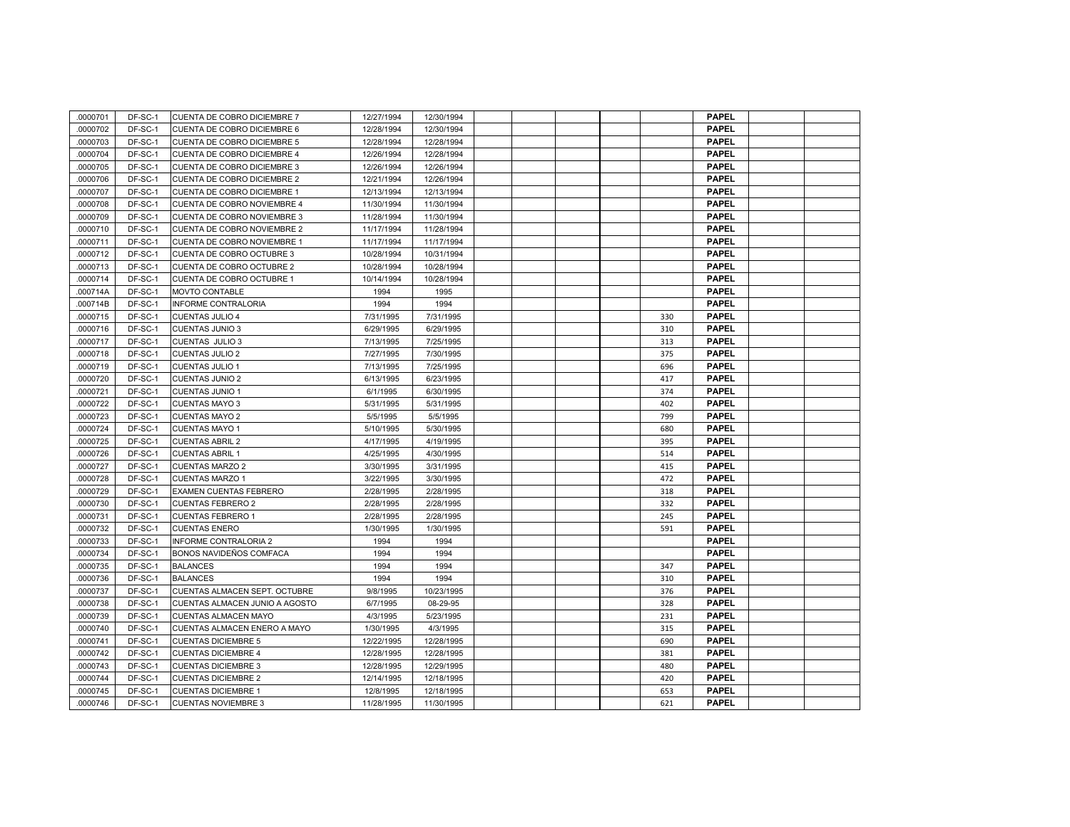| .0000701 | DF-SC-1 | CUENTA DE COBRO DICIEMBRE 7        | 12/27/1994 | 12/30/1994 |  |  |     | <b>PAPEL</b> |  |
|----------|---------|------------------------------------|------------|------------|--|--|-----|--------------|--|
| 0000702  | DF-SC-1 | CUENTA DE COBRO DICIEMBRE 6        | 12/28/1994 | 12/30/1994 |  |  |     | <b>PAPEL</b> |  |
| 0000703  | DF-SC-1 | CUENTA DE COBRO DICIEMBRE 5        | 12/28/1994 | 12/28/1994 |  |  |     | <b>PAPEL</b> |  |
| 0000704  | DF-SC-1 | CUENTA DE COBRO DICIEMBRE 4        | 12/26/1994 | 12/28/1994 |  |  |     | <b>PAPEL</b> |  |
| .0000705 | DF-SC-1 | CUENTA DE COBRO DICIEMBRE 3        | 12/26/1994 | 12/26/1994 |  |  |     | <b>PAPEL</b> |  |
| 0000706  | DF-SC-1 | CUENTA DE COBRO DICIEMBRE 2        | 12/21/1994 | 12/26/1994 |  |  |     | <b>PAPEL</b> |  |
| 0000707  | DF-SC-1 | <b>CUENTA DE COBRO DICIEMBRE 1</b> | 12/13/1994 | 12/13/1994 |  |  |     | <b>PAPEL</b> |  |
| 0000708  | DF-SC-1 | CUENTA DE COBRO NOVIEMBRE 4        | 11/30/1994 | 11/30/1994 |  |  |     | <b>PAPEL</b> |  |
| 0000709  | DF-SC-1 | CUENTA DE COBRO NOVIEMBRE 3        | 11/28/1994 | 11/30/1994 |  |  |     | <b>PAPEL</b> |  |
| 0000710  | DF-SC-1 | CUENTA DE COBRO NOVIEMBRE 2        | 11/17/1994 | 11/28/1994 |  |  |     | <b>PAPEL</b> |  |
| 0000711  | DF-SC-1 | CUENTA DE COBRO NOVIEMBRE 1        | 11/17/1994 | 11/17/1994 |  |  |     | <b>PAPEL</b> |  |
| 0000712  | DF-SC-1 | CUENTA DE COBRO OCTUBRE 3          | 10/28/1994 | 10/31/1994 |  |  |     | <b>PAPEL</b> |  |
| 0000713  | DF-SC-1 | CUENTA DE COBRO OCTUBRE 2          | 10/28/1994 | 10/28/1994 |  |  |     | <b>PAPEL</b> |  |
| 0000714  | DF-SC-1 | CUENTA DE COBRO OCTUBRE 1          | 10/14/1994 | 10/28/1994 |  |  |     | <b>PAPEL</b> |  |
| .000714A | DF-SC-1 | MOVTO CONTABLE                     | 1994       | 1995       |  |  |     | <b>PAPEL</b> |  |
| .000714B | DF-SC-1 | INFORME CONTRALORIA                | 1994       | 1994       |  |  |     | <b>PAPEL</b> |  |
| 0000715  | DF-SC-1 | <b>CUENTAS JULIO 4</b>             | 7/31/1995  | 7/31/1995  |  |  | 330 | <b>PAPEL</b> |  |
| 0000716  | DF-SC-1 | <b>CUENTAS JUNIO 3</b>             | 6/29/1995  | 6/29/1995  |  |  | 310 | <b>PAPEL</b> |  |
| 0000717  | DF-SC-1 | <b>CUENTAS JULIO 3</b>             | 7/13/1995  | 7/25/1995  |  |  | 313 | <b>PAPEL</b> |  |
| 0000718  | DF-SC-1 | <b>CUENTAS JULIO 2</b>             | 7/27/1995  | 7/30/1995  |  |  | 375 | <b>PAPEL</b> |  |
| 0000719  | DF-SC-1 | <b>CUENTAS JULIO 1</b>             | 7/13/1995  | 7/25/1995  |  |  | 696 | <b>PAPEL</b> |  |
| 0000720  | DF-SC-1 | <b>CUENTAS JUNIO 2</b>             | 6/13/1995  | 6/23/1995  |  |  | 417 | <b>PAPEL</b> |  |
| 0000721  | DF-SC-1 | <b>CUENTAS JUNIO 1</b>             | 6/1/1995   | 6/30/1995  |  |  | 374 | <b>PAPEL</b> |  |
| 0000722  | DF-SC-1 | <b>CUENTAS MAYO 3</b>              | 5/31/1995  | 5/31/1995  |  |  | 402 | <b>PAPEL</b> |  |
| 0000723  | DF-SC-1 | <b>CUENTAS MAYO 2</b>              | 5/5/1995   | 5/5/1995   |  |  | 799 | <b>PAPEL</b> |  |
| 0000724  | DF-SC-1 | <b>CUENTAS MAYO 1</b>              | 5/10/1995  | 5/30/1995  |  |  | 680 | <b>PAPEL</b> |  |
| 0000725  | DF-SC-1 | <b>CUENTAS ABRIL 2</b>             | 4/17/1995  | 4/19/1995  |  |  | 395 | <b>PAPEL</b> |  |
| 0000726  | DF-SC-1 | <b>CUENTAS ABRIL 1</b>             | 4/25/1995  | 4/30/1995  |  |  | 514 | <b>PAPEL</b> |  |
| 0000727  | DF-SC-1 | <b>CUENTAS MARZO 2</b>             | 3/30/1995  | 3/31/1995  |  |  | 415 | <b>PAPEL</b> |  |
| 0000728  | DF-SC-1 | <b>CUENTAS MARZO 1</b>             | 3/22/1995  | 3/30/1995  |  |  | 472 | <b>PAPEL</b> |  |
| 0000729  | DF-SC-1 | EXAMEN CUENTAS FEBRERO             | 2/28/1995  | 2/28/1995  |  |  | 318 | <b>PAPEL</b> |  |
| 0000730  | DF-SC-1 | <b>CUENTAS FEBRERO 2</b>           | 2/28/1995  | 2/28/1995  |  |  | 332 | <b>PAPEL</b> |  |
| 0000731  | DF-SC-1 | <b>CUENTAS FEBRERO 1</b>           | 2/28/1995  | 2/28/1995  |  |  | 245 | <b>PAPEL</b> |  |
| .0000732 | DF-SC-1 | <b>CUENTAS ENERO</b>               | 1/30/1995  | 1/30/1995  |  |  | 591 | <b>PAPEL</b> |  |
| 0000733  | DF-SC-1 | INFORME CONTRALORIA 2              | 1994       | 1994       |  |  |     | <b>PAPEL</b> |  |
| 0000734  | DF-SC-1 | BONOS NAVIDEÑOS COMFACA            | 1994       | 1994       |  |  |     | <b>PAPEL</b> |  |
| 0000735  | DF-SC-1 | <b>BALANCES</b>                    | 1994       | 1994       |  |  | 347 | <b>PAPEL</b> |  |
| 0000736  | DF-SC-1 | <b>BALANCES</b>                    | 1994       | 1994       |  |  | 310 | <b>PAPEL</b> |  |
| 0000737  | DF-SC-1 | CUENTAS ALMACEN SEPT. OCTUBRE      | 9/8/1995   | 10/23/1995 |  |  | 376 | <b>PAPEL</b> |  |
| 0000738  | DF-SC-1 | CUENTAS ALMACEN JUNIO A AGOSTO     | 6/7/1995   | 08-29-95   |  |  | 328 | <b>PAPEL</b> |  |
| 0000739  | DF-SC-1 | <b>CUENTAS ALMACEN MAYO</b>        | 4/3/1995   | 5/23/1995  |  |  | 231 | <b>PAPEL</b> |  |
| 0000740  | DF-SC-1 | CUENTAS ALMACEN ENERO A MAYO       | 1/30/1995  | 4/3/1995   |  |  | 315 | <b>PAPEL</b> |  |
| 0000741  | DF-SC-1 | <b>CUENTAS DICIEMBRE 5</b>         | 12/22/1995 | 12/28/1995 |  |  | 690 | <b>PAPEL</b> |  |
| 0000742  | DF-SC-1 | <b>CUENTAS DICIEMBRE 4</b>         | 12/28/1995 | 12/28/1995 |  |  | 381 | <b>PAPEL</b> |  |
| 0000743  | DF-SC-1 | <b>CUENTAS DICIEMBRE 3</b>         | 12/28/1995 | 12/29/1995 |  |  | 480 | <b>PAPEL</b> |  |
| 0000744  | DF-SC-1 | <b>CUENTAS DICIEMBRE 2</b>         | 12/14/1995 | 12/18/1995 |  |  | 420 | <b>PAPEL</b> |  |
| 0000745  | DF-SC-1 | <b>CUENTAS DICIEMBRE 1</b>         | 12/8/1995  | 12/18/1995 |  |  | 653 | <b>PAPEL</b> |  |
| 0000746  | DF-SC-1 | <b>CUENTAS NOVIEMBRE 3</b>         | 11/28/1995 | 11/30/1995 |  |  | 621 | <b>PAPEL</b> |  |
|          |         |                                    |            |            |  |  |     |              |  |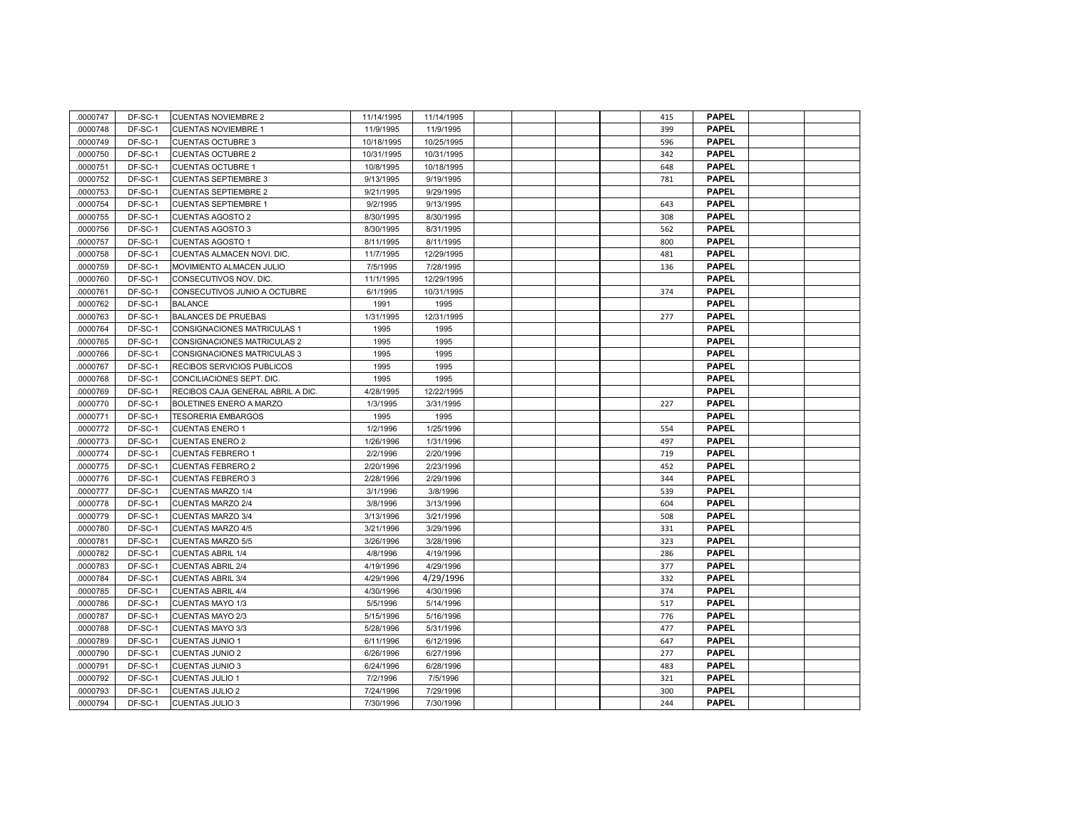| .0000747 | DF-SC-1 | <b>CUENTAS NOVIEMBRE 2</b>        | 11/14/1995 | 11/14/1995 |  |  | 415 | <b>PAPEL</b> |  |
|----------|---------|-----------------------------------|------------|------------|--|--|-----|--------------|--|
| 0000748  | DF-SC-1 | <b>CUENTAS NOVIEMBRE 1</b>        | 11/9/1995  | 11/9/1995  |  |  | 399 | <b>PAPEL</b> |  |
| 0000749  | DF-SC-1 | <b>CUENTAS OCTUBRE 3</b>          | 10/18/1995 | 10/25/1995 |  |  | 596 | <b>PAPEL</b> |  |
| 0000750  | DF-SC-1 | <b>CUENTAS OCTUBRE 2</b>          | 10/31/1995 | 10/31/1995 |  |  | 342 | <b>PAPEL</b> |  |
| .0000751 | DF-SC-1 | <b>CUENTAS OCTUBRE 1</b>          | 10/8/1995  | 10/18/1995 |  |  | 648 | <b>PAPEL</b> |  |
| 0000752  | DF-SC-1 | <b>CUENTAS SEPTIEMBRE 3</b>       | 9/13/1995  | 9/19/1995  |  |  | 781 | <b>PAPEL</b> |  |
| 0000753  | DF-SC-1 | <b>CUENTAS SEPTIEMBRE 2</b>       | 9/21/1995  | 9/29/1995  |  |  |     | <b>PAPEL</b> |  |
| 0000754  | DF-SC-1 | <b>CUENTAS SEPTIEMBRE 1</b>       | 9/2/1995   | 9/13/1995  |  |  | 643 | <b>PAPEL</b> |  |
| 0000755  | DF-SC-1 | <b>CUENTAS AGOSTO 2</b>           | 8/30/1995  | 8/30/1995  |  |  | 308 | <b>PAPEL</b> |  |
| 0000756  | DF-SC-1 | CUENTAS AGOSTO 3                  | 8/30/1995  | 8/31/1995  |  |  | 562 | <b>PAPEL</b> |  |
| 0000757  | DF-SC-1 | <b>CUENTAS AGOSTO 1</b>           | 8/11/1995  | 8/11/1995  |  |  | 800 | <b>PAPEL</b> |  |
| 0000758  | DF-SC-1 | CUENTAS ALMACEN NOVI. DIC.        | 11/7/1995  | 12/29/1995 |  |  | 481 | <b>PAPEL</b> |  |
| 0000759  | DF-SC-1 | MOVIMIENTO ALMACEN JULIO          | 7/5/1995   | 7/28/1995  |  |  | 136 | <b>PAPEL</b> |  |
| 0000760  | DF-SC-1 | CONSECUTIVOS NOV. DIC.            | 11/1/1995  | 12/29/1995 |  |  |     | <b>PAPEL</b> |  |
| 0000761  | DF-SC-1 | CONSECUTIVOS JUNIO A OCTUBRE      | 6/1/1995   | 10/31/1995 |  |  | 374 | <b>PAPEL</b> |  |
| 0000762  | DF-SC-1 | <b>BALANCE</b>                    | 1991       | 1995       |  |  |     | <b>PAPEL</b> |  |
| 0000763  | DF-SC-1 | <b>BALANCES DE PRUEBAS</b>        | 1/31/1995  | 12/31/1995 |  |  | 277 | <b>PAPEL</b> |  |
| 0000764  | DF-SC-1 | CONSIGNACIONES MATRICULAS 1       | 1995       | 1995       |  |  |     | <b>PAPEL</b> |  |
| 0000765  | DF-SC-1 | CONSIGNACIONES MATRICULAS 2       | 1995       | 1995       |  |  |     | <b>PAPEL</b> |  |
| 0000766  | DF-SC-1 | CONSIGNACIONES MATRICULAS 3       | 1995       | 1995       |  |  |     | <b>PAPEL</b> |  |
| 0000767  | DF-SC-1 | RECIBOS SERVICIOS PUBLICOS        | 1995       | 1995       |  |  |     | <b>PAPEL</b> |  |
| 0000768  | DF-SC-1 | CONCILIACIONES SEPT. DIC.         | 1995       | 1995       |  |  |     | <b>PAPEL</b> |  |
| 0000769  | DF-SC-1 | RECIBOS CAJA GENERAL ABRIL A DIC. | 4/28/1995  | 12/22/1995 |  |  |     | <b>PAPEL</b> |  |
| 0000770  | DF-SC-1 | BOLETINES ENERO A MARZO           | 1/3/1995   | 3/31/1995  |  |  | 227 | <b>PAPEL</b> |  |
| 0000771  | DF-SC-1 | <b>TESORERIA EMBARGOS</b>         | 1995       | 1995       |  |  |     | <b>PAPEL</b> |  |
| 0000772  | DF-SC-1 | <b>CUENTAS ENERO 1</b>            | 1/2/1996   | 1/25/1996  |  |  | 554 | <b>PAPEL</b> |  |
| 0000773  | DF-SC-1 | <b>CUENTAS ENERO 2</b>            | 1/26/1996  | 1/31/1996  |  |  | 497 | <b>PAPEL</b> |  |
| 0000774  | DF-SC-1 | <b>CUENTAS FEBRERO 1</b>          | 2/2/1996   | 2/20/1996  |  |  | 719 | <b>PAPEL</b> |  |
| 0000775  | DF-SC-1 | <b>CUENTAS FEBRERO 2</b>          | 2/20/1996  | 2/23/1996  |  |  | 452 | <b>PAPEL</b> |  |
| 0000776  | DF-SC-1 | <b>CUENTAS FEBRERO 3</b>          | 2/28/1996  | 2/29/1996  |  |  | 344 | <b>PAPEL</b> |  |
| 0000777  | DF-SC-1 | CUENTAS MARZO 1/4                 | 3/1/1996   | 3/8/1996   |  |  | 539 | <b>PAPEL</b> |  |
| 0000778  | DF-SC-1 | <b>CUENTAS MARZO 2/4</b>          | 3/8/1996   | 3/13/1996  |  |  | 604 | <b>PAPEL</b> |  |
| 0000779  | DF-SC-1 | <b>CUENTAS MARZO 3/4</b>          | 3/13/1996  | 3/21/1996  |  |  | 508 | <b>PAPEL</b> |  |
| .0000780 | DF-SC-1 | <b>CUENTAS MARZO 4/5</b>          | 3/21/1996  | 3/29/1996  |  |  | 331 | <b>PAPEL</b> |  |
| 0000781  | DF-SC-1 | <b>CUENTAS MARZO 5/5</b>          | 3/26/1996  | 3/28/1996  |  |  | 323 | <b>PAPEL</b> |  |
| 0000782  | DF-SC-1 | <b>CUENTAS ABRIL 1/4</b>          | 4/8/1996   | 4/19/1996  |  |  | 286 | <b>PAPEL</b> |  |
| 0000783  | DF-SC-1 | <b>CUENTAS ABRIL 2/4</b>          | 4/19/1996  | 4/29/1996  |  |  | 377 | <b>PAPEL</b> |  |
| 0000784  | DF-SC-1 | <b>CUENTAS ABRIL 3/4</b>          | 4/29/1996  | 4/29/1996  |  |  | 332 | <b>PAPEL</b> |  |
| 0000785  | DF-SC-1 | <b>CUENTAS ABRIL 4/4</b>          | 4/30/1996  | 4/30/1996  |  |  | 374 | <b>PAPEL</b> |  |
| 0000786  | DF-SC-1 | CUENTAS MAYO 1/3                  | 5/5/1996   | 5/14/1996  |  |  | 517 | <b>PAPEL</b> |  |
| 0000787  | DF-SC-1 | <b>CUENTAS MAYO 2/3</b>           | 5/15/1996  | 5/16/1996  |  |  | 776 | <b>PAPEL</b> |  |
| 0000788  | DF-SC-1 | <b>CUENTAS MAYO 3/3</b>           | 5/28/1996  | 5/31/1996  |  |  | 477 | <b>PAPEL</b> |  |
| 0000789  | DF-SC-1 | <b>CUENTAS JUNIO 1</b>            | 6/11/1996  | 6/12/1996  |  |  | 647 | <b>PAPEL</b> |  |
| 0000790  | DF-SC-1 | <b>CUENTAS JUNIO 2</b>            | 6/26/1996  | 6/27/1996  |  |  | 277 | <b>PAPEL</b> |  |
| 0000791  | DF-SC-1 | <b>CUENTAS JUNIO 3</b>            | 6/24/1996  | 6/28/1996  |  |  | 483 | <b>PAPEL</b> |  |
| 0000792  | DF-SC-1 | <b>CUENTAS JULIO 1</b>            | 7/2/1996   | 7/5/1996   |  |  | 321 | <b>PAPEL</b> |  |
| 0000793  | DF-SC-1 | <b>CUENTAS JULIO 2</b>            | 7/24/1996  | 7/29/1996  |  |  | 300 | <b>PAPEL</b> |  |
| 0000794  | DF-SC-1 | <b>CUENTAS JULIO 3</b>            | 7/30/1996  | 7/30/1996  |  |  | 244 | <b>PAPEL</b> |  |
|          |         |                                   |            |            |  |  |     |              |  |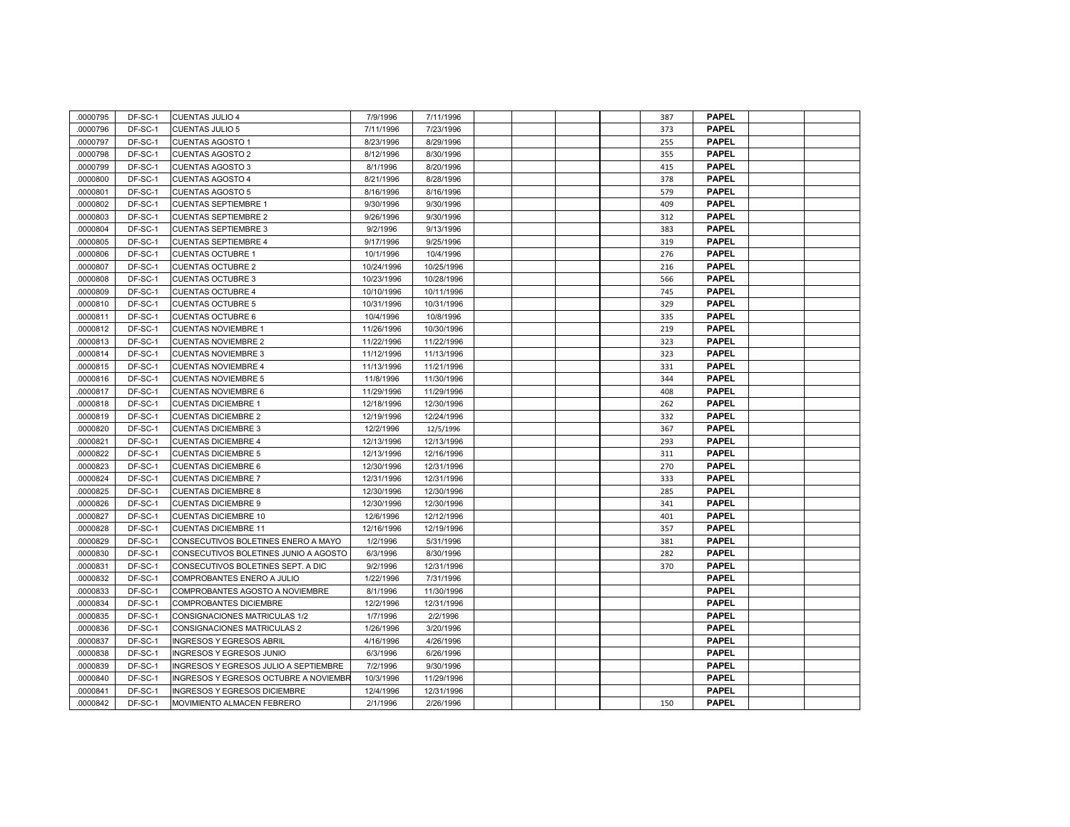| 0000795  | DF-SC-1 | <b>CUENTAS JULIO 4</b>                | 7/9/1996   | 7/11/1996  |  |  | 387 | <b>PAPEL</b> |  |
|----------|---------|---------------------------------------|------------|------------|--|--|-----|--------------|--|
| 0000796  | DF-SC-1 | <b>CUENTAS JULIO 5</b>                | 7/11/1996  | 7/23/1996  |  |  | 373 | <b>PAPEL</b> |  |
| 0000797  | DF-SC-1 | <b>CUENTAS AGOSTO 1</b>               | 8/23/1996  | 8/29/1996  |  |  | 255 | <b>PAPEL</b> |  |
| 0000798  | DF-SC-1 | <b>CUENTAS AGOSTO 2</b>               | 8/12/1996  | 8/30/1996  |  |  | 355 | <b>PAPEL</b> |  |
| 0000799  | DF-SC-1 | CUENTAS AGOSTO 3                      | 8/1/1996   | 8/20/1996  |  |  | 415 | <b>PAPEL</b> |  |
| 0000800  | DF-SC-1 | <b>CUENTAS AGOSTO 4</b>               | 8/21/1996  | 8/28/1996  |  |  | 378 | <b>PAPEL</b> |  |
| 0000801  | DF-SC-1 | <b>CUENTAS AGOSTO 5</b>               | 8/16/1996  | 8/16/1996  |  |  | 579 | <b>PAPEL</b> |  |
| 0000802  | DF-SC-1 | <b>CUENTAS SEPTIEMBRE 1</b>           | 9/30/1996  | 9/30/1996  |  |  | 409 | <b>PAPEL</b> |  |
| 0000803  | DF-SC-1 | <b>CUENTAS SEPTIEMBRE 2</b>           | 9/26/1996  | 9/30/1996  |  |  | 312 | <b>PAPEL</b> |  |
| 0000804  | DF-SC-1 | <b>CUENTAS SEPTIEMBRE 3</b>           | 9/2/1996   | 9/13/1996  |  |  | 383 | <b>PAPEL</b> |  |
| 0000805  | DF-SC-1 | <b>CUENTAS SEPTIEMBRE 4</b>           | 9/17/1996  | 9/25/1996  |  |  | 319 | <b>PAPEL</b> |  |
| .0000806 | DF-SC-1 | <b>CUENTAS OCTUBRE 1</b>              | 10/1/1996  | 10/4/1996  |  |  | 276 | <b>PAPEL</b> |  |
| 0000807  | DF-SC-1 | <b>CUENTAS OCTUBRE 2</b>              | 10/24/1996 | 10/25/1996 |  |  | 216 | <b>PAPEL</b> |  |
| 0000808  | DF-SC-1 | <b>CUENTAS OCTUBRE 3</b>              | 10/23/1996 | 10/28/1996 |  |  | 566 | <b>PAPEL</b> |  |
| 0000809  | DF-SC-1 | <b>CUENTAS OCTUBRE 4</b>              | 10/10/1996 | 10/11/1996 |  |  | 745 | <b>PAPEL</b> |  |
| 0000810  | DF-SC-1 | <b>CUENTAS OCTUBRE 5</b>              | 10/31/1996 | 10/31/1996 |  |  | 329 | <b>PAPEL</b> |  |
| 0000811  | DF-SC-1 | <b>CUENTAS OCTUBRE 6</b>              | 10/4/1996  | 10/8/1996  |  |  | 335 | <b>PAPEL</b> |  |
| 0000812  | DF-SC-1 | CUENTAS NOVIEMBRE 1                   | 11/26/1996 | 10/30/1996 |  |  | 219 | <b>PAPEL</b> |  |
| 0000813  | DF-SC-1 | <b>CUENTAS NOVIEMBRE 2</b>            | 11/22/1996 | 11/22/1996 |  |  | 323 | <b>PAPEL</b> |  |
| 0000814  | DF-SC-1 | <b>CUENTAS NOVIEMBRE 3</b>            | 11/12/1996 | 11/13/1996 |  |  | 323 | <b>PAPEL</b> |  |
| 0000815  | DF-SC-1 | <b>CUENTAS NOVIEMBRE 4</b>            | 11/13/1996 | 11/21/1996 |  |  | 331 | <b>PAPEL</b> |  |
| 0000816  | DF-SC-1 | <b>CUENTAS NOVIEMBRE 5</b>            | 11/8/1996  | 11/30/1996 |  |  | 344 | <b>PAPEL</b> |  |
| 0000817  | DF-SC-1 | <b>CUENTAS NOVIEMBRE 6</b>            | 11/29/1996 | 11/29/1996 |  |  | 408 | <b>PAPEL</b> |  |
| 0000818  | DF-SC-1 | <b>CUENTAS DICIEMBRE 1</b>            | 12/18/1996 | 12/30/1996 |  |  | 262 | <b>PAPEL</b> |  |
| 0000819  | DF-SC-1 | <b>CUENTAS DICIEMBRE 2</b>            | 12/19/1996 | 12/24/1996 |  |  | 332 | <b>PAPEL</b> |  |
| 0000820  | DF-SC-1 | <b>CUENTAS DICIEMBRE 3</b>            | 12/2/1996  | 12/5/1996  |  |  | 367 | <b>PAPEL</b> |  |
| 0000821  | DF-SC-1 | <b>CUENTAS DICIEMBRE 4</b>            | 12/13/1996 | 12/13/1996 |  |  | 293 | <b>PAPEL</b> |  |
| 0000822  | DF-SC-1 | <b>CUENTAS DICIEMBRE 5</b>            | 12/13/1996 | 12/16/1996 |  |  | 311 | <b>PAPEL</b> |  |
| 0000823  | DF-SC-1 | <b>CUENTAS DICIEMBRE 6</b>            | 12/30/1996 | 12/31/1996 |  |  | 270 | <b>PAPEL</b> |  |
| 0000824  | DF-SC-1 | <b>CUENTAS DICIEMBRE 7</b>            | 12/31/1996 | 12/31/1996 |  |  | 333 | <b>PAPEL</b> |  |
| 0000825  | DF-SC-1 | <b>CUENTAS DICIEMBRE 8</b>            | 12/30/1996 | 12/30/1996 |  |  | 285 | <b>PAPEL</b> |  |
| 0000826  | DF-SC-1 | <b>CUENTAS DICIEMBRE 9</b>            | 12/30/1996 | 12/30/1996 |  |  | 341 | <b>PAPEL</b> |  |
| 0000827  | DF-SC-1 | <b>CUENTAS DICIEMBRE 10</b>           | 12/6/1996  | 12/12/1996 |  |  | 401 | <b>PAPEL</b> |  |
| 0000828  | DF-SC-1 | <b>CUENTAS DICIEMBRE 11</b>           | 12/16/1996 | 12/19/1996 |  |  | 357 | <b>PAPEL</b> |  |
| 0000829  | DF-SC-1 | CONSECUTIVOS BOLETINES ENERO A MAYO   | 1/2/1996   | 5/31/1996  |  |  | 381 | <b>PAPEL</b> |  |
| 0000830  | DF-SC-1 | CONSECUTIVOS BOLETINES JUNIO A AGOSTO | 6/3/1996   | 8/30/1996  |  |  | 282 | <b>PAPEL</b> |  |
| 0000831  | DF-SC-1 | CONSECUTIVOS BOLETINES SEPT. A DIC    | 9/2/1996   | 12/31/1996 |  |  | 370 | <b>PAPEL</b> |  |
| 0000832  | DF-SC-1 | COMPROBANTES ENERO A JULIO            | 1/22/1996  | 7/31/1996  |  |  |     | <b>PAPEL</b> |  |
| .0000833 | DF-SC-1 | COMPROBANTES AGOSTO A NOVIEMBRE       | 8/1/1996   | 11/30/1996 |  |  |     | <b>PAPEL</b> |  |
| 0000834  | DF-SC-1 | COMPROBANTES DICIEMBRE                | 12/2/1996  | 12/31/1996 |  |  |     | <b>PAPEL</b> |  |
| .0000835 | DF-SC-1 | CONSIGNACIONES MATRICULAS 1/2         | 1/7/1996   | 2/2/1996   |  |  |     | <b>PAPEL</b> |  |
| 0000836  | DF-SC-1 | CONSIGNACIONES MATRICULAS 2           | 1/26/1996  | 3/20/1996  |  |  |     | <b>PAPEL</b> |  |
| 0000837  | DF-SC-1 | <b>INGRESOS Y EGRESOS ABRIL</b>       | 4/16/1996  | 4/26/1996  |  |  |     | <b>PAPEL</b> |  |
| 0000838  | DF-SC-1 | INGRESOS Y EGRESOS JUNIO              | 6/3/1996   | 6/26/1996  |  |  |     | <b>PAPEL</b> |  |
| 0000839  | DF-SC-1 | INGRESOS Y EGRESOS JULIO A SEPTIEMBRE | 7/2/1996   | 9/30/1996  |  |  |     | <b>PAPEL</b> |  |
| 0000840  | DF-SC-1 | INGRESOS Y EGRESOS OCTUBRE A NOVIEMBF | 10/3/1996  | 11/29/1996 |  |  |     | <b>PAPEL</b> |  |
| 0000841  | DF-SC-1 | <b>INGRESOS Y EGRESOS DICIEMBRE</b>   | 12/4/1996  | 12/31/1996 |  |  |     | <b>PAPEL</b> |  |
| 0000842  | DF-SC-1 | MOVIMIENTO ALMACEN FEBRERO            | 2/1/1996   | 2/26/1996  |  |  | 150 | <b>PAPEL</b> |  |
|          |         |                                       |            |            |  |  |     |              |  |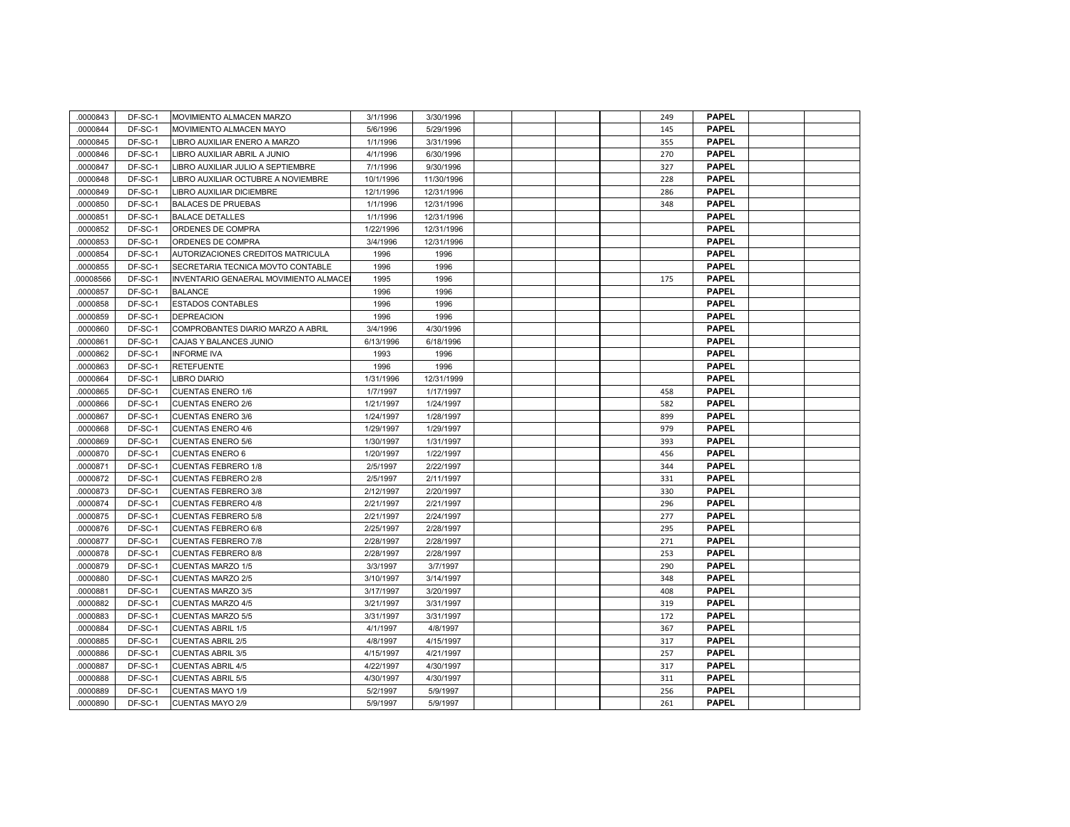| .0000843 | DF-SC-1 | MOVIMIENTO ALMACEN MARZO              | 3/1/1996  | 3/30/1996  |  |  | 249 | <b>PAPEL</b> |  |
|----------|---------|---------------------------------------|-----------|------------|--|--|-----|--------------|--|
| 0000844  | DF-SC-1 | MOVIMIENTO ALMACEN MAYO               | 5/6/1996  | 5/29/1996  |  |  | 145 | <b>PAPEL</b> |  |
| 0000845  | DF-SC-1 | LIBRO AUXILIAR ENERO A MARZO          | 1/1/1996  | 3/31/1996  |  |  | 355 | <b>PAPEL</b> |  |
| 0000846  | DF-SC-1 | LIBRO AUXILIAR ABRIL A JUNIO          | 4/1/1996  | 6/30/1996  |  |  | 270 | <b>PAPEL</b> |  |
| .0000847 | DF-SC-1 | LIBRO AUXILIAR JULIO A SEPTIEMBRE     | 7/1/1996  | 9/30/1996  |  |  | 327 | <b>PAPEL</b> |  |
| 0000848  | DF-SC-1 | LIBRO AUXILIAR OCTUBRE A NOVIEMBRE    | 10/1/1996 | 11/30/1996 |  |  | 228 | <b>PAPEL</b> |  |
| 0000849  | DF-SC-1 | LIBRO AUXILIAR DICIEMBRE              | 12/1/1996 | 12/31/1996 |  |  | 286 | <b>PAPEL</b> |  |
| 0000850  | DF-SC-1 | <b>BALACES DE PRUEBAS</b>             | 1/1/1996  | 12/31/1996 |  |  | 348 | <b>PAPEL</b> |  |
| 0000851  | DF-SC-1 | <b>BALACE DETALLES</b>                | 1/1/1996  | 12/31/1996 |  |  |     | <b>PAPEL</b> |  |
| 0000852  | DF-SC-1 | ORDENES DE COMPRA                     | 1/22/1996 | 12/31/1996 |  |  |     | <b>PAPEL</b> |  |
| 0000853  | DF-SC-1 | ORDENES DE COMPRA                     | 3/4/1996  | 12/31/1996 |  |  |     | <b>PAPEL</b> |  |
| 0000854  | DF-SC-1 | AUTORIZACIONES CREDITOS MATRICULA     | 1996      | 1996       |  |  |     | <b>PAPEL</b> |  |
| 0000855  | DF-SC-1 | SECRETARIA TECNICA MOVTO CONTABLE     | 1996      | 1996       |  |  |     | <b>PAPEL</b> |  |
| 00008566 | DF-SC-1 | INVENTARIO GENAERAL MOVIMIENTO ALMACE | 1995      | 1996       |  |  | 175 | <b>PAPEL</b> |  |
| 0000857  | DF-SC-1 | <b>BALANCE</b>                        | 1996      | 1996       |  |  |     | <b>PAPEL</b> |  |
| 0000858  | DF-SC-1 | <b>ESTADOS CONTABLES</b>              | 1996      | 1996       |  |  |     | <b>PAPEL</b> |  |
| 0000859  | DF-SC-1 | <b>DEPREACION</b>                     | 1996      | 1996       |  |  |     | <b>PAPEL</b> |  |
| 0000860  | DF-SC-1 | COMPROBANTES DIARIO MARZO A ABRIL     | 3/4/1996  | 4/30/1996  |  |  |     | <b>PAPEL</b> |  |
| 0000861  | DF-SC-1 | CAJAS Y BALANCES JUNIO                | 6/13/1996 | 6/18/1996  |  |  |     | <b>PAPEL</b> |  |
| 0000862  | DF-SC-1 | <b>INFORME IVA</b>                    | 1993      | 1996       |  |  |     | <b>PAPEL</b> |  |
| 0000863  | DF-SC-1 | <b>RETEFUENTE</b>                     | 1996      | 1996       |  |  |     | <b>PAPEL</b> |  |
| 0000864  | DF-SC-1 | <b>LIBRO DIARIO</b>                   | 1/31/1996 | 12/31/1999 |  |  |     | <b>PAPEL</b> |  |
| 0000865  | DF-SC-1 | <b>CUENTAS ENERO 1/6</b>              | 1/7/1997  | 1/17/1997  |  |  | 458 | <b>PAPEL</b> |  |
| .0000866 | DF-SC-1 | <b>CUENTAS ENERO 2/6</b>              | 1/21/1997 | 1/24/1997  |  |  | 582 | <b>PAPEL</b> |  |
| 0000867  | DF-SC-1 | <b>CUENTAS ENERO 3/6</b>              | 1/24/1997 | 1/28/1997  |  |  | 899 | <b>PAPEL</b> |  |
| 0000868  | DF-SC-1 | <b>CUENTAS ENERO 4/6</b>              | 1/29/1997 | 1/29/1997  |  |  | 979 | <b>PAPEL</b> |  |
| 0000869  | DF-SC-1 | <b>CUENTAS ENERO 5/6</b>              | 1/30/1997 | 1/31/1997  |  |  | 393 | <b>PAPEL</b> |  |
| 0000870  | DF-SC-1 | <b>CUENTAS ENERO 6</b>                | 1/20/1997 | 1/22/1997  |  |  | 456 | <b>PAPEL</b> |  |
| 0000871  | DF-SC-1 | <b>CUENTAS FEBRERO 1/8</b>            | 2/5/1997  | 2/22/1997  |  |  | 344 | <b>PAPEL</b> |  |
| 0000872  | DF-SC-1 | <b>CUENTAS FEBRERO 2/8</b>            | 2/5/1997  | 2/11/1997  |  |  | 331 | <b>PAPEL</b> |  |
| 0000873  | DF-SC-1 | <b>CUENTAS FEBRERO 3/8</b>            | 2/12/1997 | 2/20/1997  |  |  | 330 | <b>PAPEL</b> |  |
| 0000874  | DF-SC-1 | <b>CUENTAS FEBRERO 4/8</b>            | 2/21/1997 | 2/21/1997  |  |  | 296 | <b>PAPEL</b> |  |
| 0000875  | DF-SC-1 | <b>CUENTAS FEBRERO 5/8</b>            | 2/21/1997 | 2/24/1997  |  |  | 277 | <b>PAPEL</b> |  |
| 0000876  | DF-SC-1 | <b>CUENTAS FEBRERO 6/8</b>            | 2/25/1997 | 2/28/1997  |  |  | 295 | <b>PAPEL</b> |  |
| 0000877  | DF-SC-1 | <b>CUENTAS FEBRERO 7/8</b>            | 2/28/1997 | 2/28/1997  |  |  | 271 | <b>PAPEL</b> |  |
| 0000878  | DF-SC-1 | <b>CUENTAS FEBRERO 8/8</b>            | 2/28/1997 | 2/28/1997  |  |  | 253 | <b>PAPEL</b> |  |
| 0000879  | DF-SC-1 | <b>CUENTAS MARZO 1/5</b>              | 3/3/1997  | 3/7/1997   |  |  | 290 | <b>PAPEL</b> |  |
| 0000880  | DF-SC-1 | CUENTAS MARZO 2/5                     | 3/10/1997 | 3/14/1997  |  |  | 348 | <b>PAPEL</b> |  |
| 0000881  | DF-SC-1 | <b>CUENTAS MARZO 3/5</b>              | 3/17/1997 | 3/20/1997  |  |  | 408 | <b>PAPEL</b> |  |
| 0000882  | DF-SC-1 | CUENTAS MARZO 4/5                     | 3/21/1997 | 3/31/1997  |  |  | 319 | <b>PAPEL</b> |  |
| 0000883  | DF-SC-1 | <b>CUENTAS MARZO 5/5</b>              | 3/31/1997 | 3/31/1997  |  |  | 172 | <b>PAPEL</b> |  |
| 0000884  | DF-SC-1 | <b>CUENTAS ABRIL 1/5</b>              | 4/1/1997  | 4/8/1997   |  |  | 367 | <b>PAPEL</b> |  |
| 0000885  | DF-SC-1 | <b>CUENTAS ABRIL 2/5</b>              | 4/8/1997  | 4/15/1997  |  |  | 317 | <b>PAPEL</b> |  |
| 0000886  | DF-SC-1 | <b>CUENTAS ABRIL 3/5</b>              | 4/15/1997 | 4/21/1997  |  |  | 257 | <b>PAPEL</b> |  |
| 0000887  | DF-SC-1 | <b>CUENTAS ABRIL 4/5</b>              | 4/22/1997 | 4/30/1997  |  |  | 317 | <b>PAPEL</b> |  |
| 0000888  | DF-SC-1 | <b>CUENTAS ABRIL 5/5</b>              | 4/30/1997 | 4/30/1997  |  |  | 311 | <b>PAPEL</b> |  |
| 0000889  | DF-SC-1 | <b>CUENTAS MAYO 1/9</b>               | 5/2/1997  | 5/9/1997   |  |  | 256 | <b>PAPEL</b> |  |
| 0000890  | DF-SC-1 | <b>CUENTAS MAYO 2/9</b>               | 5/9/1997  | 5/9/1997   |  |  | 261 | <b>PAPEL</b> |  |
|          |         |                                       |           |            |  |  |     |              |  |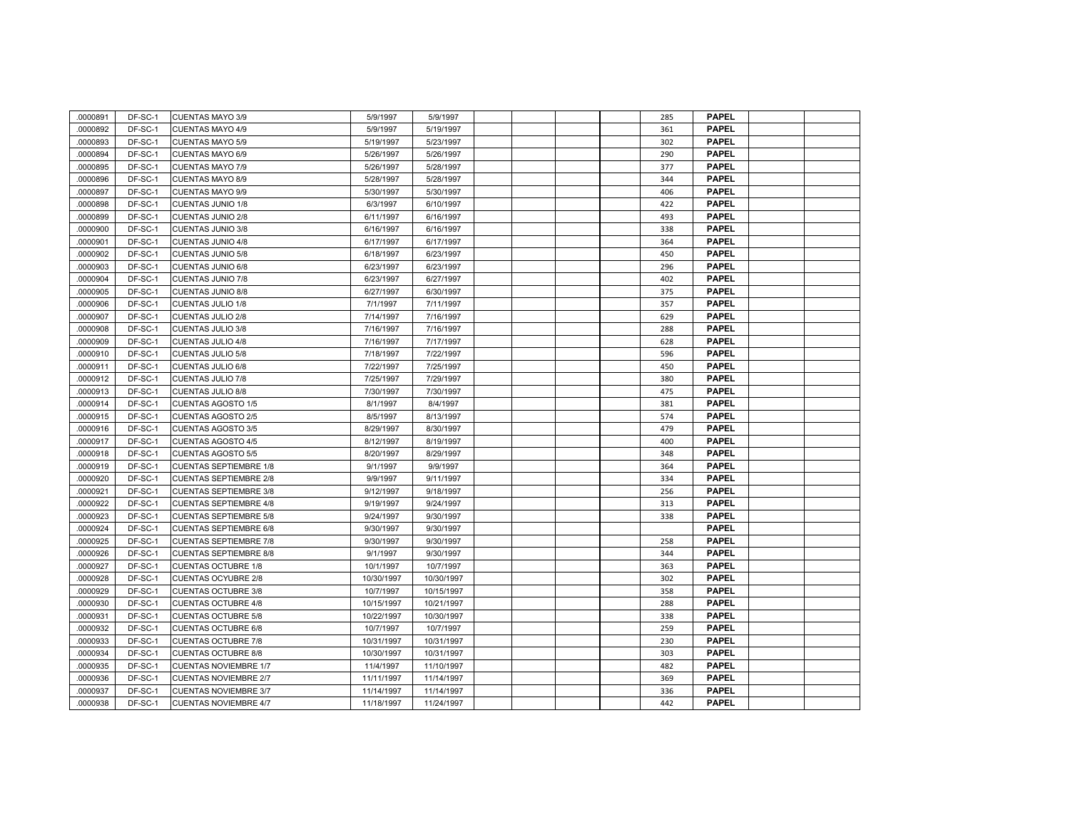| 0000891  | DF-SC-1 | <b>CUENTAS MAYO 3/9</b>       | 5/9/1997   | 5/9/1997   |  |  | 285 | <b>PAPEL</b> |  |
|----------|---------|-------------------------------|------------|------------|--|--|-----|--------------|--|
| 0000892  | DF-SC-1 | <b>CUENTAS MAYO 4/9</b>       | 5/9/1997   | 5/19/1997  |  |  | 361 | <b>PAPEL</b> |  |
| 0000893  | DF-SC-1 | <b>CUENTAS MAYO 5/9</b>       | 5/19/1997  | 5/23/1997  |  |  | 302 | <b>PAPEL</b> |  |
| 0000894  | DF-SC-1 | <b>CUENTAS MAYO 6/9</b>       | 5/26/1997  | 5/26/1997  |  |  | 290 | <b>PAPEL</b> |  |
| 0000895  | DF-SC-1 | <b>CUENTAS MAYO 7/9</b>       | 5/26/1997  | 5/28/1997  |  |  | 377 | <b>PAPEL</b> |  |
| 0000896  | DF-SC-1 | CUENTAS MAYO 8/9              | 5/28/1997  | 5/28/1997  |  |  | 344 | <b>PAPEL</b> |  |
| 0000897  | DF-SC-1 | <b>CUENTAS MAYO 9/9</b>       | 5/30/1997  | 5/30/1997  |  |  | 406 | <b>PAPEL</b> |  |
| 0000898  | DF-SC-1 | CUENTAS JUNIO 1/8             | 6/3/1997   | 6/10/1997  |  |  | 422 | <b>PAPEL</b> |  |
| 0000899  | DF-SC-1 | <b>CUENTAS JUNIO 2/8</b>      | 6/11/1997  | 6/16/1997  |  |  | 493 | <b>PAPEL</b> |  |
| .0000900 | DF-SC-1 | <b>CUENTAS JUNIO 3/8</b>      | 6/16/1997  | 6/16/1997  |  |  | 338 | <b>PAPEL</b> |  |
| 0000901  | DF-SC-1 | <b>CUENTAS JUNIO 4/8</b>      | 6/17/1997  | 6/17/1997  |  |  | 364 | <b>PAPEL</b> |  |
| 0000902  | DF-SC-1 | <b>CUENTAS JUNIO 5/8</b>      | 6/18/1997  | 6/23/1997  |  |  | 450 | <b>PAPEL</b> |  |
| .0000903 | DF-SC-1 | CUENTAS JUNIO 6/8             | 6/23/1997  | 6/23/1997  |  |  | 296 | <b>PAPEL</b> |  |
| .0000904 | DF-SC-1 | CUENTAS JUNIO 7/8             | 6/23/1997  | 6/27/1997  |  |  | 402 | <b>PAPEL</b> |  |
| 0000905  | DF-SC-1 | <b>CUENTAS JUNIO 8/8</b>      | 6/27/1997  | 6/30/1997  |  |  | 375 | <b>PAPEL</b> |  |
| .0000906 | DF-SC-1 | <b>CUENTAS JULIO 1/8</b>      | 7/1/1997   | 7/11/1997  |  |  | 357 | <b>PAPEL</b> |  |
| 0000907  | DF-SC-1 | <b>CUENTAS JULIO 2/8</b>      | 7/14/1997  | 7/16/1997  |  |  | 629 | <b>PAPEL</b> |  |
| 0000908  | DF-SC-1 | <b>CUENTAS JULIO 3/8</b>      | 7/16/1997  | 7/16/1997  |  |  | 288 | <b>PAPEL</b> |  |
| 0000909  | DF-SC-1 | <b>CUENTAS JULIO 4/8</b>      | 7/16/1997  | 7/17/1997  |  |  | 628 | <b>PAPEL</b> |  |
| 0000910  | DF-SC-1 | <b>CUENTAS JULIO 5/8</b>      | 7/18/1997  | 7/22/1997  |  |  | 596 | <b>PAPEL</b> |  |
| 0000911  | DF-SC-1 | CUENTAS JULIO 6/8             | 7/22/1997  | 7/25/1997  |  |  | 450 | <b>PAPEL</b> |  |
| 0000912  | DF-SC-1 | CUENTAS JULIO 7/8             | 7/25/1997  | 7/29/1997  |  |  | 380 | <b>PAPEL</b> |  |
| 0000913  | DF-SC-1 | <b>CUENTAS JULIO 8/8</b>      | 7/30/1997  | 7/30/1997  |  |  | 475 | <b>PAPEL</b> |  |
| 0000914  | DF-SC-1 | <b>CUENTAS AGOSTO 1/5</b>     | 8/1/1997   | 8/4/1997   |  |  | 381 | <b>PAPEL</b> |  |
| 0000915  | DF-SC-1 | <b>CUENTAS AGOSTO 2/5</b>     | 8/5/1997   | 8/13/1997  |  |  | 574 | <b>PAPEL</b> |  |
| 0000916  | DF-SC-1 | <b>CUENTAS AGOSTO 3/5</b>     | 8/29/1997  | 8/30/1997  |  |  | 479 | <b>PAPEL</b> |  |
| 0000917  | DF-SC-1 | <b>CUENTAS AGOSTO 4/5</b>     | 8/12/1997  | 8/19/1997  |  |  | 400 | <b>PAPEL</b> |  |
| 0000918  | DF-SC-1 | <b>CUENTAS AGOSTO 5/5</b>     | 8/20/1997  | 8/29/1997  |  |  | 348 | <b>PAPEL</b> |  |
| 0000919  | DF-SC-1 | <b>CUENTAS SEPTIEMBRE 1/8</b> | 9/1/1997   | 9/9/1997   |  |  | 364 | <b>PAPEL</b> |  |
| 0000920  | DF-SC-1 | <b>CUENTAS SEPTIEMBRE 2/8</b> | 9/9/1997   | 9/11/1997  |  |  | 334 | <b>PAPEL</b> |  |
| 0000921  | DF-SC-1 | <b>CUENTAS SEPTIEMBRE 3/8</b> | 9/12/1997  | 9/18/1997  |  |  | 256 | <b>PAPEL</b> |  |
| 0000922  | DF-SC-1 | <b>CUENTAS SEPTIEMBRE 4/8</b> | 9/19/1997  | 9/24/1997  |  |  | 313 | <b>PAPEL</b> |  |
| 0000923  | DF-SC-1 | <b>CUENTAS SEPTIEMBRE 5/8</b> | 9/24/1997  | 9/30/1997  |  |  | 338 | <b>PAPEL</b> |  |
| 0000924  | DF-SC-1 | <b>CUENTAS SEPTIEMBRE 6/8</b> | 9/30/1997  | 9/30/1997  |  |  |     | <b>PAPEL</b> |  |
| 0000925  | DF-SC-1 | <b>CUENTAS SEPTIEMBRE 7/8</b> | 9/30/1997  | 9/30/1997  |  |  | 258 | <b>PAPEL</b> |  |
| 0000926  | DF-SC-1 | <b>CUENTAS SEPTIEMBRE 8/8</b> | 9/1/1997   | 9/30/1997  |  |  | 344 | <b>PAPEL</b> |  |
| 0000927  | DF-SC-1 | <b>CUENTAS OCTUBRE 1/8</b>    | 10/1/1997  | 10/7/1997  |  |  | 363 | <b>PAPEL</b> |  |
| 0000928  | DF-SC-1 | <b>CUENTAS OCYUBRE 2/8</b>    | 10/30/1997 | 10/30/1997 |  |  | 302 | <b>PAPEL</b> |  |
| 0000929  | DF-SC-1 | <b>CUENTAS OCTUBRE 3/8</b>    | 10/7/1997  | 10/15/1997 |  |  | 358 | <b>PAPEL</b> |  |
| 0000930  | DF-SC-1 | <b>CUENTAS OCTUBRE 4/8</b>    | 10/15/1997 | 10/21/1997 |  |  | 288 | <b>PAPEL</b> |  |
| 0000931  | DF-SC-1 | <b>CUENTAS OCTUBRE 5/8</b>    | 10/22/1997 | 10/30/1997 |  |  | 338 | <b>PAPEL</b> |  |
| 0000932  | DF-SC-1 | <b>CUENTAS OCTUBRE 6/8</b>    | 10/7/1997  | 10/7/1997  |  |  | 259 | <b>PAPEL</b> |  |
| .0000933 | DF-SC-1 | <b>CUENTAS OCTUBRE 7/8</b>    | 10/31/1997 | 10/31/1997 |  |  | 230 | <b>PAPEL</b> |  |
| 0000934  | DF-SC-1 | <b>CUENTAS OCTUBRE 8/8</b>    | 10/30/1997 | 10/31/1997 |  |  | 303 | <b>PAPEL</b> |  |
| .0000935 | DF-SC-1 | <b>CUENTAS NOVIEMBRE 1/7</b>  | 11/4/1997  | 11/10/1997 |  |  | 482 | <b>PAPEL</b> |  |
| 0000936  | DF-SC-1 | <b>CUENTAS NOVIEMBRE 2/7</b>  | 11/11/1997 | 11/14/1997 |  |  | 369 | <b>PAPEL</b> |  |
| 0000937  | DF-SC-1 | <b>CUENTAS NOVIEMBRE 3/7</b>  | 11/14/1997 | 11/14/1997 |  |  | 336 | <b>PAPEL</b> |  |
| 0000938  | DF-SC-1 | <b>CUENTAS NOVIEMBRE 4/7</b>  | 11/18/1997 | 11/24/1997 |  |  | 442 | <b>PAPEL</b> |  |
|          |         |                               |            |            |  |  |     |              |  |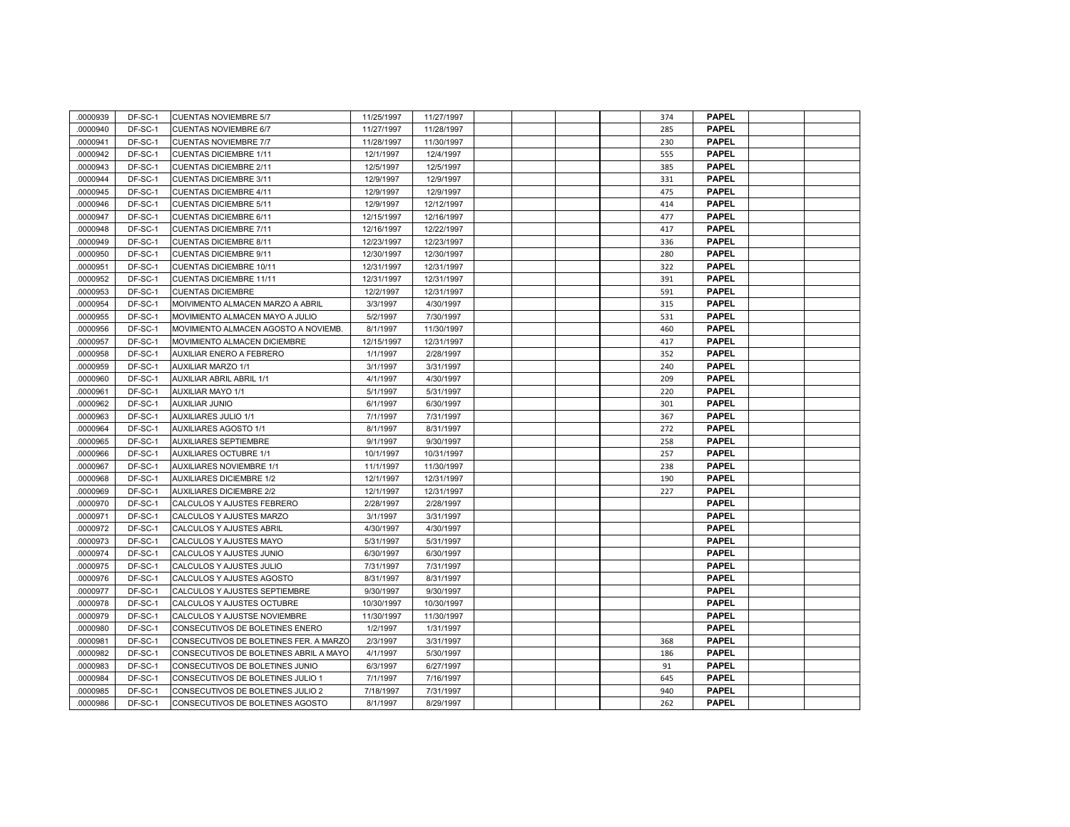| .0000939 | DF-SC-1 | <b>CUENTAS NOVIEMBRE 5/7</b>           | 11/25/1997 | 11/27/1997 |  |  | 374 | <b>PAPEL</b> |  |
|----------|---------|----------------------------------------|------------|------------|--|--|-----|--------------|--|
| 0000940  | DF-SC-1 | <b>CUENTAS NOVIEMBRE 6/7</b>           | 11/27/1997 | 11/28/1997 |  |  | 285 | <b>PAPEL</b> |  |
| 0000941  | DF-SC-1 | <b>CUENTAS NOVIEMBRE 7/7</b>           | 11/28/1997 | 11/30/1997 |  |  | 230 | <b>PAPEL</b> |  |
| 0000942  | DF-SC-1 | <b>CUENTAS DICIEMBRE 1/11</b>          | 12/1/1997  | 12/4/1997  |  |  | 555 | <b>PAPEL</b> |  |
| .0000943 | DF-SC-1 | <b>CUENTAS DICIEMBRE 2/11</b>          | 12/5/1997  | 12/5/1997  |  |  | 385 | <b>PAPEL</b> |  |
| 0000944  | DF-SC-1 | <b>CUENTAS DICIEMBRE 3/11</b>          | 12/9/1997  | 12/9/1997  |  |  | 331 | <b>PAPEL</b> |  |
| 0000945  | DF-SC-1 | <b>CUENTAS DICIEMBRE 4/11</b>          | 12/9/1997  | 12/9/1997  |  |  | 475 | <b>PAPEL</b> |  |
| 0000946  | DF-SC-1 | <b>CUENTAS DICIEMBRE 5/11</b>          | 12/9/1997  | 12/12/1997 |  |  | 414 | <b>PAPEL</b> |  |
| 0000947  | DF-SC-1 | <b>CUENTAS DICIEMBRE 6/11</b>          | 12/15/1997 | 12/16/1997 |  |  | 477 | <b>PAPEL</b> |  |
| 0000948  | DF-SC-1 | <b>CUENTAS DICIEMBRE 7/11</b>          | 12/16/1997 | 12/22/1997 |  |  | 417 | <b>PAPEL</b> |  |
| 0000949  | DF-SC-1 | <b>CUENTAS DICIEMBRE 8/11</b>          | 12/23/1997 | 12/23/1997 |  |  | 336 | <b>PAPEL</b> |  |
| .0000950 | DF-SC-1 | <b>CUENTAS DICIEMBRE 9/11</b>          | 12/30/1997 | 12/30/1997 |  |  | 280 | <b>PAPEL</b> |  |
| 0000951  | DF-SC-1 | <b>CUENTAS DICIEMBRE 10/11</b>         | 12/31/1997 | 12/31/1997 |  |  | 322 | <b>PAPEL</b> |  |
| 0000952  | DF-SC-1 | <b>CUENTAS DICIEMBRE 11/11</b>         | 12/31/1997 | 12/31/1997 |  |  | 391 | <b>PAPEL</b> |  |
| .0000953 | DF-SC-1 | <b>CUENTAS DICIEMBRE</b>               | 12/2/1997  | 12/31/1997 |  |  | 591 | <b>PAPEL</b> |  |
| 0000954  | DF-SC-1 | MOIVIMENTO ALMACEN MARZO A ABRIL       | 3/3/1997   | 4/30/1997  |  |  | 315 | <b>PAPEL</b> |  |
| 0000955  | DF-SC-1 | MOVIMIENTO ALMACEN MAYO A JULIO        | 5/2/1997   | 7/30/1997  |  |  | 531 | <b>PAPEL</b> |  |
| 0000956  | DF-SC-1 | MOVIMIENTO ALMACEN AGOSTO A NOVIEMB.   | 8/1/1997   | 11/30/1997 |  |  | 460 | <b>PAPEL</b> |  |
| 0000957  | DF-SC-1 | MOVIMIENTO ALMACEN DICIEMBRE           | 12/15/1997 | 12/31/1997 |  |  | 417 | <b>PAPEL</b> |  |
| 0000958  | DF-SC-1 | AUXILIAR ENERO A FEBRERO               | 1/1/1997   | 2/28/1997  |  |  | 352 | <b>PAPEL</b> |  |
| .0000959 | DF-SC-1 | <b>AUXILIAR MARZO 1/1</b>              | 3/1/1997   | 3/31/1997  |  |  | 240 | <b>PAPEL</b> |  |
| .0000960 | DF-SC-1 | AUXILIAR ABRIL ABRIL 1/1               | 4/1/1997   | 4/30/1997  |  |  | 209 | <b>PAPEL</b> |  |
| 0000961  | DF-SC-1 | <b>AUXILIAR MAYO 1/1</b>               | 5/1/1997   | 5/31/1997  |  |  | 220 | <b>PAPEL</b> |  |
| 0000962  | DF-SC-1 | <b>AUXILIAR JUNIO</b>                  | 6/1/1997   | 6/30/1997  |  |  | 301 | <b>PAPEL</b> |  |
| 0000963  | DF-SC-1 | <b>AUXILIARES JULIO 1/1</b>            | 7/1/1997   | 7/31/1997  |  |  | 367 | <b>PAPEL</b> |  |
| 0000964  | DF-SC-1 | <b>AUXILIARES AGOSTO 1/1</b>           | 8/1/1997   | 8/31/1997  |  |  | 272 | <b>PAPEL</b> |  |
| 0000965  | DF-SC-1 | <b>AUXILIARES SEPTIEMBRE</b>           | 9/1/1997   | 9/30/1997  |  |  | 258 | <b>PAPEL</b> |  |
| 0000966  | DF-SC-1 | <b>AUXILIARES OCTUBRE 1/1</b>          | 10/1/1997  | 10/31/1997 |  |  | 257 | <b>PAPEL</b> |  |
| 0000967  | DF-SC-1 | <b>AUXILIARES NOVIEMBRE 1/1</b>        | 11/1/1997  | 11/30/1997 |  |  | 238 | <b>PAPEL</b> |  |
| 0000968  | DF-SC-1 | <b>AUXILIARES DICIEMBRE 1/2</b>        | 12/1/1997  | 12/31/1997 |  |  | 190 | <b>PAPEL</b> |  |
| 0000969  | DF-SC-1 | <b>AUXILIARES DICIEMBRE 2/2</b>        | 12/1/1997  | 12/31/1997 |  |  | 227 | <b>PAPEL</b> |  |
| 0000970  | DF-SC-1 | CALCULOS Y AJUSTES FEBRERO             | 2/28/1997  | 2/28/1997  |  |  |     | <b>PAPEL</b> |  |
| 0000971  | DF-SC-1 | CALCULOS Y AJUSTES MARZO               | 3/1/1997   | 3/31/1997  |  |  |     | <b>PAPEL</b> |  |
| .0000972 | DF-SC-1 | CALCULOS Y AJUSTES ABRIL               | 4/30/1997  | 4/30/1997  |  |  |     | <b>PAPEL</b> |  |
| 0000973  | DF-SC-1 | CALCULOS Y AJUSTES MAYO                | 5/31/1997  | 5/31/1997  |  |  |     | <b>PAPEL</b> |  |
| 0000974  | DF-SC-1 | CALCULOS Y AJUSTES JUNIO               | 6/30/1997  | 6/30/1997  |  |  |     | <b>PAPEL</b> |  |
| 0000975  | DF-SC-1 | CALCULOS Y AJUSTES JULIO               | 7/31/1997  | 7/31/1997  |  |  |     | <b>PAPEL</b> |  |
| 0000976  | DF-SC-1 | CALCULOS Y AJUSTES AGOSTO              | 8/31/1997  | 8/31/1997  |  |  |     | <b>PAPEL</b> |  |
| 0000977  | DF-SC-1 | CALCULOS Y AJUSTES SEPTIEMBRE          | 9/30/1997  | 9/30/1997  |  |  |     | <b>PAPEL</b> |  |
| 0000978  | DF-SC-1 | CALCULOS Y AJUSTES OCTUBRE             | 10/30/1997 | 10/30/1997 |  |  |     | <b>PAPEL</b> |  |
| 0000979  | DF-SC-1 | CALCULOS Y AJUSTSE NOVIEMBRE           | 11/30/1997 | 11/30/1997 |  |  |     | <b>PAPEL</b> |  |
| 0000980  | DF-SC-1 | CONSECUTIVOS DE BOLETINES ENERO        | 1/2/1997   | 1/31/1997  |  |  |     | <b>PAPEL</b> |  |
| 0000981  | DF-SC-1 | CONSECUTIVOS DE BOLETINES FER. A MARZO | 2/3/1997   | 3/31/1997  |  |  | 368 | <b>PAPEL</b> |  |
| 0000982  | DF-SC-1 | CONSECUTIVOS DE BOLETINES ABRIL A MAYO | 4/1/1997   | 5/30/1997  |  |  | 186 | <b>PAPEL</b> |  |
| 0000983  | DF-SC-1 | CONSECUTIVOS DE BOLETINES JUNIO        | 6/3/1997   | 6/27/1997  |  |  | 91  | <b>PAPEL</b> |  |
| 0000984  | DF-SC-1 | CONSECUTIVOS DE BOLETINES JULIO 1      | 7/1/1997   | 7/16/1997  |  |  | 645 | <b>PAPEL</b> |  |
| 0000985  | DF-SC-1 | CONSECUTIVOS DE BOLETINES JULIO 2      | 7/18/1997  | 7/31/1997  |  |  | 940 | <b>PAPEL</b> |  |
| 0000986  | DF-SC-1 | CONSECUTIVOS DE BOLETINES AGOSTO       | 8/1/1997   | 8/29/1997  |  |  | 262 | <b>PAPEL</b> |  |
|          |         |                                        |            |            |  |  |     |              |  |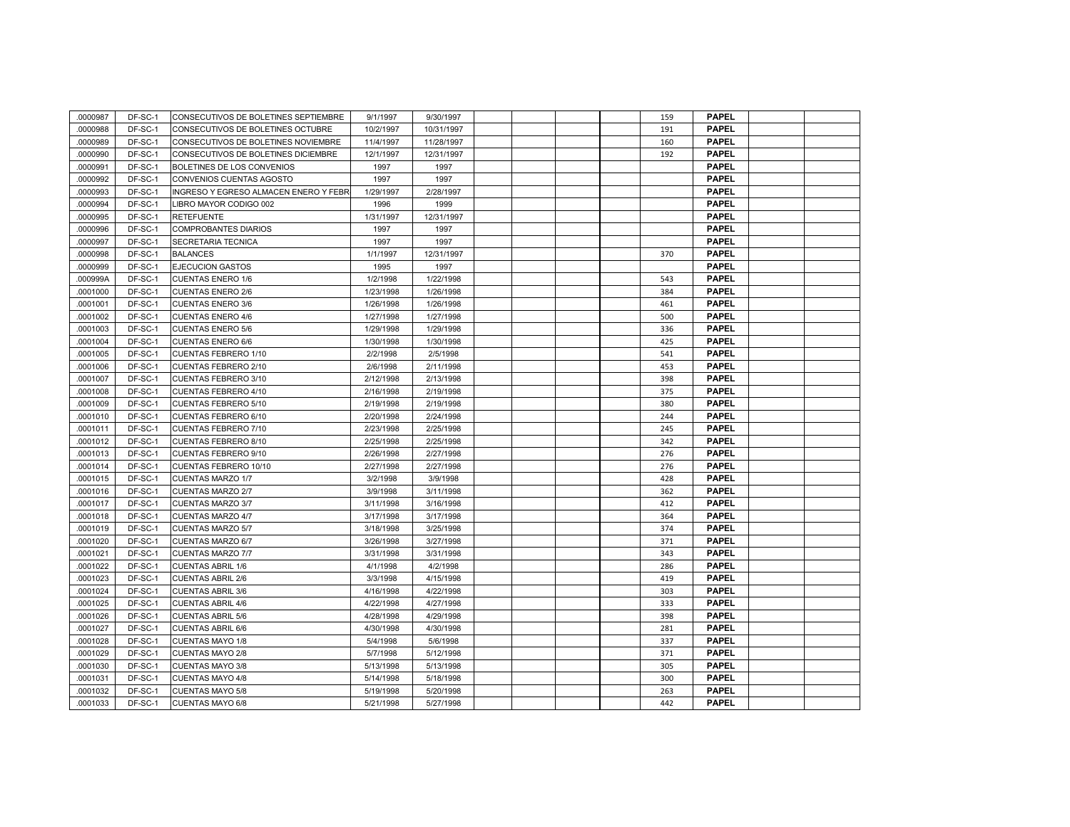| .0000987 | DF-SC-1 | CONSECUTIVOS DE BOLETINES SEPTIEMBRE         | 9/1/1997  | 9/30/1997  |  |  | 159 | <b>PAPEL</b> |  |
|----------|---------|----------------------------------------------|-----------|------------|--|--|-----|--------------|--|
| 0000988  | DF-SC-1 | CONSECUTIVOS DE BOLETINES OCTUBRE            | 10/2/1997 | 10/31/1997 |  |  | 191 | <b>PAPEL</b> |  |
| 0000989  | DF-SC-1 | CONSECUTIVOS DE BOLETINES NOVIEMBRE          | 11/4/1997 | 11/28/1997 |  |  | 160 | <b>PAPEL</b> |  |
| .0000990 | DF-SC-1 | CONSECUTIVOS DE BOLETINES DICIEMBRE          | 12/1/1997 | 12/31/1997 |  |  | 192 | <b>PAPEL</b> |  |
| .0000991 | DF-SC-1 | BOLETINES DE LOS CONVENIOS                   | 1997      | 1997       |  |  |     | <b>PAPEL</b> |  |
| 0000992  | DF-SC-1 | CONVENIOS CUENTAS AGOSTO                     | 1997      | 1997       |  |  |     | <b>PAPEL</b> |  |
| .0000993 | DF-SC-1 | <b>INGRESO Y EGRESO ALMACEN ENERO Y FEBR</b> | 1/29/1997 | 2/28/1997  |  |  |     | <b>PAPEL</b> |  |
| 0000994  | DF-SC-1 | LIBRO MAYOR CODIGO 002                       | 1996      | 1999       |  |  |     | <b>PAPEL</b> |  |
| .0000995 | DF-SC-1 | <b>RETEFUENTE</b>                            | 1/31/1997 | 12/31/1997 |  |  |     | <b>PAPEL</b> |  |
| .0000996 | DF-SC-1 | <b>COMPROBANTES DIARIOS</b>                  | 1997      | 1997       |  |  |     | <b>PAPEL</b> |  |
| 0000997  | DF-SC-1 | SECRETARIA TECNICA                           | 1997      | 1997       |  |  |     | <b>PAPEL</b> |  |
| .0000998 | DF-SC-1 | <b>BALANCES</b>                              | 1/1/1997  | 12/31/1997 |  |  | 370 | <b>PAPEL</b> |  |
| .0000999 | DF-SC-1 | <b>EJECUCION GASTOS</b>                      | 1995      | 1997       |  |  |     | <b>PAPEL</b> |  |
| .000999A | DF-SC-1 | <b>CUENTAS ENERO 1/6</b>                     | 1/2/1998  | 1/22/1998  |  |  | 543 | <b>PAPEL</b> |  |
| 0001000  | DF-SC-1 | <b>CUENTAS ENERO 2/6</b>                     | 1/23/1998 | 1/26/1998  |  |  | 384 | <b>PAPEL</b> |  |
| 0001001  | DF-SC-1 | <b>CUENTAS ENERO 3/6</b>                     | 1/26/1998 | 1/26/1998  |  |  | 461 | <b>PAPEL</b> |  |
| 0001002  | DF-SC-1 | <b>CUENTAS ENERO 4/6</b>                     | 1/27/1998 | 1/27/1998  |  |  | 500 | <b>PAPEL</b> |  |
| 0001003  | DF-SC-1 | <b>CUENTAS ENERO 5/6</b>                     | 1/29/1998 | 1/29/1998  |  |  | 336 | <b>PAPEL</b> |  |
| 0001004  | DF-SC-1 | <b>CUENTAS ENERO 6/6</b>                     | 1/30/1998 | 1/30/1998  |  |  | 425 | <b>PAPEL</b> |  |
| 0001005  | DF-SC-1 | <b>CUENTAS FEBRERO 1/10</b>                  | 2/2/1998  | 2/5/1998   |  |  | 541 | <b>PAPEL</b> |  |
| .0001006 | DF-SC-1 | CUENTAS FEBRERO 2/10                         | 2/6/1998  | 2/11/1998  |  |  | 453 | <b>PAPEL</b> |  |
| .0001007 | DF-SC-1 | CUENTAS FEBRERO 3/10                         | 2/12/1998 | 2/13/1998  |  |  | 398 | <b>PAPEL</b> |  |
| .0001008 | DF-SC-1 | CUENTAS FEBRERO 4/10                         | 2/16/1998 | 2/19/1998  |  |  | 375 | <b>PAPEL</b> |  |
| 0001009  | DF-SC-1 | CUENTAS FEBRERO 5/10                         | 2/19/1998 | 2/19/1998  |  |  | 380 | <b>PAPEL</b> |  |
| 0001010  | DF-SC-1 | <b>CUENTAS FEBRERO 6/10</b>                  | 2/20/1998 | 2/24/1998  |  |  | 244 | <b>PAPEL</b> |  |
| 0001011  | DF-SC-1 | CUENTAS FEBRERO 7/10                         | 2/23/1998 | 2/25/1998  |  |  | 245 | <b>PAPEL</b> |  |
| 0001012  | DF-SC-1 | <b>CUENTAS FEBRERO 8/10</b>                  | 2/25/1998 | 2/25/1998  |  |  | 342 | <b>PAPEL</b> |  |
| 0001013  | DF-SC-1 | CUENTAS FEBRERO 9/10                         | 2/26/1998 | 2/27/1998  |  |  | 276 | <b>PAPEL</b> |  |
| 0001014  | DF-SC-1 | CUENTAS FEBRERO 10/10                        | 2/27/1998 | 2/27/1998  |  |  | 276 | <b>PAPEL</b> |  |
| 0001015  | DF-SC-1 | <b>CUENTAS MARZO 1/7</b>                     | 3/2/1998  | 3/9/1998   |  |  | 428 | <b>PAPEL</b> |  |
| .0001016 | DF-SC-1 | <b>CUENTAS MARZO 2/7</b>                     | 3/9/1998  | 3/11/1998  |  |  | 362 | <b>PAPEL</b> |  |
| .0001017 | DF-SC-1 | <b>CUENTAS MARZO 3/7</b>                     | 3/11/1998 | 3/16/1998  |  |  | 412 | <b>PAPEL</b> |  |
| 0001018  | DF-SC-1 | CUENTAS MARZO 4/7                            | 3/17/1998 | 3/17/1998  |  |  | 364 | <b>PAPEL</b> |  |
| 0001019  | DF-SC-1 | <b>CUENTAS MARZO 5/7</b>                     | 3/18/1998 | 3/25/1998  |  |  | 374 | <b>PAPEL</b> |  |
| 0001020  | DF-SC-1 | <b>CUENTAS MARZO 6/7</b>                     | 3/26/1998 | 3/27/1998  |  |  | 371 | <b>PAPEL</b> |  |
| 0001021  | DF-SC-1 | <b>CUENTAS MARZO 7/7</b>                     | 3/31/1998 | 3/31/1998  |  |  | 343 | <b>PAPEL</b> |  |
| .0001022 | DF-SC-1 | <b>CUENTAS ABRIL 1/6</b>                     | 4/1/1998  | 4/2/1998   |  |  | 286 | <b>PAPEL</b> |  |
| 0001023  | DF-SC-1 | <b>CUENTAS ABRIL 2/6</b>                     | 3/3/1998  | 4/15/1998  |  |  | 419 | <b>PAPEL</b> |  |
| 0001024  | DF-SC-1 | <b>CUENTAS ABRIL 3/6</b>                     | 4/16/1998 | 4/22/1998  |  |  | 303 | <b>PAPEL</b> |  |
| 0001025  | DF-SC-1 | <b>CUENTAS ABRIL 4/6</b>                     | 4/22/1998 | 4/27/1998  |  |  | 333 | <b>PAPEL</b> |  |
| .0001026 | DF-SC-1 | <b>CUENTAS ABRIL 5/6</b>                     | 4/28/1998 | 4/29/1998  |  |  | 398 | <b>PAPEL</b> |  |
| 0001027  | DF-SC-1 | <b>CUENTAS ABRIL 6/6</b>                     | 4/30/1998 | 4/30/1998  |  |  | 281 | <b>PAPEL</b> |  |
| 0001028  | DF-SC-1 | <b>CUENTAS MAYO 1/8</b>                      | 5/4/1998  | 5/6/1998   |  |  | 337 | <b>PAPEL</b> |  |
| 0001029  | DF-SC-1 | <b>CUENTAS MAYO 2/8</b>                      | 5/7/1998  | 5/12/1998  |  |  | 371 | <b>PAPEL</b> |  |
| 0001030  | DF-SC-1 | <b>CUENTAS MAYO 3/8</b>                      | 5/13/1998 | 5/13/1998  |  |  | 305 | <b>PAPEL</b> |  |
| 0001031  | DF-SC-1 | <b>CUENTAS MAYO 4/8</b>                      | 5/14/1998 | 5/18/1998  |  |  | 300 | <b>PAPEL</b> |  |
| 0001032  | DF-SC-1 | <b>CUENTAS MAYO 5/8</b>                      | 5/19/1998 | 5/20/1998  |  |  | 263 | <b>PAPEL</b> |  |
| 0001033  | DF-SC-1 | <b>CUENTAS MAYO 6/8</b>                      | 5/21/1998 | 5/27/1998  |  |  | 442 | <b>PAPEL</b> |  |
|          |         |                                              |           |            |  |  |     |              |  |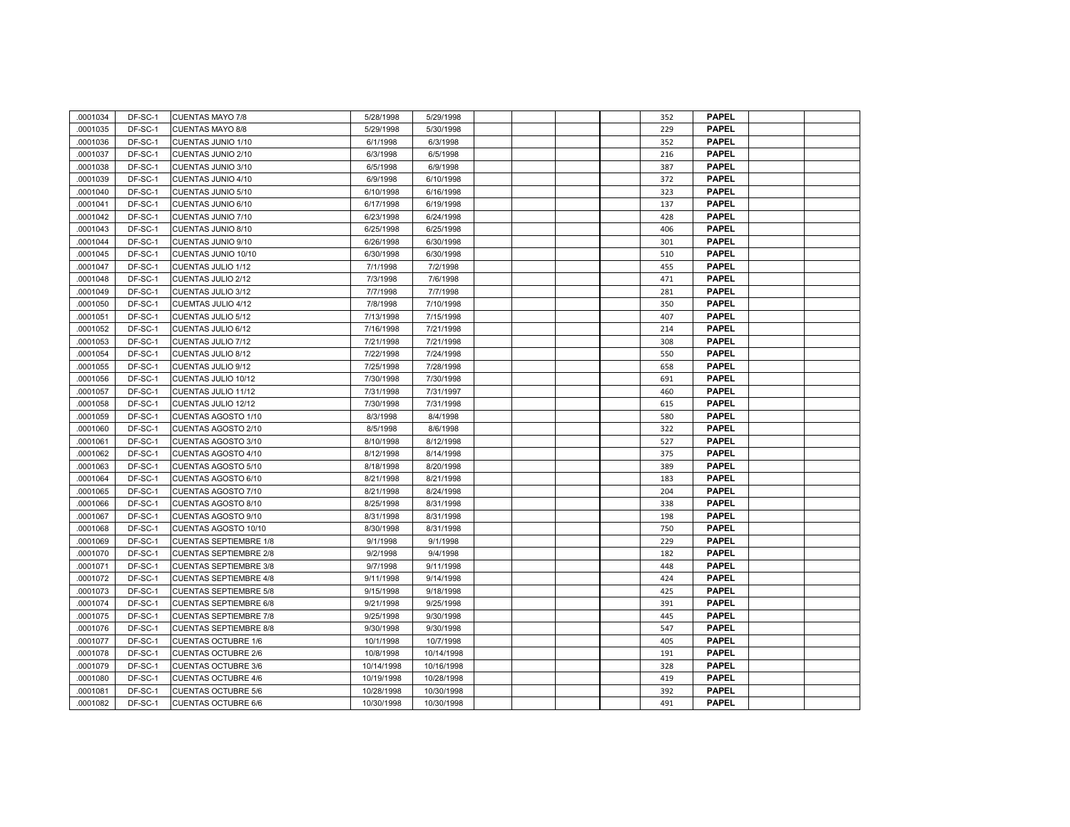| .0001034 | DF-SC-1 | <b>CUENTAS MAYO 7/8</b>       | 5/28/1998  | 5/29/1998  |  |  | 352 | <b>PAPEL</b> |  |
|----------|---------|-------------------------------|------------|------------|--|--|-----|--------------|--|
| 0001035  | DF-SC-1 | <b>CUENTAS MAYO 8/8</b>       | 5/29/1998  | 5/30/1998  |  |  | 229 | <b>PAPEL</b> |  |
| 0001036  | DF-SC-1 | CUENTAS JUNIO 1/10            | 6/1/1998   | 6/3/1998   |  |  | 352 | <b>PAPEL</b> |  |
| 0001037  | DF-SC-1 | CUENTAS JUNIO 2/10            | 6/3/1998   | 6/5/1998   |  |  | 216 | <b>PAPEL</b> |  |
| .0001038 | DF-SC-1 | CUENTAS JUNIO 3/10            | 6/5/1998   | 6/9/1998   |  |  | 387 | <b>PAPEL</b> |  |
| 0001039  | DF-SC-1 | CUENTAS JUNIO 4/10            | 6/9/1998   | 6/10/1998  |  |  | 372 | <b>PAPEL</b> |  |
| 0001040  | DF-SC-1 | CUENTAS JUNIO 5/10            | 6/10/1998  | 6/16/1998  |  |  | 323 | <b>PAPEL</b> |  |
| 0001041  | DF-SC-1 | CUENTAS JUNIO 6/10            | 6/17/1998  | 6/19/1998  |  |  | 137 | <b>PAPEL</b> |  |
| 0001042  | DF-SC-1 | CUENTAS JUNIO 7/10            | 6/23/1998  | 6/24/1998  |  |  | 428 | <b>PAPEL</b> |  |
| 0001043  | DF-SC-1 | CUENTAS JUNIO 8/10            | 6/25/1998  | 6/25/1998  |  |  | 406 | <b>PAPEL</b> |  |
| 0001044  | DF-SC-1 | CUENTAS JUNIO 9/10            | 6/26/1998  | 6/30/1998  |  |  | 301 | <b>PAPEL</b> |  |
| 0001045  | DF-SC-1 | CUENTAS JUNIO 10/10           | 6/30/1998  | 6/30/1998  |  |  | 510 | <b>PAPEL</b> |  |
| 0001047  | DF-SC-1 | CUENTAS JULIO 1/12            | 7/1/1998   | 7/2/1998   |  |  | 455 | <b>PAPEL</b> |  |
| 0001048  | DF-SC-1 | CUENTAS JULIO 2/12            | 7/3/1998   | 7/6/1998   |  |  | 471 | <b>PAPEL</b> |  |
| 0001049  | DF-SC-1 | CUENTAS JULIO 3/12            | 7/7/1998   | 7/7/1998   |  |  | 281 | <b>PAPEL</b> |  |
| 0001050  | DF-SC-1 | CUEMTAS JULIO 4/12            | 7/8/1998   | 7/10/1998  |  |  | 350 | <b>PAPEL</b> |  |
| 0001051  | DF-SC-1 | CUENTAS JULIO 5/12            | 7/13/1998  | 7/15/1998  |  |  | 407 | <b>PAPEL</b> |  |
| 0001052  | DF-SC-1 | CUENTAS JULIO 6/12            | 7/16/1998  | 7/21/1998  |  |  | 214 | <b>PAPEL</b> |  |
| 0001053  | DF-SC-1 | CUENTAS JULIO 7/12            | 7/21/1998  | 7/21/1998  |  |  | 308 | <b>PAPEL</b> |  |
| 0001054  | DF-SC-1 | CUENTAS JULIO 8/12            | 7/22/1998  | 7/24/1998  |  |  | 550 | <b>PAPEL</b> |  |
| 0001055  | DF-SC-1 | CUENTAS JULIO 9/12            | 7/25/1998  | 7/28/1998  |  |  | 658 | <b>PAPEL</b> |  |
| 0001056  | DF-SC-1 | CUENTAS JULIO 10/12           | 7/30/1998  | 7/30/1998  |  |  | 691 | <b>PAPEL</b> |  |
| 0001057  | DF-SC-1 | CUENTAS JULIO 11/12           | 7/31/1998  | 7/31/1997  |  |  | 460 | <b>PAPEL</b> |  |
| 0001058  | DF-SC-1 | CUENTAS JULIO 12/12           | 7/30/1998  | 7/31/1998  |  |  | 615 | <b>PAPEL</b> |  |
| 0001059  | DF-SC-1 | CUENTAS AGOSTO 1/10           | 8/3/1998   | 8/4/1998   |  |  | 580 | <b>PAPEL</b> |  |
| 0001060  | DF-SC-1 | CUENTAS AGOSTO 2/10           | 8/5/1998   | 8/6/1998   |  |  | 322 | <b>PAPEL</b> |  |
| 0001061  | DF-SC-1 | CUENTAS AGOSTO 3/10           | 8/10/1998  | 8/12/1998  |  |  | 527 | <b>PAPEL</b> |  |
| 0001062  | DF-SC-1 | CUENTAS AGOSTO 4/10           | 8/12/1998  | 8/14/1998  |  |  | 375 | <b>PAPEL</b> |  |
| 0001063  | DF-SC-1 | CUENTAS AGOSTO 5/10           | 8/18/1998  | 8/20/1998  |  |  | 389 | <b>PAPEL</b> |  |
| 0001064  | DF-SC-1 | CUENTAS AGOSTO 6/10           | 8/21/1998  | 8/21/1998  |  |  | 183 | <b>PAPEL</b> |  |
| 0001065  | DF-SC-1 | CUENTAS AGOSTO 7/10           | 8/21/1998  | 8/24/1998  |  |  | 204 | <b>PAPEL</b> |  |
| 0001066  | DF-SC-1 | CUENTAS AGOSTO 8/10           | 8/25/1998  | 8/31/1998  |  |  | 338 | <b>PAPEL</b> |  |
| 0001067  | DF-SC-1 | CUENTAS AGOSTO 9/10           | 8/31/1998  | 8/31/1998  |  |  | 198 | <b>PAPEL</b> |  |
| 0001068  | DF-SC-1 | CUENTAS AGOSTO 10/10          | 8/30/1998  | 8/31/1998  |  |  | 750 | <b>PAPEL</b> |  |
| 0001069  | DF-SC-1 | <b>CUENTAS SEPTIEMBRE 1/8</b> | 9/1/1998   | 9/1/1998   |  |  | 229 | <b>PAPEL</b> |  |
| 0001070  | DF-SC-1 | <b>CUENTAS SEPTIEMBRE 2/8</b> | 9/2/1998   | 9/4/1998   |  |  | 182 | <b>PAPEL</b> |  |
| 0001071  | DF-SC-1 | <b>CUENTAS SEPTIEMBRE 3/8</b> | 9/7/1998   | 9/11/1998  |  |  | 448 | <b>PAPEL</b> |  |
| 0001072  | DF-SC-1 | <b>CUENTAS SEPTIEMBRE 4/8</b> | 9/11/1998  | 9/14/1998  |  |  | 424 | <b>PAPEL</b> |  |
| 0001073  | DF-SC-1 | <b>CUENTAS SEPTIEMBRE 5/8</b> | 9/15/1998  | 9/18/1998  |  |  | 425 | <b>PAPEL</b> |  |
| 0001074  | DF-SC-1 | <b>CUENTAS SEPTIEMBRE 6/8</b> | 9/21/1998  | 9/25/1998  |  |  | 391 | <b>PAPEL</b> |  |
| 0001075  | DF-SC-1 | <b>CUENTAS SEPTIEMBRE 7/8</b> | 9/25/1998  | 9/30/1998  |  |  | 445 | <b>PAPEL</b> |  |
| 0001076  | DF-SC-1 | <b>CUENTAS SEPTIEMBRE 8/8</b> | 9/30/1998  | 9/30/1998  |  |  | 547 | <b>PAPEL</b> |  |
| 0001077  | DF-SC-1 | <b>CUENTAS OCTUBRE 1/6</b>    | 10/1/1998  | 10/7/1998  |  |  | 405 | <b>PAPEL</b> |  |
| 0001078  | DF-SC-1 | <b>CUENTAS OCTUBRE 2/6</b>    | 10/8/1998  | 10/14/1998 |  |  | 191 | <b>PAPEL</b> |  |
| 0001079  | DF-SC-1 | <b>CUENTAS OCTUBRE 3/6</b>    | 10/14/1998 | 10/16/1998 |  |  | 328 | <b>PAPEL</b> |  |
| 0001080  | DF-SC-1 | <b>CUENTAS OCTUBRE 4/6</b>    | 10/19/1998 | 10/28/1998 |  |  | 419 | <b>PAPEL</b> |  |
| 0001081  | DF-SC-1 | <b>CUENTAS OCTUBRE 5/6</b>    | 10/28/1998 | 10/30/1998 |  |  | 392 | <b>PAPEL</b> |  |
| 0001082  | DF-SC-1 | <b>CUENTAS OCTUBRE 6/6</b>    | 10/30/1998 | 10/30/1998 |  |  | 491 | <b>PAPEL</b> |  |
|          |         |                               |            |            |  |  |     |              |  |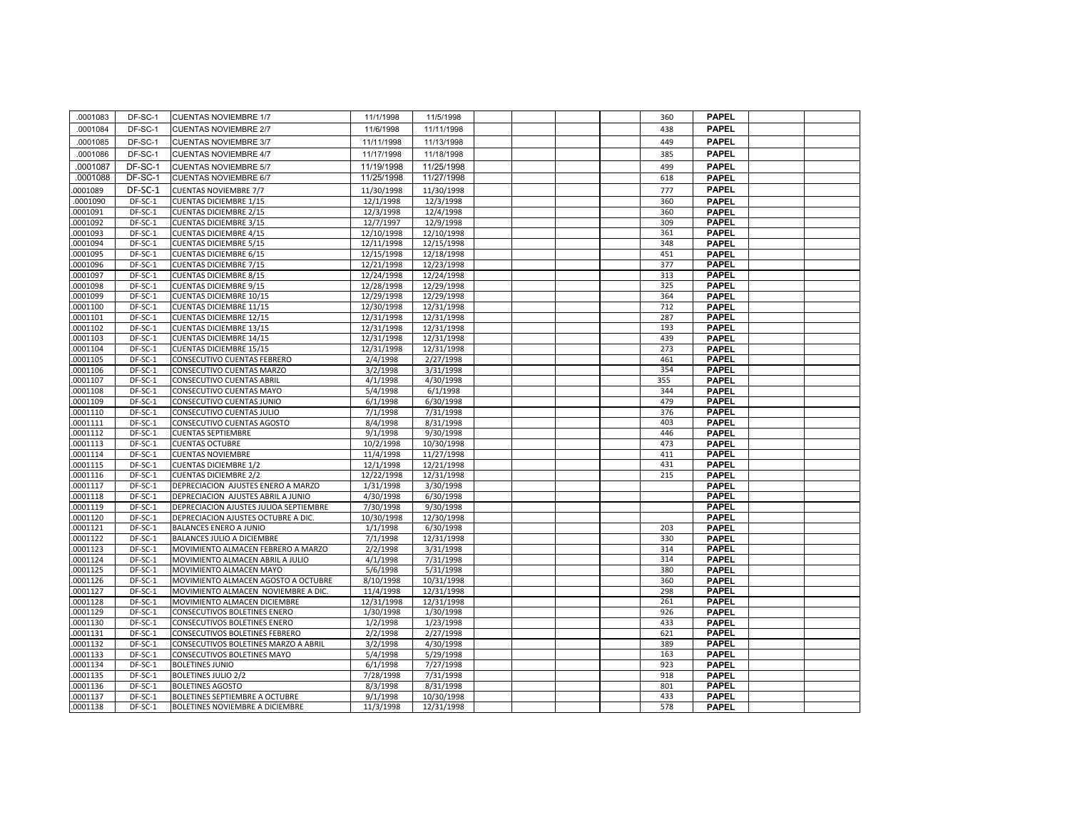| 0001083  | DF-SC-1   | <b>CUENTAS NOVIEMBRE 1/7</b>           | 11/1/1998  | 11/5/1998  |  | 360 | <b>PAPEL</b> |  |
|----------|-----------|----------------------------------------|------------|------------|--|-----|--------------|--|
| 0001084  | DF-SC-1   | <b>CUENTAS NOVIEMBRE 2/7</b>           | 11/6/1998  | 11/11/1998 |  | 438 | <b>PAPEL</b> |  |
| 0001085  | DF-SC-1   | <b>CUENTAS NOVIEMBRE 3/7</b>           | 11/11/1998 | 11/13/1998 |  | 449 | <b>PAPEL</b> |  |
| 0001086  | DF-SC-1   | <b>CUENTAS NOVIEMBRE 4/7</b>           | 11/17/1998 | 11/18/1998 |  | 385 | <b>PAPEL</b> |  |
| .0001087 | DF-SC-1   | <b>CUENTAS NOVIEMBRE 5/7</b>           | 11/19/1998 | 11/25/1998 |  | 499 | <b>PAPEL</b> |  |
| .0001088 | DF-SC-1   | <b>CUENTAS NOVIEMBRE 6/7</b>           | 11/25/1998 | 11/27/1998 |  | 618 | <b>PAPEL</b> |  |
| 0001089  | DF-SC-1   | <b>CUENTAS NOVIEMBRE 7/7</b>           | 11/30/1998 | 11/30/1998 |  | 777 | <b>PAPEL</b> |  |
| .0001090 | DF-SC-1   | <b>CUENTAS DICIEMBRE 1/15</b>          | 12/1/1998  | 12/3/1998  |  | 360 | <b>PAPEL</b> |  |
| .0001091 | DF-SC-1   | <b>CUENTAS DICIEMBRE 2/15</b>          | 12/3/1998  | 12/4/1998  |  | 360 | <b>PAPEL</b> |  |
| .0001092 | DF-SC-1   | <b>CUENTAS DICIEMBRE 3/15</b>          | 12/7/1997  | 12/9/1998  |  | 309 | <b>PAPEL</b> |  |
| .0001093 | DF-SC-1   | <b>CUENTAS DICIEMBRE 4/15</b>          | 12/10/1998 | 12/10/1998 |  | 361 | <b>PAPEL</b> |  |
| .0001094 | DF-SC-1   | <b>CUENTAS DICIEMBRE 5/15</b>          | 12/11/1998 | 12/15/1998 |  | 348 | <b>PAPEL</b> |  |
| .0001095 | DF-SC-1   | <b>CUENTAS DICIEMBRE 6/15</b>          | 12/15/1998 | 12/18/1998 |  | 451 | <b>PAPEL</b> |  |
| .0001096 | DF-SC-1   | <b>CUENTAS DICIEMBRE 7/15</b>          | 12/21/1998 | 12/23/1998 |  | 377 | <b>PAPEL</b> |  |
| .0001097 | DF-SC-1   | <b>CUENTAS DICIEMBRE 8/15</b>          | 12/24/1998 | 12/24/1998 |  | 313 | <b>PAPEL</b> |  |
| .0001098 | DF-SC-1   | <b>CUENTAS DICIEMBRE 9/15</b>          | 12/28/1998 | 12/29/1998 |  | 325 | <b>PAPEL</b> |  |
| .0001099 | DF-SC-1   | <b>CUENTAS DICIEMBRE 10/15</b>         | 12/29/1998 | 12/29/1998 |  | 364 | <b>PAPEL</b> |  |
| .0001100 | DF-SC-1   | <b>CUENTAS DICIEMBRE 11/15</b>         | 12/30/1998 | 12/31/1998 |  | 712 | <b>PAPEL</b> |  |
| .0001101 | DF-SC-1   | <b>CUENTAS DICIEMBRE 12/15</b>         | 12/31/1998 | 12/31/1998 |  | 287 | <b>PAPEL</b> |  |
| .0001102 | DF-SC-1   | <b>CUENTAS DICIEMBRE 13/15</b>         | 12/31/1998 | 12/31/1998 |  | 193 | <b>PAPEL</b> |  |
| .0001103 | DF-SC-1   | <b>CUENTAS DICIEMBRE 14/15</b>         | 12/31/1998 | 12/31/1998 |  | 439 | <b>PAPEL</b> |  |
| .0001104 | DF-SC-1   | <b>CUENTAS DICIEMBRE 15/15</b>         | 12/31/1998 | 12/31/1998 |  | 273 | <b>PAPEL</b> |  |
| .0001105 | DF-SC-1   | CONSECUTIVO CUENTAS FEBRERO            | 2/4/1998   | 2/27/1998  |  | 461 | <b>PAPEL</b> |  |
| .0001106 | DF-SC-1   | CONSECUTIVO CUENTAS MARZO              | 3/2/1998   | 3/31/1998  |  | 354 | <b>PAPEL</b> |  |
| .0001107 | DF-SC-1   | CONSECUTIVO CUENTAS ABRIL              | 4/1/1998   | 4/30/1998  |  | 355 | <b>PAPEL</b> |  |
| .0001108 | DF-SC-1   | CONSECUTIVO CUENTAS MAYO               | 5/4/1998   | 6/1/1998   |  | 344 | <b>PAPEL</b> |  |
| .0001109 | DF-SC-1   | CONSECUTIVO CUENTAS JUNIO              | 6/1/1998   | 6/30/1998  |  | 479 | <b>PAPEL</b> |  |
| .0001110 | DF-SC-1   | CONSECUTIVO CUENTAS JULIO              | 7/1/1998   | 7/31/1998  |  | 376 | <b>PAPEL</b> |  |
| .0001111 | DF-SC-1   | CONSECUTIVO CUENTAS AGOSTO             | 8/4/1998   | 8/31/1998  |  | 403 | <b>PAPEL</b> |  |
| .0001112 | $DF-SC-1$ | <b>CUENTAS SEPTIEMBRE</b>              | 9/1/1998   | 9/30/1998  |  | 446 | <b>PAPEL</b> |  |
| .0001113 | $DF-SC-1$ | <b>CUENTAS OCTUBRE</b>                 | 10/2/1998  | 10/30/1998 |  | 473 | <b>PAPEL</b> |  |
| .0001114 | DF-SC-1   | <b>CUENTAS NOVIEMBRE</b>               | 11/4/1998  | 11/27/1998 |  | 411 | <b>PAPEL</b> |  |
| .0001115 | DF-SC-1   | <b>CUENTAS DICIEMBRE 1/2</b>           | 12/1/1998  | 12/21/1998 |  | 431 | <b>PAPEL</b> |  |
| .0001116 | DF-SC-1   | <b>CUENTAS DICIEMBRE 2/2</b>           | 12/22/1998 | 12/31/1998 |  | 215 | <b>PAPEL</b> |  |
| .0001117 | DF-SC-1   | DEPRECIACION AJUSTES ENERO A MARZO     | 1/31/1998  | 3/30/1998  |  |     | <b>PAPEL</b> |  |
| .0001118 | DF-SC-1   | DEPRECIACION AJUSTES ABRIL A JUNIO     | 4/30/1998  | 6/30/1998  |  |     | <b>PAPEL</b> |  |
| .0001119 | DF-SC-1   | DEPRECIACION AJUSTES JULIOA SEPTIEMBRE | 7/30/1998  | 9/30/1998  |  |     | <b>PAPEL</b> |  |
| .0001120 | DF-SC-1   | DEPRECIACION AJUSTES OCTUBRE A DIC.    | 10/30/1998 | 12/30/1998 |  |     | <b>PAPEL</b> |  |
| .0001121 | DF-SC-1   | <b>BALANCES ENERO A JUNIO</b>          | 1/1/1998   | 6/30/1998  |  | 203 | <b>PAPEL</b> |  |
| .0001122 | DF-SC-1   | BALANCES JULIO A DICIEMBRE             | 7/1/1998   | 12/31/1998 |  | 330 | <b>PAPEL</b> |  |
| .0001123 | DF-SC-1   | MOVIMIENTO ALMACEN FEBRERO A MARZO     | 2/2/1998   | 3/31/1998  |  | 314 | <b>PAPEL</b> |  |
| .0001124 | DF-SC-1   | MOVIMIENTO ALMACEN ABRIL A JULIO       | 4/1/1998   | 7/31/1998  |  | 314 | <b>PAPEL</b> |  |
| .0001125 | DF-SC-1   | MOVIMIENTO ALMACEN MAYO                | 5/6/1998   | 5/31/1998  |  | 380 | <b>PAPEL</b> |  |
| .0001126 | DF-SC-1   | MOVIMIENTO ALMACEN AGOSTO A OCTUBRE    | 8/10/1998  | 10/31/1998 |  | 360 | <b>PAPEL</b> |  |
| .0001127 | DF-SC-1   | MOVIMIENTO ALMACEN NOVIEMBRE A DIC.    | 11/4/1998  | 12/31/1998 |  | 298 | <b>PAPEL</b> |  |
| .0001128 | DF-SC-1   | MOVIMIENTO ALMACEN DICIEMBRE           | 12/31/1998 | 12/31/1998 |  | 261 | <b>PAPEL</b> |  |
| .0001129 | DF-SC-1   | CONSECUTIVOS BOLETINES ENERO           | 1/30/1998  | 1/30/1998  |  | 926 | <b>PAPEL</b> |  |
| .0001130 | DF-SC-1   | CONSECUTIVOS BOLETINES ENERO           | 1/2/1998   | 1/23/1998  |  | 433 | <b>PAPEL</b> |  |
| .0001131 | DF-SC-1   | CONSECUTIVOS BOLETINES FEBRERO         | 2/2/1998   | 2/27/1998  |  | 621 | <b>PAPEL</b> |  |
| .0001132 | DF-SC-1   | CONSECUTIVOS BOLETINES MARZO A ABRIL   | 3/2/1998   | 4/30/1998  |  | 389 | <b>PAPEL</b> |  |
| .0001133 | DF-SC-1   | CONSECUTIVOS BOLETINES MAYO            | 5/4/1998   | 5/29/1998  |  | 163 | <b>PAPEL</b> |  |
| .0001134 | DF-SC-1   | <b>BOLETINES JUNIO</b>                 | 6/1/1998   | 7/27/1998  |  | 923 | <b>PAPEL</b> |  |
| .0001135 | DF-SC-1   | <b>BOLETINES JULIO 2/2</b>             | 7/28/1998  | 7/31/1998  |  | 918 | <b>PAPEL</b> |  |
| 0001136  | DF-SC-1   | <b>BOLETINES AGOSTO</b>                | 8/3/1998   | 8/31/1998  |  | 801 | <b>PAPEL</b> |  |
| .0001137 | DF-SC-1   | BOLETINES SEPTIEMBRE A OCTUBRE         | 9/1/1998   | 10/30/1998 |  | 433 | <b>PAPEL</b> |  |
| .0001138 | DF-SC-1   | BOLETINES NOVIEMBRE A DICIEMBRE        | 11/3/1998  | 12/31/1998 |  | 578 | <b>PAPEL</b> |  |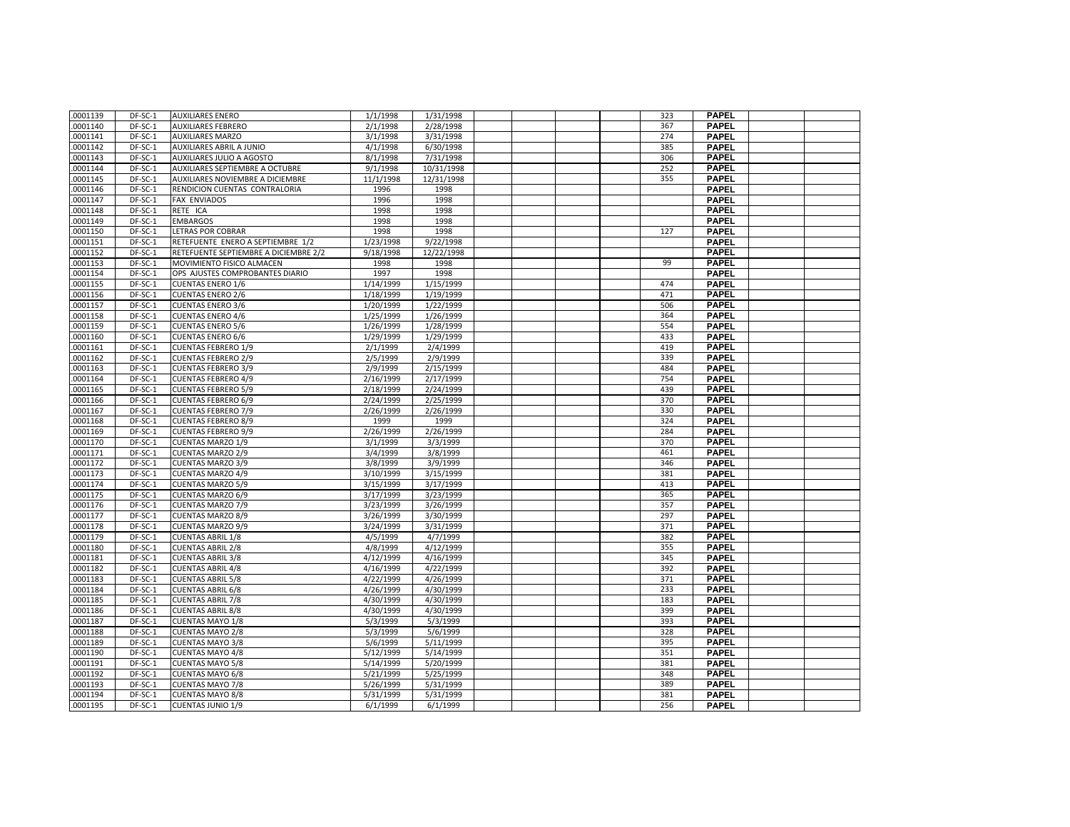| .0001139 | DF-SC-1 | <b>AUXILIARES ENERO</b>                            | 1/1/1998               | 1/31/1998              |  | 323 | <b>PAPEL</b> |  |
|----------|---------|----------------------------------------------------|------------------------|------------------------|--|-----|--------------|--|
| .0001140 | DF-SC-1 | <b>AUXILIARES FEBRERO</b>                          | 2/1/1998               | 2/28/1998              |  | 367 | <b>PAPEL</b> |  |
| .0001141 | DF-SC-1 | <b>AUXILIARES MARZO</b>                            | 3/1/1998               | 3/31/1998              |  | 274 | <b>PAPEL</b> |  |
| .0001142 | DF-SC-1 | <b>AUXILIARES ABRIL A JUNIO</b>                    | 4/1/1998               | 6/30/1998              |  | 385 | <b>PAPEL</b> |  |
| .0001143 | DF-SC-1 | AUXILIARES JULIO A AGOSTO                          | 8/1/1998               | 7/31/1998              |  | 306 | <b>PAPEL</b> |  |
| .0001144 | DF-SC-1 | AUXILIARES SEPTIEMBRE A OCTUBRE                    | 9/1/1998               | 10/31/1998             |  | 252 | <b>PAPEL</b> |  |
| .0001145 | DF-SC-1 | AUXILIARES NOVIEMBRE A DICIEMBRE                   | 11/1/1998              | 12/31/1998             |  | 355 | <b>PAPEL</b> |  |
| .0001146 | DF-SC-1 | RENDICION CUENTAS CONTRALORIA                      | 1996                   | 1998                   |  |     | <b>PAPEL</b> |  |
| .0001147 | DF-SC-1 | <b>FAX ENVIADOS</b>                                | 1996                   | 1998                   |  |     | <b>PAPEL</b> |  |
| .0001148 | DF-SC-1 | RETE ICA                                           | 1998                   | 1998                   |  |     | <b>PAPEL</b> |  |
| .0001149 | DF-SC-1 | <b>EMBARGOS</b>                                    | 1998                   | 1998                   |  |     | <b>PAPEL</b> |  |
| .0001150 | DF-SC-1 | LETRAS POR COBRAR                                  | 1998                   | 1998                   |  | 127 | <b>PAPEL</b> |  |
| .0001151 | DF-SC-1 | RETEFUENTE ENERO A SEPTIEMBRE 1/2                  | 1/23/1998              | 9/22/1998              |  |     | <b>PAPEL</b> |  |
| .0001152 | DF-SC-1 | RETEFUENTE SEPTIEMBRE A DICIEMBRE 2/2              | 9/18/1998              | 12/22/1998             |  |     | <b>PAPEL</b> |  |
| .0001153 | DF-SC-1 | MOVIMIENTO FISICO ALMACEN                          | 1998                   | 1998                   |  | 99  | <b>PAPEL</b> |  |
| .0001154 | DF-SC-1 | OPS AJUSTES COMPROBANTES DIARIO                    | 1997                   | 1998                   |  |     | <b>PAPEL</b> |  |
| .0001155 | DF-SC-1 | <b>CUENTAS ENERO 1/6</b>                           | 1/14/1999              | 1/15/1999              |  | 474 | <b>PAPEL</b> |  |
| .0001156 | DF-SC-1 | <b>CUENTAS ENERO 2/6</b>                           | 1/18/1999              | 1/19/1999              |  | 471 | <b>PAPEL</b> |  |
| .0001157 | DF-SC-1 | <b>CUENTAS ENERO 3/6</b>                           | 1/20/1999              | 1/22/1999              |  | 506 | <b>PAPEL</b> |  |
| .0001158 | DF-SC-1 | <b>CUENTAS ENERO 4/6</b>                           | 1/25/1999              | 1/26/1999              |  | 364 | <b>PAPEL</b> |  |
| .0001159 | DF-SC-1 | <b>CUENTAS ENERO 5/6</b>                           | 1/26/1999              | 1/28/1999              |  | 554 | PAPEL        |  |
| .0001160 | DF-SC-1 | <b>CUENTAS ENERO 6/6</b>                           | 1/29/1999              | 1/29/1999              |  | 433 | <b>PAPEL</b> |  |
| .0001161 | DF-SC-1 | <b>CUENTAS FEBRERO 1/9</b>                         | 2/1/1999               | 2/4/1999               |  | 419 | <b>PAPEL</b> |  |
| .0001162 | DF-SC-1 | <b>CUENTAS FEBRERO 2/9</b>                         | 2/5/1999               | 2/9/1999               |  | 339 | <b>PAPEL</b> |  |
| .0001163 | DF-SC-1 | <b>CUENTAS FEBRERO 3/9</b>                         | 2/9/1999               | 2/15/1999              |  | 484 | <b>PAPEL</b> |  |
| .0001164 | DF-SC-1 | <b>CUENTAS FEBRERO 4/9</b>                         | 2/16/1999              | 2/17/1999              |  | 754 | <b>PAPEL</b> |  |
| .0001165 | DF-SC-1 | <b>CUENTAS FEBRERO 5/9</b>                         | 2/18/1999              | 2/24/1999              |  | 439 | <b>PAPEL</b> |  |
| .0001166 | DF-SC-1 | <b>CUENTAS FEBRERO 6/9</b>                         | 2/24/1999              | 2/25/1999              |  | 370 | <b>PAPEL</b> |  |
| .0001167 | DF-SC-1 | <b>CUENTAS FEBRERO 7/9</b>                         | 2/26/1999              | 2/26/1999              |  | 330 | <b>PAPEL</b> |  |
| .0001168 | DF-SC-1 | <b>CUENTAS FEBRERO 8/9</b>                         | 1999                   | 1999                   |  | 324 | <b>PAPEL</b> |  |
| .0001169 | DF-SC-1 | <b>CUENTAS FEBRERO 9/9</b>                         | 2/26/1999              | 2/26/1999              |  | 284 | <b>PAPEL</b> |  |
| .0001170 | DF-SC-1 | <b>CUENTAS MARZO 1/9</b>                           | 3/1/1999               | 3/3/1999               |  | 370 | <b>PAPEL</b> |  |
| .0001171 | DF-SC-1 | <b>CUENTAS MARZO 2/9</b>                           | 3/4/1999               | 3/8/1999               |  | 461 | <b>PAPEL</b> |  |
| .0001172 | DF-SC-1 | <b>CUENTAS MARZO 3/9</b>                           | 3/8/1999               | 3/9/1999               |  | 346 | <b>PAPEL</b> |  |
| .0001173 | DF-SC-1 | <b>CUENTAS MARZO 4/9</b>                           | 3/10/1999              | 3/15/1999              |  | 381 | <b>PAPEL</b> |  |
| .0001174 | DF-SC-1 | <b>CUENTAS MARZO 5/9</b>                           | 3/15/1999              | 3/17/1999              |  | 413 | <b>PAPEL</b> |  |
| .0001175 | DF-SC-1 | <b>CUENTAS MARZO 6/9</b>                           | 3/17/1999              | 3/23/1999              |  | 365 | <b>PAPEL</b> |  |
| .0001176 | DF-SC-1 | <b>CUENTAS MARZO 7/9</b>                           | 3/23/1999              | 3/26/1999              |  | 357 | <b>PAPEL</b> |  |
| .0001177 | DF-SC-1 | <b>CUENTAS MARZO 8/9</b>                           | 3/26/1999              | 3/30/1999              |  | 297 | <b>PAPEL</b> |  |
| .0001178 | DF-SC-1 | <b>CUENTAS MARZO 9/9</b>                           | 3/24/1999              | 3/31/1999              |  | 371 | <b>PAPEL</b> |  |
| .0001179 | DF-SC-1 | <b>CUENTAS ABRIL 1/8</b>                           | 4/5/1999               | 4/7/1999               |  | 382 | <b>PAPEL</b> |  |
| .0001180 | DF-SC-1 | <b>CUENTAS ABRIL 2/8</b>                           | 4/8/1999               | 4/12/1999              |  | 355 | <b>PAPEL</b> |  |
| .0001181 | DF-SC-1 | <b>CUENTAS ABRIL 3/8</b>                           | 4/12/1999              | 4/16/1999              |  | 345 | <b>PAPEL</b> |  |
| .0001182 | DF-SC-1 | <b>CUENTAS ABRIL 4/8</b>                           | 4/16/1999              | 4/22/1999              |  | 392 | <b>PAPEL</b> |  |
| .0001183 | DF-SC-1 | <b>CUENTAS ABRIL 5/8</b>                           | 4/22/1999              | 4/26/1999              |  | 371 | <b>PAPEL</b> |  |
| .0001184 | DF-SC-1 | <b>CUENTAS ABRIL 6/8</b>                           | 4/26/1999              | 4/30/1999              |  | 233 | <b>PAPEL</b> |  |
| .0001185 | DF-SC-1 | <b>CUENTAS ABRIL 7/8</b>                           | 4/30/1999              | 4/30/1999              |  | 183 | <b>PAPEL</b> |  |
| .0001186 | DF-SC-1 | <b>CUENTAS ABRIL 8/8</b>                           | 4/30/1999              | 4/30/1999              |  | 399 | <b>PAPEL</b> |  |
| .0001187 | DF-SC-1 | <b>CUENTAS MAYO 1/8</b>                            | 5/3/1999               | 5/3/1999               |  | 393 | <b>PAPEL</b> |  |
| .0001188 | DF-SC-1 | <b>CUENTAS MAYO 2/8</b>                            | 5/3/1999               | 5/6/1999               |  | 328 | <b>PAPEL</b> |  |
| .0001189 | DF-SC-1 | CUENTAS MAYO 3/8                                   | 5/6/1999               | 5/11/1999              |  | 395 | <b>PAPEL</b> |  |
| .0001190 | DF-SC-1 | <b>CUENTAS MAYO 4/8</b>                            | 5/12/1999              | 5/14/1999              |  | 351 | <b>PAPEL</b> |  |
| .0001191 | DF-SC-1 | <b>CUENTAS MAYO 5/8</b>                            | 5/14/1999              | 5/20/1999              |  | 381 | <b>PAPEL</b> |  |
| .0001192 | DF-SC-1 |                                                    |                        |                        |  | 348 | <b>PAPEL</b> |  |
| .0001193 | DF-SC-1 | <b>CUENTAS MAYO 6/8</b><br><b>CUENTAS MAYO 7/8</b> | 5/21/1999<br>5/26/1999 | 5/25/1999<br>5/31/1999 |  | 389 | <b>PAPEL</b> |  |
| .0001194 | DF-SC-1 | <b>CUENTAS MAYO 8/8</b>                            | 5/31/1999              | 5/31/1999              |  | 381 | <b>PAPEL</b> |  |
|          | DF-SC-1 |                                                    |                        |                        |  | 256 |              |  |
| .0001195 |         | <b>CUENTAS JUNIO 1/9</b>                           | 6/1/1999               | 6/1/1999               |  |     | <b>PAPEL</b> |  |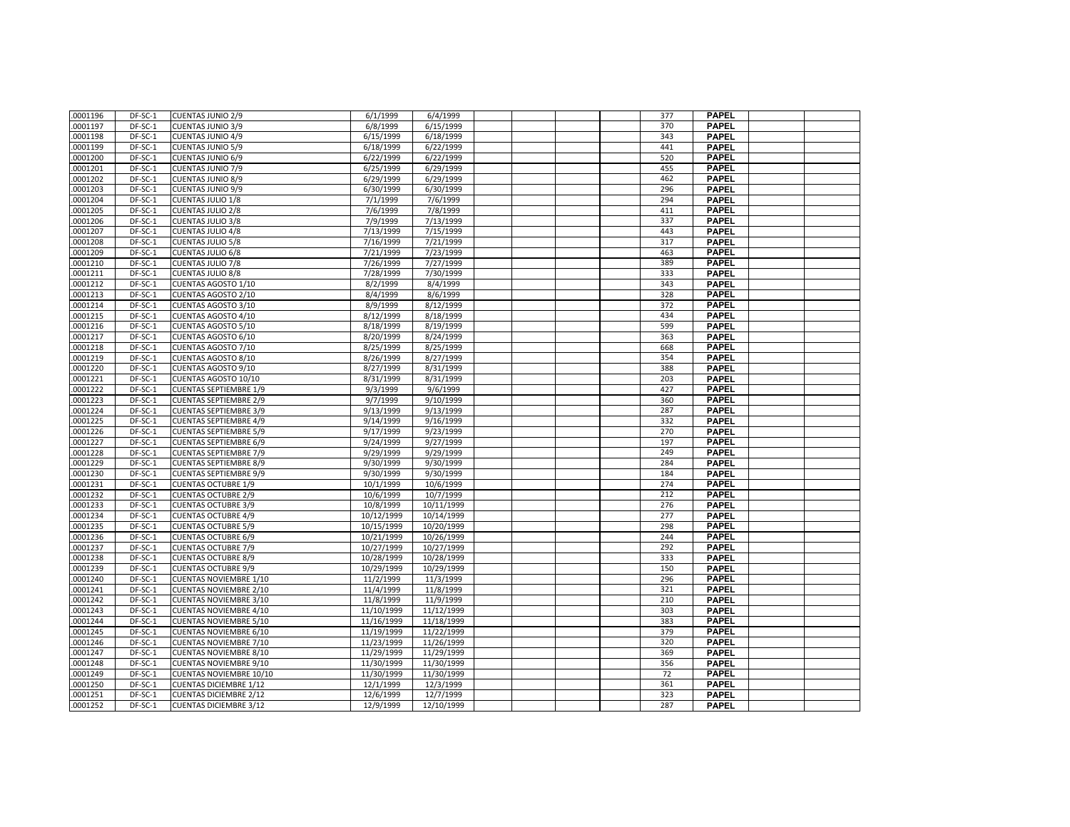| .0001196             | DF-SC-1            | <b>CUENTAS JUNIO 2/9</b>       | 6/1/1999               | 6/4/1999               |  | 377        | <b>PAPEL</b>                 |  |
|----------------------|--------------------|--------------------------------|------------------------|------------------------|--|------------|------------------------------|--|
| .0001197             | DF-SC-1            | <b>CUENTAS JUNIO 3/9</b>       | 6/8/1999               | 6/15/1999              |  | 370        | <b>PAPEL</b>                 |  |
| .0001198             | DF-SC-1            | <b>CUENTAS JUNIO 4/9</b>       | 6/15/1999              | 6/18/1999              |  | 343        | <b>PAPEL</b>                 |  |
| .0001199             | DF-SC-1            | <b>CUENTAS JUNIO 5/9</b>       | 6/18/1999              | 6/22/1999              |  | 441        | <b>PAPEL</b>                 |  |
| .0001200             | DF-SC-1            | <b>CUENTAS JUNIO 6/9</b>       | 6/22/1999              | 6/22/1999              |  | 520        | <b>PAPEL</b>                 |  |
| .0001201             | DF-SC-1            | <b>CUENTAS JUNIO 7/9</b>       | 6/25/1999              | 6/29/1999              |  | 455        | <b>PAPEL</b>                 |  |
| .0001202             | DF-SC-1            | <b>CUENTAS JUNIO 8/9</b>       | 6/29/1999              | 6/29/1999              |  | 462        | <b>PAPEL</b>                 |  |
| .0001203             | DF-SC-1            | <b>CUENTAS JUNIO 9/9</b>       | 6/30/1999              | 6/30/1999              |  | 296        | <b>PAPEL</b>                 |  |
| .0001204             | DF-SC-1            | <b>CUENTAS JULIO 1/8</b>       | 7/1/1999               | 7/6/1999               |  | 294        | <b>PAPEL</b>                 |  |
| .0001205             | DF-SC-1            | CUENTAS JULIO 2/8              | 7/6/1999               | 7/8/1999               |  | 411        | <b>PAPEL</b>                 |  |
| .0001206             | DF-SC-1            | <b>CUENTAS JULIO 3/8</b>       | 7/9/1999               | 7/13/1999              |  | 337        | <b>PAPEL</b>                 |  |
| .0001207             | DF-SC-1            | CUENTAS JULIO 4/8              | 7/13/1999              | 7/15/1999              |  | 443        | <b>PAPEL</b>                 |  |
| .0001208             | DF-SC-1            | <b>CUENTAS JULIO 5/8</b>       | 7/16/1999              | 7/21/1999              |  | 317        | PAPEL                        |  |
| .0001209             | DF-SC-1            | <b>CUENTAS JULIO 6/8</b>       | 7/21/1999              | 7/23/1999              |  | 463        | <b>PAPEL</b>                 |  |
| .0001210             | DF-SC-1            | <b>CUENTAS JULIO 7/8</b>       | 7/26/1999              | 7/27/1999              |  | 389        | <b>PAPEL</b>                 |  |
| .0001211             | DF-SC-1            | <b>CUENTAS JULIO 8/8</b>       | 7/28/1999              | 7/30/1999              |  | 333        | <b>PAPEL</b>                 |  |
| .0001212             | DF-SC-1            | CUENTAS AGOSTO 1/10            | 8/2/1999               | 8/4/1999               |  | 343        | <b>PAPEL</b>                 |  |
| .0001213             | DF-SC-1            | CUENTAS AGOSTO 2/10            | 8/4/1999               | 8/6/1999               |  | 328        | <b>PAPEL</b>                 |  |
| .0001214             | DF-SC-1            | <b>CUENTAS AGOSTO 3/10</b>     | 8/9/1999               | 8/12/1999              |  | 372        | <b>PAPEL</b>                 |  |
| .0001215             | DF-SC-1            | <b>CUENTAS AGOSTO 4/10</b>     | 8/12/1999              | 8/18/1999              |  | 434        | <b>PAPEL</b>                 |  |
| .0001216             | DF-SC-1            | CUENTAS AGOSTO 5/10            | 8/18/1999              | 8/19/1999              |  | 599        | <b>PAPEL</b>                 |  |
| .0001217             | DF-SC-1            | CUENTAS AGOSTO 6/10            | 8/20/1999              | 8/24/1999              |  | 363        | <b>PAPEL</b>                 |  |
| .0001218             | DF-SC-1            | <b>CUENTAS AGOSTO 7/10</b>     | 8/25/1999              | 8/25/1999              |  | 668        | <b>PAPEL</b>                 |  |
| .0001219             | DF-SC-1            | CUENTAS AGOSTO 8/10            | 8/26/1999              | 8/27/1999              |  | 354        | <b>PAPEL</b>                 |  |
| .0001220             | DF-SC-1            | CUENTAS AGOSTO 9/10            | 8/27/1999              | 8/31/1999              |  | 388        | <b>PAPEL</b>                 |  |
| .0001221             | DF-SC-1            | CUENTAS AGOSTO 10/10           | 8/31/1999              | 8/31/1999              |  | 203        | <b>PAPEL</b>                 |  |
|                      | DF-SC-1            |                                |                        |                        |  | 427        |                              |  |
| .0001222             |                    | <b>CUENTAS SEPTIEMBRE 1/9</b>  | 9/3/1999               | 9/6/1999               |  |            | <b>PAPEL</b><br><b>PAPEL</b> |  |
| .0001223             | DF-SC-1            | <b>CUENTAS SEPTIEMBRE 2/9</b>  | 9/7/1999               | 9/10/1999              |  | 360<br>287 | <b>PAPEL</b>                 |  |
| .0001224<br>.0001225 | DF-SC-1<br>DF-SC-1 | <b>CUENTAS SEPTIEMBRE 3/9</b>  | 9/13/1999<br>9/14/1999 | 9/13/1999              |  | 332        | <b>PAPEL</b>                 |  |
| .0001226             | DF-SC-1            | <b>CUENTAS SEPTIEMBRE 4/9</b>  | 9/17/1999              | 9/16/1999<br>9/23/1999 |  | 270        | <b>PAPEL</b>                 |  |
|                      |                    | <b>CUENTAS SEPTIEMBRE 5/9</b>  |                        |                        |  |            |                              |  |
| .0001227             | DF-SC-1            | <b>CUENTAS SEPTIEMBRE 6/9</b>  | 9/24/1999              | 9/27/1999              |  | 197        | <b>PAPEL</b>                 |  |
| .0001228             | DF-SC-1            | <b>CUENTAS SEPTIEMBRE 7/9</b>  | 9/29/1999              | 9/29/1999              |  | 249        | <b>PAPEL</b>                 |  |
| .0001229             | DF-SC-1            | <b>CUENTAS SEPTIEMBRE 8/9</b>  | 9/30/1999              | 9/30/1999              |  | 284        | <b>PAPEL</b>                 |  |
| .0001230             | DF-SC-1            | <b>CUENTAS SEPTIEMBRE 9/9</b>  | 9/30/1999              | 9/30/1999              |  | 184        | <b>PAPEL</b>                 |  |
| .0001231             | DF-SC-1            | <b>CUENTAS OCTUBRE 1/9</b>     | 10/1/1999              | 10/6/1999              |  | 274        | <b>PAPEL</b>                 |  |
| .0001232             | DF-SC-1            | <b>CUENTAS OCTUBRE 2/9</b>     | 10/6/1999              | 10/7/1999              |  | 212        | <b>PAPEL</b>                 |  |
| .0001233             | DF-SC-1            | <b>CUENTAS OCTUBRE 3/9</b>     | 10/8/1999              | 10/11/1999             |  | 276        | <b>PAPEL</b>                 |  |
| .0001234             | DF-SC-1            | <b>CUENTAS OCTUBRE 4/9</b>     | 10/12/1999             | 10/14/1999             |  | 277        | <b>PAPEL</b>                 |  |
| .0001235             | DF-SC-1            | <b>CUENTAS OCTUBRE 5/9</b>     | 10/15/1999             | 10/20/1999             |  | 298        | <b>PAPEL</b>                 |  |
| .0001236             | DF-SC-1            | <b>CUENTAS OCTUBRE 6/9</b>     | 10/21/1999             | 10/26/1999             |  | 244        | <b>PAPEL</b>                 |  |
| .0001237             | DF-SC-1            | <b>CUENTAS OCTUBRE 7/9</b>     | 10/27/1999             | 10/27/1999             |  | 292        | <b>PAPEL</b>                 |  |
| .0001238             | DF-SC-1            | <b>CUENTAS OCTUBRE 8/9</b>     | 10/28/1999             | 10/28/1999             |  | 333        | <b>PAPEL</b>                 |  |
| .0001239             | DF-SC-1            | <b>CUENTAS OCTUBRE 9/9</b>     | 10/29/1999             | 10/29/1999             |  | 150        | <b>PAPEL</b>                 |  |
| .0001240             | DF-SC-1            | <b>CUENTAS NOVIEMBRE 1/10</b>  | 11/2/1999              | 11/3/1999              |  | 296        | <b>PAPEL</b>                 |  |
| .0001241             | DF-SC-1            | <b>CUENTAS NOVIEMBRE 2/10</b>  | 11/4/1999              | 11/8/1999              |  | 321        | <b>PAPEL</b>                 |  |
| .0001242             | DF-SC-1            | <b>CUENTAS NOVIEMBRE 3/10</b>  | 11/8/1999              | 11/9/1999              |  | 210        | <b>PAPEL</b>                 |  |
| .0001243             | DF-SC-1            | <b>CUENTAS NOVIEMBRE 4/10</b>  | 11/10/1999             | 11/12/1999             |  | 303        | <b>PAPEL</b>                 |  |
| .0001244             | DF-SC-1            | <b>CUENTAS NOVIEMBRE 5/10</b>  | 11/16/1999             | 11/18/1999             |  | 383        | <b>PAPEL</b>                 |  |
| .0001245             | DF-SC-1            | <b>CUENTAS NOVIEMBRE 6/10</b>  | 11/19/1999             | 11/22/1999             |  | 379        | <b>PAPEL</b>                 |  |
| .0001246             | DF-SC-1            | <b>CUENTAS NOVIEMBRE 7/10</b>  | 11/23/1999             | 11/26/1999             |  | 320        | <b>PAPEL</b>                 |  |
| .0001247             | DF-SC-1            | <b>CUENTAS NOVIEMBRE 8/10</b>  | 11/29/1999             | 11/29/1999             |  | 369        | <b>PAPEL</b>                 |  |
| .0001248             | DF-SC-1            | <b>CUENTAS NOVIEMBRE 9/10</b>  | 11/30/1999             | 11/30/1999             |  | 356        | PAPEL                        |  |
| .0001249             | DF-SC-1            | <b>CUENTAS NOVIEMBRE 10/10</b> | 11/30/1999             | 11/30/1999             |  | 72         | <b>PAPEL</b>                 |  |
| .0001250             | DF-SC-1            | <b>CUENTAS DICIEMBRE 1/12</b>  | 12/1/1999              | 12/3/1999              |  | 361        | <b>PAPEL</b>                 |  |
| .0001251             | DF-SC-1            | <b>CUENTAS DICIEMBRE 2/12</b>  | 12/6/1999              | 12/7/1999              |  | 323        | <b>PAPEL</b>                 |  |
| .0001252             | DF-SC-1            | <b>CUENTAS DICIEMBRE 3/12</b>  | 12/9/1999              | 12/10/1999             |  | 287        | <b>PAPEL</b>                 |  |
|                      |                    |                                |                        |                        |  |            |                              |  |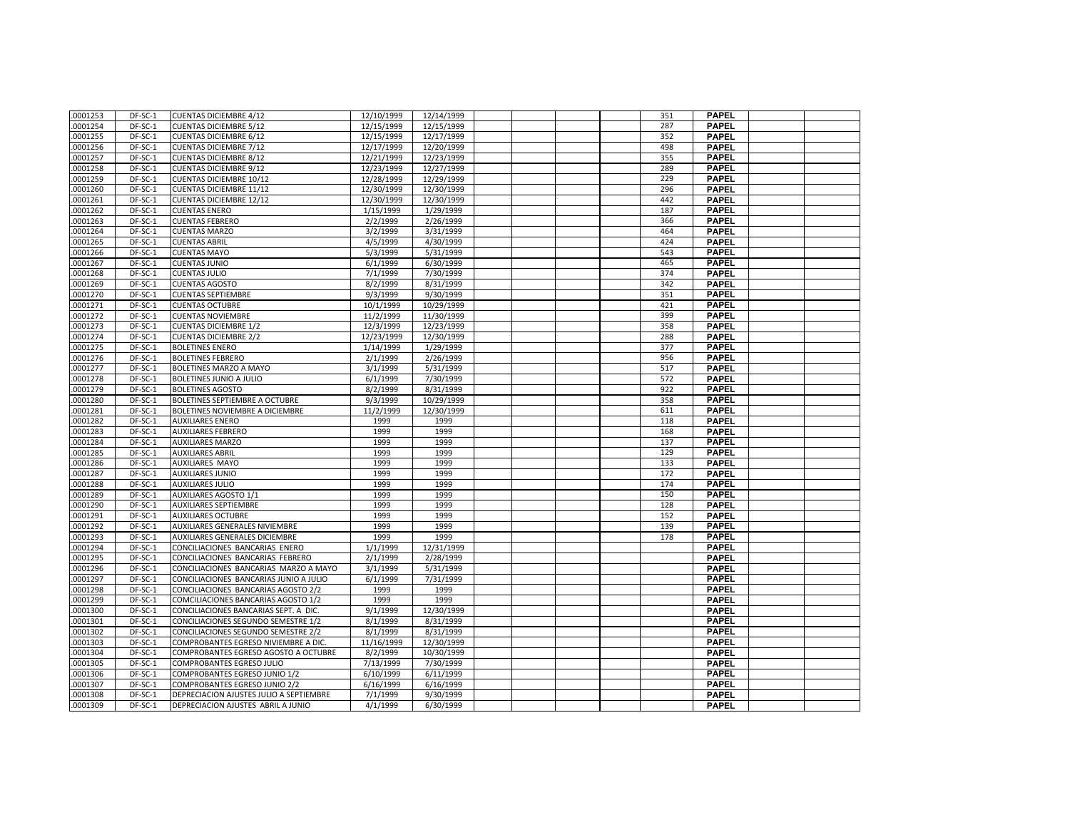| .0001253             | DF-SC-1   | <b>CUENTAS DICIEMBRE 4/12</b>           | 12/10/1999   | 12/14/1999   |  | 351 | <b>PAPEL</b> |  |
|----------------------|-----------|-----------------------------------------|--------------|--------------|--|-----|--------------|--|
| .0001254             | DF-SC-1   | <b>CUENTAS DICIEMBRE 5/12</b>           | 12/15/1999   | 12/15/1999   |  | 287 | <b>PAPEL</b> |  |
| .0001255             | DF-SC-1   | <b>CUENTAS DICIEMBRE 6/12</b>           | 12/15/1999   | 12/17/1999   |  | 352 | <b>PAPEL</b> |  |
| .0001256             | DF-SC-1   | <b>CUENTAS DICIEMBRE 7/12</b>           | 12/17/1999   | 12/20/1999   |  | 498 | <b>PAPEL</b> |  |
| .0001257             | DF-SC-1   | <b>CUENTAS DICIEMBRE 8/12</b>           | 12/21/1999   | 12/23/1999   |  | 355 | <b>PAPEL</b> |  |
| .0001258             | DF-SC-1   | <b>CUENTAS DICIEMBRE 9/12</b>           | 12/23/1999   | 12/27/1999   |  | 289 | <b>PAPEL</b> |  |
| .0001259             | DF-SC-1   | <b>CUENTAS DICIEMBRE 10/12</b>          | 12/28/1999   | 12/29/1999   |  | 229 | <b>PAPEL</b> |  |
| .0001260             | DF-SC-1   | <b>CUENTAS DICIEMBRE 11/12</b>          | 12/30/1999   | 12/30/1999   |  | 296 | <b>PAPEL</b> |  |
| .0001261             | DF-SC-1   | <b>CUENTAS DICIEMBRE 12/12</b>          | 12/30/1999   | 12/30/1999   |  | 442 | <b>PAPEL</b> |  |
| .0001262             | DF-SC-1   | <b>CUENTAS ENERO</b>                    | 1/15/1999    | 1/29/1999    |  | 187 | <b>PAPEL</b> |  |
| .0001263             | DF-SC-1   | <b>CUENTAS FEBRERO</b>                  | 2/2/1999     | 2/26/1999    |  | 366 | <b>PAPEL</b> |  |
| .0001264             | DF-SC-1   | <b>CUENTAS MARZO</b>                    | 3/2/1999     | 3/31/1999    |  | 464 | <b>PAPEL</b> |  |
| .0001265             | DF-SC-1   | <b>CUENTAS ABRIL</b>                    | 4/5/1999     | 4/30/1999    |  | 424 | <b>PAPEL</b> |  |
| .0001266             | DF-SC-1   | <b>CUENTAS MAYO</b>                     | 5/3/1999     | 5/31/1999    |  | 543 | <b>PAPEL</b> |  |
| .0001267             | DF-SC-1   | <b>CUENTAS JUNIO</b>                    | 6/1/1999     | 6/30/1999    |  | 465 | <b>PAPEL</b> |  |
| .0001268             | DF-SC-1   | <b>CUENTAS JULIO</b>                    | 7/1/1999     | 7/30/1999    |  | 374 | <b>PAPEL</b> |  |
| .0001269             | DF-SC-1   | <b>CUENTAS AGOSTO</b>                   | 8/2/1999     | 8/31/1999    |  | 342 | <b>PAPEL</b> |  |
| .0001270             | DF-SC-1   | <b>CUENTAS SEPTIEMBRE</b>               | 9/3/1999     | 9/30/1999    |  | 351 | <b>PAPEL</b> |  |
| .0001271             | DF-SC-1   | <b>CUENTAS OCTUBRE</b>                  | 10/1/1999    | 10/29/1999   |  | 421 | <b>PAPEL</b> |  |
| .0001272             | $DF-SC-1$ | <b>CUENTAS NOVIEMBRE</b>                | 11/2/1999    | 11/30/1999   |  | 399 | <b>PAPEL</b> |  |
| .0001273             | DF-SC-1   | <b>CUENTAS DICIEMBRE 1/2</b>            | 12/3/1999    | 12/23/1999   |  | 358 | <b>PAPEL</b> |  |
| .0001274             | DF-SC-1   | <b>CUENTAS DICIEMBRE 2/2</b>            | 12/23/1999   | 12/30/1999   |  | 288 | <b>PAPEL</b> |  |
| .0001275             | DF-SC-1   | <b>BOLETINES ENERO</b>                  | 1/14/1999    | 1/29/1999    |  | 377 | <b>PAPEL</b> |  |
| .0001276             | DF-SC-1   | <b>BOLETINES FEBRERO</b>                | 2/1/1999     | 2/26/1999    |  | 956 | <b>PAPEL</b> |  |
| .0001277             | DF-SC-1   | BOLETINES MARZO A MAYO                  | 3/1/1999     | 5/31/1999    |  | 517 | <b>PAPEL</b> |  |
| .0001278             | DF-SC-1   | <b>BOLETINES JUNIO A JULIO</b>          | 6/1/1999     | 7/30/1999    |  | 572 | <b>PAPEL</b> |  |
| .0001279             | DF-SC-1   | <b>BOLETINES AGOSTO</b>                 | 8/2/1999     | 8/31/1999    |  | 922 | <b>PAPEL</b> |  |
| .0001280             | DF-SC-1   | BOLETINES SEPTIEMBRE A OCTUBRE          | 9/3/1999     | 10/29/1999   |  | 358 | <b>PAPEL</b> |  |
| .0001281             | DF-SC-1   | BOLETINES NOVIEMBRE A DICIEMBRE         | 11/2/1999    | 12/30/1999   |  | 611 | <b>PAPEL</b> |  |
| .0001282             | DF-SC-1   | <b>AUXILIARES ENERO</b>                 | 1999         | 1999         |  | 118 | <b>PAPEL</b> |  |
| .0001283             | DF-SC-1   | <b>AUXILIARES FEBRERO</b>               | 1999         | 1999         |  | 168 | <b>PAPEL</b> |  |
| .0001284             | DF-SC-1   | <b>AUXILIARES MARZO</b>                 | 1999         | 1999         |  | 137 | <b>PAPEL</b> |  |
|                      | DF-SC-1   | <b>AUXILIARES ABRIL</b>                 | 1999         | 1999         |  | 129 | <b>PAPEL</b> |  |
| .0001285             | DF-SC-1   |                                         |              |              |  | 133 | <b>PAPEL</b> |  |
| .0001286<br>.0001287 |           | AUXILIARES MAYO                         | 1999<br>1999 | 1999<br>1999 |  | 172 |              |  |
|                      | DF-SC-1   | <b>AUXILIARES JUNIO</b>                 |              |              |  |     | <b>PAPEL</b> |  |
| .0001288             | DF-SC-1   | <b>AUXILIARES JULIO</b>                 | 1999         | 1999         |  | 174 | <b>PAPEL</b> |  |
| .0001289             | DF-SC-1   | <b>AUXILIARES AGOSTO 1/1</b>            | 1999         | 1999         |  | 150 | <b>PAPEL</b> |  |
| .0001290             | DF-SC-1   | <b>AUXILIARES SEPTIEMBRE</b>            | 1999         | 1999         |  | 128 | <b>PAPEL</b> |  |
| .0001291             | DF-SC-1   | <b>AUXILIARES OCTUBRE</b>               | 1999         | 1999         |  | 152 | <b>PAPEL</b> |  |
| .0001292             | DF-SC-1   | AUXILIARES GENERALES NIVIEMBRE          | 1999         | 1999         |  | 139 | <b>PAPEL</b> |  |
| .0001293             | DF-SC-1   | AUXILIARES GENERALES DICIEMBRE          | 1999         | 1999         |  | 178 | <b>PAPEL</b> |  |
| .0001294             | DF-SC-1   | CONCILIACIONES BANCARIAS ENERO          | 1/1/1999     | 12/31/1999   |  |     | <b>PAPEL</b> |  |
| .0001295             | DF-SC-1   | CONCILIACIONES BANCARIAS FEBRERO        | 2/1/1999     | 2/28/1999    |  |     | <b>PAPEL</b> |  |
| .0001296             | DF-SC-1   | CONCILIACIONES BANCARIAS MARZO A MAYO   | 3/1/1999     | 5/31/1999    |  |     | <b>PAPEL</b> |  |
| .0001297             | DF-SC-1   | CONCILIACIONES BANCARIAS JUNIO A JULIO  | 6/1/1999     | 7/31/1999    |  |     | <b>PAPEL</b> |  |
| .0001298             | DF-SC-1   | CONCILIACIONES BANCARIAS AGOSTO 2/2     | 1999         | 1999         |  |     | <b>PAPEL</b> |  |
| .0001299             | DF-SC-1   | COMCILIACIONES BANCARIAS AGOSTO 1/2     | 1999         | 1999         |  |     | <b>PAPEL</b> |  |
| .0001300             | DF-SC-1   | CONCILIACIONES BANCARIAS SEPT. A DIC.   | 9/1/1999     | 12/30/1999   |  |     | <b>PAPEL</b> |  |
| .0001301             | DF-SC-1   | CONCILIACIONES SEGUNDO SEMESTRE 1/2     | 8/1/1999     | 8/31/1999    |  |     | <b>PAPEL</b> |  |
| .0001302             | DF-SC-1   | CONCILIACIONES SEGUNDO SEMESTRE 2/2     | 8/1/1999     | 8/31/1999    |  |     | <b>PAPEL</b> |  |
| .0001303             | DF-SC-1   | COMPROBANTES EGRESO NIVIEMBRE A DIC     | 11/16/1999   | 12/30/1999   |  |     | <b>PAPEL</b> |  |
| .0001304             | DF-SC-1   | COMPROBANTES EGRESO AGOSTO A OCTUBRE    | 8/2/1999     | 10/30/1999   |  |     | <b>PAPEL</b> |  |
| .0001305             | DF-SC-1   | COMPROBANTES EGRESO JULIO               | 7/13/1999    | 7/30/1999    |  |     | <b>PAPEL</b> |  |
| .0001306             | DF-SC-1   | COMPROBANTES EGRESO JUNIO 1/2           | 6/10/1999    | 6/11/1999    |  |     | <b>PAPEL</b> |  |
| .0001307             | DF-SC-1   | COMPROBANTES EGRESO JUNIO 2/2           | 6/16/1999    | 6/16/1999    |  |     | <b>PAPEL</b> |  |
| .0001308             | DF-SC-1   | DEPRECIACION AJUSTES JULIO A SEPTIEMBRE | 7/1/1999     | 9/30/1999    |  |     | <b>PAPEL</b> |  |
| .0001309             | DF-SC-1   | DEPRECIACION AJUSTES ABRIL A JUNIO      | 4/1/1999     | 6/30/1999    |  |     | <b>PAPEL</b> |  |
|                      |           |                                         |              |              |  |     |              |  |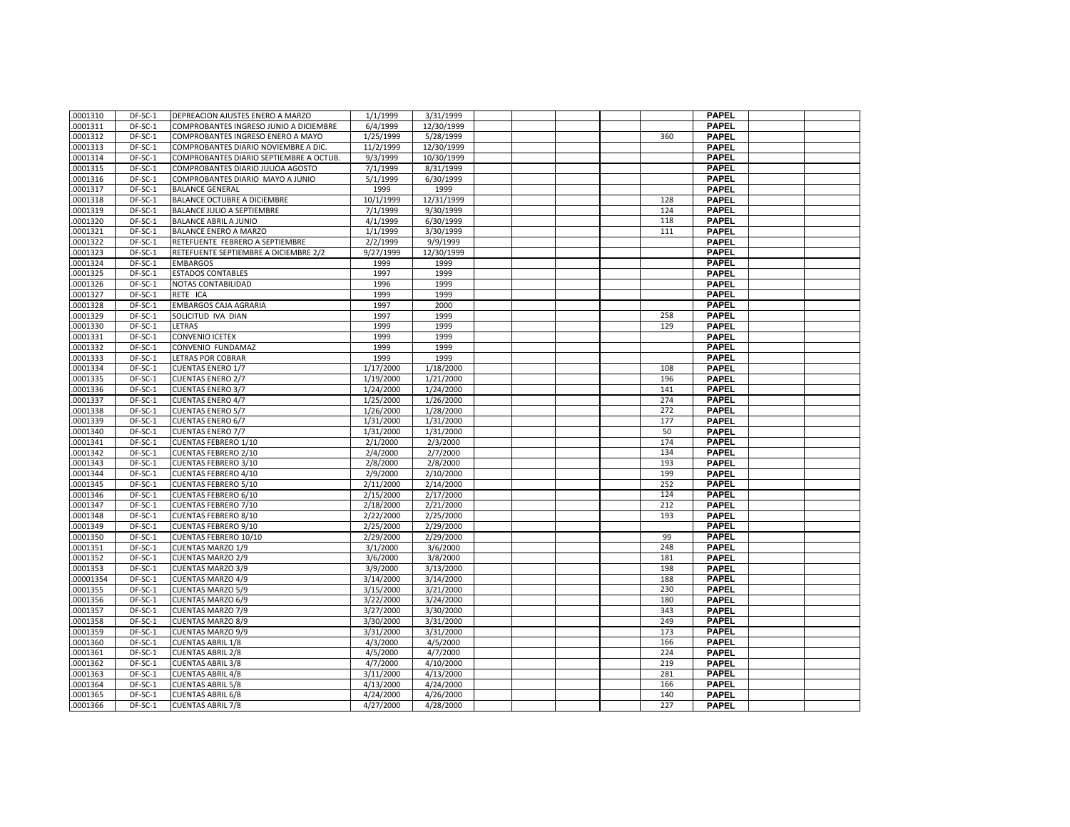| .0001310  | DF-SC-1   | DEPREACION AJUSTES ENERO A MARZO        | 1/1/1999  | 3/31/1999  |  |     | <b>PAPEL</b> |  |
|-----------|-----------|-----------------------------------------|-----------|------------|--|-----|--------------|--|
| .0001311  | DF-SC-1   | COMPROBANTES INGRESO JUNIO A DICIEMBRE  | 6/4/1999  | 12/30/1999 |  |     | <b>PAPEL</b> |  |
| .0001312  | DF-SC-1   | COMPROBANTES INGRESO ENERO A MAYO       | 1/25/1999 | 5/28/1999  |  | 360 | <b>PAPEL</b> |  |
| .0001313  | DF-SC-1   | COMPROBANTES DIARIO NOVIEMBRE A DIC     | 11/2/1999 | 12/30/1999 |  |     | <b>PAPEL</b> |  |
| .0001314  | DF-SC-1   | COMPROBANTES DIARIO SEPTIEMBRE A OCTUB. | 9/3/1999  | 10/30/1999 |  |     | <b>PAPEL</b> |  |
| .0001315  | DF-SC-1   | COMPROBANTES DIARIO JULIOA AGOSTO       | 7/1/1999  | 8/31/1999  |  |     | <b>PAPEL</b> |  |
| .0001316  | DF-SC-1   | COMPROBANTES DIARIO MAYO A JUNIO        | 5/1/1999  | 6/30/1999  |  |     | <b>PAPEL</b> |  |
| .0001317  | DF-SC-1   | <b>BALANCE GENERAL</b>                  | 1999      | 1999       |  |     | <b>PAPEL</b> |  |
| .0001318  | DF-SC-1   | BALANCE OCTUBRE A DICIEMBRE             | 10/1/1999 | 12/31/1999 |  | 128 | <b>PAPEL</b> |  |
| .0001319  | DF-SC-1   | BALANCE JULIO A SEPTIEMBRE              | 7/1/1999  | 9/30/1999  |  | 124 | <b>PAPEL</b> |  |
| .0001320  | DF-SC-1   | <b>BALANCE ABRIL A JUNIO</b>            | 4/1/1999  | 6/30/1999  |  | 118 | <b>PAPEL</b> |  |
| .0001321  | DF-SC-1   | <b>BALANCE ENERO A MARZO</b>            | 1/1/1999  | 3/30/1999  |  | 111 | <b>PAPEL</b> |  |
| .0001322  | DF-SC-1   | RETEFUENTE FEBRERO A SEPTIEMBRE         | 2/2/1999  | 9/9/1999   |  |     | <b>PAPEL</b> |  |
| .0001323  | DF-SC-1   | RETEFUENTE SEPTIEMBRE A DICIEMBRE 2/2   | 9/27/1999 | 12/30/1999 |  |     | <b>PAPEL</b> |  |
| .0001324  | DF-SC-1   | <b>EMBARGOS</b>                         | 1999      | 1999       |  |     | <b>PAPEL</b> |  |
| .0001325  | DF-SC-1   | <b>ESTADOS CONTABLES</b>                | 1997      | 1999       |  |     | <b>PAPEL</b> |  |
| .0001326  | DF-SC-1   | NOTAS CONTABILIDAD                      | 1996      | 1999       |  |     | <b>PAPEL</b> |  |
| .0001327  | DF-SC-1   | RETE ICA                                | 1999      | 1999       |  |     | <b>PAPEL</b> |  |
| .0001328  | DF-SC-1   | <b>EMBARGOS CAJA AGRARIA</b>            | 1997      | 2000       |  |     | <b>PAPEL</b> |  |
| .0001329  | DF-SC-1   | SOLICITUD IVA DIAN                      | 1997      | 1999       |  | 258 | <b>PAPEL</b> |  |
| .0001330  | DF-SC-1   | LETRAS                                  | 1999      | 1999       |  | 129 | <b>PAPEL</b> |  |
| .0001331  | DF-SC-1   | <b>CONVENIO ICETEX</b>                  | 1999      | 1999       |  |     | <b>PAPEL</b> |  |
| .0001332  | DF-SC-1   | CONVENIO FUNDAMAZ                       | 1999      | 1999       |  |     | <b>PAPEL</b> |  |
| 0001333   | $DF-SC-1$ | <b>LETRAS POR COBRAR</b>                | 1999      | 1999       |  |     | <b>PAPEL</b> |  |
| .0001334  | $DF-SC-1$ | <b>CUENTAS ENERO 1/7</b>                | 1/17/2000 | 1/18/2000  |  | 108 | <b>PAPEL</b> |  |
| .0001335  | DF-SC-1   | <b>CUENTAS ENERO 2/7</b>                | 1/19/2000 | 1/21/2000  |  | 196 | <b>PAPEL</b> |  |
| .0001336  | DF-SC-1   | <b>CUENTAS ENERO 3/7</b>                | 1/24/2000 | 1/24/2000  |  | 141 | <b>PAPEL</b> |  |
| .0001337  | DF-SC-1   | <b>CUENTAS ENERO 4/7</b>                | 1/25/2000 | 1/26/2000  |  | 274 | <b>PAPEL</b> |  |
| .0001338  | DF-SC-1   | <b>CUENTAS ENERO 5/7</b>                | 1/26/2000 | 1/28/2000  |  | 272 | <b>PAPEL</b> |  |
| .0001339  | DF-SC-1   | <b>CUENTAS ENERO 6/7</b>                | 1/31/2000 | 1/31/2000  |  | 177 | <b>PAPEL</b> |  |
| .0001340  | DF-SC-1   | <b>CUENTAS ENERO 7/7</b>                | 1/31/2000 | 1/31/2000  |  | 50  | <b>PAPEL</b> |  |
| .0001341  | DF-SC-1   | <b>CUENTAS FEBRERO 1/10</b>             | 2/1/2000  | 2/3/2000   |  | 174 | <b>PAPEL</b> |  |
| .0001342  | DF-SC-1   | <b>CUENTAS FEBRERO 2/10</b>             | 2/4/2000  | 2/7/2000   |  | 134 | <b>PAPEL</b> |  |
| 0001343   | DF-SC-1   | <b>CUENTAS FEBRERO 3/10</b>             | 2/8/2000  | 2/8/2000   |  | 193 | <b>PAPEL</b> |  |
| .0001344  | DF-SC-1   | <b>CUENTAS FEBRERO 4/10</b>             | 2/9/2000  | 2/10/2000  |  | 199 | <b>PAPEL</b> |  |
| .0001345  | DF-SC-1   | <b>CUENTAS FEBRERO 5/10</b>             | 2/11/2000 | 2/14/2000  |  | 252 | <b>PAPEL</b> |  |
| .0001346  | DF-SC-1   | <b>CUENTAS FEBRERO 6/10</b>             | 2/15/2000 | 2/17/2000  |  | 124 | <b>PAPEL</b> |  |
| .0001347  | DF-SC-1   | <b>CUENTAS FEBRERO 7/10</b>             | 2/18/2000 | 2/21/2000  |  | 212 | <b>PAPEL</b> |  |
| .0001348  | DF-SC-1   | <b>CUENTAS FEBRERO 8/10</b>             | 2/22/2000 | 2/25/2000  |  | 193 | <b>PAPEL</b> |  |
| .0001349  | DF-SC-1   | <b>CUENTAS FEBRERO 9/10</b>             | 2/25/2000 | 2/29/2000  |  |     | <b>PAPEL</b> |  |
| .0001350  | DF-SC-1   | CUENTAS FEBRERO 10/10                   | 2/29/2000 | 2/29/2000  |  | 99  | <b>PAPEL</b> |  |
| .0001351  | DF-SC-1   | <b>CUENTAS MARZO 1/9</b>                | 3/1/2000  | 3/6/2000   |  | 248 | <b>PAPEL</b> |  |
| .0001352  | DF-SC-1   | <b>CUENTAS MARZO 2/9</b>                | 3/6/2000  | 3/8/2000   |  | 181 | <b>PAPEL</b> |  |
| .0001353  | DF-SC-1   | <b>CUENTAS MARZO 3/9</b>                | 3/9/2000  | 3/13/2000  |  | 198 | <b>PAPEL</b> |  |
| .00001354 | DF-SC-1   | <b>CUENTAS MARZO 4/9</b>                | 3/14/2000 | 3/14/2000  |  | 188 | <b>PAPEL</b> |  |
| .0001355  | DF-SC-1   | <b>CUENTAS MARZO 5/9</b>                | 3/15/2000 | 3/21/2000  |  | 230 | <b>PAPEL</b> |  |
| .0001356  | DF-SC-1   | <b>CUENTAS MARZO 6/9</b>                | 3/22/2000 | 3/24/2000  |  | 180 | <b>PAPEL</b> |  |
| .0001357  | DF-SC-1   | <b>CUENTAS MARZO 7/9</b>                | 3/27/2000 | 3/30/2000  |  | 343 | <b>PAPEL</b> |  |
| .0001358  | DF-SC-1   | <b>CUENTAS MARZO 8/9</b>                | 3/30/2000 | 3/31/2000  |  | 249 | <b>PAPEL</b> |  |
| .0001359  | DF-SC-1   | <b>CUENTAS MARZO 9/9</b>                | 3/31/2000 | 3/31/2000  |  | 173 | <b>PAPEL</b> |  |
| .0001360  | DF-SC-1   | <b>CUENTAS ABRIL 1/8</b>                | 4/3/2000  | 4/5/2000   |  | 166 | <b>PAPEL</b> |  |
| .0001361  | DF-SC-1   | <b>CUENTAS ABRIL 2/8</b>                | 4/5/2000  | 4/7/2000   |  | 224 | <b>PAPEL</b> |  |
| .0001362  | DF-SC-1   | <b>CUENTAS ABRIL 3/8</b>                | 4/7/2000  | 4/10/2000  |  | 219 | <b>PAPEL</b> |  |
| .0001363  | DF-SC-1   | <b>CUENTAS ABRIL 4/8</b>                | 3/11/2000 | 4/13/2000  |  | 281 | <b>PAPEL</b> |  |
| .0001364  | DF-SC-1   | <b>CUENTAS ABRIL 5/8</b>                | 4/13/2000 | 4/24/2000  |  | 166 | <b>PAPEL</b> |  |
| .0001365  | DF-SC-1   | <b>CUENTAS ABRIL 6/8</b>                | 4/24/2000 | 4/26/2000  |  | 140 | <b>PAPEL</b> |  |
| .0001366  | DF-SC-1   | <b>CUENTAS ABRIL 7/8</b>                | 4/27/2000 | 4/28/2000  |  | 227 | <b>PAPEL</b> |  |
|           |           |                                         |           |            |  |     |              |  |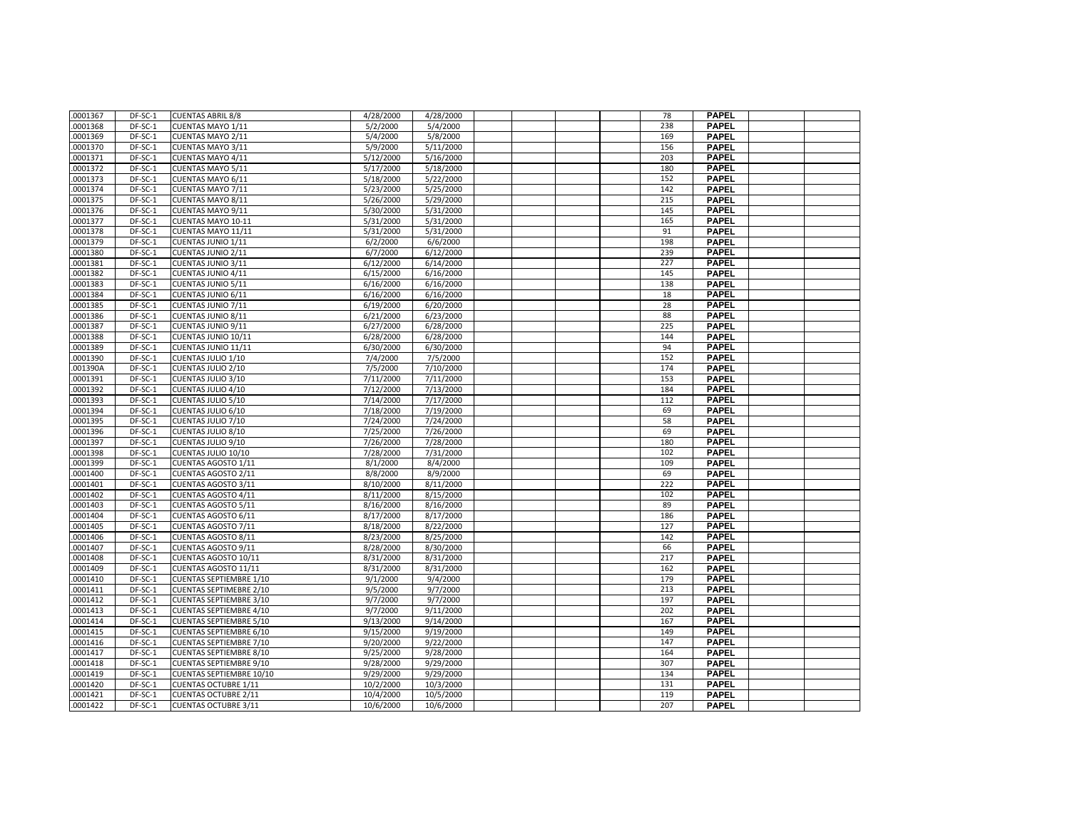| .0001367 | DF-SC-1   | <b>CUENTAS ABRIL 8/8</b>        | 4/28/2000              | 4/28/2000 |  | 78  | <b>PAPEL</b> |  |
|----------|-----------|---------------------------------|------------------------|-----------|--|-----|--------------|--|
| .0001368 | DF-SC-1   | CUENTAS MAYO 1/11               | 5/2/2000               | 5/4/2000  |  | 238 | <b>PAPEL</b> |  |
| .0001369 | DF-SC-1   | CUENTAS MAYO 2/11               | 5/4/2000               | 5/8/2000  |  | 169 | <b>PAPEL</b> |  |
|          |           |                                 |                        |           |  | 156 | <b>PAPEL</b> |  |
| .0001370 | DF-SC-1   | CUENTAS MAYO 3/11               | 5/9/2000               | 5/11/2000 |  |     |              |  |
| .0001371 | DF-SC-1   | CUENTAS MAYO 4/11               | $5/\overline{12/2000}$ | 5/16/2000 |  | 203 | <b>PAPEL</b> |  |
| .0001372 | DF-SC-1   | CUENTAS MAYO 5/11               | 5/17/2000              | 5/18/2000 |  | 180 | <b>PAPEL</b> |  |
| .0001373 | DF-SC-1   | CUENTAS MAYO 6/11               | 5/18/2000              | 5/22/2000 |  | 152 | <b>PAPEL</b> |  |
| .0001374 | DF-SC-1   | CUENTAS MAYO 7/11               | 5/23/2000              | 5/25/2000 |  | 142 | <b>PAPEL</b> |  |
| .0001375 | DF-SC-1   | CUENTAS MAYO 8/11               | 5/26/2000              | 5/29/2000 |  | 215 | <b>PAPEL</b> |  |
| .0001376 | DF-SC-1   | CUENTAS MAYO 9/11               | 5/30/2000              | 5/31/2000 |  | 145 | <b>PAPEL</b> |  |
| .0001377 | DF-SC-1   | CUENTAS MAYO 10-11              | 5/31/2000              | 5/31/2000 |  | 165 | <b>PAPEL</b> |  |
| .0001378 | DF-SC-1   | CUENTAS MAYO 11/11              | 5/31/2000              | 5/31/2000 |  | 91  | <b>PAPEL</b> |  |
| .0001379 | DF-SC-1   | CUENTAS JUNIO 1/11              | 6/2/2000               | 6/6/2000  |  | 198 | <b>PAPEL</b> |  |
| .0001380 | DF-SC-1   | CUENTAS JUNIO 2/11              | 6/7/2000               | 6/12/2000 |  | 239 | <b>PAPEL</b> |  |
| .0001381 | DF-SC-1   | CUENTAS JUNIO 3/11              | 6/12/2000              | 6/14/2000 |  | 227 | <b>PAPEL</b> |  |
| .0001382 | DF-SC-1   | <b>CUENTAS JUNIO 4/11</b>       | 6/15/2000              | 6/16/2000 |  | 145 | <b>PAPEL</b> |  |
| .0001383 | DF-SC-1   | CUENTAS JUNIO 5/11              | 6/16/2000              | 6/16/2000 |  | 138 | <b>PAPEL</b> |  |
| .0001384 | DF-SC-1   | CUENTAS JUNIO 6/11              | 6/16/2000              | 6/16/2000 |  | 18  | <b>PAPEL</b> |  |
| .0001385 | DF-SC-1   | CUENTAS JUNIO 7/11              | 6/19/2000              | 6/20/2000 |  | 28  | <b>PAPEL</b> |  |
| .0001386 | $DF-SC-1$ | CUENTAS JUNIO 8/11              | 6/21/2000              | 6/23/2000 |  | 88  | <b>PAPEL</b> |  |
| .0001387 | DF-SC-1   | CUENTAS JUNIO 9/11              | 6/27/2000              | 6/28/2000 |  | 225 | <b>PAPEL</b> |  |
| .0001388 | DF-SC-1   | CUENTAS JUNIO 10/11             | 6/28/2000              | 6/28/2000 |  | 144 | <b>PAPEL</b> |  |
| .0001389 | DF-SC-1   | CUENTAS JUNIO 11/11             | 6/30/2000              | 6/30/2000 |  | 94  | <b>PAPEL</b> |  |
| .0001390 | DF-SC-1   | CUENTAS JULIO 1/10              | 7/4/2000               | 7/5/2000  |  | 152 | <b>PAPEL</b> |  |
| .001390A | DF-SC-1   | CUENTAS JULIO 2/10              | 7/5/2000               | 7/10/2000 |  | 174 | <b>PAPEL</b> |  |
| .0001391 | DF-SC-1   | CUENTAS JULIO 3/10              | 7/11/2000              | 7/11/2000 |  | 153 | <b>PAPEL</b> |  |
| .0001392 | DF-SC-1   | CUENTAS JULIO 4/10              | 7/12/2000              | 7/13/2000 |  | 184 | <b>PAPEL</b> |  |
| .0001393 | DF-SC-1   | CUENTAS JULIO 5/10              | 7/14/2000              | 7/17/2000 |  | 112 | <b>PAPEL</b> |  |
| .0001394 | DF-SC-1   | CUENTAS JULIO 6/10              | 7/18/2000              | 7/19/2000 |  | 69  | <b>PAPEL</b> |  |
| .0001395 | DF-SC-1   | CUENTAS JULIO 7/10              | 7/24/2000              | 7/24/2000 |  | 58  | <b>PAPEL</b> |  |
| .0001396 | DF-SC-1   | CUENTAS JULIO 8/10              | 7/25/2000              | 7/26/2000 |  | 69  | <b>PAPEL</b> |  |
|          |           |                                 |                        |           |  |     |              |  |
| .0001397 | DF-SC-1   | CUENTAS JULIO 9/10              | 7/26/2000              | 7/28/2000 |  | 180 | <b>PAPEL</b> |  |
| .0001398 | DF-SC-1   | CUENTAS JULIO 10/10             | 7/28/2000              | 7/31/2000 |  | 102 | <b>PAPEL</b> |  |
| .0001399 | DF-SC-1   | CUENTAS AGOSTO 1/11             | 8/1/2000               | 8/4/2000  |  | 109 | <b>PAPEL</b> |  |
| .0001400 | DF-SC-1   | CUENTAS AGOSTO 2/11             | 8/8/2000               | 8/9/2000  |  | 69  | <b>PAPEL</b> |  |
| .0001401 | DF-SC-1   | CUENTAS AGOSTO 3/11             | 8/10/2000              | 8/11/2000 |  | 222 | <b>PAPEL</b> |  |
| .0001402 | DF-SC-1   | CUENTAS AGOSTO 4/11             | 8/11/2000              | 8/15/2000 |  | 102 | <b>PAPEL</b> |  |
| .0001403 | DF-SC-1   | CUENTAS AGOSTO 5/11             | 8/16/2000              | 8/16/2000 |  | 89  | <b>PAPEL</b> |  |
| .0001404 | DF-SC-1   | CUENTAS AGOSTO 6/11             | 8/17/2000              | 8/17/2000 |  | 186 | <b>PAPEL</b> |  |
| .0001405 | DF-SC-1   | <b>CUENTAS AGOSTO 7/11</b>      | 8/18/2000              | 8/22/2000 |  | 127 | <b>PAPEL</b> |  |
| .0001406 | DF-SC-1   | <b>CUENTAS AGOSTO 8/11</b>      | 8/23/2000              | 8/25/2000 |  | 142 | <b>PAPEL</b> |  |
| .0001407 | DF-SC-1   | CUENTAS AGOSTO 9/11             | 8/28/2000              | 8/30/2000 |  | 66  | <b>PAPEL</b> |  |
| .0001408 | DF-SC-1   | CUENTAS AGOSTO 10/11            | 8/31/2000              | 8/31/2000 |  | 217 | <b>PAPEL</b> |  |
| .0001409 | DF-SC-1   | CUENTAS AGOSTO 11/11            | 8/31/2000              | 8/31/2000 |  | 162 | <b>PAPEL</b> |  |
| .0001410 | DF-SC-1   | <b>CUENTAS SEPTIEMBRE 1/10</b>  | 9/1/2000               | 9/4/2000  |  | 179 | <b>PAPEL</b> |  |
| .0001411 | DF-SC-1   | <b>CUENTAS SEPTIMEBRE 2/10</b>  | 9/5/2000               | 9/7/2000  |  | 213 | <b>PAPEL</b> |  |
| .0001412 | DF-SC-1   | <b>CUENTAS SEPTIEMBRE 3/10</b>  | 9/7/2000               | 9/7/2000  |  | 197 | <b>PAPEL</b> |  |
| .0001413 | DF-SC-1   | <b>CUENTAS SEPTIEMBRE 4/10</b>  | 9/7/2000               | 9/11/2000 |  | 202 | <b>PAPEL</b> |  |
| .0001414 | DF-SC-1   | <b>CUENTAS SEPTIEMBRE 5/10</b>  | 9/13/2000              | 9/14/2000 |  | 167 | <b>PAPEL</b> |  |
| .0001415 | DF-SC-1   | <b>CUENTAS SEPTIEMBRE 6/10</b>  | 9/15/2000              | 9/19/2000 |  | 149 | <b>PAPEL</b> |  |
| .0001416 | DF-SC-1   | <b>CUENTAS SEPTIEMBRE 7/10</b>  | 9/20/2000              | 9/22/2000 |  | 147 | <b>PAPEL</b> |  |
| .0001417 | DF-SC-1   | <b>CUENTAS SEPTIEMBRE 8/10</b>  | 9/25/2000              | 9/28/2000 |  | 164 | <b>PAPEL</b> |  |
| .0001418 | DF-SC-1   | <b>CUENTAS SEPTIEMBRE 9/10</b>  | 9/28/2000              | 9/29/2000 |  | 307 | <b>PAPEL</b> |  |
| .0001419 | DF-SC-1   | <b>CUENTAS SEPTIEMBRE 10/10</b> | 9/29/2000              | 9/29/2000 |  | 134 | <b>PAPEL</b> |  |
| .0001420 | DF-SC-1   | <b>CUENTAS OCTUBRE 1/11</b>     | 10/2/2000              | 10/3/2000 |  | 131 | <b>PAPEL</b> |  |
| .0001421 | DF-SC-1   | <b>CUENTAS OCTUBRE 2/11</b>     | 10/4/2000              | 10/5/2000 |  | 119 | <b>PAPEL</b> |  |
| .0001422 | DF-SC-1   | <b>CUENTAS OCTUBRE 3/11</b>     | 10/6/2000              | 10/6/2000 |  | 207 | <b>PAPEL</b> |  |
|          |           |                                 |                        |           |  |     |              |  |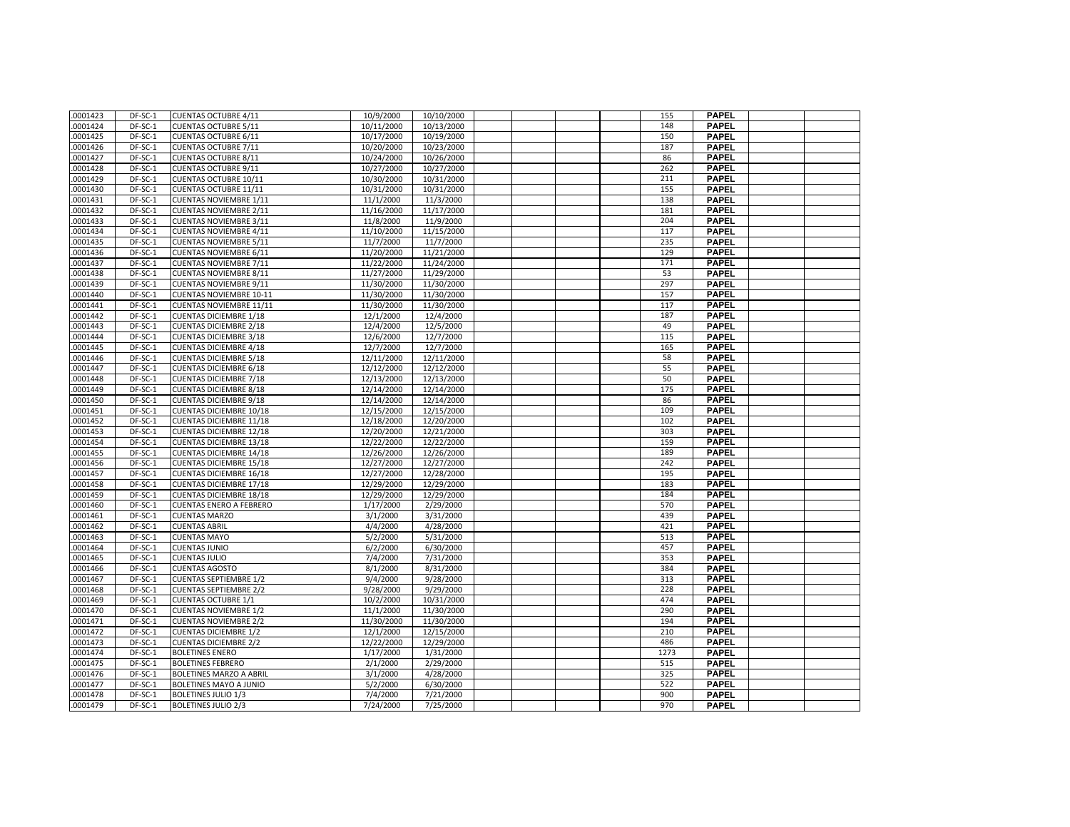| .0001423             | DF-SC-1            | <b>CUENTAS OCTUBRE 4/11</b>    | 10/9/2000                | 10/10/2000 |  | 155  | <b>PAPEL</b>                 |  |
|----------------------|--------------------|--------------------------------|--------------------------|------------|--|------|------------------------------|--|
| .0001424             | DF-SC-1            | <b>CUENTAS OCTUBRE 5/11</b>    | 10/11/2000               | 10/13/2000 |  | 148  | <b>PAPEL</b>                 |  |
| .0001425             | DF-SC-1            | <b>CUENTAS OCTUBRE 6/11</b>    | 10/17/2000               | 10/19/2000 |  | 150  | <b>PAPEL</b>                 |  |
| .0001426             | DF-SC-1            | <b>CUENTAS OCTUBRE 7/11</b>    | 10/20/2000               | 10/23/2000 |  | 187  | <b>PAPEL</b>                 |  |
| .0001427             | DF-SC-1            | <b>CUENTAS OCTUBRE 8/11</b>    | 10/24/2000               | 10/26/2000 |  | 86   | <b>PAPEL</b>                 |  |
| .0001428             | DF-SC-1            | <b>CUENTAS OCTUBRE 9/11</b>    | 10/27/2000               | 10/27/2000 |  | 262  | <b>PAPEL</b>                 |  |
| .0001429             | DF-SC-1            | CUENTAS OCTUBRE 10/11          | 10/30/2000               | 10/31/2000 |  | 211  | <b>PAPEL</b>                 |  |
| .0001430             | DF-SC-1            | <b>CUENTAS OCTUBRE 11/11</b>   | 10/31/2000               | 10/31/2000 |  | 155  | <b>PAPEL</b>                 |  |
| .0001431             | DF-SC-1            | <b>CUENTAS NOVIEMBRE 1/11</b>  | 11/1/2000                | 11/3/2000  |  | 138  | <b>PAPEL</b>                 |  |
| .0001432             | DF-SC-1            | <b>CUENTAS NOVIEMBRE 2/11</b>  | 11/16/2000               | 11/17/2000 |  | 181  | <b>PAPEL</b>                 |  |
| 0001433              | DF-SC-1            | <b>CUENTAS NOVIEMBRE 3/11</b>  | 11/8/2000                | 11/9/2000  |  | 204  | <b>PAPEL</b>                 |  |
|                      | DF-SC-1            | <b>CUENTAS NOVIEMBRE 4/11</b>  | 11/10/2000               | 11/15/2000 |  | 117  | <b>PAPEL</b>                 |  |
| .0001434<br>.0001435 | DF-SC-1            | <b>CUENTAS NOVIEMBRE 5/11</b>  | 11/7/2000                | 11/7/2000  |  | 235  | <b>PAPEL</b>                 |  |
| .0001436             | DF-SC-1            | <b>CUENTAS NOVIEMBRE 6/11</b>  | 11/20/2000               | 11/21/2000 |  | 129  | <b>PAPEL</b>                 |  |
| .0001437             | DF-SC-1            | <b>CUENTAS NOVIEMBRE 7/11</b>  | 11/22/2000               | 11/24/2000 |  | 171  | <b>PAPEL</b>                 |  |
| .0001438             | DF-SC-1            | <b>CUENTAS NOVIEMBRE 8/11</b>  | 11/27/2000               | 11/29/2000 |  | 53   | <b>PAPEL</b>                 |  |
|                      |                    |                                |                          |            |  |      |                              |  |
| .0001439             | DF-SC-1<br>DF-SC-1 | <b>CUENTAS NOVIEMBRE 9/11</b>  | 11/30/2000<br>11/30/2000 | 11/30/2000 |  | 297  | <b>PAPEL</b><br><b>PAPEL</b> |  |
| .0001440             |                    | <b>CUENTAS NOVIEMBRE 10-11</b> |                          | 11/30/2000 |  | 157  |                              |  |
| .0001441             | DF-SC-1            | <b>CUENTAS NOVIEMBRE 11/11</b> | 11/30/2000               | 11/30/2000 |  | 117  | <b>PAPEL</b>                 |  |
| .0001442             | DF-SC-1            | <b>CUENTAS DICIEMBRE 1/18</b>  | 12/1/2000                | 12/4/2000  |  | 187  | <b>PAPEL</b>                 |  |
| 0001443              | DF-SC-1            | <b>CUENTAS DICIEMBRE 2/18</b>  | 12/4/2000                | 12/5/2000  |  | 49   | <b>PAPEL</b>                 |  |
| .0001444             | DF-SC-1            | <b>CUENTAS DICIEMBRE 3/18</b>  | 12/6/2000                | 12/7/2000  |  | 115  | <b>PAPEL</b>                 |  |
| .0001445             | DF-SC-1            | <b>CUENTAS DICIEMBRE 4/18</b>  | 12/7/2000                | 12/7/2000  |  | 165  | <b>PAPEL</b>                 |  |
| .0001446             | $DF-SC-1$          | <b>CUENTAS DICIEMBRE 5/18</b>  | 12/11/2000               | 12/11/2000 |  | 58   | <b>PAPEL</b>                 |  |
| .0001447             | DF-SC-1            | <b>CUENTAS DICIEMBRE 6/18</b>  | 12/12/2000               | 12/12/2000 |  | 55   | <b>PAPEL</b>                 |  |
| .0001448             | DF-SC-1            | <b>CUENTAS DICIEMBRE 7/18</b>  | 12/13/2000               | 12/13/2000 |  | 50   | <b>PAPEL</b>                 |  |
| .0001449             | DF-SC-1            | <b>CUENTAS DICIEMBRE 8/18</b>  | 12/14/2000               | 12/14/2000 |  | 175  | <b>PAPEL</b>                 |  |
| .0001450             | DF-SC-1            | <b>CUENTAS DICIEMBRE 9/18</b>  | 12/14/2000               | 12/14/2000 |  | 86   | <b>PAPEL</b>                 |  |
| .0001451             | DF-SC-1            | <b>CUENTAS DICIEMBRE 10/18</b> | 12/15/2000               | 12/15/2000 |  | 109  | <b>PAPEL</b>                 |  |
| .0001452             | DF-SC-1            | <b>CUENTAS DICIEMBRE 11/18</b> | 12/18/2000               | 12/20/2000 |  | 102  | <b>PAPEL</b>                 |  |
| .0001453             | DF-SC-1            | <b>CUENTAS DICIEMBRE 12/18</b> | 12/20/2000               | 12/21/2000 |  | 303  | <b>PAPEL</b>                 |  |
| .0001454             | DF-SC-1            | <b>CUENTAS DICIEMBRE 13/18</b> | 12/22/2000               | 12/22/2000 |  | 159  | <b>PAPEL</b>                 |  |
| .0001455             | DF-SC-1            | <b>CUENTAS DICIEMBRE 14/18</b> | 12/26/2000               | 12/26/2000 |  | 189  | <b>PAPEL</b>                 |  |
| .0001456             | DF-SC-1            | <b>CUENTAS DICIEMBRE 15/18</b> | 12/27/2000               | 12/27/2000 |  | 242  | <b>PAPEL</b>                 |  |
| .0001457             | DF-SC-1            | <b>CUENTAS DICIEMBRE 16/18</b> | 12/27/2000               | 12/28/2000 |  | 195  | <b>PAPEL</b>                 |  |
| .0001458             | DF-SC-1            | <b>CUENTAS DICIEMBRE 17/18</b> | 12/29/2000               | 12/29/2000 |  | 183  | <b>PAPEL</b>                 |  |
| .0001459             | DF-SC-1            | <b>CUENTAS DICIEMBRE 18/18</b> | 12/29/2000               | 12/29/2000 |  | 184  | <b>PAPEL</b>                 |  |
| .0001460             | DF-SC-1            | <b>CUENTAS ENERO A FEBRERO</b> | 1/17/2000                | 2/29/2000  |  | 570  | <b>PAPEL</b>                 |  |
| .0001461             | DF-SC-1            | <b>CUENTAS MARZO</b>           | 3/1/2000                 | 3/31/2000  |  | 439  | <b>PAPEL</b>                 |  |
| .0001462             | DF-SC-1            | <b>CUENTAS ABRIL</b>           | 4/4/2000                 | 4/28/2000  |  | 421  | <b>PAPEL</b>                 |  |
| .0001463             | DF-SC-1            | <b>CUENTAS MAYO</b>            | 5/2/2000                 | 5/31/2000  |  | 513  | <b>PAPEL</b>                 |  |
| .0001464             | DF-SC-1            | <b>CUENTAS JUNIO</b>           | 6/2/2000                 | 6/30/2000  |  | 457  | <b>PAPEL</b>                 |  |
| .0001465             | DF-SC-1            | <b>CUENTAS JULIO</b>           | 7/4/2000                 | 7/31/2000  |  | 353  | <b>PAPEL</b>                 |  |
| .0001466             | DF-SC-1            | <b>CUENTAS AGOSTO</b>          | 8/1/2000                 | 8/31/2000  |  | 384  | <b>PAPEL</b>                 |  |
| .0001467             | DF-SC-1            | <b>CUENTAS SEPTIEMBRE 1/2</b>  | 9/4/2000                 | 9/28/2000  |  | 313  | <b>PAPEL</b>                 |  |
| .0001468             | DF-SC-1            | <b>CUENTAS SEPTIEMBRE 2/2</b>  | 9/28/2000                | 9/29/2000  |  | 228  | <b>PAPEL</b>                 |  |
| 0001469              | $DF-SC-1$          | <b>CUENTAS OCTUBRE 1/1</b>     | 10/2/2000                | 10/31/2000 |  | 474  | <b>PAPEL</b>                 |  |
| .0001470             | DF-SC-1            | <b>CUENTAS NOVIEMBRE 1/2</b>   | 11/1/2000                | 11/30/2000 |  | 290  | <b>PAPEL</b>                 |  |
| .0001471             | DF-SC-1            | <b>CUENTAS NOVIEMBRE 2/2</b>   | 11/30/2000               | 11/30/2000 |  | 194  | <b>PAPEL</b>                 |  |
| .0001472             | DF-SC-1            | <b>CUENTAS DICIEMBRE 1/2</b>   | 12/1/2000                | 12/15/2000 |  | 210  | <b>PAPEL</b>                 |  |
| .0001473             | DF-SC-1            | <b>CUENTAS DICIEMBRE 2/2</b>   | 12/22/2000               | 12/29/2000 |  | 486  | <b>PAPEL</b>                 |  |
| .0001474             | DF-SC-1            | <b>BOLETINES ENERO</b>         | 1/17/2000                | 1/31/2000  |  | 1273 | <b>PAPEL</b>                 |  |
| .0001475             | DF-SC-1            | <b>BOLETINES FEBRERO</b>       | 2/1/2000                 | 2/29/2000  |  | 515  | <b>PAPEL</b>                 |  |
| .0001476             | DF-SC-1            | BOLETINES MARZO A ABRIL        | 3/1/2000                 | 4/28/2000  |  | 325  | <b>PAPEL</b>                 |  |
| .0001477             | DF-SC-1            | BOLETINES MAYO A JUNIO         | 5/2/2000                 | 6/30/2000  |  | 522  | <b>PAPEL</b>                 |  |
| .0001478             | DF-SC-1            | <b>BOLETINES JULIO 1/3</b>     | 7/4/2000                 | 7/21/2000  |  | 900  | <b>PAPEL</b>                 |  |
| .0001479             | DF-SC-1            | <b>BOLETINES JULIO 2/3</b>     | 7/24/2000                | 7/25/2000  |  | 970  | <b>PAPEL</b>                 |  |
|                      |                    |                                |                          |            |  |      |                              |  |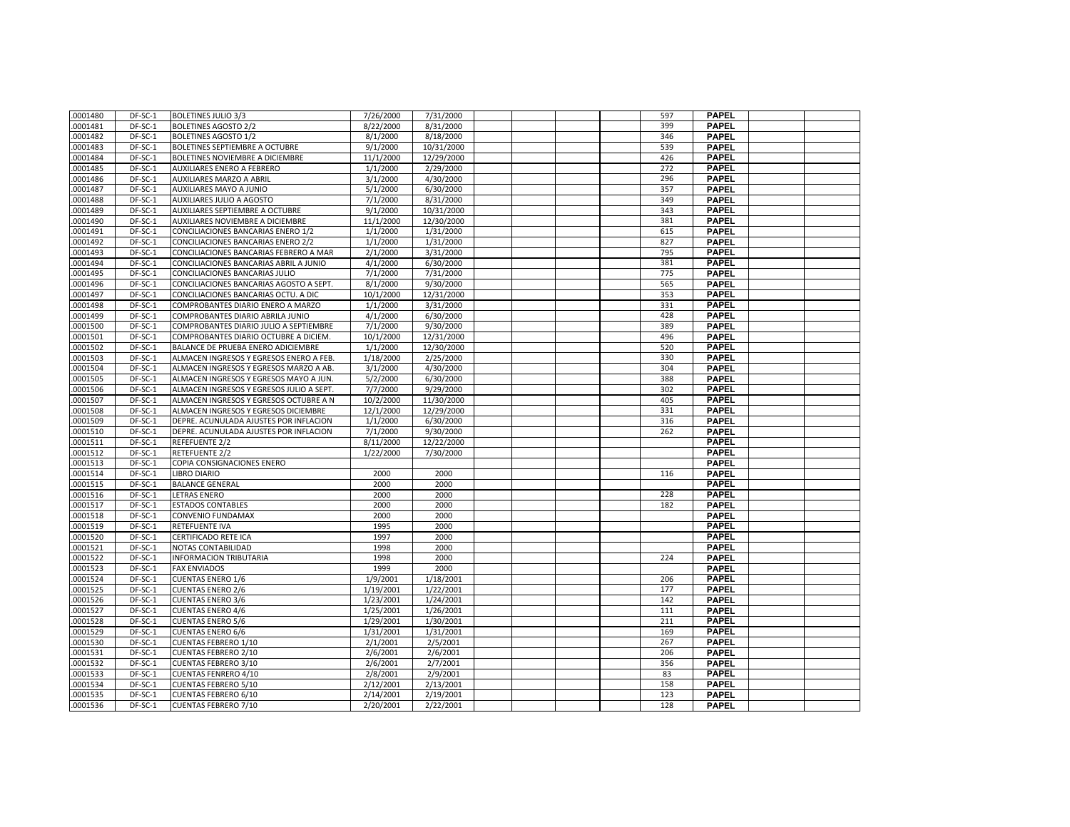| .0001480 | DF-SC-1   | <b>BOLETINES JULIO 3/3</b>               | 7/26/2000 | 7/31/2000  |  |  | 597 | <b>PAPEL</b> |  |
|----------|-----------|------------------------------------------|-----------|------------|--|--|-----|--------------|--|
| .0001481 | DF-SC-1   | <b>BOLETINES AGOSTO 2/2</b>              | 8/22/2000 | 8/31/2000  |  |  | 399 | <b>PAPEL</b> |  |
| .0001482 | DF-SC-1   | <b>BOLETINES AGOSTO 1/2</b>              | 8/1/2000  | 8/18/2000  |  |  | 346 | <b>PAPEL</b> |  |
| .0001483 | DF-SC-1   | <b>BOLETINES SEPTIEMBRE A OCTUBRE</b>    | 9/1/2000  | 10/31/2000 |  |  | 539 | <b>PAPEL</b> |  |
| .0001484 | DF-SC-1   | BOLETINES NOVIEMBRE A DICIEMBRE          | 11/1/2000 | 12/29/2000 |  |  | 426 | <b>PAPEL</b> |  |
| .0001485 | DF-SC-1   | AUXILIARES ENERO A FEBRERO               | 1/1/2000  | 2/29/2000  |  |  | 272 | <b>PAPEL</b> |  |
| .0001486 | DF-SC-1   | AUXILIARES MARZO A ABRIL                 | 3/1/2000  | 4/30/2000  |  |  | 296 | <b>PAPEL</b> |  |
| .0001487 | DF-SC-1   | AUXILIARES MAYO A JUNIO                  | 5/1/2000  | 6/30/2000  |  |  | 357 | PAPEL        |  |
| .0001488 | DF-SC-1   | AUXILIARES JULIO A AGOSTO                | 7/1/2000  | 8/31/2000  |  |  | 349 | <b>PAPEL</b> |  |
| .0001489 | DF-SC-1   | AUXILIARES SEPTIEMBRE A OCTUBRE          | 9/1/2000  | 10/31/2000 |  |  | 343 | <b>PAPEL</b> |  |
| .0001490 | DF-SC-1   | AUXILIARES NOVIEMBRE A DICIEMBRE         | 11/1/2000 | 12/30/2000 |  |  | 381 | <b>PAPEL</b> |  |
| .0001491 | DF-SC-1   | CONCILIACIONES BANCARIAS ENERO 1/2       | 1/1/2000  | 1/31/2000  |  |  | 615 | <b>PAPEL</b> |  |
| .0001492 | DF-SC-1   | CONCILIACIONES BANCARIAS ENERO 2/2       | 1/1/2000  | 1/31/2000  |  |  | 827 | <b>PAPEL</b> |  |
| .0001493 | DF-SC-1   | CONCILIACIONES BANCARIAS FEBRERO A MAR   | 2/1/2000  | 3/31/2000  |  |  | 795 | <b>PAPEL</b> |  |
| .0001494 | DF-SC-1   | CONCILIACIONES BANCARIAS ABRIL A JUNIO   | 4/1/2000  | 6/30/2000  |  |  | 381 | <b>PAPEL</b> |  |
| .0001495 | DF-SC-1   | CONCILIACIONES BANCARIAS JULIO           | 7/1/2000  | 7/31/2000  |  |  | 775 | <b>PAPEL</b> |  |
| .0001496 | DF-SC-1   | CONCILIACIONES BANCARIAS AGOSTO A SEPT.  | 8/1/2000  | 9/30/2000  |  |  | 565 | <b>PAPEL</b> |  |
| .0001497 | DF-SC-1   | CONCILIACIONES BANCARIAS OCTU. A DIC     | 10/1/2000 | 12/31/2000 |  |  | 353 | <b>PAPEL</b> |  |
| .0001498 | DF-SC-1   | COMPROBANTES DIARIO ENERO A MARZO        | 1/1/2000  | 3/31/2000  |  |  | 331 | <b>PAPEL</b> |  |
| .0001499 | DF-SC-1   | COMPROBANTES DIARIO ABRILA JUNIO         | 4/1/2000  | 6/30/2000  |  |  | 428 | <b>PAPEL</b> |  |
| .0001500 | DF-SC-1   | COMPROBANTES DIARIO JULIO A SEPTIEMBRE   | 7/1/2000  | 9/30/2000  |  |  | 389 | <b>PAPEL</b> |  |
| .0001501 | DF-SC-1   | COMPROBANTES DIARIO OCTUBRE A DICIEM.    | 10/1/2000 | 12/31/2000 |  |  | 496 | <b>PAPEL</b> |  |
| .0001502 | DF-SC-1   | BALANCE DE PRUEBA ENERO ADICIEMBRE       | 1/1/2000  | 12/30/2000 |  |  | 520 | <b>PAPEL</b> |  |
| .0001503 | DF-SC-1   | ALMACEN INGRESOS Y EGRESOS ENERO A FEB.  | 1/18/2000 | 2/25/2000  |  |  | 330 | <b>PAPEL</b> |  |
| .0001504 | DF-SC-1   | ALMACEN INGRESOS Y EGRESOS MARZO A AB.   | 3/1/2000  | 4/30/2000  |  |  | 304 | <b>PAPEL</b> |  |
| .0001505 | DF-SC-1   | ALMACEN INGRESOS Y EGRESOS MAYO A JUN.   | 5/2/2000  | 6/30/2000  |  |  | 388 | <b>PAPEL</b> |  |
| .0001506 | DF-SC-1   | ALMACEN INGRESOS Y EGRESOS JULIO A SEPT. | 7/7/2000  | 9/29/2000  |  |  | 302 | <b>PAPEL</b> |  |
| .0001507 | DF-SC-1   | ALMACEN INGRESOS Y EGRESOS OCTUBRE A N   | 10/2/2000 | 11/30/2000 |  |  | 405 | <b>PAPEL</b> |  |
| .0001508 | DF-SC-1   | ALMACEN INGRESOS Y EGRESOS DICIEMBRE     | 12/1/2000 | 12/29/2000 |  |  | 331 | <b>PAPEL</b> |  |
| .0001509 | DF-SC-1   | DEPRE. ACUNULADA AJUSTES POR INFLACION   | 1/1/2000  | 6/30/2000  |  |  | 316 | <b>PAPEL</b> |  |
| .0001510 | DF-SC-1   | DEPRE. ACUNULADA AJUSTES POR INFLACION   | 7/1/2000  | 9/30/2000  |  |  | 262 | <b>PAPEL</b> |  |
| .0001511 | DF-SC-1   | REFEFUENTE 2/2                           | 8/11/2000 | 12/22/2000 |  |  |     | <b>PAPEL</b> |  |
| .0001512 | DF-SC-1   | <b>RETEFUENTE 2/2</b>                    | 1/22/2000 | 7/30/2000  |  |  |     | <b>PAPEL</b> |  |
| .0001513 | DF-SC-1   | COPIA CONSIGNACIONES ENERO               |           |            |  |  |     | <b>PAPEL</b> |  |
| .0001514 | $DF-SC-1$ | <b>LIBRO DIARIO</b>                      | 2000      | 2000       |  |  | 116 | <b>PAPEL</b> |  |
| .0001515 | DF-SC-1   | <b>BALANCE GENERAL</b>                   | 2000      | 2000       |  |  |     | <b>PAPEL</b> |  |
| .0001516 | DF-SC-1   | LETRAS ENERO                             | 2000      | 2000       |  |  | 228 | <b>PAPEL</b> |  |
| .0001517 | DF-SC-1   | <b>ESTADOS CONTABLES</b>                 | 2000      | 2000       |  |  | 182 | <b>PAPEL</b> |  |
| .0001518 | DF-SC-1   | CONVENIO FUNDAMAX                        | 2000      | 2000       |  |  |     | <b>PAPEL</b> |  |
| .0001519 | DF-SC-1   | RETEFUENTE IVA                           | 1995      | 2000       |  |  |     | <b>PAPEL</b> |  |
| .0001520 | DF-SC-1   | CERTIFICADO RETE ICA                     | 1997      | 2000       |  |  |     | <b>PAPEL</b> |  |
| .0001521 | DF-SC-1   | <b>NOTAS CONTABILIDAD</b>                | 1998      | 2000       |  |  |     | <b>PAPEL</b> |  |
| .0001522 | DF-SC-1   | <b>INFORMACION TRIBUTARIA</b>            | 1998      | 2000       |  |  | 224 | <b>PAPEL</b> |  |
| .0001523 | DF-SC-1   | <b>FAX ENVIADOS</b>                      | 1999      | 2000       |  |  |     | <b>PAPEL</b> |  |
| .0001524 | $DF-SC-1$ | <b>CUENTAS ENERO 1/6</b>                 | 1/9/2001  | 1/18/2001  |  |  | 206 | <b>PAPEL</b> |  |
| .0001525 | DF-SC-1   | <b>CUENTAS ENERO 2/6</b>                 | 1/19/2001 | 1/22/2001  |  |  | 177 | <b>PAPEL</b> |  |
| .0001526 | DF-SC-1   | <b>CUENTAS ENERO 3/6</b>                 | 1/23/2001 | 1/24/2001  |  |  | 142 | <b>PAPEL</b> |  |
| .0001527 | DF-SC-1   | <b>CUENTAS ENERO 4/6</b>                 | 1/25/2001 | 1/26/2001  |  |  | 111 | <b>PAPEL</b> |  |
| .0001528 | DF-SC-1   | <b>CUENTAS ENERO 5/6</b>                 | 1/29/2001 | 1/30/2001  |  |  | 211 | <b>PAPEL</b> |  |
| .0001529 | $DF-SC-1$ | <b>CUENTAS ENERO 6/6</b>                 | 1/31/2001 | 1/31/2001  |  |  | 169 | <b>PAPEL</b> |  |
| .0001530 | DF-SC-1   | <b>CUENTAS FEBRERO 1/10</b>              | 2/1/2001  | 2/5/2001   |  |  | 267 | <b>PAPEL</b> |  |
| .0001531 | DF-SC-1   | <b>CUENTAS FEBRERO 2/10</b>              | 2/6/2001  | 2/6/2001   |  |  | 206 | <b>PAPEL</b> |  |
| .0001532 | DF-SC-1   | <b>CUENTAS FEBRERO 3/10</b>              | 2/6/2001  | 2/7/2001   |  |  | 356 | <b>PAPEL</b> |  |
| .0001533 | DF-SC-1   | <b>CUENTAS FENRERO 4/10</b>              | 2/8/2001  | 2/9/2001   |  |  | 83  | <b>PAPEL</b> |  |
| .0001534 | DF-SC-1   | <b>CUENTAS FEBRERO 5/10</b>              | 2/12/2001 | 2/13/2001  |  |  | 158 | <b>PAPEL</b> |  |
| .0001535 | DF-SC-1   | <b>CUENTAS FEBRERO 6/10</b>              | 2/14/2001 | 2/19/2001  |  |  | 123 | <b>PAPEL</b> |  |
| .0001536 | DF-SC-1   | <b>CUENTAS FEBRERO 7/10</b>              | 2/20/2001 | 2/22/2001  |  |  | 128 | <b>PAPEL</b> |  |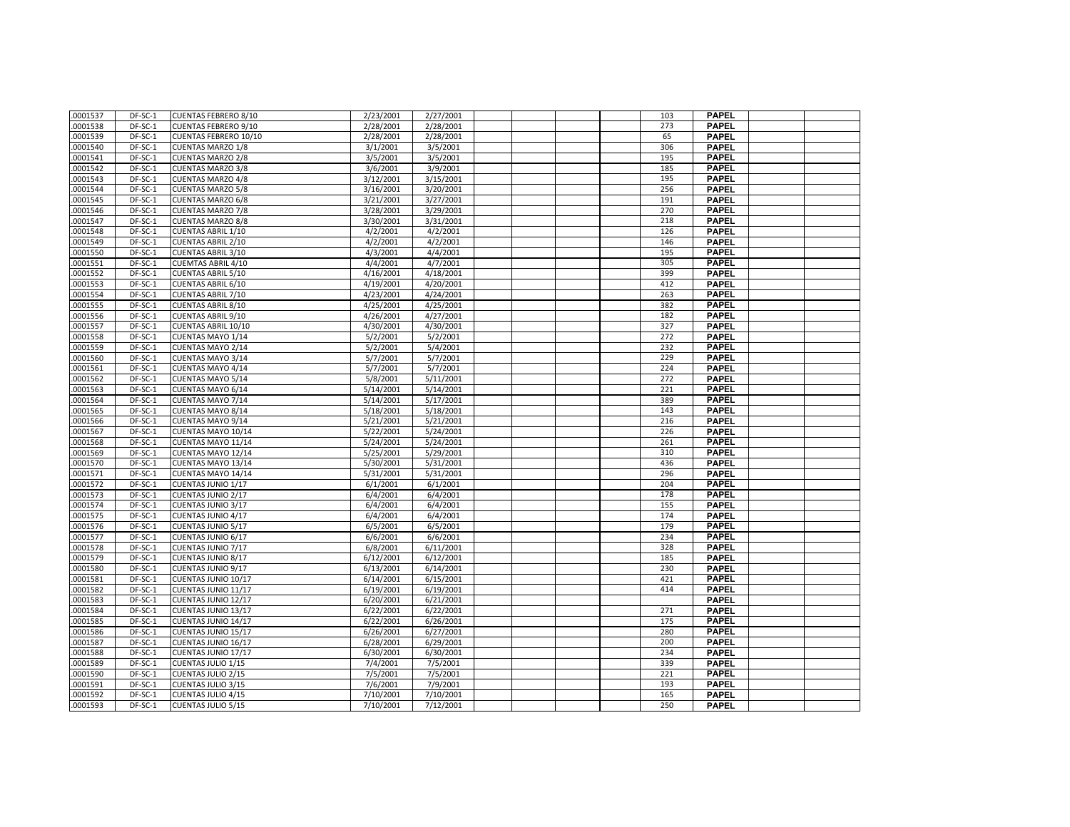| .0001537 | DF-SC-1 | <b>CUENTAS FEBRERO 8/10</b>  | 2/23/2001 | 2/27/2001 |  | 103 | <b>PAPEL</b> |  |
|----------|---------|------------------------------|-----------|-----------|--|-----|--------------|--|
| .0001538 | DF-SC-1 | <b>CUENTAS FEBRERO 9/10</b>  | 2/28/2001 | 2/28/2001 |  | 273 | <b>PAPEL</b> |  |
| .0001539 | DF-SC-1 | <b>CUENTAS FEBRERO 10/10</b> | 2/28/2001 | 2/28/2001 |  | 65  | <b>PAPEL</b> |  |
| .0001540 | DF-SC-1 | <b>CUENTAS MARZO 1/8</b>     | 3/1/2001  | 3/5/2001  |  | 306 | <b>PAPEL</b> |  |
| .0001541 | DF-SC-1 | <b>CUENTAS MARZO 2/8</b>     | 3/5/2001  | 3/5/2001  |  | 195 | <b>PAPEL</b> |  |
| .0001542 | DF-SC-1 | <b>CUENTAS MARZO 3/8</b>     | 3/6/2001  | 3/9/2001  |  | 185 | <b>PAPEL</b> |  |
| .0001543 | DF-SC-1 | <b>CUENTAS MARZO 4/8</b>     | 3/12/2001 | 3/15/2001 |  | 195 | <b>PAPEL</b> |  |
| .0001544 | DF-SC-1 | <b>CUENTAS MARZO 5/8</b>     | 3/16/2001 | 3/20/2001 |  | 256 | <b>PAPEL</b> |  |
| .0001545 | DF-SC-1 | <b>CUENTAS MARZO 6/8</b>     | 3/21/2001 | 3/27/2001 |  | 191 | <b>PAPEL</b> |  |
| .0001546 | DF-SC-1 | <b>CUENTAS MARZO 7/8</b>     | 3/28/2001 | 3/29/2001 |  | 270 | <b>PAPEL</b> |  |
| .0001547 | DF-SC-1 | <b>CUENTAS MARZO 8/8</b>     | 3/30/2001 | 3/31/2001 |  | 218 | <b>PAPEL</b> |  |
| .0001548 | DF-SC-1 | <b>CUENTAS ABRIL 1/10</b>    | 4/2/2001  | 4/2/2001  |  | 126 | <b>PAPEL</b> |  |
| .0001549 | DF-SC-1 | CUENTAS ABRIL 2/10           | 4/2/2001  | 4/2/2001  |  | 146 | <b>PAPEL</b> |  |
| .0001550 | DF-SC-1 | <b>CUENTAS ABRIL 3/10</b>    | 4/3/2001  | 4/4/2001  |  | 195 | <b>PAPEL</b> |  |
| .0001551 | DF-SC-1 | <b>CUEMTAS ABRIL 4/10</b>    | 4/4/2001  | 4/7/2001  |  | 305 | <b>PAPEL</b> |  |
| .0001552 | DF-SC-1 | <b>CUENTAS ABRIL 5/10</b>    | 4/16/2001 | 4/18/2001 |  | 399 | <b>PAPEL</b> |  |
| .0001553 | DF-SC-1 | <b>CUENTAS ABRIL 6/10</b>    | 4/19/2001 | 4/20/2001 |  | 412 | <b>PAPEL</b> |  |
| .0001554 | DF-SC-1 | <b>CUENTAS ABRIL 7/10</b>    | 4/23/2001 | 4/24/2001 |  | 263 | <b>PAPEL</b> |  |
| .0001555 | DF-SC-1 | <b>CUENTAS ABRIL 8/10</b>    | 4/25/2001 | 4/25/2001 |  | 382 | <b>PAPEL</b> |  |
| .0001556 | DF-SC-1 | <b>CUENTAS ABRIL 9/10</b>    | 4/26/2001 | 4/27/2001 |  | 182 | <b>PAPEL</b> |  |
| .0001557 | DF-SC-1 | <b>CUENTAS ABRIL 10/10</b>   | 4/30/2001 | 4/30/2001 |  | 327 | <b>PAPEL</b> |  |
| .0001558 | DF-SC-1 | CUENTAS MAYO 1/14            | 5/2/2001  | 5/2/2001  |  | 272 | <b>PAPEL</b> |  |
| .0001559 | DF-SC-1 | CUENTAS MAYO 2/14            | 5/2/2001  | 5/4/2001  |  | 232 | <b>PAPEL</b> |  |
| .0001560 | DF-SC-1 | <b>CUENTAS MAYO 3/14</b>     | 5/7/2001  | 5/7/2001  |  | 229 | <b>PAPEL</b> |  |
| .0001561 | DF-SC-1 | CUENTAS MAYO 4/14            | 5/7/2001  | 5/7/2001  |  | 224 | <b>PAPEL</b> |  |
| .0001562 | DF-SC-1 | <b>CUENTAS MAYO 5/14</b>     | 5/8/2001  | 5/11/2001 |  | 272 | <b>PAPEL</b> |  |
| .0001563 | DF-SC-1 | CUENTAS MAYO 6/14            | 5/14/2001 | 5/14/2001 |  | 221 | <b>PAPEL</b> |  |
| .0001564 | DF-SC-1 | CUENTAS MAYO 7/14            | 5/14/2001 | 5/17/2001 |  | 389 | <b>PAPEL</b> |  |
| .0001565 | DF-SC-1 | <b>CUENTAS MAYO 8/14</b>     | 5/18/2001 | 5/18/2001 |  | 143 | <b>PAPEL</b> |  |
| .0001566 | DF-SC-1 | CUENTAS MAYO 9/14            | 5/21/2001 | 5/21/2001 |  | 216 | <b>PAPEL</b> |  |
| .0001567 | DF-SC-1 | CUENTAS MAYO 10/14           | 5/22/2001 | 5/24/2001 |  | 226 | <b>PAPEL</b> |  |
| .0001568 | DF-SC-1 | CUENTAS MAYO 11/14           | 5/24/2001 | 5/24/2001 |  | 261 | <b>PAPEL</b> |  |
| .0001569 | DF-SC-1 | CUENTAS MAYO 12/14           | 5/25/2001 | 5/29/2001 |  | 310 | <b>PAPEL</b> |  |
|          |         |                              |           |           |  | 436 | <b>PAPEL</b> |  |
| .0001570 | DF-SC-1 | CUENTAS MAYO 13/14           | 5/30/2001 | 5/31/2001 |  |     |              |  |
| .0001571 | DF-SC-1 | CUENTAS MAYO 14/14           | 5/31/2001 | 5/31/2001 |  | 296 | <b>PAPEL</b> |  |
| .0001572 | DF-SC-1 | CUENTAS JUNIO 1/17           | 6/1/2001  | 6/1/2001  |  | 204 | <b>PAPEL</b> |  |
| .0001573 | DF-SC-1 | <b>CUENTAS JUNIO 2/17</b>    | 6/4/2001  | 6/4/2001  |  | 178 | <b>PAPEL</b> |  |
| .0001574 | DF-SC-1 | CUENTAS JUNIO 3/17           | 6/4/2001  | 6/4/2001  |  | 155 | <b>PAPEL</b> |  |
| .0001575 | DF-SC-1 | CUENTAS JUNIO 4/17           | 6/4/2001  | 6/4/2001  |  | 174 | <b>PAPEL</b> |  |
| .0001576 | DF-SC-1 | <b>CUENTAS JUNIO 5/17</b>    | 6/5/2001  | 6/5/2001  |  | 179 | <b>PAPEL</b> |  |
| .0001577 | DF-SC-1 | CUENTAS JUNIO 6/17           | 6/6/2001  | 6/6/2001  |  | 234 | <b>PAPEL</b> |  |
| .0001578 | DF-SC-1 | <b>CUENTAS JUNIO 7/17</b>    | 6/8/2001  | 6/11/2001 |  | 328 | <b>PAPEL</b> |  |
| .0001579 | DF-SC-1 | <b>CUENTAS JUNIO 8/17</b>    | 6/12/2001 | 6/12/2001 |  | 185 | <b>PAPEL</b> |  |
| .0001580 | DF-SC-1 | <b>CUENTAS JUNIO 9/17</b>    | 6/13/2001 | 6/14/2001 |  | 230 | <b>PAPEL</b> |  |
| .0001581 | DF-SC-1 | CUENTAS JUNIO 10/17          | 6/14/2001 | 6/15/2001 |  | 421 | <b>PAPEL</b> |  |
| .0001582 | DF-SC-1 | CUENTAS JUNIO 11/17          | 6/19/2001 | 6/19/2001 |  | 414 | <b>PAPEL</b> |  |
| .0001583 | DF-SC-1 | CUENTAS JUNIO 12/17          | 6/20/2001 | 6/21/2001 |  |     | <b>PAPEL</b> |  |
| .0001584 | DF-SC-1 | CUENTAS JUNIO 13/17          | 6/22/2001 | 6/22/2001 |  | 271 | <b>PAPEL</b> |  |
| .0001585 | DF-SC-1 | CUENTAS JUNIO 14/17          | 6/22/2001 | 6/26/2001 |  | 175 | <b>PAPEL</b> |  |
| .0001586 | DF-SC-1 | CUENTAS JUNIO 15/17          | 6/26/2001 | 6/27/2001 |  | 280 | <b>PAPEL</b> |  |
| .0001587 | DF-SC-1 | CUENTAS JUNIO 16/17          | 6/28/2001 | 6/29/2001 |  | 200 | <b>PAPEL</b> |  |
| .0001588 | DF-SC-1 | CUENTAS JUNIO 17/17          | 6/30/2001 | 6/30/2001 |  | 234 | <b>PAPEL</b> |  |
| .0001589 | DF-SC-1 | CUENTAS JULIO 1/15           | 7/4/2001  | 7/5/2001  |  | 339 | <b>PAPEL</b> |  |
| .0001590 | DF-SC-1 | CUENTAS JULIO 2/15           | 7/5/2001  | 7/5/2001  |  | 221 | <b>PAPEL</b> |  |
| .0001591 | DF-SC-1 | CUENTAS JULIO 3/15           | 7/6/2001  | 7/9/2001  |  | 193 | <b>PAPEL</b> |  |
| .0001592 | DF-SC-1 | CUENTAS JULIO 4/15           | 7/10/2001 | 7/10/2001 |  | 165 | <b>PAPEL</b> |  |
| .0001593 | DF-SC-1 | <b>CUENTAS JULIO 5/15</b>    | 7/10/2001 | 7/12/2001 |  | 250 | <b>PAPEL</b> |  |
|          |         |                              |           |           |  |     |              |  |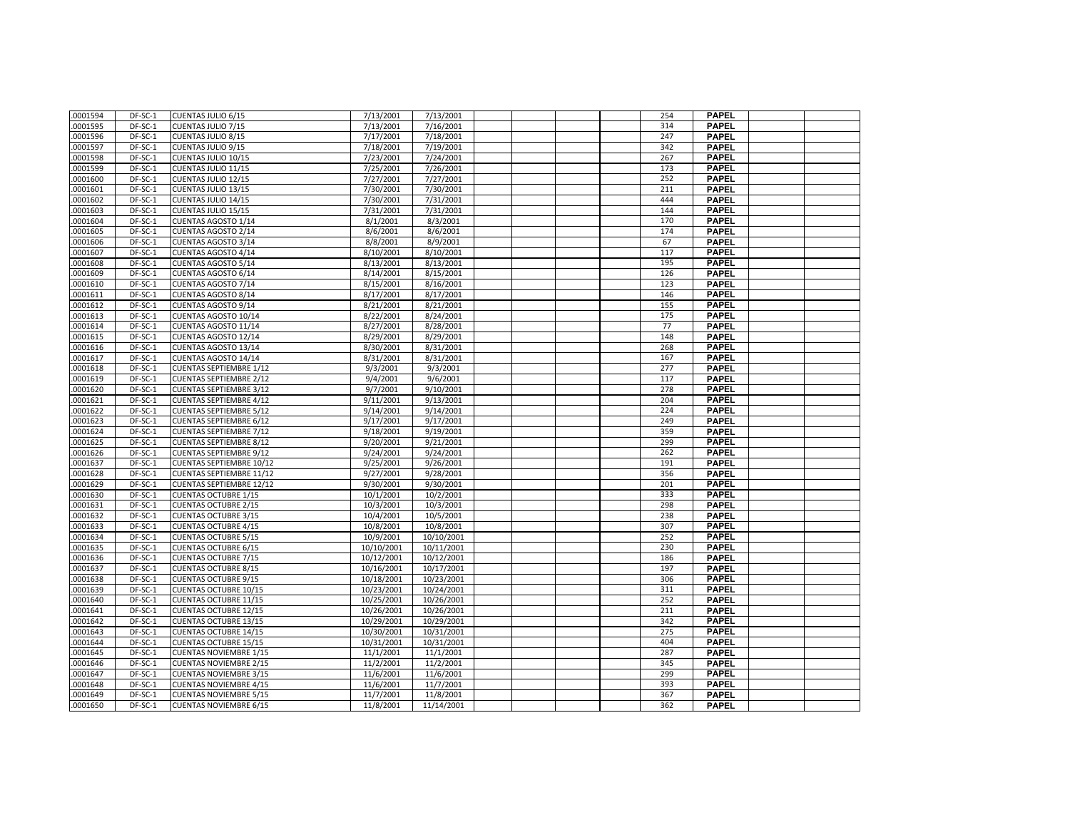| .0001594 | DF-SC-1            | CUENTAS JULIO 6/15              | 7/13/2001              | 7/13/2001  |  | 254        | <b>PAPEL</b>                 |  |
|----------|--------------------|---------------------------------|------------------------|------------|--|------------|------------------------------|--|
| .0001595 | DF-SC-1            | CUENTAS JULIO 7/15              | 7/13/2001              | 7/16/2001  |  | 314        | <b>PAPEL</b>                 |  |
| .0001596 | DF-SC-1            | <b>CUENTAS JULIO 8/15</b>       | 7/17/2001              | 7/18/2001  |  | 247        | <b>PAPEL</b>                 |  |
| .0001597 | DF-SC-1            | CUENTAS JULIO 9/15              | 7/18/2001              | 7/19/2001  |  | 342        | <b>PAPEL</b>                 |  |
| .0001598 | DF-SC-1            | <b>CUENTAS JULIO 10/15</b>      | 7/23/2001              | 7/24/2001  |  | 267        | <b>PAPEL</b>                 |  |
| .0001599 | DF-SC-1            | CUENTAS JULIO 11/15             | 7/25/2001              | 7/26/2001  |  | 173        | <b>PAPEL</b>                 |  |
| .0001600 | DF-SC-1            | CUENTAS JULIO 12/15             | 7/27/2001              | 7/27/2001  |  | 252        | <b>PAPEL</b>                 |  |
| .0001601 | DF-SC-1            | CUENTAS JULIO 13/15             | 7/30/2001              | 7/30/2001  |  | 211        | <b>PAPEL</b>                 |  |
| .0001602 | DF-SC-1            | CUENTAS JULIO 14/15             | 7/30/2001              | 7/31/2001  |  | 444        | <b>PAPEL</b>                 |  |
| .0001603 | DF-SC-1            | CUENTAS JULIO 15/15             | 7/31/2001              | 7/31/2001  |  | 144        | <b>PAPEL</b>                 |  |
| 0001604  | DF-SC-1            | CUENTAS AGOSTO 1/14             | 8/1/2001               | 8/3/2001   |  | 170        | <b>PAPEL</b>                 |  |
| .0001605 | DF-SC-1            | <b>CUENTAS AGOSTO 2/14</b>      | 8/6/2001               | 8/6/2001   |  | 174        | <b>PAPEL</b>                 |  |
| .0001606 | DF-SC-1            | <b>CUENTAS AGOSTO 3/14</b>      | 8/8/2001               | 8/9/2001   |  | 67         | <b>PAPEL</b>                 |  |
| .0001607 | DF-SC-1            | CUENTAS AGOSTO 4/14             | 8/10/2001              | 8/10/2001  |  | 117        | <b>PAPEL</b>                 |  |
| .0001608 | DF-SC-1            | <b>CUENTAS AGOSTO 5/14</b>      | 8/13/2001              | 8/13/2001  |  | 195        | <b>PAPEL</b>                 |  |
| .0001609 | DF-SC-1            | CUENTAS AGOSTO 6/14             | 8/14/2001              | 8/15/2001  |  | 126        | <b>PAPEL</b>                 |  |
|          |                    |                                 |                        |            |  |            |                              |  |
| .0001610 | DF-SC-1<br>DF-SC-1 | CUENTAS AGOSTO 7/14             | 8/15/2001<br>8/17/2001 | 8/16/2001  |  | 123        | <b>PAPEL</b><br><b>PAPEL</b> |  |
| .0001611 |                    | <b>CUENTAS AGOSTO 8/14</b>      |                        | 8/17/2001  |  | 146<br>155 |                              |  |
| .0001612 | DF-SC-1            | <b>CUENTAS AGOSTO 9/14</b>      | 8/21/2001              | 8/21/2001  |  |            | <b>PAPEL</b>                 |  |
| .0001613 | DF-SC-1            | CUENTAS AGOSTO 10/14            | 8/22/2001              | 8/24/2001  |  | 175        | <b>PAPEL</b>                 |  |
| 0001614  | DF-SC-1            | CUENTAS AGOSTO 11/14            | 8/27/2001              | 8/28/2001  |  | 77         | <b>PAPEL</b>                 |  |
| .0001615 | DF-SC-1            | CUENTAS AGOSTO 12/14            | 8/29/2001              | 8/29/2001  |  | 148        | <b>PAPEL</b>                 |  |
| .0001616 | DF-SC-1            | CUENTAS AGOSTO 13/14            | 8/30/2001              | 8/31/2001  |  | 268        | <b>PAPEL</b>                 |  |
| .0001617 | $DF-SC-1$          | CUENTAS AGOSTO 14/14            | 8/31/2001              | 8/31/2001  |  | 167        | <b>PAPEL</b>                 |  |
| .0001618 | DF-SC-1            | <b>CUENTAS SEPTIEMBRE 1/12</b>  | 9/3/2001               | 9/3/2001   |  | 277        | <b>PAPEL</b>                 |  |
| .0001619 | DF-SC-1            | <b>CUENTAS SEPTIEMBRE 2/12</b>  | 9/4/2001               | 9/6/2001   |  | 117        | <b>PAPEL</b>                 |  |
| .0001620 | DF-SC-1            | <b>CUENTAS SEPTIEMBRE 3/12</b>  | 9/7/2001               | 9/10/2001  |  | 278        | <b>PAPEL</b>                 |  |
| .0001621 | DF-SC-1            | <b>CUENTAS SEPTIEMBRE 4/12</b>  | 9/11/2001              | 9/13/2001  |  | 204        | <b>PAPEL</b>                 |  |
| .0001622 | DF-SC-1            | <b>CUENTAS SEPTIEMBRE 5/12</b>  | 9/14/2001              | 9/14/2001  |  | 224        | <b>PAPEL</b>                 |  |
| .0001623 | DF-SC-1            | <b>CUENTAS SEPTIEMBRE 6/12</b>  | 9/17/2001              | 9/17/2001  |  | 249        | <b>PAPEL</b>                 |  |
| .0001624 | DF-SC-1            | <b>CUENTAS SEPTIEMBRE 7/12</b>  | 9/18/2001              | 9/19/2001  |  | 359        | <b>PAPEL</b>                 |  |
| .0001625 | DF-SC-1            | <b>CUENTAS SEPTIEMBRE 8/12</b>  | 9/20/2001              | 9/21/2001  |  | 299        | <b>PAPEL</b>                 |  |
| .0001626 | DF-SC-1            | <b>CUENTAS SEPTIEMBRE 9/12</b>  | 9/24/2001              | 9/24/2001  |  | 262        | <b>PAPEL</b>                 |  |
| .0001637 | DF-SC-1            | <b>CUENTAS SEPTIEMBRE 10/12</b> | 9/25/2001              | 9/26/2001  |  | 191        | <b>PAPEL</b>                 |  |
| .0001628 | DF-SC-1            | <b>CUENTAS SEPTIEMBRE 11/12</b> | 9/27/2001              | 9/28/2001  |  | 356        | <b>PAPEL</b>                 |  |
| .0001629 | DF-SC-1            | <b>CUENTAS SEPTIEMBRE 12/12</b> | 9/30/2001              | 9/30/2001  |  | 201        | <b>PAPEL</b>                 |  |
| .0001630 | DF-SC-1            | <b>CUENTAS OCTUBRE 1/15</b>     | 10/1/2001              | 10/2/2001  |  | 333        | <b>PAPEL</b>                 |  |
| .0001631 | DF-SC-1            | <b>CUENTAS OCTUBRE 2/15</b>     | 10/3/2001              | 10/3/2001  |  | 298        | <b>PAPEL</b>                 |  |
| .0001632 | DF-SC-1            | <b>CUENTAS OCTUBRE 3/15</b>     | 10/4/2001              | 10/5/2001  |  | 238        | <b>PAPEL</b>                 |  |
| .0001633 | DF-SC-1            | <b>CUENTAS OCTUBRE 4/15</b>     | 10/8/2001              | 10/8/2001  |  | 307        | <b>PAPEL</b>                 |  |
| .0001634 | DF-SC-1            | <b>CUENTAS OCTUBRE 5/15</b>     | 10/9/2001              | 10/10/2001 |  | 252        | <b>PAPEL</b>                 |  |
| .0001635 | DF-SC-1            | <b>CUENTAS OCTUBRE 6/15</b>     | 10/10/2001             | 10/11/2001 |  | 230        | <b>PAPEL</b>                 |  |
| .0001636 | DF-SC-1            | <b>CUENTAS OCTUBRE 7/15</b>     | 10/12/2001             | 10/12/2001 |  | 186        | <b>PAPEL</b>                 |  |
| .0001637 | DF-SC-1            | <b>CUENTAS OCTUBRE 8/15</b>     | 10/16/2001             | 10/17/2001 |  | 197        | <b>PAPEL</b>                 |  |
| .0001638 | DF-SC-1            | <b>CUENTAS OCTUBRE 9/15</b>     | 10/18/2001             | 10/23/2001 |  | 306        | <b>PAPEL</b>                 |  |
| .0001639 | DF-SC-1            | <b>CUENTAS OCTUBRE 10/15</b>    | 10/23/2001             | 10/24/2001 |  | 311        | <b>PAPEL</b>                 |  |
| .0001640 | $DF-SC-1$          | <b>CUENTAS OCTUBRE 11/15</b>    | 10/25/2001             | 10/26/2001 |  | 252        | <b>PAPEL</b>                 |  |
| .0001641 | DF-SC-1            | <b>CUENTAS OCTUBRE 12/15</b>    | 10/26/2001             | 10/26/2001 |  | 211        | <b>PAPEL</b>                 |  |
| .0001642 | DF-SC-1            | <b>CUENTAS OCTUBRE 13/15</b>    | 10/29/2001             | 10/29/2001 |  | 342        | <b>PAPEL</b>                 |  |
| .0001643 | DF-SC-1            | <b>CUENTAS OCTUBRE 14/15</b>    | 10/30/2001             | 10/31/2001 |  | 275        | <b>PAPEL</b>                 |  |
| .0001644 | DF-SC-1            | <b>CUENTAS OCTUBRE 15/15</b>    | 10/31/2001             | 10/31/2001 |  | 404        | <b>PAPEL</b>                 |  |
| .0001645 | DF-SC-1            | <b>CUENTAS NOVIEMBRE 1/15</b>   | 11/1/2001              | 11/1/2001  |  | 287        | <b>PAPEL</b>                 |  |
| .0001646 | DF-SC-1            | <b>CUENTAS NOVIEMBRE 2/15</b>   | 11/2/2001              | 11/2/2001  |  | 345        | <b>PAPEL</b>                 |  |
| .0001647 | DF-SC-1            | <b>CUENTAS NOVIEMBRE 3/15</b>   | 11/6/2001              | 11/6/2001  |  | 299        | <b>PAPEL</b>                 |  |
| .0001648 | DF-SC-1            | <b>CUENTAS NOVIEMBRE 4/15</b>   | 11/6/2001              | 11/7/2001  |  | 393        | <b>PAPEL</b>                 |  |
| .0001649 | DF-SC-1            | <b>CUENTAS NOVIEMBRE 5/15</b>   | 11/7/2001              | 11/8/2001  |  | 367        | <b>PAPEL</b>                 |  |
| .0001650 | DF-SC-1            | <b>CUENTAS NOVIEMBRE 6/15</b>   | 11/8/2001              | 11/14/2001 |  | 362        | <b>PAPEL</b>                 |  |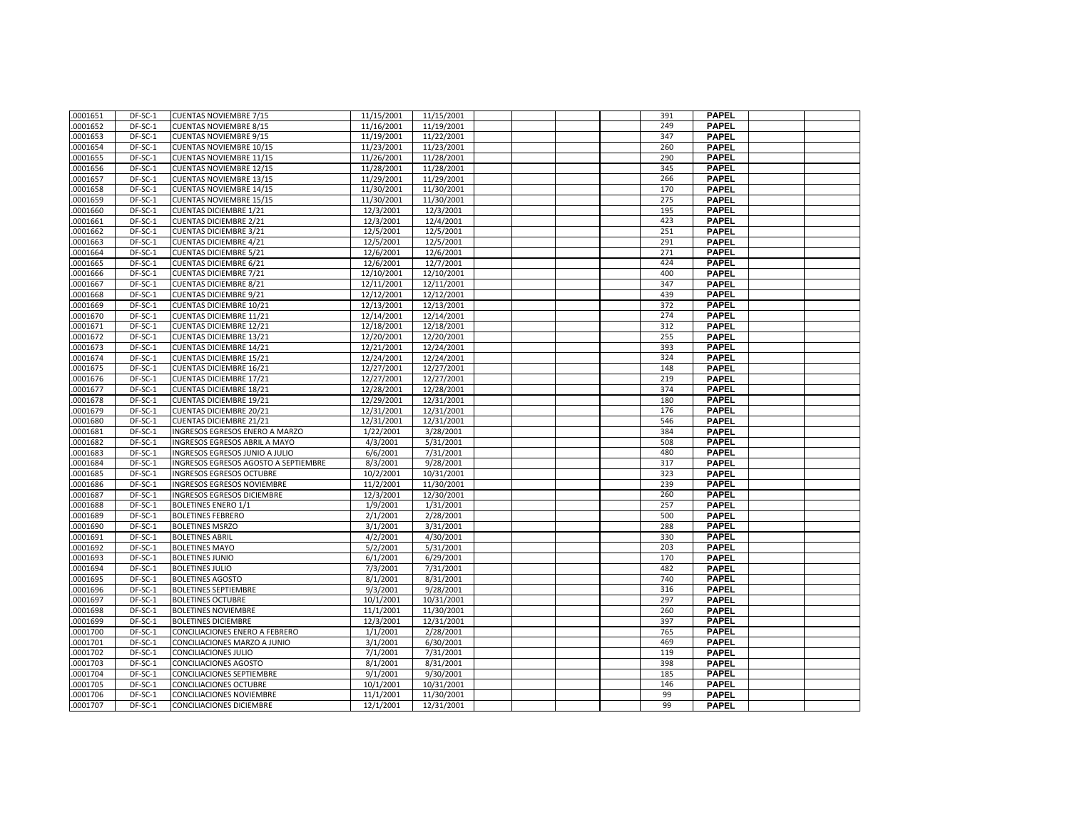| .0001651 | DF-SC-1   | <b>CUENTAS NOVIEMBRE 7/15</b>        | 11/15/2001               | 11/15/2001               |  | 391 | <b>PAPEL</b> |  |
|----------|-----------|--------------------------------------|--------------------------|--------------------------|--|-----|--------------|--|
| .0001652 | DF-SC-1   | <b>CUENTAS NOVIEMBRE 8/15</b>        | 11/16/2001               | 11/19/2001               |  | 249 | <b>PAPEL</b> |  |
| .0001653 | DF-SC-1   | <b>CUENTAS NOVIEMBRE 9/15</b>        | 11/19/2001               | 11/22/2001               |  | 347 | <b>PAPEL</b> |  |
| .0001654 | $DF-SC-1$ | <b>CUENTAS NOVIEMBRE 10/15</b>       | 11/23/2001               | 11/23/2001               |  | 260 | <b>PAPEL</b> |  |
| .0001655 | $DF-SC-1$ | <b>CUENTAS NOVIEMBRE 11/15</b>       | 11/26/2001               | 11/28/2001               |  | 290 | <b>PAPEL</b> |  |
| .0001656 | DF-SC-1   | <b>CUENTAS NOVIEMBRE 12/15</b>       | 11/28/2001               | 11/28/2001               |  | 345 | <b>PAPEL</b> |  |
| .0001657 | DF-SC-1   | <b>CUENTAS NOVIEMBRE 13/15</b>       | 11/29/2001               | 11/29/2001               |  | 266 | <b>PAPEL</b> |  |
| .0001658 | DF-SC-1   | <b>CUENTAS NOVIEMBRE 14/15</b>       | 11/30/2001               | 11/30/2001               |  | 170 | <b>PAPEL</b> |  |
| .0001659 | DF-SC-1   | <b>CUENTAS NOVIEMBRE 15/15</b>       | 11/30/2001               | 11/30/2001               |  | 275 | <b>PAPEL</b> |  |
| .0001660 | DF-SC-1   | <b>CUENTAS DICIEMBRE 1/21</b>        | 12/3/2001                | 12/3/2001                |  | 195 | <b>PAPEL</b> |  |
| .0001661 | DF-SC-1   | <b>CUENTAS DICIEMBRE 2/21</b>        | 12/3/2001                | 12/4/2001                |  | 423 | <b>PAPEL</b> |  |
| .0001662 | DF-SC-1   | <b>CUENTAS DICIEMBRE 3/21</b>        | 12/5/2001                | 12/5/2001                |  | 251 | <b>PAPEL</b> |  |
| .0001663 | DF-SC-1   | <b>CUENTAS DICIEMBRE 4/21</b>        | 12/5/2001                | 12/5/2001                |  | 291 | <b>PAPEL</b> |  |
| .0001664 | DF-SC-1   | <b>CUENTAS DICIEMBRE 5/21</b>        | 12/6/2001                | 12/6/2001                |  | 271 | <b>PAPEL</b> |  |
| .0001665 | DF-SC-1   | <b>CUENTAS DICIEMBRE 6/21</b>        | 12/6/2001                | 12/7/2001                |  | 424 | <b>PAPEL</b> |  |
| .0001666 | DF-SC-1   | <b>CUENTAS DICIEMBRE 7/21</b>        | 12/10/2001               | 12/10/2001               |  | 400 | <b>PAPEL</b> |  |
| .0001667 | DF-SC-1   | <b>CUENTAS DICIEMBRE 8/21</b>        | 12/11/2001               | 12/11/2001               |  | 347 | <b>PAPEL</b> |  |
| .0001668 | DF-SC-1   | <b>CUENTAS DICIEMBRE 9/21</b>        | 12/12/2001               | 12/12/2001               |  | 439 | <b>PAPEL</b> |  |
| .0001669 | DF-SC-1   | <b>CUENTAS DICIEMBRE 10/21</b>       | 12/13/2001               | 12/13/2001               |  | 372 | <b>PAPEL</b> |  |
| .0001670 | $DF-SC-1$ | <b>CUENTAS DICIEMBRE 11/21</b>       | 12/14/2001               | 12/14/2001               |  | 274 | <b>PAPEL</b> |  |
| .0001671 | DF-SC-1   | <b>CUENTAS DICIEMBRE 12/21</b>       | 12/18/2001               | 12/18/2001               |  | 312 | <b>PAPEL</b> |  |
| .0001672 | DF-SC-1   | <b>CUENTAS DICIEMBRE 13/21</b>       | 12/20/2001               | 12/20/2001               |  | 255 | <b>PAPEL</b> |  |
| .0001673 | DF-SC-1   | <b>CUENTAS DICIEMBRE 14/21</b>       | 12/21/2001               | 12/24/2001               |  | 393 | <b>PAPEL</b> |  |
| .0001674 | DF-SC-1   | <b>CUENTAS DICIEMBRE 15/21</b>       | 12/24/2001               | 12/24/2001               |  | 324 | <b>PAPEL</b> |  |
| .0001675 | DF-SC-1   | <b>CUENTAS DICIEMBRE 16/21</b>       |                          |                          |  | 148 | <b>PAPEL</b> |  |
| .0001676 | DF-SC-1   | <b>CUENTAS DICIEMBRE 17/21</b>       | 12/27/2001<br>12/27/2001 | 12/27/2001<br>12/27/2001 |  | 219 |              |  |
|          |           |                                      |                          |                          |  |     | <b>PAPEL</b> |  |
| .0001677 | DF-SC-1   | <b>CUENTAS DICIEMBRE 18/21</b>       | 12/28/2001               | 12/28/2001               |  | 374 | <b>PAPEL</b> |  |
| .0001678 | DF-SC-1   | <b>CUENTAS DICIEMBRE 19/21</b>       | 12/29/2001               | 12/31/2001               |  | 180 | <b>PAPEL</b> |  |
| .0001679 | DF-SC-1   | <b>CUENTAS DICIEMBRE 20/21</b>       | 12/31/2001               | 12/31/2001               |  | 176 | <b>PAPEL</b> |  |
| .0001680 | DF-SC-1   | <b>CUENTAS DICIEMBRE 21/21</b>       | 12/31/2001               | 12/31/2001               |  | 546 | <b>PAPEL</b> |  |
| .0001681 | DF-SC-1   | INGRESOS EGRESOS ENERO A MARZO       | 1/22/2001                | 3/28/2001                |  | 384 | <b>PAPEL</b> |  |
| .0001682 | DF-SC-1   | INGRESOS EGRESOS ABRIL A MAYO        | 4/3/2001                 | 5/31/2001                |  | 508 | <b>PAPEL</b> |  |
| .0001683 | DF-SC-1   | INGRESOS EGRESOS JUNIO A JULIO       | 6/6/2001                 | 7/31/2001                |  | 480 | <b>PAPEL</b> |  |
| .0001684 | DF-SC-1   | INGRESOS EGRESOS AGOSTO A SEPTIEMBRE | 8/3/2001                 | 9/28/2001                |  | 317 | <b>PAPEL</b> |  |
| .0001685 | DF-SC-1   | INGRESOS EGRESOS OCTUBRE             | 10/2/2001                | 10/31/2001               |  | 323 | <b>PAPEL</b> |  |
| .0001686 | DF-SC-1   | INGRESOS EGRESOS NOVIEMBRE           | 11/2/2001                | 11/30/2001               |  | 239 | <b>PAPEL</b> |  |
| .0001687 | DF-SC-1   | INGRESOS EGRESOS DICIEMBRE           | 12/3/2001                | 12/30/2001               |  | 260 | <b>PAPEL</b> |  |
| .0001688 | DF-SC-1   | <b>BOLETINES ENERO 1/1</b>           | 1/9/2001                 | 1/31/2001                |  | 257 | <b>PAPEL</b> |  |
| .0001689 | DF-SC-1   | <b>BOLETINES FEBRERO</b>             | 2/1/2001                 | 2/28/2001                |  | 500 | <b>PAPEL</b> |  |
| .0001690 | DF-SC-1   | <b>BOLETINES MSRZO</b>               | 3/1/2001                 | 3/31/2001                |  | 288 | <b>PAPEL</b> |  |
| .0001691 | DF-SC-1   | <b>BOLETINES ABRIL</b>               | 4/2/2001                 | 4/30/2001                |  | 330 | <b>PAPEL</b> |  |
| .0001692 | DF-SC-1   | <b>BOLETINES MAYO</b>                | 5/2/2001                 | 5/31/2001                |  | 203 | <b>PAPEL</b> |  |
| .0001693 | DF-SC-1   | <b>BOLETINES JUNIO</b>               | 6/1/2001                 | 6/29/2001                |  | 170 | <b>PAPEL</b> |  |
| .0001694 | DF-SC-1   | <b>BOLETINES JULIO</b>               | 7/3/2001                 | 7/31/2001                |  | 482 | <b>PAPEL</b> |  |
| .0001695 | DF-SC-1   | <b>BOLETINES AGOSTO</b>              | 8/1/2001                 | 8/31/2001                |  | 740 | <b>PAPEL</b> |  |
| .0001696 | DF-SC-1   | <b>BOLETINES SEPTIEMBRE</b>          | 9/3/2001                 | 9/28/2001                |  | 316 | <b>PAPEL</b> |  |
| .0001697 | DF-SC-1   | <b>BOLETINES OCTUBRE</b>             | 10/1/2001                | 10/31/2001               |  | 297 | <b>PAPEL</b> |  |
| .0001698 | DF-SC-1   | <b>BOLETINES NOVIEMBRE</b>           | 11/1/2001                | 11/30/2001               |  | 260 | <b>PAPEL</b> |  |
| .0001699 | DF-SC-1   | <b>BOLETINES DICIEMBRE</b>           | 12/3/2001                | 12/31/2001               |  | 397 | <b>PAPEL</b> |  |
| .0001700 | DF-SC-1   | CONCILIACIONES ENERO A FEBRERO       | 1/1/2001                 | 2/28/2001                |  | 765 | <b>PAPEL</b> |  |
| .0001701 | DF-SC-1   | CONCILIACIONES MARZO A JUNIO         | 3/1/2001                 | 6/30/2001                |  | 469 | <b>PAPEL</b> |  |
| .0001702 | DF-SC-1   | CONCILIACIONES JULIO                 | 7/1/2001                 | 7/31/2001                |  | 119 | <b>PAPEL</b> |  |
| .0001703 | DF-SC-1   | CONCILIACIONES AGOSTO                | 8/1/2001                 | 8/31/2001                |  | 398 | <b>PAPEL</b> |  |
| .0001704 | DF-SC-1   | CONCILIACIONES SEPTIEMBRE            | 9/1/2001                 | 9/30/2001                |  | 185 | <b>PAPEL</b> |  |
| .0001705 | DF-SC-1   | CONCILIACIONES OCTUBRE               | 10/1/2001                | 10/31/2001               |  | 146 | <b>PAPEL</b> |  |
| .0001706 | DF-SC-1   | CONCILIACIONES NOVIEMBRE             | 11/1/2001                | 11/30/2001               |  | 99  | <b>PAPEL</b> |  |
| .0001707 | DF-SC-1   | CONCILIACIONES DICIEMBRE             | 12/1/2001                | 12/31/2001               |  | 99  | <b>PAPEL</b> |  |
|          |           |                                      |                          |                          |  |     |              |  |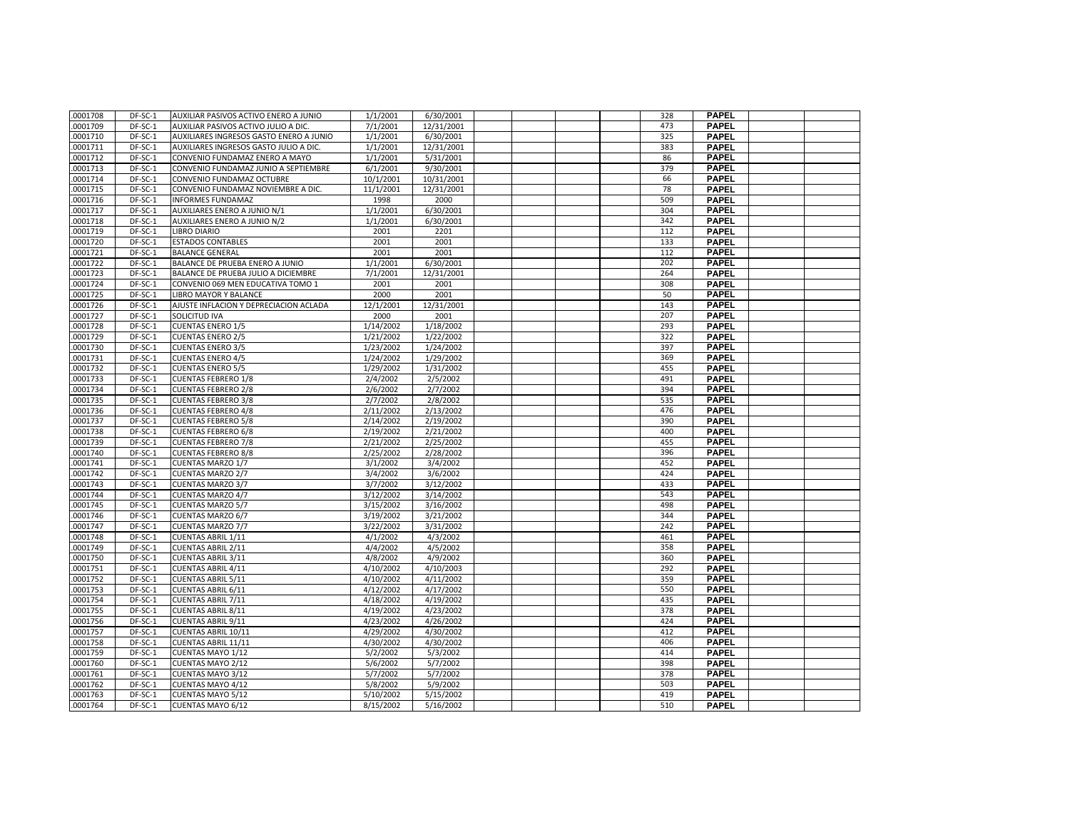| .0001708 | DF-SC-1            | AUXILIAR PASIVOS ACTIVO ENERO A JUNIO   | 1/1/2001               | 6/30/2001              |  | 328 | <b>PAPEL</b> |  |
|----------|--------------------|-----------------------------------------|------------------------|------------------------|--|-----|--------------|--|
| .0001709 | DF-SC-1            | AUXILIAR PASIVOS ACTIVO JULIO A DIC.    | 7/1/2001               | 12/31/2001             |  | 473 | <b>PAPEL</b> |  |
| .0001710 | DF-SC-1            | AUXILIARES INGRESOS GASTO ENERO A JUNIO | 1/1/2001               | 6/30/2001              |  | 325 | <b>PAPEL</b> |  |
| .0001711 | DF-SC-1            | AUXILIARES INGRESOS GASTO JULIO A DIC.  | 1/1/2001               | 12/31/2001             |  | 383 | <b>PAPEL</b> |  |
| .0001712 | DF-SC-1            | CONVENIO FUNDAMAZ ENERO A MAYO          | 1/1/2001               | 5/31/2001              |  | 86  | <b>PAPEL</b> |  |
| .0001713 | DF-SC-1            | CONVENIO FUNDAMAZ JUNIO A SEPTIEMBRE    | 6/1/2001               | 9/30/2001              |  | 379 | <b>PAPEL</b> |  |
| .0001714 | DF-SC-1            | CONVENIO FUNDAMAZ OCTUBRE               | 10/1/2001              | 10/31/2001             |  | 66  | <b>PAPEL</b> |  |
| .0001715 | DF-SC-1            | CONVENIO FUNDAMAZ NOVIEMBRE A DIC.      | 11/1/2001              | 12/31/2001             |  | 78  | <b>PAPEL</b> |  |
| .0001716 | DF-SC-1            | <b>INFORMES FUNDAMAZ</b>                | 1998                   | 2000                   |  | 509 | <b>PAPEL</b> |  |
| .0001717 | $DF-SC-1$          | AUXILIARES ENERO A JUNIO N/1            | 1/1/2001               | 6/30/2001              |  | 304 | <b>PAPEL</b> |  |
| .0001718 | DF-SC-1            | AUXILIARES ENERO A JUNIO N/2            | 1/1/2001               | 6/30/2001              |  | 342 | <b>PAPEL</b> |  |
| .0001719 | DF-SC-1            | <b>LIBRO DIARIO</b>                     | 2001                   | 2201                   |  | 112 | <b>PAPEL</b> |  |
| .0001720 | DF-SC-1            | <b>ESTADOS CONTABLES</b>                | 2001                   | 2001                   |  | 133 | <b>PAPEL</b> |  |
| .0001721 | DF-SC-1            | <b>BALANCE GENERAL</b>                  | 2001                   | 2001                   |  | 112 | <b>PAPEL</b> |  |
| .0001722 | DF-SC-1            | BALANCE DE PRUEBA ENERO A JUNIO         | 1/1/2001               | 6/30/2001              |  | 202 | <b>PAPEL</b> |  |
| .0001723 | DF-SC-1            | BALANCE DE PRUEBA JULIO A DICIEMBRE     | 7/1/2001               | 12/31/2001             |  | 264 | <b>PAPEL</b> |  |
| .0001724 | DF-SC-1            | CONVENIO 069 MEN EDUCATIVA TOMO 1       | 2001                   | 2001                   |  | 308 | <b>PAPEL</b> |  |
| .0001725 | DF-SC-1            | LIBRO MAYOR Y BALANCE                   | 2000                   | 2001                   |  | 50  | <b>PAPEL</b> |  |
| .0001726 | DF-SC-1            | AJUSTE INFLACION Y DEPRECIACION ACLADA  | 12/1/2001              | 12/31/2001             |  | 143 | <b>PAPEL</b> |  |
| .0001727 | DF-SC-1            | SOLICITUD IVA                           | 2000                   | 2001                   |  | 207 | <b>PAPEL</b> |  |
| .0001728 | DF-SC-1            | <b>CUENTAS ENERO 1/5</b>                | 1/14/2002              | 1/18/2002              |  | 293 | <b>PAPEL</b> |  |
| .0001729 | DF-SC-1            | <b>CUENTAS ENERO 2/5</b>                | 1/21/2002              | 1/22/2002              |  | 322 | <b>PAPEL</b> |  |
| .0001730 | DF-SC-1            | <b>CUENTAS ENERO 3/5</b>                | 1/23/2002              | 1/24/2002              |  | 397 | <b>PAPEL</b> |  |
|          |                    |                                         |                        |                        |  | 369 | <b>PAPEL</b> |  |
| .0001731 | DF-SC-1<br>DF-SC-1 | <b>CUENTAS ENERO 4/5</b>                | 1/24/2002<br>1/29/2002 | 1/29/2002<br>1/31/2002 |  | 455 | <b>PAPEL</b> |  |
| .0001732 | DF-SC-1            | <b>CUENTAS ENERO 5/5</b>                | 2/4/2002               | 2/5/2002               |  | 491 | <b>PAPEL</b> |  |
| .0001733 |                    | <b>CUENTAS FEBRERO 1/8</b>              |                        |                        |  |     |              |  |
| .0001734 | DF-SC-1            | <b>CUENTAS FEBRERO 2/8</b>              | 2/6/2002               | 2/7/2002               |  | 394 | <b>PAPEL</b> |  |
| .0001735 | DF-SC-1            | <b>CUENTAS FEBRERO 3/8</b>              | 2/7/2002               | 2/8/2002               |  | 535 | <b>PAPEL</b> |  |
| .0001736 | DF-SC-1            | <b>CUENTAS FEBRERO 4/8</b>              | 2/11/2002              | 2/13/2002              |  | 476 | <b>PAPEL</b> |  |
| .0001737 | DF-SC-1            | <b>CUENTAS FEBRERO 5/8</b>              | 2/14/2002              | 2/19/2002              |  | 390 | <b>PAPEL</b> |  |
| .0001738 | DF-SC-1            | <b>CUENTAS FEBRERO 6/8</b>              | 2/19/2002              | 2/21/2002              |  | 400 | <b>PAPEL</b> |  |
| .0001739 | DF-SC-1            | <b>CUENTAS FEBRERO 7/8</b>              | 2/21/2002              | 2/25/2002              |  | 455 | <b>PAPEL</b> |  |
| .0001740 | DF-SC-1            | <b>CUENTAS FEBRERO 8/8</b>              | 2/25/2002              | 2/28/2002              |  | 396 | <b>PAPEL</b> |  |
| .0001741 | DF-SC-1            | <b>CUENTAS MARZO 1/7</b>                | 3/1/2002               | 3/4/2002               |  | 452 | <b>PAPEL</b> |  |
| .0001742 | $DF-SC-1$          | <b>CUENTAS MARZO 2/7</b>                | 3/4/2002               | 3/6/2002               |  | 424 | <b>PAPEL</b> |  |
| .0001743 | DF-SC-1            | <b>CUENTAS MARZO 3/7</b>                | 3/7/2002               | 3/12/2002              |  | 433 | <b>PAPEL</b> |  |
| .0001744 | DF-SC-1            | <b>CUENTAS MARZO 4/7</b>                | 3/12/2002              | 3/14/2002              |  | 543 | <b>PAPEL</b> |  |
| .0001745 | DF-SC-1            | <b>CUENTAS MARZO 5/7</b>                | 3/15/2002              | 3/16/2002              |  | 498 | <b>PAPEL</b> |  |
| .0001746 | DF-SC-1            | <b>CUENTAS MARZO 6/7</b>                | 3/19/2002              | 3/21/2002              |  | 344 | <b>PAPEL</b> |  |
| .0001747 | DF-SC-1            | <b>CUENTAS MARZO 7/7</b>                | 3/22/2002              | 3/31/2002              |  | 242 | <b>PAPEL</b> |  |
| .0001748 | DF-SC-1            | <b>CUENTAS ABRIL 1/11</b>               | 4/1/2002               | 4/3/2002               |  | 461 | <b>PAPEL</b> |  |
| .0001749 | DF-SC-1            | <b>CUENTAS ABRIL 2/11</b>               | 4/4/2002               | 4/5/2002               |  | 358 | <b>PAPEL</b> |  |
| .0001750 | DF-SC-1            | <b>CUENTAS ABRIL 3/11</b>               | 4/8/2002               | 4/9/2002               |  | 360 | <b>PAPEL</b> |  |
| .0001751 | DF-SC-1            | <b>CUENTAS ABRIL 4/11</b>               | 4/10/2002              | 4/10/2003              |  | 292 | <b>PAPEL</b> |  |
| .0001752 | DF-SC-1            | <b>CUENTAS ABRIL 5/11</b>               | 4/10/2002              | 4/11/2002              |  | 359 | <b>PAPEL</b> |  |
| .0001753 | DF-SC-1            | CUENTAS ABRIL 6/11                      | 4/12/2002              | 4/17/2002              |  | 550 | <b>PAPEL</b> |  |
| .0001754 | DF-SC-1            | <b>CUENTAS ABRIL 7/11</b>               | 4/18/2002              | 4/19/2002              |  | 435 | <b>PAPEL</b> |  |
| .0001755 | DF-SC-1            | <b>CUENTAS ABRIL 8/11</b>               | 4/19/2002              | 4/23/2002              |  | 378 | <b>PAPEL</b> |  |
| .0001756 | DF-SC-1            | <b>CUENTAS ABRIL 9/11</b>               | 4/23/2002              | 4/26/2002              |  | 424 | <b>PAPEL</b> |  |
| .0001757 | DF-SC-1            | CUENTAS ABRIL 10/11                     | 4/29/2002              | 4/30/2002              |  | 412 | <b>PAPEL</b> |  |
| .0001758 | DF-SC-1            | CUENTAS ABRIL 11/11                     | 4/30/2002              | 4/30/2002              |  | 406 | <b>PAPEL</b> |  |
| .0001759 | DF-SC-1            | <b>CUENTAS MAYO 1/12</b>                | 5/2/2002               | 5/3/2002               |  | 414 | <b>PAPEL</b> |  |
| .0001760 | DF-SC-1            | <b>CUENTAS MAYO 2/12</b>                | 5/6/2002               | 5/7/2002               |  | 398 | <b>PAPEL</b> |  |
| .0001761 | DF-SC-1            | CUENTAS MAYO 3/12                       | 5/7/2002               | 5/7/2002               |  | 378 | <b>PAPEL</b> |  |
| .0001762 | DF-SC-1            | CUENTAS MAYO 4/12                       | 5/8/2002               | 5/9/2002               |  | 503 | <b>PAPEL</b> |  |
| .0001763 | DF-SC-1            | <b>CUENTAS MAYO 5/12</b>                | 5/10/2002              | 5/15/2002              |  | 419 | <b>PAPEL</b> |  |
| .0001764 | DF-SC-1            | CUENTAS MAYO 6/12                       | 8/15/2002              | 5/16/2002              |  | 510 | <b>PAPEL</b> |  |
|          |                    |                                         |                        |                        |  |     |              |  |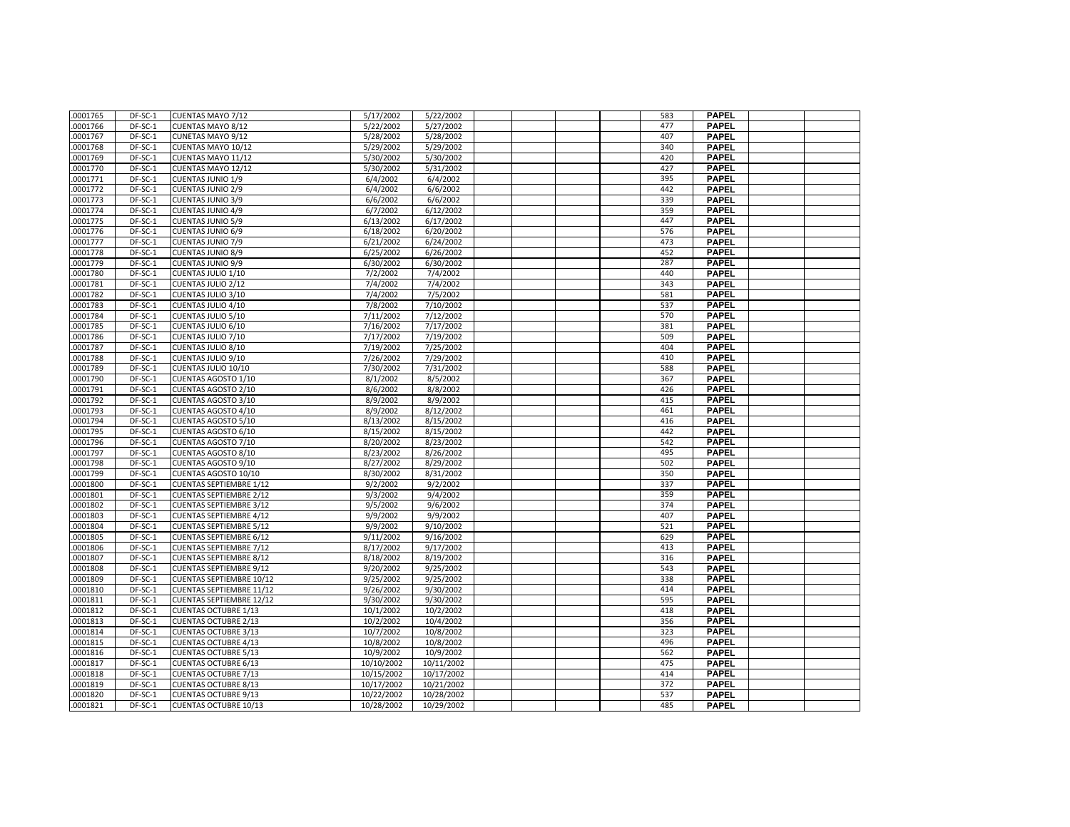| .0001765 | DF-SC-1   | CUENTAS MAYO 7/12               | 5/17/2002  | 5/22/2002  |  | 583 | <b>PAPEL</b> |  |
|----------|-----------|---------------------------------|------------|------------|--|-----|--------------|--|
| .0001766 | DF-SC-1   | <b>CUENTAS MAYO 8/12</b>        | 5/22/2002  | 5/27/2002  |  | 477 | <b>PAPEL</b> |  |
| .0001767 | DF-SC-1   | CUNETAS MAYO 9/12               | 5/28/2002  | 5/28/2002  |  | 407 | <b>PAPEL</b> |  |
| .0001768 | DF-SC-1   | CUENTAS MAYO 10/12              | 5/29/2002  | 5/29/2002  |  | 340 | <b>PAPEL</b> |  |
| .0001769 | DF-SC-1   | CUENTAS MAYO 11/12              | 5/30/2002  | 5/30/2002  |  | 420 | <b>PAPEL</b> |  |
| .0001770 | DF-SC-1   | CUENTAS MAYO 12/12              | 5/30/2002  | 5/31/2002  |  | 427 | <b>PAPEL</b> |  |
| .0001771 | DF-SC-1   | <b>CUENTAS JUNIO 1/9</b>        | 6/4/2002   | 6/4/2002   |  | 395 | <b>PAPEL</b> |  |
| .0001772 | DF-SC-1   | <b>CUENTAS JUNIO 2/9</b>        | 6/4/2002   | 6/6/2002   |  | 442 | <b>PAPEL</b> |  |
| .0001773 | DF-SC-1   | <b>CUENTAS JUNIO 3/9</b>        | 6/6/2002   | 6/6/2002   |  | 339 | <b>PAPEL</b> |  |
| .0001774 | DF-SC-1   | <b>CUENTAS JUNIO 4/9</b>        | 6/7/2002   | 6/12/2002  |  | 359 | <b>PAPEL</b> |  |
| .0001775 | DF-SC-1   | <b>CUENTAS JUNIO 5/9</b>        | 6/13/2002  | 6/17/2002  |  | 447 | <b>PAPEL</b> |  |
| .0001776 | DF-SC-1   | <b>CUENTAS JUNIO 6/9</b>        | 6/18/2002  | 6/20/2002  |  | 576 | <b>PAPEL</b> |  |
| .0001777 | DF-SC-1   | <b>CUENTAS JUNIO 7/9</b>        | 6/21/2002  | 6/24/2002  |  | 473 | <b>PAPEL</b> |  |
| .0001778 | DF-SC-1   | <b>CUENTAS JUNIO 8/9</b>        | 6/25/2002  | 6/26/2002  |  | 452 | <b>PAPEL</b> |  |
| .0001779 | DF-SC-1   | <b>CUENTAS JUNIO 9/9</b>        | 6/30/2002  | 6/30/2002  |  | 287 | <b>PAPEL</b> |  |
| .0001780 | DF-SC-1   | CUENTAS JULIO 1/10              | 7/2/2002   | 7/4/2002   |  | 440 | <b>PAPEL</b> |  |
| .0001781 | DF-SC-1   | CUENTAS JULIO 2/12              | 7/4/2002   | 7/4/2002   |  | 343 | <b>PAPEL</b> |  |
| .0001782 | DF-SC-1   | CUENTAS JULIO 3/10              | 7/4/2002   | 7/5/2002   |  | 581 | <b>PAPEL</b> |  |
| .0001783 | DF-SC-1   | CUENTAS JULIO 4/10              | 7/8/2002   | 7/10/2002  |  | 537 | <b>PAPEL</b> |  |
| .0001784 | DF-SC-1   | CUENTAS JULIO 5/10              | 7/11/2002  | 7/12/2002  |  | 570 | <b>PAPEL</b> |  |
| 0001785  | DF-SC-1   | CUENTAS JULIO 6/10              | 7/16/2002  | 7/17/2002  |  | 381 | <b>PAPEL</b> |  |
| .0001786 | DF-SC-1   | CUENTAS JULIO 7/10              | 7/17/2002  | 7/19/2002  |  | 509 | <b>PAPEL</b> |  |
| .0001787 | DF-SC-1   | CUENTAS JULIO 8/10              | 7/19/2002  | 7/25/2002  |  | 404 | <b>PAPEL</b> |  |
| .0001788 | $DF-SC-1$ | CUENTAS JULIO 9/10              | 7/26/2002  | 7/29/2002  |  | 410 | <b>PAPEL</b> |  |
| .0001789 | DF-SC-1   | CUENTAS JULIO 10/10             | 7/30/2002  | 7/31/2002  |  | 588 | <b>PAPEL</b> |  |
| .0001790 | DF-SC-1   | CUENTAS AGOSTO 1/10             | 8/1/2002   | 8/5/2002   |  | 367 | <b>PAPEL</b> |  |
| .0001791 | DF-SC-1   | <b>CUENTAS AGOSTO 2/10</b>      | 8/6/2002   | 8/8/2002   |  | 426 | <b>PAPEL</b> |  |
| .0001792 | DF-SC-1   | <b>CUENTAS AGOSTO 3/10</b>      | 8/9/2002   | 8/9/2002   |  | 415 | <b>PAPEL</b> |  |
| .0001793 | DF-SC-1   | CUENTAS AGOSTO 4/10             | 8/9/2002   | 8/12/2002  |  | 461 | <b>PAPEL</b> |  |
| .0001794 | DF-SC-1   | <b>CUENTAS AGOSTO 5/10</b>      | 8/13/2002  | 8/15/2002  |  | 416 | <b>PAPEL</b> |  |
| .0001795 | DF-SC-1   | CUENTAS AGOSTO 6/10             | 8/15/2002  | 8/15/2002  |  | 442 | <b>PAPEL</b> |  |
| .0001796 | DF-SC-1   | CUENTAS AGOSTO 7/10             | 8/20/2002  | 8/23/2002  |  | 542 | <b>PAPEL</b> |  |
| .0001797 | DF-SC-1   | CUENTAS AGOSTO 8/10             | 8/23/2002  | 8/26/2002  |  | 495 | <b>PAPEL</b> |  |
| .0001798 | DF-SC-1   | CUENTAS AGOSTO 9/10             | 8/27/2002  | 8/29/2002  |  | 502 | <b>PAPEL</b> |  |
| .0001799 | DF-SC-1   | CUENTAS AGOSTO 10/10            | 8/30/2002  | 8/31/2002  |  | 350 | <b>PAPEL</b> |  |
| .0001800 | DF-SC-1   | <b>CUENTAS SEPTIEMBRE 1/12</b>  | 9/2/2002   | 9/2/2002   |  | 337 | <b>PAPEL</b> |  |
| .0001801 | DF-SC-1   | <b>CUENTAS SEPTIEMBRE 2/12</b>  | 9/3/2002   | 9/4/2002   |  | 359 | <b>PAPEL</b> |  |
| .0001802 | DF-SC-1   | <b>CUENTAS SEPTIEMBRE 3/12</b>  | 9/5/2002   | 9/6/2002   |  | 374 | <b>PAPEL</b> |  |
| .0001803 | DF-SC-1   | <b>CUENTAS SEPTIEMBRE 4/12</b>  | 9/9/2002   | 9/9/2002   |  | 407 | <b>PAPEL</b> |  |
| .0001804 | DF-SC-1   | <b>CUENTAS SEPTIEMBRE 5/12</b>  | 9/9/2002   | 9/10/2002  |  | 521 | <b>PAPEL</b> |  |
| .0001805 | DF-SC-1   | <b>CUENTAS SEPTIEMBRE 6/12</b>  | 9/11/2002  | 9/16/2002  |  | 629 | <b>PAPEL</b> |  |
| .0001806 | DF-SC-1   | <b>CUENTAS SEPTIEMBRE 7/12</b>  | 8/17/2002  | 9/17/2002  |  | 413 | <b>PAPEL</b> |  |
| .0001807 | DF-SC-1   | <b>CUENTAS SEPTIEMBRE 8/12</b>  | 8/18/2002  | 8/19/2002  |  | 316 | <b>PAPEL</b> |  |
| .0001808 | DF-SC-1   | <b>CUENTAS SEPTIEMBRE 9/12</b>  | 9/20/2002  | 9/25/2002  |  | 543 | <b>PAPEL</b> |  |
| .0001809 | DF-SC-1   | <b>CUENTAS SEPTIEMBRE 10/12</b> | 9/25/2002  | 9/25/2002  |  | 338 | <b>PAPEL</b> |  |
| .0001810 | DF-SC-1   | <b>CUENTAS SEPTIEMBRE 11/12</b> | 9/26/2002  | 9/30/2002  |  | 414 | <b>PAPEL</b> |  |
| .0001811 | $DF-SC-1$ | <b>CUENTAS SEPTIEMBRE 12/12</b> | 9/30/2002  | 9/30/2002  |  | 595 | <b>PAPEL</b> |  |
| .0001812 | DF-SC-1   | <b>CUENTAS OCTUBRE 1/13</b>     | 10/1/2002  | 10/2/2002  |  | 418 | <b>PAPEL</b> |  |
| .0001813 | DF-SC-1   | <b>CUENTAS OCTUBRE 2/13</b>     | 10/2/2002  | 10/4/2002  |  | 356 | <b>PAPEL</b> |  |
| .0001814 | DF-SC-1   | <b>CUENTAS OCTUBRE 3/13</b>     | 10/7/2002  | 10/8/2002  |  | 323 | <b>PAPEL</b> |  |
| .0001815 | DF-SC-1   | <b>CUENTAS OCTUBRE 4/13</b>     | 10/8/2002  | 10/8/2002  |  | 496 | <b>PAPEL</b> |  |
| .0001816 | DF-SC-1   | <b>CUENTAS OCTUBRE 5/13</b>     | 10/9/2002  | 10/9/2002  |  | 562 | <b>PAPEL</b> |  |
| .0001817 | DF-SC-1   | <b>CUENTAS OCTUBRE 6/13</b>     | 10/10/2002 | 10/11/2002 |  | 475 | <b>PAPEL</b> |  |
| .0001818 | DF-SC-1   | <b>CUENTAS OCTUBRE 7/13</b>     | 10/15/2002 | 10/17/2002 |  | 414 | <b>PAPEL</b> |  |
| .0001819 | DF-SC-1   | <b>CUENTAS OCTUBRE 8/13</b>     | 10/17/2002 | 10/21/2002 |  | 372 | <b>PAPEL</b> |  |
| .0001820 | DF-SC-1   | <b>CUENTAS OCTUBRE 9/13</b>     | 10/22/2002 | 10/28/2002 |  | 537 | <b>PAPEL</b> |  |
| .0001821 | DF-SC-1   | <b>CUENTAS OCTUBRE 10/13</b>    | 10/28/2002 | 10/29/2002 |  | 485 | <b>PAPEL</b> |  |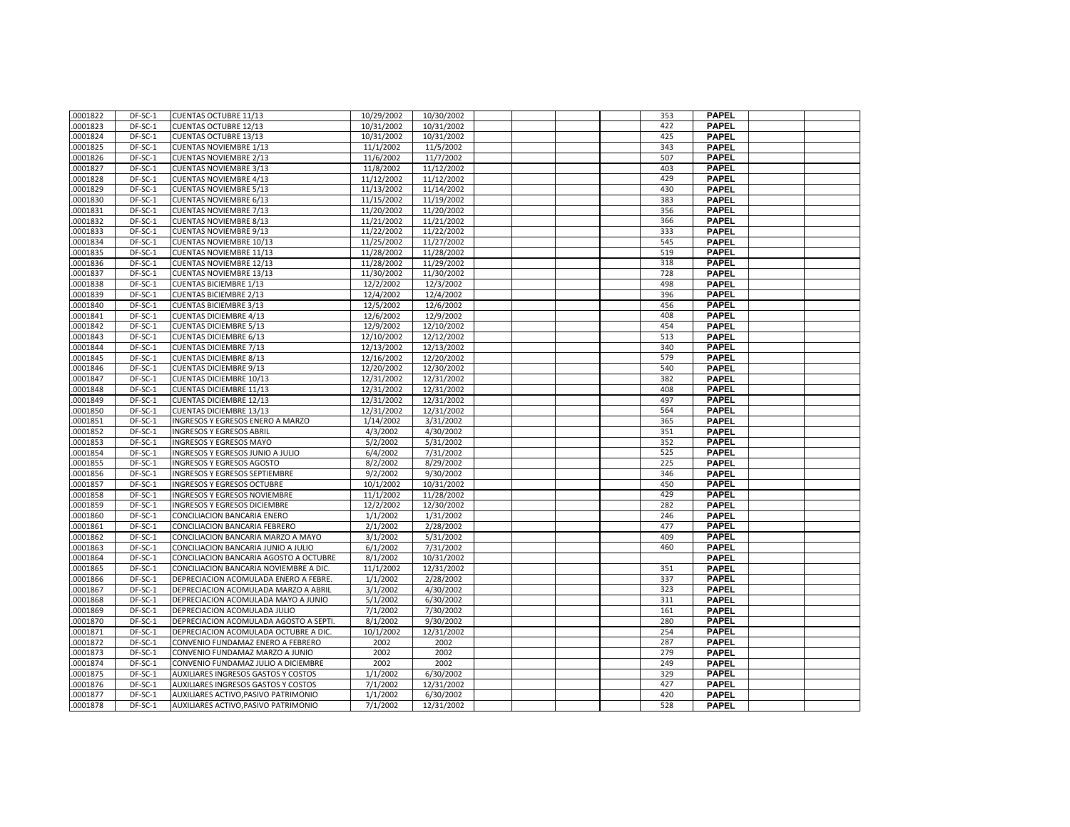| .0001822             | DF-SC-1 | <b>CUENTAS OCTUBRE 11/13</b>                                       | 10/29/2002 | 10/30/2002               |  | 353 | <b>PAPEL</b>                 |  |
|----------------------|---------|--------------------------------------------------------------------|------------|--------------------------|--|-----|------------------------------|--|
| .0001823             | DF-SC-1 | <b>CUENTAS OCTUBRE 12/13</b>                                       | 10/31/2002 | 10/31/2002               |  | 422 | <b>PAPEL</b>                 |  |
| .0001824             | DF-SC-1 | <b>CUENTAS OCTUBRE 13/13</b>                                       | 10/31/2002 | 10/31/2002               |  | 425 | <b>PAPEL</b>                 |  |
| .0001825             | DF-SC-1 | <b>CUENTAS NOVIEMBRE 1/13</b>                                      | 11/1/2002  | 11/5/2002                |  | 343 | <b>PAPEL</b>                 |  |
| .0001826             | DF-SC-1 | <b>CUENTAS NOVIEMBRE 2/13</b>                                      | 11/6/2002  | 11/7/2002                |  | 507 | <b>PAPEL</b>                 |  |
| .0001827             | DF-SC-1 | <b>CUENTAS NOVIEMBRE 3/13</b>                                      | 11/8/2002  | 11/12/2002               |  | 403 | <b>PAPEL</b>                 |  |
| .0001828             | DF-SC-1 | <b>CUENTAS NOVIEMBRE 4/13</b>                                      | 11/12/2002 | 11/12/2002               |  | 429 | <b>PAPEL</b>                 |  |
| .0001829             | DF-SC-1 | <b>CUENTAS NOVIEMBRE 5/13</b>                                      | 11/13/2002 | 11/14/2002               |  | 430 | <b>PAPEL</b>                 |  |
| .0001830             | DF-SC-1 | <b>CUENTAS NOVIEMBRE 6/13</b>                                      | 11/15/2002 | 11/19/2002               |  | 383 | <b>PAPEL</b>                 |  |
| .0001831             | DF-SC-1 | <b>CUENTAS NOVIEMBRE 7/13</b>                                      | 11/20/2002 | 11/20/2002               |  | 356 | <b>PAPEL</b>                 |  |
| 0001832              | DF-SC-1 | <b>CUENTAS NOVIEMBRE 8/13</b>                                      | 11/21/2002 | 11/21/2002               |  | 366 | <b>PAPEL</b>                 |  |
| .0001833             | DF-SC-1 | <b>CUENTAS NOVIEMBRE 9/13</b>                                      | 11/22/2002 | 11/22/2002               |  | 333 | <b>PAPEL</b>                 |  |
| .0001834             | DF-SC-1 | <b>CUENTAS NOVIEMBRE 10/13</b>                                     | 11/25/2002 | 11/27/2002               |  | 545 | PAPEL                        |  |
| 0001835              | DF-SC-1 | <b>CUENTAS NOVIEMBRE 11/13</b>                                     | 11/28/2002 | 11/28/2002               |  | 519 | <b>PAPEL</b>                 |  |
| .0001836             | DF-SC-1 | <b>CUENTAS NOVIEMBRE 12/13</b>                                     | 11/28/2002 | 11/29/2002               |  | 318 | <b>PAPEL</b>                 |  |
| .0001837             | DF-SC-1 | <b>CUENTAS NOVIEMBRE 13/13</b>                                     | 11/30/2002 | 11/30/2002               |  | 728 | <b>PAPEL</b>                 |  |
| .0001838             | DF-SC-1 | <b>CUENTAS BICIEMBRE 1/13</b>                                      | 12/2/2002  | 12/3/2002                |  | 498 | <b>PAPEL</b>                 |  |
| .0001839             | DF-SC-1 | <b>CUENTAS BICIEMBRE 2/13</b>                                      | 12/4/2002  | 12/4/2002                |  | 396 | <b>PAPEL</b>                 |  |
| .0001840             | DF-SC-1 | <b>CUENTAS BICIEMBRE 3/13</b>                                      | 12/5/2002  | 12/6/2002                |  | 456 | <b>PAPEL</b>                 |  |
| .0001841             | DF-SC-1 | <b>CUENTAS DICIEMBRE 4/13</b>                                      | 12/6/2002  | 12/9/2002                |  | 408 | <b>PAPEL</b>                 |  |
| .0001842             | DF-SC-1 | <b>CUENTAS DICIEMBRE 5/13</b>                                      | 12/9/2002  | 12/10/2002               |  | 454 | <b>PAPEL</b>                 |  |
| .0001843             | DF-SC-1 | <b>CUENTAS DICIEMBRE 6/13</b>                                      | 12/10/2002 | 12/12/2002               |  | 513 | <b>PAPEL</b>                 |  |
| .0001844             | DF-SC-1 | <b>CUENTAS DICIEMBRE 7/13</b>                                      | 12/13/2002 | 12/13/2002               |  | 340 | <b>PAPEL</b>                 |  |
| .0001845             | DF-SC-1 | <b>CUENTAS DICIEMBRE 8/13</b>                                      | 12/16/2002 | 12/20/2002               |  | 579 | <b>PAPEL</b>                 |  |
| .0001846             | DF-SC-1 | <b>CUENTAS DICIEMBRE 9/13</b>                                      | 12/20/2002 | 12/30/2002               |  | 540 | <b>PAPEL</b>                 |  |
| .0001847             | DF-SC-1 | <b>CUENTAS DICIEMBRE 10/13</b>                                     | 12/31/2002 | 12/31/2002               |  | 382 | <b>PAPEL</b>                 |  |
| .0001848             | DF-SC-1 | <b>CUENTAS DICIEMBRE 11/13</b>                                     | 12/31/2002 | 12/31/2002               |  | 408 | <b>PAPEL</b>                 |  |
|                      | DF-SC-1 |                                                                    | 12/31/2002 |                          |  | 497 | <b>PAPEL</b>                 |  |
| .0001849             | DF-SC-1 | <b>CUENTAS DICIEMBRE 12/13</b>                                     | 12/31/2002 | 12/31/2002<br>12/31/2002 |  | 564 | <b>PAPEL</b>                 |  |
| .0001850<br>.0001851 | DF-SC-1 | <b>CUENTAS DICIEMBRE 13/13</b><br>INGRESOS Y EGRESOS ENERO A MARZO | 1/14/2002  | 3/31/2002                |  | 365 | <b>PAPEL</b>                 |  |
| .0001852             | DF-SC-1 | <b>INGRESOS Y EGRESOS ABRIL</b>                                    | 4/3/2002   | 4/30/2002                |  | 351 | <b>PAPEL</b>                 |  |
|                      | DF-SC-1 | <b>INGRESOS Y EGRESOS MAYO</b>                                     | 5/2/2002   | 5/31/2002                |  | 352 | <b>PAPEL</b>                 |  |
| .0001853             |         |                                                                    |            |                          |  |     |                              |  |
| .0001854             | DF-SC-1 | INGRESOS Y EGRESOS JUNIO A JULIO                                   | 6/4/2002   | 7/31/2002                |  | 525 | <b>PAPEL</b><br><b>PAPEL</b> |  |
| .0001855             | DF-SC-1 | INGRESOS Y EGRESOS AGOSTO                                          | 8/2/2002   | 8/29/2002                |  | 225 |                              |  |
| .0001856             | DF-SC-1 | INGRESOS Y EGRESOS SEPTIEMBRE                                      | 9/2/2002   | 9/30/2002                |  | 346 | <b>PAPEL</b>                 |  |
| .0001857             | DF-SC-1 | <b>INGRESOS Y EGRESOS OCTUBRE</b>                                  | 10/1/2002  | 10/31/2002               |  | 450 | <b>PAPEL</b>                 |  |
| .0001858             | DF-SC-1 | <b>INGRESOS Y EGRESOS NOVIEMBRE</b>                                | 11/1/2002  | 11/28/2002               |  | 429 | <b>PAPEL</b>                 |  |
| .0001859             | DF-SC-1 | INGRESOS Y EGRESOS DICIEMBRE                                       | 12/2/2002  | 12/30/2002               |  | 282 | <b>PAPEL</b>                 |  |
| .0001860             | DF-SC-1 | CONCILIACION BANCARIA ENERO                                        | 1/1/2002   | 1/31/2002                |  | 246 | <b>PAPEL</b>                 |  |
| .0001861             | DF-SC-1 | CONCILIACION BANCARIA FEBRERO                                      | 2/1/2002   | 2/28/2002                |  | 477 | <b>PAPEL</b>                 |  |
| .0001862             | DF-SC-1 | CONCILIACION BANCARIA MARZO A MAYO                                 | 3/1/2002   | 5/31/2002                |  | 409 | <b>PAPEL</b>                 |  |
| .0001863             | DF-SC-1 | CONCILIACION BANCARIA JUNIO A JULIO                                | 6/1/2002   | 7/31/2002                |  | 460 | <b>PAPEL</b>                 |  |
| .0001864             | DF-SC-1 | CONCILIACION BANCARIA AGOSTO A OCTUBRE                             | 8/1/2002   | 10/31/2002               |  |     | <b>PAPEL</b>                 |  |
| .0001865             | DF-SC-1 | CONCILIACION BANCARIA NOVIEMBRE A DIC.                             | 11/1/2002  | 12/31/2002               |  | 351 | <b>PAPEL</b>                 |  |
| .0001866             | DF-SC-1 | DEPRECIACION ACOMULADA ENERO A FEBRE                               | 1/1/2002   | 2/28/2002                |  | 337 | <b>PAPEL</b>                 |  |
| .0001867             | DF-SC-1 | DEPRECIACION ACOMULADA MARZO A ABRIL                               | 3/1/2002   | 4/30/2002                |  | 323 | <b>PAPEL</b>                 |  |
| 0001868              | DF-SC-1 | DEPRECIACION ACOMULADA MAYO A JUNIO                                | 5/1/2002   | 6/30/2002                |  | 311 | <b>PAPEL</b>                 |  |
| .0001869             | DF-SC-1 | DEPRECIACION ACOMULADA JULIO                                       | 7/1/2002   | 7/30/2002                |  | 161 | <b>PAPEL</b>                 |  |
| .0001870             | DF-SC-1 | DEPRECIACION ACOMULADA AGOSTO A SEPTI.                             | 8/1/2002   | 9/30/2002                |  | 280 | <b>PAPEL</b>                 |  |
| .0001871             | DF-SC-1 | DEPRECIACION ACOMULADA OCTUBRE A DIC.                              | 10/1/2002  | 12/31/2002               |  | 254 | <b>PAPEL</b>                 |  |
| .0001872             | DF-SC-1 | CONVENIO FUNDAMAZ ENERO A FEBRERO                                  | 2002       | 2002                     |  | 287 | <b>PAPEL</b>                 |  |
| .0001873             | DF-SC-1 | CONVENIO FUNDAMAZ MARZO A JUNIO                                    | 2002       | 2002                     |  | 279 | <b>PAPEL</b>                 |  |
| .0001874             | DF-SC-1 | CONVENIO FUNDAMAZ JULIO A DICIEMBRE                                | 2002       | 2002                     |  | 249 | PAPEL                        |  |
| .0001875             | DF-SC-1 | AUXILIARES INGRESOS GASTOS Y COSTOS                                | 1/1/2002   | 6/30/2002                |  | 329 | <b>PAPEL</b>                 |  |
| .0001876             | DF-SC-1 | AUXILIARES INGRESOS GASTOS Y COSTOS                                | 7/1/2002   | 12/31/2002               |  | 427 | <b>PAPEL</b>                 |  |
| .0001877             | DF-SC-1 | AUXILIARES ACTIVO, PASIVO PATRIMONIO                               | 1/1/2002   | 6/30/2002                |  | 420 | PAPEL                        |  |
| .0001878             | DF-SC-1 | AUXILIARES ACTIVO, PASIVO PATRIMONIO                               | 7/1/2002   | 12/31/2002               |  | 528 | <b>PAPEL</b>                 |  |
|                      |         |                                                                    |            |                          |  |     |                              |  |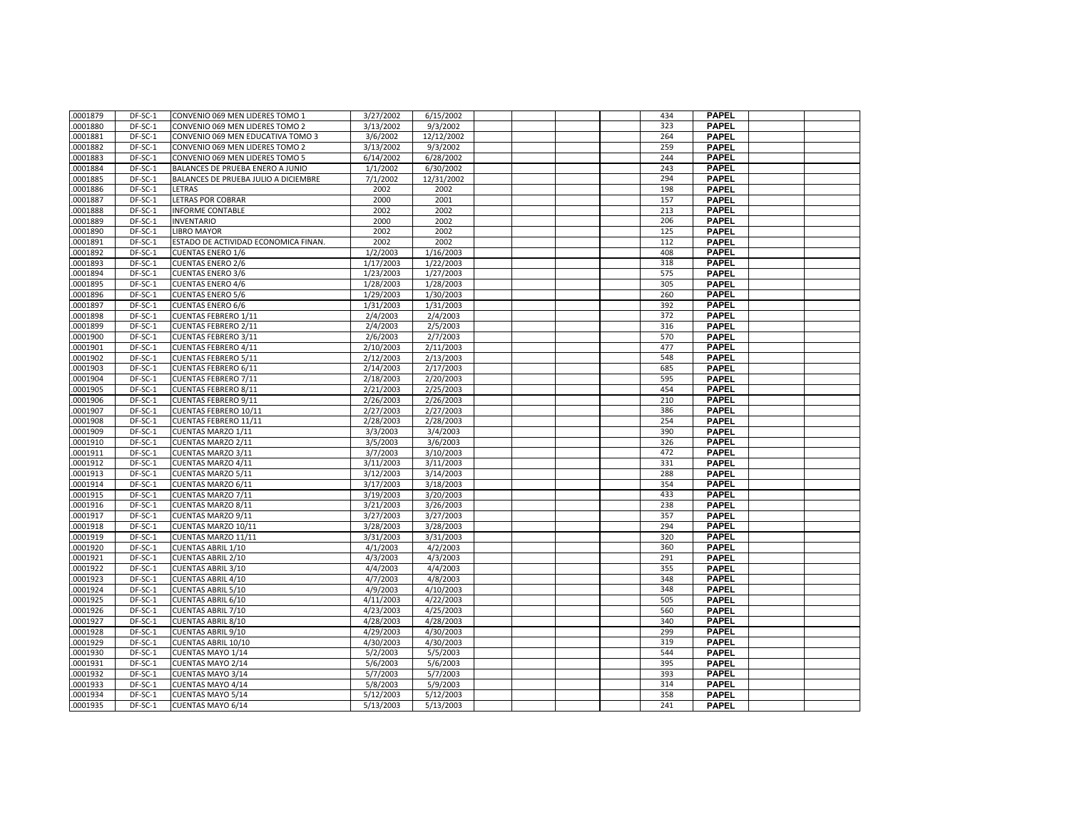| .0001879 | DF-SC-1 | CONVENIO 069 MEN LIDERES TOMO 1      | 3/27/2002 | 6/15/2002  |  | 434 | <b>PAPEL</b> |  |
|----------|---------|--------------------------------------|-----------|------------|--|-----|--------------|--|
| .0001880 | DF-SC-1 | CONVENIO 069 MEN LIDERES TOMO 2      | 3/13/2002 | 9/3/2002   |  | 323 | <b>PAPEL</b> |  |
| .0001881 | DF-SC-1 | CONVENIO 069 MEN EDUCATIVA TOMO 3    | 3/6/2002  | 12/12/2002 |  | 264 | <b>PAPEL</b> |  |
| .0001882 | DF-SC-1 | CONVENIO 069 MEN LIDERES TOMO 2      | 3/13/2002 | 9/3/2002   |  | 259 | <b>PAPEL</b> |  |
| .0001883 | DF-SC-1 | CONVENIO 069 MEN LIDERES TOMO 5      | 6/14/2002 | 6/28/2002  |  | 244 | <b>PAPEL</b> |  |
| .0001884 | DF-SC-1 | BALANCES DE PRUEBA ENERO A JUNIO     | 1/1/2002  | 6/30/2002  |  | 243 | <b>PAPEL</b> |  |
| .0001885 | DF-SC-1 | BALANCES DE PRUEBA JULIO A DICIEMBRE | 7/1/2002  | 12/31/2002 |  | 294 | <b>PAPEL</b> |  |
| .0001886 | DF-SC-1 | LETRAS                               | 2002      | 2002       |  | 198 | <b>PAPEL</b> |  |
| .0001887 | DF-SC-1 | <b>LETRAS POR COBRAR</b>             | 2000      | 2001       |  | 157 | <b>PAPEL</b> |  |
| .0001888 | DF-SC-1 | <b>INFORME CONTABLE</b>              | 2002      | 2002       |  | 213 | <b>PAPEL</b> |  |
| .0001889 | DF-SC-1 | <b>INVENTARIO</b>                    | 2000      | 2002       |  | 206 | <b>PAPEL</b> |  |
| .0001890 | DF-SC-1 | <b>LIBRO MAYOR</b>                   | 2002      | 2002       |  | 125 | <b>PAPEL</b> |  |
| .0001891 | DF-SC-1 | ESTADO DE ACTIVIDAD ECONOMICA FINAN. | 2002      | 2002       |  | 112 | <b>PAPEL</b> |  |
| .0001892 | DF-SC-1 | <b>CUENTAS ENERO 1/6</b>             | 1/2/2003  | 1/16/2003  |  | 408 | <b>PAPEL</b> |  |
| .0001893 | DF-SC-1 | <b>CUENTAS ENERO 2/6</b>             | 1/17/2003 | 1/22/2003  |  | 318 | <b>PAPEL</b> |  |
| .0001894 | DF-SC-1 | <b>CUENTAS ENERO 3/6</b>             | 1/23/2003 | 1/27/2003  |  | 575 | <b>PAPEL</b> |  |
| .0001895 | DF-SC-1 | <b>CUENTAS ENERO 4/6</b>             | 1/28/2003 | 1/28/2003  |  | 305 | <b>PAPEL</b> |  |
| .0001896 | DF-SC-1 | <b>CUENTAS ENERO 5/6</b>             | 1/29/2003 | 1/30/2003  |  | 260 | <b>PAPEL</b> |  |
| .0001897 | DF-SC-1 | <b>CUENTAS ENERO 6/6</b>             | 1/31/2003 | 1/31/2003  |  | 392 | PAPEL        |  |
| .0001898 | DF-SC-1 | <b>CUENTAS FEBRERO 1/11</b>          | 2/4/2003  | 2/4/2003   |  | 372 | <b>PAPEL</b> |  |
| .0001899 | DF-SC-1 | <b>CUENTAS FEBRERO 2/11</b>          | 2/4/2003  | 2/5/2003   |  | 316 | <b>PAPEL</b> |  |
| .0001900 | DF-SC-1 | <b>CUENTAS FEBRERO 3/11</b>          | 2/6/2003  | 2/7/2003   |  | 570 | <b>PAPEL</b> |  |
| .0001901 | DF-SC-1 | <b>CUENTAS FEBRERO 4/11</b>          | 2/10/2003 | 2/11/2003  |  | 477 | <b>PAPEL</b> |  |
| .0001902 | DF-SC-1 | <b>CUENTAS FEBRERO 5/11</b>          | 2/12/2003 | 2/13/2003  |  | 548 | <b>PAPEL</b> |  |
| .0001903 | DF-SC-1 | <b>CUENTAS FEBRERO 6/11</b>          | 2/14/2003 | 2/17/2003  |  | 685 | <b>PAPEL</b> |  |
| .0001904 | DF-SC-1 | CUENTAS FEBRERO 7/11                 | 2/18/2003 | 2/20/2003  |  | 595 | <b>PAPEL</b> |  |
| .0001905 | DF-SC-1 | <b>CUENTAS FEBRERO 8/11</b>          | 2/21/2003 | 2/25/2003  |  | 454 | <b>PAPEL</b> |  |
| .0001906 | DF-SC-1 | <b>CUENTAS FEBRERO 9/11</b>          | 2/26/2003 | 2/26/2003  |  | 210 | <b>PAPEL</b> |  |
| .0001907 | DF-SC-1 | CUENTAS FEBRERO 10/11                | 2/27/2003 | 2/27/2003  |  | 386 | <b>PAPEL</b> |  |
| .0001908 | DF-SC-1 | CUENTAS FEBRERO 11/11                | 2/28/2003 | 2/28/2003  |  | 254 | <b>PAPEL</b> |  |
| .0001909 | DF-SC-1 | CUENTAS MARZO 1/11                   | 3/3/2003  | 3/4/2003   |  | 390 | <b>PAPEL</b> |  |
| .0001910 | DF-SC-1 | CUENTAS MARZO 2/11                   | 3/5/2003  | 3/6/2003   |  | 326 | <b>PAPEL</b> |  |
| .0001911 | DF-SC-1 | CUENTAS MARZO 3/11                   | 3/7/2003  | 3/10/2003  |  | 472 | <b>PAPEL</b> |  |
| .0001912 | DF-SC-1 | CUENTAS MARZO 4/11                   | 3/11/2003 | 3/11/2003  |  | 331 | <b>PAPEL</b> |  |
| .0001913 | DF-SC-1 | CUENTAS MARZO 5/11                   | 3/12/2003 | 3/14/2003  |  | 288 | <b>PAPEL</b> |  |
| .0001914 | DF-SC-1 | CUENTAS MARZO 6/11                   | 3/17/2003 | 3/18/2003  |  | 354 | <b>PAPEL</b> |  |
| .0001915 | DF-SC-1 | CUENTAS MARZO 7/11                   | 3/19/2003 | 3/20/2003  |  | 433 | <b>PAPEL</b> |  |
| .0001916 | DF-SC-1 | CUENTAS MARZO 8/11                   | 3/21/2003 | 3/26/2003  |  | 238 | PAPEL        |  |
| .0001917 | DF-SC-1 | CUENTAS MARZO 9/11                   | 3/27/2003 | 3/27/2003  |  | 357 | <b>PAPEL</b> |  |
| .0001918 | DF-SC-1 | CUENTAS MARZO 10/11                  | 3/28/2003 | 3/28/2003  |  | 294 | <b>PAPEL</b> |  |
| .0001919 | DF-SC-1 | CUENTAS MARZO 11/11                  | 3/31/2003 | 3/31/2003  |  | 320 | <b>PAPEL</b> |  |
| .0001920 | DF-SC-1 | <b>CUENTAS ABRIL 1/10</b>            | 4/1/2003  | 4/2/2003   |  | 360 | <b>PAPEL</b> |  |
| .0001921 | DF-SC-1 | <b>CUENTAS ABRIL 2/10</b>            | 4/3/2003  | 4/3/2003   |  | 291 | <b>PAPEL</b> |  |
| .0001922 | DF-SC-1 | <b>CUENTAS ABRIL 3/10</b>            | 4/4/2003  | 4/4/2003   |  | 355 | <b>PAPEL</b> |  |
| .0001923 | DF-SC-1 | <b>CUENTAS ABRIL 4/10</b>            | 4/7/2003  | 4/8/2003   |  | 348 | <b>PAPEL</b> |  |
| .0001924 | DF-SC-1 | <b>CUENTAS ABRIL 5/10</b>            | 4/9/2003  | 4/10/2003  |  | 348 | <b>PAPEL</b> |  |
| .0001925 | DF-SC-1 | <b>CUENTAS ABRIL 6/10</b>            | 4/11/2003 | 4/22/2003  |  | 505 | <b>PAPEL</b> |  |
| .0001926 | DF-SC-1 | <b>CUENTAS ABRIL 7/10</b>            | 4/23/2003 | 4/25/2003  |  | 560 | <b>PAPEL</b> |  |
| .0001927 | DF-SC-1 | <b>CUENTAS ABRIL 8/10</b>            | 4/28/2003 | 4/28/2003  |  | 340 | <b>PAPEL</b> |  |
| .0001928 | DF-SC-1 | <b>CUENTAS ABRIL 9/10</b>            | 4/29/2003 | 4/30/2003  |  | 299 | <b>PAPEL</b> |  |
| .0001929 | DF-SC-1 | CUENTAS ABRIL 10/10                  | 4/30/2003 | 4/30/2003  |  | 319 | <b>PAPEL</b> |  |
| .0001930 | DF-SC-1 | CUENTAS MAYO 1/14                    | 5/2/2003  | 5/5/2003   |  | 544 | <b>PAPEL</b> |  |
| .0001931 | DF-SC-1 | CUENTAS MAYO 2/14                    | 5/6/2003  | 5/6/2003   |  | 395 | PAPEL        |  |
| .0001932 | DF-SC-1 | CUENTAS MAYO 3/14                    | 5/7/2003  | 5/7/2003   |  | 393 | <b>PAPEL</b> |  |
| .0001933 | DF-SC-1 | CUENTAS MAYO 4/14                    | 5/8/2003  | 5/9/2003   |  | 314 | <b>PAPEL</b> |  |
| .0001934 | DF-SC-1 | <b>CUENTAS MAYO 5/14</b>             | 5/12/2003 | 5/12/2003  |  | 358 | PAPEL        |  |
| .0001935 | DF-SC-1 | CUENTAS MAYO 6/14                    | 5/13/2003 | 5/13/2003  |  | 241 | <b>PAPEL</b> |  |
|          |         |                                      |           |            |  |     |              |  |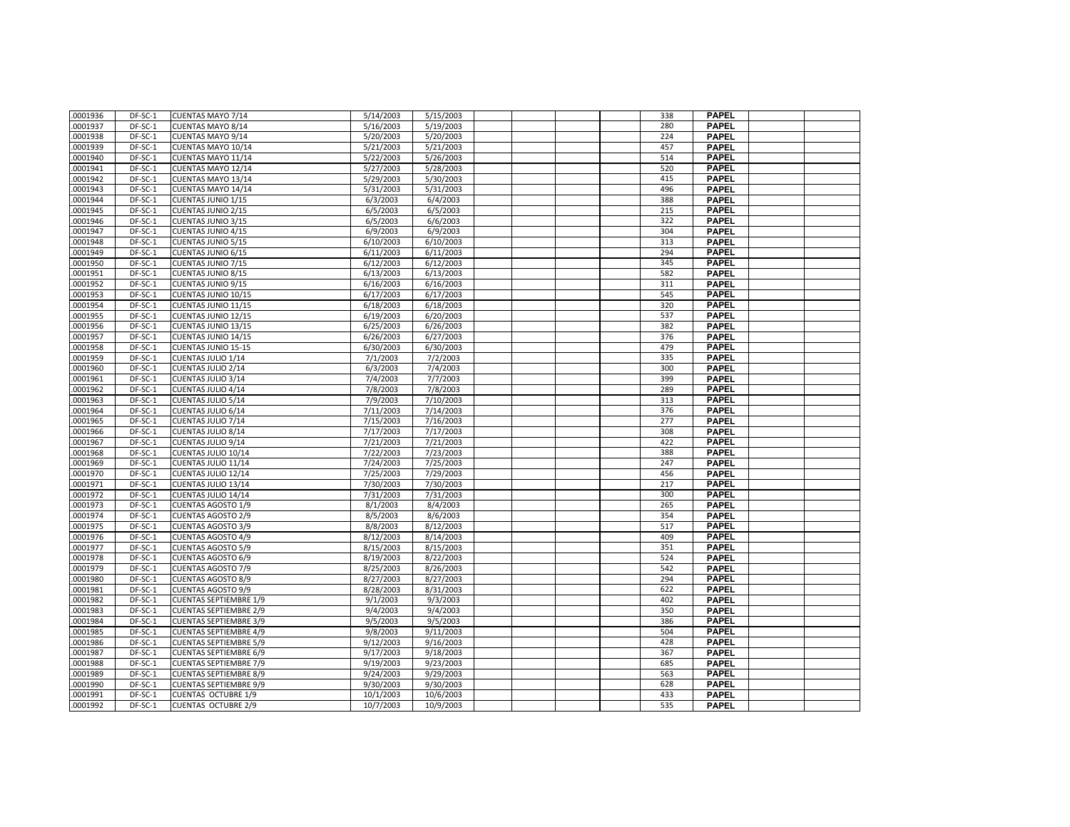| .0001936             | DF-SC-1            | CUENTAS MAYO 7/14             | 5/14/2003              | 5/15/2003              |  | 338 | <b>PAPEL</b> |  |
|----------------------|--------------------|-------------------------------|------------------------|------------------------|--|-----|--------------|--|
| .0001937             | DF-SC-1            | <b>CUENTAS MAYO 8/14</b>      | 5/16/2003              | 5/19/2003              |  | 280 | <b>PAPEL</b> |  |
| .0001938             | DF-SC-1            | <b>CUENTAS MAYO 9/14</b>      | 5/20/2003              | 5/20/2003              |  | 224 | <b>PAPEL</b> |  |
|                      |                    |                               |                        |                        |  | 457 | <b>PAPEL</b> |  |
| .0001939<br>.0001940 | DF-SC-1<br>DF-SC-1 | CUENTAS MAYO 10/14            | 5/21/2003<br>5/22/2003 | 5/21/2003<br>5/26/2003 |  | 514 | <b>PAPEL</b> |  |
| .0001941             | DF-SC-1            | CUENTAS MAYO 11/14            | 5/27/2003              | 5/28/2003              |  | 520 | <b>PAPEL</b> |  |
|                      |                    | CUENTAS MAYO 12/14            |                        |                        |  |     |              |  |
| .0001942             | DF-SC-1            | CUENTAS MAYO 13/14            | 5/29/2003              | 5/30/2003              |  | 415 | <b>PAPEL</b> |  |
| .0001943             | DF-SC-1            | CUENTAS MAYO 14/14            | 5/31/2003              | 5/31/2003              |  | 496 | <b>PAPEL</b> |  |
| .0001944             | DF-SC-1            | CUENTAS JUNIO 1/15            | 6/3/2003               | 6/4/2003               |  | 388 | <b>PAPEL</b> |  |
| .0001945             | DF-SC-1            | <b>CUENTAS JUNIO 2/15</b>     | 6/5/2003               | 6/5/2003               |  | 215 | <b>PAPEL</b> |  |
| .0001946             | DF-SC-1            | <b>CUENTAS JUNIO 3/15</b>     | 6/5/2003               | 6/6/2003               |  | 322 | <b>PAPEL</b> |  |
| .0001947             | DF-SC-1            | <b>CUENTAS JUNIO 4/15</b>     | 6/9/2003               | 6/9/2003               |  | 304 | <b>PAPEL</b> |  |
| .0001948             | DF-SC-1            | <b>CUENTAS JUNIO 5/15</b>     | 6/10/2003              | 6/10/2003              |  | 313 | <b>PAPEL</b> |  |
| .0001949             | DF-SC-1            | <b>CUENTAS JUNIO 6/15</b>     | 6/11/2003              | 6/11/2003              |  | 294 | <b>PAPEL</b> |  |
| .0001950             | DF-SC-1            | <b>CUENTAS JUNIO 7/15</b>     | 6/12/2003              | 6/12/2003              |  | 345 | <b>PAPEL</b> |  |
| .0001951             | DF-SC-1            | CUENTAS JUNIO 8/15            | 6/13/2003              | 6/13/2003              |  | 582 | <b>PAPEL</b> |  |
| .0001952             | DF-SC-1            | <b>CUENTAS JUNIO 9/15</b>     | 6/16/2003              | 6/16/2003              |  | 311 | <b>PAPEL</b> |  |
| .0001953             | DF-SC-1            | CUENTAS JUNIO 10/15           | 6/17/2003              | 6/17/2003              |  | 545 | <b>PAPEL</b> |  |
| .0001954             | DF-SC-1            | CUENTAS JUNIO 11/15           | 6/18/2003              | 6/18/2003              |  | 320 | <b>PAPEL</b> |  |
| .0001955             | DF-SC-1            | CUENTAS JUNIO 12/15           | 6/19/2003              | 6/20/2003              |  | 537 | <b>PAPEL</b> |  |
| .0001956             | DF-SC-1            | CUENTAS JUNIO 13/15           | 6/25/2003              | 6/26/2003              |  | 382 | <b>PAPEL</b> |  |
| .0001957             | DF-SC-1            | CUENTAS JUNIO 14/15           | 6/26/2003              | 6/27/2003              |  | 376 | <b>PAPEL</b> |  |
| .0001958             | DF-SC-1            | <b>CUENTAS JUNIO 15-15</b>    | 6/30/2003              | 6/30/2003              |  | 479 | <b>PAPEL</b> |  |
| .0001959             | $DF-SC-1$          | CUENTAS JULIO 1/14            | 7/1/2003               | 7/2/2003               |  | 335 | <b>PAPEL</b> |  |
| .0001960             | DF-SC-1            | <b>CUENTAS JULIO 2/14</b>     | 6/3/2003               | 7/4/2003               |  | 300 | <b>PAPEL</b> |  |
| .0001961             | DF-SC-1            | CUENTAS JULIO 3/14            | 7/4/2003               | 7/7/2003               |  | 399 | <b>PAPEL</b> |  |
| .0001962             | DF-SC-1            | CUENTAS JULIO 4/14            | 7/8/2003               | 7/8/2003               |  | 289 | <b>PAPEL</b> |  |
| .0001963             | DF-SC-1            | CUENTAS JULIO 5/14            | 7/9/2003               | 7/10/2003              |  | 313 | <b>PAPEL</b> |  |
| .0001964             | DF-SC-1            | CUENTAS JULIO 6/14            | 7/11/2003              | 7/14/2003              |  | 376 | <b>PAPEL</b> |  |
| .0001965             | DF-SC-1            | CUENTAS JULIO 7/14            | 7/15/2003              | 7/16/2003              |  | 277 | <b>PAPEL</b> |  |
| .0001966             | DF-SC-1            | CUENTAS JULIO 8/14            | 7/17/2003              | 7/17/2003              |  | 308 | <b>PAPEL</b> |  |
| .0001967             | DF-SC-1            | CUENTAS JULIO 9/14            | 7/21/2003              | 7/21/2003              |  | 422 | <b>PAPEL</b> |  |
| .0001968             | DF-SC-1            | CUENTAS JULIO 10/14           | 7/22/2003              | 7/23/2003              |  | 388 | <b>PAPEL</b> |  |
| .0001969             | DF-SC-1            | CUENTAS JULIO 11/14           | 7/24/2003              | 7/25/2003              |  | 247 | <b>PAPEL</b> |  |
| .0001970             | DF-SC-1            | CUENTAS JULIO 12/14           | 7/25/2003              | 7/29/2003              |  | 456 | <b>PAPEL</b> |  |
| .0001971             | DF-SC-1            | CUENTAS JULIO 13/14           | 7/30/2003              | 7/30/2003              |  | 217 | <b>PAPEL</b> |  |
| .0001972             | DF-SC-1            | CUENTAS JULIO 14/14           | 7/31/2003              | 7/31/2003              |  | 300 | <b>PAPEL</b> |  |
| .0001973             | DF-SC-1            | <b>CUENTAS AGOSTO 1/9</b>     | 8/1/2003               | 8/4/2003               |  | 265 | <b>PAPEL</b> |  |
| .0001974             | DF-SC-1            | <b>CUENTAS AGOSTO 2/9</b>     | 8/5/2003               | 8/6/2003               |  | 354 | <b>PAPEL</b> |  |
| .0001975             | DF-SC-1            | <b>CUENTAS AGOSTO 3/9</b>     | 8/8/2003               | 8/12/2003              |  | 517 | <b>PAPEL</b> |  |
| .0001976             | DF-SC-1            | <b>CUENTAS AGOSTO 4/9</b>     | 8/12/2003              | 8/14/2003              |  | 409 | <b>PAPEL</b> |  |
| .0001977             | DF-SC-1            | <b>CUENTAS AGOSTO 5/9</b>     | 8/15/2003              | 8/15/2003              |  | 351 | <b>PAPEL</b> |  |
| .0001978             | DF-SC-1            | <b>CUENTAS AGOSTO 6/9</b>     | 8/19/2003              | 8/22/2003              |  | 524 | <b>PAPEL</b> |  |
| .0001979             | DF-SC-1            | <b>CUENTAS AGOSTO 7/9</b>     | 8/25/2003              | 8/26/2003              |  | 542 | <b>PAPEL</b> |  |
| .0001980             | DF-SC-1            | <b>CUENTAS AGOSTO 8/9</b>     | 8/27/2003              | 8/27/2003              |  | 294 | <b>PAPEL</b> |  |
| .0001981             | DF-SC-1            | <b>CUENTAS AGOSTO 9/9</b>     | 8/28/2003              | 8/31/2003              |  | 622 | <b>PAPEL</b> |  |
| .0001982             | $DF-SC-1$          | <b>CUENTAS SEPTIEMBRE 1/9</b> | 9/1/2003               | 9/3/2003               |  | 402 | <b>PAPEL</b> |  |
| .0001983             | DF-SC-1            | <b>CUENTAS SEPTIEMBRE 2/9</b> | 9/4/2003               | 9/4/2003               |  | 350 | <b>PAPEL</b> |  |
| .0001984             | DF-SC-1            | <b>CUENTAS SEPTIEMBRE 3/9</b> | 9/5/2003               | 9/5/2003               |  | 386 | <b>PAPEL</b> |  |
| .0001985             | DF-SC-1            | <b>CUENTAS SEPTIEMBRE 4/9</b> | 9/8/2003               | 9/11/2003              |  | 504 | <b>PAPEL</b> |  |
| .0001986             | DF-SC-1            | <b>CUENTAS SEPTIEMBRE 5/9</b> | 9/12/2003              | 9/16/2003              |  | 428 | <b>PAPEL</b> |  |
| .0001987             | DF-SC-1            | <b>CUENTAS SEPTIEMBRE 6/9</b> | 9/17/2003              | 9/18/2003              |  | 367 | <b>PAPEL</b> |  |
| .0001988             | DF-SC-1            | <b>CUENTAS SEPTIEMBRE 7/9</b> | 9/19/2003              | 9/23/2003              |  | 685 | <b>PAPEL</b> |  |
| .0001989             | DF-SC-1            | <b>CUENTAS SEPTIEMBRE 8/9</b> | 9/24/2003              | 9/29/2003              |  | 563 | <b>PAPEL</b> |  |
| .0001990             | DF-SC-1            | <b>CUENTAS SEPTIEMBRE 9/9</b> | 9/30/2003              | 9/30/2003              |  | 628 | <b>PAPEL</b> |  |
| .0001991             | DF-SC-1            | <b>CUENTAS OCTUBRE 1/9</b>    | 10/1/2003              | 10/6/2003              |  | 433 | <b>PAPEL</b> |  |
| .0001992             | DF-SC-1            | <b>CUENTAS OCTUBRE 2/9</b>    | 10/7/2003              | 10/9/2003              |  | 535 | <b>PAPEL</b> |  |
|                      |                    |                               |                        |                        |  |     |              |  |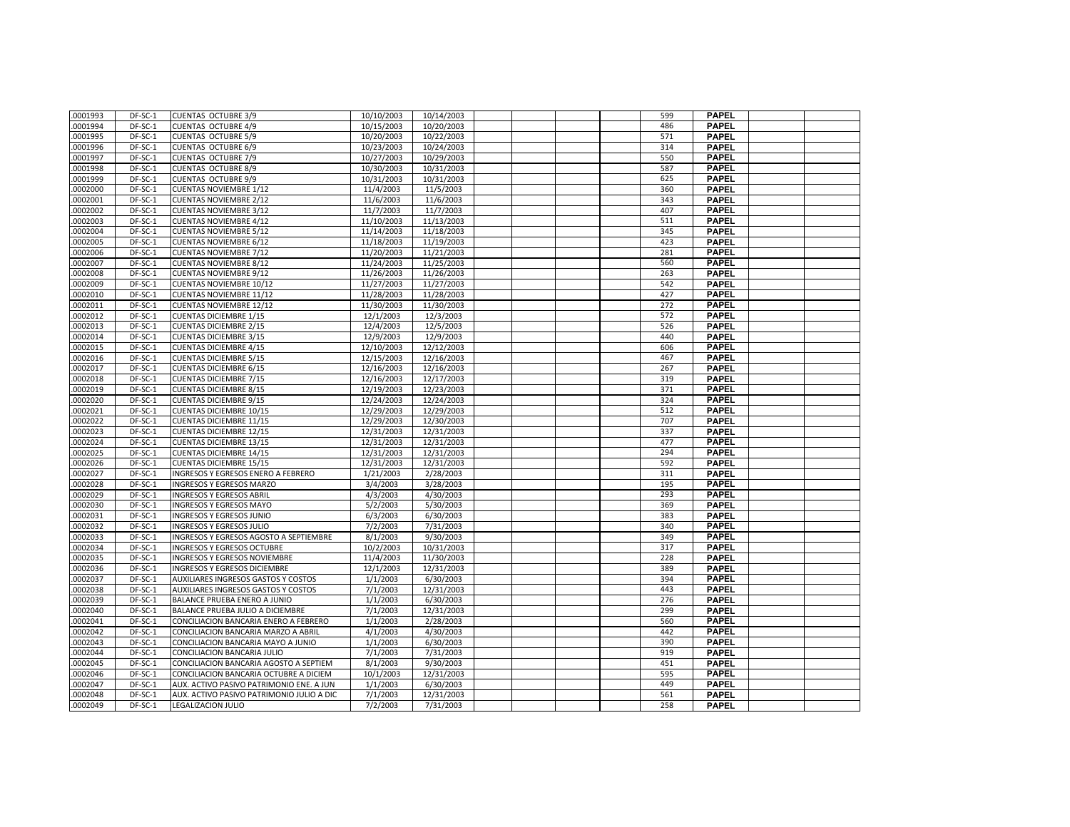| .0001993 | DF-SC-1 | <b>CUENTAS OCTUBRE 3/9</b>                | 10/10/2003 | 10/14/2003 |  | 599 | <b>PAPEL</b> |  |
|----------|---------|-------------------------------------------|------------|------------|--|-----|--------------|--|
| .0001994 | DF-SC-1 | <b>CUENTAS OCTUBRE 4/9</b>                | 10/15/2003 | 10/20/2003 |  | 486 | <b>PAPEL</b> |  |
| .0001995 | DF-SC-1 | <b>CUENTAS OCTUBRE 5/9</b>                | 10/20/2003 | 10/22/2003 |  | 571 | <b>PAPEL</b> |  |
| .0001996 | DF-SC-1 | <b>CUENTAS OCTUBRE 6/9</b>                | 10/23/2003 | 10/24/2003 |  | 314 | <b>PAPEL</b> |  |
| .0001997 | DF-SC-1 | <b>CUENTAS OCTUBRE 7/9</b>                | 10/27/2003 | 10/29/2003 |  | 550 | <b>PAPEL</b> |  |
| .0001998 | DF-SC-1 | <b>CUENTAS OCTUBRE 8/9</b>                | 10/30/2003 | 10/31/2003 |  | 587 | <b>PAPEL</b> |  |
| .0001999 | DF-SC-1 | <b>CUENTAS OCTUBRE 9/9</b>                | 10/31/2003 | 10/31/2003 |  | 625 | <b>PAPEL</b> |  |
| .0002000 | DF-SC-1 | <b>CUENTAS NOVIEMBRE 1/12</b>             | 11/4/2003  | 11/5/2003  |  | 360 | <b>PAPEL</b> |  |
| .0002001 | DF-SC-1 | <b>CUENTAS NOVIEMBRE 2/12</b>             | 11/6/2003  | 11/6/2003  |  | 343 | <b>PAPEL</b> |  |
| .0002002 | DF-SC-1 | <b>CUENTAS NOVIEMBRE 3/12</b>             | 11/7/2003  | 11/7/2003  |  | 407 | <b>PAPEL</b> |  |
| 0002003  | DF-SC-1 | <b>CUENTAS NOVIEMBRE 4/12</b>             | 11/10/2003 | 11/13/2003 |  | 511 | <b>PAPEL</b> |  |
| .0002004 | DF-SC-1 | <b>CUENTAS NOVIEMBRE 5/12</b>             | 11/14/2003 | 11/18/2003 |  | 345 | <b>PAPEL</b> |  |
| .0002005 | DF-SC-1 | <b>CUENTAS NOVIEMBRE 6/12</b>             | 11/18/2003 | 11/19/2003 |  | 423 | <b>PAPEL</b> |  |
| .0002006 | DF-SC-1 | <b>CUENTAS NOVIEMBRE 7/12</b>             | 11/20/2003 | 11/21/2003 |  | 281 | <b>PAPEL</b> |  |
| .0002007 | DF-SC-1 | <b>CUENTAS NOVIEMBRE 8/12</b>             | 11/24/2003 | 11/25/2003 |  | 560 | <b>PAPEL</b> |  |
| .0002008 | DF-SC-1 | <b>CUENTAS NOVIEMBRE 9/12</b>             | 11/26/2003 | 11/26/2003 |  | 263 | <b>PAPEL</b> |  |
| .0002009 | DF-SC-1 | <b>CUENTAS NOVIEMBRE 10/12</b>            | 11/27/2003 | 11/27/2003 |  | 542 | <b>PAPEL</b> |  |
| .0002010 | DF-SC-1 | <b>CUENTAS NOVIEMBRE 11/12</b>            | 11/28/2003 | 11/28/2003 |  | 427 | <b>PAPEL</b> |  |
| .0002011 | DF-SC-1 | <b>CUENTAS NOVIEMBRE 12/12</b>            | 11/30/2003 | 11/30/2003 |  | 272 | <b>PAPEL</b> |  |
| .0002012 | DF-SC-1 | <b>CUENTAS DICIEMBRE 1/15</b>             | 12/1/2003  | 12/3/2003  |  | 572 | <b>PAPEL</b> |  |
| .0002013 | DF-SC-1 | <b>CUENTAS DICIEMBRE 2/15</b>             | 12/4/2003  | 12/5/2003  |  | 526 | <b>PAPEL</b> |  |
| .0002014 | DF-SC-1 | <b>CUENTAS DICIEMBRE 3/15</b>             | 12/9/2003  | 12/9/2003  |  | 440 | <b>PAPEL</b> |  |
| .0002015 | DF-SC-1 | <b>CUENTAS DICIEMBRE 4/15</b>             | 12/10/2003 | 12/12/2003 |  | 606 | <b>PAPEL</b> |  |
| .0002016 | DF-SC-1 | <b>CUENTAS DICIEMBRE 5/15</b>             | 12/15/2003 | 12/16/2003 |  | 467 | <b>PAPEL</b> |  |
| .0002017 | DF-SC-1 | <b>CUENTAS DICIEMBRE 6/15</b>             | 12/16/2003 | 12/16/2003 |  | 267 | <b>PAPEL</b> |  |
| .0002018 | DF-SC-1 | <b>CUENTAS DICIEMBRE 7/15</b>             | 12/16/2003 | 12/17/2003 |  | 319 | <b>PAPEL</b> |  |
| .0002019 | DF-SC-1 | <b>CUENTAS DICIEMBRE 8/15</b>             | 12/19/2003 | 12/23/2003 |  | 371 | <b>PAPEL</b> |  |
| .0002020 | DF-SC-1 | <b>CUENTAS DICIEMBRE 9/15</b>             | 12/24/2003 | 12/24/2003 |  | 324 | <b>PAPEL</b> |  |
| .0002021 | DF-SC-1 | <b>CUENTAS DICIEMBRE 10/15</b>            | 12/29/2003 | 12/29/2003 |  | 512 | <b>PAPEL</b> |  |
| .0002022 | DF-SC-1 | <b>CUENTAS DICIEMBRE 11/15</b>            | 12/29/2003 | 12/30/2003 |  | 707 | <b>PAPEL</b> |  |
| .0002023 | DF-SC-1 | <b>CUENTAS DICIEMBRE 12/15</b>            | 12/31/2003 | 12/31/2003 |  | 337 | <b>PAPEL</b> |  |
| .0002024 | DF-SC-1 | <b>CUENTAS DICIEMBRE 13/15</b>            | 12/31/2003 | 12/31/2003 |  | 477 | <b>PAPEL</b> |  |
| .0002025 | DF-SC-1 | <b>CUENTAS DICIEMBRE 14/15</b>            | 12/31/2003 | 12/31/2003 |  | 294 | <b>PAPEL</b> |  |
| .0002026 | DF-SC-1 | <b>CUENTAS DICIEMBRE 15/15</b>            | 12/31/2003 | 12/31/2003 |  | 592 | <b>PAPEL</b> |  |
| .0002027 | DF-SC-1 | INGRESOS Y EGRESOS ENERO A FEBRERO        | 1/21/2003  | 2/28/2003  |  | 311 | <b>PAPEL</b> |  |
| .0002028 | DF-SC-1 | INGRESOS Y EGRESOS MARZO                  | 3/4/2003   | 3/28/2003  |  | 195 | <b>PAPEL</b> |  |
| .0002029 | DF-SC-1 | INGRESOS Y EGRESOS ABRIL                  | 4/3/2003   | 4/30/2003  |  | 293 | <b>PAPEL</b> |  |
| .0002030 | DF-SC-1 | INGRESOS Y EGRESOS MAYO                   | 5/2/2003   | 5/30/2003  |  | 369 | <b>PAPEL</b> |  |
| .0002031 | DF-SC-1 | INGRESOS Y EGRESOS JUNIO                  | 6/3/2003   | 6/30/2003  |  | 383 | <b>PAPEL</b> |  |
| .0002032 | DF-SC-1 | INGRESOS Y EGRESOS JULIO                  | 7/2/2003   | 7/31/2003  |  | 340 | <b>PAPEL</b> |  |
| .0002033 | DF-SC-1 | INGRESOS Y EGRESOS AGOSTO A SEPTIEMBRE    | 8/1/2003   | 9/30/2003  |  | 349 | <b>PAPEL</b> |  |
| .0002034 | DF-SC-1 | <b>INGRESOS Y EGRESOS OCTUBRE</b>         | 10/2/2003  | 10/31/2003 |  | 317 | <b>PAPEL</b> |  |
| .0002035 | DF-SC-1 | INGRESOS Y EGRESOS NOVIEMBRE              | 11/4/2003  | 11/30/2003 |  | 228 | <b>PAPEL</b> |  |
| .0002036 | DF-SC-1 | INGRESOS Y EGRESOS DICIEMBRE              | 12/1/2003  | 12/31/2003 |  | 389 | <b>PAPEL</b> |  |
| .0002037 | DF-SC-1 | AUXILIARES INGRESOS GASTOS Y COSTOS       | 1/1/2003   | 6/30/2003  |  | 394 | <b>PAPEL</b> |  |
| .0002038 | DF-SC-1 | AUXILIARES INGRESOS GASTOS Y COSTOS       | 7/1/2003   | 12/31/2003 |  | 443 | <b>PAPEL</b> |  |
| .0002039 | DF-SC-1 | BALANCE PRUEBA ENERO A JUNIO              | 1/1/2003   | 6/30/2003  |  | 276 | <b>PAPEL</b> |  |
| .0002040 | DF-SC-1 | BALANCE PRUEBA JULIO A DICIEMBRE          | 7/1/2003   | 12/31/2003 |  | 299 | <b>PAPEL</b> |  |
| .0002041 | DF-SC-1 | CONCILIACION BANCARIA ENERO A FEBRERO     | 1/1/2003   | 2/28/2003  |  | 560 | <b>PAPEL</b> |  |
| .0002042 | DF-SC-1 | CONCILIACION BANCARIA MARZO A ABRIL       | 4/1/2003   | 4/30/2003  |  | 442 | <b>PAPEL</b> |  |
| .0002043 | DF-SC-1 | CONCILIACION BANCARIA MAYO A JUNIO        | 1/1/2003   | 6/30/2003  |  | 390 | <b>PAPEL</b> |  |
| .0002044 | DF-SC-1 | CONCILIACION BANCARIA JULIO               | 7/1/2003   | 7/31/2003  |  | 919 | <b>PAPEL</b> |  |
| .0002045 | DF-SC-1 | CONCILIACION BANCARIA AGOSTO A SEPTIEM    | 8/1/2003   | 9/30/2003  |  | 451 | <b>PAPEL</b> |  |
| .0002046 | DF-SC-1 | CONCILIACION BANCARIA OCTUBRE A DICIEM    | 10/1/2003  | 12/31/2003 |  | 595 | <b>PAPEL</b> |  |
| .0002047 | DF-SC-1 | AUX. ACTIVO PASIVO PATRIMONIO ENE. A JUN  | 1/1/2003   | 6/30/2003  |  | 449 | <b>PAPEL</b> |  |
| .0002048 | DF-SC-1 | AUX. ACTIVO PASIVO PATRIMONIO JULIO A DIC | 7/1/2003   | 12/31/2003 |  | 561 | <b>PAPEL</b> |  |
| .0002049 | DF-SC-1 | LEGALIZACION JULIO                        | 7/2/2003   | 7/31/2003  |  | 258 | <b>PAPEL</b> |  |
|          |         |                                           |            |            |  |     |              |  |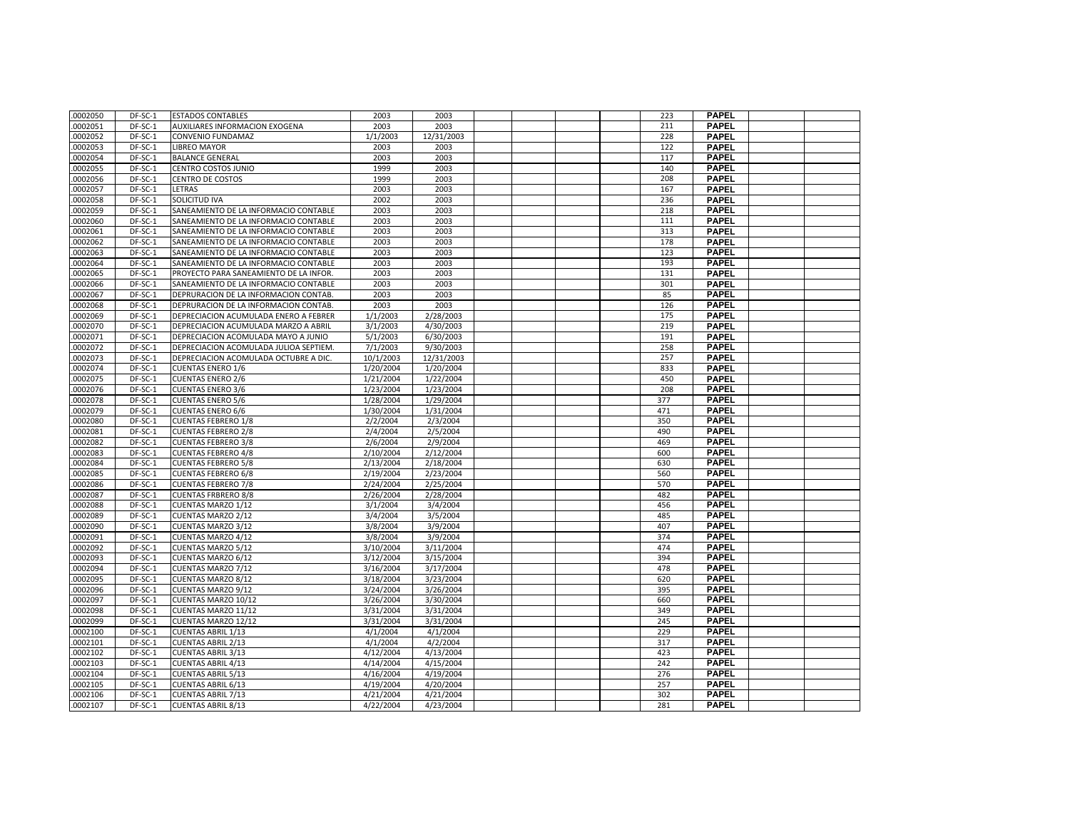| .0002050 | DF-SC-1 | <b>ESTADOS CONTABLES</b>               | 2003      | 2003       |  |  | 223 | <b>PAPEL</b> |  |
|----------|---------|----------------------------------------|-----------|------------|--|--|-----|--------------|--|
| 0002051  | DF-SC-1 | <b>AUXILIARES INFORMACION EXOGENA</b>  | 2003      | 2003       |  |  | 211 | <b>PAPEL</b> |  |
| 0002052  | DF-SC-1 | <b>CONVENIO FUNDAMAZ</b>               | 1/1/2003  | 12/31/2003 |  |  | 228 | <b>PAPEL</b> |  |
| 0002053  | DF-SC-1 | <b>LIBREO MAYOR</b>                    | 2003      | 2003       |  |  | 122 | <b>PAPEL</b> |  |
| 0002054  | DF-SC-1 | <b>BALANCE GENERAL</b>                 | 2003      | 2003       |  |  | 117 | <b>PAPEL</b> |  |
| 0002055  | DF-SC-1 | CENTRO COSTOS JUNIO                    | 1999      | 2003       |  |  | 140 | <b>PAPEL</b> |  |
| 0002056  | DF-SC-1 | <b>CENTRO DE COSTOS</b>                | 1999      | 2003       |  |  | 208 | <b>PAPEL</b> |  |
| 0002057  | DF-SC-1 | <b>LETRAS</b>                          | 2003      | 2003       |  |  | 167 | PAPEL        |  |
| 0002058  | DF-SC-1 | <b>SOLICITUD IVA</b>                   | 2002      | 2003       |  |  | 236 | <b>PAPEL</b> |  |
| 0002059  | DF-SC-1 | SANEAMIENTO DE LA INFORMACIO CONTABLE  | 2003      | 2003       |  |  | 218 | <b>PAPEL</b> |  |
| 0002060  | DF-SC-1 | SANEAMIENTO DE LA INFORMACIO CONTABLE  | 2003      | 2003       |  |  | 111 | <b>PAPEL</b> |  |
| 0002061  | DF-SC-1 | SANEAMIENTO DE LA INFORMACIO CONTABLE  | 2003      | 2003       |  |  | 313 | <b>PAPEL</b> |  |
| 0002062  | DF-SC-1 | SANEAMIENTO DE LA INFORMACIO CONTABLE  | 2003      | 2003       |  |  | 178 | <b>PAPEL</b> |  |
| 0002063  | DF-SC-1 | SANEAMIENTO DE LA INFORMACIO CONTABLE  | 2003      | 2003       |  |  | 123 | <b>PAPEL</b> |  |
| 0002064  | DF-SC-1 | SANEAMIENTO DE LA INFORMACIO CONTABLE  | 2003      | 2003       |  |  | 193 | <b>PAPEL</b> |  |
| 0002065  | DF-SC-1 | PROYECTO PARA SANEAMIENTO DE LA INFOR. | 2003      | 2003       |  |  | 131 | <b>PAPEL</b> |  |
| 0002066  | DF-SC-1 | SANEAMIENTO DE LA INFORMACIO CONTABLE  | 2003      | 2003       |  |  | 301 | <b>PAPEL</b> |  |
| 0002067  | DF-SC-1 | DEPRURACION DE LA INFORMACION CONTAB.  | 2003      | 2003       |  |  | 85  | <b>PAPEL</b> |  |
| 0002068  | DF-SC-1 | DEPRURACION DE LA INFORMACION CONTAB.  | 2003      | 2003       |  |  | 126 | <b>PAPEL</b> |  |
| 0002069  | DF-SC-1 | DEPRECIACION ACUMULADA ENERO A FEBRER  | 1/1/2003  | 2/28/2003  |  |  | 175 | <b>PAPEL</b> |  |
| 0002070  | DF-SC-1 | DEPRECIACION ACUMULADA MARZO A ABRIL   | 3/1/2003  | 4/30/2003  |  |  | 219 | <b>PAPEL</b> |  |
| 0002071  | DF-SC-1 | DEPRECIACION ACOMULADA MAYO A JUNIO    | 5/1/2003  | 6/30/2003  |  |  | 191 | <b>PAPEL</b> |  |
| 0002072  | DF-SC-1 | DEPRECIACION ACOMULADA JULIOA SEPTIEM. | 7/1/2003  | 9/30/2003  |  |  | 258 | <b>PAPEL</b> |  |
| 0002073  | DF-SC-1 | DEPRECIACION ACOMULADA OCTUBRE A DIC.  | 10/1/2003 | 12/31/2003 |  |  | 257 | <b>PAPEL</b> |  |
| 0002074  | DF-SC-1 | <b>CUENTAS ENERO 1/6</b>               | 1/20/2004 | 1/20/2004  |  |  | 833 | <b>PAPEL</b> |  |
| 0002075  | DF-SC-1 | <b>CUENTAS ENERO 2/6</b>               | 1/21/2004 | 1/22/2004  |  |  | 450 | <b>PAPEL</b> |  |
| 0002076  | DF-SC-1 | <b>CUENTAS ENERO 3/6</b>               | 1/23/2004 | 1/23/2004  |  |  | 208 | <b>PAPEL</b> |  |
| 0002078  | DF-SC-1 | <b>CUENTAS ENERO 5/6</b>               | 1/28/2004 | 1/29/2004  |  |  | 377 | <b>PAPEL</b> |  |
| 0002079  | DF-SC-1 | <b>CUENTAS ENERO 6/6</b>               | 1/30/2004 | 1/31/2004  |  |  | 471 | <b>PAPEL</b> |  |
| 0002080  | DF-SC-1 | <b>CUENTAS FEBRERO 1/8</b>             | 2/2/2004  | 2/3/2004   |  |  | 350 | <b>PAPEL</b> |  |
| 0002081  | DF-SC-1 | <b>CUENTAS FEBRERO 2/8</b>             | 2/4/2004  | 2/5/2004   |  |  | 490 | <b>PAPEL</b> |  |
| 0002082  | DF-SC-1 | <b>CUENTAS FEBRERO 3/8</b>             | 2/6/2004  | 2/9/2004   |  |  | 469 | <b>PAPEL</b> |  |
| 0002083  | DF-SC-1 | <b>CUENTAS FEBRERO 4/8</b>             | 2/10/2004 | 2/12/2004  |  |  | 600 | <b>PAPEL</b> |  |
| 0002084  | DF-SC-1 | <b>CUENTAS FEBRERO 5/8</b>             | 2/13/2004 | 2/18/2004  |  |  | 630 | <b>PAPEL</b> |  |
| 0002085  | DF-SC-1 | <b>CUENTAS FEBRERO 6/8</b>             | 2/19/2004 | 2/23/2004  |  |  | 560 | <b>PAPEL</b> |  |
| 0002086  | DF-SC-1 | <b>CUENTAS FEBRERO 7/8</b>             | 2/24/2004 | 2/25/2004  |  |  | 570 | <b>PAPEL</b> |  |
| 0002087  | DF-SC-1 | <b>CUENTAS FRBRERO 8/8</b>             | 2/26/2004 | 2/28/2004  |  |  | 482 | <b>PAPEL</b> |  |
| 0002088  | DF-SC-1 | <b>CUENTAS MARZO 1/12</b>              | 3/1/2004  | 3/4/2004   |  |  | 456 | <b>PAPEL</b> |  |
| 0002089  | DF-SC-1 | <b>CUENTAS MARZO 2/12</b>              | 3/4/2004  | 3/5/2004   |  |  | 485 | <b>PAPEL</b> |  |
| 0002090  | DF-SC-1 | CUENTAS MARZO 3/12                     | 3/8/2004  | 3/9/2004   |  |  | 407 | <b>PAPEL</b> |  |
| 0002091  | DF-SC-1 | CUENTAS MARZO 4/12                     | 3/8/2004  | 3/9/2004   |  |  | 374 | <b>PAPEL</b> |  |
| 0002092  | DF-SC-1 | <b>CUENTAS MARZO 5/12</b>              | 3/10/2004 | 3/11/2004  |  |  | 474 | <b>PAPEL</b> |  |
| 0002093  | DF-SC-1 | <b>CUENTAS MARZO 6/12</b>              | 3/12/2004 | 3/15/2004  |  |  | 394 | <b>PAPEL</b> |  |
| 0002094  | DF-SC-1 | CUENTAS MARZO 7/12                     | 3/16/2004 | 3/17/2004  |  |  | 478 | <b>PAPEL</b> |  |
| 0002095  | DF-SC-1 | <b>CUENTAS MARZO 8/12</b>              | 3/18/2004 | 3/23/2004  |  |  | 620 | <b>PAPEL</b> |  |
| 0002096  | DF-SC-1 | CUENTAS MARZO 9/12                     | 3/24/2004 | 3/26/2004  |  |  | 395 | <b>PAPEL</b> |  |
| 0002097  | DF-SC-1 | CUENTAS MARZO 10/12                    | 3/26/2004 | 3/30/2004  |  |  | 660 | <b>PAPEL</b> |  |
| 0002098  | DF-SC-1 | CUENTAS MARZO 11/12                    | 3/31/2004 | 3/31/2004  |  |  | 349 | <b>PAPEL</b> |  |
| 0002099  | DF-SC-1 | CUENTAS MARZO 12/12                    | 3/31/2004 | 3/31/2004  |  |  | 245 | <b>PAPEL</b> |  |
| 0002100  | DF-SC-1 | <b>CUENTAS ABRIL 1/13</b>              | 4/1/2004  | 4/1/2004   |  |  | 229 | <b>PAPEL</b> |  |
| 0002101  | DF-SC-1 | <b>CUENTAS ABRIL 2/13</b>              | 4/1/2004  | 4/2/2004   |  |  | 317 | <b>PAPEL</b> |  |
| 0002102  | DF-SC-1 | <b>CUENTAS ABRIL 3/13</b>              | 4/12/2004 | 4/13/2004  |  |  | 423 | <b>PAPEL</b> |  |
| 0002103  | DF-SC-1 | <b>CUENTAS ABRIL 4/13</b>              | 4/14/2004 | 4/15/2004  |  |  | 242 | <b>PAPEL</b> |  |
| 0002104  | DF-SC-1 | <b>CUENTAS ABRIL 5/13</b>              | 4/16/2004 | 4/19/2004  |  |  | 276 | <b>PAPEL</b> |  |
| 0002105  | DF-SC-1 | <b>CUENTAS ABRIL 6/13</b>              | 4/19/2004 | 4/20/2004  |  |  | 257 | <b>PAPEL</b> |  |
| 0002106  | DF-SC-1 | <b>CUENTAS ABRIL 7/13</b>              | 4/21/2004 | 4/21/2004  |  |  | 302 | <b>PAPEL</b> |  |
| .0002107 | DF-SC-1 | <b>CUENTAS ABRIL 8/13</b>              | 4/22/2004 | 4/23/2004  |  |  | 281 | <b>PAPEL</b> |  |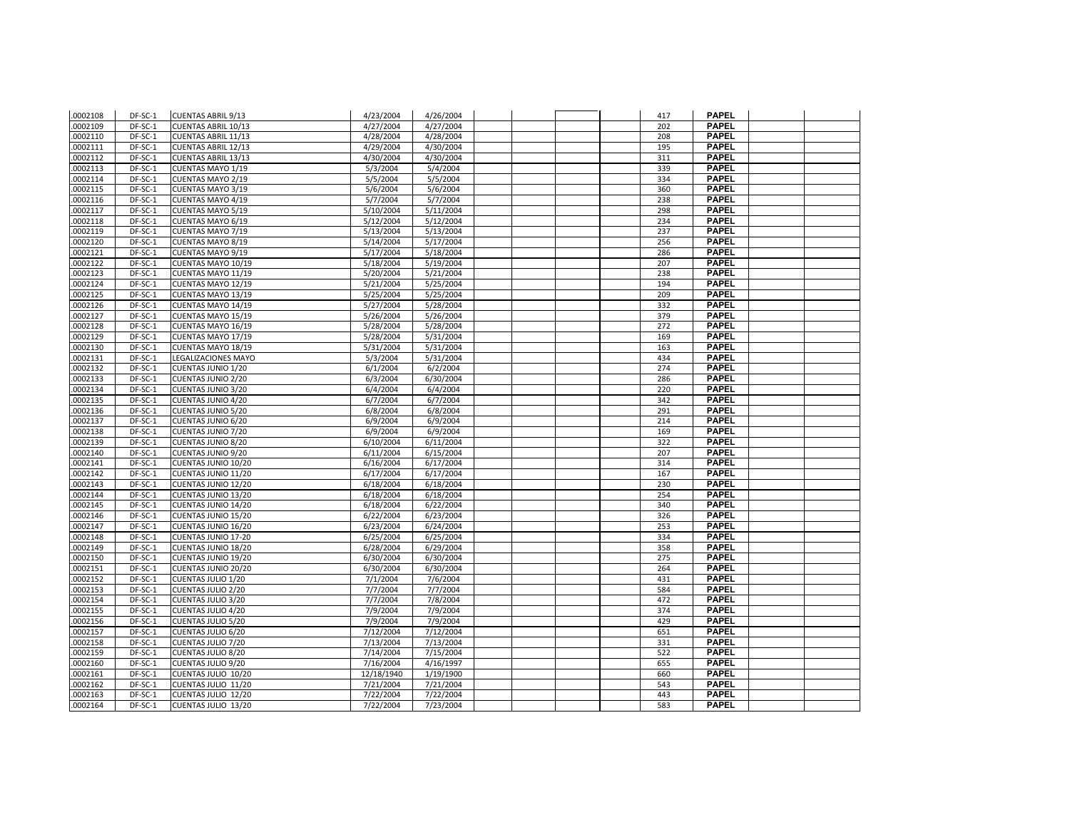| .0002108 | DF-SC-1   | <b>CUENTAS ABRIL 9/13</b>  | 4/23/2004  | 4/26/2004 |  | 417 | <b>PAPEL</b> |  |
|----------|-----------|----------------------------|------------|-----------|--|-----|--------------|--|
| .0002109 | DF-SC-1   | <b>CUENTAS ABRIL 10/13</b> | 4/27/2004  | 4/27/2004 |  | 202 | <b>PAPEL</b> |  |
| .0002110 | DF-SC-1   | <b>CUENTAS ABRIL 11/13</b> | 4/28/2004  | 4/28/2004 |  | 208 | <b>PAPEL</b> |  |
| .0002111 | DF-SC-1   | <b>CUENTAS ABRIL 12/13</b> | 4/29/2004  | 4/30/2004 |  | 195 | <b>PAPEL</b> |  |
| .0002112 | DF-SC-1   | <b>CUENTAS ABRIL 13/13</b> | 4/30/2004  | 4/30/2004 |  | 311 | <b>PAPEL</b> |  |
| .0002113 | DF-SC-1   | CUENTAS MAYO 1/19          | 5/3/2004   | 5/4/2004  |  | 339 | <b>PAPEL</b> |  |
| .0002114 | DF-SC-1   | CUENTAS MAYO 2/19          | 5/5/2004   | 5/5/2004  |  | 334 | <b>PAPEL</b> |  |
| .0002115 | DF-SC-1   | <b>CUENTAS MAYO 3/19</b>   | 5/6/2004   | 5/6/2004  |  | 360 | <b>PAPEL</b> |  |
| .0002116 | DF-SC-1   | CUENTAS MAYO 4/19          | 5/7/2004   | 5/7/2004  |  | 238 | <b>PAPEL</b> |  |
| .0002117 | DF-SC-1   | <b>CUENTAS MAYO 5/19</b>   | 5/10/2004  | 5/11/2004 |  | 298 | <b>PAPEL</b> |  |
| .0002118 | DF-SC-1   | CUENTAS MAYO 6/19          | 5/12/2004  | 5/12/2004 |  | 234 | <b>PAPEL</b> |  |
| .0002119 | DF-SC-1   | CUENTAS MAYO 7/19          | 5/13/2004  | 5/13/2004 |  | 237 | <b>PAPEL</b> |  |
| .0002120 | DF-SC-1   | <b>CUENTAS MAYO 8/19</b>   | 5/14/2004  | 5/17/2004 |  | 256 | <b>PAPEL</b> |  |
| .0002121 | DF-SC-1   | <b>CUENTAS MAYO 9/19</b>   | 5/17/2004  | 5/18/2004 |  | 286 | <b>PAPEL</b> |  |
| .0002122 | DF-SC-1   | CUENTAS MAYO 10/19         | 5/18/2004  | 5/19/2004 |  | 207 | <b>PAPEL</b> |  |
| .0002123 | DF-SC-1   | CUENTAS MAYO 11/19         | 5/20/2004  | 5/21/2004 |  | 238 | <b>PAPEL</b> |  |
| .0002124 | DF-SC-1   | CUENTAS MAYO 12/19         | 5/21/2004  | 5/25/2004 |  | 194 | <b>PAPEL</b> |  |
| .0002125 | DF-SC-1   | CUENTAS MAYO 13/19         | 5/25/2004  | 5/25/2004 |  | 209 | <b>PAPEL</b> |  |
| .0002126 | DF-SC-1   | CUENTAS MAYO 14/19         | 5/27/2004  | 5/28/2004 |  | 332 | <b>PAPEL</b> |  |
| .0002127 | $DF-SC-1$ | CUENTAS MAYO 15/19         | 5/26/2004  | 5/26/2004 |  | 379 | <b>PAPEL</b> |  |
| .0002128 | DF-SC-1   | CUENTAS MAYO 16/19         | 5/28/2004  | 5/28/2004 |  | 272 | <b>PAPEL</b> |  |
| .0002129 | DF-SC-1   | CUENTAS MAYO 17/19         | 5/28/2004  | 5/31/2004 |  | 169 | <b>PAPEL</b> |  |
| .0002130 | DF-SC-1   | CUENTAS MAYO 18/19         | 5/31/2004  | 5/31/2004 |  | 163 | <b>PAPEL</b> |  |
| .0002131 | $DF-SC-1$ | LEGALIZACIONES MAYO        | 5/3/2004   | 5/31/2004 |  | 434 | <b>PAPEL</b> |  |
| .0002132 | DF-SC-1   | <b>CUENTAS JUNIO 1/20</b>  | 6/1/2004   | 6/2/2004  |  | 274 | <b>PAPEL</b> |  |
| .0002133 | DF-SC-1   | CUENTAS JUNIO 2/20         | 6/3/2004   | 6/30/2004 |  | 286 | <b>PAPEL</b> |  |
| .0002134 | DF-SC-1   | CUENTAS JUNIO 3/20         | 6/4/2004   | 6/4/2004  |  | 220 | <b>PAPEL</b> |  |
| .0002135 | DF-SC-1   | CUENTAS JUNIO 4/20         | 6/7/2004   | 6/7/2004  |  | 342 | <b>PAPEL</b> |  |
| .0002136 | DF-SC-1   | <b>CUENTAS JUNIO 5/20</b>  | 6/8/2004   | 6/8/2004  |  | 291 | <b>PAPEL</b> |  |
| .0002137 | DF-SC-1   | <b>CUENTAS JUNIO 6/20</b>  | 6/9/2004   | 6/9/2004  |  | 214 | <b>PAPEL</b> |  |
| .0002138 | DF-SC-1   | CUENTAS JUNIO 7/20         | 6/9/2004   | 6/9/2004  |  | 169 | <b>PAPEL</b> |  |
| .0002139 | DF-SC-1   | CUENTAS JUNIO 8/20         | 6/10/2004  | 6/11/2004 |  | 322 | <b>PAPEL</b> |  |
| .0002140 | DF-SC-1   | CUENTAS JUNIO 9/20         | 6/11/2004  | 6/15/2004 |  | 207 | <b>PAPEL</b> |  |
| .0002141 | DF-SC-1   | CUENTAS JUNIO 10/20        | 6/16/2004  | 6/17/2004 |  | 314 | <b>PAPEL</b> |  |
| .0002142 | DF-SC-1   | CUENTAS JUNIO 11/20        | 6/17/2004  | 6/17/2004 |  | 167 | <b>PAPEL</b> |  |
| .0002143 | DF-SC-1   | CUENTAS JUNIO 12/20        | 6/18/2004  | 6/18/2004 |  | 230 | <b>PAPEL</b> |  |
| .0002144 | DF-SC-1   | CUENTAS JUNIO 13/20        | 6/18/2004  | 6/18/2004 |  | 254 | <b>PAPEL</b> |  |
| .0002145 | DF-SC-1   | CUENTAS JUNIO 14/20        | 6/18/2004  | 6/22/2004 |  | 340 | <b>PAPEL</b> |  |
| .0002146 | DF-SC-1   | CUENTAS JUNIO 15/20        | 6/22/2004  | 6/23/2004 |  | 326 | <b>PAPEL</b> |  |
| .0002147 | DF-SC-1   | CUENTAS JUNIO 16/20        | 6/23/2004  | 6/24/2004 |  | 253 | <b>PAPEL</b> |  |
| .0002148 | DF-SC-1   | <b>CUENTAS JUNIO 17-20</b> | 6/25/2004  | 6/25/2004 |  | 334 | <b>PAPEL</b> |  |
| .0002149 | DF-SC-1   | CUENTAS JUNIO 18/20        | 6/28/2004  | 6/29/2004 |  | 358 | <b>PAPEL</b> |  |
| .0002150 | DF-SC-1   | CUENTAS JUNIO 19/20        | 6/30/2004  | 6/30/2004 |  | 275 | <b>PAPEL</b> |  |
| .0002151 | DF-SC-1   | CUENTAS JUNIO 20/20        | 6/30/2004  | 6/30/2004 |  | 264 | <b>PAPEL</b> |  |
| .0002152 | DF-SC-1   | CUENTAS JULIO 1/20         | 7/1/2004   | 7/6/2004  |  | 431 | <b>PAPEL</b> |  |
| .0002153 | DF-SC-1   | <b>CUENTAS JULIO 2/20</b>  | 7/7/2004   | 7/7/2004  |  | 584 | <b>PAPEL</b> |  |
| .0002154 | DF-SC-1   | CUENTAS JULIO 3/20         | 7/7/2004   | 7/8/2004  |  | 472 | <b>PAPEL</b> |  |
| .0002155 | DF-SC-1   | CUENTAS JULIO 4/20         | 7/9/2004   | 7/9/2004  |  | 374 | <b>PAPEL</b> |  |
| .0002156 | DF-SC-1   | <b>CUENTAS JULIO 5/20</b>  | 7/9/2004   | 7/9/2004  |  | 429 | <b>PAPEL</b> |  |
| .0002157 | DF-SC-1   | CUENTAS JULIO 6/20         | 7/12/2004  | 7/12/2004 |  | 651 | <b>PAPEL</b> |  |
| .0002158 | DF-SC-1   | CUENTAS JULIO 7/20         | 7/13/2004  | 7/13/2004 |  | 331 | <b>PAPEL</b> |  |
| .0002159 | DF-SC-1   | <b>CUENTAS JULIO 8/20</b>  | 7/14/2004  | 7/15/2004 |  | 522 | <b>PAPEL</b> |  |
| .0002160 | $DF-SC-1$ | CUENTAS JULIO 9/20         | 7/16/2004  | 4/16/1997 |  | 655 | <b>PAPEL</b> |  |
| .0002161 | DF-SC-1   | CUENTAS JULIO 10/20        | 12/18/1940 | 1/19/1900 |  | 660 | <b>PAPEL</b> |  |
| .0002162 | DF-SC-1   | CUENTAS JULIO 11/20        | 7/21/2004  | 7/21/2004 |  | 543 | <b>PAPEL</b> |  |
| .0002163 | DF-SC-1   | CUENTAS JULIO 12/20        | 7/22/2004  | 7/22/2004 |  | 443 | <b>PAPEL</b> |  |
| .0002164 | DF-SC-1   | CUENTAS JULIO 13/20        | 7/22/2004  | 7/23/2004 |  | 583 | <b>PAPEL</b> |  |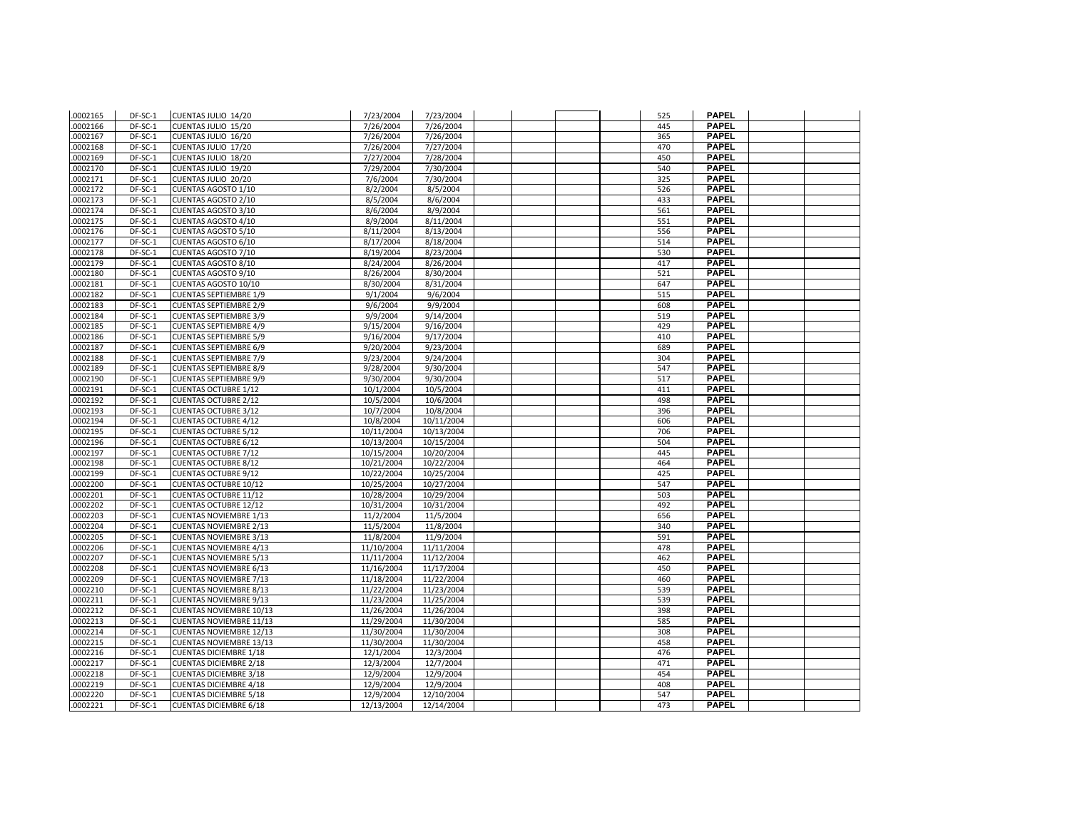| .0002165 | DF-SC-1   | CUENTAS JULIO 14/20            | 7/23/2004  | 7/23/2004  |  | 525 | <b>PAPEL</b> |  |
|----------|-----------|--------------------------------|------------|------------|--|-----|--------------|--|
| .0002166 | DF-SC-1   | CUENTAS JULIO 15/20            | 7/26/2004  | 7/26/2004  |  | 445 | <b>PAPEL</b> |  |
| .0002167 | DF-SC-1   | CUENTAS JULIO 16/20            | 7/26/2004  | 7/26/2004  |  | 365 | <b>PAPEL</b> |  |
| .0002168 | DF-SC-1   | CUENTAS JULIO 17/20            | 7/26/2004  | 7/27/2004  |  | 470 | <b>PAPEL</b> |  |
| .0002169 | DF-SC-1   | CUENTAS JULIO 18/20            | 7/27/2004  | 7/28/2004  |  | 450 | <b>PAPEL</b> |  |
| .0002170 | DF-SC-1   | CUENTAS JULIO 19/20            | 7/29/2004  | 7/30/2004  |  | 540 | <b>PAPEL</b> |  |
| .0002171 | DF-SC-1   | CUENTAS JULIO 20/20            | 7/6/2004   | 7/30/2004  |  | 325 | <b>PAPEL</b> |  |
| .0002172 | $DF-SC-1$ | <b>CUENTAS AGOSTO 1/10</b>     | 8/2/2004   | 8/5/2004   |  | 526 | <b>PAPEL</b> |  |
| .0002173 | DF-SC-1   | <b>CUENTAS AGOSTO 2/10</b>     | 8/5/2004   | 8/6/2004   |  | 433 | <b>PAPEL</b> |  |
| .0002174 | DF-SC-1   | CUENTAS AGOSTO 3/10            | 8/6/2004   | 8/9/2004   |  | 561 | <b>PAPEL</b> |  |
| .0002175 | DF-SC-1   | CUENTAS AGOSTO 4/10            | 8/9/2004   | 8/11/2004  |  | 551 | <b>PAPEL</b> |  |
| .0002176 | DF-SC-1   | <b>CUENTAS AGOSTO 5/10</b>     | 8/11/2004  | 8/13/2004  |  | 556 | <b>PAPEL</b> |  |
| .0002177 | DF-SC-1   | CUENTAS AGOSTO 6/10            | 8/17/2004  | 8/18/2004  |  | 514 | <b>PAPEL</b> |  |
| .0002178 | DF-SC-1   | CUENTAS AGOSTO 7/10            | 8/19/2004  | 8/23/2004  |  | 530 | <b>PAPEL</b> |  |
| .0002179 | DF-SC-1   | CUENTAS AGOSTO 8/10            | 8/24/2004  | 8/26/2004  |  | 417 | <b>PAPEL</b> |  |
| .0002180 | DF-SC-1   | CUENTAS AGOSTO 9/10            | 8/26/2004  | 8/30/2004  |  | 521 | <b>PAPEL</b> |  |
| .0002181 | DF-SC-1   | CUENTAS AGOSTO 10/10           | 8/30/2004  | 8/31/2004  |  | 647 | <b>PAPEL</b> |  |
| 0002182  | DF-SC-1   | <b>CUENTAS SEPTIEMBRE 1/9</b>  | 9/1/2004   | 9/6/2004   |  | 515 | <b>PAPEL</b> |  |
| .0002183 | DF-SC-1   | <b>CUENTAS SEPTIEMBRE 2/9</b>  | 9/6/2004   | 9/9/2004   |  | 608 | <b>PAPEL</b> |  |
| .0002184 | $DF-SC-1$ | <b>CUENTAS SEPTIEMBRE 3/9</b>  | 9/9/2004   | 9/14/2004  |  | 519 | <b>PAPEL</b> |  |
| .0002185 | DF-SC-1   | <b>CUENTAS SEPTIEMBRE 4/9</b>  | 9/15/2004  | 9/16/2004  |  | 429 | <b>PAPEL</b> |  |
| .0002186 | DF-SC-1   | <b>CUENTAS SEPTIEMBRE 5/9</b>  | 9/16/2004  | 9/17/2004  |  | 410 | <b>PAPEL</b> |  |
| .0002187 | DF-SC-1   | <b>CUENTAS SEPTIEMBRE 6/9</b>  | 9/20/2004  | 9/23/2004  |  | 689 | <b>PAPEL</b> |  |
| .0002188 | $DF-SC-1$ | <b>CUENTAS SEPTIEMBRE 7/9</b>  | 9/23/2004  | 9/24/2004  |  | 304 | <b>PAPEL</b> |  |
| .0002189 | DF-SC-1   | <b>CUENTAS SEPTIEMBRE 8/9</b>  | 9/28/2004  | 9/30/2004  |  | 547 | <b>PAPEL</b> |  |
| .0002190 | DF-SC-1   | <b>CUENTAS SEPTIEMBRE 9/9</b>  | 9/30/2004  | 9/30/2004  |  | 517 | <b>PAPEL</b> |  |
| .0002191 | DF-SC-1   | <b>CUENTAS OCTUBRE 1/12</b>    | 10/1/2004  | 10/5/2004  |  | 411 | <b>PAPEL</b> |  |
| .0002192 | DF-SC-1   | <b>CUENTAS OCTUBRE 2/12</b>    | 10/5/2004  | 10/6/2004  |  | 498 | <b>PAPEL</b> |  |
| .0002193 | DF-SC-1   | <b>CUENTAS OCTUBRE 3/12</b>    | 10/7/2004  | 10/8/2004  |  | 396 | <b>PAPEL</b> |  |
| .0002194 | DF-SC-1   | <b>CUENTAS OCTUBRE 4/12</b>    | 10/8/2004  | 10/11/2004 |  | 606 | <b>PAPEL</b> |  |
| .0002195 | DF-SC-1   | <b>CUENTAS OCTUBRE 5/12</b>    | 10/11/2004 | 10/13/2004 |  | 706 | <b>PAPEL</b> |  |
| .0002196 | DF-SC-1   | <b>CUENTAS OCTUBRE 6/12</b>    | 10/13/2004 | 10/15/2004 |  | 504 | <b>PAPEL</b> |  |
| .0002197 | DF-SC-1   | <b>CUENTAS OCTUBRE 7/12</b>    | 10/15/2004 | 10/20/2004 |  | 445 | <b>PAPEL</b> |  |
| .0002198 | DF-SC-1   | <b>CUENTAS OCTUBRE 8/12</b>    | 10/21/2004 | 10/22/2004 |  | 464 | <b>PAPEL</b> |  |
| .0002199 | DF-SC-1   | <b>CUENTAS OCTUBRE 9/12</b>    | 10/22/2004 | 10/25/2004 |  | 425 | <b>PAPEL</b> |  |
| .0002200 | DF-SC-1   | <b>CUENTAS OCTUBRE 10/12</b>   | 10/25/2004 | 10/27/2004 |  | 547 | <b>PAPEL</b> |  |
| .0002201 | DF-SC-1   | <b>CUENTAS OCTUBRE 11/12</b>   | 10/28/2004 | 10/29/2004 |  | 503 | <b>PAPEL</b> |  |
| .0002202 | DF-SC-1   | <b>CUENTAS OCTUBRE 12/12</b>   | 10/31/2004 | 10/31/2004 |  | 492 | <b>PAPEL</b> |  |
| .0002203 | DF-SC-1   | <b>CUENTAS NOVIEMBRE 1/13</b>  | 11/2/2004  | 11/5/2004  |  | 656 | <b>PAPEL</b> |  |
| .0002204 | DF-SC-1   | <b>CUENTAS NOVIEMBRE 2/13</b>  | 11/5/2004  | 11/8/2004  |  | 340 | <b>PAPEL</b> |  |
| .0002205 | DF-SC-1   | <b>CUENTAS NOVIEMBRE 3/13</b>  | 11/8/2004  | 11/9/2004  |  | 591 | <b>PAPEL</b> |  |
| .0002206 | DF-SC-1   | <b>CUENTAS NOVIEMBRE 4/13</b>  | 11/10/2004 | 11/11/2004 |  | 478 | <b>PAPEL</b> |  |
| .0002207 | DF-SC-1   | <b>CUENTAS NOVIEMBRE 5/13</b>  | 11/11/2004 | 11/12/2004 |  | 462 | <b>PAPEL</b> |  |
| .0002208 | DF-SC-1   | <b>CUENTAS NOVIEMBRE 6/13</b>  | 11/16/2004 | 11/17/2004 |  | 450 | <b>PAPEL</b> |  |
| .0002209 | DF-SC-1   | <b>CUENTAS NOVIEMBRE 7/13</b>  | 11/18/2004 | 11/22/2004 |  | 460 | <b>PAPEL</b> |  |
| .0002210 | DF-SC-1   | <b>CUENTAS NOVIEMBRE 8/13</b>  | 11/22/2004 | 11/23/2004 |  | 539 | <b>PAPEL</b> |  |
| .0002211 | DF-SC-1   | <b>CUENTAS NOVIEMBRE 9/13</b>  | 11/23/2004 | 11/25/2004 |  | 539 | <b>PAPEL</b> |  |
| .0002212 | DF-SC-1   | <b>CUENTAS NOVIEMBRE 10/13</b> | 11/26/2004 | 11/26/2004 |  | 398 | <b>PAPEL</b> |  |
| .0002213 | DF-SC-1   | <b>CUENTAS NOVIEMBRE 11/13</b> | 11/29/2004 | 11/30/2004 |  | 585 | <b>PAPEL</b> |  |
| .0002214 | DF-SC-1   | <b>CUENTAS NOVIEMBRE 12/13</b> | 11/30/2004 | 11/30/2004 |  | 308 | <b>PAPEL</b> |  |
| .0002215 | DF-SC-1   | <b>CUENTAS NOVIEMBRE 13/13</b> | 11/30/2004 | 11/30/2004 |  | 458 | <b>PAPEL</b> |  |
| .0002216 | DF-SC-1   | <b>CUENTAS DICIEMBRE 1/18</b>  | 12/1/2004  | 12/3/2004  |  | 476 | <b>PAPEL</b> |  |
| .0002217 | DF-SC-1   | <b>CUENTAS DICIEMBRE 2/18</b>  | 12/3/2004  | 12/7/2004  |  | 471 | <b>PAPEL</b> |  |
| .0002218 | DF-SC-1   | <b>CUENTAS DICIEMBRE 3/18</b>  | 12/9/2004  | 12/9/2004  |  | 454 | <b>PAPEL</b> |  |
| .0002219 | DF-SC-1   | <b>CUENTAS DICIEMBRE 4/18</b>  | 12/9/2004  | 12/9/2004  |  | 408 | <b>PAPEL</b> |  |
| .0002220 | DF-SC-1   | <b>CUENTAS DICIEMBRE 5/18</b>  | 12/9/2004  | 12/10/2004 |  | 547 | <b>PAPEL</b> |  |
| .0002221 | DF-SC-1   | <b>CUENTAS DICIEMBRE 6/18</b>  | 12/13/2004 | 12/14/2004 |  | 473 | <b>PAPEL</b> |  |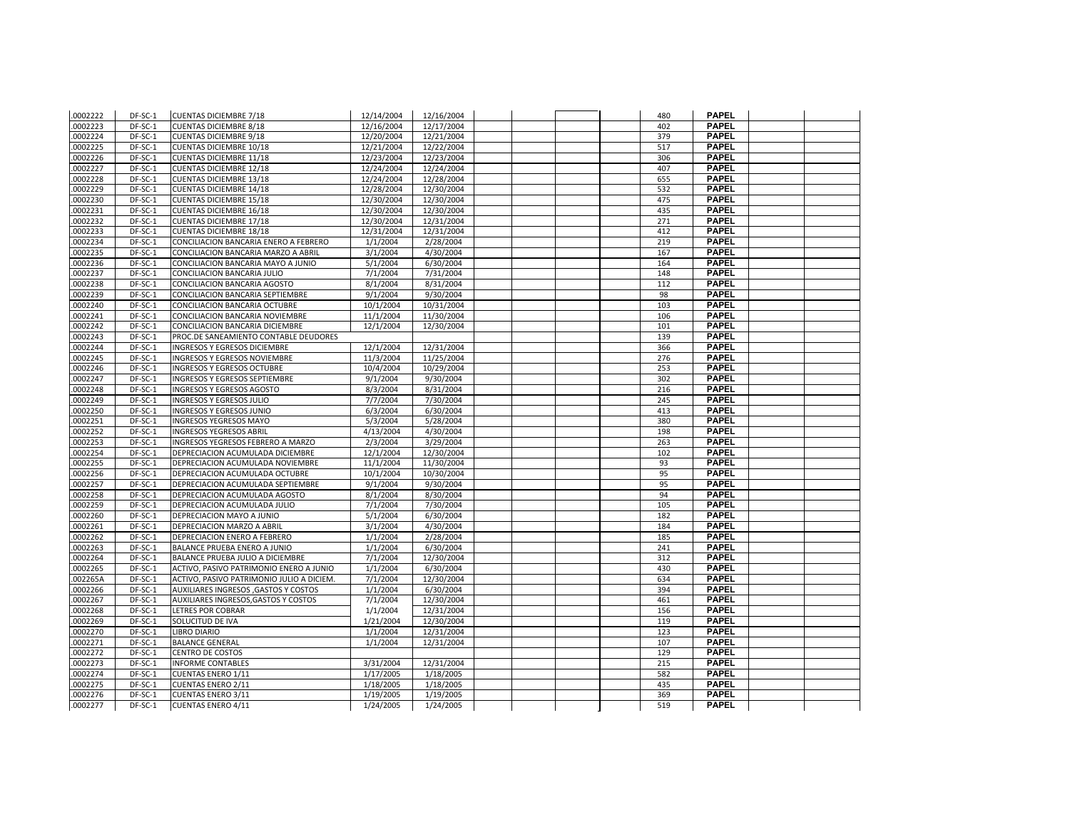| .0002222 | DF-SC-1 | <b>CUENTAS DICIEMBRE 7/18</b>             | 12/14/2004 | 12/16/2004 |  | 480 | <b>PAPEL</b> |  |
|----------|---------|-------------------------------------------|------------|------------|--|-----|--------------|--|
| .0002223 | DF-SC-1 | <b>CUENTAS DICIEMBRE 8/18</b>             | 12/16/2004 | 12/17/2004 |  | 402 | <b>PAPEL</b> |  |
| .0002224 | DF-SC-1 | <b>CUENTAS DICIEMBRE 9/18</b>             | 12/20/2004 | 12/21/2004 |  | 379 | <b>PAPEL</b> |  |
| .0002225 | DF-SC-1 | <b>CUENTAS DICIEMBRE 10/18</b>            | 12/21/2004 | 12/22/2004 |  | 517 | <b>PAPEL</b> |  |
| .0002226 | DF-SC-1 | <b>CUENTAS DICIEMBRE 11/18</b>            | 12/23/2004 | 12/23/2004 |  | 306 | <b>PAPEL</b> |  |
| .0002227 | DF-SC-1 | <b>CUENTAS DICIEMBRE 12/18</b>            | 12/24/2004 | 12/24/2004 |  | 407 | <b>PAPEL</b> |  |
| .0002228 | DF-SC-1 | <b>CUENTAS DICIEMBRE 13/18</b>            | 12/24/2004 | 12/28/2004 |  | 655 | <b>PAPEL</b> |  |
| .0002229 | DF-SC-1 | <b>CUENTAS DICIEMBRE 14/18</b>            | 12/28/2004 | 12/30/2004 |  | 532 | <b>PAPEL</b> |  |
| .0002230 | DF-SC-1 | <b>CUENTAS DICIEMBRE 15/18</b>            | 12/30/2004 | 12/30/2004 |  | 475 | <b>PAPEL</b> |  |
| .0002231 | DF-SC-1 | <b>CUENTAS DICIEMBRE 16/18</b>            | 12/30/2004 | 12/30/2004 |  | 435 | <b>PAPEL</b> |  |
| .0002232 | DF-SC-1 | <b>CUENTAS DICIEMBRE 17/18</b>            | 12/30/2004 | 12/31/2004 |  | 271 | <b>PAPEL</b> |  |
| .0002233 | DF-SC-1 | <b>CUENTAS DICIEMBRE 18/18</b>            | 12/31/2004 | 12/31/2004 |  | 412 | <b>PAPEL</b> |  |
| .0002234 | DF-SC-1 | CONCILIACION BANCARIA ENERO A FEBRERO     | 1/1/2004   | 2/28/2004  |  | 219 | <b>PAPEL</b> |  |
| .0002235 | DF-SC-1 | CONCILIACION BANCARIA MARZO A ABRIL       | 3/1/2004   | 4/30/2004  |  | 167 | <b>PAPEL</b> |  |
| .0002236 | DF-SC-1 | CONCILIACION BANCARIA MAYO A JUNIO        | 5/1/2004   | 6/30/2004  |  | 164 | PAPEL        |  |
| .0002237 | DF-SC-1 | CONCILIACION BANCARIA JULIO               | 7/1/2004   | 7/31/2004  |  | 148 | <b>PAPEL</b> |  |
| .0002238 | DF-SC-1 | CONCILIACION BANCARIA AGOSTO              | 8/1/2004   | 8/31/2004  |  | 112 | <b>PAPEL</b> |  |
| .0002239 | DF-SC-1 | CONCILIACION BANCARIA SEPTIEMBRE          | 9/1/2004   | 9/30/2004  |  | 98  | <b>PAPEL</b> |  |
| .0002240 | DF-SC-1 | CONCILIACION BANCARIA OCTUBRE             | 10/1/2004  | 10/31/2004 |  | 103 | <b>PAPEL</b> |  |
| .0002241 | DF-SC-1 | CONCILIACION BANCARIA NOVIEMBRE           | 11/1/2004  | 11/30/2004 |  | 106 | <b>PAPEL</b> |  |
| .0002242 | DF-SC-1 | CONCILIACION BANCARIA DICIEMBRE           | 12/1/2004  | 12/30/2004 |  | 101 | <b>PAPEL</b> |  |
| .0002243 | DF-SC-1 | PROC.DE SANEAMIENTO CONTABLE DEUDORES     |            |            |  | 139 | <b>PAPEL</b> |  |
| .0002244 | DF-SC-1 | <b>INGRESOS Y EGRESOS DICIEMBRE</b>       | 12/1/2004  | 12/31/2004 |  | 366 | <b>PAPEL</b> |  |
| .0002245 | DF-SC-1 | <b>INGRESOS Y EGRESOS NOVIEMBRE</b>       | 11/3/2004  | 11/25/2004 |  | 276 | <b>PAPEL</b> |  |
| .0002246 | DF-SC-1 | <b>INGRESOS Y EGRESOS OCTUBRE</b>         | 10/4/2004  | 10/29/2004 |  | 253 | <b>PAPEL</b> |  |
| .0002247 | DF-SC-1 | INGRESOS Y EGRESOS SEPTIEMBRE             | 9/1/2004   | 9/30/2004  |  | 302 | <b>PAPEL</b> |  |
| .0002248 | DF-SC-1 | <b>INGRESOS Y EGRESOS AGOSTO</b>          | 8/3/2004   | 8/31/2004  |  | 216 | <b>PAPEL</b> |  |
| .0002249 | DF-SC-1 | <b>INGRESOS Y EGRESOS JULIO</b>           | 7/7/2004   | 7/30/2004  |  | 245 | <b>PAPEL</b> |  |
| .0002250 | DF-SC-1 | <b>INGRESOS Y EGRESOS JUNIO</b>           | 6/3/2004   | 6/30/2004  |  | 413 | <b>PAPEL</b> |  |
| .0002251 | DF-SC-1 | <b>INGRESOS YEGRESOS MAYO</b>             | 5/3/2004   | 5/28/2004  |  | 380 | <b>PAPEL</b> |  |
| .0002252 | DF-SC-1 | <b>INGRESOS YEGRESOS ABRIL</b>            | 4/13/2004  | 4/30/2004  |  | 198 | <b>PAPEL</b> |  |
| .0002253 | DF-SC-1 | INGRESOS YEGRESOS FEBRERO A MARZO         | 2/3/2004   | 3/29/2004  |  | 263 | <b>PAPEL</b> |  |
| .0002254 | DF-SC-1 | DEPRECIACION ACUMULADA DICIEMBRE          | 12/1/2004  | 12/30/2004 |  | 102 | <b>PAPEL</b> |  |
| .0002255 | DF-SC-1 | DEPRECIACION ACUMULADA NOVIEMBRE          | 11/1/2004  | 11/30/2004 |  | 93  | <b>PAPEL</b> |  |
| .0002256 | DF-SC-1 | DEPRECIACION ACUMULADA OCTUBRE            | 10/1/2004  | 10/30/2004 |  | 95  | <b>PAPEL</b> |  |
| .0002257 | DF-SC-1 | DEPRECIACION ACUMULADA SEPTIEMBRE         | 9/1/2004   | 9/30/2004  |  | 95  | <b>PAPEL</b> |  |
| .0002258 | DF-SC-1 | DEPRECIACION ACUMULADA AGOSTO             | 8/1/2004   | 8/30/2004  |  | 94  | <b>PAPEL</b> |  |
| .0002259 | DF-SC-1 | DEPRECIACION ACUMULADA JULIO              | 7/1/2004   | 7/30/2004  |  | 105 | <b>PAPEL</b> |  |
| .0002260 | DF-SC-1 | DEPRECIACION MAYO A JUNIO                 | 5/1/2004   | 6/30/2004  |  | 182 | <b>PAPEL</b> |  |
| .0002261 | DF-SC-1 | DEPRECIACION MARZO A ABRIL                | 3/1/2004   | 4/30/2004  |  | 184 | <b>PAPEL</b> |  |
| .0002262 | DF-SC-1 | DEPRECIACION ENERO A FEBRERO              | 1/1/2004   | 2/28/2004  |  | 185 | <b>PAPEL</b> |  |
| .0002263 | DF-SC-1 | <b>BALANCE PRUEBA ENERO A JUNIO</b>       | 1/1/2004   | 6/30/2004  |  | 241 | <b>PAPEL</b> |  |
| .0002264 | DF-SC-1 | BALANCE PRUEBA JULIO A DICIEMBRE          | 7/1/2004   | 12/30/2004 |  | 312 | <b>PAPEL</b> |  |
| .0002265 | DF-SC-1 | ACTIVO, PASIVO PATRIMONIO ENERO A JUNIO   | 1/1/2004   | 6/30/2004  |  | 430 | <b>PAPEL</b> |  |
| .002265A | DF-SC-1 | ACTIVO, PASIVO PATRIMONIO JULIO A DICIEM. | 7/1/2004   | 12/30/2004 |  | 634 | <b>PAPEL</b> |  |
| .0002266 | DF-SC-1 | AUXILIARES INGRESOS , GASTOS Y COSTOS     | 1/1/2004   | 6/30/2004  |  | 394 | <b>PAPEL</b> |  |
| .0002267 | DF-SC-1 | AUXILIARES INGRESOS, GASTOS Y COSTOS      | 7/1/2004   | 12/30/2004 |  | 461 | <b>PAPEL</b> |  |
| .0002268 | DF-SC-1 | <b>LETRES POR COBRAR</b>                  | 1/1/2004   | 12/31/2004 |  | 156 | <b>PAPEL</b> |  |
| .0002269 | DF-SC-1 | SOLUCITUD DE IVA                          | 1/21/2004  | 12/30/2004 |  | 119 | <b>PAPEL</b> |  |
| .0002270 | DF-SC-1 | <b>LIBRO DIARIO</b>                       | 1/1/2004   | 12/31/2004 |  | 123 | <b>PAPEL</b> |  |
| .0002271 | DF-SC-1 | <b>BALANCE GENERAL</b>                    | 1/1/2004   | 12/31/2004 |  | 107 | <b>PAPEL</b> |  |
| .0002272 | DF-SC-1 | <b>CENTRO DE COSTOS</b>                   |            |            |  | 129 | <b>PAPEL</b> |  |
| .0002273 | DF-SC-1 | <b>INFORME CONTABLES</b>                  | 3/31/2004  | 12/31/2004 |  | 215 | <b>PAPEL</b> |  |
| .0002274 | DF-SC-1 | <b>CUENTAS ENERO 1/11</b>                 | 1/17/2005  | 1/18/2005  |  | 582 | <b>PAPEL</b> |  |
| .0002275 | DF-SC-1 | <b>CUENTAS ENERO 2/11</b>                 | 1/18/2005  | 1/18/2005  |  | 435 | <b>PAPEL</b> |  |
| .0002276 | DF-SC-1 | <b>CUENTAS ENERO 3/11</b>                 | 1/19/2005  | 1/19/2005  |  | 369 | <b>PAPEL</b> |  |
| .0002277 | DF-SC-1 | <b>CUENTAS ENERO 4/11</b>                 | 1/24/2005  | 1/24/2005  |  | 519 | <b>PAPEL</b> |  |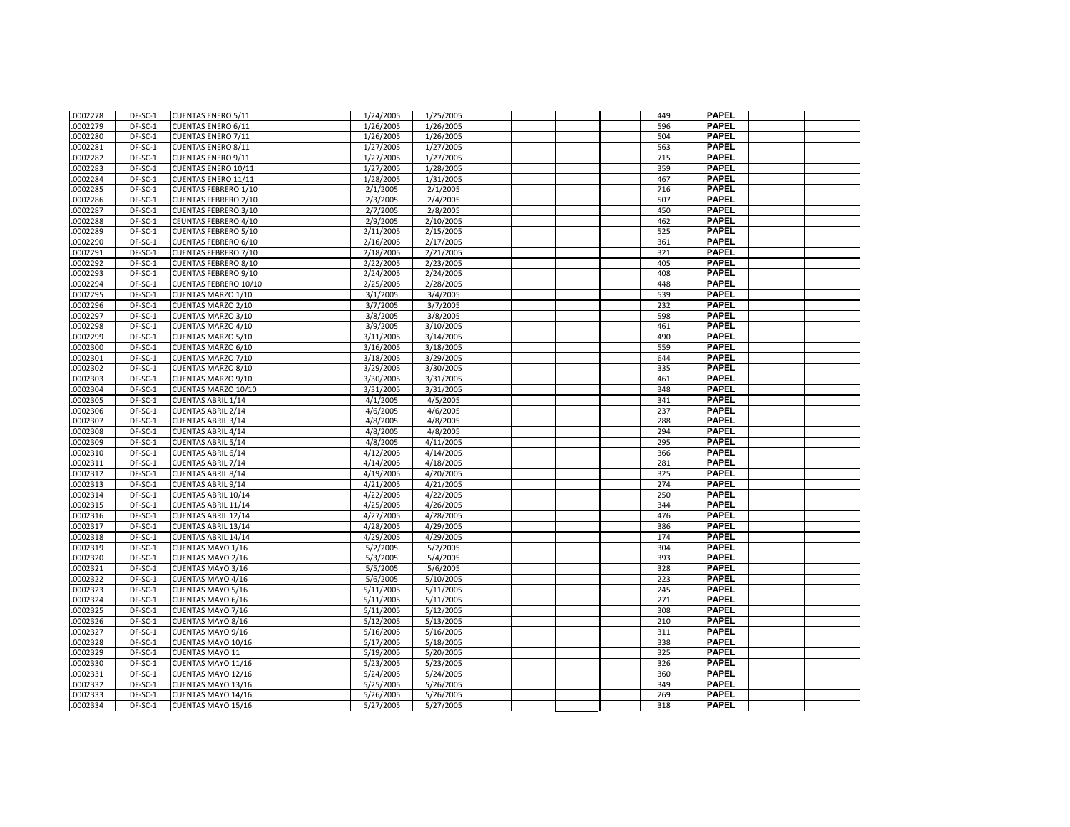| .0002278 | DF-SC-1   | <b>CUENTAS ENERO 5/11</b>    | 1/24/2005 | 1/25/2005 |  | 449 | <b>PAPEL</b> |  |
|----------|-----------|------------------------------|-----------|-----------|--|-----|--------------|--|
| 0002279  | DF-SC-1   | <b>CUENTAS ENERO 6/11</b>    | 1/26/2005 | 1/26/2005 |  | 596 | <b>PAPEL</b> |  |
| .0002280 | DF-SC-1   | <b>CUENTAS ENERO 7/11</b>    | 1/26/2005 | 1/26/2005 |  | 504 | <b>PAPEL</b> |  |
| .0002281 | DF-SC-1   | <b>CUENTAS ENERO 8/11</b>    | 1/27/2005 | 1/27/2005 |  | 563 | <b>PAPEL</b> |  |
| .0002282 | DF-SC-1   | <b>CUENTAS ENERO 9/11</b>    | 1/27/2005 | 1/27/2005 |  | 715 | <b>PAPEL</b> |  |
| .0002283 | DF-SC-1   | CUENTAS ENERO 10/11          | 1/27/2005 | 1/28/2005 |  | 359 | <b>PAPEL</b> |  |
| .0002284 | DF-SC-1   | CUENTAS ENERO 11/11          | 1/28/2005 | 1/31/2005 |  | 467 | <b>PAPEL</b> |  |
| 0002285  | DF-SC-1   | <b>CUENTAS FEBRERO 1/10</b>  | 2/1/2005  | 2/1/2005  |  | 716 | <b>PAPEL</b> |  |
| .0002286 | DF-SC-1   | <b>CUENTAS FEBRERO 2/10</b>  | 2/3/2005  | 2/4/2005  |  | 507 | <b>PAPEL</b> |  |
| .0002287 | DF-SC-1   | <b>CUENTAS FEBRERO 3/10</b>  | 2/7/2005  | 2/8/2005  |  | 450 | <b>PAPEL</b> |  |
| 0002288  | DF-SC-1   | CEUNTAS FEBRERO 4/10         | 2/9/2005  | 2/10/2005 |  | 462 | <b>PAPEL</b> |  |
| .0002289 | DF-SC-1   | <b>CUENTAS FEBRERO 5/10</b>  | 2/11/2005 | 2/15/2005 |  | 525 | <b>PAPEL</b> |  |
| .0002290 | DF-SC-1   | <b>CUENTAS FEBRERO 6/10</b>  | 2/16/2005 | 2/17/2005 |  | 361 | <b>PAPEL</b> |  |
| .0002291 | DF-SC-1   | <b>CUENTAS FEBRERO 7/10</b>  | 2/18/2005 | 2/21/2005 |  | 321 | <b>PAPEL</b> |  |
| .0002292 | DF-SC-1   | <b>CUENTAS FEBRERO 8/10</b>  | 2/22/2005 | 2/23/2005 |  | 405 | <b>PAPEL</b> |  |
| 0002293  | $DF-SC-1$ | <b>CUENTAS FEBRERO 9/10</b>  | 2/24/2005 | 2/24/2005 |  | 408 | <b>PAPEL</b> |  |
| .0002294 | DF-SC-1   | <b>CUENTAS FEBRERO 10/10</b> | 2/25/2005 | 2/28/2005 |  | 448 | <b>PAPEL</b> |  |
| .0002295 | DF-SC-1   | CUENTAS MARZO 1/10           | 3/1/2005  | 3/4/2005  |  | 539 | <b>PAPEL</b> |  |
| .0002296 | DF-SC-1   | CUENTAS MARZO 2/10           | 3/7/2005  | 3/7/2005  |  | 232 | <b>PAPEL</b> |  |
| .0002297 | DF-SC-1   | <b>CUENTAS MARZO 3/10</b>    | 3/8/2005  | 3/8/2005  |  | 598 | <b>PAPEL</b> |  |
| 0002298  | DF-SC-1   | CUENTAS MARZO 4/10           | 3/9/2005  | 3/10/2005 |  | 461 | <b>PAPEL</b> |  |
| .0002299 | DF-SC-1   | CUENTAS MARZO 5/10           | 3/11/2005 | 3/14/2005 |  | 490 | <b>PAPEL</b> |  |
| .0002300 | DF-SC-1   | CUENTAS MARZO 6/10           | 3/16/2005 | 3/18/2005 |  | 559 | <b>PAPEL</b> |  |
| .0002301 | DF-SC-1   | CUENTAS MARZO 7/10           | 3/18/2005 | 3/29/2005 |  | 644 | <b>PAPEL</b> |  |
| .0002302 | DF-SC-1   | CUENTAS MARZO 8/10           | 3/29/2005 | 3/30/2005 |  | 335 | <b>PAPEL</b> |  |
| 0002303  | DF-SC-1   | <b>CUENTAS MARZO 9/10</b>    | 3/30/2005 | 3/31/2005 |  | 461 | <b>PAPEL</b> |  |
| .0002304 | DF-SC-1   | CUENTAS MARZO 10/10          | 3/31/2005 | 3/31/2005 |  | 348 | <b>PAPEL</b> |  |
| .0002305 | DF-SC-1   | <b>CUENTAS ABRIL 1/14</b>    | 4/1/2005  | 4/5/2005  |  | 341 | <b>PAPEL</b> |  |
| 0002306  | DF-SC-1   | <b>CUENTAS ABRIL 2/14</b>    | 4/6/2005  | 4/6/2005  |  | 237 | <b>PAPEL</b> |  |
| .0002307 | DF-SC-1   | <b>CUENTAS ABRIL 3/14</b>    | 4/8/2005  | 4/8/2005  |  | 288 | <b>PAPEL</b> |  |
| 0002308  | DF-SC-1   | <b>CUENTAS ABRIL 4/14</b>    | 4/8/2005  | 4/8/2005  |  | 294 | <b>PAPEL</b> |  |
| .0002309 | DF-SC-1   | <b>CUENTAS ABRIL 5/14</b>    | 4/8/2005  | 4/11/2005 |  | 295 | <b>PAPEL</b> |  |
| .0002310 | DF-SC-1   | <b>CUENTAS ABRIL 6/14</b>    | 4/12/2005 | 4/14/2005 |  | 366 | <b>PAPEL</b> |  |
| 0002311  | DF-SC-1   | <b>CUENTAS ABRIL 7/14</b>    | 4/14/2005 | 4/18/2005 |  | 281 | <b>PAPEL</b> |  |
| .0002312 | DF-SC-1   | <b>CUENTAS ABRIL 8/14</b>    | 4/19/2005 | 4/20/2005 |  | 325 | <b>PAPEL</b> |  |
| .0002313 | DF-SC-1   | <b>CUENTAS ABRIL 9/14</b>    | 4/21/2005 | 4/21/2005 |  | 274 | <b>PAPEL</b> |  |
| .0002314 | DF-SC-1   | <b>CUENTAS ABRIL 10/14</b>   | 4/22/2005 | 4/22/2005 |  | 250 | <b>PAPEL</b> |  |
| 0002315  | DF-SC-1   | <b>CUENTAS ABRIL 11/14</b>   | 4/25/2005 | 4/26/2005 |  | 344 | <b>PAPEL</b> |  |
| 0002316  | DF-SC-1   | <b>CUENTAS ABRIL 12/14</b>   | 4/27/2005 | 4/28/2005 |  | 476 | <b>PAPEL</b> |  |
| .0002317 | DF-SC-1   | <b>CUENTAS ABRIL 13/14</b>   | 4/28/2005 | 4/29/2005 |  | 386 | <b>PAPEL</b> |  |
| 0002318  | DF-SC-1   | <b>CUENTAS ABRIL 14/14</b>   | 4/29/2005 | 4/29/2005 |  | 174 | <b>PAPEL</b> |  |
| .0002319 | DF-SC-1   | CUENTAS MAYO 1/16            | 5/2/2005  | 5/2/2005  |  | 304 | <b>PAPEL</b> |  |
| .0002320 | DF-SC-1   | CUENTAS MAYO 2/16            | 5/3/2005  | 5/4/2005  |  | 393 | <b>PAPEL</b> |  |
| 0002321  | DF-SC-1   | CUENTAS MAYO 3/16            | 5/5/2005  | 5/6/2005  |  | 328 | <b>PAPEL</b> |  |
| .0002322 | $DF-SC-1$ | <b>CUENTAS MAYO 4/16</b>     | 5/6/2005  | 5/10/2005 |  | 223 | <b>PAPEL</b> |  |
| .0002323 | DF-SC-1   | CUENTAS MAYO 5/16            | 5/11/2005 | 5/11/2005 |  | 245 | <b>PAPEL</b> |  |
| .0002324 | DF-SC-1   | CUENTAS MAYO 6/16            | 5/11/2005 | 5/11/2005 |  | 271 | <b>PAPEL</b> |  |
| .0002325 | DF-SC-1   | CUENTAS MAYO 7/16            | 5/11/2005 | 5/12/2005 |  | 308 | <b>PAPEL</b> |  |
| .0002326 | DF-SC-1   | <b>CUENTAS MAYO 8/16</b>     | 5/12/2005 | 5/13/2005 |  | 210 | <b>PAPEL</b> |  |
| .0002327 | DF-SC-1   | CUENTAS MAYO 9/16            | 5/16/2005 | 5/16/2005 |  | 311 | <b>PAPEL</b> |  |
| .0002328 | DF-SC-1   | CUENTAS MAYO 10/16           | 5/17/2005 | 5/18/2005 |  | 338 | <b>PAPEL</b> |  |
| 0002329  | DF-SC-1   |                              |           | 5/20/2005 |  | 325 | <b>PAPEL</b> |  |
| .0002330 | DF-SC-1   | <b>CUENTAS MAYO 11</b>       | 5/19/2005 |           |  | 326 | <b>PAPEL</b> |  |
|          |           | CUENTAS MAYO 11/16           | 5/23/2005 | 5/23/2005 |  |     | <b>PAPEL</b> |  |
| 0002331  | DF-SC-1   | CUENTAS MAYO 12/16           | 5/24/2005 | 5/24/2005 |  | 360 | <b>PAPEL</b> |  |
| .0002332 | DF-SC-1   | CUENTAS MAYO 13/16           | 5/25/2005 | 5/26/2005 |  | 349 | <b>PAPEL</b> |  |
| 0002333  | DF-SC-1   | CUENTAS MAYO 14/16           | 5/26/2005 | 5/26/2005 |  | 269 |              |  |
| 0002334  | DF-SC-1   | CUENTAS MAYO 15/16           | 5/27/2005 | 5/27/2005 |  | 318 | <b>PAPEL</b> |  |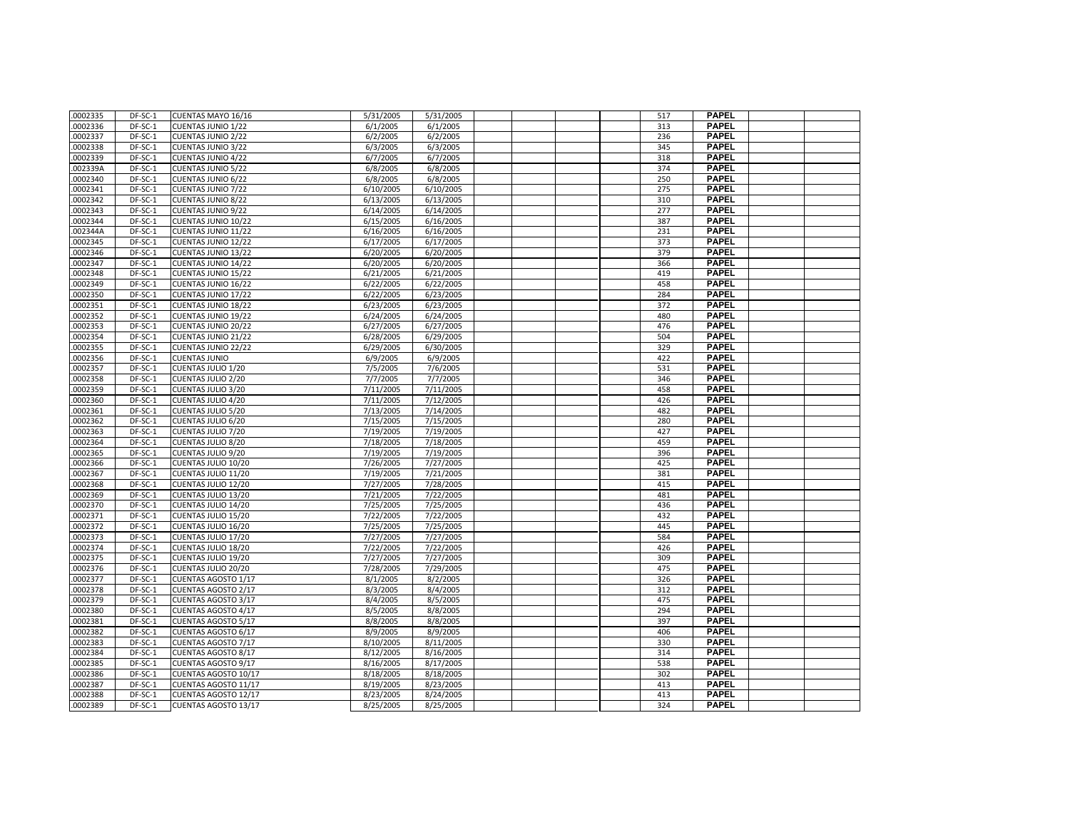| .0002335 | DF-SC-1 | CUENTAS MAYO 16/16         | 5/31/2005 | 5/31/2005 |  | 517        | <b>PAPEL</b> |  |
|----------|---------|----------------------------|-----------|-----------|--|------------|--------------|--|
| .0002336 | DF-SC-1 | <b>CUENTAS JUNIO 1/22</b>  | 6/1/2005  | 6/1/2005  |  | 313        | <b>PAPEL</b> |  |
| .0002337 | DF-SC-1 | <b>CUENTAS JUNIO 2/22</b>  | 6/2/2005  | 6/2/2005  |  | 236        | <b>PAPEL</b> |  |
| .0002338 | DF-SC-1 | <b>CUENTAS JUNIO 3/22</b>  | 6/3/2005  | 6/3/2005  |  | 345        | <b>PAPEL</b> |  |
| .0002339 | DF-SC-1 | <b>CUENTAS JUNIO 4/22</b>  | 6/7/2005  | 6/7/2005  |  | 318        | <b>PAPEL</b> |  |
| .002339A | DF-SC-1 | <b>CUENTAS JUNIO 5/22</b>  | 6/8/2005  | 6/8/2005  |  | 374        | <b>PAPEL</b> |  |
| .0002340 | DF-SC-1 | <b>CUENTAS JUNIO 6/22</b>  | 6/8/2005  | 6/8/2005  |  | 250        | <b>PAPEL</b> |  |
| .0002341 | DF-SC-1 | <b>CUENTAS JUNIO 7/22</b>  | 6/10/2005 | 6/10/2005 |  | 275        | <b>PAPEL</b> |  |
| .0002342 | DF-SC-1 | <b>CUENTAS JUNIO 8/22</b>  | 6/13/2005 | 6/13/2005 |  | 310        | <b>PAPEL</b> |  |
| .0002343 | DF-SC-1 | <b>CUENTAS JUNIO 9/22</b>  | 6/14/2005 | 6/14/2005 |  | 277        | <b>PAPEL</b> |  |
| .0002344 | DF-SC-1 | CUENTAS JUNIO 10/22        | 6/15/2005 | 6/16/2005 |  | 387        | <b>PAPEL</b> |  |
| .002344A | DF-SC-1 | CUENTAS JUNIO 11/22        | 6/16/2005 | 6/16/2005 |  | 231        | <b>PAPEL</b> |  |
| .0002345 | DF-SC-1 | CUENTAS JUNIO 12/22        | 6/17/2005 | 6/17/2005 |  | 373        | <b>PAPEL</b> |  |
| .0002346 | DF-SC-1 | <b>CUENTAS JUNIO 13/22</b> | 6/20/2005 | 6/20/2005 |  | 379        | <b>PAPEL</b> |  |
| .0002347 | DF-SC-1 | CUENTAS JUNIO 14/22        | 6/20/2005 | 6/20/2005 |  | 366        | <b>PAPEL</b> |  |
| .0002348 | DF-SC-1 | CUENTAS JUNIO 15/22        | 6/21/2005 | 6/21/2005 |  | 419        | <b>PAPEL</b> |  |
| .0002349 | DF-SC-1 | CUENTAS JUNIO 16/22        | 6/22/2005 | 6/22/2005 |  | 458        | <b>PAPEL</b> |  |
|          | DF-SC-1 |                            |           |           |  |            | <b>PAPEL</b> |  |
| .0002350 |         | CUENTAS JUNIO 17/22        | 6/22/2005 | 6/23/2005 |  | 284        | <b>PAPEL</b> |  |
| .0002351 | DF-SC-1 | CUENTAS JUNIO 18/22        | 6/23/2005 | 6/23/2005 |  | 372<br>480 | <b>PAPEL</b> |  |
| .0002352 | DF-SC-1 | <b>CUENTAS JUNIO 19/22</b> | 6/24/2005 | 6/24/2005 |  |            | <b>PAPEL</b> |  |
| .0002353 | DF-SC-1 | CUENTAS JUNIO 20/22        | 6/27/2005 | 6/27/2005 |  | 476        |              |  |
| .0002354 | DF-SC-1 | CUENTAS JUNIO 21/22        | 6/28/2005 | 6/29/2005 |  | 504        | <b>PAPEL</b> |  |
| .0002355 | DF-SC-1 | <b>CUENTAS JUNIO 22/22</b> | 6/29/2005 | 6/30/2005 |  | 329        | <b>PAPEL</b> |  |
| .0002356 | DF-SC-1 | <b>CUENTAS JUNIO</b>       | 6/9/2005  | 6/9/2005  |  | 422        | <b>PAPEL</b> |  |
| .0002357 | DF-SC-1 | CUENTAS JULIO 1/20         | 7/5/2005  | 7/6/2005  |  | 531        | <b>PAPEL</b> |  |
| .0002358 | DF-SC-1 | <b>CUENTAS JULIO 2/20</b>  | 7/7/2005  | 7/7/2005  |  | 346        | <b>PAPEL</b> |  |
| .0002359 | DF-SC-1 | <b>CUENTAS JULIO 3/20</b>  | 7/11/2005 | 7/11/2005 |  | 458        | <b>PAPEL</b> |  |
| .0002360 | DF-SC-1 | CUENTAS JULIO 4/20         | 7/11/2005 | 7/12/2005 |  | 426        | <b>PAPEL</b> |  |
| .0002361 | DF-SC-1 | <b>CUENTAS JULIO 5/20</b>  | 7/13/2005 | 7/14/2005 |  | 482        | <b>PAPEL</b> |  |
| .0002362 | DF-SC-1 | CUENTAS JULIO 6/20         | 7/15/2005 | 7/15/2005 |  | 280        | <b>PAPEL</b> |  |
| .0002363 | DF-SC-1 | CUENTAS JULIO 7/20         | 7/19/2005 | 7/19/2005 |  | 427        | <b>PAPEL</b> |  |
| .0002364 | DF-SC-1 | <b>CUENTAS JULIO 8/20</b>  | 7/18/2005 | 7/18/2005 |  | 459        | <b>PAPEL</b> |  |
| .0002365 | DF-SC-1 | <b>CUENTAS JULIO 9/20</b>  | 7/19/2005 | 7/19/2005 |  | 396        | <b>PAPEL</b> |  |
| .0002366 | DF-SC-1 | CUENTAS JULIO 10/20        | 7/26/2005 | 7/27/2005 |  | 425        | <b>PAPEL</b> |  |
| .0002367 | DF-SC-1 | CUENTAS JULIO 11/20        | 7/19/2005 | 7/21/2005 |  | 381        | <b>PAPEL</b> |  |
| .0002368 | DF-SC-1 | CUENTAS JULIO 12/20        | 7/27/2005 | 7/28/2005 |  | 415        | <b>PAPEL</b> |  |
| .0002369 | DF-SC-1 | CUENTAS JULIO 13/20        | 7/21/2005 | 7/22/2005 |  | 481        | <b>PAPEL</b> |  |
| .0002370 | DF-SC-1 | CUENTAS JULIO 14/20        | 7/25/2005 | 7/25/2005 |  | 436        | <b>PAPEL</b> |  |
| .0002371 | DF-SC-1 | CUENTAS JULIO 15/20        | 7/22/2005 | 7/22/2005 |  | 432        | <b>PAPEL</b> |  |
| .0002372 | DF-SC-1 | CUENTAS JULIO 16/20        | 7/25/2005 | 7/25/2005 |  | 445        | <b>PAPEL</b> |  |
| .0002373 | DF-SC-1 | CUENTAS JULIO 17/20        | 7/27/2005 | 7/27/2005 |  | 584        | <b>PAPEL</b> |  |
| .0002374 | DF-SC-1 | CUENTAS JULIO 18/20        | 7/22/2005 | 7/22/2005 |  | 426        | <b>PAPEL</b> |  |
| .0002375 | DF-SC-1 | CUENTAS JULIO 19/20        | 7/27/2005 | 7/27/2005 |  | 309        | <b>PAPEL</b> |  |
| .0002376 | DF-SC-1 | CUENTAS JULIO 20/20        | 7/28/2005 | 7/29/2005 |  | 475        | <b>PAPEL</b> |  |
| .0002377 | DF-SC-1 | CUENTAS AGOSTO 1/17        | 8/1/2005  | 8/2/2005  |  | 326        | <b>PAPEL</b> |  |
| .0002378 | DF-SC-1 | CUENTAS AGOSTO 2/17        | 8/3/2005  | 8/4/2005  |  | 312        | <b>PAPEL</b> |  |
| .0002379 | DF-SC-1 | CUENTAS AGOSTO 3/17        | 8/4/2005  | 8/5/2005  |  | 475        | <b>PAPEL</b> |  |
| .0002380 | DF-SC-1 | CUENTAS AGOSTO 4/17        | 8/5/2005  | 8/8/2005  |  | 294        | <b>PAPEL</b> |  |
| .0002381 | DF-SC-1 | <b>CUENTAS AGOSTO 5/17</b> | 8/8/2005  | 8/8/2005  |  | 397        | <b>PAPEL</b> |  |
| .0002382 | DF-SC-1 | CUENTAS AGOSTO 6/17        | 8/9/2005  | 8/9/2005  |  | 406        | <b>PAPEL</b> |  |
| .0002383 | DF-SC-1 | CUENTAS AGOSTO 7/17        | 8/10/2005 | 8/11/2005 |  | 330        | <b>PAPEL</b> |  |
| .0002384 | DF-SC-1 | CUENTAS AGOSTO 8/17        | 8/12/2005 | 8/16/2005 |  | 314        | <b>PAPEL</b> |  |
| .0002385 | DF-SC-1 | <b>CUENTAS AGOSTO 9/17</b> | 8/16/2005 | 8/17/2005 |  | 538        | <b>PAPEL</b> |  |
| .0002386 | DF-SC-1 | CUENTAS AGOSTO 10/17       | 8/18/2005 | 8/18/2005 |  | 302        | <b>PAPEL</b> |  |
| .0002387 | DF-SC-1 | CUENTAS AGOSTO 11/17       | 8/19/2005 | 8/23/2005 |  | 413        | <b>PAPEL</b> |  |
| .0002388 | DF-SC-1 | CUENTAS AGOSTO 12/17       | 8/23/2005 | 8/24/2005 |  | 413        | <b>PAPEL</b> |  |
|          |         |                            |           |           |  | 324        | <b>PAPEL</b> |  |
| .0002389 | DF-SC-1 | CUENTAS AGOSTO 13/17       | 8/25/2005 | 8/25/2005 |  |            |              |  |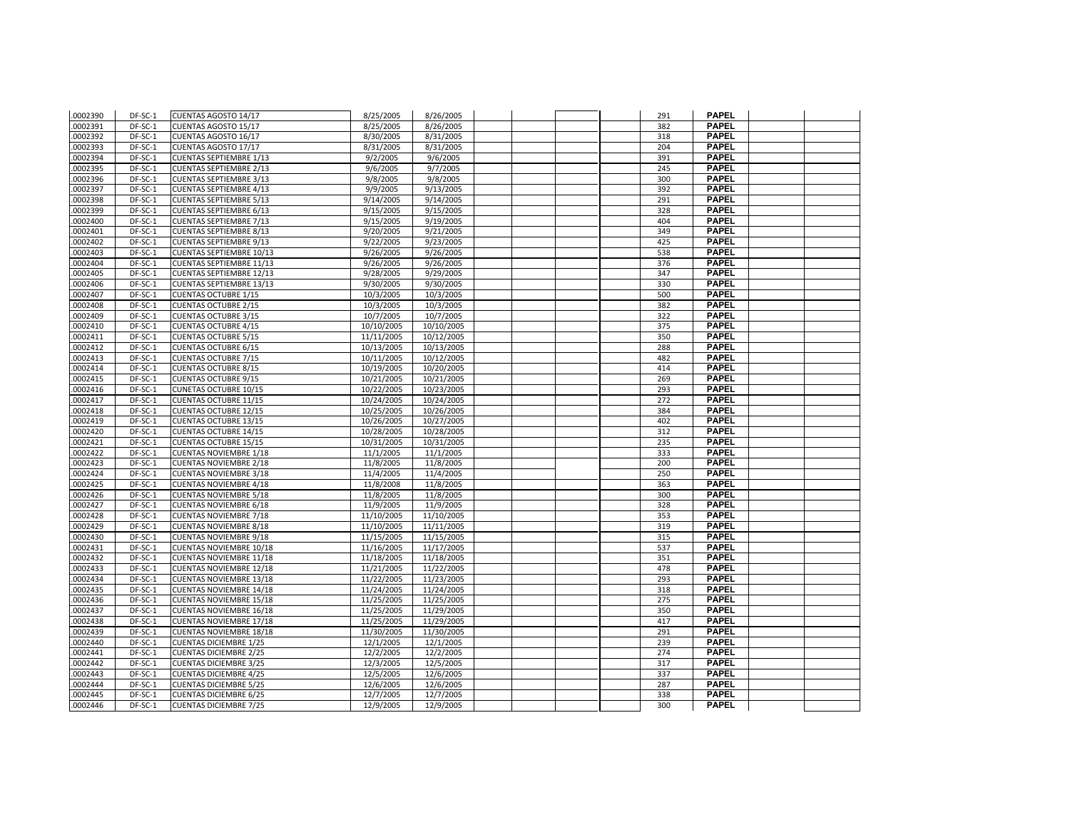| .0002390           | DF-SC-1            | CUENTAS AGOSTO 14/17                                           | 8/25/2005              | 8/26/2005              |  |  | 291        | <b>PAPEL</b>                 |  |
|--------------------|--------------------|----------------------------------------------------------------|------------------------|------------------------|--|--|------------|------------------------------|--|
| 0002391            | DF-SC-1            | <b>CUENTAS AGOSTO 15/17</b>                                    | 8/25/2005              | 8/26/2005              |  |  | 382        | <b>PAPEL</b>                 |  |
| 0002392            | DF-SC-1            | CUENTAS AGOSTO 16/17                                           | 8/30/2005              | 8/31/2005              |  |  | 318        | <b>PAPEL</b>                 |  |
| 0002393            | DF-SC-1            | CUENTAS AGOSTO 17/17                                           | 8/31/2005              | 8/31/2005              |  |  | 204        | <b>PAPEL</b>                 |  |
| 0002394            | DF-SC-1            | <b>CUENTAS SEPTIEMBRE 1/13</b>                                 | 9/2/2005               | 9/6/2005               |  |  | 391        | <b>PAPEL</b>                 |  |
| 0002395            | DF-SC-1            | <b>CUENTAS SEPTIEMBRE 2/13</b>                                 | 9/6/2005               | 9/7/2005               |  |  | 245        | <b>PAPEL</b>                 |  |
| 0002396            | DF-SC-1            | <b>CUENTAS SEPTIEMBRE 3/13</b>                                 | 9/8/2005               | 9/8/2005               |  |  | 300        | <b>PAPEL</b>                 |  |
| 0002397            | DF-SC-1            | <b>CUENTAS SEPTIEMBRE 4/13</b>                                 | 9/9/2005               | 9/13/2005              |  |  | 392        | <b>PAPEL</b>                 |  |
| 0002398            | DF-SC-1            | <b>CUENTAS SEPTIEMBRE 5/13</b>                                 | 9/14/2005              | 9/14/2005              |  |  | 291        | <b>PAPEL</b>                 |  |
| 0002399            | DF-SC-1            | <b>CUENTAS SEPTIEMBRE 6/13</b>                                 | 9/15/2005              | 9/15/2005              |  |  | 328        | <b>PAPEL</b>                 |  |
| 0002400            | DF-SC-1            | <b>CUENTAS SEPTIEMBRE 7/13</b>                                 | 9/15/2005              | 9/19/2005              |  |  | 404        | <b>PAPEL</b>                 |  |
| 0002401            | DF-SC-1            | <b>CUENTAS SEPTIEMBRE 8/13</b>                                 | 9/20/2005              | 9/21/2005              |  |  | 349        | <b>PAPEL</b>                 |  |
| 0002402            | DF-SC-1            | <b>CUENTAS SEPTIEMBRE 9/13</b>                                 | 9/22/2005              | 9/23/2005              |  |  | 425        | <b>PAPEL</b>                 |  |
| 0002403            | DF-SC-1            | <b>CUENTAS SEPTIEMBRE 10/13</b>                                | 9/26/2005              | 9/26/2005              |  |  | 538        | <b>PAPEL</b>                 |  |
| 0002404            | DF-SC-1            | <b>CUENTAS SEPTIEMBRE 11/13</b>                                | 9/26/2005              | 9/26/2005              |  |  | 376        | <b>PAPEL</b>                 |  |
| 0002405            | DF-SC-1            | <b>CUENTAS SEPTIEMBRE 12/13</b>                                | 9/28/2005              | 9/29/2005              |  |  | 347        | <b>PAPEL</b>                 |  |
| 0002406            | DF-SC-1            | <b>CUENTAS SEPTIEMBRE 13/13</b>                                | 9/30/2005              | 9/30/2005              |  |  | 330        | <b>PAPEL</b>                 |  |
| 0002407            | DF-SC-1            | <b>CUENTAS OCTUBRE 1/15</b>                                    | 10/3/2005              | 10/3/2005              |  |  | 500        | <b>PAPEL</b>                 |  |
| 0002408            | DF-SC-1            | <b>CUENTAS OCTUBRE 2/15</b>                                    | 10/3/2005              | 10/3/2005              |  |  | 382        | <b>PAPEL</b>                 |  |
| 0002409            | $DF-SC-1$          | <b>CUENTAS OCTUBRE 3/15</b>                                    | 10/7/2005              | 10/7/2005              |  |  | 322        | <b>PAPEL</b>                 |  |
| 0002410            | DF-SC-1            | <b>CUENTAS OCTUBRE 4/15</b>                                    | 10/10/2005             | 10/10/2005             |  |  | 375        | <b>PAPEL</b>                 |  |
| 0002411            | DF-SC-1            | <b>CUENTAS OCTUBRE 5/15</b>                                    | 11/11/2005             | 10/12/2005             |  |  | 350        | <b>PAPEL</b>                 |  |
| 0002412            | DF-SC-1            | <b>CUENTAS OCTUBRE 6/15</b>                                    | 10/13/2005             | 10/13/2005             |  |  | 288        | <b>PAPEL</b>                 |  |
| 0002413            | DF-SC-1            | <b>CUENTAS OCTUBRE 7/15</b>                                    | 10/11/2005             | 10/12/2005             |  |  | 482        | <b>PAPEL</b>                 |  |
| 0002414            | DF-SC-1            | <b>CUENTAS OCTUBRE 8/15</b>                                    | 10/19/2005             | 10/20/2005             |  |  | 414        | <b>PAPEL</b>                 |  |
| 0002415            | DF-SC-1            | <b>CUENTAS OCTUBRE 9/15</b>                                    | 10/21/2005             | 10/21/2005             |  |  | 269        | <b>PAPEL</b>                 |  |
| 0002416            | DF-SC-1            | <b>CUNETAS OCTUBRE 10/15</b>                                   | 10/22/2005             | 10/23/2005             |  |  | 293        | <b>PAPEL</b>                 |  |
| 0002417            | DF-SC-1            | <b>CUENTAS OCTUBRE 11/15</b>                                   | 10/24/2005             | 10/24/2005             |  |  | 272        | <b>PAPEL</b>                 |  |
| 0002418            | DF-SC-1            | <b>CUENTAS OCTUBRE 12/15</b>                                   | 10/25/2005             | 10/26/2005             |  |  | 384        | <b>PAPEL</b>                 |  |
| 0002419            | DF-SC-1            | <b>CUENTAS OCTUBRE 13/15</b>                                   | 10/26/2005             | 10/27/2005             |  |  | 402        | <b>PAPEL</b>                 |  |
| 0002420            | DF-SC-1            | <b>CUENTAS OCTUBRE 14/15</b>                                   | 10/28/2005             | 10/28/2005             |  |  | 312        | <b>PAPEL</b>                 |  |
| 0002421            | DF-SC-1            | <b>CUENTAS OCTUBRE 15/15</b>                                   | 10/31/2005             | 10/31/2005             |  |  | 235        | <b>PAPEL</b>                 |  |
| 0002422            | DF-SC-1            | <b>CUENTAS NOVIEMBRE 1/18</b>                                  | 11/1/2005              | 11/1/2005              |  |  | 333        | <b>PAPEL</b>                 |  |
| 0002423            | DF-SC-1            | <b>CUENTAS NOVIEMBRE 2/18</b>                                  | 11/8/2005              | 11/8/2005              |  |  | 200        | <b>PAPEL</b>                 |  |
| 0002424            | DF-SC-1            | <b>CUENTAS NOVIEMBRE 3/18</b>                                  | 11/4/2005              | 11/4/2005              |  |  | 250        | <b>PAPEL</b>                 |  |
| 0002425            | DF-SC-1            | <b>CUENTAS NOVIEMBRE 4/18</b>                                  | 11/8/2008              | 11/8/2005              |  |  | 363        | <b>PAPEL</b>                 |  |
| 0002426            | DF-SC-1            | <b>CUENTAS NOVIEMBRE 5/18</b>                                  | 11/8/2005              | 11/8/2005              |  |  | 300        | <b>PAPEL</b>                 |  |
| 0002427            | DF-SC-1            | <b>CUENTAS NOVIEMBRE 6/18</b>                                  | 11/9/2005              | 11/9/2005              |  |  | 328        | <b>PAPEL</b>                 |  |
| 0002428            | DF-SC-1            | <b>CUENTAS NOVIEMBRE 7/18</b>                                  | 11/10/2005             | 11/10/2005             |  |  | 353        | <b>PAPEL</b>                 |  |
| 0002429            | DF-SC-1            | <b>CUENTAS NOVIEMBRE 8/18</b>                                  | 11/10/2005             | 11/11/2005             |  |  | 319        | <b>PAPEL</b>                 |  |
| 0002430            | DF-SC-1            | <b>CUENTAS NOVIEMBRE 9/18</b>                                  | 11/15/2005             | 11/15/2005             |  |  | 315        | <b>PAPEL</b>                 |  |
| 0002431            | DF-SC-1            | <b>CUENTAS NOVIEMBRE 10/18</b>                                 | 11/16/2005             | 11/17/2005             |  |  | 537        | <b>PAPEL</b>                 |  |
| 0002432            | DF-SC-1            | <b>CUENTAS NOVIEMBRE 11/18</b>                                 | 11/18/2005             | 11/18/2005             |  |  | 351        | <b>PAPEL</b>                 |  |
| 0002433            | DF-SC-1            | <b>CUENTAS NOVIEMBRE 12/18</b>                                 | 11/21/2005             | 11/22/2005             |  |  | 478        | <b>PAPEL</b>                 |  |
| 0002434            | DF-SC-1            | <b>CUENTAS NOVIEMBRE 13/18</b>                                 | 11/22/2005             | 11/23/2005             |  |  | 293        | <b>PAPEL</b>                 |  |
| 0002435            | DF-SC-1            | <b>CUENTAS NOVIEMBRE 14/18</b>                                 | 11/24/2005             | 11/24/2005             |  |  | 318        | <b>PAPEL</b>                 |  |
| 0002436            | DF-SC-1            | <b>CUENTAS NOVIEMBRE 15/18</b>                                 | 11/25/2005             | 11/25/2005             |  |  | 275        | <b>PAPEL</b>                 |  |
| 0002437            | DF-SC-1            | <b>CUENTAS NOVIEMBRE 16/18</b>                                 | 11/25/2005             | 11/29/2005             |  |  | 350        | <b>PAPEL</b><br><b>PAPEL</b> |  |
| 0002438            | DF-SC-1            | <b>CUENTAS NOVIEMBRE 17/18</b>                                 | 11/25/2005             | 11/29/2005             |  |  | 417        | <b>PAPEL</b>                 |  |
| 0002439            | DF-SC-1            | <b>CUENTAS NOVIEMBRE 18/18</b>                                 | 11/30/2005             | 11/30/2005             |  |  | 291        | <b>PAPEL</b>                 |  |
| 0002440            | DF-SC-1            | <b>CUENTAS DICIEMBRE 1/25</b>                                  | 12/1/2005              | 12/1/2005              |  |  | 239        |                              |  |
| 0002441<br>0002442 | DF-SC-1<br>DF-SC-1 | <b>CUENTAS DICIEMBRE 2/25</b><br><b>CUENTAS DICIEMBRE 3/25</b> | 12/2/2005<br>12/3/2005 | 12/2/2005<br>12/5/2005 |  |  | 274<br>317 | <b>PAPEL</b><br><b>PAPEL</b> |  |
| 0002443            | DF-SC-1            | <b>CUENTAS DICIEMBRE 4/25</b>                                  |                        |                        |  |  | 337        | <b>PAPEL</b>                 |  |
| 0002444            | DF-SC-1            | <b>CUENTAS DICIEMBRE 5/25</b>                                  | 12/5/2005<br>12/6/2005 | 12/6/2005<br>12/6/2005 |  |  | 287        | <b>PAPEL</b>                 |  |
| 0002445            | DF-SC-1            | <b>CUENTAS DICIEMBRE 6/25</b>                                  | 12/7/2005              | 12/7/2005              |  |  | 338        | <b>PAPEL</b>                 |  |
| .0002446           | DF-SC-1            | <b>CUENTAS DICIEMBRE 7/25</b>                                  | 12/9/2005              | 12/9/2005              |  |  | 300        | <b>PAPEL</b>                 |  |
|                    |                    |                                                                |                        |                        |  |  |            |                              |  |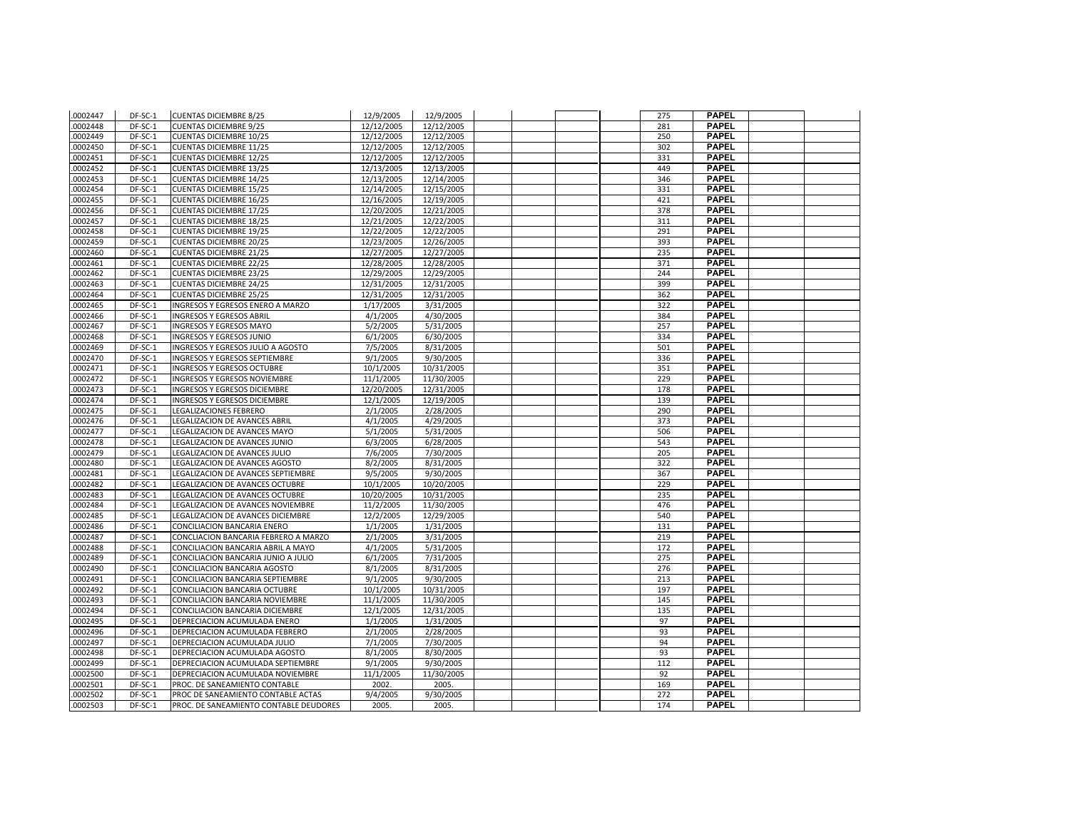| .0002447 | DF-SC-1   | <b>CUENTAS DICIEMBRE 8/25</b>          | 12/9/2005  | 12/9/2005  |  | 275 | <b>PAPEL</b> |  |
|----------|-----------|----------------------------------------|------------|------------|--|-----|--------------|--|
| 0002448  | DF-SC-1   | <b>CUENTAS DICIEMBRE 9/25</b>          | 12/12/2005 | 12/12/2005 |  | 281 | <b>PAPEL</b> |  |
| 0002449  | DF-SC-1   | <b>CUENTAS DICIEMBRE 10/25</b>         | 12/12/2005 | 12/12/2005 |  | 250 | <b>PAPEL</b> |  |
| 0002450  | DF-SC-1   | <b>CUENTAS DICIEMBRE 11/25</b>         | 12/12/2005 | 12/12/2005 |  | 302 | <b>PAPEL</b> |  |
| 0002451  | DF-SC-1   | <b>CUENTAS DICIEMBRE 12/25</b>         | 12/12/2005 | 12/12/2005 |  | 331 | <b>PAPEL</b> |  |
| 0002452  | DF-SC-1   | <b>CUENTAS DICIEMBRE 13/25</b>         | 12/13/2005 | 12/13/2005 |  | 449 | <b>PAPEL</b> |  |
| 0002453  | DF-SC-1   | <b>CUENTAS DICIEMBRE 14/25</b>         | 12/13/2005 | 12/14/2005 |  | 346 | <b>PAPEL</b> |  |
| 0002454  | DF-SC-1   | <b>CUENTAS DICIEMBRE 15/25</b>         | 12/14/2005 | 12/15/2005 |  | 331 | <b>PAPEL</b> |  |
| 0002455  | DF-SC-1   | <b>CUENTAS DICIEMBRE 16/25</b>         | 12/16/2005 | 12/19/2005 |  | 421 | <b>PAPEL</b> |  |
| 0002456  | DF-SC-1   | <b>CUENTAS DICIEMBRE 17/25</b>         | 12/20/2005 | 12/21/2005 |  | 378 | <b>PAPEL</b> |  |
| 0002457  | DF-SC-1   | <b>CUENTAS DICIEMBRE 18/25</b>         | 12/21/2005 | 12/22/2005 |  | 311 | <b>PAPEL</b> |  |
| 0002458  | DF-SC-1   | <b>CUENTAS DICIEMBRE 19/25</b>         | 12/22/2005 | 12/22/2005 |  | 291 | <b>PAPEL</b> |  |
| 0002459  | DF-SC-1   | <b>CUENTAS DICIEMBRE 20/25</b>         | 12/23/2005 | 12/26/2005 |  | 393 | <b>PAPEL</b> |  |
| 0002460  | DF-SC-1   | <b>CUENTAS DICIEMBRE 21/25</b>         | 12/27/2005 | 12/27/2005 |  | 235 | <b>PAPEL</b> |  |
| 0002461  | DF-SC-1   | <b>CUENTAS DICIEMBRE 22/25</b>         | 12/28/2005 | 12/28/2005 |  | 371 | <b>PAPEL</b> |  |
| 0002462  | DF-SC-1   | <b>CUENTAS DICIEMBRE 23/25</b>         | 12/29/2005 | 12/29/2005 |  | 244 | <b>PAPEL</b> |  |
| 0002463  | DF-SC-1   | <b>CUENTAS DICIEMBRE 24/25</b>         | 12/31/2005 | 12/31/2005 |  | 399 | <b>PAPEL</b> |  |
| 0002464  | DF-SC-1   | <b>CUENTAS DICIEMBRE 25/25</b>         | 12/31/2005 | 12/31/2005 |  | 362 | <b>PAPEL</b> |  |
| 0002465  | DF-SC-1   | INGRESOS Y EGRESOS ENERO A MARZO       | 1/17/2005  | 3/31/2005  |  | 322 | <b>PAPEL</b> |  |
| .0002466 | DF-SC-1   | <b>INGRESOS Y EGRESOS ABRIL</b>        | 4/1/2005   | 4/30/2005  |  | 384 | <b>PAPEL</b> |  |
| 0002467  | DF-SC-1   | <b>INGRESOS Y EGRESOS MAYO</b>         | 5/2/2005   | 5/31/2005  |  | 257 | <b>PAPEL</b> |  |
| 0002468  | DF-SC-1   | <b>INGRESOS Y EGRESOS JUNIO</b>        | 6/1/2005   | 6/30/2005  |  | 334 | <b>PAPEL</b> |  |
| 0002469  | DF-SC-1   | INGRESOS Y EGRESOS JULIO A AGOSTO      | 7/5/2005   | 8/31/2005  |  | 501 | <b>PAPEL</b> |  |
| 0002470  | $DF-SC-1$ | <b>INGRESOS Y EGRESOS SEPTIEMBRE</b>   | 9/1/2005   | 9/30/2005  |  | 336 | <b>PAPEL</b> |  |
| 0002471  | DF-SC-1   | <b>INGRESOS Y EGRESOS OCTUBRE</b>      | 10/1/2005  | 10/31/2005 |  | 351 | <b>PAPEL</b> |  |
| 0002472  | DF-SC-1   | <b>INGRESOS Y EGRESOS NOVIEMBRE</b>    | 11/1/2005  | 11/30/2005 |  | 229 | <b>PAPEL</b> |  |
| 0002473  | DF-SC-1   | <b>INGRESOS Y EGRESOS DICIEMBRE</b>    | 12/20/2005 | 12/31/2005 |  | 178 | <b>PAPEL</b> |  |
| 0002474  | DF-SC-1   | INGRESOS Y EGRESOS DICIEMBRE           | 12/1/2005  | 12/19/2005 |  | 139 | <b>PAPEL</b> |  |
| 0002475  | DF-SC-1   | <b>LEGALIZACIONES FEBRERO</b>          | 2/1/2005   | 2/28/2005  |  | 290 | <b>PAPEL</b> |  |
| .0002476 | DF-SC-1   | LEGALIZACION DE AVANCES ABRIL          | 4/1/2005   | 4/29/2005  |  | 373 | <b>PAPEL</b> |  |
| 0002477  | DF-SC-1   | LEGALIZACION DE AVANCES MAYO           | 5/1/2005   | 5/31/2005  |  | 506 | <b>PAPEL</b> |  |
| 0002478  | DF-SC-1   | LEGALIZACION DE AVANCES JUNIO          | 6/3/2005   | 6/28/2005  |  | 543 | <b>PAPEL</b> |  |
| 0002479  | DF-SC-1   | LEGALIZACION DE AVANCES JULIO          | 7/6/2005   | 7/30/2005  |  | 205 | <b>PAPEL</b> |  |
| 0002480  | DF-SC-1   | LEGALIZACION DE AVANCES AGOSTO         | 8/2/2005   | 8/31/2005  |  | 322 | <b>PAPEL</b> |  |
| 0002481  | DF-SC-1   | LEGALIZACION DE AVANCES SEPTIEMBRE     | 9/5/2005   | 9/30/2005  |  | 367 | <b>PAPEL</b> |  |
| 0002482  | DF-SC-1   | LEGALIZACION DE AVANCES OCTUBRE        | 10/1/2005  | 10/20/2005 |  | 229 | <b>PAPEL</b> |  |
| 0002483  | DF-SC-1   | LEGALIZACION DE AVANCES OCTUBRE        | 10/20/2005 | 10/31/2005 |  | 235 | <b>PAPEL</b> |  |
| 0002484  | DF-SC-1   | LEGALIZACION DE AVANCES NOVIEMBRE      | 11/2/2005  | 11/30/2005 |  | 476 | <b>PAPEL</b> |  |
| 0002485  | DF-SC-1   | LEGALIZACION DE AVANCES DICIEMBRE      | 12/2/2005  | 12/29/2005 |  | 540 | <b>PAPEL</b> |  |
| 0002486  | DF-SC-1   | CONCILIACION BANCARIA ENERO            | 1/1/2005   | 1/31/2005  |  | 131 | <b>PAPEL</b> |  |
| 0002487  | DF-SC-1   | CONCLIACION BANCARIA FEBRERO A MARZO   | 2/1/2005   | 3/31/2005  |  | 219 | <b>PAPEL</b> |  |
| 0002488  | DF-SC-1   | CONCILIACION BANCARIA ABRIL A MAYO     | 4/1/2005   | 5/31/2005  |  | 172 | <b>PAPEL</b> |  |
| 0002489  | DF-SC-1   | CONCILIACION BANCARIA JUNIO A JULIO    | 6/1/2005   | 7/31/2005  |  | 275 | <b>PAPEL</b> |  |
| 0002490  | DF-SC-1   | CONCILIACION BANCARIA AGOSTO           | 8/1/2005   | 8/31/2005  |  | 276 | <b>PAPEL</b> |  |
| .0002491 | DF-SC-1   | CONCILIACION BANCARIA SEPTIEMBRE       | 9/1/2005   | 9/30/2005  |  | 213 | <b>PAPEL</b> |  |
| 0002492  | DF-SC-1   | CONCILIACION BANCARIA OCTUBRE          | 10/1/2005  | 10/31/2005 |  | 197 | <b>PAPEL</b> |  |
| 0002493  | DF-SC-1   | CONCILIACION BANCARIA NOVIEMBRE        | 11/1/2005  | 11/30/2005 |  | 145 | <b>PAPEL</b> |  |
| 0002494  | DF-SC-1   | CONCILIACION BANCARIA DICIEMBRE        | 12/1/2005  | 12/31/2005 |  | 135 | <b>PAPEL</b> |  |
| 0002495  | DF-SC-1   | DEPRECIACION ACUMULADA ENERO           | 1/1/2005   | 1/31/2005  |  | 97  | <b>PAPEL</b> |  |
| 0002496  | DF-SC-1   | DEPRECIACION ACUMULADA FEBRERO         | 2/1/2005   | 2/28/2005  |  | 93  | <b>PAPEL</b> |  |
| 0002497  | DF-SC-1   | DEPRECIACION ACUMULADA JULIO           | 7/1/2005   | 7/30/2005  |  | 94  | <b>PAPEL</b> |  |
| 0002498  | DF-SC-1   | DEPRECIACION ACUMULADA AGOSTO          | 8/1/2005   | 8/30/2005  |  | 93  | <b>PAPEL</b> |  |
| 0002499  | DF-SC-1   | DEPRECIACION ACUMULADA SEPTIEMBRE      | 9/1/2005   | 9/30/2005  |  | 112 | <b>PAPEL</b> |  |
| 0002500  | DF-SC-1   | DEPRECIACION ACUMULADA NOVIEMBRE       | 11/1/2005  | 11/30/2005 |  | 92  | <b>PAPEL</b> |  |
| 0002501  | DF-SC-1   | PROC. DE SANEAMIENTO CONTABLE          | 2002.      | 2005.      |  | 169 | <b>PAPEL</b> |  |
| 0002502  | DF-SC-1   | PROC DE SANEAMIENTO CONTABLE ACTAS     | 9/4/2005   | 9/30/2005  |  | 272 | <b>PAPEL</b> |  |
| .0002503 | DF-SC-1   | PROC. DE SANEAMIENTO CONTABLE DEUDORES | 2005.      | 2005.      |  | 174 | <b>PAPEL</b> |  |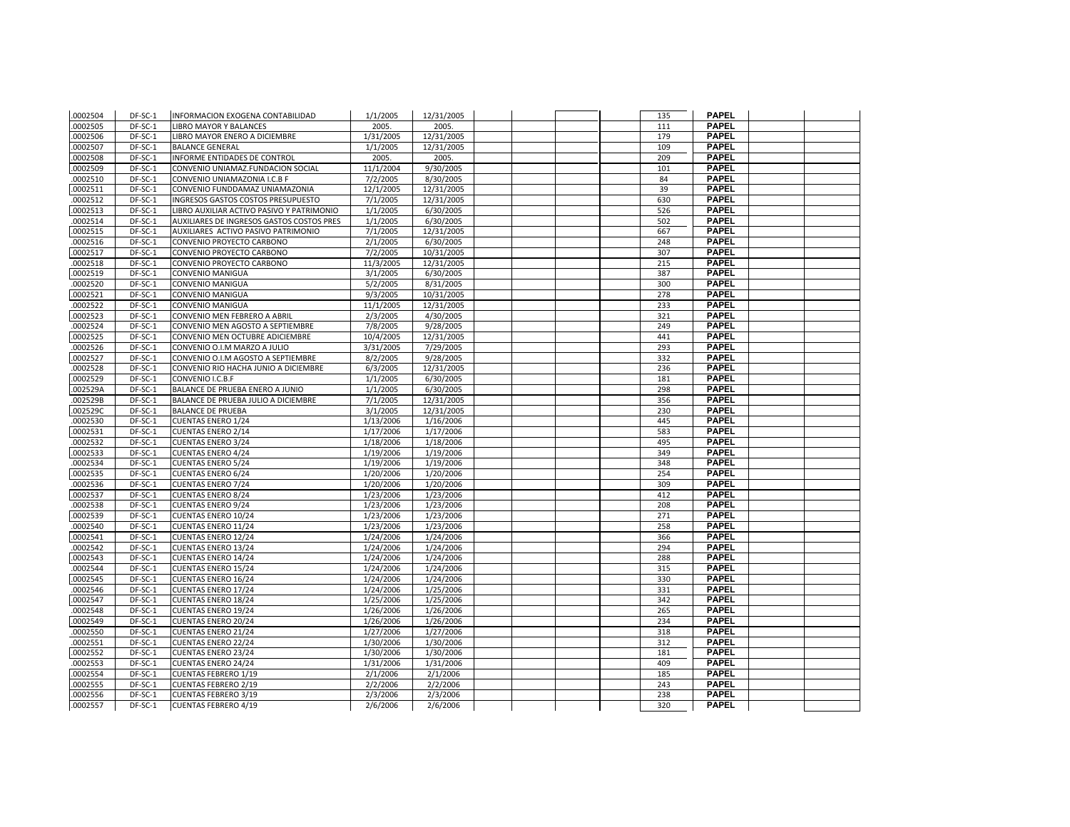| 0002505<br>DF-SC-1<br>2005.<br>111<br><b>LIBRO MAYOR Y BALANCES</b><br>2005.<br><b>PAPEL</b><br>0002506<br>DF-SC-1<br>1/31/2005<br>12/31/2005<br>179<br>LIBRO MAYOR ENERO A DICIEMBRE<br><b>PAPEL</b><br>0002507<br>1/1/2005<br>12/31/2005<br>109<br>DF-SC-1<br><b>BALANCE GENERAL</b><br><b>PAPEL</b><br>0002508<br>DF-SC-1<br>INFORME ENTIDADES DE CONTROL<br>2005.<br>2005.<br>209<br><b>PAPEL</b><br>.0002509<br>DF-SC-1<br>CONVENIO UNIAMAZ.FUNDACION SOCIAL<br>11/1/2004<br>9/30/2005<br>101<br>7/2/2005<br><b>PAPEL</b><br>.0002510<br>DF-SC-1<br>CONVENIO UNIAMAZONIA I.C.B F<br>8/30/2005<br>84<br>DF-SC-1<br>12/1/2005<br>12/31/2005<br>39<br><b>PAPEL</b><br>.0002511<br>CONVENIO FUNDDAMAZ UNIAMAZONIA<br><b>PAPEL</b><br>.0002512<br>DF-SC-1<br>INGRESOS GASTOS COSTOS PRESUPUESTO<br>7/1/2005<br>12/31/2005<br>630<br><b>PAPEL</b><br>0002513<br>1/1/2005<br>526<br>DF-SC-1<br>LIBRO AUXILIAR ACTIVO PASIVO Y PATRIMONIO<br>6/30/2005<br><b>PAPEL</b><br>.0002514<br>DF-SC-1<br>AUXILIARES DE INGRESOS GASTOS COSTOS PRES<br>1/1/2005<br>502<br>6/30/2005<br><b>PAPEL</b><br>.0002515<br>DF-SC-1<br>AUXILIARES ACTIVO PASIVO PATRIMONIO<br>7/1/2005<br>12/31/2005<br>667<br><b>PAPEL</b><br>.0002516<br>DF-SC-1<br>CONVENIO PROYECTO CARBONO<br>2/1/2005<br>6/30/2005<br>248<br><b>PAPEL</b><br>CONVENIO PROYECTO CARBONO<br>7/2/2005<br>307<br>.0002517<br>DF-SC-1<br>10/31/2005<br><b>PAPEL</b><br>215<br>.0002518<br>DF-SC-1<br>CONVENIO PROYECTO CARBONO<br>11/3/2005<br>12/31/2005<br><b>PAPEL</b><br>.0002519<br>DF-SC-1<br>CONVENIO MANIGUA<br>3/1/2005<br>6/30/2005<br>387<br>.0002520<br>DF-SC-1<br>CONVENIO MANIGUA<br>5/2/2005<br>300<br><b>PAPEL</b><br>8/31/2005<br><b>PAPEL</b><br>0002521<br>DF-SC-1<br><b>CONVENIO MANIGUA</b><br>9/3/2005<br>10/31/2005<br>278<br><b>PAPEL</b><br>.0002522<br>DF-SC-1<br><b>CONVENIO MANIGUA</b><br>11/1/2005<br>12/31/2005<br>233<br><b>PAPEL</b><br>.0002523<br>DF-SC-1<br>CONVENIO MEN FEBRERO A ABRIL<br>2/3/2005<br>4/30/2005<br>321<br><b>PAPEL</b><br>.0002524<br>DF-SC-1<br>CONVENIO MEN AGOSTO A SEPTIEMBRE<br>7/8/2005<br>9/28/2005<br>249<br><b>PAPEL</b><br>.0002525<br>DF-SC-1<br>CONVENIO MEN OCTUBRE ADICIEMBRE<br>10/4/2005<br>12/31/2005<br>441<br>DF-SC-1<br>293<br><b>PAPEL</b><br>.0002526<br>CONVENIO O.I.M MARZO A JULIO<br>3/31/2005<br>7/29/2005<br><b>PAPEL</b><br>.0002527<br>DF-SC-1<br>CONVENIO O.I.M AGOSTO A SEPTIEMBRE<br>8/2/2005<br>9/28/2005<br>332<br>0002528<br>DF-SC-1<br>CONVENIO RIO HACHA JUNIO A DICIEMBRE<br>6/3/2005<br>12/31/2005<br>236<br><b>PAPEL</b><br><b>PAPEL</b><br>.0002529<br>DF-SC-1<br>CONVENIO I.C.B.F<br>1/1/2005<br>6/30/2005<br>181<br><b>PAPEL</b><br>.002529A<br>DF-SC-1<br>BALANCE DE PRUEBA ENERO A JUNIO<br>1/1/2005<br>298<br>6/30/2005<br><b>PAPEL</b><br>.002529B<br>DF-SC-1<br>BALANCE DE PRUEBA JULIO A DICIEMBRE<br>7/1/2005<br>12/31/2005<br>356<br><b>PAPEL</b><br>.002529C<br>DF-SC-1<br>3/1/2005<br>12/31/2005<br>230<br><b>BALANCE DE PRUEBA</b><br>.0002530<br>445<br><b>PAPEL</b><br>DF-SC-1<br><b>CUENTAS ENERO 1/24</b><br>1/13/2006<br>1/16/2006<br>.0002531<br>DF-SC-1<br><b>CUENTAS ENERO 2/14</b><br>1/17/2006<br>1/17/2006<br>583<br><b>PAPEL</b><br><b>PAPEL</b><br>495<br>.0002532<br>DF-SC-1<br><b>CUENTAS ENERO 3/24</b><br>1/18/2006<br>1/18/2006<br><b>PAPEL</b><br>349<br>.0002533<br>DF-SC-1<br><b>CUENTAS ENERO 4/24</b><br>1/19/2006<br>1/19/2006<br><b>PAPEL</b><br>0002534<br>DF-SC-1<br><b>CUENTAS ENERO 5/24</b><br>1/19/2006<br>1/19/2006<br>348<br><b>PAPEL</b><br>.0002535<br>DF-SC-1<br><b>CUENTAS ENERO 6/24</b><br>1/20/2006<br>1/20/2006<br>254<br>DF-SC-1<br>309<br><b>PAPEL</b><br>.0002536<br><b>CUENTAS ENERO 7/24</b><br>1/20/2006<br>1/20/2006<br>412<br><b>PAPEL</b><br>.0002537<br>DF-SC-1<br><b>CUENTAS ENERO 8/24</b><br>1/23/2006<br>1/23/2006<br><b>PAPEL</b><br>.0002538<br>DF-SC-1<br><b>CUENTAS ENERO 9/24</b><br>1/23/2006<br>1/23/2006<br>208<br>271<br><b>PAPEL</b><br>.0002539<br>DF-SC-1<br><b>CUENTAS ENERO 10/24</b><br>1/23/2006<br>1/23/2006<br>.0002540<br>DF-SC-1<br><b>CUENTAS ENERO 11/24</b><br>1/23/2006<br>258<br>PAPEL<br>1/23/2006<br><b>PAPEL</b><br>0002541<br>DF-SC-1<br><b>CUENTAS ENERO 12/24</b><br>1/24/2006<br>1/24/2006<br>366<br><b>PAPEL</b><br>.0002542<br>DF-SC-1<br><b>CUENTAS ENERO 13/24</b><br>1/24/2006<br>294<br>1/24/2006<br>.0002543<br>DF-SC-1<br><b>CUENTAS ENERO 14/24</b><br>1/24/2006<br>1/24/2006<br>288<br><b>PAPEL</b><br><b>PAPEL</b><br>0002544<br>DF-SC-1<br><b>CUENTAS ENERO 15/24</b><br>1/24/2006<br>1/24/2006<br>315<br>.0002545<br>DF-SC-1<br>330<br><b>PAPEL</b><br><b>CUENTAS ENERO 16/24</b><br>1/24/2006<br>1/24/2006<br>331<br><b>PAPEL</b><br>.0002546<br>DF-SC-1<br>1/24/2006<br>1/25/2006<br><b>CUENTAS ENERO 17/24</b><br><b>PAPEL</b><br>.0002547<br>DF-SC-1<br><b>CUENTAS ENERO 18/24</b><br>1/25/2006<br>1/25/2006<br>342<br><b>PAPEL</b><br>.0002548<br>DF-SC-1<br><b>CUENTAS ENERO 19/24</b><br>1/26/2006<br>1/26/2006<br>265<br>.0002549<br>DF-SC-1<br><b>CUENTAS ENERO 20/24</b><br>1/26/2006<br>1/26/2006<br>234<br><b>PAPEL</b><br>318<br><b>PAPEL</b><br>.0002550<br>DF-SC-1<br><b>CUENTAS ENERO 21/24</b><br>1/27/2006<br>1/27/2006<br>.0002551<br>DF-SC-1<br>1/30/2006<br>1/30/2006<br>312<br><b>PAPEL</b><br><b>CUENTAS ENERO 22/24</b><br><b>PAPEL</b><br>.0002552<br>DF-SC-1<br><b>CUENTAS ENERO 23/24</b><br>1/30/2006<br>1/30/2006<br>181<br><b>PAPEL</b><br>0002553<br>DF-SC-1<br><b>CUENTAS ENERO 24/24</b><br>1/31/2006<br>1/31/2006<br>409<br><b>PAPEL</b><br>0002554<br>DF-SC-1<br><b>CUENTAS FEBRERO 1/19</b><br>2/1/2006<br>2/1/2006<br>185<br><b>PAPEL</b><br>2/2/2006<br>243<br>0002555<br>DF-SC-1<br><b>CUENTAS FEBRERO 2/19</b><br>2/2/2006<br><b>PAPEL</b><br>DF-SC-1<br><b>CUENTAS FEBRERO 3/19</b><br>2/3/2006<br>238<br>0002556<br>2/3/2006<br>.0002557<br>DF-SC-1<br><b>CUENTAS FEBRERO 4/19</b><br>2/6/2006<br>2/6/2006<br>320<br><b>PAPEL</b> | .0002504 | DF-SC-1 | INFORMACION EXOGENA CONTABILIDAD | 1/1/2005 | 12/31/2005 |  | 135 | <b>PAPEL</b> |  |
|------------------------------------------------------------------------------------------------------------------------------------------------------------------------------------------------------------------------------------------------------------------------------------------------------------------------------------------------------------------------------------------------------------------------------------------------------------------------------------------------------------------------------------------------------------------------------------------------------------------------------------------------------------------------------------------------------------------------------------------------------------------------------------------------------------------------------------------------------------------------------------------------------------------------------------------------------------------------------------------------------------------------------------------------------------------------------------------------------------------------------------------------------------------------------------------------------------------------------------------------------------------------------------------------------------------------------------------------------------------------------------------------------------------------------------------------------------------------------------------------------------------------------------------------------------------------------------------------------------------------------------------------------------------------------------------------------------------------------------------------------------------------------------------------------------------------------------------------------------------------------------------------------------------------------------------------------------------------------------------------------------------------------------------------------------------------------------------------------------------------------------------------------------------------------------------------------------------------------------------------------------------------------------------------------------------------------------------------------------------------------------------------------------------------------------------------------------------------------------------------------------------------------------------------------------------------------------------------------------------------------------------------------------------------------------------------------------------------------------------------------------------------------------------------------------------------------------------------------------------------------------------------------------------------------------------------------------------------------------------------------------------------------------------------------------------------------------------------------------------------------------------------------------------------------------------------------------------------------------------------------------------------------------------------------------------------------------------------------------------------------------------------------------------------------------------------------------------------------------------------------------------------------------------------------------------------------------------------------------------------------------------------------------------------------------------------------------------------------------------------------------------------------------------------------------------------------------------------------------------------------------------------------------------------------------------------------------------------------------------------------------------------------------------------------------------------------------------------------------------------------------------------------------------------------------------------------------------------------------------------------------------------------------------------------------------------------------------------------------------------------------------------------------------------------------------------------------------------------------------------------------------------------------------------------------------------------------------------------------------------------------------------------------------------------------------------------------------------------------------------------------------------------------------------------------------------------------------------------------------------------------------------------------------------------------------------------------------------------------------------------------------------------------------------------------------------------------------------------------------------------------------------------------------------------------------------------------------------------------------------------------------------------------------------------------------------------------------------------------------------------------------------------------------------------------------------------------------------------------------------------------------------------------------------------------------------------------------------------------------------------------------------------------------------------------------------------------------------------------------------------------------------------------------------------------------------------------------------------------------------------------------------------------------------------------------|----------|---------|----------------------------------|----------|------------|--|-----|--------------|--|
|                                                                                                                                                                                                                                                                                                                                                                                                                                                                                                                                                                                                                                                                                                                                                                                                                                                                                                                                                                                                                                                                                                                                                                                                                                                                                                                                                                                                                                                                                                                                                                                                                                                                                                                                                                                                                                                                                                                                                                                                                                                                                                                                                                                                                                                                                                                                                                                                                                                                                                                                                                                                                                                                                                                                                                                                                                                                                                                                                                                                                                                                                                                                                                                                                                                                                                                                                                                                                                                                                                                                                                                                                                                                                                                                                                                                                                                                                                                                                                                                                                                                                                                                                                                                                                                                                                                                                                                                                                                                                                                                                                                                                                                                                                                                                                                                                                                                                                                                                                                                                                                                                                                                                                                                                                                                                                                                                                                                                                                                                                                                                                                                                                                                                                                                                                                                                                                                                                                                          |          |         |                                  |          |            |  |     | <b>PAPEL</b> |  |
|                                                                                                                                                                                                                                                                                                                                                                                                                                                                                                                                                                                                                                                                                                                                                                                                                                                                                                                                                                                                                                                                                                                                                                                                                                                                                                                                                                                                                                                                                                                                                                                                                                                                                                                                                                                                                                                                                                                                                                                                                                                                                                                                                                                                                                                                                                                                                                                                                                                                                                                                                                                                                                                                                                                                                                                                                                                                                                                                                                                                                                                                                                                                                                                                                                                                                                                                                                                                                                                                                                                                                                                                                                                                                                                                                                                                                                                                                                                                                                                                                                                                                                                                                                                                                                                                                                                                                                                                                                                                                                                                                                                                                                                                                                                                                                                                                                                                                                                                                                                                                                                                                                                                                                                                                                                                                                                                                                                                                                                                                                                                                                                                                                                                                                                                                                                                                                                                                                                                          |          |         |                                  |          |            |  |     |              |  |
|                                                                                                                                                                                                                                                                                                                                                                                                                                                                                                                                                                                                                                                                                                                                                                                                                                                                                                                                                                                                                                                                                                                                                                                                                                                                                                                                                                                                                                                                                                                                                                                                                                                                                                                                                                                                                                                                                                                                                                                                                                                                                                                                                                                                                                                                                                                                                                                                                                                                                                                                                                                                                                                                                                                                                                                                                                                                                                                                                                                                                                                                                                                                                                                                                                                                                                                                                                                                                                                                                                                                                                                                                                                                                                                                                                                                                                                                                                                                                                                                                                                                                                                                                                                                                                                                                                                                                                                                                                                                                                                                                                                                                                                                                                                                                                                                                                                                                                                                                                                                                                                                                                                                                                                                                                                                                                                                                                                                                                                                                                                                                                                                                                                                                                                                                                                                                                                                                                                                          |          |         |                                  |          |            |  |     |              |  |
|                                                                                                                                                                                                                                                                                                                                                                                                                                                                                                                                                                                                                                                                                                                                                                                                                                                                                                                                                                                                                                                                                                                                                                                                                                                                                                                                                                                                                                                                                                                                                                                                                                                                                                                                                                                                                                                                                                                                                                                                                                                                                                                                                                                                                                                                                                                                                                                                                                                                                                                                                                                                                                                                                                                                                                                                                                                                                                                                                                                                                                                                                                                                                                                                                                                                                                                                                                                                                                                                                                                                                                                                                                                                                                                                                                                                                                                                                                                                                                                                                                                                                                                                                                                                                                                                                                                                                                                                                                                                                                                                                                                                                                                                                                                                                                                                                                                                                                                                                                                                                                                                                                                                                                                                                                                                                                                                                                                                                                                                                                                                                                                                                                                                                                                                                                                                                                                                                                                                          |          |         |                                  |          |            |  |     |              |  |
|                                                                                                                                                                                                                                                                                                                                                                                                                                                                                                                                                                                                                                                                                                                                                                                                                                                                                                                                                                                                                                                                                                                                                                                                                                                                                                                                                                                                                                                                                                                                                                                                                                                                                                                                                                                                                                                                                                                                                                                                                                                                                                                                                                                                                                                                                                                                                                                                                                                                                                                                                                                                                                                                                                                                                                                                                                                                                                                                                                                                                                                                                                                                                                                                                                                                                                                                                                                                                                                                                                                                                                                                                                                                                                                                                                                                                                                                                                                                                                                                                                                                                                                                                                                                                                                                                                                                                                                                                                                                                                                                                                                                                                                                                                                                                                                                                                                                                                                                                                                                                                                                                                                                                                                                                                                                                                                                                                                                                                                                                                                                                                                                                                                                                                                                                                                                                                                                                                                                          |          |         |                                  |          |            |  |     |              |  |
|                                                                                                                                                                                                                                                                                                                                                                                                                                                                                                                                                                                                                                                                                                                                                                                                                                                                                                                                                                                                                                                                                                                                                                                                                                                                                                                                                                                                                                                                                                                                                                                                                                                                                                                                                                                                                                                                                                                                                                                                                                                                                                                                                                                                                                                                                                                                                                                                                                                                                                                                                                                                                                                                                                                                                                                                                                                                                                                                                                                                                                                                                                                                                                                                                                                                                                                                                                                                                                                                                                                                                                                                                                                                                                                                                                                                                                                                                                                                                                                                                                                                                                                                                                                                                                                                                                                                                                                                                                                                                                                                                                                                                                                                                                                                                                                                                                                                                                                                                                                                                                                                                                                                                                                                                                                                                                                                                                                                                                                                                                                                                                                                                                                                                                                                                                                                                                                                                                                                          |          |         |                                  |          |            |  |     |              |  |
|                                                                                                                                                                                                                                                                                                                                                                                                                                                                                                                                                                                                                                                                                                                                                                                                                                                                                                                                                                                                                                                                                                                                                                                                                                                                                                                                                                                                                                                                                                                                                                                                                                                                                                                                                                                                                                                                                                                                                                                                                                                                                                                                                                                                                                                                                                                                                                                                                                                                                                                                                                                                                                                                                                                                                                                                                                                                                                                                                                                                                                                                                                                                                                                                                                                                                                                                                                                                                                                                                                                                                                                                                                                                                                                                                                                                                                                                                                                                                                                                                                                                                                                                                                                                                                                                                                                                                                                                                                                                                                                                                                                                                                                                                                                                                                                                                                                                                                                                                                                                                                                                                                                                                                                                                                                                                                                                                                                                                                                                                                                                                                                                                                                                                                                                                                                                                                                                                                                                          |          |         |                                  |          |            |  |     |              |  |
|                                                                                                                                                                                                                                                                                                                                                                                                                                                                                                                                                                                                                                                                                                                                                                                                                                                                                                                                                                                                                                                                                                                                                                                                                                                                                                                                                                                                                                                                                                                                                                                                                                                                                                                                                                                                                                                                                                                                                                                                                                                                                                                                                                                                                                                                                                                                                                                                                                                                                                                                                                                                                                                                                                                                                                                                                                                                                                                                                                                                                                                                                                                                                                                                                                                                                                                                                                                                                                                                                                                                                                                                                                                                                                                                                                                                                                                                                                                                                                                                                                                                                                                                                                                                                                                                                                                                                                                                                                                                                                                                                                                                                                                                                                                                                                                                                                                                                                                                                                                                                                                                                                                                                                                                                                                                                                                                                                                                                                                                                                                                                                                                                                                                                                                                                                                                                                                                                                                                          |          |         |                                  |          |            |  |     |              |  |
|                                                                                                                                                                                                                                                                                                                                                                                                                                                                                                                                                                                                                                                                                                                                                                                                                                                                                                                                                                                                                                                                                                                                                                                                                                                                                                                                                                                                                                                                                                                                                                                                                                                                                                                                                                                                                                                                                                                                                                                                                                                                                                                                                                                                                                                                                                                                                                                                                                                                                                                                                                                                                                                                                                                                                                                                                                                                                                                                                                                                                                                                                                                                                                                                                                                                                                                                                                                                                                                                                                                                                                                                                                                                                                                                                                                                                                                                                                                                                                                                                                                                                                                                                                                                                                                                                                                                                                                                                                                                                                                                                                                                                                                                                                                                                                                                                                                                                                                                                                                                                                                                                                                                                                                                                                                                                                                                                                                                                                                                                                                                                                                                                                                                                                                                                                                                                                                                                                                                          |          |         |                                  |          |            |  |     |              |  |
|                                                                                                                                                                                                                                                                                                                                                                                                                                                                                                                                                                                                                                                                                                                                                                                                                                                                                                                                                                                                                                                                                                                                                                                                                                                                                                                                                                                                                                                                                                                                                                                                                                                                                                                                                                                                                                                                                                                                                                                                                                                                                                                                                                                                                                                                                                                                                                                                                                                                                                                                                                                                                                                                                                                                                                                                                                                                                                                                                                                                                                                                                                                                                                                                                                                                                                                                                                                                                                                                                                                                                                                                                                                                                                                                                                                                                                                                                                                                                                                                                                                                                                                                                                                                                                                                                                                                                                                                                                                                                                                                                                                                                                                                                                                                                                                                                                                                                                                                                                                                                                                                                                                                                                                                                                                                                                                                                                                                                                                                                                                                                                                                                                                                                                                                                                                                                                                                                                                                          |          |         |                                  |          |            |  |     |              |  |
|                                                                                                                                                                                                                                                                                                                                                                                                                                                                                                                                                                                                                                                                                                                                                                                                                                                                                                                                                                                                                                                                                                                                                                                                                                                                                                                                                                                                                                                                                                                                                                                                                                                                                                                                                                                                                                                                                                                                                                                                                                                                                                                                                                                                                                                                                                                                                                                                                                                                                                                                                                                                                                                                                                                                                                                                                                                                                                                                                                                                                                                                                                                                                                                                                                                                                                                                                                                                                                                                                                                                                                                                                                                                                                                                                                                                                                                                                                                                                                                                                                                                                                                                                                                                                                                                                                                                                                                                                                                                                                                                                                                                                                                                                                                                                                                                                                                                                                                                                                                                                                                                                                                                                                                                                                                                                                                                                                                                                                                                                                                                                                                                                                                                                                                                                                                                                                                                                                                                          |          |         |                                  |          |            |  |     |              |  |
|                                                                                                                                                                                                                                                                                                                                                                                                                                                                                                                                                                                                                                                                                                                                                                                                                                                                                                                                                                                                                                                                                                                                                                                                                                                                                                                                                                                                                                                                                                                                                                                                                                                                                                                                                                                                                                                                                                                                                                                                                                                                                                                                                                                                                                                                                                                                                                                                                                                                                                                                                                                                                                                                                                                                                                                                                                                                                                                                                                                                                                                                                                                                                                                                                                                                                                                                                                                                                                                                                                                                                                                                                                                                                                                                                                                                                                                                                                                                                                                                                                                                                                                                                                                                                                                                                                                                                                                                                                                                                                                                                                                                                                                                                                                                                                                                                                                                                                                                                                                                                                                                                                                                                                                                                                                                                                                                                                                                                                                                                                                                                                                                                                                                                                                                                                                                                                                                                                                                          |          |         |                                  |          |            |  |     |              |  |
|                                                                                                                                                                                                                                                                                                                                                                                                                                                                                                                                                                                                                                                                                                                                                                                                                                                                                                                                                                                                                                                                                                                                                                                                                                                                                                                                                                                                                                                                                                                                                                                                                                                                                                                                                                                                                                                                                                                                                                                                                                                                                                                                                                                                                                                                                                                                                                                                                                                                                                                                                                                                                                                                                                                                                                                                                                                                                                                                                                                                                                                                                                                                                                                                                                                                                                                                                                                                                                                                                                                                                                                                                                                                                                                                                                                                                                                                                                                                                                                                                                                                                                                                                                                                                                                                                                                                                                                                                                                                                                                                                                                                                                                                                                                                                                                                                                                                                                                                                                                                                                                                                                                                                                                                                                                                                                                                                                                                                                                                                                                                                                                                                                                                                                                                                                                                                                                                                                                                          |          |         |                                  |          |            |  |     |              |  |
|                                                                                                                                                                                                                                                                                                                                                                                                                                                                                                                                                                                                                                                                                                                                                                                                                                                                                                                                                                                                                                                                                                                                                                                                                                                                                                                                                                                                                                                                                                                                                                                                                                                                                                                                                                                                                                                                                                                                                                                                                                                                                                                                                                                                                                                                                                                                                                                                                                                                                                                                                                                                                                                                                                                                                                                                                                                                                                                                                                                                                                                                                                                                                                                                                                                                                                                                                                                                                                                                                                                                                                                                                                                                                                                                                                                                                                                                                                                                                                                                                                                                                                                                                                                                                                                                                                                                                                                                                                                                                                                                                                                                                                                                                                                                                                                                                                                                                                                                                                                                                                                                                                                                                                                                                                                                                                                                                                                                                                                                                                                                                                                                                                                                                                                                                                                                                                                                                                                                          |          |         |                                  |          |            |  |     |              |  |
|                                                                                                                                                                                                                                                                                                                                                                                                                                                                                                                                                                                                                                                                                                                                                                                                                                                                                                                                                                                                                                                                                                                                                                                                                                                                                                                                                                                                                                                                                                                                                                                                                                                                                                                                                                                                                                                                                                                                                                                                                                                                                                                                                                                                                                                                                                                                                                                                                                                                                                                                                                                                                                                                                                                                                                                                                                                                                                                                                                                                                                                                                                                                                                                                                                                                                                                                                                                                                                                                                                                                                                                                                                                                                                                                                                                                                                                                                                                                                                                                                                                                                                                                                                                                                                                                                                                                                                                                                                                                                                                                                                                                                                                                                                                                                                                                                                                                                                                                                                                                                                                                                                                                                                                                                                                                                                                                                                                                                                                                                                                                                                                                                                                                                                                                                                                                                                                                                                                                          |          |         |                                  |          |            |  |     |              |  |
|                                                                                                                                                                                                                                                                                                                                                                                                                                                                                                                                                                                                                                                                                                                                                                                                                                                                                                                                                                                                                                                                                                                                                                                                                                                                                                                                                                                                                                                                                                                                                                                                                                                                                                                                                                                                                                                                                                                                                                                                                                                                                                                                                                                                                                                                                                                                                                                                                                                                                                                                                                                                                                                                                                                                                                                                                                                                                                                                                                                                                                                                                                                                                                                                                                                                                                                                                                                                                                                                                                                                                                                                                                                                                                                                                                                                                                                                                                                                                                                                                                                                                                                                                                                                                                                                                                                                                                                                                                                                                                                                                                                                                                                                                                                                                                                                                                                                                                                                                                                                                                                                                                                                                                                                                                                                                                                                                                                                                                                                                                                                                                                                                                                                                                                                                                                                                                                                                                                                          |          |         |                                  |          |            |  |     |              |  |
|                                                                                                                                                                                                                                                                                                                                                                                                                                                                                                                                                                                                                                                                                                                                                                                                                                                                                                                                                                                                                                                                                                                                                                                                                                                                                                                                                                                                                                                                                                                                                                                                                                                                                                                                                                                                                                                                                                                                                                                                                                                                                                                                                                                                                                                                                                                                                                                                                                                                                                                                                                                                                                                                                                                                                                                                                                                                                                                                                                                                                                                                                                                                                                                                                                                                                                                                                                                                                                                                                                                                                                                                                                                                                                                                                                                                                                                                                                                                                                                                                                                                                                                                                                                                                                                                                                                                                                                                                                                                                                                                                                                                                                                                                                                                                                                                                                                                                                                                                                                                                                                                                                                                                                                                                                                                                                                                                                                                                                                                                                                                                                                                                                                                                                                                                                                                                                                                                                                                          |          |         |                                  |          |            |  |     |              |  |
|                                                                                                                                                                                                                                                                                                                                                                                                                                                                                                                                                                                                                                                                                                                                                                                                                                                                                                                                                                                                                                                                                                                                                                                                                                                                                                                                                                                                                                                                                                                                                                                                                                                                                                                                                                                                                                                                                                                                                                                                                                                                                                                                                                                                                                                                                                                                                                                                                                                                                                                                                                                                                                                                                                                                                                                                                                                                                                                                                                                                                                                                                                                                                                                                                                                                                                                                                                                                                                                                                                                                                                                                                                                                                                                                                                                                                                                                                                                                                                                                                                                                                                                                                                                                                                                                                                                                                                                                                                                                                                                                                                                                                                                                                                                                                                                                                                                                                                                                                                                                                                                                                                                                                                                                                                                                                                                                                                                                                                                                                                                                                                                                                                                                                                                                                                                                                                                                                                                                          |          |         |                                  |          |            |  |     |              |  |
|                                                                                                                                                                                                                                                                                                                                                                                                                                                                                                                                                                                                                                                                                                                                                                                                                                                                                                                                                                                                                                                                                                                                                                                                                                                                                                                                                                                                                                                                                                                                                                                                                                                                                                                                                                                                                                                                                                                                                                                                                                                                                                                                                                                                                                                                                                                                                                                                                                                                                                                                                                                                                                                                                                                                                                                                                                                                                                                                                                                                                                                                                                                                                                                                                                                                                                                                                                                                                                                                                                                                                                                                                                                                                                                                                                                                                                                                                                                                                                                                                                                                                                                                                                                                                                                                                                                                                                                                                                                                                                                                                                                                                                                                                                                                                                                                                                                                                                                                                                                                                                                                                                                                                                                                                                                                                                                                                                                                                                                                                                                                                                                                                                                                                                                                                                                                                                                                                                                                          |          |         |                                  |          |            |  |     |              |  |
|                                                                                                                                                                                                                                                                                                                                                                                                                                                                                                                                                                                                                                                                                                                                                                                                                                                                                                                                                                                                                                                                                                                                                                                                                                                                                                                                                                                                                                                                                                                                                                                                                                                                                                                                                                                                                                                                                                                                                                                                                                                                                                                                                                                                                                                                                                                                                                                                                                                                                                                                                                                                                                                                                                                                                                                                                                                                                                                                                                                                                                                                                                                                                                                                                                                                                                                                                                                                                                                                                                                                                                                                                                                                                                                                                                                                                                                                                                                                                                                                                                                                                                                                                                                                                                                                                                                                                                                                                                                                                                                                                                                                                                                                                                                                                                                                                                                                                                                                                                                                                                                                                                                                                                                                                                                                                                                                                                                                                                                                                                                                                                                                                                                                                                                                                                                                                                                                                                                                          |          |         |                                  |          |            |  |     |              |  |
|                                                                                                                                                                                                                                                                                                                                                                                                                                                                                                                                                                                                                                                                                                                                                                                                                                                                                                                                                                                                                                                                                                                                                                                                                                                                                                                                                                                                                                                                                                                                                                                                                                                                                                                                                                                                                                                                                                                                                                                                                                                                                                                                                                                                                                                                                                                                                                                                                                                                                                                                                                                                                                                                                                                                                                                                                                                                                                                                                                                                                                                                                                                                                                                                                                                                                                                                                                                                                                                                                                                                                                                                                                                                                                                                                                                                                                                                                                                                                                                                                                                                                                                                                                                                                                                                                                                                                                                                                                                                                                                                                                                                                                                                                                                                                                                                                                                                                                                                                                                                                                                                                                                                                                                                                                                                                                                                                                                                                                                                                                                                                                                                                                                                                                                                                                                                                                                                                                                                          |          |         |                                  |          |            |  |     |              |  |
|                                                                                                                                                                                                                                                                                                                                                                                                                                                                                                                                                                                                                                                                                                                                                                                                                                                                                                                                                                                                                                                                                                                                                                                                                                                                                                                                                                                                                                                                                                                                                                                                                                                                                                                                                                                                                                                                                                                                                                                                                                                                                                                                                                                                                                                                                                                                                                                                                                                                                                                                                                                                                                                                                                                                                                                                                                                                                                                                                                                                                                                                                                                                                                                                                                                                                                                                                                                                                                                                                                                                                                                                                                                                                                                                                                                                                                                                                                                                                                                                                                                                                                                                                                                                                                                                                                                                                                                                                                                                                                                                                                                                                                                                                                                                                                                                                                                                                                                                                                                                                                                                                                                                                                                                                                                                                                                                                                                                                                                                                                                                                                                                                                                                                                                                                                                                                                                                                                                                          |          |         |                                  |          |            |  |     |              |  |
|                                                                                                                                                                                                                                                                                                                                                                                                                                                                                                                                                                                                                                                                                                                                                                                                                                                                                                                                                                                                                                                                                                                                                                                                                                                                                                                                                                                                                                                                                                                                                                                                                                                                                                                                                                                                                                                                                                                                                                                                                                                                                                                                                                                                                                                                                                                                                                                                                                                                                                                                                                                                                                                                                                                                                                                                                                                                                                                                                                                                                                                                                                                                                                                                                                                                                                                                                                                                                                                                                                                                                                                                                                                                                                                                                                                                                                                                                                                                                                                                                                                                                                                                                                                                                                                                                                                                                                                                                                                                                                                                                                                                                                                                                                                                                                                                                                                                                                                                                                                                                                                                                                                                                                                                                                                                                                                                                                                                                                                                                                                                                                                                                                                                                                                                                                                                                                                                                                                                          |          |         |                                  |          |            |  |     |              |  |
|                                                                                                                                                                                                                                                                                                                                                                                                                                                                                                                                                                                                                                                                                                                                                                                                                                                                                                                                                                                                                                                                                                                                                                                                                                                                                                                                                                                                                                                                                                                                                                                                                                                                                                                                                                                                                                                                                                                                                                                                                                                                                                                                                                                                                                                                                                                                                                                                                                                                                                                                                                                                                                                                                                                                                                                                                                                                                                                                                                                                                                                                                                                                                                                                                                                                                                                                                                                                                                                                                                                                                                                                                                                                                                                                                                                                                                                                                                                                                                                                                                                                                                                                                                                                                                                                                                                                                                                                                                                                                                                                                                                                                                                                                                                                                                                                                                                                                                                                                                                                                                                                                                                                                                                                                                                                                                                                                                                                                                                                                                                                                                                                                                                                                                                                                                                                                                                                                                                                          |          |         |                                  |          |            |  |     |              |  |
|                                                                                                                                                                                                                                                                                                                                                                                                                                                                                                                                                                                                                                                                                                                                                                                                                                                                                                                                                                                                                                                                                                                                                                                                                                                                                                                                                                                                                                                                                                                                                                                                                                                                                                                                                                                                                                                                                                                                                                                                                                                                                                                                                                                                                                                                                                                                                                                                                                                                                                                                                                                                                                                                                                                                                                                                                                                                                                                                                                                                                                                                                                                                                                                                                                                                                                                                                                                                                                                                                                                                                                                                                                                                                                                                                                                                                                                                                                                                                                                                                                                                                                                                                                                                                                                                                                                                                                                                                                                                                                                                                                                                                                                                                                                                                                                                                                                                                                                                                                                                                                                                                                                                                                                                                                                                                                                                                                                                                                                                                                                                                                                                                                                                                                                                                                                                                                                                                                                                          |          |         |                                  |          |            |  |     |              |  |
|                                                                                                                                                                                                                                                                                                                                                                                                                                                                                                                                                                                                                                                                                                                                                                                                                                                                                                                                                                                                                                                                                                                                                                                                                                                                                                                                                                                                                                                                                                                                                                                                                                                                                                                                                                                                                                                                                                                                                                                                                                                                                                                                                                                                                                                                                                                                                                                                                                                                                                                                                                                                                                                                                                                                                                                                                                                                                                                                                                                                                                                                                                                                                                                                                                                                                                                                                                                                                                                                                                                                                                                                                                                                                                                                                                                                                                                                                                                                                                                                                                                                                                                                                                                                                                                                                                                                                                                                                                                                                                                                                                                                                                                                                                                                                                                                                                                                                                                                                                                                                                                                                                                                                                                                                                                                                                                                                                                                                                                                                                                                                                                                                                                                                                                                                                                                                                                                                                                                          |          |         |                                  |          |            |  |     |              |  |
|                                                                                                                                                                                                                                                                                                                                                                                                                                                                                                                                                                                                                                                                                                                                                                                                                                                                                                                                                                                                                                                                                                                                                                                                                                                                                                                                                                                                                                                                                                                                                                                                                                                                                                                                                                                                                                                                                                                                                                                                                                                                                                                                                                                                                                                                                                                                                                                                                                                                                                                                                                                                                                                                                                                                                                                                                                                                                                                                                                                                                                                                                                                                                                                                                                                                                                                                                                                                                                                                                                                                                                                                                                                                                                                                                                                                                                                                                                                                                                                                                                                                                                                                                                                                                                                                                                                                                                                                                                                                                                                                                                                                                                                                                                                                                                                                                                                                                                                                                                                                                                                                                                                                                                                                                                                                                                                                                                                                                                                                                                                                                                                                                                                                                                                                                                                                                                                                                                                                          |          |         |                                  |          |            |  |     |              |  |
|                                                                                                                                                                                                                                                                                                                                                                                                                                                                                                                                                                                                                                                                                                                                                                                                                                                                                                                                                                                                                                                                                                                                                                                                                                                                                                                                                                                                                                                                                                                                                                                                                                                                                                                                                                                                                                                                                                                                                                                                                                                                                                                                                                                                                                                                                                                                                                                                                                                                                                                                                                                                                                                                                                                                                                                                                                                                                                                                                                                                                                                                                                                                                                                                                                                                                                                                                                                                                                                                                                                                                                                                                                                                                                                                                                                                                                                                                                                                                                                                                                                                                                                                                                                                                                                                                                                                                                                                                                                                                                                                                                                                                                                                                                                                                                                                                                                                                                                                                                                                                                                                                                                                                                                                                                                                                                                                                                                                                                                                                                                                                                                                                                                                                                                                                                                                                                                                                                                                          |          |         |                                  |          |            |  |     |              |  |
|                                                                                                                                                                                                                                                                                                                                                                                                                                                                                                                                                                                                                                                                                                                                                                                                                                                                                                                                                                                                                                                                                                                                                                                                                                                                                                                                                                                                                                                                                                                                                                                                                                                                                                                                                                                                                                                                                                                                                                                                                                                                                                                                                                                                                                                                                                                                                                                                                                                                                                                                                                                                                                                                                                                                                                                                                                                                                                                                                                                                                                                                                                                                                                                                                                                                                                                                                                                                                                                                                                                                                                                                                                                                                                                                                                                                                                                                                                                                                                                                                                                                                                                                                                                                                                                                                                                                                                                                                                                                                                                                                                                                                                                                                                                                                                                                                                                                                                                                                                                                                                                                                                                                                                                                                                                                                                                                                                                                                                                                                                                                                                                                                                                                                                                                                                                                                                                                                                                                          |          |         |                                  |          |            |  |     |              |  |
|                                                                                                                                                                                                                                                                                                                                                                                                                                                                                                                                                                                                                                                                                                                                                                                                                                                                                                                                                                                                                                                                                                                                                                                                                                                                                                                                                                                                                                                                                                                                                                                                                                                                                                                                                                                                                                                                                                                                                                                                                                                                                                                                                                                                                                                                                                                                                                                                                                                                                                                                                                                                                                                                                                                                                                                                                                                                                                                                                                                                                                                                                                                                                                                                                                                                                                                                                                                                                                                                                                                                                                                                                                                                                                                                                                                                                                                                                                                                                                                                                                                                                                                                                                                                                                                                                                                                                                                                                                                                                                                                                                                                                                                                                                                                                                                                                                                                                                                                                                                                                                                                                                                                                                                                                                                                                                                                                                                                                                                                                                                                                                                                                                                                                                                                                                                                                                                                                                                                          |          |         |                                  |          |            |  |     |              |  |
|                                                                                                                                                                                                                                                                                                                                                                                                                                                                                                                                                                                                                                                                                                                                                                                                                                                                                                                                                                                                                                                                                                                                                                                                                                                                                                                                                                                                                                                                                                                                                                                                                                                                                                                                                                                                                                                                                                                                                                                                                                                                                                                                                                                                                                                                                                                                                                                                                                                                                                                                                                                                                                                                                                                                                                                                                                                                                                                                                                                                                                                                                                                                                                                                                                                                                                                                                                                                                                                                                                                                                                                                                                                                                                                                                                                                                                                                                                                                                                                                                                                                                                                                                                                                                                                                                                                                                                                                                                                                                                                                                                                                                                                                                                                                                                                                                                                                                                                                                                                                                                                                                                                                                                                                                                                                                                                                                                                                                                                                                                                                                                                                                                                                                                                                                                                                                                                                                                                                          |          |         |                                  |          |            |  |     |              |  |
|                                                                                                                                                                                                                                                                                                                                                                                                                                                                                                                                                                                                                                                                                                                                                                                                                                                                                                                                                                                                                                                                                                                                                                                                                                                                                                                                                                                                                                                                                                                                                                                                                                                                                                                                                                                                                                                                                                                                                                                                                                                                                                                                                                                                                                                                                                                                                                                                                                                                                                                                                                                                                                                                                                                                                                                                                                                                                                                                                                                                                                                                                                                                                                                                                                                                                                                                                                                                                                                                                                                                                                                                                                                                                                                                                                                                                                                                                                                                                                                                                                                                                                                                                                                                                                                                                                                                                                                                                                                                                                                                                                                                                                                                                                                                                                                                                                                                                                                                                                                                                                                                                                                                                                                                                                                                                                                                                                                                                                                                                                                                                                                                                                                                                                                                                                                                                                                                                                                                          |          |         |                                  |          |            |  |     |              |  |
|                                                                                                                                                                                                                                                                                                                                                                                                                                                                                                                                                                                                                                                                                                                                                                                                                                                                                                                                                                                                                                                                                                                                                                                                                                                                                                                                                                                                                                                                                                                                                                                                                                                                                                                                                                                                                                                                                                                                                                                                                                                                                                                                                                                                                                                                                                                                                                                                                                                                                                                                                                                                                                                                                                                                                                                                                                                                                                                                                                                                                                                                                                                                                                                                                                                                                                                                                                                                                                                                                                                                                                                                                                                                                                                                                                                                                                                                                                                                                                                                                                                                                                                                                                                                                                                                                                                                                                                                                                                                                                                                                                                                                                                                                                                                                                                                                                                                                                                                                                                                                                                                                                                                                                                                                                                                                                                                                                                                                                                                                                                                                                                                                                                                                                                                                                                                                                                                                                                                          |          |         |                                  |          |            |  |     |              |  |
|                                                                                                                                                                                                                                                                                                                                                                                                                                                                                                                                                                                                                                                                                                                                                                                                                                                                                                                                                                                                                                                                                                                                                                                                                                                                                                                                                                                                                                                                                                                                                                                                                                                                                                                                                                                                                                                                                                                                                                                                                                                                                                                                                                                                                                                                                                                                                                                                                                                                                                                                                                                                                                                                                                                                                                                                                                                                                                                                                                                                                                                                                                                                                                                                                                                                                                                                                                                                                                                                                                                                                                                                                                                                                                                                                                                                                                                                                                                                                                                                                                                                                                                                                                                                                                                                                                                                                                                                                                                                                                                                                                                                                                                                                                                                                                                                                                                                                                                                                                                                                                                                                                                                                                                                                                                                                                                                                                                                                                                                                                                                                                                                                                                                                                                                                                                                                                                                                                                                          |          |         |                                  |          |            |  |     |              |  |
|                                                                                                                                                                                                                                                                                                                                                                                                                                                                                                                                                                                                                                                                                                                                                                                                                                                                                                                                                                                                                                                                                                                                                                                                                                                                                                                                                                                                                                                                                                                                                                                                                                                                                                                                                                                                                                                                                                                                                                                                                                                                                                                                                                                                                                                                                                                                                                                                                                                                                                                                                                                                                                                                                                                                                                                                                                                                                                                                                                                                                                                                                                                                                                                                                                                                                                                                                                                                                                                                                                                                                                                                                                                                                                                                                                                                                                                                                                                                                                                                                                                                                                                                                                                                                                                                                                                                                                                                                                                                                                                                                                                                                                                                                                                                                                                                                                                                                                                                                                                                                                                                                                                                                                                                                                                                                                                                                                                                                                                                                                                                                                                                                                                                                                                                                                                                                                                                                                                                          |          |         |                                  |          |            |  |     |              |  |
|                                                                                                                                                                                                                                                                                                                                                                                                                                                                                                                                                                                                                                                                                                                                                                                                                                                                                                                                                                                                                                                                                                                                                                                                                                                                                                                                                                                                                                                                                                                                                                                                                                                                                                                                                                                                                                                                                                                                                                                                                                                                                                                                                                                                                                                                                                                                                                                                                                                                                                                                                                                                                                                                                                                                                                                                                                                                                                                                                                                                                                                                                                                                                                                                                                                                                                                                                                                                                                                                                                                                                                                                                                                                                                                                                                                                                                                                                                                                                                                                                                                                                                                                                                                                                                                                                                                                                                                                                                                                                                                                                                                                                                                                                                                                                                                                                                                                                                                                                                                                                                                                                                                                                                                                                                                                                                                                                                                                                                                                                                                                                                                                                                                                                                                                                                                                                                                                                                                                          |          |         |                                  |          |            |  |     |              |  |
|                                                                                                                                                                                                                                                                                                                                                                                                                                                                                                                                                                                                                                                                                                                                                                                                                                                                                                                                                                                                                                                                                                                                                                                                                                                                                                                                                                                                                                                                                                                                                                                                                                                                                                                                                                                                                                                                                                                                                                                                                                                                                                                                                                                                                                                                                                                                                                                                                                                                                                                                                                                                                                                                                                                                                                                                                                                                                                                                                                                                                                                                                                                                                                                                                                                                                                                                                                                                                                                                                                                                                                                                                                                                                                                                                                                                                                                                                                                                                                                                                                                                                                                                                                                                                                                                                                                                                                                                                                                                                                                                                                                                                                                                                                                                                                                                                                                                                                                                                                                                                                                                                                                                                                                                                                                                                                                                                                                                                                                                                                                                                                                                                                                                                                                                                                                                                                                                                                                                          |          |         |                                  |          |            |  |     |              |  |
|                                                                                                                                                                                                                                                                                                                                                                                                                                                                                                                                                                                                                                                                                                                                                                                                                                                                                                                                                                                                                                                                                                                                                                                                                                                                                                                                                                                                                                                                                                                                                                                                                                                                                                                                                                                                                                                                                                                                                                                                                                                                                                                                                                                                                                                                                                                                                                                                                                                                                                                                                                                                                                                                                                                                                                                                                                                                                                                                                                                                                                                                                                                                                                                                                                                                                                                                                                                                                                                                                                                                                                                                                                                                                                                                                                                                                                                                                                                                                                                                                                                                                                                                                                                                                                                                                                                                                                                                                                                                                                                                                                                                                                                                                                                                                                                                                                                                                                                                                                                                                                                                                                                                                                                                                                                                                                                                                                                                                                                                                                                                                                                                                                                                                                                                                                                                                                                                                                                                          |          |         |                                  |          |            |  |     |              |  |
|                                                                                                                                                                                                                                                                                                                                                                                                                                                                                                                                                                                                                                                                                                                                                                                                                                                                                                                                                                                                                                                                                                                                                                                                                                                                                                                                                                                                                                                                                                                                                                                                                                                                                                                                                                                                                                                                                                                                                                                                                                                                                                                                                                                                                                                                                                                                                                                                                                                                                                                                                                                                                                                                                                                                                                                                                                                                                                                                                                                                                                                                                                                                                                                                                                                                                                                                                                                                                                                                                                                                                                                                                                                                                                                                                                                                                                                                                                                                                                                                                                                                                                                                                                                                                                                                                                                                                                                                                                                                                                                                                                                                                                                                                                                                                                                                                                                                                                                                                                                                                                                                                                                                                                                                                                                                                                                                                                                                                                                                                                                                                                                                                                                                                                                                                                                                                                                                                                                                          |          |         |                                  |          |            |  |     |              |  |
|                                                                                                                                                                                                                                                                                                                                                                                                                                                                                                                                                                                                                                                                                                                                                                                                                                                                                                                                                                                                                                                                                                                                                                                                                                                                                                                                                                                                                                                                                                                                                                                                                                                                                                                                                                                                                                                                                                                                                                                                                                                                                                                                                                                                                                                                                                                                                                                                                                                                                                                                                                                                                                                                                                                                                                                                                                                                                                                                                                                                                                                                                                                                                                                                                                                                                                                                                                                                                                                                                                                                                                                                                                                                                                                                                                                                                                                                                                                                                                                                                                                                                                                                                                                                                                                                                                                                                                                                                                                                                                                                                                                                                                                                                                                                                                                                                                                                                                                                                                                                                                                                                                                                                                                                                                                                                                                                                                                                                                                                                                                                                                                                                                                                                                                                                                                                                                                                                                                                          |          |         |                                  |          |            |  |     |              |  |
|                                                                                                                                                                                                                                                                                                                                                                                                                                                                                                                                                                                                                                                                                                                                                                                                                                                                                                                                                                                                                                                                                                                                                                                                                                                                                                                                                                                                                                                                                                                                                                                                                                                                                                                                                                                                                                                                                                                                                                                                                                                                                                                                                                                                                                                                                                                                                                                                                                                                                                                                                                                                                                                                                                                                                                                                                                                                                                                                                                                                                                                                                                                                                                                                                                                                                                                                                                                                                                                                                                                                                                                                                                                                                                                                                                                                                                                                                                                                                                                                                                                                                                                                                                                                                                                                                                                                                                                                                                                                                                                                                                                                                                                                                                                                                                                                                                                                                                                                                                                                                                                                                                                                                                                                                                                                                                                                                                                                                                                                                                                                                                                                                                                                                                                                                                                                                                                                                                                                          |          |         |                                  |          |            |  |     |              |  |
|                                                                                                                                                                                                                                                                                                                                                                                                                                                                                                                                                                                                                                                                                                                                                                                                                                                                                                                                                                                                                                                                                                                                                                                                                                                                                                                                                                                                                                                                                                                                                                                                                                                                                                                                                                                                                                                                                                                                                                                                                                                                                                                                                                                                                                                                                                                                                                                                                                                                                                                                                                                                                                                                                                                                                                                                                                                                                                                                                                                                                                                                                                                                                                                                                                                                                                                                                                                                                                                                                                                                                                                                                                                                                                                                                                                                                                                                                                                                                                                                                                                                                                                                                                                                                                                                                                                                                                                                                                                                                                                                                                                                                                                                                                                                                                                                                                                                                                                                                                                                                                                                                                                                                                                                                                                                                                                                                                                                                                                                                                                                                                                                                                                                                                                                                                                                                                                                                                                                          |          |         |                                  |          |            |  |     |              |  |
|                                                                                                                                                                                                                                                                                                                                                                                                                                                                                                                                                                                                                                                                                                                                                                                                                                                                                                                                                                                                                                                                                                                                                                                                                                                                                                                                                                                                                                                                                                                                                                                                                                                                                                                                                                                                                                                                                                                                                                                                                                                                                                                                                                                                                                                                                                                                                                                                                                                                                                                                                                                                                                                                                                                                                                                                                                                                                                                                                                                                                                                                                                                                                                                                                                                                                                                                                                                                                                                                                                                                                                                                                                                                                                                                                                                                                                                                                                                                                                                                                                                                                                                                                                                                                                                                                                                                                                                                                                                                                                                                                                                                                                                                                                                                                                                                                                                                                                                                                                                                                                                                                                                                                                                                                                                                                                                                                                                                                                                                                                                                                                                                                                                                                                                                                                                                                                                                                                                                          |          |         |                                  |          |            |  |     |              |  |
|                                                                                                                                                                                                                                                                                                                                                                                                                                                                                                                                                                                                                                                                                                                                                                                                                                                                                                                                                                                                                                                                                                                                                                                                                                                                                                                                                                                                                                                                                                                                                                                                                                                                                                                                                                                                                                                                                                                                                                                                                                                                                                                                                                                                                                                                                                                                                                                                                                                                                                                                                                                                                                                                                                                                                                                                                                                                                                                                                                                                                                                                                                                                                                                                                                                                                                                                                                                                                                                                                                                                                                                                                                                                                                                                                                                                                                                                                                                                                                                                                                                                                                                                                                                                                                                                                                                                                                                                                                                                                                                                                                                                                                                                                                                                                                                                                                                                                                                                                                                                                                                                                                                                                                                                                                                                                                                                                                                                                                                                                                                                                                                                                                                                                                                                                                                                                                                                                                                                          |          |         |                                  |          |            |  |     |              |  |
|                                                                                                                                                                                                                                                                                                                                                                                                                                                                                                                                                                                                                                                                                                                                                                                                                                                                                                                                                                                                                                                                                                                                                                                                                                                                                                                                                                                                                                                                                                                                                                                                                                                                                                                                                                                                                                                                                                                                                                                                                                                                                                                                                                                                                                                                                                                                                                                                                                                                                                                                                                                                                                                                                                                                                                                                                                                                                                                                                                                                                                                                                                                                                                                                                                                                                                                                                                                                                                                                                                                                                                                                                                                                                                                                                                                                                                                                                                                                                                                                                                                                                                                                                                                                                                                                                                                                                                                                                                                                                                                                                                                                                                                                                                                                                                                                                                                                                                                                                                                                                                                                                                                                                                                                                                                                                                                                                                                                                                                                                                                                                                                                                                                                                                                                                                                                                                                                                                                                          |          |         |                                  |          |            |  |     |              |  |
|                                                                                                                                                                                                                                                                                                                                                                                                                                                                                                                                                                                                                                                                                                                                                                                                                                                                                                                                                                                                                                                                                                                                                                                                                                                                                                                                                                                                                                                                                                                                                                                                                                                                                                                                                                                                                                                                                                                                                                                                                                                                                                                                                                                                                                                                                                                                                                                                                                                                                                                                                                                                                                                                                                                                                                                                                                                                                                                                                                                                                                                                                                                                                                                                                                                                                                                                                                                                                                                                                                                                                                                                                                                                                                                                                                                                                                                                                                                                                                                                                                                                                                                                                                                                                                                                                                                                                                                                                                                                                                                                                                                                                                                                                                                                                                                                                                                                                                                                                                                                                                                                                                                                                                                                                                                                                                                                                                                                                                                                                                                                                                                                                                                                                                                                                                                                                                                                                                                                          |          |         |                                  |          |            |  |     |              |  |
|                                                                                                                                                                                                                                                                                                                                                                                                                                                                                                                                                                                                                                                                                                                                                                                                                                                                                                                                                                                                                                                                                                                                                                                                                                                                                                                                                                                                                                                                                                                                                                                                                                                                                                                                                                                                                                                                                                                                                                                                                                                                                                                                                                                                                                                                                                                                                                                                                                                                                                                                                                                                                                                                                                                                                                                                                                                                                                                                                                                                                                                                                                                                                                                                                                                                                                                                                                                                                                                                                                                                                                                                                                                                                                                                                                                                                                                                                                                                                                                                                                                                                                                                                                                                                                                                                                                                                                                                                                                                                                                                                                                                                                                                                                                                                                                                                                                                                                                                                                                                                                                                                                                                                                                                                                                                                                                                                                                                                                                                                                                                                                                                                                                                                                                                                                                                                                                                                                                                          |          |         |                                  |          |            |  |     |              |  |
|                                                                                                                                                                                                                                                                                                                                                                                                                                                                                                                                                                                                                                                                                                                                                                                                                                                                                                                                                                                                                                                                                                                                                                                                                                                                                                                                                                                                                                                                                                                                                                                                                                                                                                                                                                                                                                                                                                                                                                                                                                                                                                                                                                                                                                                                                                                                                                                                                                                                                                                                                                                                                                                                                                                                                                                                                                                                                                                                                                                                                                                                                                                                                                                                                                                                                                                                                                                                                                                                                                                                                                                                                                                                                                                                                                                                                                                                                                                                                                                                                                                                                                                                                                                                                                                                                                                                                                                                                                                                                                                                                                                                                                                                                                                                                                                                                                                                                                                                                                                                                                                                                                                                                                                                                                                                                                                                                                                                                                                                                                                                                                                                                                                                                                                                                                                                                                                                                                                                          |          |         |                                  |          |            |  |     |              |  |
|                                                                                                                                                                                                                                                                                                                                                                                                                                                                                                                                                                                                                                                                                                                                                                                                                                                                                                                                                                                                                                                                                                                                                                                                                                                                                                                                                                                                                                                                                                                                                                                                                                                                                                                                                                                                                                                                                                                                                                                                                                                                                                                                                                                                                                                                                                                                                                                                                                                                                                                                                                                                                                                                                                                                                                                                                                                                                                                                                                                                                                                                                                                                                                                                                                                                                                                                                                                                                                                                                                                                                                                                                                                                                                                                                                                                                                                                                                                                                                                                                                                                                                                                                                                                                                                                                                                                                                                                                                                                                                                                                                                                                                                                                                                                                                                                                                                                                                                                                                                                                                                                                                                                                                                                                                                                                                                                                                                                                                                                                                                                                                                                                                                                                                                                                                                                                                                                                                                                          |          |         |                                  |          |            |  |     |              |  |
|                                                                                                                                                                                                                                                                                                                                                                                                                                                                                                                                                                                                                                                                                                                                                                                                                                                                                                                                                                                                                                                                                                                                                                                                                                                                                                                                                                                                                                                                                                                                                                                                                                                                                                                                                                                                                                                                                                                                                                                                                                                                                                                                                                                                                                                                                                                                                                                                                                                                                                                                                                                                                                                                                                                                                                                                                                                                                                                                                                                                                                                                                                                                                                                                                                                                                                                                                                                                                                                                                                                                                                                                                                                                                                                                                                                                                                                                                                                                                                                                                                                                                                                                                                                                                                                                                                                                                                                                                                                                                                                                                                                                                                                                                                                                                                                                                                                                                                                                                                                                                                                                                                                                                                                                                                                                                                                                                                                                                                                                                                                                                                                                                                                                                                                                                                                                                                                                                                                                          |          |         |                                  |          |            |  |     |              |  |
|                                                                                                                                                                                                                                                                                                                                                                                                                                                                                                                                                                                                                                                                                                                                                                                                                                                                                                                                                                                                                                                                                                                                                                                                                                                                                                                                                                                                                                                                                                                                                                                                                                                                                                                                                                                                                                                                                                                                                                                                                                                                                                                                                                                                                                                                                                                                                                                                                                                                                                                                                                                                                                                                                                                                                                                                                                                                                                                                                                                                                                                                                                                                                                                                                                                                                                                                                                                                                                                                                                                                                                                                                                                                                                                                                                                                                                                                                                                                                                                                                                                                                                                                                                                                                                                                                                                                                                                                                                                                                                                                                                                                                                                                                                                                                                                                                                                                                                                                                                                                                                                                                                                                                                                                                                                                                                                                                                                                                                                                                                                                                                                                                                                                                                                                                                                                                                                                                                                                          |          |         |                                  |          |            |  |     |              |  |
|                                                                                                                                                                                                                                                                                                                                                                                                                                                                                                                                                                                                                                                                                                                                                                                                                                                                                                                                                                                                                                                                                                                                                                                                                                                                                                                                                                                                                                                                                                                                                                                                                                                                                                                                                                                                                                                                                                                                                                                                                                                                                                                                                                                                                                                                                                                                                                                                                                                                                                                                                                                                                                                                                                                                                                                                                                                                                                                                                                                                                                                                                                                                                                                                                                                                                                                                                                                                                                                                                                                                                                                                                                                                                                                                                                                                                                                                                                                                                                                                                                                                                                                                                                                                                                                                                                                                                                                                                                                                                                                                                                                                                                                                                                                                                                                                                                                                                                                                                                                                                                                                                                                                                                                                                                                                                                                                                                                                                                                                                                                                                                                                                                                                                                                                                                                                                                                                                                                                          |          |         |                                  |          |            |  |     |              |  |
|                                                                                                                                                                                                                                                                                                                                                                                                                                                                                                                                                                                                                                                                                                                                                                                                                                                                                                                                                                                                                                                                                                                                                                                                                                                                                                                                                                                                                                                                                                                                                                                                                                                                                                                                                                                                                                                                                                                                                                                                                                                                                                                                                                                                                                                                                                                                                                                                                                                                                                                                                                                                                                                                                                                                                                                                                                                                                                                                                                                                                                                                                                                                                                                                                                                                                                                                                                                                                                                                                                                                                                                                                                                                                                                                                                                                                                                                                                                                                                                                                                                                                                                                                                                                                                                                                                                                                                                                                                                                                                                                                                                                                                                                                                                                                                                                                                                                                                                                                                                                                                                                                                                                                                                                                                                                                                                                                                                                                                                                                                                                                                                                                                                                                                                                                                                                                                                                                                                                          |          |         |                                  |          |            |  |     |              |  |
|                                                                                                                                                                                                                                                                                                                                                                                                                                                                                                                                                                                                                                                                                                                                                                                                                                                                                                                                                                                                                                                                                                                                                                                                                                                                                                                                                                                                                                                                                                                                                                                                                                                                                                                                                                                                                                                                                                                                                                                                                                                                                                                                                                                                                                                                                                                                                                                                                                                                                                                                                                                                                                                                                                                                                                                                                                                                                                                                                                                                                                                                                                                                                                                                                                                                                                                                                                                                                                                                                                                                                                                                                                                                                                                                                                                                                                                                                                                                                                                                                                                                                                                                                                                                                                                                                                                                                                                                                                                                                                                                                                                                                                                                                                                                                                                                                                                                                                                                                                                                                                                                                                                                                                                                                                                                                                                                                                                                                                                                                                                                                                                                                                                                                                                                                                                                                                                                                                                                          |          |         |                                  |          |            |  |     |              |  |
|                                                                                                                                                                                                                                                                                                                                                                                                                                                                                                                                                                                                                                                                                                                                                                                                                                                                                                                                                                                                                                                                                                                                                                                                                                                                                                                                                                                                                                                                                                                                                                                                                                                                                                                                                                                                                                                                                                                                                                                                                                                                                                                                                                                                                                                                                                                                                                                                                                                                                                                                                                                                                                                                                                                                                                                                                                                                                                                                                                                                                                                                                                                                                                                                                                                                                                                                                                                                                                                                                                                                                                                                                                                                                                                                                                                                                                                                                                                                                                                                                                                                                                                                                                                                                                                                                                                                                                                                                                                                                                                                                                                                                                                                                                                                                                                                                                                                                                                                                                                                                                                                                                                                                                                                                                                                                                                                                                                                                                                                                                                                                                                                                                                                                                                                                                                                                                                                                                                                          |          |         |                                  |          |            |  |     |              |  |
|                                                                                                                                                                                                                                                                                                                                                                                                                                                                                                                                                                                                                                                                                                                                                                                                                                                                                                                                                                                                                                                                                                                                                                                                                                                                                                                                                                                                                                                                                                                                                                                                                                                                                                                                                                                                                                                                                                                                                                                                                                                                                                                                                                                                                                                                                                                                                                                                                                                                                                                                                                                                                                                                                                                                                                                                                                                                                                                                                                                                                                                                                                                                                                                                                                                                                                                                                                                                                                                                                                                                                                                                                                                                                                                                                                                                                                                                                                                                                                                                                                                                                                                                                                                                                                                                                                                                                                                                                                                                                                                                                                                                                                                                                                                                                                                                                                                                                                                                                                                                                                                                                                                                                                                                                                                                                                                                                                                                                                                                                                                                                                                                                                                                                                                                                                                                                                                                                                                                          |          |         |                                  |          |            |  |     |              |  |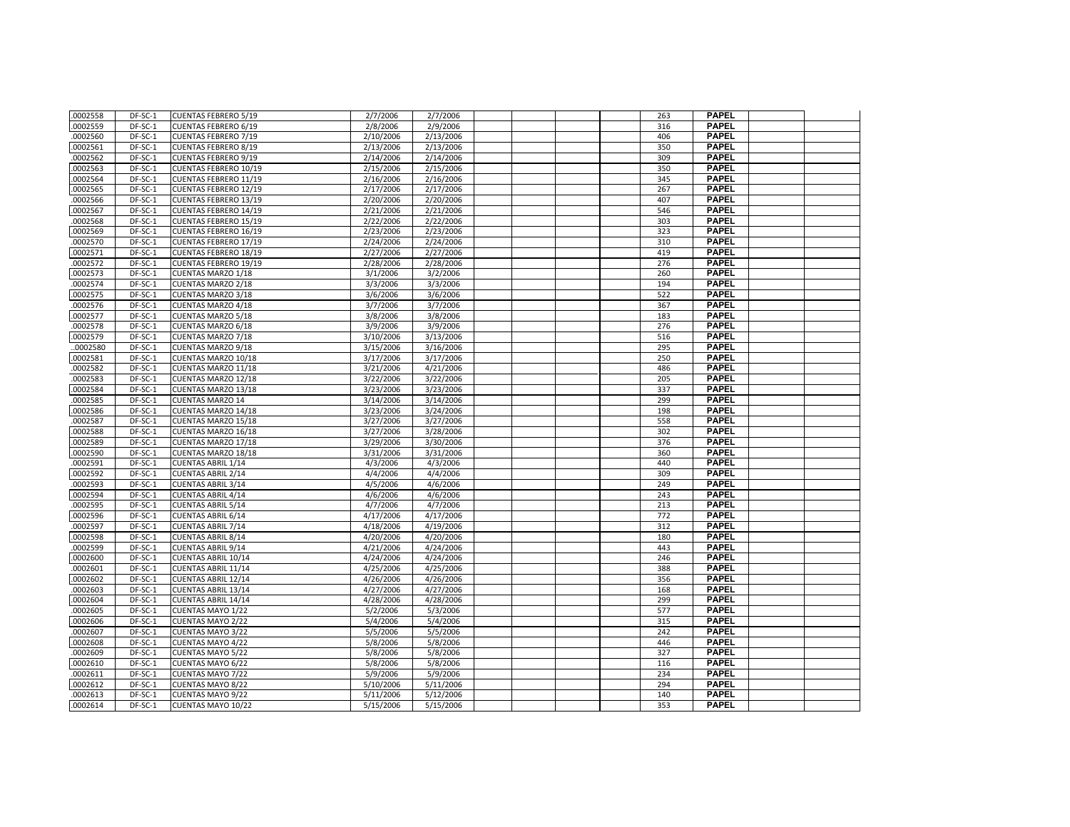| .0002558 | DF-SC-1 | <b>CUENTAS FEBRERO 5/19</b>  | 2/7/2006  | 2/7/2006  |  | 263 | <b>PAPEL</b>                 |  |
|----------|---------|------------------------------|-----------|-----------|--|-----|------------------------------|--|
| .0002559 | DF-SC-1 | <b>CUENTAS FEBRERO 6/19</b>  | 2/8/2006  | 2/9/2006  |  | 316 | <b>PAPEL</b>                 |  |
| 0002560  | DF-SC-1 | <b>CUENTAS FEBRERO 7/19</b>  | 2/10/2006 | 2/13/2006 |  | 406 | <b>PAPEL</b>                 |  |
| .0002561 | DF-SC-1 | <b>CUENTAS FEBRERO 8/19</b>  | 2/13/2006 | 2/13/2006 |  | 350 | <b>PAPEL</b>                 |  |
| 0002562  | DF-SC-1 | <b>CUENTAS FEBRERO 9/19</b>  | 2/14/2006 | 2/14/2006 |  | 309 | <b>PAPEL</b>                 |  |
| .0002563 | DF-SC-1 | CUENTAS FEBRERO 10/19        | 2/15/2006 | 2/15/2006 |  | 350 | <b>PAPEL</b>                 |  |
| 0002564  | DF-SC-1 | <b>CUENTAS FEBRERO 11/19</b> | 2/16/2006 | 2/16/2006 |  | 345 | <b>PAPEL</b>                 |  |
| 0002565  | DF-SC-1 | <b>CUENTAS FEBRERO 12/19</b> | 2/17/2006 | 2/17/2006 |  | 267 | <b>PAPEL</b>                 |  |
| 0002566  | DF-SC-1 | <b>CUENTAS FEBRERO 13/19</b> | 2/20/2006 | 2/20/2006 |  | 407 | <b>PAPEL</b>                 |  |
| .0002567 | DF-SC-1 | <b>CUENTAS FEBRERO 14/19</b> | 2/21/2006 | 2/21/2006 |  | 546 | <b>PAPEL</b>                 |  |
| 0002568  | DF-SC-1 | <b>CUENTAS FEBRERO 15/19</b> | 2/22/2006 | 2/22/2006 |  | 303 | <b>PAPEL</b>                 |  |
| .0002569 | DF-SC-1 | <b>CUENTAS FEBRERO 16/19</b> | 2/23/2006 | 2/23/2006 |  | 323 | <b>PAPEL</b>                 |  |
| .0002570 | DF-SC-1 | <b>CUENTAS FEBRERO 17/19</b> | 2/24/2006 | 2/24/2006 |  | 310 | <b>PAPEL</b>                 |  |
| .0002571 | DF-SC-1 | <b>CUENTAS FEBRERO 18/19</b> | 2/27/2006 | 2/27/2006 |  | 419 | <b>PAPEL</b>                 |  |
| 0002572  | DF-SC-1 | <b>CUENTAS FEBRERO 19/19</b> | 2/28/2006 | 2/28/2006 |  | 276 | <b>PAPEL</b>                 |  |
| 0002573  | DF-SC-1 | CUENTAS MARZO 1/18           | 3/1/2006  | 3/2/2006  |  | 260 | <b>PAPEL</b>                 |  |
| .0002574 | DF-SC-1 | <b>CUENTAS MARZO 2/18</b>    | 3/3/2006  | 3/3/2006  |  | 194 | <b>PAPEL</b>                 |  |
| .0002575 | DF-SC-1 | CUENTAS MARZO 3/18           | 3/6/2006  | 3/6/2006  |  | 522 | <b>PAPEL</b>                 |  |
| .0002576 | DF-SC-1 | CUENTAS MARZO 4/18           | 3/7/2006  | 3/7/2006  |  | 367 | <b>PAPEL</b>                 |  |
| .0002577 | DF-SC-1 | CUENTAS MARZO 5/18           | 3/8/2006  | 3/8/2006  |  | 183 | <b>PAPEL</b>                 |  |
| 0002578  | DF-SC-1 | CUENTAS MARZO 6/18           | 3/9/2006  | 3/9/2006  |  | 276 | <b>PAPEL</b>                 |  |
| .0002579 | DF-SC-1 | <b>CUENTAS MARZO 7/18</b>    | 3/10/2006 | 3/13/2006 |  | 516 | <b>PAPEL</b>                 |  |
| .0002580 | DF-SC-1 | <b>CUENTAS MARZO 9/18</b>    | 3/15/2006 | 3/16/2006 |  | 295 | <b>PAPEL</b>                 |  |
| 0002581  | DF-SC-1 | CUENTAS MARZO 10/18          | 3/17/2006 | 3/17/2006 |  | 250 | <b>PAPEL</b>                 |  |
| .0002582 | DF-SC-1 | CUENTAS MARZO 11/18          | 3/21/2006 | 4/21/2006 |  | 486 | <b>PAPEL</b>                 |  |
| .0002583 | DF-SC-1 | CUENTAS MARZO 12/18          | 3/22/2006 | 3/22/2006 |  | 205 | <b>PAPEL</b>                 |  |
| .0002584 | DF-SC-1 | CUENTAS MARZO 13/18          | 3/23/2006 | 3/23/2006 |  | 337 | <b>PAPEL</b>                 |  |
| 0002585  | DF-SC-1 | <b>CUENTAS MARZO 14</b>      | 3/14/2006 | 3/14/2006 |  | 299 | <b>PAPEL</b>                 |  |
| 0002586  | DF-SC-1 | CUENTAS MARZO 14/18          | 3/23/2006 | 3/24/2006 |  | 198 | <b>PAPEL</b>                 |  |
| .0002587 | DF-SC-1 | CUENTAS MARZO 15/18          | 3/27/2006 | 3/27/2006 |  | 558 | <b>PAPEL</b>                 |  |
| 0002588  | DF-SC-1 | CUENTAS MARZO 16/18          | 3/27/2006 | 3/28/2006 |  | 302 | <b>PAPEL</b>                 |  |
| 0002589  | DF-SC-1 | CUENTAS MARZO 17/18          | 3/29/2006 | 3/30/2006 |  | 376 | <b>PAPEL</b>                 |  |
| 0002590  | DF-SC-1 | CUENTAS MARZO 18/18          | 3/31/2006 | 3/31/2006 |  | 360 | <b>PAPEL</b>                 |  |
| 0002591  | DF-SC-1 | <b>CUENTAS ABRIL 1/14</b>    | 4/3/2006  | 4/3/2006  |  | 440 | <b>PAPEL</b>                 |  |
| .0002592 | DF-SC-1 | <b>CUENTAS ABRIL 2/14</b>    | 4/4/2006  | 4/4/2006  |  | 309 | <b>PAPEL</b>                 |  |
| .0002593 | DF-SC-1 | <b>CUENTAS ABRIL 3/14</b>    | 4/5/2006  | 4/6/2006  |  | 249 | <b>PAPEL</b>                 |  |
| .0002594 | DF-SC-1 | <b>CUENTAS ABRIL 4/14</b>    | 4/6/2006  | 4/6/2006  |  | 243 | <b>PAPEL</b>                 |  |
| .0002595 | DF-SC-1 | <b>CUENTAS ABRIL 5/14</b>    | 4/7/2006  | 4/7/2006  |  | 213 | <b>PAPEL</b>                 |  |
| .0002596 | DF-SC-1 | <b>CUENTAS ABRIL 6/14</b>    | 4/17/2006 | 4/17/2006 |  | 772 | <b>PAPEL</b>                 |  |
| .0002597 | DF-SC-1 | <b>CUENTAS ABRIL 7/14</b>    | 4/18/2006 | 4/19/2006 |  | 312 | <b>PAPEL</b>                 |  |
| .0002598 | DF-SC-1 | <b>CUENTAS ABRIL 8/14</b>    | 4/20/2006 | 4/20/2006 |  | 180 | <b>PAPEL</b>                 |  |
| .0002599 | DF-SC-1 | <b>CUENTAS ABRIL 9/14</b>    | 4/21/2006 | 4/24/2006 |  | 443 | <b>PAPEL</b>                 |  |
| .0002600 | DF-SC-1 | <b>CUENTAS ABRIL 10/14</b>   | 4/24/2006 | 4/24/2006 |  | 246 | <b>PAPEL</b>                 |  |
| 0002601  | DF-SC-1 | <b>CUENTAS ABRIL 11/14</b>   | 4/25/2006 | 4/25/2006 |  | 388 | <b>PAPEL</b>                 |  |
| .0002602 | DF-SC-1 | <b>CUENTAS ABRIL 12/14</b>   | 4/26/2006 | 4/26/2006 |  | 356 | <b>PAPEL</b>                 |  |
| .0002603 | DF-SC-1 | <b>CUENTAS ABRIL 13/14</b>   | 4/27/2006 | 4/27/2006 |  | 168 | <b>PAPEL</b>                 |  |
| 0002604  | DF-SC-1 | <b>CUENTAS ABRIL 14/14</b>   | 4/28/2006 | 4/28/2006 |  | 299 | <b>PAPEL</b>                 |  |
| .0002605 | DF-SC-1 | <b>CUENTAS MAYO 1/22</b>     | 5/2/2006  | 5/3/2006  |  | 577 | <b>PAPEL</b>                 |  |
| .0002606 | DF-SC-1 | <b>CUENTAS MAYO 2/22</b>     | 5/4/2006  | 5/4/2006  |  | 315 | <b>PAPEL</b>                 |  |
| .0002607 | DF-SC-1 | <b>CUENTAS MAYO 3/22</b>     | 5/5/2006  | 5/5/2006  |  | 242 | <b>PAPEL</b>                 |  |
| .0002608 | DF-SC-1 | <b>CUENTAS MAYO 4/22</b>     | 5/8/2006  | 5/8/2006  |  | 446 | <b>PAPEL</b>                 |  |
| .0002609 | DF-SC-1 | CUENTAS MAYO 5/22            | 5/8/2006  | 5/8/2006  |  | 327 | <b>PAPEL</b>                 |  |
| .0002610 | DF-SC-1 | <b>CUENTAS MAYO 6/22</b>     | 5/8/2006  | 5/8/2006  |  | 116 | <b>PAPEL</b>                 |  |
| 0002611  | DF-SC-1 | <b>CUENTAS MAYO 7/22</b>     | 5/9/2006  | 5/9/2006  |  | 234 | <b>PAPEL</b><br><b>PAPEL</b> |  |
| .0002612 | DF-SC-1 | <b>CUENTAS MAYO 8/22</b>     | 5/10/2006 | 5/11/2006 |  | 294 | <b>PAPEL</b>                 |  |
| .0002613 | DF-SC-1 | <b>CUENTAS MAYO 9/22</b>     | 5/11/2006 | 5/12/2006 |  | 140 | <b>PAPEL</b>                 |  |
| .0002614 | DF-SC-1 | CUENTAS MAYO 10/22           | 5/15/2006 | 5/15/2006 |  | 353 |                              |  |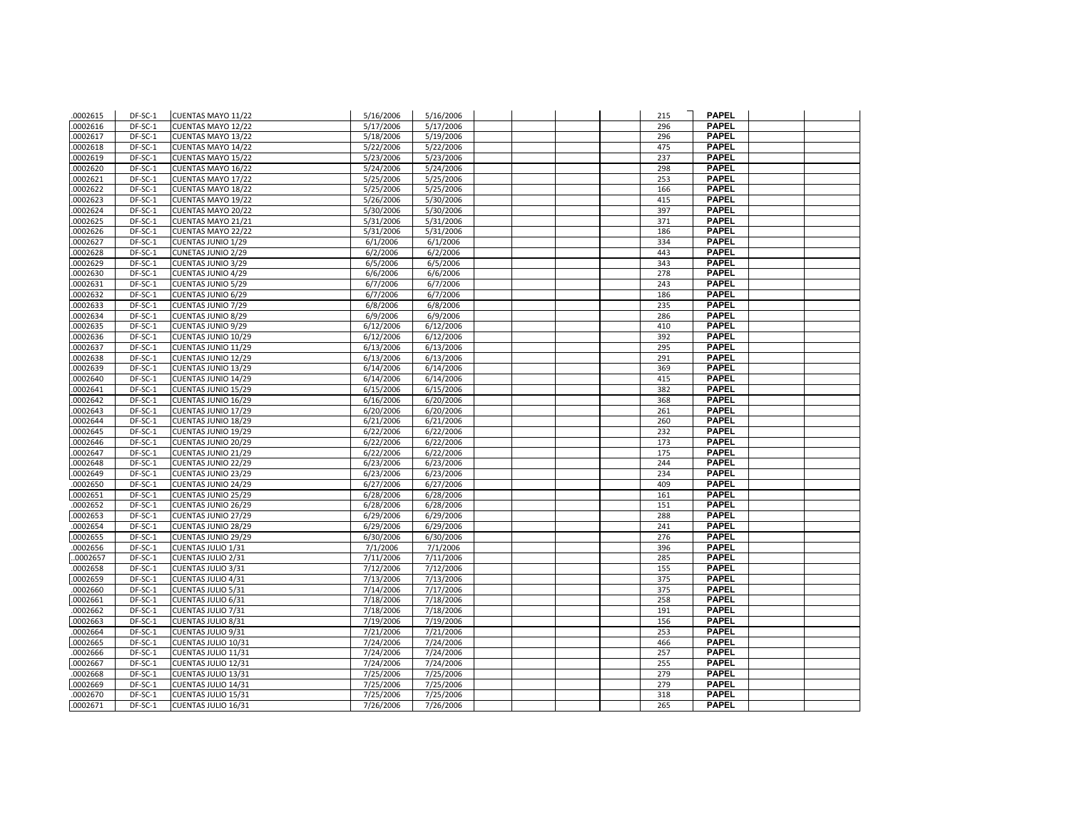| .0002615             | DF-SC-1            | CUENTAS MAYO 11/22                       | 5/16/2006              | 5/16/2006              |  | 215        | <b>PAPEL</b>                 |  |
|----------------------|--------------------|------------------------------------------|------------------------|------------------------|--|------------|------------------------------|--|
| 0002616              | DF-SC-1            | CUENTAS MAYO 12/22                       | 5/17/2006              | 5/17/2006              |  | 296        | <b>PAPEL</b>                 |  |
| 0002617              | DF-SC-1            | CUENTAS MAYO 13/22                       | 5/18/2006              | 5/19/2006              |  | 296        | <b>PAPEL</b>                 |  |
| 0002618              | DF-SC-1            | CUENTAS MAYO 14/22                       | 5/22/2006              | 5/22/2006              |  | 475        | <b>PAPEL</b>                 |  |
| 0002619              | DF-SC-1            | CUENTAS MAYO 15/22                       | 5/23/2006              | 5/23/2006              |  | 237        | <b>PAPEL</b>                 |  |
| 0002620              | DF-SC-1            | CUENTAS MAYO 16/22                       | 5/24/2006              | 5/24/2006              |  | 298        | <b>PAPEL</b>                 |  |
| 0002621              | DF-SC-1            | CUENTAS MAYO 17/22                       | 5/25/2006              | 5/25/2006              |  | 253        | <b>PAPEL</b>                 |  |
| 0002622              | DF-SC-1            | CUENTAS MAYO 18/22                       | 5/25/2006              | 5/25/2006              |  | 166        | <b>PAPEL</b>                 |  |
| 0002623              | DF-SC-1            | CUENTAS MAYO 19/22                       | 5/26/2006              | 5/30/2006              |  | 415        | <b>PAPEL</b>                 |  |
| 0002624              | DF-SC-1            | CUENTAS MAYO 20/22                       | 5/30/2006              | 5/30/2006              |  | 397        | <b>PAPEL</b>                 |  |
| 0002625              | DF-SC-1            | CUENTAS MAYO 21/21                       | 5/31/2006              | 5/31/2006              |  | 371        | <b>PAPEL</b>                 |  |
| 0002626              | DF-SC-1            | CUENTAS MAYO 22/22                       | 5/31/2006              | 5/31/2006              |  | 186        | <b>PAPEL</b>                 |  |
| 0002627              | DF-SC-1            | <b>CUENTAS JUNIO 1/29</b>                | 6/1/2006               | 6/1/2006               |  | 334        | <b>PAPEL</b>                 |  |
| 0002628              | DF-SC-1            | <b>CUNETAS JUNIO 2/29</b>                | 6/2/2006               | 6/2/2006               |  | 443        | <b>PAPEL</b>                 |  |
| 0002629              | DF-SC-1            | <b>CUENTAS JUNIO 3/29</b>                | 6/5/2006               | 6/5/2006               |  | 343        | <b>PAPEL</b>                 |  |
| 0002630              | DF-SC-1            | <b>CUENTAS JUNIO 4/29</b>                | 6/6/2006               | 6/6/2006               |  | 278        | <b>PAPEL</b>                 |  |
| 0002631              | DF-SC-1            | <b>CUENTAS JUNIO 5/29</b>                | 6/7/2006               | 6/7/2006               |  | 243        | <b>PAPEL</b>                 |  |
| 0002632              | DF-SC-1            | <b>CUENTAS JUNIO 6/29</b>                | 6/7/2006               | 6/7/2006               |  | 186        | <b>PAPEL</b>                 |  |
| 0002633              | DF-SC-1            | <b>CUENTAS JUNIO 7/29</b>                | 6/8/2006               | 6/8/2006               |  | 235        | <b>PAPEL</b>                 |  |
| 0002634              | DF-SC-1            | <b>CUENTAS JUNIO 8/29</b>                | 6/9/2006               | 6/9/2006               |  | 286        | <b>PAPEL</b>                 |  |
| 0002635              | DF-SC-1            | <b>CUENTAS JUNIO 9/29</b>                | 6/12/2006              | 6/12/2006              |  | 410        | <b>PAPEL</b>                 |  |
| 0002636              | DF-SC-1            | CUENTAS JUNIO 10/29                      | 6/12/2006              | 6/12/2006              |  | 392        | <b>PAPEL</b>                 |  |
| 0002637              | DF-SC-1            | CUENTAS JUNIO 11/29                      | 6/13/2006              | 6/13/2006              |  | 295        | <b>PAPEL</b>                 |  |
| 0002638              | $DF-SC-1$          | CUENTAS JUNIO 12/29                      | $\sqrt{6/13}/2006$     | 6/13/2006              |  | 291        | <b>PAPEL</b>                 |  |
| 0002639              | DF-SC-1            | CUENTAS JUNIO 13/29                      | 6/14/2006              | 6/14/2006              |  | 369        | <b>PAPEL</b>                 |  |
| 0002640              | DF-SC-1            | CUENTAS JUNIO 14/29                      | 6/14/2006              | 6/14/2006              |  | 415        | <b>PAPEL</b>                 |  |
| 0002641              | DF-SC-1            | CUENTAS JUNIO 15/29                      | 6/15/2006              | 6/15/2006              |  | 382        | <b>PAPEL</b>                 |  |
| 0002642              | DF-SC-1            | CUENTAS JUNIO 16/29                      | 6/16/2006              | 6/20/2006              |  | 368        | <b>PAPEL</b>                 |  |
| 0002643              | DF-SC-1            | <b>CUENTAS JUNIO 17/29</b>               | 6/20/2006              | 6/20/2006              |  | 261        | <b>PAPEL</b>                 |  |
| 0002644              | DF-SC-1            | <b>CUENTAS JUNIO 18/29</b>               | 6/21/2006              | 6/21/2006              |  | 260        | <b>PAPEL</b>                 |  |
| 0002645              | DF-SC-1            | CUENTAS JUNIO 19/29                      | 6/22/2006              | 6/22/2006              |  | 232        | <b>PAPEL</b>                 |  |
| 0002646              | DF-SC-1            | CUENTAS JUNIO 20/29                      | 6/22/2006              | 6/22/2006              |  | 173        | <b>PAPEL</b>                 |  |
| 0002647              | DF-SC-1            | CUENTAS JUNIO 21/29                      | 6/22/2006              | 6/22/2006              |  | 175        | <b>PAPEL</b>                 |  |
| 0002648              | DF-SC-1            | CUENTAS JUNIO 22/29                      | 6/23/2006              | 6/23/2006              |  | 244        | <b>PAPEL</b>                 |  |
| .0002649             | DF-SC-1            | <b>CUENTAS JUNIO 23/29</b>               | 6/23/2006              | 6/23/2006              |  | 234        | <b>PAPEL</b>                 |  |
| .0002650             | DF-SC-1            | <b>CUENTAS JUNIO 24/29</b>               | 6/27/2006              | 6/27/2006              |  | 409        | <b>PAPEL</b>                 |  |
| 0002651              | DF-SC-1            | CUENTAS JUNIO 25/29                      | 6/28/2006              | 6/28/2006              |  | 161        | <b>PAPEL</b>                 |  |
| .0002652             | DF-SC-1            | CUENTAS JUNIO 26/29                      | 6/28/2006              | 6/28/2006              |  | 151        | <b>PAPEL</b>                 |  |
| .0002653             | DF-SC-1            | CUENTAS JUNIO 27/29                      | 6/29/2006              | 6/29/2006              |  | 288        | <b>PAPEL</b>                 |  |
| 0002654              | DF-SC-1            | CUENTAS JUNIO 28/29                      | 6/29/2006              | 6/29/2006              |  | 241        | <b>PAPEL</b>                 |  |
| .0002655             | DF-SC-1            | CUENTAS JUNIO 29/29                      | 6/30/2006              | 6/30/2006              |  | 276        | <b>PAPEL</b>                 |  |
| .0002656             | DF-SC-1            | CUENTAS JULIO 1/31                       | 7/1/2006               | 7/1/2006               |  | 396        | <b>PAPEL</b>                 |  |
| .0002657             | DF-SC-1            | <b>CUENTAS JULIO 2/31</b>                | 7/11/2006              | 7/11/2006              |  | 285        | <b>PAPEL</b>                 |  |
| 0002658              | DF-SC-1            | CUENTAS JULIO 3/31                       | 7/12/2006              | 7/12/2006              |  | 155        | <b>PAPEL</b>                 |  |
| .0002659             | DF-SC-1            | CUENTAS JULIO 4/31                       | 7/13/2006              | 7/13/2006              |  | 375        | <b>PAPEL</b><br><b>PAPEL</b> |  |
| .0002660<br>.0002661 | DF-SC-1<br>DF-SC-1 | CUENTAS JULIO 5/31<br>CUENTAS JULIO 6/31 | 7/14/2006<br>7/18/2006 | 7/17/2006<br>7/18/2006 |  | 375<br>258 | <b>PAPEL</b>                 |  |
|                      |                    |                                          |                        |                        |  |            | <b>PAPEL</b>                 |  |
| .0002662<br>.0002663 | DF-SC-1<br>DF-SC-1 | CUENTAS JULIO 7/31<br>CUENTAS JULIO 8/31 | 7/18/2006<br>7/19/2006 | 7/18/2006<br>7/19/2006 |  | 191<br>156 | <b>PAPEL</b>                 |  |
| .0002664             | DF-SC-1            | CUENTAS JULIO 9/31                       | 7/21/2006              | 7/21/2006              |  | 253        | <b>PAPEL</b>                 |  |
| .0002665             | DF-SC-1            | CUENTAS JULIO 10/31                      | 7/24/2006              | 7/24/2006              |  | 466        | <b>PAPEL</b>                 |  |
| .0002666             | DF-SC-1            | CUENTAS JULIO 11/31                      | 7/24/2006              | 7/24/2006              |  | 257        | <b>PAPEL</b>                 |  |
| 0002667              | DF-SC-1            | CUENTAS JULIO 12/31                      | 7/24/2006              | 7/24/2006              |  | 255        | <b>PAPEL</b>                 |  |
| .0002668             | DF-SC-1            | CUENTAS JULIO 13/31                      | 7/25/2006              | 7/25/2006              |  | 279        | <b>PAPEL</b>                 |  |
| .0002669             | DF-SC-1            | CUENTAS JULIO 14/31                      | 7/25/2006              | 7/25/2006              |  | 279        | <b>PAPEL</b>                 |  |
| 0002670              | DF-SC-1            | CUENTAS JULIO 15/31                      | 7/25/2006              | 7/25/2006              |  | 318        | <b>PAPEL</b>                 |  |
| .0002671             | DF-SC-1            | CUENTAS JULIO 16/31                      | 7/26/2006              | 7/26/2006              |  | 265        | <b>PAPEL</b>                 |  |
|                      |                    |                                          |                        |                        |  |            |                              |  |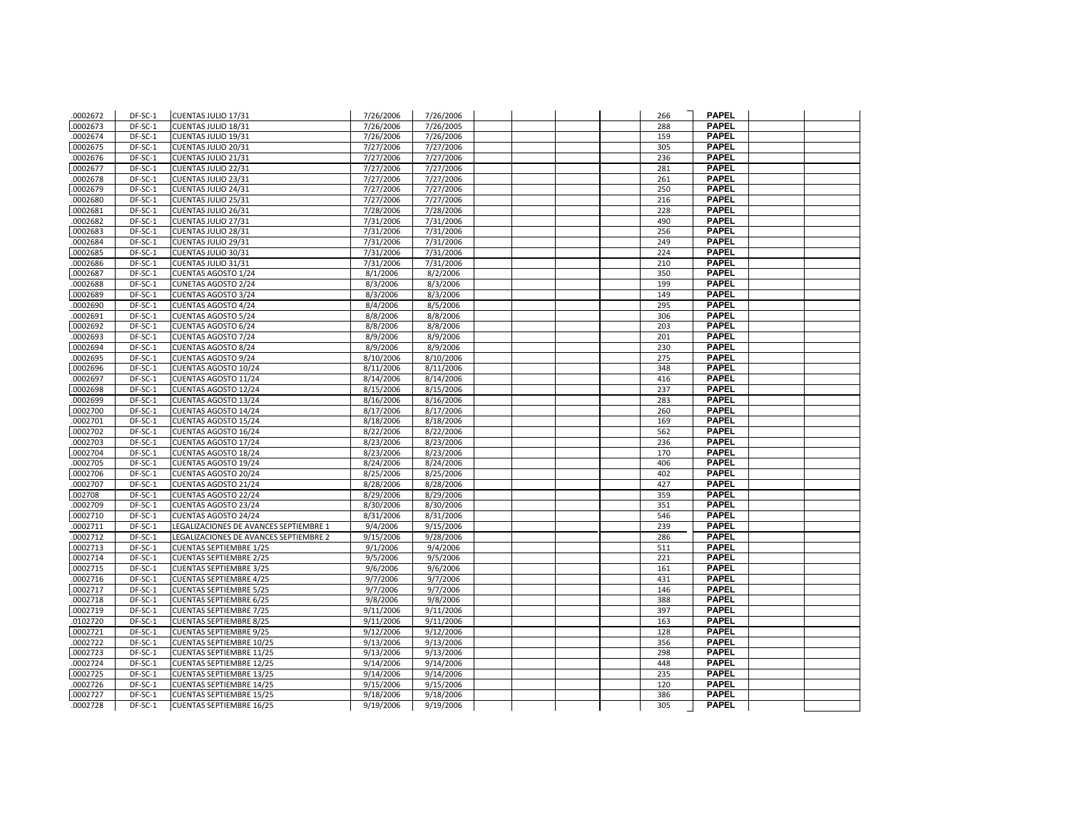| .0002672             | DF-SC-1            | CUENTAS JULIO 17/31                                        | 7/26/2006              | 7/26/2006              |  | 266        | <b>PAPEL</b>                 |  |
|----------------------|--------------------|------------------------------------------------------------|------------------------|------------------------|--|------------|------------------------------|--|
| .0002673             | DF-SC-1            | CUENTAS JULIO 18/31                                        | 7/26/2006              | 7/26/2005              |  | 288        | <b>PAPEL</b>                 |  |
| .0002674             | DF-SC-1            | CUENTAS JULIO 19/31                                        | 7/26/2006              | 7/26/2006              |  | 159        | <b>PAPEL</b>                 |  |
| .0002675             | DF-SC-1            | CUENTAS JULIO 20/31                                        | 7/27/2006              | 7/27/2006              |  | 305        | <b>PAPEL</b>                 |  |
| .0002676             | DF-SC-1            | CUENTAS JULIO 21/31                                        | 7/27/2006              | 7/27/2006              |  | 236        | <b>PAPEL</b>                 |  |
| .0002677             | DF-SC-1            | CUENTAS JULIO 22/31                                        | 7/27/2006              | 7/27/2006              |  | 281        | <b>PAPEL</b>                 |  |
| .0002678             | DF-SC-1            | CUENTAS JULIO 23/31                                        | 7/27/2006              | 7/27/2006              |  | 261        | <b>PAPEL</b>                 |  |
| .0002679             | DF-SC-1            | CUENTAS JULIO 24/31                                        | 7/27/2006              | 7/27/2006              |  | 250        | <b>PAPEL</b>                 |  |
| .0002680             | DF-SC-1            | CUENTAS JULIO 25/31                                        | 7/27/2006              | 7/27/2006              |  | 216        | <b>PAPEL</b>                 |  |
| .0002681             | DF-SC-1            | CUENTAS JULIO 26/31                                        | 7/28/2006              | 7/28/2006              |  | 228        | <b>PAPEL</b>                 |  |
| .0002682             | DF-SC-1            | CUENTAS JULIO 27/31                                        | 7/31/2006              | 7/31/2006              |  | 490        | <b>PAPEL</b>                 |  |
| .0002683             | DF-SC-1            | CUENTAS JULIO 28/31                                        | 7/31/2006              | 7/31/2006              |  | 256        | <b>PAPEL</b>                 |  |
| .0002684             | DF-SC-1            | CUENTAS JULIO 29/31                                        | 7/31/2006              | 7/31/2006              |  | 249        | <b>PAPEL</b>                 |  |
| .0002685             | DF-SC-1            | CUENTAS JULIO 30/31                                        | 7/31/2006              | 7/31/2006              |  | 224        | <b>PAPEL</b>                 |  |
| .0002686             | DF-SC-1            | CUENTAS JULIO 31/31                                        | 7/31/2006              | 7/31/2006              |  | 210        | <b>PAPEL</b>                 |  |
| .0002687             | DF-SC-1            | <b>CUENTAS AGOSTO 1/24</b>                                 | 8/1/2006               | 8/2/2006               |  | 350        | <b>PAPEL</b>                 |  |
| .0002688             | DF-SC-1            | CUNETAS AGOSTO 2/24                                        | 8/3/2006               | 8/3/2006               |  | 199        | <b>PAPEL</b>                 |  |
| .0002689             | DF-SC-1            | <b>CUENTAS AGOSTO 3/24</b>                                 | 8/3/2006               | 8/3/2006               |  | 149        | <b>PAPEL</b>                 |  |
| .0002690             | DF-SC-1            | <b>CUENTAS AGOSTO 4/24</b>                                 | 8/4/2006               | 8/5/2006               |  | 295        | <b>PAPEL</b>                 |  |
| .0002691             | DF-SC-1            | <b>CUENTAS AGOSTO 5/24</b>                                 | 8/8/2006               | 8/8/2006               |  | 306        | <b>PAPEL</b>                 |  |
| .0002692             | DF-SC-1            | <b>CUENTAS AGOSTO 6/24</b>                                 | 8/8/2006               | 8/8/2006               |  | 203        | <b>PAPEL</b>                 |  |
| .0002693             | DF-SC-1            | <b>CUENTAS AGOSTO 7/24</b>                                 | 8/9/2006               | 8/9/2006               |  | 201        | <b>PAPEL</b>                 |  |
| .0002694             | DF-SC-1            | <b>CUENTAS AGOSTO 8/24</b>                                 | 8/9/2006               | 8/9/2006               |  | 230        | <b>PAPEL</b>                 |  |
| .0002695             | DF-SC-1            | <b>CUENTAS AGOSTO 9/24</b>                                 | 8/10/2006              | 8/10/2006              |  | 275        | <b>PAPEL</b>                 |  |
| .0002696             | DF-SC-1            | CUENTAS AGOSTO 10/24                                       | 8/11/2006              | 8/11/2006              |  | 348        | <b>PAPEL</b>                 |  |
| .0002697             | DF-SC-1            | <b>CUENTAS AGOSTO 11/24</b>                                | 8/14/2006              | 8/14/2006              |  | 416        | <b>PAPEL</b>                 |  |
| .0002698             | DF-SC-1            | CUENTAS AGOSTO 12/24                                       | $\frac{8}{15/2006}$    | 8/15/2006              |  | 237        | <b>PAPEL</b>                 |  |
| .0002699             | DF-SC-1            | CUENTAS AGOSTO 13/24                                       | 8/16/2006              | 8/16/2006              |  | 283        | <b>PAPEL</b>                 |  |
| .0002700             | DF-SC-1            | <b>CUENTAS AGOSTO 14/24</b>                                | 8/17/2006              | 8/17/2006              |  | 260        | <b>PAPEL</b>                 |  |
| .0002701             | DF-SC-1            | CUENTAS AGOSTO 15/24                                       | 8/18/2006              | 8/18/2006              |  | 169        | <b>PAPEL</b>                 |  |
| .0002702             | DF-SC-1            | CUENTAS AGOSTO 16/24                                       | 8/22/2006              | 8/22/2006              |  | 562        | <b>PAPEL</b><br><b>PAPEL</b> |  |
| .0002703             | DF-SC-1            | CUENTAS AGOSTO 17/24                                       | 8/23/2006              | 8/23/2006              |  | 236        | <b>PAPEL</b>                 |  |
| .0002704             | DF-SC-1            | CUENTAS AGOSTO 18/24                                       | 8/23/2006              | 8/23/2006              |  | 170        | <b>PAPEL</b>                 |  |
| .0002705<br>.0002706 | DF-SC-1<br>DF-SC-1 | <b>CUENTAS AGOSTO 19/24</b><br><b>CUENTAS AGOSTO 20/24</b> | 8/24/2006<br>8/25/2006 | 8/24/2006<br>8/25/2006 |  | 406<br>402 | <b>PAPEL</b>                 |  |
| .0002707             | DF-SC-1            | CUENTAS AGOSTO 21/24                                       | 8/28/2006              | 8/28/2006              |  | 427        | <b>PAPEL</b>                 |  |
| .002708              | DF-SC-1            | CUENTAS AGOSTO 22/24                                       | 8/29/2006              | 8/29/2006              |  | 359        | <b>PAPEL</b>                 |  |
| .0002709             | DF-SC-1            | CUENTAS AGOSTO 23/24                                       | 8/30/2006              | 8/30/2006              |  | 351        | <b>PAPEL</b>                 |  |
| .0002710             | DF-SC-1            | <b>CUENTAS AGOSTO 24/24</b>                                | 8/31/2006              | 8/31/2006              |  | 546        | <b>PAPEL</b>                 |  |
| .0002711             | DF-SC-1            | LEGALIZACIONES DE AVANCES SEPTIEMBRE 1                     | 9/4/2006               | 9/15/2006              |  | 239        | <b>PAPEL</b>                 |  |
| .0002712             | DF-SC-1            | LEGALIZACIONES DE AVANCES SEPTIEMBRE 2                     | 9/15/2006              | 9/28/2006              |  | 286        | <b>PAPEL</b>                 |  |
| .0002713             | DF-SC-1            | <b>CUENTAS SEPTIEMBRE 1/25</b>                             | 9/1/2006               | 9/4/2006               |  | 511        | <b>PAPEL</b>                 |  |
| .0002714             | DF-SC-1            | <b>CUENTAS SEPTIEMBRE 2/25</b>                             | 9/5/2006               | 9/5/2006               |  | 221        | <b>PAPEL</b>                 |  |
| .0002715             | DF-SC-1            | <b>CUENTAS SEPTIEMBRE 3/25</b>                             | 9/6/2006               | 9/6/2006               |  | 161        | <b>PAPEL</b>                 |  |
| .0002716             | DF-SC-1            | <b>CUENTAS SEPTIEMBRE 4/25</b>                             | 9/7/2006               | 9/7/2006               |  | 431        | <b>PAPEL</b>                 |  |
| .0002717             | DF-SC-1            | <b>CUENTAS SEPTIEMBRE 5/25</b>                             | 9/7/2006               | 9/7/2006               |  | 146        | <b>PAPEL</b>                 |  |
| .0002718             | DF-SC-1            | <b>CUENTAS SEPTIEMBRE 6/25</b>                             | 9/8/2006               | 9/8/2006               |  | 388        | <b>PAPEL</b>                 |  |
| .0002719             | DF-SC-1            | <b>CUENTAS SEPTIEMBRE 7/25</b>                             | 9/11/2006              | 9/11/2006              |  | 397        | <b>PAPEL</b>                 |  |
| .0102720             | DF-SC-1            | <b>CUENTAS SEPTIEMBRE 8/25</b>                             | 9/11/2006              | 9/11/2006              |  | 163        | <b>PAPEL</b>                 |  |
| .0002721             | DF-SC-1            | <b>CUENTAS SEPTIEMBRE 9/25</b>                             | 9/12/2006              | 9/12/2006              |  | 128        | <b>PAPEL</b>                 |  |
| .0002722             | DF-SC-1            | <b>CUENTAS SEPTIEMBRE 10/25</b>                            | 9/13/2006              | 9/13/2006              |  | 356        | <b>PAPEL</b>                 |  |
| .0002723             | DF-SC-1            | <b>CUENTAS SEPTIEMBRE 11/25</b>                            | 9/13/2006              | 9/13/2006              |  | 298        | <b>PAPEL</b>                 |  |
| .0002724             | DF-SC-1            | <b>CUENTAS SEPTIEMBRE 12/25</b>                            | 9/14/2006              | 9/14/2006              |  | 448        | <b>PAPEL</b>                 |  |
| .0002725             | DF-SC-1            | <b>CUENTAS SEPTIEMBRE 13/25</b>                            | 9/14/2006              | 9/14/2006              |  | 235        | <b>PAPEL</b>                 |  |
| .0002726             | DF-SC-1            | <b>CUENTAS SEPTIEMBRE 14/25</b>                            | 9/15/2006              | 9/15/2006              |  | 120        | <b>PAPEL</b>                 |  |
| .0002727             | DF-SC-1            | <b>CUENTAS SEPTIEMBRE 15/25</b>                            | 9/18/2006              | 9/18/2006              |  | 386        | <b>PAPEL</b>                 |  |
| .0002728             | DF-SC-1            | <b>CUENTAS SEPTIEMBRE 16/25</b>                            | 9/19/2006              | 9/19/2006              |  | 305        | <b>PAPEL</b>                 |  |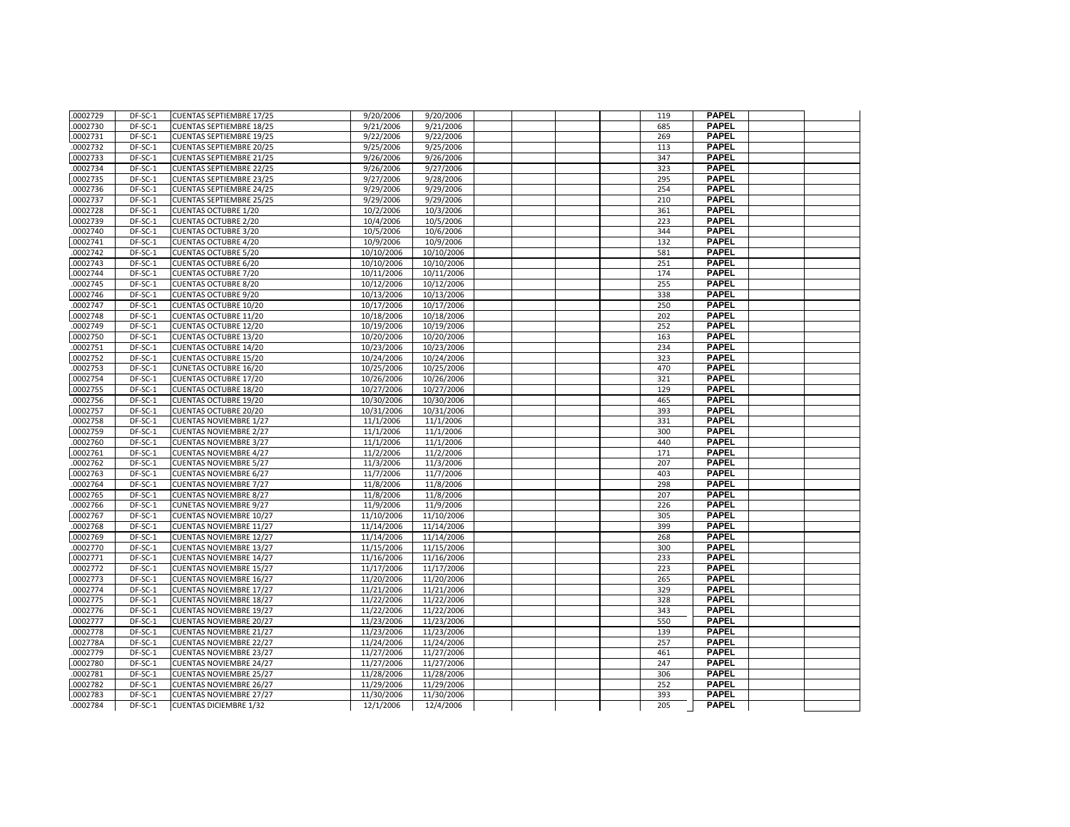| .0002729             | DF-SC-1            | <b>CUENTAS SEPTIEMBRE 17/25</b>                                  | 9/20/2006                | 9/20/2006                |  | 119        | <b>PAPEL</b>                 |  |
|----------------------|--------------------|------------------------------------------------------------------|--------------------------|--------------------------|--|------------|------------------------------|--|
| .0002730             | DF-SC-1            | <b>CUENTAS SEPTIEMBRE 18/25</b>                                  | 9/21/2006                | 9/21/2006                |  | 685        | <b>PAPEL</b>                 |  |
| .0002731             | DF-SC-1            | <b>CUENTAS SEPTIEMBRE 19/25</b>                                  | 9/22/2006                | 9/22/2006                |  | 269        | <b>PAPEL</b>                 |  |
| .0002732             | DF-SC-1            | <b>CUENTAS SEPTIEMBRE 20/25</b>                                  | 9/25/2006                | 9/25/2006                |  | 113        | <b>PAPEL</b>                 |  |
| .0002733             | DF-SC-1            | <b>CUENTAS SEPTIEMBRE 21/25</b>                                  | 9/26/2006                | 9/26/2006                |  | 347        | <b>PAPEL</b>                 |  |
| .0002734             | DF-SC-1            | <b>CUENTAS SEPTIEMBRE 22/25</b>                                  | 9/26/2006                | 9/27/2006                |  | 323        | <b>PAPEL</b>                 |  |
| .0002735             | DF-SC-1            | <b>CUENTAS SEPTIEMBRE 23/25</b>                                  | 9/27/2006                | 9/28/2006                |  | 295        | <b>PAPEL</b>                 |  |
| .0002736             | DF-SC-1            | <b>CUENTAS SEPTIEMBRE 24/25</b>                                  | 9/29/2006                | 9/29/2006                |  | 254        | <b>PAPEL</b>                 |  |
| .0002737             | DF-SC-1            | <b>CUENTAS SEPTIEMBRE 25/25</b>                                  | 9/29/2006                | 9/29/2006                |  | 210        | <b>PAPEL</b>                 |  |
| .0002728             | DF-SC-1            | <b>CUENTAS OCTUBRE 1/20</b>                                      | 10/2/2006                | 10/3/2006                |  | 361        | <b>PAPEL</b>                 |  |
| .0002739             | DF-SC-1            | <b>CUENTAS OCTUBRE 2/20</b>                                      | 10/4/2006                | 10/5/2006                |  | 223        | <b>PAPEL</b>                 |  |
| .0002740             | DF-SC-1            | <b>CUENTAS OCTUBRE 3/20</b>                                      | 10/5/2006                | 10/6/2006                |  | 344        | <b>PAPEL</b>                 |  |
| .0002741             | DF-SC-1            | <b>CUENTAS OCTUBRE 4/20</b>                                      | 10/9/2006                | 10/9/2006                |  | 132        | <b>PAPEL</b>                 |  |
| .0002742             | DF-SC-1            | <b>CUENTAS OCTUBRE 5/20</b>                                      | 10/10/2006               | 10/10/2006               |  | 581        | <b>PAPEL</b>                 |  |
| .0002743             | DF-SC-1            | <b>CUENTAS OCTUBRE 6/20</b>                                      | 10/10/2006               | 10/10/2006               |  | 251        | <b>PAPEL</b>                 |  |
| .0002744             | $DF-SC-1$          | <b>CUENTAS OCTUBRE 7/20</b>                                      | 10/11/2006               | 10/11/2006               |  | 174        | <b>PAPEL</b>                 |  |
| .0002745             | DF-SC-1            | <b>CUENTAS OCTUBRE 8/20</b>                                      | 10/12/2006               | 10/12/2006               |  | 255        | <b>PAPEL</b>                 |  |
| .0002746             | DF-SC-1            | <b>CUENTAS OCTUBRE 9/20</b>                                      | 10/13/2006               | 10/13/2006               |  | 338        | <b>PAPEL</b>                 |  |
| .0002747             | DF-SC-1            | <b>CUENTAS OCTUBRE 10/20</b>                                     | 10/17/2006               | 10/17/2006               |  | 250        | <b>PAPEL</b>                 |  |
| .0002748             | $DF-SC-1$          | <b>CUENTAS OCTUBRE 11/20</b>                                     | 10/18/2006               | 10/18/2006               |  | 202        | <b>PAPEL</b>                 |  |
| 0002749              | DF-SC-1            | <b>CUENTAS OCTUBRE 12/20</b>                                     | 10/19/2006               | 10/19/2006               |  | 252        | <b>PAPEL</b>                 |  |
| .0002750             | DF-SC-1            | <b>CUENTAS OCTUBRE 13/20</b>                                     | 10/20/2006               | 10/20/2006               |  | 163        | <b>PAPEL</b>                 |  |
| .0002751             | DF-SC-1            | <b>CUENTAS OCTUBRE 14/20</b>                                     | 10/23/2006               | 10/23/2006               |  | 234        | <b>PAPEL</b>                 |  |
| .0002752             | DF-SC-1            | <b>CUENTAS OCTUBRE 15/20</b>                                     | 10/24/2006               | 10/24/2006               |  | 323        | <b>PAPEL</b>                 |  |
| .0002753             | DF-SC-1            | CUNETAS OCTUBRE 16/20                                            | 10/25/2006               | 10/25/2006               |  | 470        | <b>PAPEL</b>                 |  |
| .0002754             | DF-SC-1            | <b>CUENTAS OCTUBRE 17/20</b>                                     | 10/26/2006               | 10/26/2006               |  | 321        | <b>PAPEL</b>                 |  |
| .0002755             | DF-SC-1            | <b>CUENTAS OCTUBRE 18/20</b>                                     | 10/27/2006               | 10/27/2006               |  | 129        | <b>PAPEL</b>                 |  |
| .0002756             | DF-SC-1            | <b>CUENTAS OCTUBRE 19/20</b>                                     | 10/30/2006               | 10/30/2006               |  | 465        | <b>PAPEL</b>                 |  |
| .0002757             | DF-SC-1            | <b>CUENTAS OCTUBRE 20/20</b>                                     | 10/31/2006               | 10/31/2006               |  | 393        | <b>PAPEL</b>                 |  |
| .0002758             | $DF-SC-1$          | <b>CUENTAS NOVIEMBRE 1/27</b>                                    | 11/1/2006                | 11/1/2006                |  | 331        | <b>PAPEL</b>                 |  |
| .0002759             | DF-SC-1            | <b>CUENTAS NOVIEMBRE 2/27</b>                                    | 11/1/2006                | 11/1/2006                |  | 300        | <b>PAPEL</b>                 |  |
| .0002760             | DF-SC-1            | <b>CUENTAS NOVIEMBRE 3/27</b>                                    | 11/1/2006                | 11/1/2006                |  | 440        | <b>PAPEL</b>                 |  |
| .0002761             | DF-SC-1            | <b>CUENTAS NOVIEMBRE 4/27</b>                                    | 11/2/2006                | 11/2/2006                |  | 171        | <b>PAPEL</b>                 |  |
| 0002762              | DF-SC-1            | <b>CUENTAS NOVIEMBRE 5/27</b>                                    | 11/3/2006                | 11/3/2006                |  | 207        | <b>PAPEL</b>                 |  |
| .0002763             | DF-SC-1            | <b>CUENTAS NOVIEMBRE 6/27</b>                                    | 11/7/2006                | 11/7/2006                |  | 403        | <b>PAPEL</b>                 |  |
| .0002764             | DF-SC-1            | <b>CUENTAS NOVIEMBRE 7/27</b>                                    | 11/8/2006                | 11/8/2006                |  | 298        | <b>PAPEL</b>                 |  |
| .0002765             | DF-SC-1            | <b>CUENTAS NOVIEMBRE 8/27</b>                                    | 11/8/2006                | 11/8/2006                |  | 207        | <b>PAPEL</b>                 |  |
| .0002766             | DF-SC-1            | <b>CUNETAS NOVIEMBRE 9/27</b>                                    | 11/9/2006                | 11/9/2006                |  | 226        | <b>PAPEL</b>                 |  |
| .0002767             | DF-SC-1            | CUENTAS NOVIEMBRE 10/27                                          | 11/10/2006               | 11/10/2006               |  | 305        | <b>PAPEL</b>                 |  |
| .0002768             | DF-SC-1            | <b>CUENTAS NOVIEMBRE 11/27</b>                                   | 11/14/2006               | 11/14/2006               |  | 399        | <b>PAPEL</b>                 |  |
| .0002769             | DF-SC-1            | <b>CUENTAS NOVIEMBRE 12/27</b>                                   | 11/14/2006               | 11/14/2006               |  | 268        | <b>PAPEL</b>                 |  |
| .0002770             | DF-SC-1            | <b>CUENTAS NOVIEMBRE 13/27</b>                                   | 11/15/2006               | 11/15/2006               |  | 300        | <b>PAPEL</b>                 |  |
| .0002771             | DF-SC-1            | <b>CUENTAS NOVIEMBRE 14/27</b>                                   | 11/16/2006               | 11/16/2006               |  | 233        | <b>PAPEL</b>                 |  |
| 0002772              | DF-SC-1            | <b>CUENTAS NOVIEMBRE 15/27</b>                                   | 11/17/2006               | 11/17/2006               |  | 223        | <b>PAPEL</b>                 |  |
| .0002773             | DF-SC-1            | <b>CUENTAS NOVIEMBRE 16/27</b>                                   | 11/20/2006               | 11/20/2006               |  | 265        | <b>PAPEL</b>                 |  |
| .0002774             | DF-SC-1            | <b>CUENTAS NOVIEMBRE 17/27</b>                                   | 11/21/2006               | 11/21/2006               |  | 329        | <b>PAPEL</b>                 |  |
| .0002775             | DF-SC-1            | <b>CUENTAS NOVIEMBRE 18/27</b>                                   | 11/22/2006               | 11/22/2006               |  | 328        | <b>PAPEL</b>                 |  |
| 0002776              | DF-SC-1            | <b>CUENTAS NOVIEMBRE 19/27</b>                                   | 11/22/2006               | 11/22/2006               |  | 343        | <b>PAPEL</b>                 |  |
| .0002777             | DF-SC-1            | <b>CUENTAS NOVIEMBRE 20/27</b>                                   | 11/23/2006               | 11/23/2006               |  | 550        | <b>PAPEL</b>                 |  |
| .0002778             | DF-SC-1            | <b>CUENTAS NOVIEMBRE 21/27</b>                                   | 11/23/2006               | 11/23/2006               |  | 139        | <b>PAPEL</b>                 |  |
| .002778A             | DF-SC-1            | <b>CUENTAS NOVIEMBRE 22/27</b>                                   | 11/24/2006               | 11/24/2006               |  | 257        | <b>PAPEL</b>                 |  |
| .0002779             | DF-SC-1            | <b>CUENTAS NOVIEMBRE 23/27</b>                                   | 11/27/2006               | 11/27/2006               |  | 461        | <b>PAPEL</b>                 |  |
| .0002780             | DF-SC-1            | <b>CUENTAS NOVIEMBRE 24/27</b>                                   | 11/27/2006               | 11/27/2006               |  | 247        | <b>PAPEL</b><br><b>PAPEL</b> |  |
| .0002781<br>.0002782 | DF-SC-1<br>DF-SC-1 | <b>CUENTAS NOVIEMBRE 25/27</b><br><b>CUENTAS NOVIEMBRE 26/27</b> | 11/28/2006<br>11/29/2006 | 11/28/2006<br>11/29/2006 |  | 306<br>252 | <b>PAPEL</b>                 |  |
| .0002783             | DF-SC-1            | <b>CUENTAS NOVIEMBRE 27/27</b>                                   | 11/30/2006               | 11/30/2006               |  | 393        | <b>PAPEL</b>                 |  |
| .0002784             | DF-SC-1            | <b>CUENTAS DICIEMBRE 1/32</b>                                    | 12/1/2006                | 12/4/2006                |  | 205        | <b>PAPEL</b>                 |  |
|                      |                    |                                                                  |                          |                          |  |            |                              |  |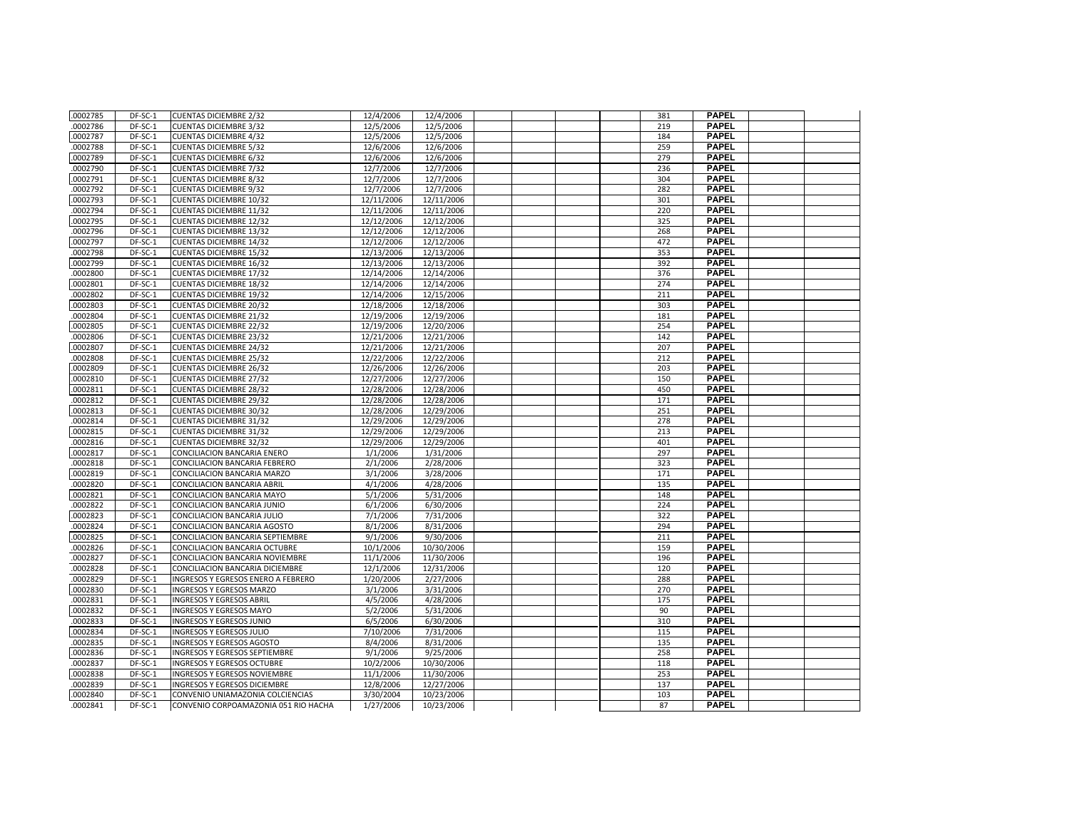| .0002785 | DF-SC-1 | <b>CUENTAS DICIEMBRE 2/32</b>        | 12/4/2006               | 12/4/2006  |  | 381 | <b>PAPEL</b> |  |
|----------|---------|--------------------------------------|-------------------------|------------|--|-----|--------------|--|
| .0002786 | DF-SC-1 | <b>CUENTAS DICIEMBRE 3/32</b>        | 12/5/2006               | 12/5/2006  |  | 219 | <b>PAPEL</b> |  |
| .0002787 | DF-SC-1 | <b>CUENTAS DICIEMBRE 4/32</b>        | 12/5/2006               | 12/5/2006  |  | 184 | <b>PAPEL</b> |  |
| .0002788 | DF-SC-1 | <b>CUENTAS DICIEMBRE 5/32</b>        | 12/6/2006               | 12/6/2006  |  | 259 | <b>PAPEL</b> |  |
| .0002789 | DF-SC-1 | <b>CUENTAS DICIEMBRE 6/32</b>        | 12/6/2006               | 12/6/2006  |  | 279 | <b>PAPEL</b> |  |
| .0002790 | DF-SC-1 | <b>CUENTAS DICIEMBRE 7/32</b>        | 12/7/2006               | 12/7/2006  |  | 236 | <b>PAPEL</b> |  |
| .0002791 | DF-SC-1 | <b>CUENTAS DICIEMBRE 8/32</b>        | 12/7/2006               | 12/7/2006  |  | 304 | <b>PAPEL</b> |  |
| .0002792 | DF-SC-1 | <b>CUENTAS DICIEMBRE 9/32</b>        | 12/7/2006               | 12/7/2006  |  | 282 | <b>PAPEL</b> |  |
| .0002793 | DF-SC-1 | <b>CUENTAS DICIEMBRE 10/32</b>       | 12/11/2006              | 12/11/2006 |  | 301 | <b>PAPEL</b> |  |
| .0002794 | DF-SC-1 | <b>CUENTAS DICIEMBRE 11/32</b>       | 12/11/2006              | 12/11/2006 |  | 220 | <b>PAPEL</b> |  |
| .0002795 | DF-SC-1 | <b>CUENTAS DICIEMBRE 12/32</b>       | $\frac{12}{12}/12/2006$ | 12/12/2006 |  | 325 | <b>PAPEL</b> |  |
| .0002796 | DF-SC-1 | <b>CUENTAS DICIEMBRE 13/32</b>       | 12/12/2006              | 12/12/2006 |  | 268 | <b>PAPEL</b> |  |
| .0002797 | DF-SC-1 | <b>CUENTAS DICIEMBRE 14/32</b>       | 12/12/2006              | 12/12/2006 |  | 472 | <b>PAPEL</b> |  |
| .0002798 | DF-SC-1 | <b>CUENTAS DICIEMBRE 15/32</b>       | 12/13/2006              | 12/13/2006 |  | 353 | <b>PAPEL</b> |  |
| .0002799 | DF-SC-1 | <b>CUENTAS DICIEMBRE 16/32</b>       | 12/13/2006              | 12/13/2006 |  | 392 | <b>PAPEL</b> |  |
| .0002800 | DF-SC-1 | <b>CUENTAS DICIEMBRE 17/32</b>       | 12/14/2006              | 12/14/2006 |  | 376 | <b>PAPEL</b> |  |
| .0002801 | DF-SC-1 | <b>CUENTAS DICIEMBRE 18/32</b>       | 12/14/2006              | 12/14/2006 |  | 274 | <b>PAPEL</b> |  |
| .0002802 | DF-SC-1 | <b>CUENTAS DICIEMBRE 19/32</b>       | 12/14/2006              | 12/15/2006 |  | 211 | <b>PAPEL</b> |  |
| .0002803 | DF-SC-1 | <b>CUENTAS DICIEMBRE 20/32</b>       | 12/18/2006              | 12/18/2006 |  | 303 | <b>PAPEL</b> |  |
| .0002804 | DF-SC-1 | <b>CUENTAS DICIEMBRE 21/32</b>       | 12/19/2006              | 12/19/2006 |  | 181 | <b>PAPEL</b> |  |
| .0002805 | DF-SC-1 | <b>CUENTAS DICIEMBRE 22/32</b>       | 12/19/2006              | 12/20/2006 |  | 254 | <b>PAPEL</b> |  |
| .0002806 | DF-SC-1 | <b>CUENTAS DICIEMBRE 23/32</b>       | 12/21/2006              | 12/21/2006 |  | 142 | <b>PAPEL</b> |  |
| .0002807 | DF-SC-1 | <b>CUENTAS DICIEMBRE 24/32</b>       | 12/21/2006              | 12/21/2006 |  | 207 | <b>PAPEL</b> |  |
| .0002808 | DF-SC-1 | <b>CUENTAS DICIEMBRE 25/32</b>       | 12/22/2006              | 12/22/2006 |  | 212 | <b>PAPEL</b> |  |
| .0002809 | DF-SC-1 | <b>CUENTAS DICIEMBRE 26/32</b>       | 12/26/2006              | 12/26/2006 |  | 203 | <b>PAPEL</b> |  |
| .0002810 | DF-SC-1 | <b>CUENTAS DICIEMBRE 27/32</b>       | 12/27/2006              | 12/27/2006 |  | 150 | <b>PAPEL</b> |  |
| .0002811 | DF-SC-1 | <b>CUENTAS DICIEMBRE 28/32</b>       | 12/28/2006              | 12/28/2006 |  | 450 | <b>PAPEL</b> |  |
| .0002812 | DF-SC-1 | <b>CUENTAS DICIEMBRE 29/32</b>       | 12/28/2006              | 12/28/2006 |  | 171 | <b>PAPEL</b> |  |
| .0002813 | DF-SC-1 | <b>CUENTAS DICIEMBRE 30/32</b>       | 12/28/2006              | 12/29/2006 |  | 251 | <b>PAPEL</b> |  |
| .0002814 | DF-SC-1 | <b>CUENTAS DICIEMBRE 31/32</b>       | 12/29/2006              | 12/29/2006 |  | 278 | <b>PAPEL</b> |  |
| .0002815 | DF-SC-1 | <b>CUENTAS DICIEMBRE 31/32</b>       | 12/29/2006              | 12/29/2006 |  | 213 | <b>PAPEL</b> |  |
| .0002816 | DF-SC-1 | <b>CUENTAS DICIEMBRE 32/32</b>       | 12/29/2006              | 12/29/2006 |  | 401 | <b>PAPEL</b> |  |
| .0002817 | DF-SC-1 | CONCILIACION BANCARIA ENERO          | 1/1/2006                | 1/31/2006  |  | 297 | <b>PAPEL</b> |  |
| .0002818 | DF-SC-1 | CONCILIACION BANCARIA FEBRERO        | 2/1/2006                | 2/28/2006  |  | 323 | <b>PAPEL</b> |  |
| .0002819 | DF-SC-1 | CONCILIACION BANCARIA MARZO          | 3/1/2006                | 3/28/2006  |  | 171 | <b>PAPEL</b> |  |
| .0002820 | DF-SC-1 | CONCILIACION BANCARIA ABRIL          | 4/1/2006                | 4/28/2006  |  | 135 | <b>PAPEL</b> |  |
| .0002821 | DF-SC-1 | CONCILIACION BANCARIA MAYO           | 5/1/2006                | 5/31/2006  |  | 148 | <b>PAPEL</b> |  |
| .0002822 | DF-SC-1 | CONCILIACION BANCARIA JUNIO          | 6/1/2006                | 6/30/2006  |  | 224 | <b>PAPEL</b> |  |
| .0002823 | DF-SC-1 | CONCILIACION BANCARIA JULIO          | 7/1/2006                | 7/31/2006  |  | 322 | <b>PAPEL</b> |  |
| .0002824 | DF-SC-1 | CONCILIACION BANCARIA AGOSTO         | 8/1/2006                | 8/31/2006  |  | 294 | <b>PAPEL</b> |  |
| .0002825 | DF-SC-1 | CONCILIACION BANCARIA SEPTIEMBRE     | 9/1/2006                | 9/30/2006  |  | 211 | <b>PAPEL</b> |  |
| .0002826 | DF-SC-1 | CONCILIACION BANCARIA OCTUBRE        | 10/1/2006               | 10/30/2006 |  | 159 | <b>PAPEL</b> |  |
| .0002827 | DF-SC-1 | CONCILIACION BANCARIA NOVIEMBRE      | 11/1/2006               | 11/30/2006 |  | 196 | <b>PAPEL</b> |  |
| .0002828 | DF-SC-1 | CONCILIACION BANCARIA DICIEMBRE      | 12/1/2006               | 12/31/2006 |  | 120 | <b>PAPEL</b> |  |
| .0002829 | DF-SC-1 | INGRESOS Y EGRESOS ENERO A FEBRERO   | 1/20/2006               | 2/27/2006  |  | 288 | <b>PAPEL</b> |  |
| .0002830 | DF-SC-1 | INGRESOS Y EGRESOS MARZO             | 3/1/2006                | 3/31/2006  |  | 270 | <b>PAPEL</b> |  |
| .0002831 | DF-SC-1 | <b>INGRESOS Y EGRESOS ABRIL</b>      | 4/5/2006                | 4/28/2006  |  | 175 | <b>PAPEL</b> |  |
| .0002832 | DF-SC-1 | <b>INGRESOS Y EGRESOS MAYO</b>       | 5/2/2006                | 5/31/2006  |  | 90  | <b>PAPEL</b> |  |
| .0002833 | DF-SC-1 | INGRESOS Y EGRESOS JUNIO             | 6/5/2006                | 6/30/2006  |  | 310 | <b>PAPEL</b> |  |
| .0002834 | DF-SC-1 | INGRESOS Y EGRESOS JULIO             | 7/10/2006               | 7/31/2006  |  | 115 | <b>PAPEL</b> |  |
| .0002835 | DF-SC-1 | INGRESOS Y EGRESOS AGOSTO            | 8/4/2006                | 8/31/2006  |  | 135 | <b>PAPEL</b> |  |
| .0002836 | DF-SC-1 | INGRESOS Y EGRESOS SEPTIEMBRE        | 9/1/2006                | 9/25/2006  |  | 258 | <b>PAPEL</b> |  |
| .0002837 | DF-SC-1 | INGRESOS Y EGRESOS OCTUBRE           | 10/2/2006               | 10/30/2006 |  | 118 | <b>PAPEL</b> |  |
| .0002838 | DF-SC-1 | INGRESOS Y EGRESOS NOVIEMBRE         | 11/1/2006               | 11/30/2006 |  | 253 | <b>PAPEL</b> |  |
| .0002839 | DF-SC-1 | INGRESOS Y EGRESOS DICIEMBRE         | 12/8/2006               | 12/27/2006 |  | 137 | <b>PAPEL</b> |  |
| .0002840 | DF-SC-1 | CONVENIO UNIAMAZONIA COLCIENCIAS     | 3/30/2004               | 10/23/2006 |  | 103 | PAPEL        |  |
| .0002841 | DF-SC-1 | CONVENIO CORPOAMAZONIA 051 RIO HACHA | 1/27/2006               | 10/23/2006 |  | 87  | <b>PAPEL</b> |  |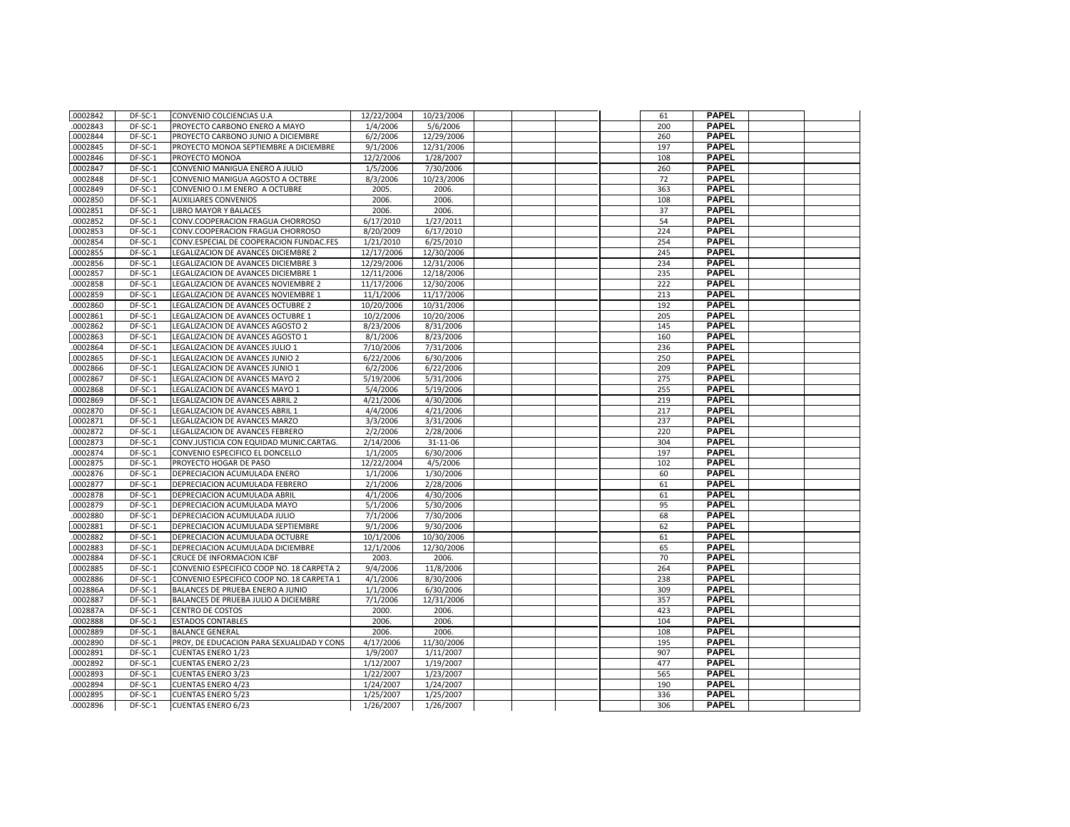| .0002842 | DF-SC-1 | CONVENIO COLCIENCIAS U.A                  | 12/22/2004 | 10/23/2006 |  | 61  | <b>PAPEL</b> |  |
|----------|---------|-------------------------------------------|------------|------------|--|-----|--------------|--|
| .0002843 | DF-SC-1 | PROYECTO CARBONO ENERO A MAYO             | 1/4/2006   | 5/6/2006   |  | 200 | <b>PAPEL</b> |  |
| .0002844 | DF-SC-1 | PROYECTO CARBONO JUNIO A DICIEMBRE        | 6/2/2006   | 12/29/2006 |  | 260 | <b>PAPEL</b> |  |
| 0002845  | DF-SC-1 | PROYECTO MONOA SEPTIEMBRE A DICIEMBRE     | 9/1/2006   | 12/31/2006 |  | 197 | <b>PAPEL</b> |  |
| .0002846 | DF-SC-1 | PROYECTO MONOA                            | 12/2/2006  | 1/28/2007  |  | 108 | <b>PAPEL</b> |  |
| 0002847  | DF-SC-1 | CONVENIO MANIGUA ENERO A JULIO            | 1/5/2006   | 7/30/2006  |  | 260 | <b>PAPEL</b> |  |
| 0002848  | DF-SC-1 | CONVENIO MANIGUA AGOSTO A OCTBRE          | 8/3/2006   | 10/23/2006 |  | 72  | <b>PAPEL</b> |  |
| .0002849 | DF-SC-1 | CONVENIO O.I.M ENERO A OCTUBRE            | 2005.      | 2006.      |  | 363 | <b>PAPEL</b> |  |
| .0002850 | DF-SC-1 | <b>AUXILIARES CONVENIOS</b>               | 2006.      | 2006.      |  | 108 | <b>PAPEL</b> |  |
| .0002851 | DF-SC-1 | <b>LIBRO MAYOR Y BALACES</b>              | 2006.      | 2006.      |  | 37  | <b>PAPEL</b> |  |
| .0002852 | DF-SC-1 | CONV.COOPERACION FRAGUA CHORROSO          | 6/17/2010  | 1/27/2011  |  | 54  | <b>PAPEL</b> |  |
| .0002853 | DF-SC-1 | CONV.COOPERACION FRAGUA CHORROSO          | 8/20/2009  | 6/17/2010  |  | 224 | <b>PAPEL</b> |  |
| .0002854 | DF-SC-1 | CONV.ESPECIAL DE COOPERACION FUNDAC.FES   | 1/21/2010  | 6/25/2010  |  | 254 | <b>PAPEL</b> |  |
| .0002855 | DF-SC-1 | LEGALIZACION DE AVANCES DICIEMBRE 2       | 12/17/2006 | 12/30/2006 |  | 245 | <b>PAPEL</b> |  |
| .0002856 | DF-SC-1 | LEGALIZACION DE AVANCES DICIEMBRE 3       | 12/29/2006 | 12/31/2006 |  | 234 | <b>PAPEL</b> |  |
| .0002857 | DF-SC-1 | LEGALIZACION DE AVANCES DICIEMBRE 1       | 12/11/2006 | 12/18/2006 |  | 235 | <b>PAPEL</b> |  |
| .0002858 | DF-SC-1 | LEGALIZACION DE AVANCES NOVIEMBRE 2       | 11/17/2006 | 12/30/2006 |  | 222 | <b>PAPEL</b> |  |
| .0002859 | DF-SC-1 | LEGALIZACION DE AVANCES NOVIEMBRE 1       | 11/1/2006  | 11/17/2006 |  | 213 | <b>PAPEL</b> |  |
| .0002860 | DF-SC-1 | LEGALIZACION DE AVANCES OCTUBRE 2         | 10/20/2006 | 10/31/2006 |  | 192 | <b>PAPEL</b> |  |
| .0002861 | DF-SC-1 | LEGALIZACION DE AVANCES OCTUBRE 1         | 10/2/2006  | 10/20/2006 |  | 205 | <b>PAPEL</b> |  |
| .0002862 | DF-SC-1 | LEGALIZACION DE AVANCES AGOSTO 2          | 8/23/2006  | 8/31/2006  |  | 145 | <b>PAPEL</b> |  |
| 0002863  | DF-SC-1 | LEGALIZACION DE AVANCES AGOSTO 1          | 8/1/2006   | 8/23/2006  |  | 160 | <b>PAPEL</b> |  |
| .0002864 | DF-SC-1 | LEGALIZACION DE AVANCES JULIO 1           | 7/10/2006  | 7/31/2006  |  | 236 | <b>PAPEL</b> |  |
| .0002865 | DF-SC-1 | LEGALIZACION DE AVANCES JUNIO 2           | 6/22/2006  | 6/30/2006  |  | 250 | <b>PAPEL</b> |  |
| .0002866 | DF-SC-1 | LEGALIZACION DE AVANCES JUNIO 1           | 6/2/2006   | 6/22/2006  |  | 209 | <b>PAPEL</b> |  |
| .0002867 | DF-SC-1 | LEGALIZACION DE AVANCES MAYO 2            | 5/19/2006  | 5/31/2006  |  | 275 | <b>PAPEL</b> |  |
| .0002868 | DF-SC-1 | LEGALIZACION DE AVANCES MAYO 1            | 5/4/2006   | 5/19/2006  |  | 255 | <b>PAPEL</b> |  |
| .0002869 | DF-SC-1 | LEGALIZACION DE AVANCES ABRIL 2           | 4/21/2006  | 4/30/2006  |  | 219 | <b>PAPEL</b> |  |
| .0002870 | DF-SC-1 | LEGALIZACION DE AVANCES ABRIL 1           | 4/4/2006   | 4/21/2006  |  | 217 | <b>PAPEL</b> |  |
| 0002871  | DF-SC-1 | LEGALIZACION DE AVANCES MARZO             | 3/3/2006   | 3/31/2006  |  | 237 | <b>PAPEL</b> |  |
| .0002872 | DF-SC-1 | LEGALIZACION DE AVANCES FEBRERO           | 2/2/2006   | 2/28/2006  |  | 220 | <b>PAPEL</b> |  |
|          |         |                                           |            |            |  | 304 | <b>PAPEL</b> |  |
| .0002873 | DF-SC-1 | CONV.JUSTICIA CON EQUIDAD MUNIC.CARTAG.   | 2/14/2006  | 31-11-06   |  |     | <b>PAPEL</b> |  |
| .0002874 | DF-SC-1 | CONVENIO ESPECIFICO EL DONCELLO           | 1/1/2005   | 6/30/2006  |  | 197 | <b>PAPEL</b> |  |
| .0002875 | DF-SC-1 | PROYECTO HOGAR DE PASO                    | 12/22/2004 | 4/5/2006   |  | 102 | <b>PAPEL</b> |  |
| .0002876 | DF-SC-1 | DEPRECIACION ACUMULADA ENERO              | 1/1/2006   | 1/30/2006  |  | 60  |              |  |
| .0002877 | DF-SC-1 | DEPRECIACION ACUMULADA FEBRERO            | 2/1/2006   | 2/28/2006  |  | 61  | <b>PAPEL</b> |  |
| .0002878 | DF-SC-1 | DEPRECIACION ACUMULADA ABRIL              | 4/1/2006   | 4/30/2006  |  | 61  | <b>PAPEL</b> |  |
| .0002879 | DF-SC-1 | DEPRECIACION ACUMULADA MAYO               | 5/1/2006   | 5/30/2006  |  | 95  | <b>PAPEL</b> |  |
| .0002880 | DF-SC-1 | DEPRECIACION ACUMULADA JULIO              | 7/1/2006   | 7/30/2006  |  | 68  | <b>PAPEL</b> |  |
| 0002881  | DF-SC-1 | DEPRECIACION ACUMULADA SEPTIEMBRE         | 9/1/2006   | 9/30/2006  |  | 62  | <b>PAPEL</b> |  |
| .0002882 | DF-SC-1 | DEPRECIACION ACUMULADA OCTUBRE            | 10/1/2006  | 10/30/2006 |  | 61  | <b>PAPEL</b> |  |
| .0002883 | DF-SC-1 | DEPRECIACION ACUMULADA DICIEMBRE          | 12/1/2006  | 12/30/2006 |  | 65  | <b>PAPEL</b> |  |
| .0002884 | DF-SC-1 | CRUCE DE INFORMACION ICBF                 | 2003.      | 2006.      |  | 70  | <b>PAPEL</b> |  |
| .0002885 | DF-SC-1 | CONVENIO ESPECIFICO COOP NO. 18 CARPETA 2 | 9/4/2006   | 11/8/2006  |  | 264 | <b>PAPEL</b> |  |
| .0002886 | DF-SC-1 | CONVENIO ESPECIFICO COOP NO. 18 CARPETA 1 | 4/1/2006   | 8/30/2006  |  | 238 | <b>PAPEL</b> |  |
| .002886A | DF-SC-1 | BALANCES DE PRUEBA ENERO A JUNIO          | 1/1/2006   | 6/30/2006  |  | 309 | <b>PAPEL</b> |  |
| 0002887  | DF-SC-1 | BALANCES DE PRUEBA JULIO A DICIEMBRE      | 7/1/2006   | 12/31/2006 |  | 357 | <b>PAPEL</b> |  |
| .002887A | DF-SC-1 | <b>CENTRO DE COSTOS</b>                   | 2000.      | 2006.      |  | 423 | <b>PAPEL</b> |  |
| .0002888 | DF-SC-1 | <b>ESTADOS CONTABLES</b>                  | 2006.      | 2006.      |  | 104 | <b>PAPEL</b> |  |
| .0002889 | DF-SC-1 | <b>BALANCE GENERAL</b>                    | 2006.      | 2006.      |  | 108 | <b>PAPEL</b> |  |
| .0002890 | DF-SC-1 | PROY, DE EDUCACION PARA SEXUALIDAD Y CONS | 4/17/2006  | 11/30/2006 |  | 195 | <b>PAPEL</b> |  |
| .0002891 | DF-SC-1 | <b>CUENTAS ENERO 1/23</b>                 | 1/9/2007   | 1/11/2007  |  | 907 | <b>PAPEL</b> |  |
| .0002892 | DF-SC-1 | <b>CUENTAS ENERO 2/23</b>                 | 1/12/2007  | 1/19/2007  |  | 477 | <b>PAPEL</b> |  |
| .0002893 | DF-SC-1 | <b>CUENTAS ENERO 3/23</b>                 | 1/22/2007  | 1/23/2007  |  | 565 | <b>PAPEL</b> |  |
| 0002894  | DF-SC-1 | <b>CUENTAS ENERO 4/23</b>                 | 1/24/2007  | 1/24/2007  |  | 190 | <b>PAPEL</b> |  |
| 0002895  | DF-SC-1 | <b>CUENTAS ENERO 5/23</b>                 | 1/25/2007  | 1/25/2007  |  | 336 | <b>PAPEL</b> |  |
| .0002896 | DF-SC-1 | <b>CUENTAS ENERO 6/23</b>                 | 1/26/2007  | 1/26/2007  |  | 306 | <b>PAPEL</b> |  |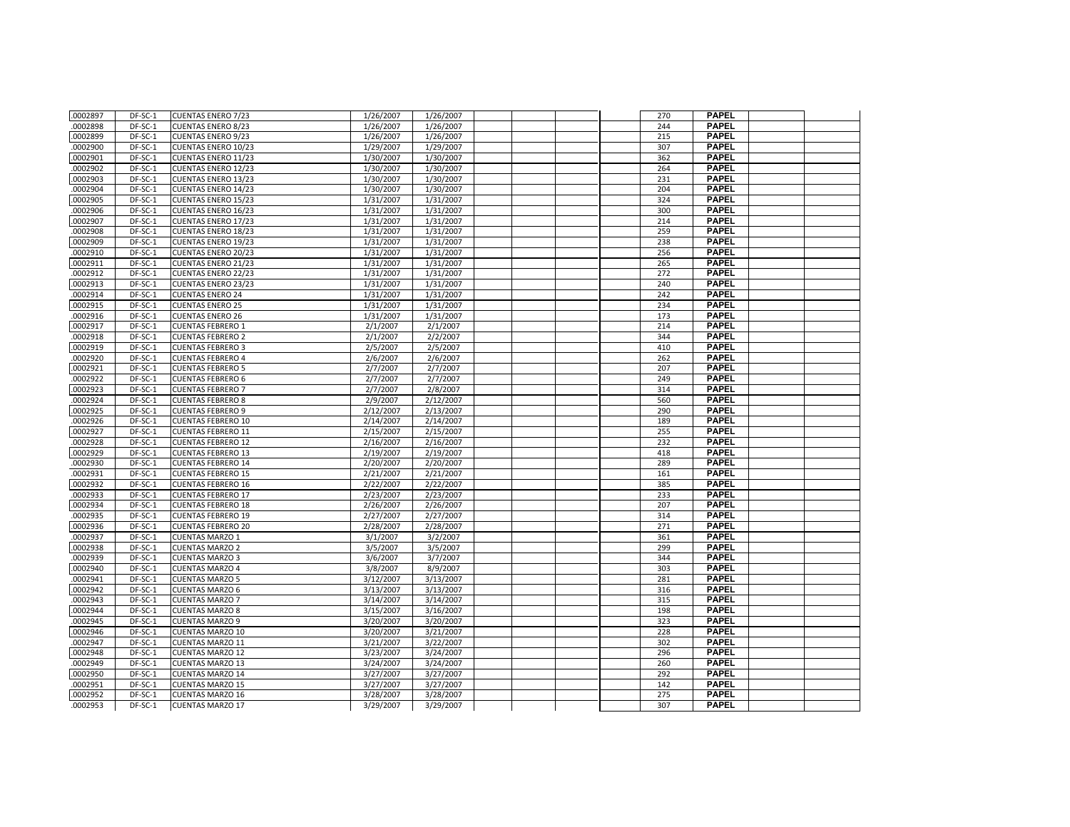| .0002897             | DF-SC-1            | <b>CUENTAS ENERO 7/23</b>                           | 1/26/2007             | 1/26/2007              |  | 270        | <b>PAPEL</b>                 |  |
|----------------------|--------------------|-----------------------------------------------------|-----------------------|------------------------|--|------------|------------------------------|--|
| .0002898             | DF-SC-1            | <b>CUENTAS ENERO 8/23</b>                           | 1/26/2007             | 1/26/2007              |  | 244        | <b>PAPEL</b>                 |  |
| .0002899             | DF-SC-1            | <b>CUENTAS ENERO 9/23</b>                           | 1/26/2007             | 1/26/2007              |  | 215        | <b>PAPEL</b>                 |  |
| .0002900             | DF-SC-1            | <b>CUENTAS ENERO 10/23</b>                          | 1/29/2007             | 1/29/2007              |  | 307        | <b>PAPEL</b>                 |  |
| .0002901             | DF-SC-1            | <b>CUENTAS ENERO 11/23</b>                          | 1/30/2007             | 1/30/2007              |  | 362        | <b>PAPEL</b>                 |  |
| .0002902             | DF-SC-1            | <b>CUENTAS ENERO 12/23</b>                          | 1/30/2007             | 1/30/2007              |  | 264        | <b>PAPEL</b>                 |  |
| .0002903             | DF-SC-1            | <b>CUENTAS ENERO 13/23</b>                          | 1/30/2007             | 1/30/2007              |  | 231        | <b>PAPEL</b>                 |  |
| 0002904              | DF-SC-1            | <b>CUENTAS ENERO 14/23</b>                          | 1/30/2007             | 1/30/2007              |  | 204        | <b>PAPEL</b>                 |  |
| .0002905             | DF-SC-1            | <b>CUENTAS ENERO 15/23</b>                          | 1/31/2007             | 1/31/2007              |  | 324        | <b>PAPEL</b>                 |  |
| .0002906             | DF-SC-1            | <b>CUENTAS ENERO 16/23</b>                          | 1/31/2007             | 1/31/2007              |  | 300        | <b>PAPEL</b>                 |  |
| .0002907             | DF-SC-1            | <b>CUENTAS ENERO 17/23</b>                          | 1/31/2007             | 1/31/2007              |  | 214        | <b>PAPEL</b>                 |  |
| 0002908              | DF-SC-1            | <b>CUENTAS ENERO 18/23</b>                          | 1/31/2007             | 1/31/2007              |  | 259        | <b>PAPEL</b>                 |  |
| .0002909             | DF-SC-1            | <b>CUENTAS ENERO 19/23</b>                          | 1/31/2007             | 1/31/2007              |  | 238        | <b>PAPEL</b>                 |  |
| .0002910             | DF-SC-1            | <b>CUENTAS ENERO 20/23</b>                          | 1/31/2007             | 1/31/2007              |  | 256        | <b>PAPEL</b>                 |  |
| .0002911             | DF-SC-1            | <b>CUENTAS ENERO 21/23</b>                          | 1/31/2007             | 1/31/2007              |  | 265        | <b>PAPEL</b>                 |  |
| .0002912             | DF-SC-1            | <b>CUENTAS ENERO 22/23</b>                          | 1/31/2007             | 1/31/2007              |  | 272        | <b>PAPEL</b>                 |  |
| .0002913             | DF-SC-1            | <b>CUENTAS ENERO 23/23</b>                          | 1/31/2007             | 1/31/2007              |  | 240        | <b>PAPEL</b>                 |  |
| .0002914             | DF-SC-1            | <b>CUENTAS ENERO 24</b>                             | 1/31/2007             | 1/31/2007              |  | 242        | <b>PAPEL</b>                 |  |
| .0002915             | DF-SC-1            | <b>CUENTAS ENERO 25</b>                             | 1/31/2007             | 1/31/2007              |  | 234        | <b>PAPEL</b>                 |  |
| .0002916             | DF-SC-1            | <b>CUENTAS ENERO 26</b>                             | 1/31/2007             | 1/31/2007              |  | 173        | <b>PAPEL</b>                 |  |
| 0002917              | DF-SC-1            | <b>CUENTAS FEBRERO 1</b>                            | 2/1/2007              | 2/1/2007               |  | 214        | <b>PAPEL</b>                 |  |
| .0002918             | DF-SC-1            | <b>CUENTAS FEBRERO 2</b>                            | 2/1/2007              | 2/2/2007               |  | 344        | <b>PAPEL</b>                 |  |
| .0002919             | DF-SC-1            | <b>CUENTAS FEBRERO 3</b>                            | 2/5/2007              | 2/5/2007               |  | 410        | <b>PAPEL</b>                 |  |
| 0002920              | DF-SC-1            | <b>CUENTAS FEBRERO 4</b>                            | 2/6/2007              | 2/6/2007               |  | 262        | <b>PAPEL</b>                 |  |
| .0002921             | DF-SC-1            | <b>CUENTAS FEBRERO 5</b>                            | 2/7/2007              | 2/7/2007               |  | 207        | <b>PAPEL</b>                 |  |
| 0002922              | DF-SC-1            | <b>CUENTAS FEBRERO 6</b>                            | 2/7/2007              | 2/7/2007               |  | 249        | <b>PAPEL</b>                 |  |
| .0002923             | DF-SC-1            | <b>CUENTAS FEBRERO 7</b>                            | 2/7/2007              | 2/8/2007               |  | 314        | <b>PAPEL</b>                 |  |
| .0002924             | DF-SC-1            | <b>CUENTAS FEBRERO 8</b>                            | 2/9/2007              | 2/12/2007              |  | 560        | <b>PAPEL</b>                 |  |
| .0002925             | DF-SC-1            | <b>CUENTAS FEBRERO 9</b>                            | 2/12/2007             | 2/13/2007              |  | 290        | <b>PAPEL</b>                 |  |
| .0002926             | DF-SC-1            | <b>CUENTAS FEBRERO 10</b>                           | 2/14/2007             | 2/14/2007              |  | 189        | <b>PAPEL</b>                 |  |
| .0002927             | DF-SC-1            | <b>CUENTAS FEBRERO 11</b>                           | 2/15/2007             | 2/15/2007              |  | 255        | <b>PAPEL</b>                 |  |
| .0002928             | DF-SC-1            | <b>CUENTAS FEBRERO 12</b>                           | 2/16/2007             | 2/16/2007              |  | 232        | <b>PAPEL</b>                 |  |
| .0002929             | DF-SC-1            | <b>CUENTAS FEBRERO 13</b>                           | 2/19/2007             | $\frac{1}{2}$ /19/2007 |  | 418        | <b>PAPEL</b>                 |  |
| 0002930              | DF-SC-1            | <b>CUENTAS FEBRERO 14</b>                           | 2/20/2007             | 2/20/2007              |  | 289        | <b>PAPEL</b>                 |  |
| .0002931             | DF-SC-1            | <b>CUENTAS FEBRERO 15</b>                           | 2/21/2007             | 2/21/2007              |  | 161        | <b>PAPEL</b>                 |  |
| .0002932             | DF-SC-1            | <b>CUENTAS FEBRERO 16</b>                           | 2/22/2007             | 2/22/2007              |  | 385        | <b>PAPEL</b>                 |  |
| 0002933              | DF-SC-1            | <b>CUENTAS FEBRERO 17</b>                           | 2/23/2007             | 2/23/2007              |  | 233        | <b>PAPEL</b>                 |  |
| .0002934             | DF-SC-1            | <b>CUENTAS FEBRERO 18</b>                           | 2/26/2007             | 2/26/2007              |  | 207        | <b>PAPEL</b><br><b>PAPEL</b> |  |
| 0002935              | DF-SC-1            | <b>CUENTAS FEBRERO 19</b>                           | 2/27/2007             | 2/27/2007              |  | 314<br>271 | <b>PAPEL</b>                 |  |
| .0002936<br>.0002937 | DF-SC-1<br>DF-SC-1 | <b>CUENTAS FEBRERO 20</b><br><b>CUENTAS MARZO 1</b> | 2/28/2007<br>3/1/2007 | 2/28/2007<br>3/2/2007  |  | 361        | <b>PAPEL</b>                 |  |
| .0002938             | DF-SC-1            | <b>CUENTAS MARZO 2</b>                              | 3/5/2007              | 3/5/2007               |  | 299        | <b>PAPEL</b>                 |  |
| 0002939              | DF-SC-1            | <b>CUENTAS MARZO 3</b>                              | 3/6/2007              | 3/7/2007               |  | 344        | <b>PAPEL</b>                 |  |
| .0002940             | DF-SC-1            | <b>CUENTAS MARZO 4</b>                              | 3/8/2007              | 8/9/2007               |  | 303        | <b>PAPEL</b>                 |  |
| .0002941             | DF-SC-1            | <b>CUENTAS MARZO 5</b>                              | 3/12/2007             | 3/13/2007              |  | 281        | <b>PAPEL</b>                 |  |
| .0002942             | DF-SC-1            | <b>CUENTAS MARZO 6</b>                              | 3/13/2007             | 3/13/2007              |  | 316        | <b>PAPEL</b>                 |  |
| 0002943              | DF-SC-1            | <b>CUENTAS MARZO 7</b>                              | 3/14/2007             | 3/14/2007              |  | 315        | <b>PAPEL</b>                 |  |
| .0002944             | DF-SC-1            | <b>CUENTAS MARZO 8</b>                              | 3/15/2007             | 3/16/2007              |  | 198        | <b>PAPEL</b>                 |  |
| .0002945             | DF-SC-1            | <b>CUENTAS MARZO 9</b>                              | 3/20/2007             | 3/20/2007              |  | 323        | <b>PAPEL</b>                 |  |
| .0002946             | DF-SC-1            | <b>CUENTAS MARZO 10</b>                             | 3/20/2007             | 3/21/2007              |  | 228        | <b>PAPEL</b>                 |  |
| .0002947             | DF-SC-1            | <b>CUENTAS MARZO 11</b>                             | 3/21/2007             | 3/22/2007              |  | 302        | <b>PAPEL</b>                 |  |
| .0002948             | DF-SC-1            | <b>CUENTAS MARZO 12</b>                             | 3/23/2007             | 3/24/2007              |  | 296        | <b>PAPEL</b>                 |  |
| .0002949             | DF-SC-1            | <b>CUENTAS MARZO 13</b>                             | 3/24/2007             | 3/24/2007              |  | 260        | <b>PAPEL</b>                 |  |
| .0002950             | DF-SC-1            | <b>CUENTAS MARZO 14</b>                             | 3/27/2007             | 3/27/2007              |  | 292        | <b>PAPEL</b>                 |  |
| .0002951             | DF-SC-1            | <b>CUENTAS MARZO 15</b>                             | 3/27/2007             | 3/27/2007              |  | 142        | <b>PAPEL</b>                 |  |
| .0002952             | DF-SC-1            | <b>CUENTAS MARZO 16</b>                             | 3/28/2007             | 3/28/2007              |  | 275        | <b>PAPEL</b>                 |  |
| .0002953             | DF-SC-1            | <b>CUENTAS MARZO 17</b>                             | 3/29/2007             | 3/29/2007              |  | 307        | <b>PAPEL</b>                 |  |
|                      |                    |                                                     |                       |                        |  |            |                              |  |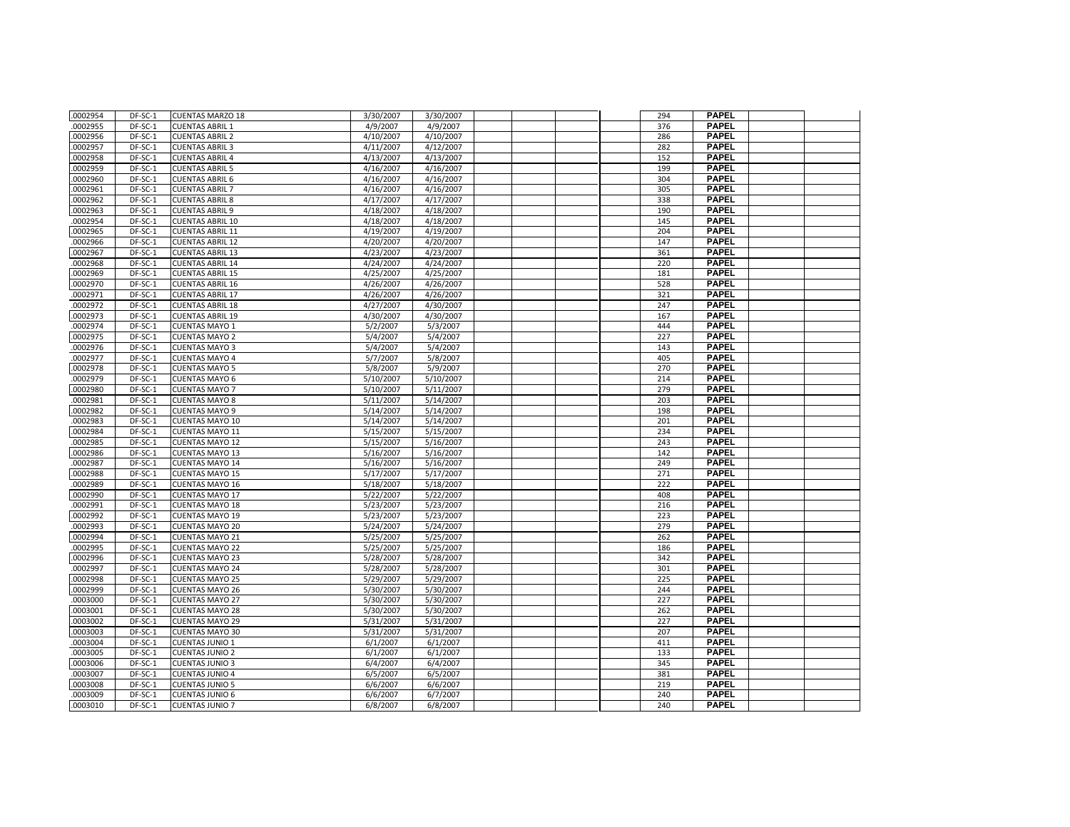| .0002954             | DF-SC-1            | <b>CUENTAS MARZO 18</b>                          | 3/30/2007              | 3/30/2007              |  | 294        | <b>PAPEL</b>                 |  |
|----------------------|--------------------|--------------------------------------------------|------------------------|------------------------|--|------------|------------------------------|--|
| .0002955             | DF-SC-1            | <b>CUENTAS ABRIL 1</b>                           | 4/9/2007               | 4/9/2007               |  | 376        | <b>PAPEL</b>                 |  |
| .0002956             | DF-SC-1            | <b>CUENTAS ABRIL 2</b>                           | 4/10/2007              | 4/10/2007              |  | 286        | <b>PAPEL</b>                 |  |
| .0002957             | DF-SC-1            | <b>CUENTAS ABRIL 3</b>                           | 4/11/2007              | 4/12/2007              |  | 282        | <b>PAPEL</b>                 |  |
| .0002958             | DF-SC-1            | <b>CUENTAS ABRIL 4</b>                           | 4/13/2007              | 4/13/2007              |  | 152        | <b>PAPEL</b>                 |  |
| .0002959             | DF-SC-1            | <b>CUENTAS ABRIL 5</b>                           | 4/16/2007              | 4/16/2007              |  | 199        | <b>PAPEL</b>                 |  |
| .0002960             | DF-SC-1            | <b>CUENTAS ABRIL 6</b>                           | 4/16/2007              | 4/16/2007              |  | 304        | <b>PAPEL</b>                 |  |
| .0002961             | DF-SC-1            | <b>CUENTAS ABRIL 7</b>                           | 4/16/2007              | 4/16/2007              |  | 305        | <b>PAPEL</b>                 |  |
| .0002962             | DF-SC-1            | <b>CUENTAS ABRIL 8</b>                           | $\frac{1}{4}$ 17/2007  | 4/17/2007              |  | 338        | <b>PAPEL</b>                 |  |
| .0002963             | DF-SC-1            | <b>CUENTAS ABRIL 9</b>                           | 4/18/2007              | 4/18/2007              |  | 190        | <b>PAPEL</b>                 |  |
| .0002954             | DF-SC-1            | <b>CUENTAS ABRIL 10</b>                          | 4/18/2007              | 4/18/2007              |  | 145        | <b>PAPEL</b>                 |  |
| .0002965             | DF-SC-1            | <b>CUENTAS ABRIL 11</b>                          | 4/19/2007              | 4/19/2007              |  | 204        | <b>PAPEL</b>                 |  |
| .0002966             | DF-SC-1            | <b>CUENTAS ABRIL 12</b>                          | 4/20/2007              | 4/20/2007              |  | 147        | <b>PAPEL</b>                 |  |
| .0002967             | DF-SC-1            | <b>CUENTAS ABRIL 13</b>                          | 4/23/2007              | 4/23/2007              |  | 361        | <b>PAPEL</b>                 |  |
| .0002968             | DF-SC-1            | <b>CUENTAS ABRIL 14</b>                          | 4/24/2007              | 4/24/2007              |  | 220        | <b>PAPEL</b>                 |  |
| .0002969             | DF-SC-1            | <b>CUENTAS ABRIL 15</b>                          | 4/25/2007              | 4/25/2007              |  | 181        | <b>PAPEL</b>                 |  |
| .0002970             | DF-SC-1            | <b>CUENTAS ABRIL 16</b>                          | 4/26/2007              | 4/26/2007              |  | 528        | <b>PAPEL</b>                 |  |
| .0002971             | DF-SC-1            | <b>CUENTAS ABRIL 17</b>                          | 4/26/2007              | 4/26/2007              |  | 321        | <b>PAPEL</b>                 |  |
| .0002972             | DF-SC-1            | <b>CUENTAS ABRIL 18</b>                          | 4/27/2007              | 4/30/2007              |  | 247        | <b>PAPEL</b>                 |  |
| .0002973             | DF-SC-1            | <b>CUENTAS ABRIL 19</b>                          | 4/30/2007              | 4/30/2007              |  | 167        | <b>PAPEL</b>                 |  |
| .0002974             | DF-SC-1            | <b>CUENTAS MAYO 1</b>                            | 5/2/2007               | 5/3/2007               |  | 444        | <b>PAPEL</b>                 |  |
| .0002975             | DF-SC-1            | <b>CUENTAS MAYO 2</b>                            | 5/4/2007               | 5/4/2007               |  | 227        | <b>PAPEL</b>                 |  |
| .0002976             | DF-SC-1            | <b>CUENTAS MAYO 3</b>                            | 5/4/2007               | 5/4/2007               |  | 143        | <b>PAPEL</b>                 |  |
| .0002977             | $DF-SC-1$          | <b>CUENTAS MAYO 4</b>                            | 5/7/2007               | 5/8/2007               |  | 405        | <b>PAPEL</b>                 |  |
| .0002978             | DF-SC-1            | <b>CUENTAS MAYO 5</b>                            | 5/8/2007               | 5/9/2007               |  | 270        | <b>PAPEL</b>                 |  |
| .0002979             | DF-SC-1            | <b>CUENTAS MAYO 6</b>                            | 5/10/2007              | 5/10/2007              |  | 214        | <b>PAPEL</b>                 |  |
| .0002980             | DF-SC-1            | <b>CUENTAS MAYO 7</b>                            | 5/10/2007              | 5/11/2007              |  | 279        | <b>PAPEL</b>                 |  |
| .0002981             | DF-SC-1            | <b>CUENTAS MAYO 8</b>                            | 5/11/2007              | 5/14/2007              |  | 203        | <b>PAPEL</b>                 |  |
| .0002982             | DF-SC-1            | <b>CUENTAS MAYO 9</b>                            | 5/14/2007              | 5/14/2007              |  | 198        | <b>PAPEL</b>                 |  |
| .0002983             | DF-SC-1            | <b>CUENTAS MAYO 10</b>                           | 5/14/2007              | 5/14/2007              |  | 201        | <b>PAPEL</b>                 |  |
| .0002984             | DF-SC-1            | <b>CUENTAS MAYO 11</b>                           | 5/15/2007              | 5/15/2007              |  | 234        | <b>PAPEL</b>                 |  |
| .0002985             | DF-SC-1            | <b>CUENTAS MAYO 12</b>                           | 5/15/2007              | 5/16/2007              |  | 243        | <b>PAPEL</b>                 |  |
| .0002986             | DF-SC-1            | <b>CUENTAS MAYO 13</b>                           | 5/16/2007              | 5/16/2007              |  | 142        | <b>PAPEL</b>                 |  |
| .0002987             | DF-SC-1            | <b>CUENTAS MAYO 14</b>                           | 5/16/2007              | 5/16/2007              |  | 249        | <b>PAPEL</b>                 |  |
| .0002988             | DF-SC-1            | <b>CUENTAS MAYO 15</b>                           | 5/17/2007              | 5/17/2007              |  | 271        | <b>PAPEL</b>                 |  |
| .0002989             | DF-SC-1            | <b>CUENTAS MAYO 16</b>                           | 5/18/2007              | 5/18/2007              |  | 222        | <b>PAPEL</b><br><b>PAPEL</b> |  |
| .0002990             | DF-SC-1            | <b>CUENTAS MAYO 17</b>                           | 5/22/2007              | 5/22/2007              |  | 408        | <b>PAPEL</b>                 |  |
| .0002991             | DF-SC-1            | <b>CUENTAS MAYO 18</b>                           | 5/23/2007              | 5/23/2007              |  | 216        | <b>PAPEL</b>                 |  |
| .0002992<br>.0002993 | DF-SC-1<br>DF-SC-1 | <b>CUENTAS MAYO 19</b><br><b>CUENTAS MAYO 20</b> | 5/23/2007<br>5/24/2007 | 5/23/2007<br>5/24/2007 |  | 223<br>279 | <b>PAPEL</b>                 |  |
| .0002994             | DF-SC-1            | <b>CUENTAS MAYO 21</b>                           | 5/25/2007              | 5/25/2007              |  | 262        | <b>PAPEL</b>                 |  |
| .0002995             | DF-SC-1            | <b>CUENTAS MAYO 22</b>                           | 5/25/2007              | 5/25/2007              |  | 186        | <b>PAPEL</b>                 |  |
| .0002996             | DF-SC-1            | <b>CUENTAS MAYO 23</b>                           | 5/28/2007              | 5/28/2007              |  | 342        | <b>PAPEL</b>                 |  |
| .0002997             | DF-SC-1            | <b>CUENTAS MAYO 24</b>                           | 5/28/2007              | 5/28/2007              |  | 301        | <b>PAPEL</b>                 |  |
| .0002998             | DF-SC-1            | <b>CUENTAS MAYO 25</b>                           | 5/29/2007              | 5/29/2007              |  | 225        | <b>PAPEL</b>                 |  |
| .0002999             | DF-SC-1            | <b>CUENTAS MAYO 26</b>                           | 5/30/2007              | 5/30/2007              |  | 244        | <b>PAPEL</b>                 |  |
| .0003000             | DF-SC-1            | <b>CUENTAS MAYO 27</b>                           | 5/30/2007              | 5/30/2007              |  | 227        | <b>PAPEL</b>                 |  |
| .0003001             | DF-SC-1            | <b>CUENTAS MAYO 28</b>                           | 5/30/2007              | 5/30/2007              |  | 262        | <b>PAPEL</b>                 |  |
| .0003002             | DF-SC-1            | <b>CUENTAS MAYO 29</b>                           | 5/31/2007              | 5/31/2007              |  | 227        | <b>PAPEL</b>                 |  |
| .0003003             | DF-SC-1            | <b>CUENTAS MAYO 30</b>                           | 5/31/2007              | 5/31/2007              |  | 207        | <b>PAPEL</b>                 |  |
| .0003004             | DF-SC-1            | <b>CUENTAS JUNIO 1</b>                           | 6/1/2007               | 6/1/2007               |  | 411        | <b>PAPEL</b>                 |  |
| .0003005             | DF-SC-1            | <b>CUENTAS JUNIO 2</b>                           | 6/1/2007               | 6/1/2007               |  | 133        | <b>PAPEL</b>                 |  |
| .0003006             | DF-SC-1            | <b>CUENTAS JUNIO 3</b>                           | 6/4/2007               | 6/4/2007               |  | 345        | <b>PAPEL</b>                 |  |
| .0003007             | DF-SC-1            | <b>CUENTAS JUNIO 4</b>                           | 6/5/2007               | 6/5/2007               |  | 381        | <b>PAPEL</b>                 |  |
| .0003008             | DF-SC-1            | <b>CUENTAS JUNIO 5</b>                           | 6/6/2007               | 6/6/2007               |  | 219        | <b>PAPEL</b>                 |  |
| .0003009             | DF-SC-1            | <b>CUENTAS JUNIO 6</b>                           | 6/6/2007               | 6/7/2007               |  | 240        | <b>PAPEL</b>                 |  |
| .0003010             | DF-SC-1            | <b>CUENTAS JUNIO 7</b>                           | 6/8/2007               | 6/8/2007               |  | 240        | <b>PAPEL</b>                 |  |
|                      |                    |                                                  |                        |                        |  |            |                              |  |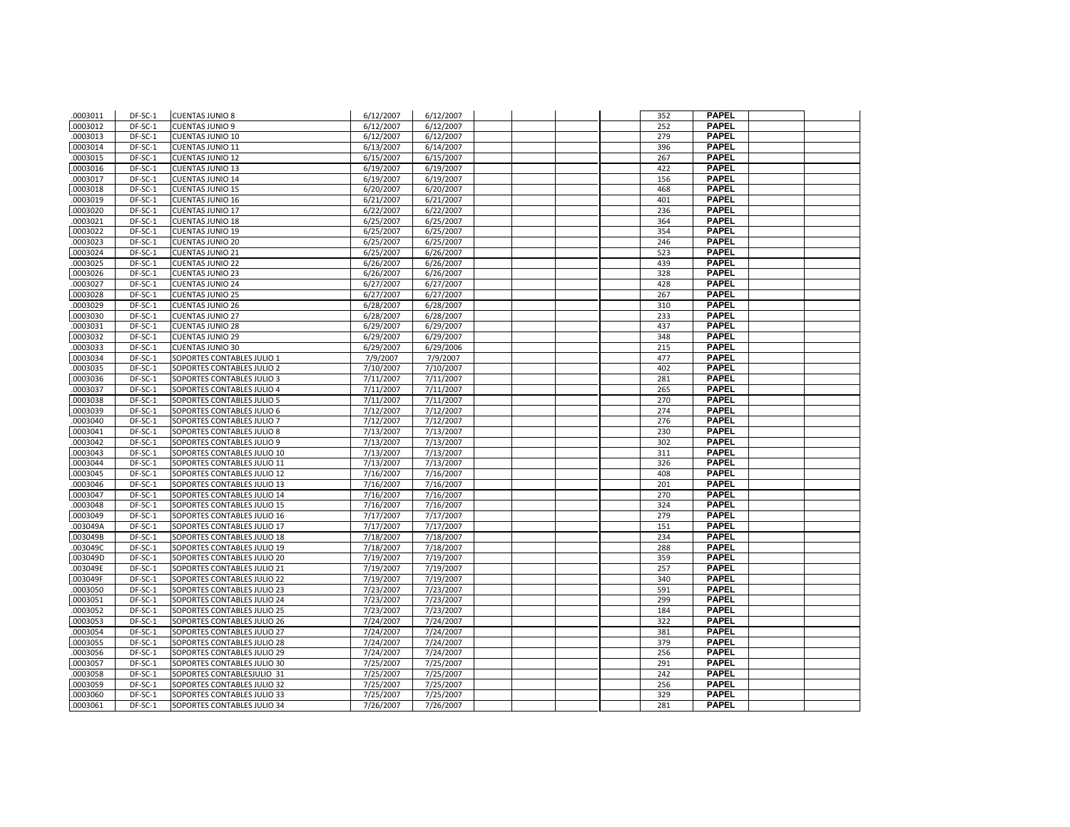| .0003011 | DF-SC-1 | <b>CUENTAS JUNIO 8</b>      | 6/12/2007 | 6/12/2007 |  | 352 | <b>PAPEL</b> |  |
|----------|---------|-----------------------------|-----------|-----------|--|-----|--------------|--|
| .0003012 | DF-SC-1 | <b>CUENTAS JUNIO 9</b>      | 6/12/2007 | 6/12/2007 |  | 252 | <b>PAPEL</b> |  |
| .0003013 | DF-SC-1 | <b>CUENTAS JUNIO 10</b>     | 6/12/2007 | 6/12/2007 |  | 279 | <b>PAPEL</b> |  |
| .0003014 | DF-SC-1 | <b>CUENTAS JUNIO 11</b>     | 6/13/2007 | 6/14/2007 |  | 396 | <b>PAPEL</b> |  |
| .0003015 | DF-SC-1 | <b>CUENTAS JUNIO 12</b>     | 6/15/2007 | 6/15/2007 |  | 267 | <b>PAPEL</b> |  |
| .0003016 | DF-SC-1 | <b>CUENTAS JUNIO 13</b>     | 6/19/2007 | 6/19/2007 |  | 422 | <b>PAPEL</b> |  |
| .0003017 | DF-SC-1 | <b>CUENTAS JUNIO 14</b>     | 6/19/2007 | 6/19/2007 |  | 156 | <b>PAPEL</b> |  |
| .0003018 | DF-SC-1 | <b>CUENTAS JUNIO 15</b>     | 6/20/2007 | 6/20/2007 |  | 468 | <b>PAPEL</b> |  |
| .0003019 | DF-SC-1 | <b>CUENTAS JUNIO 16</b>     | 6/21/2007 | 6/21/2007 |  | 401 | <b>PAPEL</b> |  |
| .0003020 | DF-SC-1 | <b>CUENTAS JUNIO 17</b>     | 6/22/2007 | 6/22/2007 |  | 236 | <b>PAPEL</b> |  |
| .0003021 | DF-SC-1 | <b>CUENTAS JUNIO 18</b>     | 6/25/2007 | 6/25/2007 |  | 364 | <b>PAPEL</b> |  |
| .0003022 | DF-SC-1 | <b>CUENTAS JUNIO 19</b>     | 6/25/2007 | 6/25/2007 |  | 354 | <b>PAPEL</b> |  |
| .0003023 | DF-SC-1 | <b>CUENTAS JUNIO 20</b>     | 6/25/2007 | 6/25/2007 |  | 246 | <b>PAPEL</b> |  |
| .0003024 | DF-SC-1 | <b>CUENTAS JUNIO 21</b>     | 6/25/2007 | 6/26/2007 |  | 523 | <b>PAPEL</b> |  |
| .0003025 | DF-SC-1 | <b>CUENTAS JUNIO 22</b>     | 6/26/2007 | 6/26/2007 |  | 439 | <b>PAPEL</b> |  |
| .0003026 | DF-SC-1 | <b>CUENTAS JUNIO 23</b>     | 6/26/2007 | 6/26/2007 |  | 328 | <b>PAPEL</b> |  |
| .0003027 | DF-SC-1 | <b>CUENTAS JUNIO 24</b>     | 6/27/2007 | 6/27/2007 |  | 428 | <b>PAPEL</b> |  |
| .0003028 | DF-SC-1 | <b>CUENTAS JUNIO 25</b>     | 6/27/2007 | 6/27/2007 |  | 267 | <b>PAPEL</b> |  |
| .0003029 | DF-SC-1 | <b>CUENTAS JUNIO 26</b>     | 6/28/2007 | 6/28/2007 |  | 310 | <b>PAPEL</b> |  |
| .0003030 | DF-SC-1 | <b>CUENTAS JUNIO 27</b>     | 6/28/2007 | 6/28/2007 |  | 233 | <b>PAPEL</b> |  |
| .0003031 | DF-SC-1 | <b>CUENTAS JUNIO 28</b>     | 6/29/2007 | 6/29/2007 |  | 437 | <b>PAPEL</b> |  |
| .0003032 | DF-SC-1 | <b>CUENTAS JUNIO 29</b>     | 6/29/2007 | 6/29/2007 |  | 348 | <b>PAPEL</b> |  |
| .0003033 | DF-SC-1 | <b>CUENTAS JUNIO 30</b>     | 6/29/2007 | 6/29/2006 |  | 215 | <b>PAPEL</b> |  |
| .0003034 | DF-SC-1 | SOPORTES CONTABLES JULIO 1  | 7/9/2007  | 7/9/2007  |  | 477 | <b>PAPEL</b> |  |
| .0003035 | DF-SC-1 | SOPORTES CONTABLES JULIO 2  | 7/10/2007 | 7/10/2007 |  | 402 | <b>PAPEL</b> |  |
| .0003036 | DF-SC-1 | SOPORTES CONTABLES JULIO 3  | 7/11/2007 | 7/11/2007 |  | 281 | <b>PAPEL</b> |  |
| .0003037 | DF-SC-1 | SOPORTES CONTABLES JULIO 4  | 7/11/2007 | 7/11/2007 |  | 265 | <b>PAPEL</b> |  |
| .0003038 | DF-SC-1 | SOPORTES CONTABLES JULIO 5  | 7/11/2007 | 7/11/2007 |  | 270 | <b>PAPEL</b> |  |
| .0003039 | DF-SC-1 | SOPORTES CONTABLES JULIO 6  | 7/12/2007 | 7/12/2007 |  | 274 | <b>PAPEL</b> |  |
| .0003040 | DF-SC-1 | SOPORTES CONTABLES JULIO 7  | 7/12/2007 | 7/12/2007 |  | 276 | <b>PAPEL</b> |  |
| .0003041 | DF-SC-1 | SOPORTES CONTABLES JULIO 8  | 7/13/2007 | 7/13/2007 |  | 230 | <b>PAPEL</b> |  |
| .0003042 | DF-SC-1 | SOPORTES CONTABLES JULIO 9  | 7/13/2007 | 7/13/2007 |  | 302 | <b>PAPEL</b> |  |
| .0003043 | DF-SC-1 | SOPORTES CONTABLES JULIO 10 | 7/13/2007 | 7/13/2007 |  | 311 | <b>PAPEL</b> |  |
| .0003044 | DF-SC-1 | SOPORTES CONTABLES JULIO 11 | 7/13/2007 | 7/13/2007 |  | 326 | <b>PAPEL</b> |  |
| .0003045 | DF-SC-1 | SOPORTES CONTABLES JULIO 12 | 7/16/2007 | 7/16/2007 |  | 408 | <b>PAPEL</b> |  |
| .0003046 | DF-SC-1 | SOPORTES CONTABLES JULIO 13 | 7/16/2007 | 7/16/2007 |  | 201 | <b>PAPEL</b> |  |
| .0003047 | DF-SC-1 | SOPORTES CONTABLES JULIO 14 | 7/16/2007 | 7/16/2007 |  | 270 | <b>PAPEL</b> |  |
| .0003048 | DF-SC-1 | SOPORTES CONTABLES JULIO 15 | 7/16/2007 | 7/16/2007 |  | 324 | <b>PAPEL</b> |  |
| .0003049 | DF-SC-1 | SOPORTES CONTABLES JULIO 16 | 7/17/2007 | 7/17/2007 |  | 279 | <b>PAPEL</b> |  |
| .003049A | DF-SC-1 | SOPORTES CONTABLES JULIO 17 | 7/17/2007 | 7/17/2007 |  | 151 | <b>PAPEL</b> |  |
| .003049B | DF-SC-1 | SOPORTES CONTABLES JULIO 18 | 7/18/2007 | 7/18/2007 |  | 234 | <b>PAPEL</b> |  |
| .003049C | DF-SC-1 | SOPORTES CONTABLES JULIO 19 | 7/18/2007 | 7/18/2007 |  | 288 | <b>PAPEL</b> |  |
| .003049D | DF-SC-1 | SOPORTES CONTABLES JULIO 20 | 7/19/2007 | 7/19/2007 |  | 359 | <b>PAPEL</b> |  |
| .003049E | DF-SC-1 | SOPORTES CONTABLES JULIO 21 | 7/19/2007 | 7/19/2007 |  | 257 | <b>PAPEL</b> |  |
| .003049F | DF-SC-1 | SOPORTES CONTABLES JULIO 22 | 7/19/2007 | 7/19/2007 |  | 340 | <b>PAPEL</b> |  |
| .0003050 | DF-SC-1 | SOPORTES CONTABLES JULIO 23 | 7/23/2007 | 7/23/2007 |  | 591 | <b>PAPEL</b> |  |
| .0003051 | DF-SC-1 | SOPORTES CONTABLES JULIO 24 | 7/23/2007 | 7/23/2007 |  | 299 | <b>PAPEL</b> |  |
| .0003052 | DF-SC-1 | SOPORTES CONTABLES JULIO 25 | 7/23/2007 | 7/23/2007 |  | 184 | <b>PAPEL</b> |  |
| .0003053 | DF-SC-1 | SOPORTES CONTABLES JULIO 26 | 7/24/2007 | 7/24/2007 |  | 322 | <b>PAPEL</b> |  |
| .0003054 | DF-SC-1 | SOPORTES CONTABLES JULIO 27 | 7/24/2007 | 7/24/2007 |  | 381 | <b>PAPEL</b> |  |
| .0003055 | DF-SC-1 | SOPORTES CONTABLES JULIO 28 | 7/24/2007 | 7/24/2007 |  | 379 | <b>PAPEL</b> |  |
| .0003056 | DF-SC-1 | SOPORTES CONTABLES JULIO 29 | 7/24/2007 | 7/24/2007 |  | 256 | <b>PAPEL</b> |  |
| .0003057 | DF-SC-1 | SOPORTES CONTABLES JULIO 30 | 7/25/2007 | 7/25/2007 |  | 291 | <b>PAPEL</b> |  |
| .0003058 | DF-SC-1 | SOPORTES CONTABLESJULIO 31  | 7/25/2007 | 7/25/2007 |  | 242 | <b>PAPEL</b> |  |
| .0003059 | DF-SC-1 | SOPORTES CONTABLES JULIO 32 | 7/25/2007 | 7/25/2007 |  | 256 | <b>PAPEL</b> |  |
| .0003060 | DF-SC-1 | SOPORTES CONTABLES JULIO 33 | 7/25/2007 | 7/25/2007 |  | 329 | <b>PAPEL</b> |  |
| .0003061 | DF-SC-1 | SOPORTES CONTABLES JULIO 34 | 7/26/2007 | 7/26/2007 |  | 281 | <b>PAPEL</b> |  |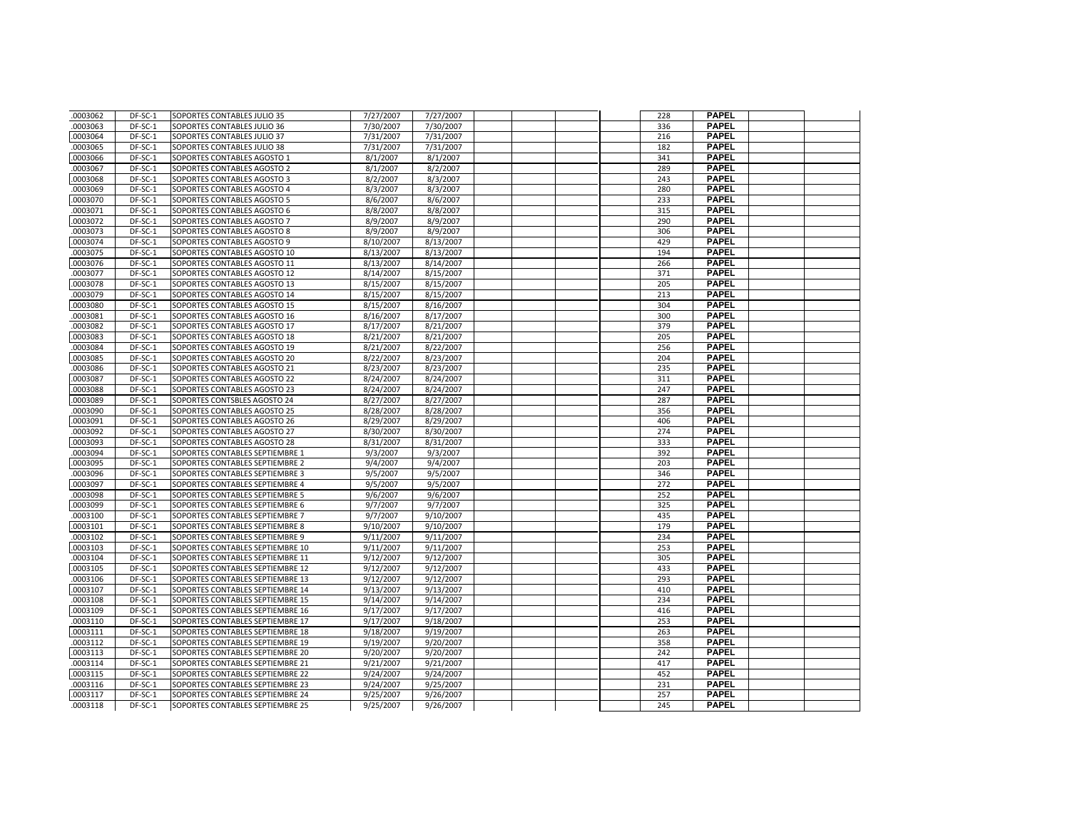| .0003062             | DF-SC-1              | SOPORTES CONTABLES JULIO 35                                          | 7/27/2007              | 7/27/2007              |  | 228        | <b>PAPEL</b>                 |  |
|----------------------|----------------------|----------------------------------------------------------------------|------------------------|------------------------|--|------------|------------------------------|--|
| .0003063             | DF-SC-1              | SOPORTES CONTABLES JULIO 36                                          | 7/30/2007              | 7/30/2007              |  | 336        | <b>PAPEL</b>                 |  |
| .0003064             | DF-SC-1              | SOPORTES CONTABLES JULIO 37                                          | 7/31/2007              | 7/31/2007              |  | 216        | <b>PAPEL</b>                 |  |
| 0003065              | DF-SC-1              | SOPORTES CONTABLES JULIO 38                                          | 7/31/2007              | 7/31/2007              |  | 182        | <b>PAPEL</b>                 |  |
| .0003066             | DF-SC-1              | SOPORTES CONTABLES AGOSTO 1                                          | 8/1/2007               | 8/1/2007               |  | 341        | <b>PAPEL</b>                 |  |
| .0003067             | DF-SC-1              | SOPORTES CONTABLES AGOSTO 2                                          | 8/1/2007               | 8/2/2007               |  | 289        | <b>PAPEL</b>                 |  |
| .0003068             | DF-SC-1              | SOPORTES CONTABLES AGOSTO 3                                          | 8/2/2007               | 8/3/2007               |  | 243        | <b>PAPEL</b>                 |  |
| 0003069              | DF-SC-1              | SOPORTES CONTABLES AGOSTO 4                                          | 8/3/2007               | 8/3/2007               |  | 280        | <b>PAPEL</b>                 |  |
| .0003070             | DF-SC-1              | SOPORTES CONTABLES AGOSTO 5                                          | 8/6/2007               | 8/6/2007               |  | 233        | <b>PAPEL</b>                 |  |
| .0003071             | DF-SC-1              | SOPORTES CONTABLES AGOSTO 6                                          | 8/8/2007               | 8/8/2007               |  | 315        | <b>PAPEL</b>                 |  |
| .0003072             | DF-SC-1              | SOPORTES CONTABLES AGOSTO 7                                          | 8/9/2007               | 8/9/2007               |  | 290        | <b>PAPEL</b>                 |  |
| .0003073             | DF-SC-1              | SOPORTES CONTABLES AGOSTO 8                                          | 8/9/2007               | 8/9/2007               |  | 306        | <b>PAPEL</b>                 |  |
| .0003074             | DF-SC-1              | SOPORTES CONTABLES AGOSTO 9                                          | 8/10/2007              | 8/13/2007              |  | 429        | <b>PAPEL</b>                 |  |
| .0003075             | DF-SC-1              | SOPORTES CONTABLES AGOSTO 10                                         | 8/13/2007              | 8/13/2007              |  | 194        | <b>PAPEL</b>                 |  |
| .0003076             | DF-SC-1              | SOPORTES CONTABLES AGOSTO 11                                         | 8/13/2007              | 8/14/2007              |  | 266        | <b>PAPEL</b>                 |  |
| .0003077             | DF-SC-1              | SOPORTES CONTABLES AGOSTO 12                                         | 8/14/2007              | 8/15/2007              |  | 371        | <b>PAPEL</b>                 |  |
| .0003078             | DF-SC-1              | SOPORTES CONTABLES AGOSTO 13                                         | 8/15/2007              | 8/15/2007              |  | 205        | <b>PAPEL</b>                 |  |
| 0003079              | DF-SC-1              | SOPORTES CONTABLES AGOSTO 14                                         | 8/15/2007              | 8/15/2007              |  | 213        | <b>PAPEL</b>                 |  |
| .0003080             | DF-SC-1              | SOPORTES CONTABLES AGOSTO 15                                         | 8/15/2007              | 8/16/2007              |  | 304        | <b>PAPEL</b>                 |  |
| .0003081             | DF-SC-1              | SOPORTES CONTABLES AGOSTO 16                                         | 8/16/2007              | 8/17/2007              |  | 300        | <b>PAPEL</b>                 |  |
| .0003082             | DF-SC-1              | SOPORTES CONTABLES AGOSTO 17                                         | 8/17/2007              | 8/21/2007              |  | 379        | <b>PAPEL</b>                 |  |
| .0003083             | DF-SC-1              | SOPORTES CONTABLES AGOSTO 18                                         | 8/21/2007              | 8/21/2007              |  | 205        | <b>PAPEL</b>                 |  |
| .0003084             | DF-SC-1              | SOPORTES CONTABLES AGOSTO 19                                         | 8/21/2007              | 8/22/2007              |  | 256        | <b>PAPEL</b>                 |  |
| .0003085             | DF-SC-1              | SOPORTES CONTABLES AGOSTO 20                                         | 8/22/2007              | 8/23/2007              |  | 204        | <b>PAPEL</b>                 |  |
| .0003086             | DF-SC-1              | SOPORTES CONTABLES AGOSTO 21                                         | 8/23/2007              | 8/23/2007              |  | 235        | <b>PAPEL</b>                 |  |
| .0003087             | DF-SC-1              | SOPORTES CONTABLES AGOSTO 22                                         | 8/24/2007              | 8/24/2007              |  | 311        | <b>PAPEL</b>                 |  |
| .0003088             | DF-SC-1              | SOPORTES CONTABLES AGOSTO 23                                         | 8/24/2007              | 8/24/2007              |  | 247        | <b>PAPEL</b>                 |  |
| .0003089             | DF-SC-1              | SOPORTES CONTSBLES AGOSTO 24                                         | 8/27/2007              | 8/27/2007              |  | 287        | <b>PAPEL</b>                 |  |
| .0003090             | DF-SC-1              | SOPORTES CONTABLES AGOSTO 25                                         | 8/28/2007              | 8/28/2007              |  | 356        | <b>PAPEL</b>                 |  |
| .0003091             | DF-SC-1              | SOPORTES CONTABLES AGOSTO 26                                         | 8/29/2007              | 8/29/2007              |  | 406        | <b>PAPEL</b>                 |  |
| 0003092              | DF-SC-1              | SOPORTES CONTABLES AGOSTO 27                                         | 8/30/2007              | 8/30/2007              |  | 274        | <b>PAPEL</b>                 |  |
| .0003093             | DF-SC-1              | SOPORTES CONTABLES AGOSTO 28                                         | 8/31/2007              | 8/31/2007              |  | 333        | <b>PAPEL</b>                 |  |
| .0003094             | DF-SC-1              | SOPORTES CONTABLES SEPTIEMBRE 1                                      | 9/3/2007               | 9/3/2007               |  | 392        | <b>PAPEL</b>                 |  |
| .0003095             | DF-SC-1              | SOPORTES CONTABLES SEPTIEMBRE 2                                      | 9/4/2007               | 9/4/2007               |  | 203        | <b>PAPEL</b>                 |  |
| .0003096             | DF-SC-1              | SOPORTES CONTABLES SEPTIEMBRE 3                                      | 9/5/2007               | 9/5/2007               |  | 346        | <b>PAPEL</b>                 |  |
| .0003097             | DF-SC-1              | SOPORTES CONTABLES SEPTIEMBRE 4                                      | 9/5/2007               | 9/5/2007               |  | 272        | <b>PAPEL</b>                 |  |
| .0003098             | DF-SC-1              | SOPORTES CONTABLES SEPTIEMBRE 5                                      | 9/6/2007               | 9/6/2007               |  | 252        | <b>PAPEL</b>                 |  |
| .0003099             | DF-SC-1              | SOPORTES CONTABLES SEPTIEMBRE 6                                      | 9/7/2007               | 9/7/2007               |  | 325        | <b>PAPEL</b>                 |  |
| 0003100              | DF-SC-1              | SOPORTES CONTABLES SEPTIEMBRE 7                                      | 9/7/2007               | 9/10/2007              |  | 435        | <b>PAPEL</b>                 |  |
| .0003101             | DF-SC-1              | SOPORTES CONTABLES SEPTIEMBRE 8                                      | 9/10/2007              | 9/10/2007              |  | 179        | <b>PAPEL</b>                 |  |
| .0003102             | DF-SC-1              | SOPORTES CONTABLES SEPTIEMBRE 9                                      | 9/11/2007              | 9/11/2007              |  | 234        | <b>PAPEL</b>                 |  |
| .0003103             | DF-SC-1              | SOPORTES CONTABLES SEPTIEMBRE 10                                     | 9/11/2007              | 9/11/2007              |  | 253        | <b>PAPEL</b>                 |  |
| .0003104             | DF-SC-1              | SOPORTES CONTABLES SEPTIEMBRE 11                                     | 9/12/2007              | 9/12/2007              |  | 305        | <b>PAPEL</b>                 |  |
| 0003105              | DF-SC-1              | SOPORTES CONTABLES SEPTIEMBRE 12                                     | 9/12/2007              | 9/12/2007              |  | 433        | <b>PAPEL</b>                 |  |
| .0003106             | DF-SC-1              | SOPORTES CONTABLES SEPTIEMBRE 13                                     | 9/12/2007              | 9/12/2007              |  | 293        | <b>PAPEL</b>                 |  |
| .0003107             | DF-SC-1              | SOPORTES CONTABLES SEPTIEMBRE 14                                     | 9/13/2007              | 9/13/2007              |  | 410        | <b>PAPEL</b>                 |  |
| .0003108             | DF-SC-1              | SOPORTES CONTABLES SEPTIEMBRE 15                                     | 9/14/2007              | 9/14/2007              |  | 234        | <b>PAPEL</b>                 |  |
| .0003109             | DF-SC-1<br>$DF-SC-1$ | SOPORTES CONTABLES SEPTIEMBRE 16                                     | 9/17/2007              | 9/17/2007              |  | 416        | <b>PAPEL</b><br><b>PAPEL</b> |  |
| .0003110             | DF-SC-1              | SOPORTES CONTABLES SEPTIEMBRE 17                                     | 9/17/2007              | 9/18/2007              |  | 253<br>263 | <b>PAPEL</b>                 |  |
| .0003111<br>.0003112 |                      | SOPORTES CONTABLES SEPTIEMBRE 18                                     | 9/18/2007<br>9/19/2007 | 9/19/2007              |  |            | <b>PAPEL</b>                 |  |
| .0003113             | DF-SC-1<br>DF-SC-1   | SOPORTES CONTABLES SEPTIEMBRE 19                                     | 9/20/2007              | 9/20/2007              |  | 358<br>242 | <b>PAPEL</b>                 |  |
| .0003114             | DF-SC-1              | SOPORTES CONTABLES SEPTIEMBRE 20<br>SOPORTES CONTABLES SEPTIEMBRE 21 | 9/21/2007              | 9/20/2007<br>9/21/2007 |  | 417        | <b>PAPEL</b>                 |  |
| .0003115             | DF-SC-1              | SOPORTES CONTABLES SEPTIEMBRE 22                                     | 9/24/2007              | 9/24/2007              |  | 452        | <b>PAPEL</b>                 |  |
| 0003116              | DF-SC-1              | SOPORTES CONTABLES SEPTIEMBRE 23                                     | 9/24/2007              | 9/25/2007              |  | 231        | <b>PAPEL</b>                 |  |
| .0003117             | DF-SC-1              | SOPORTES CONTABLES SEPTIEMBRE 24                                     | 9/25/2007              | 9/26/2007              |  | 257        | PAPEL                        |  |
| 0003118              | DF-SC-1              | SOPORTES CONTABLES SEPTIEMBRE 25                                     | 9/25/2007              | 9/26/2007              |  | 245        | <b>PAPEL</b>                 |  |
|                      |                      |                                                                      |                        |                        |  |            |                              |  |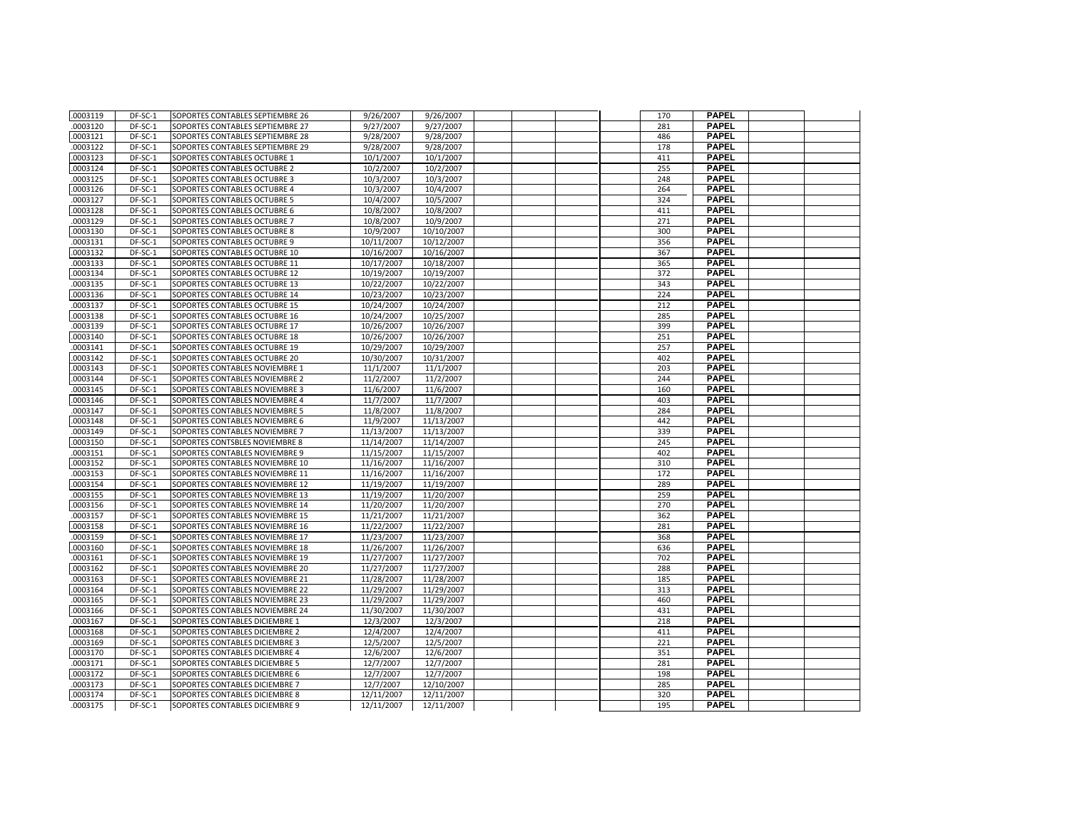| .0003119             | DF-SC-1            | SOPORTES CONTABLES SEPTIEMBRE 26                                 | 9/26/2007              | 9/26/2007              |  | 170        | <b>PAPEL</b>                 |  |
|----------------------|--------------------|------------------------------------------------------------------|------------------------|------------------------|--|------------|------------------------------|--|
| .0003120             | DF-SC-1            | SOPORTES CONTABLES SEPTIEMBRE 27                                 | 9/27/2007              | 9/27/2007              |  | 281        | <b>PAPEL</b>                 |  |
| .0003121             | DF-SC-1            | SOPORTES CONTABLES SEPTIEMBRE 28                                 | 9/28/2007              | 9/28/2007              |  | 486        | <b>PAPEL</b>                 |  |
| .0003122             | DF-SC-1            | SOPORTES CONTABLES SEPTIEMBRE 29                                 | 9/28/2007              | 9/28/2007              |  | 178        | <b>PAPEL</b>                 |  |
| .0003123             | DF-SC-1            | SOPORTES CONTABLES OCTUBRE 1                                     | 10/1/2007              | 10/1/2007              |  | 411        | <b>PAPEL</b>                 |  |
| .0003124             | DF-SC-1            | SOPORTES CONTABLES OCTUBRE 2                                     | 10/2/2007              | 10/2/2007              |  | 255        | <b>PAPEL</b>                 |  |
| .0003125             | DF-SC-1            | SOPORTES CONTABLES OCTUBRE 3                                     | 10/3/2007              | 10/3/2007              |  | 248        | <b>PAPEL</b>                 |  |
| .0003126             | DF-SC-1            | SOPORTES CONTABLES OCTUBRE 4                                     | 10/3/2007              | 10/4/2007              |  | 264        | <b>PAPEL</b>                 |  |
| .0003127             | DF-SC-1            | SOPORTES CONTABLES OCTUBRE 5                                     | 10/4/2007              | 10/5/2007              |  | 324        | <b>PAPEL</b>                 |  |
| .0003128             | DF-SC-1            | SOPORTES CONTABLES OCTUBRE 6                                     | 10/8/2007              | 10/8/2007              |  | 411        | <b>PAPEL</b>                 |  |
| .0003129             | DF-SC-1            | SOPORTES CONTABLES OCTUBRE 7                                     | 10/8/2007              | 10/9/2007              |  | 271        | <b>PAPEL</b>                 |  |
| .0003130             | DF-SC-1            | SOPORTES CONTABLES OCTUBRE 8                                     | 10/9/2007              | 10/10/2007             |  | 300        | <b>PAPEL</b>                 |  |
| .0003131             | DF-SC-1            | SOPORTES CONTABLES OCTUBRE 9                                     | 10/11/2007             | 10/12/2007             |  | 356        | <b>PAPEL</b>                 |  |
| .0003132             | DF-SC-1            | SOPORTES CONTABLES OCTUBRE 10                                    | 10/16/2007             | 10/16/2007             |  | 367        | <b>PAPEL</b>                 |  |
| .0003133             | DF-SC-1            | SOPORTES CONTABLES OCTUBRE 11                                    | 10/17/2007             | 10/18/2007             |  | 365        | <b>PAPEL</b>                 |  |
| .0003134             | DF-SC-1            | SOPORTES CONTABLES OCTUBRE 12                                    | 10/19/2007             | 10/19/2007             |  | 372        | <b>PAPEL</b>                 |  |
| .0003135             | DF-SC-1            | SOPORTES CONTABLES OCTUBRE 13                                    | 10/22/2007             | 10/22/2007             |  | 343        | <b>PAPEL</b>                 |  |
| .0003136             | DF-SC-1            | SOPORTES CONTABLES OCTUBRE 14                                    | 10/23/2007             | 10/23/2007             |  | 224        | <b>PAPEL</b>                 |  |
| .0003137             | DF-SC-1            | SOPORTES CONTABLES OCTUBRE 15                                    | 10/24/2007             | 10/24/2007             |  | 212        | <b>PAPEL</b>                 |  |
| .0003138             | DF-SC-1            | SOPORTES CONTABLES OCTUBRE 16                                    | 10/24/2007             | 10/25/2007             |  | 285        | <b>PAPEL</b>                 |  |
| .0003139             | DF-SC-1            | SOPORTES CONTABLES OCTUBRE 17                                    | 10/26/2007             | 10/26/2007             |  | 399        | <b>PAPEL</b>                 |  |
| .0003140             | DF-SC-1            | SOPORTES CONTABLES OCTUBRE 18                                    | 10/26/2007             | 10/26/2007             |  | 251        | <b>PAPEL</b>                 |  |
| .0003141             | DF-SC-1            | SOPORTES CONTABLES OCTUBRE 19                                    | 10/29/2007             | 10/29/2007             |  | 257        | <b>PAPEL</b>                 |  |
| .0003142             | DF-SC-1            | SOPORTES CONTABLES OCTUBRE 20                                    | 10/30/2007             | 10/31/2007             |  | 402        | <b>PAPEL</b>                 |  |
| .0003143             | DF-SC-1            | SOPORTES CONTABLES NOVIEMBRE 1                                   | 11/1/2007              | 11/1/2007              |  | 203        | <b>PAPEL</b>                 |  |
| .0003144             | DF-SC-1            | SOPORTES CONTABLES NOVIEMBRE 2                                   | 11/2/2007              | 11/2/2007              |  | 244        | <b>PAPEL</b>                 |  |
| .0003145             | DF-SC-1            | SOPORTES CONTABLES NOVIEMBRE 3                                   | 11/6/2007              | 11/6/2007              |  | 160        | <b>PAPEL</b>                 |  |
| .0003146             | DF-SC-1            | SOPORTES CONTABLES NOVIEMBRE 4                                   | 11/7/2007              | 11/7/2007              |  | 403        | <b>PAPEL</b>                 |  |
| .0003147             | DF-SC-1            | SOPORTES CONTABLES NOVIEMBRE 5                                   | 11/8/2007              | 11/8/2007              |  | 284        | <b>PAPEL</b>                 |  |
| .0003148             | DF-SC-1            | SOPORTES CONTABLES NOVIEMBRE 6                                   | 11/9/2007              | 11/13/2007             |  | 442        | <b>PAPEL</b>                 |  |
| .0003149             | DF-SC-1            | SOPORTES CONTABLES NOVIEMBRE 7                                   | 11/13/2007             | 11/13/2007             |  | 339        | <b>PAPEL</b>                 |  |
| .0003150             | DF-SC-1            | SOPORTES CONTSBLES NOVIEMBRE 8                                   | 11/14/2007             | 11/14/2007             |  | 245        | <b>PAPEL</b>                 |  |
| .0003151             | DF-SC-1            | SOPORTES CONTABLES NOVIEMBRE 9                                   | 11/15/2007             | 11/15/2007             |  | 402        | <b>PAPEL</b>                 |  |
| .0003152             | DF-SC-1            | SOPORTES CONTABLES NOVIEMBRE 10                                  | 11/16/2007             | 11/16/2007             |  | 310        | <b>PAPEL</b>                 |  |
| .0003153             | DF-SC-1            | SOPORTES CONTABLES NOVIEMBRE 11                                  | 11/16/2007             | 11/16/2007             |  | 172        | <b>PAPEL</b>                 |  |
| .0003154             | DF-SC-1            | SOPORTES CONTABLES NOVIEMBRE 12                                  | 11/19/2007             | 11/19/2007             |  | 289        | <b>PAPEL</b>                 |  |
| .0003155             | DF-SC-1            | SOPORTES CONTABLES NOVIEMBRE 13                                  | 11/19/2007             | 11/20/2007             |  | 259        | <b>PAPEL</b>                 |  |
| .0003156             | DF-SC-1            | SOPORTES CONTABLES NOVIEMBRE 14                                  | 11/20/2007             | 11/20/2007             |  | 270        | <b>PAPEL</b>                 |  |
| 0003157              | DF-SC-1            | SOPORTES CONTABLES NOVIEMBRE 15                                  | 11/21/2007             | 11/21/2007             |  | 362        | <b>PAPEL</b>                 |  |
| .0003158             | DF-SC-1            | SOPORTES CONTABLES NOVIEMBRE 16                                  | 11/22/2007             | 11/22/2007             |  | 281        | <b>PAPEL</b>                 |  |
| .0003159             | DF-SC-1            | SOPORTES CONTABLES NOVIEMBRE 17                                  | 11/23/2007             | 11/23/2007             |  | 368        | <b>PAPEL</b>                 |  |
| .0003160             | DF-SC-1            | SOPORTES CONTABLES NOVIEMBRE 18                                  | 11/26/2007             | 11/26/2007             |  | 636        | <b>PAPEL</b>                 |  |
| .0003161             | DF-SC-1            | SOPORTES CONTABLES NOVIEMBRE 19                                  | 11/27/2007             | 11/27/2007             |  | 702        | <b>PAPEL</b>                 |  |
| .0003162             | $DF-SC-1$          | SOPORTES CONTABLES NOVIEMBRE 20                                  | 11/27/2007             | 11/27/2007             |  | 288        | <b>PAPEL</b>                 |  |
| .0003163             | $DF-SC-1$          | SOPORTES CONTABLES NOVIEMBRE 21                                  | 11/28/2007             | 11/28/2007             |  | 185        | <b>PAPEL</b>                 |  |
| .0003164             | DF-SC-1            | SOPORTES CONTABLES NOVIEMBRE 22                                  | 11/29/2007             | 11/29/2007             |  | 313        | <b>PAPEL</b>                 |  |
| .0003165             | DF-SC-1            | SOPORTES CONTABLES NOVIEMBRE 23                                  | 11/29/2007             | 11/29/2007             |  | 460        | <b>PAPEL</b>                 |  |
| .0003166             | DF-SC-1            | SOPORTES CONTABLES NOVIEMBRE 24                                  | 11/30/2007             | 11/30/2007             |  | 431        | <b>PAPEL</b><br><b>PAPEL</b> |  |
| .0003167             | DF-SC-1            | SOPORTES CONTABLES DICIEMBRE 1                                   | 12/3/2007              | 12/3/2007              |  | 218        | <b>PAPEL</b>                 |  |
| .0003168             | DF-SC-1            | SOPORTES CONTABLES DICIEMBRE 2                                   | 12/4/2007              | 12/4/2007              |  | 411        | <b>PAPEL</b>                 |  |
| .0003169<br>.0003170 | DF-SC-1            | SOPORTES CONTABLES DICIEMBRE 3                                   | 12/5/2007              | 12/5/2007              |  | 221<br>351 | <b>PAPEL</b>                 |  |
| .0003171             | DF-SC-1<br>DF-SC-1 | SOPORTES CONTABLES DICIEMBRE 4                                   | 12/6/2007              | 12/6/2007              |  | 281        | <b>PAPEL</b>                 |  |
| .0003172             | DF-SC-1            | SOPORTES CONTABLES DICIEMBRE 5<br>SOPORTES CONTABLES DICIEMBRE 6 | 12/7/2007<br>12/7/2007 | 12/7/2007<br>12/7/2007 |  | 198        | <b>PAPEL</b>                 |  |
| .0003173             | DF-SC-1            | SOPORTES CONTABLES DICIEMBRE 7                                   | 12/7/2007              | 12/10/2007             |  | 285        | <b>PAPEL</b>                 |  |
| .0003174             | DF-SC-1            | SOPORTES CONTABLES DICIEMBRE 8                                   | 12/11/2007             | 12/11/2007             |  | 320        | PAPEL                        |  |
| .0003175             | DF-SC-1            | SOPORTES CONTABLES DICIEMBRE 9                                   | 12/11/2007             | 12/11/2007             |  | 195        | <b>PAPEL</b>                 |  |
|                      |                    |                                                                  |                        |                        |  |            |                              |  |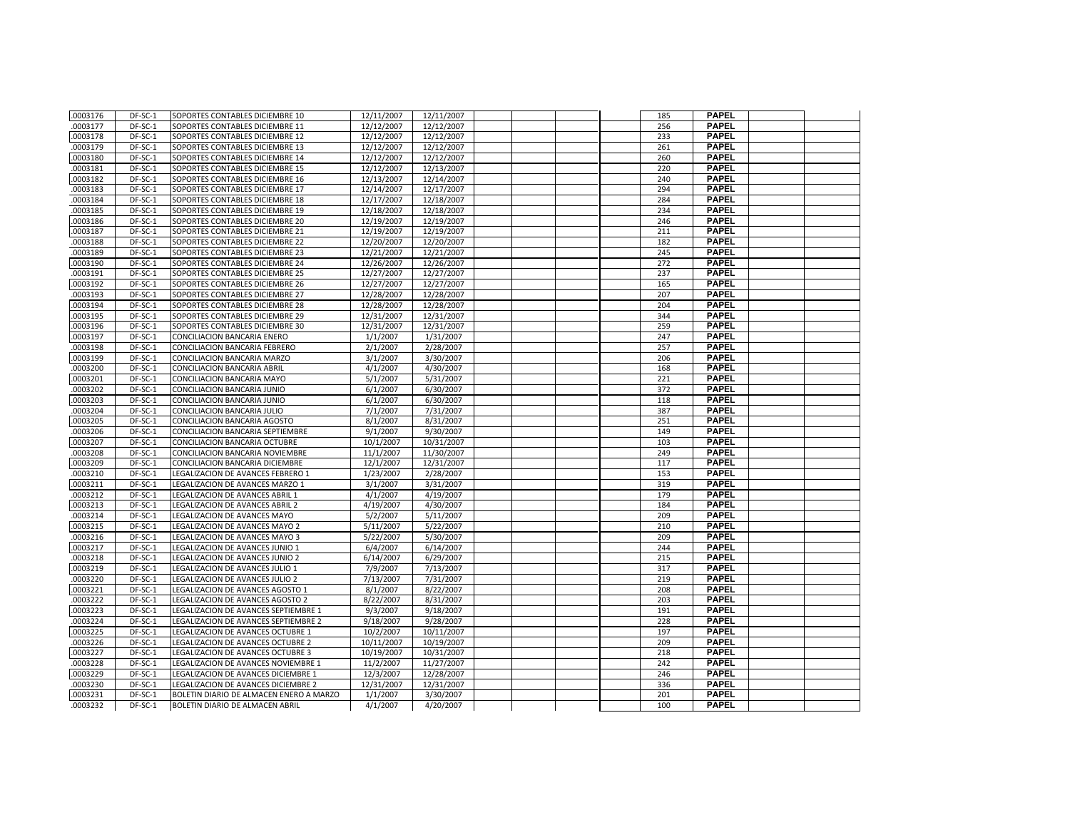| .0003176             | DF-SC-1            | SOPORTES CONTABLES DICIEMBRE 10                            | 12/11/2007 | 12/11/2007             |  | 185        | <b>PAPEL</b> |  |
|----------------------|--------------------|------------------------------------------------------------|------------|------------------------|--|------------|--------------|--|
| .0003177             | DF-SC-1            | SOPORTES CONTABLES DICIEMBRE 11                            | 12/12/2007 | 12/12/2007             |  | 256        | <b>PAPEL</b> |  |
| .0003178             | DF-SC-1            | SOPORTES CONTABLES DICIEMBRE 12                            | 12/12/2007 | 12/12/2007             |  | 233        | <b>PAPEL</b> |  |
| .0003179             | DF-SC-1            | SOPORTES CONTABLES DICIEMBRE 13                            | 12/12/2007 | 12/12/2007             |  | 261        | <b>PAPEL</b> |  |
| .0003180             | DF-SC-1            | SOPORTES CONTABLES DICIEMBRE 14                            | 12/12/2007 | 12/12/2007             |  | 260        | <b>PAPEL</b> |  |
| .0003181             | DF-SC-1            | SOPORTES CONTABLES DICIEMBRE 15                            | 12/12/2007 | 12/13/2007             |  | 220        | <b>PAPEL</b> |  |
| .0003182             | DF-SC-1            | SOPORTES CONTABLES DICIEMBRE 16                            | 12/13/2007 | 12/14/2007             |  | 240        | <b>PAPEL</b> |  |
| .0003183             | DF-SC-1            | SOPORTES CONTABLES DICIEMBRE 17                            | 12/14/2007 | 12/17/2007             |  | 294        | <b>PAPEL</b> |  |
| .0003184             | DF-SC-1            | SOPORTES CONTABLES DICIEMBRE 18                            | 12/17/2007 | 12/18/2007             |  | 284        | <b>PAPEL</b> |  |
| .0003185             | DF-SC-1            | SOPORTES CONTABLES DICIEMBRE 19                            | 12/18/2007 | 12/18/2007             |  | 234        | <b>PAPEL</b> |  |
| 0003186              | DF-SC-1            | SOPORTES CONTABLES DICIEMBRE 20                            | 12/19/2007 | 12/19/2007             |  | 246        | <b>PAPEL</b> |  |
| .0003187             | DF-SC-1            | SOPORTES CONTABLES DICIEMBRE 21                            | 12/19/2007 | 12/19/2007             |  | 211        | <b>PAPEL</b> |  |
| .0003188             | DF-SC-1            | SOPORTES CONTABLES DICIEMBRE 22                            | 12/20/2007 | 12/20/2007             |  | 182        | PAPEL        |  |
| 0003189              | DF-SC-1            | SOPORTES CONTABLES DICIEMBRE 23                            | 12/21/2007 | 12/21/2007             |  | 245        | <b>PAPEL</b> |  |
| .0003190             | DF-SC-1            | SOPORTES CONTABLES DICIEMBRE 24                            | 12/26/2007 | 12/26/2007             |  | 272        | <b>PAPEL</b> |  |
| .0003191             | DF-SC-1            | SOPORTES CONTABLES DICIEMBRE 25                            | 12/27/2007 | 12/27/2007             |  | 237        | <b>PAPEL</b> |  |
| .0003192             | DF-SC-1            | SOPORTES CONTABLES DICIEMBRE 26                            | 12/27/2007 | 12/27/2007             |  | 165        | <b>PAPEL</b> |  |
| 0003193              | DF-SC-1            | SOPORTES CONTABLES DICIEMBRE 27                            | 12/28/2007 | 12/28/2007             |  | 207        | <b>PAPEL</b> |  |
| 0003194              | DF-SC-1            | SOPORTES CONTABLES DICIEMBRE 28                            | 12/28/2007 | 12/28/2007             |  | 204        | <b>PAPEL</b> |  |
| 0003195              | DF-SC-1            | SOPORTES CONTABLES DICIEMBRE 29                            | 12/31/2007 | 12/31/2007             |  | 344        | <b>PAPEL</b> |  |
| 0003196              | DF-SC-1            | SOPORTES CONTABLES DICIEMBRE 30                            | 12/31/2007 | 12/31/2007             |  | 259        | <b>PAPEL</b> |  |
| .0003197             | DF-SC-1            | CONCILIACION BANCARIA ENERO                                | 1/1/2007   | 1/31/2007              |  | 247        | <b>PAPEL</b> |  |
| .0003198             | DF-SC-1            | CONCILIACION BANCARIA FEBRERO                              | 2/1/2007   | 2/28/2007              |  | 257        | <b>PAPEL</b> |  |
| 0003199              | DF-SC-1            | CONCILIACION BANCARIA MARZO                                | 3/1/2007   | 3/30/2007              |  | 206        | <b>PAPEL</b> |  |
| .0003200             | DF-SC-1            | CONCILIACION BANCARIA ABRIL                                | 4/1/2007   | 4/30/2007              |  | 168        | <b>PAPEL</b> |  |
| .0003201             | DF-SC-1            | CONCILIACION BANCARIA MAYO                                 | 5/1/2007   | 5/31/2007              |  | 221        | <b>PAPEL</b> |  |
| 0003202              | DF-SC-1            | CONCILIACION BANCARIA JUNIO                                | 6/1/2007   | 6/30/2007              |  | 372        | <b>PAPEL</b> |  |
| .0003203             | DF-SC-1            |                                                            | 6/1/2007   |                        |  | 118        | <b>PAPEL</b> |  |
| .0003204             | DF-SC-1            | CONCILIACION BANCARIA JUNIO<br>CONCILIACION BANCARIA JULIO | 7/1/2007   | 6/30/2007<br>7/31/2007 |  | 387        | <b>PAPEL</b> |  |
| .0003205             | DF-SC-1            | CONCILIACION BANCARIA AGOSTO                               | 8/1/2007   | 8/31/2007              |  | 251        | <b>PAPEL</b> |  |
| .0003206             | DF-SC-1            | CONCILIACION BANCARIA SEPTIEMBRE                           | 9/1/2007   | 9/30/2007              |  | 149        | <b>PAPEL</b> |  |
| .0003207             | DF-SC-1            | CONCILIACION BANCARIA OCTUBRE                              | 10/1/2007  | 10/31/2007             |  | 103        | <b>PAPEL</b> |  |
|                      | DF-SC-1            |                                                            |            |                        |  | 249        | <b>PAPEL</b> |  |
| .0003208             |                    | CONCILIACION BANCARIA NOVIEMBRE                            | 11/1/2007  | 11/30/2007             |  |            | <b>PAPEL</b> |  |
| .0003209<br>.0003210 | DF-SC-1<br>DF-SC-1 | CONCILIACION BANCARIA DICIEMBRE                            | 12/1/2007  | 12/31/2007             |  | 117<br>153 | <b>PAPEL</b> |  |
|                      |                    | LEGALIZACION DE AVANCES FEBRERO 1                          | 1/23/2007  | 2/28/2007              |  |            | <b>PAPEL</b> |  |
| .0003211             | DF-SC-1            | LEGALIZACION DE AVANCES MARZO 1                            | 3/1/2007   | 3/31/2007              |  | 319        | <b>PAPEL</b> |  |
| .0003212             | DF-SC-1            | LEGALIZACION DE AVANCES ABRIL 1                            | 4/1/2007   | 4/19/2007              |  | 179        |              |  |
| .0003213             | DF-SC-1            | LEGALIZACION DE AVANCES ABRIL 2                            | 4/19/2007  | 4/30/2007              |  | 184        | <b>PAPEL</b> |  |
| .0003214             | DF-SC-1            | LEGALIZACION DE AVANCES MAYO                               | 5/2/2007   | 5/11/2007              |  | 209        | <b>PAPEL</b> |  |
| .0003215             | DF-SC-1            | LEGALIZACION DE AVANCES MAYO 2                             | 5/11/2007  | 5/22/2007              |  | 210        | <b>PAPEL</b> |  |
| 0003216              | DF-SC-1            | LEGALIZACION DE AVANCES MAYO 3                             | 5/22/2007  | 5/30/2007              |  | 209        | <b>PAPEL</b> |  |
| .0003217             | DF-SC-1            | LEGALIZACION DE AVANCES JUNIO 1                            | 6/4/2007   | 6/14/2007              |  | 244        | <b>PAPEL</b> |  |
| .0003218             | DF-SC-1            | LEGALIZACION DE AVANCES JUNIO 2                            | 6/14/2007  | 6/29/2007              |  | 215        | <b>PAPEL</b> |  |
| .0003219             | DF-SC-1            | LEGALIZACION DE AVANCES JULIO 1                            | 7/9/2007   | 7/13/2007              |  | 317        | <b>PAPEL</b> |  |
| .0003220             | DF-SC-1            | LEGALIZACION DE AVANCES JULIO 2                            | 7/13/2007  | 7/31/2007              |  | 219        | <b>PAPEL</b> |  |
| .0003221             | DF-SC-1            | LEGALIZACION DE AVANCES AGOSTO 1                           | 8/1/2007   | 8/22/2007              |  | 208        | <b>PAPEL</b> |  |
| 0003222              | DF-SC-1            | LEGALIZACION DE AVANCES AGOSTO 2                           | 8/22/2007  | 8/31/2007              |  | 203        | <b>PAPEL</b> |  |
| .0003223             | DF-SC-1            | LEGALIZACION DE AVANCES SEPTIEMBRE 1                       | 9/3/2007   | 9/18/2007              |  | 191        | <b>PAPEL</b> |  |
| .0003224             | DF-SC-1            | LEGALIZACION DE AVANCES SEPTIEMBRE 2                       | 9/18/2007  | 9/28/2007              |  | 228        | <b>PAPEL</b> |  |
| .0003225             | DF-SC-1            | LEGALIZACION DE AVANCES OCTUBRE 1                          | 10/2/2007  | 10/11/2007             |  | 197        | <b>PAPEL</b> |  |
| .0003226             | DF-SC-1            | LEGALIZACION DE AVANCES OCTUBRE 2                          | 10/11/2007 | 10/19/2007             |  | 209        | <b>PAPEL</b> |  |
| 0003227              | DF-SC-1            | LEGALIZACION DE AVANCES OCTUBRE 3                          | 10/19/2007 | 10/31/2007             |  | 218        | <b>PAPEL</b> |  |
| .0003228             | DF-SC-1            | LEGALIZACION DE AVANCES NOVIEMBRE 1                        | 11/2/2007  | 11/27/2007             |  | 242        | <b>PAPEL</b> |  |
| .0003229             | DF-SC-1            | LEGALIZACION DE AVANCES DICIEMBRE 1                        | 12/3/2007  | 12/28/2007             |  | 246        | <b>PAPEL</b> |  |
| .0003230             | DF-SC-1            | LEGALIZACION DE AVANCES DICIEMBRE 2                        | 12/31/2007 | 12/31/2007             |  | 336        | PAPEL        |  |
| .0003231             | DF-SC-1            | BOLETIN DIARIO DE ALMACEN ENERO A MARZO                    | 1/1/2007   | 3/30/2007              |  | 201        | <b>PAPEL</b> |  |
| .0003232             | DF-SC-1            | BOLETIN DIARIO DE ALMACEN ABRIL                            | 4/1/2007   | 4/20/2007              |  | 100        | <b>PAPEL</b> |  |
|                      |                    |                                                            |            |                        |  |            |              |  |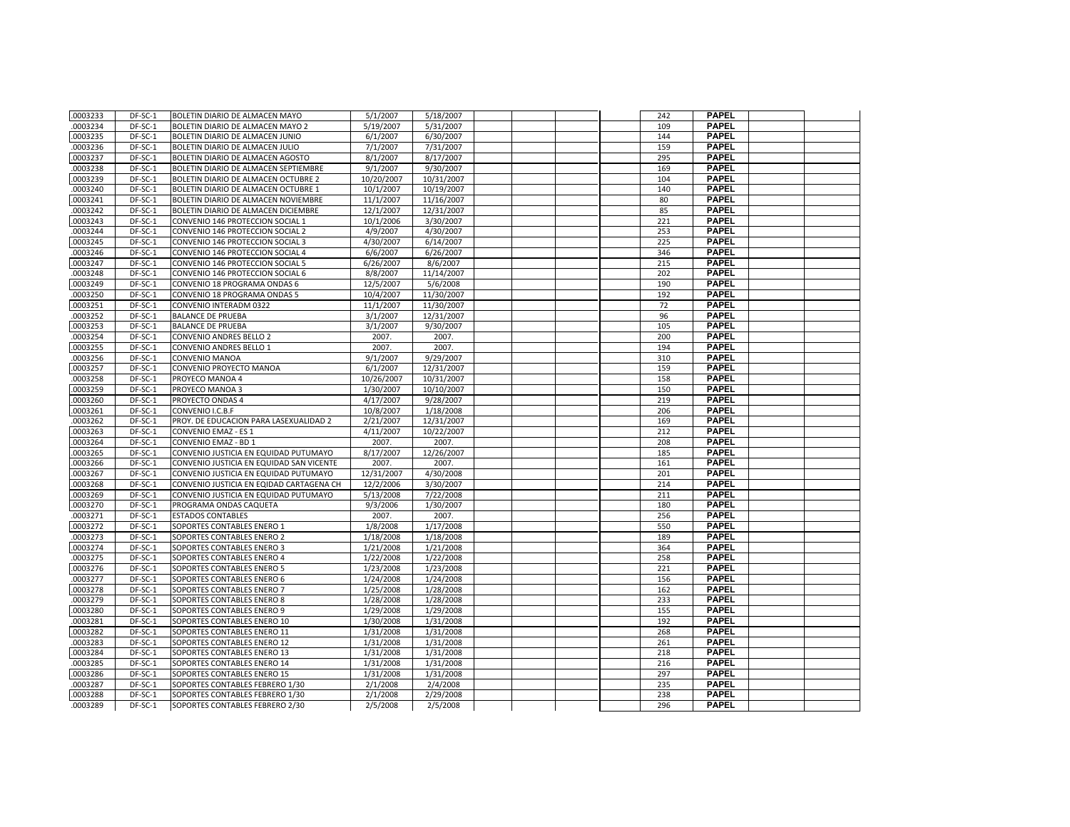| .0003233 | DF-SC-1 | BOLETIN DIARIO DE ALMACEN MAYO           | 5/1/2007               | 5/18/2007  |  | 242 | <b>PAPEL</b> |  |
|----------|---------|------------------------------------------|------------------------|------------|--|-----|--------------|--|
| .0003234 | DF-SC-1 | <b>BOLETIN DIARIO DE ALMACEN MAYO 2</b>  | 5/19/2007              | 5/31/2007  |  | 109 | <b>PAPEL</b> |  |
| .0003235 | DF-SC-1 | BOLETIN DIARIO DE ALMACEN JUNIO          | 6/1/2007               | 6/30/2007  |  | 144 | <b>PAPEL</b> |  |
| .0003236 | DF-SC-1 | BOLETIN DIARIO DE ALMACEN JULIO          | 7/1/2007               | 7/31/2007  |  | 159 | <b>PAPEL</b> |  |
| .0003237 | DF-SC-1 | BOLETIN DIARIO DE ALMACEN AGOSTO         | 8/1/2007               | 8/17/2007  |  | 295 | <b>PAPEL</b> |  |
| .0003238 | DF-SC-1 | BOLETIN DIARIO DE ALMACEN SEPTIEMBRE     | 9/1/2007               | 9/30/2007  |  | 169 | <b>PAPEL</b> |  |
| .0003239 | DF-SC-1 | BOLETIN DIARIO DE ALMACEN OCTUBRE 2      | 10/20/2007             | 10/31/2007 |  | 104 | <b>PAPEL</b> |  |
| .0003240 | DF-SC-1 | BOLETIN DIARIO DE ALMACEN OCTUBRE 1      | 10/1/2007              | 10/19/2007 |  | 140 | <b>PAPEL</b> |  |
| .0003241 | DF-SC-1 | BOLETIN DIARIO DE ALMACEN NOVIEMBRE      | 11/1/2007              | 11/16/2007 |  | 80  | <b>PAPEL</b> |  |
| .0003242 | DF-SC-1 | BOLETIN DIARIO DE ALMACEN DICIEMBRE      | 12/1/2007              | 12/31/2007 |  | 85  | <b>PAPEL</b> |  |
| .0003243 | DF-SC-1 | CONVENIO 146 PROTECCION SOCIAL 1         | 10/1/2006              | 3/30/2007  |  | 221 | <b>PAPEL</b> |  |
| .0003244 | DF-SC-1 | CONVENIO 146 PROTECCION SOCIAL 2         | 4/9/2007               | 4/30/2007  |  | 253 | <b>PAPEL</b> |  |
| .0003245 | DF-SC-1 | CONVENIO 146 PROTECCION SOCIAL 3         | 4/30/2007              | 6/14/2007  |  | 225 | <b>PAPEL</b> |  |
| .0003246 | DF-SC-1 | CONVENIO 146 PROTECCION SOCIAL 4         | 6/6/2007               | 6/26/2007  |  | 346 | <b>PAPEL</b> |  |
| .0003247 | DF-SC-1 | CONVENIO 146 PROTECCION SOCIAL 5         | 6/26/2007              | 8/6/2007   |  | 215 | <b>PAPEL</b> |  |
| .0003248 | DF-SC-1 | CONVENIO 146 PROTECCION SOCIAL 6         | 8/8/2007               | 11/14/2007 |  | 202 | <b>PAPEL</b> |  |
| .0003249 | DF-SC-1 | CONVENIO 18 PROGRAMA ONDAS 6             | 12/5/2007              | 5/6/2008   |  | 190 | <b>PAPEL</b> |  |
| .0003250 | DF-SC-1 | CONVENIO 18 PROGRAMA ONDAS 5             | 10/4/2007              | 11/30/2007 |  | 192 | <b>PAPEL</b> |  |
| .0003251 | DF-SC-1 | CONVENIO INTERADM 0322                   | 11/1/2007              | 11/30/2007 |  | 72  | <b>PAPEL</b> |  |
| .0003252 | DF-SC-1 | <b>BALANCE DE PRUEBA</b>                 | 3/1/2007               | 12/31/2007 |  | 96  | <b>PAPEL</b> |  |
| .0003253 | DF-SC-1 | <b>BALANCE DE PRUEBA</b>                 | 3/1/2007               | 9/30/2007  |  | 105 | <b>PAPEL</b> |  |
| .0003254 | DF-SC-1 | <b>CONVENIO ANDRES BELLO 2</b>           | 2007.                  | 2007.      |  | 200 | <b>PAPEL</b> |  |
| .0003255 | DF-SC-1 | CONVENIO ANDRES BELLO 1                  | 2007.                  | 2007.      |  | 194 | <b>PAPEL</b> |  |
| .0003256 | DF-SC-1 | <b>CONVENIO MANOA</b>                    | 9/1/2007               | 9/29/2007  |  | 310 | <b>PAPEL</b> |  |
| .0003257 | DF-SC-1 | CONVENIO PROYECTO MANOA                  | 6/1/2007               | 12/31/2007 |  | 159 | <b>PAPEL</b> |  |
| .0003258 | DF-SC-1 | PROYECO MANOA 4                          | 10/26/2007             | 10/31/2007 |  | 158 | <b>PAPEL</b> |  |
| .0003259 | DF-SC-1 | PROYECO MANOA 3                          | 1/30/2007              | 10/10/2007 |  | 150 | <b>PAPEL</b> |  |
| .0003260 | DF-SC-1 | PROYECTO ONDAS 4                         | 4/17/2007              | 9/28/2007  |  | 219 | <b>PAPEL</b> |  |
| .0003261 | DF-SC-1 | CONVENIO I.C.B.F                         | 10/8/2007              | 1/18/2008  |  | 206 | <b>PAPEL</b> |  |
| .0003262 | DF-SC-1 | PROY. DE EDUCACION PARA LASEXUALIDAD 2   | 2/21/2007              | 12/31/2007 |  | 169 | <b>PAPEL</b> |  |
| .0003263 | DF-SC-1 | <b>CONVENIO EMAZ - ES 1</b>              | 4/11/2007              | 10/22/2007 |  | 212 | <b>PAPEL</b> |  |
| .0003264 | DF-SC-1 | CONVENIO EMAZ - BD 1                     | 2007.                  | 2007.      |  | 208 | <b>PAPEL</b> |  |
| .0003265 | DF-SC-1 | CONVENIO JUSTICIA EN EQUIDAD PUTUMAYO    | $\frac{1}{8}$ /17/2007 | 12/26/2007 |  | 185 | <b>PAPEL</b> |  |
| .0003266 | DF-SC-1 | CONVENIO JUSTICIA EN EQUIDAD SAN VICENTE | 2007.                  | 2007.      |  | 161 | <b>PAPEL</b> |  |
| .0003267 | DF-SC-1 | CONVENIO JUSTICIA EN EQUIDAD PUTUMAYO    | 12/31/2007             | 4/30/2008  |  | 201 | <b>PAPEL</b> |  |
| .0003268 | DF-SC-1 | CONVENIO JUSTICIA EN EQIDAD CARTAGENA CH | 12/2/2006              | 3/30/2007  |  | 214 | <b>PAPEL</b> |  |
| .0003269 | DF-SC-1 | CONVENIO JUSTICIA EN EQUIDAD PUTUMAYO    | 5/13/2008              | 7/22/2008  |  | 211 | <b>PAPEL</b> |  |
| .0003270 | DF-SC-1 | PROGRAMA ONDAS CAQUETA                   | 9/3/2006               | 1/30/2007  |  | 180 | <b>PAPEL</b> |  |
| .0003271 | DF-SC-1 | <b>ESTADOS CONTABLES</b>                 | 2007.                  | 2007.      |  | 256 | <b>PAPEL</b> |  |
| .0003272 | DF-SC-1 | SOPORTES CONTABLES ENERO 1               | 1/8/2008               | 1/17/2008  |  | 550 | <b>PAPEL</b> |  |
| .0003273 | DF-SC-1 | SOPORTES CONTABLES ENERO 2               | 1/18/2008              | 1/18/2008  |  | 189 | <b>PAPEL</b> |  |
| .0003274 | DF-SC-1 | SOPORTES CONTABLES ENERO 3               | 1/21/2008              | 1/21/2008  |  | 364 | <b>PAPEL</b> |  |
| .0003275 | DF-SC-1 | SOPORTES CONTABLES ENERO 4               | 1/22/2008              | 1/22/2008  |  | 258 | <b>PAPEL</b> |  |
| .0003276 | DF-SC-1 | SOPORTES CONTABLES ENERO 5               | 1/23/2008              | 1/23/2008  |  | 221 | <b>PAPEL</b> |  |
| .0003277 | DF-SC-1 | SOPORTES CONTABLES ENERO 6               | 1/24/2008              | 1/24/2008  |  | 156 | <b>PAPEL</b> |  |
| .0003278 | DF-SC-1 | SOPORTES CONTABLES ENERO 7               | 1/25/2008              | 1/28/2008  |  | 162 | <b>PAPEL</b> |  |
| .0003279 | DF-SC-1 | SOPORTES CONTABLES ENERO 8               | 1/28/2008              | 1/28/2008  |  | 233 | <b>PAPEL</b> |  |
| .0003280 | DF-SC-1 | SOPORTES CONTABLES ENERO 9               | 1/29/2008              | 1/29/2008  |  | 155 | <b>PAPEL</b> |  |
| .0003281 | DF-SC-1 | SOPORTES CONTABLES ENERO 10              | 1/30/2008              | 1/31/2008  |  | 192 | <b>PAPEL</b> |  |
| .0003282 | DF-SC-1 | SOPORTES CONTABLES ENERO 11              | 1/31/2008              | 1/31/2008  |  | 268 | <b>PAPEL</b> |  |
| .0003283 | DF-SC-1 | SOPORTES CONTABLES ENERO 12              | 1/31/2008              | 1/31/2008  |  | 261 | <b>PAPEL</b> |  |
| .0003284 | DF-SC-1 | SOPORTES CONTABLES ENERO 13              | 1/31/2008              | 1/31/2008  |  | 218 | <b>PAPEL</b> |  |
| .0003285 | DF-SC-1 | SOPORTES CONTABLES ENERO 14              | 1/31/2008              | 1/31/2008  |  | 216 | <b>PAPEL</b> |  |
| .0003286 | DF-SC-1 | SOPORTES CONTABLES ENERO 15              | 1/31/2008              | 1/31/2008  |  | 297 | <b>PAPEL</b> |  |
| .0003287 | DF-SC-1 | SOPORTES CONTABLES FEBRERO 1/30          | 2/1/2008               | 2/4/2008   |  | 235 | <b>PAPEL</b> |  |
| .0003288 | DF-SC-1 | SOPORTES CONTABLES FEBRERO 1/30          | 2/1/2008               | 2/29/2008  |  | 238 | <b>PAPEL</b> |  |
| .0003289 | DF-SC-1 | SOPORTES CONTABLES FEBRERO 2/30          | 2/5/2008               | 2/5/2008   |  | 296 | <b>PAPEL</b> |  |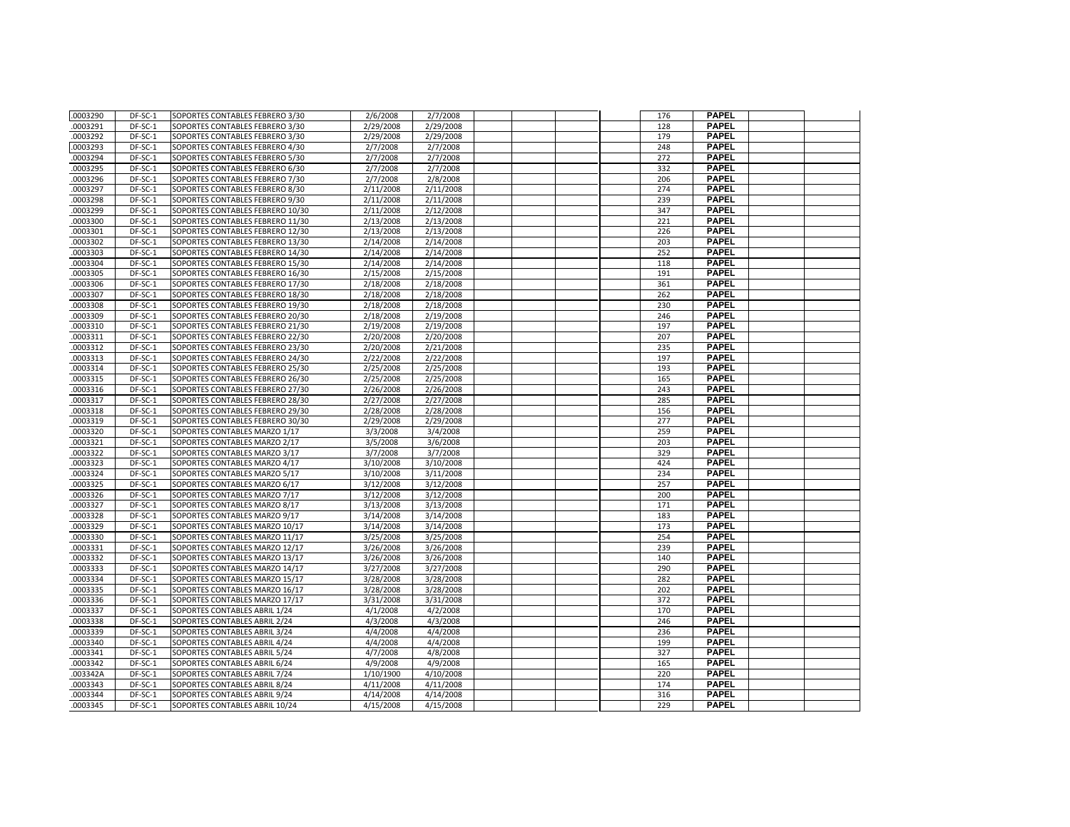| .0003290             | DF-SC-1            | SOPORTES CONTABLES FEBRERO 3/30                                | 2/6/2008               | 2/7/2008               |  | 176        | <b>PAPEL</b>                 |  |
|----------------------|--------------------|----------------------------------------------------------------|------------------------|------------------------|--|------------|------------------------------|--|
| .0003291             | DF-SC-1            | SOPORTES CONTABLES FEBRERO 3/30                                | 2/29/2008              | 2/29/2008              |  | 128        | <b>PAPEL</b>                 |  |
| .0003292             | DF-SC-1            | SOPORTES CONTABLES FEBRERO 3/30                                | 2/29/2008              | 2/29/2008              |  | 179        | <b>PAPEL</b>                 |  |
| .0003293             | DF-SC-1            | SOPORTES CONTABLES FEBRERO 4/30                                | 2/7/2008               | 2/7/2008               |  | 248        | <b>PAPEL</b>                 |  |
| .0003294             | DF-SC-1            | SOPORTES CONTABLES FEBRERO 5/30                                | 2/7/2008               | 2/7/2008               |  | 272        | <b>PAPEL</b>                 |  |
| .0003295             | DF-SC-1            | SOPORTES CONTABLES FEBRERO 6/30                                | 2/7/2008               | 2/7/2008               |  | 332        | <b>PAPEL</b>                 |  |
| .0003296             | DF-SC-1            | SOPORTES CONTABLES FEBRERO 7/30                                | 2/7/2008               | 2/8/2008               |  | 206        | <b>PAPEL</b>                 |  |
| .0003297             | DF-SC-1            | SOPORTES CONTABLES FEBRERO 8/30                                | 2/11/2008              | 2/11/2008              |  | 274        | <b>PAPEL</b>                 |  |
| .0003298             | DF-SC-1            | SOPORTES CONTABLES FEBRERO 9/30                                | 2/11/2008              | 2/11/2008              |  | 239        | <b>PAPEL</b>                 |  |
| .0003299             | DF-SC-1            | SOPORTES CONTABLES FEBRERO 10/30                               | 2/11/2008              | 2/12/2008              |  | 347        | <b>PAPEL</b>                 |  |
| .0003300             | DF-SC-1            | SOPORTES CONTABLES FEBRERO 11/30                               | 2/13/2008              | 2/13/2008              |  | 221        | <b>PAPEL</b>                 |  |
| .0003301             | DF-SC-1            | SOPORTES CONTABLES FEBRERO 12/30                               | 2/13/2008              | 2/13/2008              |  | 226        | <b>PAPEL</b>                 |  |
| .0003302             | DF-SC-1            | SOPORTES CONTABLES FEBRERO 13/30                               | 2/14/2008              | 2/14/2008              |  | 203        | <b>PAPEL</b>                 |  |
| .0003303             | DF-SC-1            | SOPORTES CONTABLES FEBRERO 14/30                               | 2/14/2008              | 2/14/2008              |  | 252        | <b>PAPEL</b>                 |  |
| .0003304             | DF-SC-1            | SOPORTES CONTABLES FEBRERO 15/30                               | 2/14/2008              | 2/14/2008              |  | 118        | <b>PAPEL</b>                 |  |
| .0003305             | DF-SC-1            | SOPORTES CONTABLES FEBRERO 16/30                               | 2/15/2008              | 2/15/2008              |  | 191        | <b>PAPEL</b>                 |  |
| .0003306             | DF-SC-1            | SOPORTES CONTABLES FEBRERO 17/30                               | 2/18/2008              | 2/18/2008              |  | 361        | <b>PAPEL</b>                 |  |
| .0003307             | DF-SC-1            | SOPORTES CONTABLES FEBRERO 18/30                               | 2/18/2008              | 2/18/2008              |  | 262        | <b>PAPEL</b>                 |  |
| .0003308             | DF-SC-1            | SOPORTES CONTABLES FEBRERO 19/30                               | 2/18/2008              | 2/18/2008              |  | 230        | <b>PAPEL</b>                 |  |
| .0003309             | $DF-SC-1$          | SOPORTES CONTABLES FEBRERO 20/30                               | 2/18/2008              | 2/19/2008              |  | 246        | <b>PAPEL</b>                 |  |
| .0003310             | DF-SC-1            | SOPORTES CONTABLES FEBRERO 21/30                               | 2/19/2008              | 2/19/2008              |  | 197        | <b>PAPEL</b>                 |  |
| .0003311             | DF-SC-1            | SOPORTES CONTABLES FEBRERO 22/30                               | 2/20/2008              | 2/20/2008              |  | 207        | <b>PAPEL</b>                 |  |
| .0003312             | DF-SC-1            | SOPORTES CONTABLES FEBRERO 23/30                               | 2/20/2008              | 2/21/2008              |  | 235        | <b>PAPEL</b>                 |  |
| .0003313             | DF-SC-1            | SOPORTES CONTABLES FEBRERO 24/30                               | 2/22/2008              | 2/22/2008              |  | 197        | <b>PAPEL</b>                 |  |
| .0003314             | DF-SC-1            | SOPORTES CONTABLES FEBRERO 25/30                               | 2/25/2008              | 2/25/2008              |  | 193        | <b>PAPEL</b>                 |  |
| .0003315             | DF-SC-1            | SOPORTES CONTABLES FEBRERO 26/30                               | 2/25/2008              | 2/25/2008              |  | 165        | <b>PAPEL</b>                 |  |
| .0003316             | DF-SC-1            | SOPORTES CONTABLES FEBRERO 27/30                               | 2/26/2008              | 2/26/2008              |  | 243        | <b>PAPEL</b>                 |  |
| .0003317             | DF-SC-1            | SOPORTES CONTABLES FEBRERO 28/30                               | 2/27/2008              | 2/27/2008              |  | 285        | <b>PAPEL</b>                 |  |
| .0003318             | DF-SC-1            | SOPORTES CONTABLES FEBRERO 29/30                               | 2/28/2008              | 2/28/2008              |  | 156        | <b>PAPEL</b>                 |  |
| .0003319             | DF-SC-1            | SOPORTES CONTABLES FEBRERO 30/30                               | 2/29/2008              | 2/29/2008              |  | 277        | <b>PAPEL</b>                 |  |
| .0003320             | DF-SC-1            | SOPORTES CONTABLES MARZO 1/17                                  | 3/3/2008               | 3/4/2008               |  | 259        | <b>PAPEL</b>                 |  |
| .0003321             | DF-SC-1            | SOPORTES CONTABLES MARZO 2/17                                  | 3/5/2008               | 3/6/2008               |  | 203        | <b>PAPEL</b>                 |  |
| .0003322             | DF-SC-1            | SOPORTES CONTABLES MARZO 3/17                                  | 3/7/2008               | 3/7/2008               |  | 329        | <b>PAPEL</b>                 |  |
| .0003323             | DF-SC-1            | SOPORTES CONTABLES MARZO 4/17                                  | 3/10/2008              | 3/10/2008              |  | 424        | <b>PAPEL</b>                 |  |
| .0003324             | DF-SC-1            | SOPORTES CONTABLES MARZO 5/17                                  | 3/10/2008              | 3/11/2008              |  | 234        | <b>PAPEL</b>                 |  |
| .0003325             | DF-SC-1            | SOPORTES CONTABLES MARZO 6/17                                  | 3/12/2008              | 3/12/2008              |  | 257        | <b>PAPEL</b>                 |  |
| .0003326             | DF-SC-1            | SOPORTES CONTABLES MARZO 7/17                                  | 3/12/2008              | 3/12/2008              |  | 200        | <b>PAPEL</b>                 |  |
| .0003327             | DF-SC-1            | SOPORTES CONTABLES MARZO 8/17                                  | 3/13/2008              | 3/13/2008              |  | 171        | <b>PAPEL</b>                 |  |
| .0003328             | DF-SC-1            | SOPORTES CONTABLES MARZO 9/17                                  | 3/14/2008              | 3/14/2008              |  | 183        | <b>PAPEL</b>                 |  |
| .0003329             | DF-SC-1            | SOPORTES CONTABLES MARZO 10/17                                 | 3/14/2008              | 3/14/2008              |  | 173        | <b>PAPEL</b>                 |  |
| .0003330             | DF-SC-1            | SOPORTES CONTABLES MARZO 11/17                                 | 3/25/2008              | 3/25/2008              |  | 254        | <b>PAPEL</b>                 |  |
| .0003331             | DF-SC-1            | SOPORTES CONTABLES MARZO 12/17                                 | 3/26/2008              | 3/26/2008              |  | 239        | <b>PAPEL</b>                 |  |
| .0003332             | DF-SC-1            | SOPORTES CONTABLES MARZO 13/17                                 | 3/26/2008              | 3/26/2008              |  | 140        | <b>PAPEL</b>                 |  |
| .0003333             | DF-SC-1            | SOPORTES CONTABLES MARZO 14/17                                 | 3/27/2008              | 3/27/2008              |  | 290        | <b>PAPEL</b>                 |  |
| .0003334             | DF-SC-1            | SOPORTES CONTABLES MARZO 15/17                                 | 3/28/2008              | 3/28/2008              |  | 282        | <b>PAPEL</b>                 |  |
| .0003335             | DF-SC-1            | SOPORTES CONTABLES MARZO 16/17                                 | 3/28/2008              | 3/28/2008              |  | 202        | <b>PAPEL</b>                 |  |
| .0003336             | DF-SC-1            | SOPORTES CONTABLES MARZO 17/17                                 | 3/31/2008              | 3/31/2008              |  | 372        | <b>PAPEL</b>                 |  |
| .0003337             | DF-SC-1            | SOPORTES CONTABLES ABRIL 1/24                                  | 4/1/2008               | 4/2/2008               |  | 170        | <b>PAPEL</b>                 |  |
| .0003338             | DF-SC-1            | SOPORTES CONTABLES ABRIL 2/24                                  | 4/3/2008               | 4/3/2008               |  | 246        | <b>PAPEL</b>                 |  |
| .0003339             | DF-SC-1            | SOPORTES CONTABLES ABRIL 3/24                                  | 4/4/2008               | 4/4/2008               |  | 236        | <b>PAPEL</b>                 |  |
| .0003340             | DF-SC-1            | SOPORTES CONTABLES ABRIL 4/24                                  | 4/4/2008               | 4/4/2008               |  | 199        | <b>PAPEL</b><br><b>PAPEL</b> |  |
| .0003341             | DF-SC-1            | SOPORTES CONTABLES ABRIL 5/24                                  | 4/7/2008               | 4/8/2008               |  | 327        | <b>PAPEL</b>                 |  |
| .0003342             | DF-SC-1            | SOPORTES CONTABLES ABRIL 6/24                                  | 4/9/2008               | 4/9/2008               |  | 165        | <b>PAPEL</b>                 |  |
| .003342A<br>.0003343 | DF-SC-1<br>DF-SC-1 | SOPORTES CONTABLES ABRIL 7/24<br>SOPORTES CONTABLES ABRIL 8/24 | 1/10/1900<br>4/11/2008 | 4/10/2008<br>4/11/2008 |  | 220<br>174 | <b>PAPEL</b>                 |  |
| .0003344             | DF-SC-1            | SOPORTES CONTABLES ABRIL 9/24                                  | 4/14/2008              | 4/14/2008              |  | 316        | <b>PAPEL</b>                 |  |
| .0003345             | DF-SC-1            | SOPORTES CONTABLES ABRIL 10/24                                 | 4/15/2008              | 4/15/2008              |  | 229        | <b>PAPEL</b>                 |  |
|                      |                    |                                                                |                        |                        |  |            |                              |  |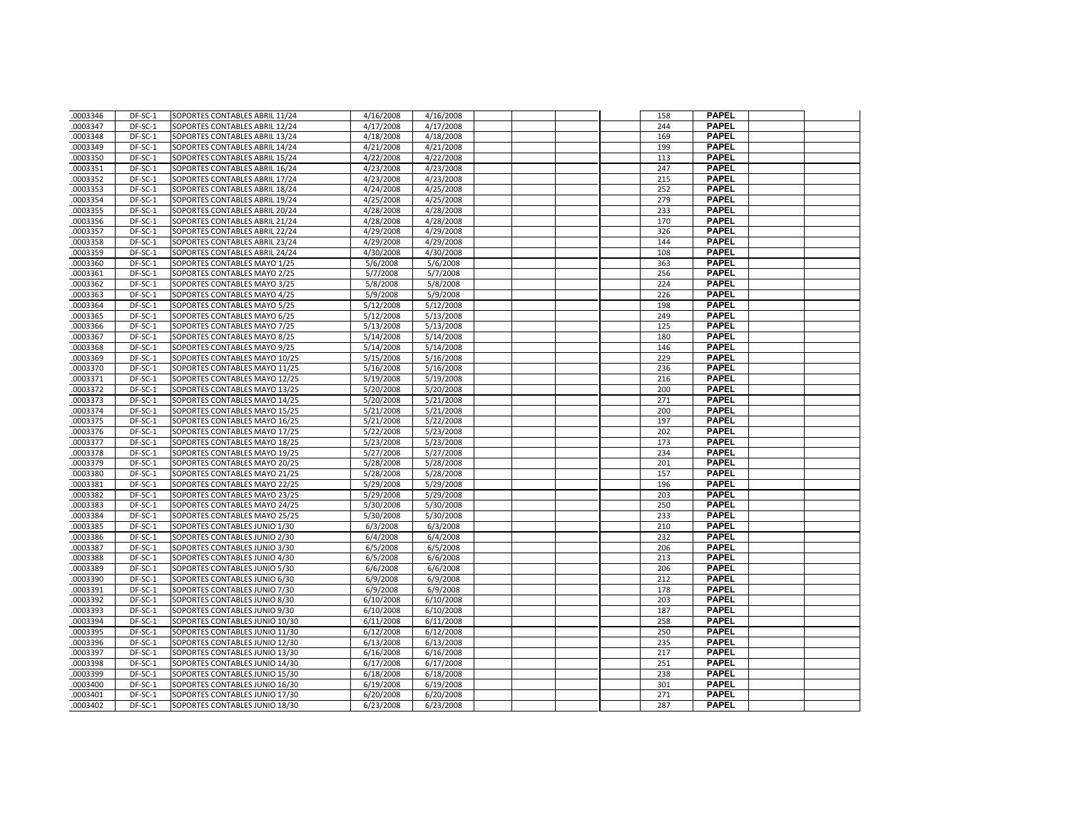| .0003346             | DF-SC-1            | SOPORTES CONTABLES ABRIL 11/24                                   | 4/16/2008              | 4/16/2008              |  | 158        | <b>PAPEL</b>                 |  |
|----------------------|--------------------|------------------------------------------------------------------|------------------------|------------------------|--|------------|------------------------------|--|
| .0003347             | DF-SC-1            | SOPORTES CONTABLES ABRIL 12/24                                   | 4/17/2008              | 4/17/2008              |  | 244        | <b>PAPEL</b>                 |  |
| .0003348             | DF-SC-1            | SOPORTES CONTABLES ABRIL 13/24                                   | 4/18/2008              | 4/18/2008              |  | 169        | <b>PAPEL</b>                 |  |
| .0003349             | DF-SC-1            | SOPORTES CONTABLES ABRIL 14/24                                   | 4/21/2008              | 4/21/2008              |  | 199        | <b>PAPEL</b>                 |  |
| .0003350             | DF-SC-1            | SOPORTES CONTABLES ABRIL 15/24                                   | 4/22/2008              | 4/22/2008              |  | 113        | <b>PAPEL</b>                 |  |
| .0003351             | DF-SC-1            | SOPORTES CONTABLES ABRIL 16/24                                   | 4/23/2008              | 4/23/2008              |  | 247        | <b>PAPEL</b>                 |  |
| .0003352             | DF-SC-1            | SOPORTES CONTABLES ABRIL 17/24                                   | 4/23/2008              | 4/23/2008              |  | 215        | <b>PAPEL</b>                 |  |
| .0003353             | DF-SC-1            | SOPORTES CONTABLES ABRIL 18/24                                   | 4/24/2008              | 4/25/2008              |  | 252        | <b>PAPEL</b>                 |  |
| .0003354             | DF-SC-1            | SOPORTES CONTABLES ABRIL 19/24                                   | 4/25/2008              | 4/25/2008              |  | 279        | <b>PAPEL</b>                 |  |
| .0003355             | DF-SC-1            | SOPORTES CONTABLES ABRIL 20/24                                   | 4/28/2008              | 4/28/2008              |  | 233        | <b>PAPEL</b>                 |  |
| .0003356             | DF-SC-1            | SOPORTES CONTABLES ABRIL 21/24                                   | 4/28/2008              | 4/28/2008              |  | 170        | <b>PAPEL</b>                 |  |
| .0003357             | DF-SC-1            | SOPORTES CONTABLES ABRIL 22/24                                   | 4/29/2008              | 4/29/2008              |  | 326        | <b>PAPEL</b>                 |  |
| .0003358             | DF-SC-1            | SOPORTES CONTABLES ABRIL 23/24                                   | 4/29/2008              | 4/29/2008              |  | 144        | <b>PAPEL</b>                 |  |
| .0003359             | DF-SC-1            | SOPORTES CONTABLES ABRIL 24/24                                   | 4/30/2008              | 4/30/2008              |  | 108        | <b>PAPEL</b>                 |  |
| .0003360             | DF-SC-1            | SOPORTES CONTABLES MAYO 1/25                                     | 5/6/2008               | 5/6/2008               |  | 363        | <b>PAPEL</b>                 |  |
| .0003361             | DF-SC-1            | SOPORTES CONTABLES MAYO 2/25                                     | 5/7/2008               | 5/7/2008               |  | 256        | <b>PAPEL</b>                 |  |
| .0003362             | DF-SC-1            | SOPORTES CONTABLES MAYO 3/25                                     | 5/8/2008               | 5/8/2008               |  | 224        | <b>PAPEL</b>                 |  |
| .0003363             | DF-SC-1            | SOPORTES CONTABLES MAYO 4/25                                     | 5/9/2008               | 5/9/2008               |  | 226        | <b>PAPEL</b>                 |  |
| .0003364             | DF-SC-1            | SOPORTES CONTABLES MAYO 5/25                                     | 5/12/2008              | 5/12/2008              |  | 198        | <b>PAPEL</b>                 |  |
| .0003365             | DF-SC-1            | SOPORTES CONTABLES MAYO 6/25                                     | 5/12/2008              | 5/13/2008              |  | 249        | <b>PAPEL</b>                 |  |
| 0003366              | DF-SC-1            | SOPORTES CONTABLES MAYO 7/25                                     | 5/13/2008              | 5/13/2008              |  | 125        | <b>PAPEL</b>                 |  |
| .0003367             | DF-SC-1            | SOPORTES CONTABLES MAYO 8/25                                     | 5/14/2008              | 5/14/2008              |  | 180        | <b>PAPEL</b>                 |  |
| .0003368             | DF-SC-1            | SOPORTES CONTABLES MAYO 9/25                                     | 5/14/2008              | 5/14/2008              |  | 146        | <b>PAPEL</b>                 |  |
| .0003369             | DF-SC-1            | SOPORTES CONTABLES MAYO 10/25                                    | 5/15/2008              | 5/16/2008              |  | 229        | <b>PAPEL</b>                 |  |
| .0003370             | DF-SC-1            | SOPORTES CONTABLES MAYO 11/25                                    | 5/16/2008              | 5/16/2008              |  | 236        | <b>PAPEL</b>                 |  |
| 0003371              | DF-SC-1            | SOPORTES CONTABLES MAYO 12/25                                    | 5/19/2008              | 5/19/2008              |  | 216        | <b>PAPEL</b>                 |  |
| .0003372             | DF-SC-1            | SOPORTES CONTABLES MAYO 13/25                                    | 5/20/2008              | 5/20/2008              |  | 200        | <b>PAPEL</b>                 |  |
| .0003373             | DF-SC-1            | SOPORTES CONTABLES MAYO 14/25                                    | 5/20/2008              | 5/21/2008              |  | 271        | <b>PAPEL</b>                 |  |
| .0003374             | DF-SC-1            | SOPORTES CONTABLES MAYO 15/25                                    | 5/21/2008              | 5/21/2008              |  | 200        | <b>PAPEL</b>                 |  |
| .0003375             | DF-SC-1            | SOPORTES CONTABLES MAYO 16/25                                    | 5/21/2008              | 5/22/2008              |  | 197        | <b>PAPEL</b>                 |  |
| .0003376             | DF-SC-1            | SOPORTES CONTABLES MAYO 17/25                                    | 5/22/2008              | 5/23/2008              |  | 202        | <b>PAPEL</b>                 |  |
| .0003377             | DF-SC-1            | SOPORTES CONTABLES MAYO 18/25                                    | 5/23/2008              | 5/23/2008              |  | 173        | <b>PAPEL</b>                 |  |
| .0003378             | DF-SC-1            | SOPORTES CONTABLES MAYO 19/25                                    | 5/27/2008              | 5/27/2008              |  | 234        | <b>PAPEL</b>                 |  |
| .0003379             | DF-SC-1            | SOPORTES CONTABLES MAYO 20/25                                    | 5/28/2008              | 5/28/2008              |  | 201        | <b>PAPEL</b>                 |  |
| .0003380             | DF-SC-1            | SOPORTES CONTABLES MAYO 21/25                                    | 5/28/2008              | 5/28/2008              |  | 157        | <b>PAPEL</b>                 |  |
| .0003381             | DF-SC-1            | SOPORTES CONTABLES MAYO 22/25                                    | 5/29/2008              | 5/29/2008              |  | 196        | <b>PAPEL</b>                 |  |
| .0003382             | DF-SC-1            | SOPORTES CONTABLES MAYO 23/25                                    | 5/29/2008              | 5/29/2008              |  | 203        | <b>PAPEL</b>                 |  |
| .0003383             | DF-SC-1            | SOPORTES CONTABLES MAYO 24/25                                    | 5/30/2008              | 5/30/2008              |  | 250        | <b>PAPEL</b>                 |  |
| .0003384             | DF-SC-1            | SOPORTES CONTABLES MAYO 25/25                                    | 5/30/2008              | 5/30/2008              |  | 233        | <b>PAPEL</b>                 |  |
| .0003385             | DF-SC-1            | SOPORTES CONTABLES JUNIO 1/30                                    | 6/3/2008               | 6/3/2008               |  | 210        | <b>PAPEL</b>                 |  |
| .0003386             | DF-SC-1            | SOPORTES CONTABLES JUNIO 2/30                                    | 6/4/2008               | 6/4/2008               |  | 232        | <b>PAPEL</b>                 |  |
| .0003387             | DF-SC-1            | SOPORTES CONTABLES JUNIO 3/30                                    | 6/5/2008               | 6/5/2008               |  | 206        | <b>PAPEL</b>                 |  |
| .0003388             | DF-SC-1            | SOPORTES CONTABLES JUNIO 4/30                                    | 6/5/2008               | 6/6/2008               |  | 213        | <b>PAPEL</b>                 |  |
| .0003389             | DF-SC-1            | SOPORTES CONTABLES JUNIO 5/30                                    | 6/6/2008               | 6/6/2008               |  | 206        | <b>PAPEL</b>                 |  |
| .0003390             | DF-SC-1            | SOPORTES CONTABLES JUNIO 6/30                                    | 6/9/2008               | 6/9/2008               |  | 212        | <b>PAPEL</b>                 |  |
| .0003391             | DF-SC-1            | SOPORTES CONTABLES JUNIO 7/30                                    | 6/9/2008               | 6/9/2008               |  | 178        | <b>PAPEL</b>                 |  |
| .0003392             | DF-SC-1            | SOPORTES CONTABLES JUNIO 8/30                                    | 6/10/2008              | 6/10/2008              |  | 203        | <b>PAPEL</b>                 |  |
| .0003393             | DF-SC-1            | SOPORTES CONTABLES JUNIO 9/30                                    | 6/10/2008              | 6/10/2008              |  | 187        | <b>PAPEL</b>                 |  |
| .0003394             | DF-SC-1            | SOPORTES CONTABLES JUNIO 10/30                                   | 6/11/2008              | 6/11/2008              |  | 258        | <b>PAPEL</b>                 |  |
| .0003395             | DF-SC-1            | SOPORTES CONTABLES JUNIO 11/30                                   | 6/12/2008              | 6/12/2008              |  | 250        | <b>PAPEL</b>                 |  |
| .0003396             | DF-SC-1            | SOPORTES CONTABLES JUNIO 12/30                                   | 6/13/2008              | 6/13/2008              |  | 235        | <b>PAPEL</b><br><b>PAPEL</b> |  |
| 0003397              | DF-SC-1            | SOPORTES CONTABLES JUNIO 13/30                                   | 6/16/2008              | 6/16/2008              |  | 217        | <b>PAPEL</b>                 |  |
| .0003398             | DF-SC-1            | SOPORTES CONTABLES JUNIO 14/30                                   | 6/17/2008              | 6/17/2008              |  | 251        | <b>PAPEL</b>                 |  |
| .0003399<br>.0003400 | DF-SC-1<br>DF-SC-1 | SOPORTES CONTABLES JUNIO 15/30<br>SOPORTES CONTABLES JUNIO 16/30 | 6/18/2008<br>6/19/2008 | 6/18/2008<br>6/19/2008 |  | 238<br>301 | <b>PAPEL</b>                 |  |
| .0003401             | DF-SC-1            | SOPORTES CONTABLES JUNIO 17/30                                   | 6/20/2008              | 6/20/2008              |  | 271        | <b>PAPEL</b>                 |  |
| .0003402             | DF-SC-1            | SOPORTES CONTABLES JUNIO 18/30                                   | 6/23/2008              | 6/23/2008              |  | 287        | <b>PAPEL</b>                 |  |
|                      |                    |                                                                  |                        |                        |  |            |                              |  |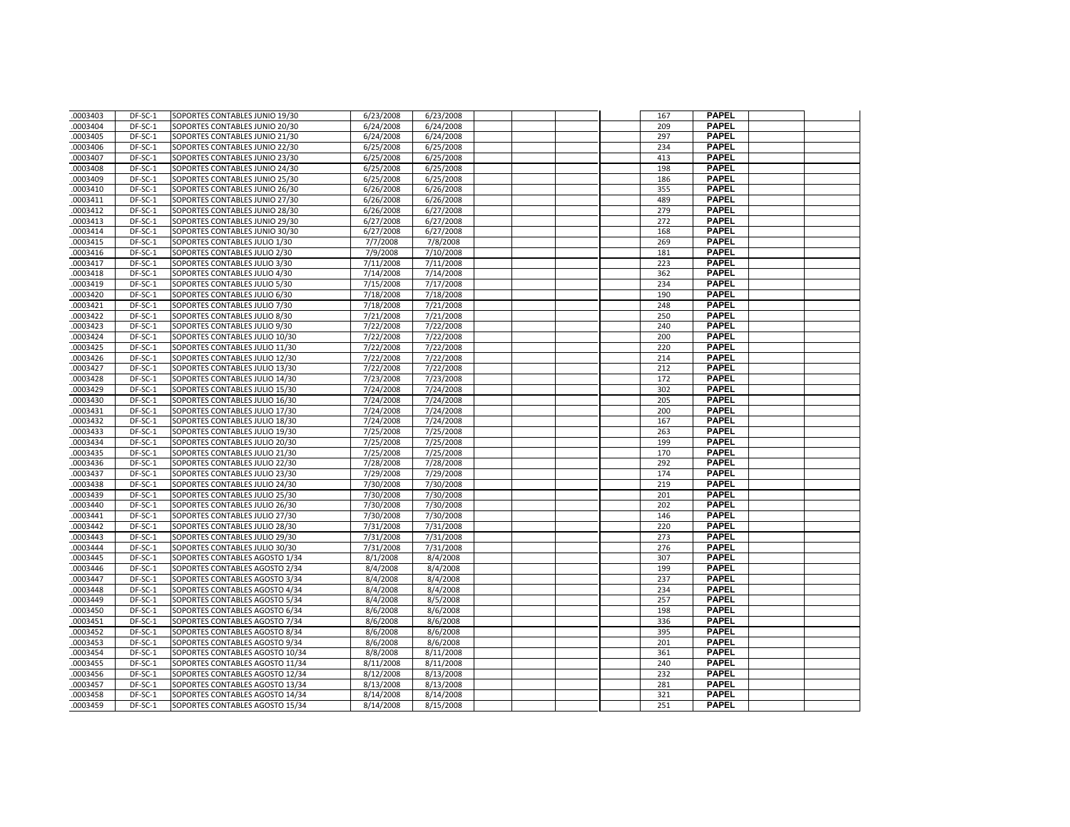| .0003403             | DF-SC-1            | SOPORTES CONTABLES JUNIO 19/30                                     | 6/23/2008              | 6/23/2008              |  | 167        | <b>PAPEL</b>                 |  |
|----------------------|--------------------|--------------------------------------------------------------------|------------------------|------------------------|--|------------|------------------------------|--|
| .0003404             | DF-SC-1            | SOPORTES CONTABLES JUNIO 20/30                                     | 6/24/2008              | 6/24/2008              |  | 209        | <b>PAPEL</b>                 |  |
| .0003405             | DF-SC-1            | SOPORTES CONTABLES JUNIO 21/30                                     | 6/24/2008              | 6/24/2008              |  | 297        | <b>PAPEL</b>                 |  |
| .0003406             | DF-SC-1            | SOPORTES CONTABLES JUNIO 22/30                                     | 6/25/2008              | 6/25/2008              |  | 234        | <b>PAPEL</b>                 |  |
| .0003407             | DF-SC-1            | SOPORTES CONTABLES JUNIO 23/30                                     | 6/25/2008              | 6/25/2008              |  | 413        | <b>PAPEL</b>                 |  |
| .0003408             | DF-SC-1            | SOPORTES CONTABLES JUNIO 24/30                                     | 6/25/2008              | 6/25/2008              |  | 198        | <b>PAPEL</b>                 |  |
| .0003409             | DF-SC-1            | SOPORTES CONTABLES JUNIO 25/30                                     | 6/25/2008              | 6/25/2008              |  | 186        | <b>PAPEL</b>                 |  |
| .0003410             | DF-SC-1            | SOPORTES CONTABLES JUNIO 26/30                                     | 6/26/2008              | 6/26/2008              |  | 355        | <b>PAPEL</b>                 |  |
| .0003411             | DF-SC-1            | SOPORTES CONTABLES JUNIO 27/30                                     | 6/26/2008              | 6/26/2008              |  | 489        | <b>PAPEL</b>                 |  |
| .0003412             | DF-SC-1            | SOPORTES CONTABLES JUNIO 28/30                                     | 6/26/2008              | 6/27/2008              |  | 279        | <b>PAPEL</b>                 |  |
| .0003413             | DF-SC-1            | SOPORTES CONTABLES JUNIO 29/30                                     | 6/27/2008              | 6/27/2008              |  | 272        | <b>PAPEL</b>                 |  |
| .0003414             | DF-SC-1            | SOPORTES CONTABLES JUNIO 30/30                                     | 6/27/2008              | 6/27/2008              |  | 168        | <b>PAPEL</b>                 |  |
| .0003415             | DF-SC-1            | SOPORTES CONTABLES JULIO 1/30                                      | 7/7/2008               | 7/8/2008               |  | 269        | <b>PAPEL</b>                 |  |
| 0003416              | DF-SC-1            | SOPORTES CONTABLES JULIO 2/30                                      | 7/9/2008               | 7/10/2008              |  | 181        | <b>PAPEL</b>                 |  |
| .0003417             | DF-SC-1            | SOPORTES CONTABLES JULIO 3/30                                      | 7/11/2008              | 7/11/2008              |  | 223        | <b>PAPEL</b>                 |  |
| 0003418              | DF-SC-1            | SOPORTES CONTABLES JULIO 4/30                                      | 7/14/2008              | 7/14/2008              |  | 362        | <b>PAPEL</b>                 |  |
| .0003419             | DF-SC-1            | SOPORTES CONTABLES JULIO 5/30                                      | 7/15/2008              | 7/17/2008              |  | 234        | <b>PAPEL</b>                 |  |
| .0003420             | DF-SC-1            | SOPORTES CONTABLES JULIO 6/30                                      | 7/18/2008              | 7/18/2008              |  | 190        | <b>PAPEL</b>                 |  |
| .0003421             | DF-SC-1            | SOPORTES CONTABLES JULIO 7/30                                      | 7/18/2008              | 7/21/2008              |  | 248        | <b>PAPEL</b>                 |  |
| .0003422             | DF-SC-1            | SOPORTES CONTABLES JULIO 8/30                                      | 7/21/2008              | 7/21/2008              |  | 250        | <b>PAPEL</b>                 |  |
| 0003423              | DF-SC-1            | SOPORTES CONTABLES JULIO 9/30                                      | 7/22/2008              | 7/22/2008              |  | 240        | <b>PAPEL</b>                 |  |
| .0003424             | DF-SC-1            | SOPORTES CONTABLES JULIO 10/30                                     | 7/22/2008              | 7/22/2008              |  | 200        | <b>PAPEL</b>                 |  |
| .0003425             | DF-SC-1            | SOPORTES CONTABLES JULIO 11/30                                     | 7/22/2008              | 7/22/2008              |  | 220        | <b>PAPEL</b>                 |  |
| 0003426              | $DF-SC-1$          | SOPORTES CONTABLES JULIO 12/30                                     | 7/22/2008              | 7/22/2008              |  | 214        | <b>PAPEL</b>                 |  |
| .0003427             | DF-SC-1            | SOPORTES CONTABLES JULIO 13/30                                     | 7/22/2008              | 7/22/2008              |  | 212        | <b>PAPEL</b>                 |  |
| .0003428             | DF-SC-1            | SOPORTES CONTABLES JULIO 14/30                                     | 7/23/2008              | 7/23/2008              |  | 172        | <b>PAPEL</b>                 |  |
| .0003429             | DF-SC-1            | SOPORTES CONTABLES JULIO 15/30                                     | 7/24/2008              | 7/24/2008              |  | 302        | <b>PAPEL</b>                 |  |
| .0003430             | DF-SC-1            | SOPORTES CONTABLES JULIO 16/30                                     | 7/24/2008              | 7/24/2008              |  | 205        | <b>PAPEL</b>                 |  |
| 0003431              | DF-SC-1            | SOPORTES CONTABLES JULIO 17/30                                     | 7/24/2008              | 7/24/2008              |  | 200        | <b>PAPEL</b>                 |  |
| .0003432             | DF-SC-1            | SOPORTES CONTABLES JULIO 18/30                                     | 7/24/2008              | 7/24/2008              |  | 167        | <b>PAPEL</b>                 |  |
| .0003433             | DF-SC-1            | SOPORTES CONTABLES JULIO 19/30                                     | 7/25/2008              | 7/25/2008              |  | 263        | <b>PAPEL</b>                 |  |
| .0003434             | DF-SC-1            | SOPORTES CONTABLES JULIO 20/30                                     | 7/25/2008              | 7/25/2008              |  | 199        | <b>PAPEL</b>                 |  |
| .0003435             | DF-SC-1            | SOPORTES CONTABLES JULIO 21/30                                     | 7/25/2008              | 7/25/2008              |  | 170        | <b>PAPEL</b>                 |  |
| .0003436             | DF-SC-1            | SOPORTES CONTABLES JULIO 22/30                                     | 7/28/2008              | 7/28/2008              |  | 292        | <b>PAPEL</b>                 |  |
| .0003437             | DF-SC-1            | SOPORTES CONTABLES JULIO 23/30                                     | 7/29/2008              | 7/29/2008              |  | 174        | <b>PAPEL</b>                 |  |
| .0003438             | DF-SC-1            | SOPORTES CONTABLES JULIO 24/30                                     | 7/30/2008              | 7/30/2008              |  | 219        | <b>PAPEL</b>                 |  |
| .0003439             | DF-SC-1            | SOPORTES CONTABLES JULIO 25/30                                     | 7/30/2008              | 7/30/2008              |  | 201        | <b>PAPEL</b>                 |  |
| .0003440             | DF-SC-1            | SOPORTES CONTABLES JULIO 26/30                                     | 7/30/2008              | 7/30/2008              |  | 202        | <b>PAPEL</b>                 |  |
| .0003441             | DF-SC-1            | SOPORTES CONTABLES JULIO 27/30                                     | 7/30/2008              | 7/30/2008              |  | 146        | <b>PAPEL</b>                 |  |
| .0003442             | DF-SC-1            | SOPORTES CONTABLES JULIO 28/30                                     | 7/31/2008              | 7/31/2008              |  | 220        | <b>PAPEL</b>                 |  |
| .0003443             | DF-SC-1            | SOPORTES CONTABLES JULIO 29/30                                     | 7/31/2008              | 7/31/2008              |  | 273        | <b>PAPEL</b>                 |  |
| .0003444             | DF-SC-1            | SOPORTES CONTABLES JULIO 30/30                                     | 7/31/2008              | 7/31/2008              |  | 276        | <b>PAPEL</b>                 |  |
| .0003445             | DF-SC-1            | SOPORTES CONTABLES AGOSTO 1/34                                     | 8/1/2008               | 8/4/2008               |  | 307        | <b>PAPEL</b>                 |  |
| .0003446             | DF-SC-1            | SOPORTES CONTABLES AGOSTO 2/34                                     | 8/4/2008               | 8/4/2008               |  | 199        | <b>PAPEL</b>                 |  |
| .0003447             | DF-SC-1            | SOPORTES CONTABLES AGOSTO 3/34                                     | 8/4/2008               | 8/4/2008               |  | 237        | <b>PAPEL</b>                 |  |
| .0003448             | DF-SC-1            | SOPORTES CONTABLES AGOSTO 4/34                                     | 8/4/2008               | 8/4/2008               |  | 234        | <b>PAPEL</b>                 |  |
| .0003449             | DF-SC-1            | SOPORTES CONTABLES AGOSTO 5/34                                     | 8/4/2008               | 8/5/2008               |  | 257        | <b>PAPEL</b>                 |  |
| .0003450             | DF-SC-1            | SOPORTES CONTABLES AGOSTO 6/34                                     | 8/6/2008               | 8/6/2008               |  | 198        | <b>PAPEL</b>                 |  |
| .0003451             | DF-SC-1            | SOPORTES CONTABLES AGOSTO 7/34                                     | 8/6/2008               | 8/6/2008               |  | 336        | <b>PAPEL</b>                 |  |
| .0003452             | DF-SC-1            | SOPORTES CONTABLES AGOSTO 8/34                                     | 8/6/2008               | 8/6/2008               |  | 395        | <b>PAPEL</b>                 |  |
| .0003453             | DF-SC-1            | SOPORTES CONTABLES AGOSTO 9/34                                     | 8/6/2008               | 8/6/2008               |  | 201        | <b>PAPEL</b><br><b>PAPEL</b> |  |
| 0003454              | DF-SC-1            | SOPORTES CONTABLES AGOSTO 10/34                                    | 8/8/2008               | 8/11/2008              |  | 361        |                              |  |
| .0003455             | DF-SC-1            | SOPORTES CONTABLES AGOSTO 11/34                                    | 8/11/2008              | 8/11/2008              |  | 240        | <b>PAPEL</b><br><b>PAPEL</b> |  |
| .0003456<br>.0003457 | DF-SC-1<br>DF-SC-1 | SOPORTES CONTABLES AGOSTO 12/34<br>SOPORTES CONTABLES AGOSTO 13/34 | 8/12/2008<br>8/13/2008 | 8/13/2008<br>8/13/2008 |  | 232<br>281 | <b>PAPEL</b>                 |  |
|                      | DF-SC-1            |                                                                    |                        | 8/14/2008              |  | 321        | <b>PAPEL</b>                 |  |
| .0003458<br>.0003459 | DF-SC-1            | SOPORTES CONTABLES AGOSTO 14/34                                    | 8/14/2008              |                        |  | 251        | <b>PAPEL</b>                 |  |
|                      |                    | SOPORTES CONTABLES AGOSTO 15/34                                    | 8/14/2008              | 8/15/2008              |  |            |                              |  |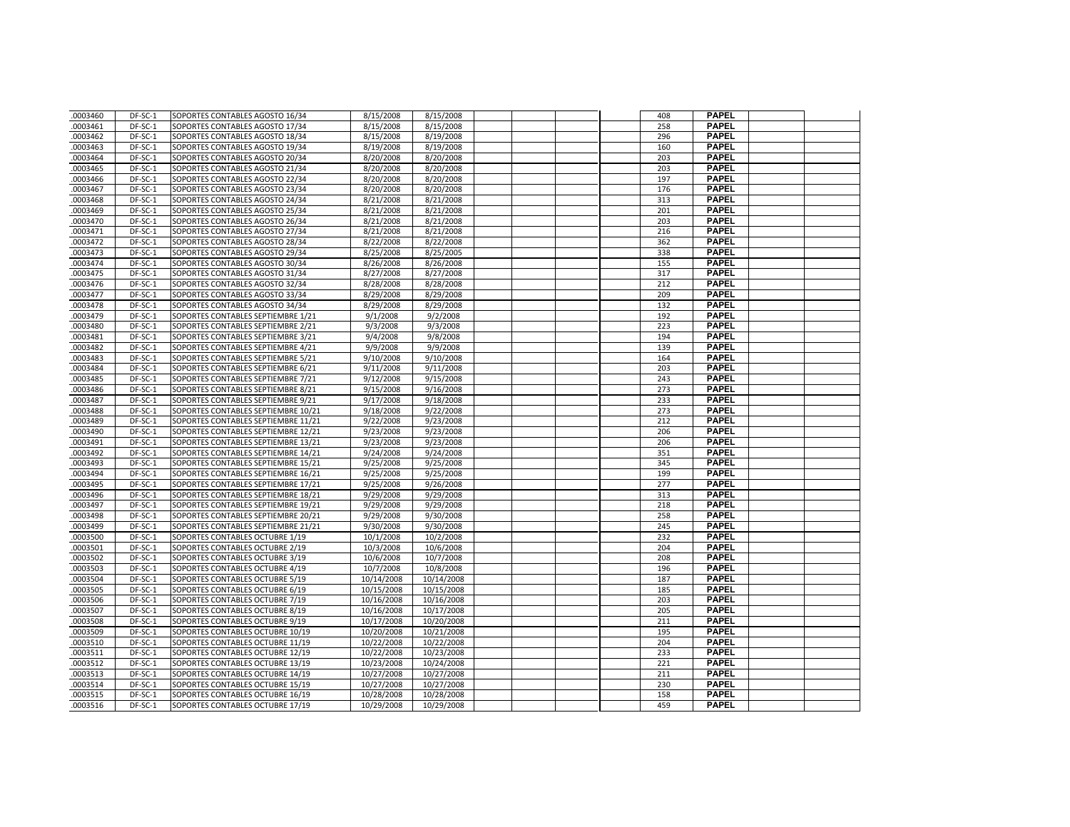| .0003460             | DF-SC-1            | SOPORTES CONTABLES AGOSTO 16/34                                      | 8/15/2008                | 8/15/2008                |  | 408        | <b>PAPEL</b>                 |  |
|----------------------|--------------------|----------------------------------------------------------------------|--------------------------|--------------------------|--|------------|------------------------------|--|
| .0003461             | DF-SC-1            | SOPORTES CONTABLES AGOSTO 17/34                                      | 8/15/2008                | 8/15/2008                |  | 258        | <b>PAPEL</b>                 |  |
| .0003462             | DF-SC-1            | SOPORTES CONTABLES AGOSTO 18/34                                      | 8/15/2008                | 8/19/2008                |  | 296        | <b>PAPEL</b>                 |  |
| .0003463             | DF-SC-1            | SOPORTES CONTABLES AGOSTO 19/34                                      | 8/19/2008                | 8/19/2008                |  | 160        | <b>PAPEL</b>                 |  |
| .0003464             | DF-SC-1            | SOPORTES CONTABLES AGOSTO 20/34                                      | 8/20/2008                | 8/20/2008                |  | 203        | <b>PAPEL</b>                 |  |
| .0003465             | DF-SC-1            | SOPORTES CONTABLES AGOSTO 21/34                                      | 8/20/2008                | 8/20/2008                |  | 203        | <b>PAPEL</b>                 |  |
| .0003466             | DF-SC-1            | SOPORTES CONTABLES AGOSTO 22/34                                      | 8/20/2008                | 8/20/2008                |  | 197        | <b>PAPEL</b>                 |  |
| .0003467             | DF-SC-1            | SOPORTES CONTABLES AGOSTO 23/34                                      | 8/20/2008                | 8/20/2008                |  | 176        | <b>PAPEL</b>                 |  |
| .0003468             | DF-SC-1            | SOPORTES CONTABLES AGOSTO 24/34                                      | 8/21/2008                | 8/21/2008                |  | 313        | <b>PAPEL</b>                 |  |
| .0003469             | DF-SC-1            | SOPORTES CONTABLES AGOSTO 25/34                                      | 8/21/2008                | 8/21/2008                |  | 201        | PAPEL                        |  |
| .0003470             | DF-SC-1            | SOPORTES CONTABLES AGOSTO 26/34                                      | 8/21/2008                | 8/21/2008                |  | 203        | <b>PAPEL</b>                 |  |
| .0003471             | DF-SC-1            | SOPORTES CONTABLES AGOSTO 27/34                                      | 8/21/2008                | 8/21/2008                |  | 216        | <b>PAPEL</b>                 |  |
| .0003472             | DF-SC-1            | SOPORTES CONTABLES AGOSTO 28/34                                      | 8/22/2008                | 8/22/2008                |  | 362        | <b>PAPEL</b>                 |  |
| .0003473             | DF-SC-1            | SOPORTES CONTABLES AGOSTO 29/34                                      | 8/25/2008                | 8/25/2005                |  | 338        | <b>PAPEL</b>                 |  |
| .0003474             | DF-SC-1            | SOPORTES CONTABLES AGOSTO 30/34                                      | 8/26/2008                | 8/26/2008                |  | 155        | <b>PAPEL</b>                 |  |
| .0003475             | DF-SC-1            | SOPORTES CONTABLES AGOSTO 31/34                                      | 8/27/2008                | 8/27/2008                |  | 317        | <b>PAPEL</b>                 |  |
| .0003476             | DF-SC-1            | SOPORTES CONTABLES AGOSTO 32/34                                      | 8/28/2008                | 8/28/2008                |  | 212        | <b>PAPEL</b>                 |  |
| .0003477             | DF-SC-1            | SOPORTES CONTABLES AGOSTO 33/34                                      | 8/29/2008                | 8/29/2008                |  | 209        | <b>PAPEL</b>                 |  |
| .0003478             | DF-SC-1            | SOPORTES CONTABLES AGOSTO 34/34                                      | 8/29/2008                | 8/29/2008                |  | 132        | <b>PAPEL</b>                 |  |
| .0003479             | DF-SC-1            | SOPORTES CONTABLES SEPTIEMBRE 1/21                                   | 9/1/2008                 | 9/2/2008                 |  | 192        | <b>PAPEL</b>                 |  |
| .0003480             | DF-SC-1            | SOPORTES CONTABLES SEPTIEMBRE 2/21                                   | 9/3/2008                 | 9/3/2008                 |  | 223        | <b>PAPEL</b>                 |  |
| .0003481             | DF-SC-1            | SOPORTES CONTABLES SEPTIEMBRE 3/21                                   | 9/4/2008                 | 9/8/2008                 |  | 194        | <b>PAPEL</b>                 |  |
| .0003482             | DF-SC-1            | SOPORTES CONTABLES SEPTIEMBRE 4/21                                   | 9/9/2008                 | 9/9/2008                 |  | 139        | <b>PAPEL</b>                 |  |
| .0003483             | DF-SC-1            | SOPORTES CONTABLES SEPTIEMBRE 5/21                                   | 9/10/2008                | 9/10/2008                |  | 164        | <b>PAPEL</b>                 |  |
| .0003484             | DF-SC-1            | SOPORTES CONTABLES SEPTIEMBRE 6/21                                   | 9/11/2008                | 9/11/2008                |  | 203        | <b>PAPEL</b>                 |  |
| .0003485             | DF-SC-1            | SOPORTES CONTABLES SEPTIEMBRE 7/21                                   | 9/12/2008                | 9/15/2008                |  | 243        | <b>PAPEL</b>                 |  |
| .0003486             | DF-SC-1            | SOPORTES CONTABLES SEPTIEMBRE 8/21                                   | 9/15/2008                | 9/16/2008                |  | 273        | <b>PAPEL</b>                 |  |
| .0003487             | DF-SC-1            | SOPORTES CONTABLES SEPTIEMBRE 9/21                                   | 9/17/2008                | 9/18/2008                |  | 233        | <b>PAPEL</b>                 |  |
| .0003488             | DF-SC-1            | SOPORTES CONTABLES SEPTIEMBRE 10/21                                  | 9/18/2008                | 9/22/2008                |  | 273        | <b>PAPEL</b>                 |  |
| .0003489             | DF-SC-1            | SOPORTES CONTABLES SEPTIEMBRE 11/21                                  | 9/22/2008                | 9/23/2008                |  | 212        | <b>PAPEL</b>                 |  |
| .0003490             | DF-SC-1            | SOPORTES CONTABLES SEPTIEMBRE 12/21                                  | 9/23/2008                | 9/23/2008                |  | 206        | <b>PAPEL</b>                 |  |
| .0003491             | DF-SC-1            | SOPORTES CONTABLES SEPTIEMBRE 13/21                                  | 9/23/2008                | 9/23/2008                |  | 206        | <b>PAPEL</b>                 |  |
| .0003492             | DF-SC-1            | SOPORTES CONTABLES SEPTIEMBRE 14/21                                  | 9/24/2008                | 9/24/2008                |  | 351        | <b>PAPEL</b>                 |  |
| .0003493             | DF-SC-1            | SOPORTES CONTABLES SEPTIEMBRE 15/21                                  | 9/25/2008                | 9/25/2008                |  | 345        | <b>PAPEL</b>                 |  |
| .0003494             | DF-SC-1            | SOPORTES CONTABLES SEPTIEMBRE 16/21                                  | 9/25/2008                | 9/25/2008                |  | 199        | <b>PAPEL</b>                 |  |
| .0003495             | DF-SC-1            | SOPORTES CONTABLES SEPTIEMBRE 17/21                                  | 9/25/2008                | 9/26/2008                |  | 277        | <b>PAPEL</b>                 |  |
| .0003496             | DF-SC-1            | SOPORTES CONTABLES SEPTIEMBRE 18/21                                  | 9/29/2008                | 9/29/2008                |  | 313        | <b>PAPEL</b>                 |  |
| .0003497             | DF-SC-1            | SOPORTES CONTABLES SEPTIEMBRE 19/21                                  | 9/29/2008                | 9/29/2008                |  | 218        | <b>PAPEL</b>                 |  |
| .0003498             | DF-SC-1            | SOPORTES CONTABLES SEPTIEMBRE 20/21                                  | 9/29/2008                | 9/30/2008                |  | 258        | <b>PAPEL</b>                 |  |
| .0003499             | DF-SC-1            | SOPORTES CONTABLES SEPTIEMBRE 21/21                                  | 9/30/2008                | 9/30/2008                |  | 245        | <b>PAPEL</b>                 |  |
| .0003500             | DF-SC-1            | SOPORTES CONTABLES OCTUBRE 1/19                                      | 10/1/2008                | 10/2/2008                |  | 232        | <b>PAPEL</b>                 |  |
| .0003501             | DF-SC-1            | SOPORTES CONTABLES OCTUBRE 2/19                                      | 10/3/2008                | 10/6/2008                |  | 204        | <b>PAPEL</b>                 |  |
| .0003502             | DF-SC-1            | SOPORTES CONTABLES OCTUBRE 3/19                                      | 10/6/2008                | 10/7/2008                |  | 208        | <b>PAPEL</b>                 |  |
| 0003503              | DF-SC-1            | SOPORTES CONTABLES OCTUBRE 4/19                                      | 10/7/2008                | 10/8/2008                |  | 196        | <b>PAPEL</b>                 |  |
| .0003504             | DF-SC-1            | SOPORTES CONTABLES OCTUBRE 5/19                                      | 10/14/2008               | 10/14/2008               |  | 187        | <b>PAPEL</b>                 |  |
| .0003505             | DF-SC-1            | SOPORTES CONTABLES OCTUBRE 6/19                                      | 10/15/2008               | 10/15/2008               |  | 185        | <b>PAPEL</b>                 |  |
| .0003506             | DF-SC-1            | SOPORTES CONTABLES OCTUBRE 7/19                                      | 10/16/2008               | 10/16/2008               |  | 203        | <b>PAPEL</b>                 |  |
| .0003507             | DF-SC-1            | SOPORTES CONTABLES OCTUBRE 8/19                                      | 10/16/2008               | 10/17/2008               |  | 205        | <b>PAPEL</b>                 |  |
| .0003508             | DF-SC-1            | SOPORTES CONTABLES OCTUBRE 9/19                                      | 10/17/2008               | 10/20/2008               |  | 211        | <b>PAPEL</b>                 |  |
| .0003509             | DF-SC-1            | SOPORTES CONTABLES OCTUBRE 10/19                                     | 10/20/2008               | 10/21/2008               |  | 195        | <b>PAPEL</b>                 |  |
| .0003510             | DF-SC-1            | SOPORTES CONTABLES OCTUBRE 11/19                                     | 10/22/2008               | 10/22/2008               |  | 204        | <b>PAPEL</b>                 |  |
| .0003511             | DF-SC-1            | SOPORTES CONTABLES OCTUBRE 12/19                                     | 10/22/2008               | 10/23/2008               |  | 233        | <b>PAPEL</b>                 |  |
| .0003512             | DF-SC-1            | SOPORTES CONTABLES OCTUBRE 13/19                                     | 10/23/2008               | 10/24/2008               |  | 221        | <b>PAPEL</b><br><b>PAPEL</b> |  |
| .0003513<br>.0003514 | DF-SC-1<br>DF-SC-1 | SOPORTES CONTABLES OCTUBRE 14/19<br>SOPORTES CONTABLES OCTUBRE 15/19 | 10/27/2008<br>10/27/2008 | 10/27/2008<br>10/27/2008 |  | 211<br>230 | <b>PAPEL</b>                 |  |
| .0003515             | DF-SC-1            | SOPORTES CONTABLES OCTUBRE 16/19                                     |                          |                          |  |            | PAPEL                        |  |
| .0003516             | DF-SC-1            | SOPORTES CONTABLES OCTUBRE 17/19                                     | 10/28/2008<br>10/29/2008 | 10/28/2008<br>10/29/2008 |  | 158<br>459 | <b>PAPEL</b>                 |  |
|                      |                    |                                                                      |                          |                          |  |            |                              |  |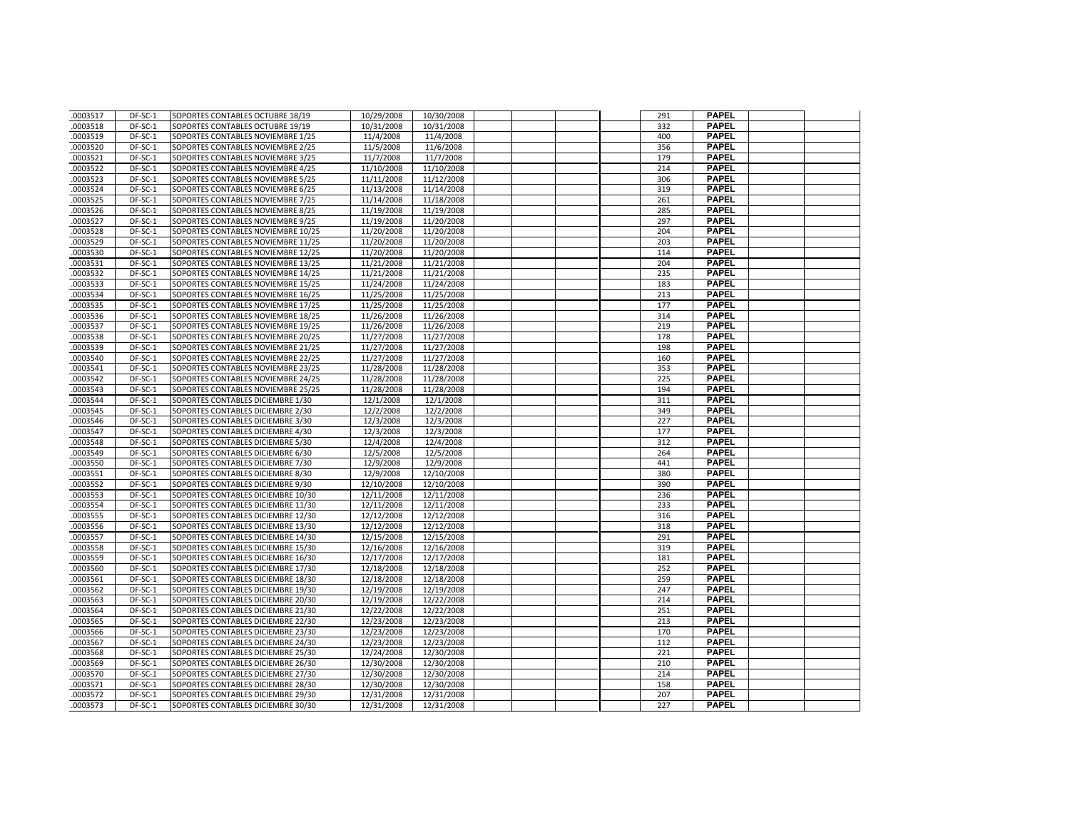| .0003517             | DF-SC-1            | SOPORTES CONTABLES OCTUBRE 18/19                                         | 10/29/2008               | 10/30/2008               |  | 291        | <b>PAPEL</b>                 |  |
|----------------------|--------------------|--------------------------------------------------------------------------|--------------------------|--------------------------|--|------------|------------------------------|--|
| .0003518             | DF-SC-1            | SOPORTES CONTABLES OCTUBRE 19/19                                         | 10/31/2008               | 10/31/2008               |  | 332        | <b>PAPEL</b>                 |  |
| .0003519             | DF-SC-1            | SOPORTES CONTABLES NOVIEMBRE 1/25                                        | 11/4/2008                | 11/4/2008                |  | 400        | <b>PAPEL</b>                 |  |
| .0003520             | DF-SC-1            | SOPORTES CONTABLES NOVIEMBRE 2/25                                        | 11/5/2008                | 11/6/2008                |  | 356        | <b>PAPEL</b>                 |  |
| .0003521             | DF-SC-1            | SOPORTES CONTABLES NOVIEMBRE 3/25                                        | 11/7/2008                | 11/7/2008                |  | 179        | <b>PAPEL</b>                 |  |
| .0003522             | DF-SC-1            | SOPORTES CONTABLES NOVIEMBRE 4/25                                        | 11/10/2008               | 11/10/2008               |  | 214        | <b>PAPEL</b>                 |  |
| .0003523             | DF-SC-1            | SOPORTES CONTABLES NOVIEMBRE 5/25                                        | 11/11/2008               | 11/12/2008               |  | 306        | <b>PAPEL</b>                 |  |
| .0003524             | DF-SC-1            | SOPORTES CONTABLES NOVIEMBRE 6/25                                        | 11/13/2008               | 11/14/2008               |  | 319        | <b>PAPEL</b>                 |  |
| .0003525             | DF-SC-1            | SOPORTES CONTABLES NOVIEMBRE 7/25                                        | 11/14/2008               | 11/18/2008               |  | 261        | <b>PAPEL</b>                 |  |
| .0003526             | DF-SC-1            | SOPORTES CONTABLES NOVIEMBRE 8/25                                        | 11/19/2008               | 11/19/2008               |  | 285        | <b>PAPEL</b>                 |  |
| .0003527             | DF-SC-1            | SOPORTES CONTABLES NOVIEMBRE 9/25                                        | 11/19/2008               | 11/20/2008               |  | 297        | <b>PAPEL</b>                 |  |
| .0003528             | DF-SC-1            | SOPORTES CONTABLES NOVIEMBRE 10/25                                       | 11/20/2008               | 11/20/2008               |  | 204        | <b>PAPEL</b>                 |  |
| .0003529             | DF-SC-1            | SOPORTES CONTABLES NOVIEMBRE 11/25                                       | 11/20/2008               | 11/20/2008               |  | 203        | <b>PAPEL</b>                 |  |
| .0003530             | DF-SC-1            | SOPORTES CONTABLES NOVIEMBRE 12/25                                       | 11/20/2008               | 11/20/2008               |  | 114        | <b>PAPEL</b>                 |  |
| .0003531             | DF-SC-1            | SOPORTES CONTABLES NOVIEMBRE 13/25                                       | 11/21/2008               | 11/21/2008               |  | 204        | <b>PAPEL</b>                 |  |
| .0003532             | DF-SC-1            | SOPORTES CONTABLES NOVIEMBRE 14/25                                       | 11/21/2008               | 11/21/2008               |  | 235        | <b>PAPEL</b>                 |  |
| .0003533             | DF-SC-1            | SOPORTES CONTABLES NOVIEMBRE 15/25                                       | 11/24/2008               | 11/24/2008               |  | 183        | <b>PAPEL</b>                 |  |
| .0003534             | DF-SC-1            | SOPORTES CONTABLES NOVIEMBRE 16/25                                       | 11/25/2008               | 11/25/2008               |  | 213        | <b>PAPEL</b>                 |  |
| .0003535             | DF-SC-1            | SOPORTES CONTABLES NOVIEMBRE 17/25                                       | 11/25/2008               | 11/25/2008               |  | 177        | <b>PAPEL</b>                 |  |
| .0003536             | DF-SC-1            | SOPORTES CONTABLES NOVIEMBRE 18/25                                       | 11/26/2008               | 11/26/2008               |  | 314        | <b>PAPEL</b>                 |  |
| .0003537             | DF-SC-1            | SOPORTES CONTABLES NOVIEMBRE 19/25                                       | 11/26/2008               | 11/26/2008               |  | 219        | <b>PAPEL</b>                 |  |
| .0003538             | DF-SC-1            | SOPORTES CONTABLES NOVIEMBRE 20/25                                       | 11/27/2008               | 11/27/2008               |  | 178        | <b>PAPEL</b>                 |  |
| .0003539             | DF-SC-1            | SOPORTES CONTABLES NOVIEMBRE 21/25                                       | 11/27/2008               | 11/27/2008               |  | 198        | <b>PAPEL</b>                 |  |
| .0003540             | DF-SC-1            | SOPORTES CONTABLES NOVIEMBRE 22/25                                       | 11/27/2008               | 11/27/2008               |  | 160        | <b>PAPEL</b>                 |  |
| .0003541             | DF-SC-1            | SOPORTES CONTABLES NOVIEMBRE 23/25                                       | 11/28/2008               | 11/28/2008               |  | 353        | <b>PAPEL</b>                 |  |
| .0003542             | DF-SC-1            | SOPORTES CONTABLES NOVIEMBRE 24/25                                       | 11/28/2008               | 11/28/2008               |  | 225        | <b>PAPEL</b>                 |  |
| .0003543             | DF-SC-1            | SOPORTES CONTABLES NOVIEMBRE 25/25                                       | 11/28/2008               | 11/28/2008               |  | 194        | <b>PAPEL</b>                 |  |
| .0003544             | DF-SC-1            | SOPORTES CONTABLES DICIEMBRE 1/30                                        | 12/1/2008                | 12/1/2008                |  | 311        | <b>PAPEL</b>                 |  |
| .0003545             | DF-SC-1            | SOPORTES CONTABLES DICIEMBRE 2/30                                        | 12/2/2008                | 12/2/2008                |  | 349        | <b>PAPEL</b>                 |  |
| .0003546             | DF-SC-1            | SOPORTES CONTABLES DICIEMBRE 3/30                                        | 12/3/2008                | 12/3/2008                |  | 227        | <b>PAPEL</b>                 |  |
| .0003547             | DF-SC-1            | SOPORTES CONTABLES DICIEMBRE 4/30                                        | 12/3/2008                | 12/3/2008                |  | 177        | <b>PAPEL</b>                 |  |
| .0003548             | DF-SC-1            | SOPORTES CONTABLES DICIEMBRE 5/30                                        | 12/4/2008                | 12/4/2008                |  | 312        | <b>PAPEL</b>                 |  |
| .0003549             | DF-SC-1            | SOPORTES CONTABLES DICIEMBRE 6/30                                        | 12/5/2008                | 12/5/2008                |  | 264        | <b>PAPEL</b>                 |  |
| .0003550             | DF-SC-1            | SOPORTES CONTABLES DICIEMBRE 7/30                                        | 12/9/2008                | 12/9/2008                |  | 441        | <b>PAPEL</b>                 |  |
| .0003551             | DF-SC-1            | SOPORTES CONTABLES DICIEMBRE 8/30                                        | 12/9/2008                | 12/10/2008               |  | 380        | <b>PAPEL</b>                 |  |
| .0003552             | DF-SC-1            | SOPORTES CONTABLES DICIEMBRE 9/30                                        | 12/10/2008               | 12/10/2008               |  | 390        | <b>PAPEL</b>                 |  |
| .0003553             | DF-SC-1            | SOPORTES CONTABLES DICIEMBRE 10/30                                       | 12/11/2008               | 12/11/2008               |  | 236        | <b>PAPEL</b>                 |  |
| .0003554             | DF-SC-1            | SOPORTES CONTABLES DICIEMBRE 11/30                                       | 12/11/2008               | 12/11/2008               |  | 233        | <b>PAPEL</b>                 |  |
| .0003555             | DF-SC-1            | SOPORTES CONTABLES DICIEMBRE 12/30                                       | 12/12/2008               | 12/12/2008               |  | 316        | <b>PAPEL</b>                 |  |
| .0003556             | DF-SC-1            | SOPORTES CONTABLES DICIEMBRE 13/30                                       | 12/12/2008               | 12/12/2008               |  | 318        | <b>PAPEL</b>                 |  |
| .0003557             | DF-SC-1            | SOPORTES CONTABLES DICIEMBRE 14/30                                       | 12/15/2008               | 12/15/2008               |  | 291        | <b>PAPEL</b>                 |  |
| .0003558             | DF-SC-1            | SOPORTES CONTABLES DICIEMBRE 15/30                                       | 12/16/2008               | 12/16/2008               |  | 319        | <b>PAPEL</b>                 |  |
| .0003559             | DF-SC-1            | SOPORTES CONTABLES DICIEMBRE 16/30                                       | 12/17/2008               | 12/17/2008               |  | 181        | <b>PAPEL</b>                 |  |
| .0003560             | DF-SC-1            | SOPORTES CONTABLES DICIEMBRE 17/30                                       | 12/18/2008               | 12/18/2008               |  | 252        | <b>PAPEL</b>                 |  |
| .0003561             | DF-SC-1            | SOPORTES CONTABLES DICIEMBRE 18/30                                       | 12/18/2008               | 12/18/2008               |  | 259        | <b>PAPEL</b>                 |  |
| .0003562             | DF-SC-1            | SOPORTES CONTABLES DICIEMBRE 19/30                                       | 12/19/2008               | 12/19/2008               |  | 247        | <b>PAPEL</b>                 |  |
| .0003563             | DF-SC-1            | SOPORTES CONTABLES DICIEMBRE 20/30                                       | 12/19/2008               | 12/22/2008               |  | 214        | <b>PAPEL</b>                 |  |
| .0003564             | DF-SC-1            | SOPORTES CONTABLES DICIEMBRE 21/30                                       | 12/22/2008               | 12/22/2008               |  | 251        | <b>PAPEL</b>                 |  |
| .0003565             | DF-SC-1            | SOPORTES CONTABLES DICIEMBRE 22/30                                       | 12/23/2008               | 12/23/2008               |  | 213        | <b>PAPEL</b>                 |  |
| .0003566             | DF-SC-1            | SOPORTES CONTABLES DICIEMBRE 23/30                                       | 12/23/2008               | 12/23/2008               |  | 170        | <b>PAPEL</b>                 |  |
| .0003567             | DF-SC-1            | SOPORTES CONTABLES DICIEMBRE 24/30                                       | 12/23/2008               | 12/23/2008               |  | 112        | <b>PAPEL</b>                 |  |
| .0003568             | DF-SC-1            | SOPORTES CONTABLES DICIEMBRE 25/30                                       | 12/24/2008               | 12/30/2008               |  | 221        | <b>PAPEL</b>                 |  |
| .0003569             | DF-SC-1            | SOPORTES CONTABLES DICIEMBRE 26/30                                       | 12/30/2008               | 12/30/2008               |  | 210        | <b>PAPEL</b><br><b>PAPEL</b> |  |
| .0003570<br>.0003571 | DF-SC-1<br>DF-SC-1 | SOPORTES CONTABLES DICIEMBRE 27/30<br>SOPORTES CONTABLES DICIEMBRE 28/30 | 12/30/2008<br>12/30/2008 | 12/30/2008<br>12/30/2008 |  | 214<br>158 | <b>PAPEL</b>                 |  |
| .0003572             | DF-SC-1            |                                                                          |                          |                          |  | 207        | <b>PAPEL</b>                 |  |
|                      | DF-SC-1            | SOPORTES CONTABLES DICIEMBRE 29/30                                       | 12/31/2008               | 12/31/2008               |  | 227        | <b>PAPEL</b>                 |  |
| .0003573             |                    | SOPORTES CONTABLES DICIEMBRE 30/30                                       | 12/31/2008               | 12/31/2008               |  |            |                              |  |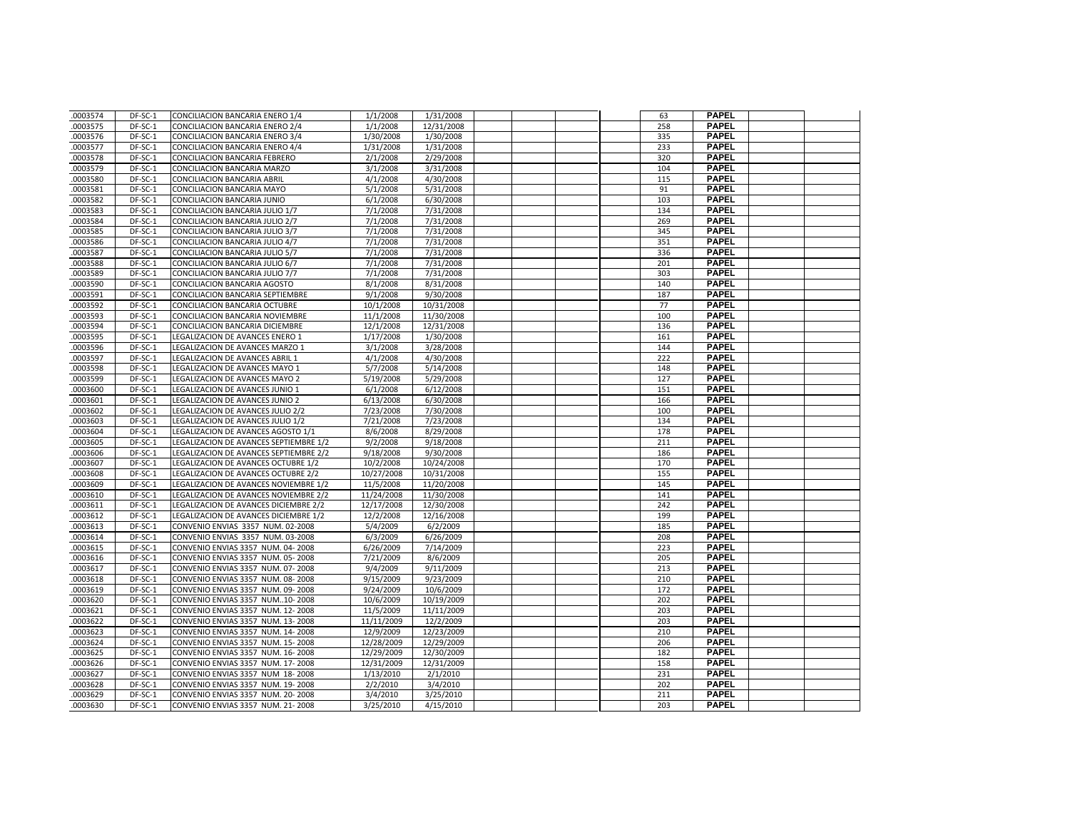| 0003574              | DF-SC-1            | CONCILIACION BANCARIA ENERO 1/4                                       | 1/1/2008              | 1/31/2008            |  | 63         | <b>PAPEL</b>                 |  |
|----------------------|--------------------|-----------------------------------------------------------------------|-----------------------|----------------------|--|------------|------------------------------|--|
| .0003575             | DF-SC-1            | CONCILIACION BANCARIA ENERO 2/4                                       | 1/1/2008              | 12/31/2008           |  | 258        | <b>PAPEL</b>                 |  |
| .0003576             | DF-SC-1            | CONCILIACION BANCARIA ENERO 3/4                                       | 1/30/2008             | 1/30/2008            |  | 335        | <b>PAPEL</b>                 |  |
| .0003577             | DF-SC-1            | CONCILIACION BANCARIA ENERO 4/4                                       | 1/31/2008             | 1/31/2008            |  | 233        | <b>PAPEL</b>                 |  |
| .0003578             | DF-SC-1            | CONCILIACION BANCARIA FEBRERO                                         | 2/1/2008              | 2/29/2008            |  | 320        | <b>PAPEL</b>                 |  |
| .0003579             | DF-SC-1            | CONCILIACION BANCARIA MARZO                                           | 3/1/2008              | 3/31/2008            |  | 104        | <b>PAPEL</b>                 |  |
| .0003580             | DF-SC-1            | CONCILIACION BANCARIA ABRIL                                           | 4/1/2008              | 4/30/2008            |  | 115        | <b>PAPEL</b>                 |  |
| .0003581             | DF-SC-1            | CONCILIACION BANCARIA MAYO                                            | 5/1/2008              | 5/31/2008            |  | 91         | <b>PAPEL</b>                 |  |
| .0003582             | DF-SC-1            | CONCILIACION BANCARIA JUNIO                                           | 6/1/2008              | 6/30/2008            |  | 103        | <b>PAPEL</b>                 |  |
| .0003583             | DF-SC-1            | CONCILIACION BANCARIA JULIO 1/7                                       | 7/1/2008              | 7/31/2008            |  | 134        | <b>PAPEL</b>                 |  |
| .0003584             | DF-SC-1            | CONCILIACION BANCARIA JULIO 2/7                                       | 7/1/2008              | 7/31/2008            |  | 269        | <b>PAPEL</b>                 |  |
| .0003585             | DF-SC-1            | CONCILIACION BANCARIA JULIO 3/7                                       | 7/1/2008              | 7/31/2008            |  | 345        | <b>PAPEL</b>                 |  |
| .0003586             | DF-SC-1            | CONCILIACION BANCARIA JULIO 4/7                                       | 7/1/2008              | 7/31/2008            |  | 351        | <b>PAPEL</b>                 |  |
| .0003587             | DF-SC-1            | CONCILIACION BANCARIA JULIO 5/7                                       | 7/1/2008              | 7/31/2008            |  | 336        | <b>PAPEL</b>                 |  |
| .0003588             | DF-SC-1            | CONCILIACION BANCARIA JULIO 6/7                                       | 7/1/2008              | 7/31/2008            |  | 201        | <b>PAPEL</b>                 |  |
| .0003589             | DF-SC-1            | CONCILIACION BANCARIA JULIO 7/7                                       | 7/1/2008              | 7/31/2008            |  | 303        | <b>PAPEL</b>                 |  |
| .0003590             | DF-SC-1            | CONCILIACION BANCARIA AGOSTO                                          | 8/1/2008              | 8/31/2008            |  | 140        | <b>PAPEL</b>                 |  |
| .0003591             | DF-SC-1            | CONCILIACION BANCARIA SEPTIEMBRE                                      | 9/1/2008              | 9/30/2008            |  | 187        | <b>PAPEL</b>                 |  |
| .0003592             | DF-SC-1            | CONCILIACION BANCARIA OCTUBRE                                         | 10/1/2008             | 10/31/2008           |  | 77         | <b>PAPEL</b>                 |  |
| .0003593             | DF-SC-1            | CONCILIACION BANCARIA NOVIEMBRE                                       | 11/1/2008             | 11/30/2008           |  | 100        | <b>PAPEL</b>                 |  |
| .0003594             | DF-SC-1            | CONCILIACION BANCARIA DICIEMBRE                                       | 12/1/2008             | 12/31/2008           |  | 136        | <b>PAPEL</b>                 |  |
| .0003595             | DF-SC-1            | LEGALIZACION DE AVANCES ENERO 1                                       | 1/17/2008             | 1/30/2008            |  | 161        | <b>PAPEL</b>                 |  |
| .0003596             | DF-SC-1            | LEGALIZACION DE AVANCES MARZO 1                                       | 3/1/2008              | 3/28/2008            |  | 144        | <b>PAPEL</b>                 |  |
| .0003597             | DF-SC-1            | LEGALIZACION DE AVANCES ABRIL 1                                       | 4/1/2008              | 4/30/2008            |  | 222        | <b>PAPEL</b>                 |  |
| .0003598             | DF-SC-1            | LEGALIZACION DE AVANCES MAYO 1                                        | 5/7/2008              | 5/14/2008            |  | 148        | <b>PAPEL</b>                 |  |
| .0003599             | DF-SC-1            | LEGALIZACION DE AVANCES MAYO 2                                        | 5/19/2008             | 5/29/2008            |  | 127        | <b>PAPEL</b>                 |  |
| .0003600             | DF-SC-1            | LEGALIZACION DE AVANCES JUNIO 1                                       | 6/1/2008              | 6/12/2008            |  | 151        | <b>PAPEL</b>                 |  |
| .0003601             | DF-SC-1            | LEGALIZACION DE AVANCES JUNIO 2                                       | 6/13/2008             | 6/30/2008            |  | 166        | <b>PAPEL</b>                 |  |
| .0003602             | DF-SC-1            | LEGALIZACION DE AVANCES JULIO 2/2                                     | 7/23/2008             | 7/30/2008            |  | 100        | <b>PAPEL</b>                 |  |
| .0003603             | DF-SC-1            | LEGALIZACION DE AVANCES JULIO 1/2                                     | 7/21/2008             | 7/23/2008            |  | 134        | <b>PAPEL</b>                 |  |
| .0003604             | DF-SC-1            | LEGALIZACION DE AVANCES AGOSTO 1/1                                    | 8/6/2008              | 8/29/2008            |  | 178        | <b>PAPEL</b>                 |  |
| .0003605             | DF-SC-1            | LEGALIZACION DE AVANCES SEPTIEMBRE 1/2                                | 9/2/2008              | 9/18/2008            |  | 211        | <b>PAPEL</b>                 |  |
| .0003606             | DF-SC-1            | LEGALIZACION DE AVANCES SEPTIEMBRE 2/2                                | 9/18/2008             | 9/30/2008            |  | 186        | <b>PAPEL</b>                 |  |
| 0003607              | DF-SC-1            | LEGALIZACION DE AVANCES OCTUBRE 1/2                                   | 10/2/2008             | 10/24/2008           |  | 170        | <b>PAPEL</b>                 |  |
| .0003608             | DF-SC-1            | LEGALIZACION DE AVANCES OCTUBRE 2/2                                   | 10/27/2008            | 10/31/2008           |  | 155        | <b>PAPEL</b>                 |  |
| .0003609             | DF-SC-1            | LEGALIZACION DE AVANCES NOVIEMBRE 1/2                                 | 11/5/2008             | 11/20/2008           |  | 145        | <b>PAPEL</b>                 |  |
| .0003610             | DF-SC-1            | LEGALIZACION DE AVANCES NOVIEMBRE 2/2                                 | 11/24/2008            | 11/30/2008           |  | 141        | <b>PAPEL</b>                 |  |
| .0003611             | DF-SC-1            | LEGALIZACION DE AVANCES DICIEMBRE 2/2                                 | 12/17/2008            | 12/30/2008           |  | 242        | <b>PAPEL</b>                 |  |
| 0003612              | DF-SC-1            | LEGALIZACION DE AVANCES DICIEMBRE 1/2                                 | 12/2/2008             | 12/16/2008           |  | 199        | <b>PAPEL</b>                 |  |
| .0003613             | DF-SC-1            | CONVENIO ENVIAS 3357 NUM. 02-2008                                     | 5/4/2009              | 6/2/2009             |  | 185        | <b>PAPEL</b>                 |  |
| .0003614             | DF-SC-1            | CONVENIO ENVIAS 3357 NUM. 03-2008                                     | 6/3/2009              | 6/26/2009            |  | 208        | <b>PAPEL</b>                 |  |
| .0003615             | DF-SC-1            | CONVENIO ENVIAS 3357 NUM. 04-2008                                     | 6/26/2009             | 7/14/2009            |  | 223        | <b>PAPEL</b>                 |  |
| .0003616             | DF-SC-1            | CONVENIO ENVIAS 3357 NUM. 05-2008                                     | 7/21/2009             | 8/6/2009             |  | 205        | <b>PAPEL</b>                 |  |
| .0003617             | $DF-SC-1$          | CONVENIO ENVIAS 3357 NUM. 07-2008                                     | 9/4/2009              | 9/11/2009            |  | 213        | <b>PAPEL</b>                 |  |
| .0003618             | DF-SC-1            | CONVENIO ENVIAS 3357 NUM. 08-2008                                     | 9/15/2009             | 9/23/2009            |  | 210        | <b>PAPEL</b>                 |  |
| .0003619             | DF-SC-1            | CONVENIO ENVIAS 3357 NUM. 09-2008                                     | 9/24/2009             | 10/6/2009            |  | 172        | <b>PAPEL</b>                 |  |
| .0003620             | DF-SC-1            | CONVENIO ENVIAS 3357 NUM10-2008                                       | 10/6/2009             | 10/19/2009           |  | 202        | <b>PAPEL</b>                 |  |
| .0003621             | DF-SC-1            | CONVENIO ENVIAS 3357 NUM. 12-2008                                     | 11/5/2009             | 11/11/2009           |  | 203        | <b>PAPEL</b>                 |  |
| .0003622             | DF-SC-1            | CONVENIO ENVIAS 3357 NUM. 13-2008                                     | 11/11/2009            | 12/2/2009            |  | 203        | <b>PAPEL</b>                 |  |
| .0003623             | DF-SC-1            | CONVENIO ENVIAS 3357 NUM. 14-2008                                     | 12/9/2009             | 12/23/2009           |  | 210        | <b>PAPEL</b>                 |  |
| .0003624             | DF-SC-1            | CONVENIO ENVIAS 3357 NUM. 15-2008                                     | 12/28/2009            | 12/29/2009           |  | 206        | <b>PAPEL</b>                 |  |
| .0003625             | DF-SC-1            | CONVENIO ENVIAS 3357 NUM. 16-2008                                     | 12/29/2009            | 12/30/2009           |  | 182        | <b>PAPEL</b>                 |  |
| .0003626             | DF-SC-1            | CONVENIO ENVIAS 3357 NUM. 17-2008                                     | 12/31/2009            | 12/31/2009           |  | 158        | <b>PAPEL</b><br><b>PAPEL</b> |  |
| .0003627<br>.0003628 | DF-SC-1            | CONVENIO ENVIAS 3357 NUM 18-2008<br>CONVENIO ENVIAS 3357 NUM. 19-2008 | 1/13/2010<br>2/2/2010 | 2/1/2010<br>3/4/2010 |  | 231<br>202 | <b>PAPEL</b>                 |  |
|                      | DF-SC-1<br>DF-SC-1 | CONVENIO ENVIAS 3357 NUM. 20-2008                                     | 3/4/2010              | 3/25/2010            |  | 211        | PAPEL                        |  |
| .0003629<br>.0003630 | DF-SC-1            | CONVENIO ENVIAS 3357 NUM. 21-2008                                     | 3/25/2010             | 4/15/2010            |  | 203        | <b>PAPEL</b>                 |  |
|                      |                    |                                                                       |                       |                      |  |            |                              |  |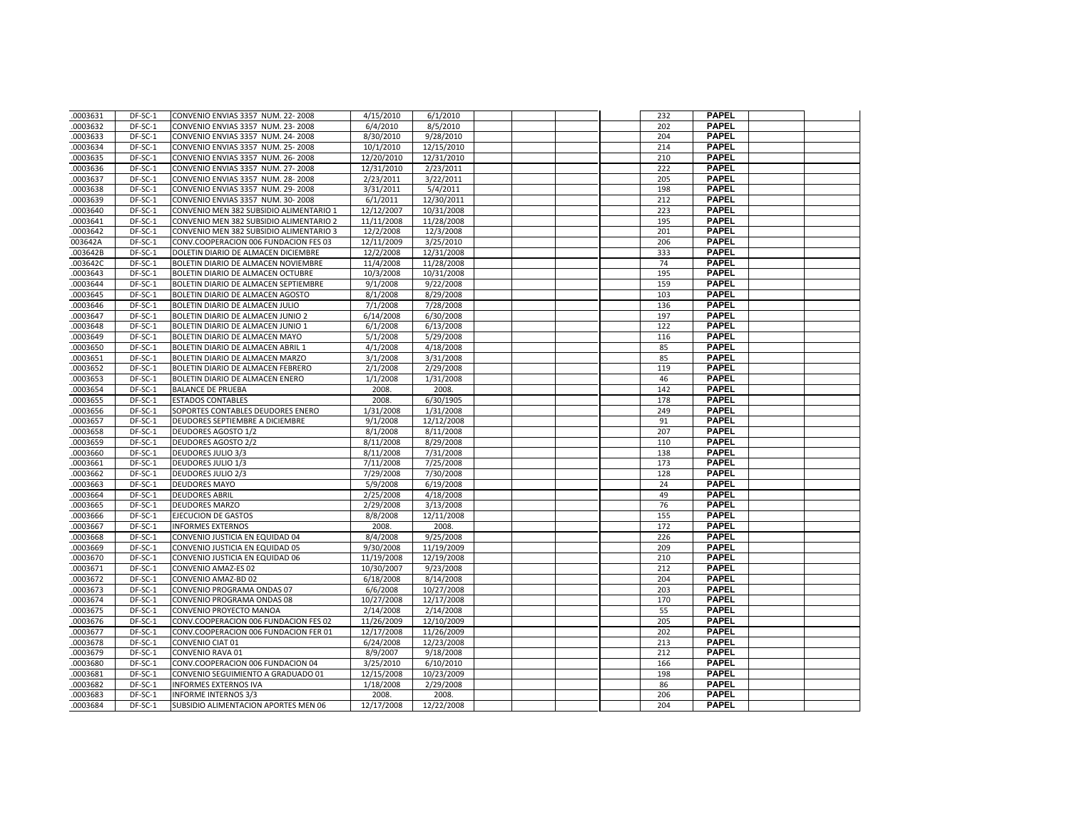| .0003631 | DF-SC-1   | CONVENIO ENVIAS 3357 NUM. 22-2008       | 4/15/2010  | 6/1/2010   |  | 232 | <b>PAPEL</b> |  |
|----------|-----------|-----------------------------------------|------------|------------|--|-----|--------------|--|
| .0003632 | DF-SC-1   | CONVENIO ENVIAS 3357 NUM. 23-2008       | 6/4/2010   | 8/5/2010   |  | 202 | <b>PAPEL</b> |  |
| .0003633 | DF-SC-1   | CONVENIO ENVIAS 3357 NUM. 24-2008       | 8/30/2010  | 9/28/2010  |  | 204 | <b>PAPEL</b> |  |
| 0003634  | DF-SC-1   | CONVENIO ENVIAS 3357 NUM. 25-2008       | 10/1/2010  | 12/15/2010 |  | 214 | <b>PAPEL</b> |  |
| .0003635 | DF-SC-1   | CONVENIO ENVIAS 3357 NUM. 26-2008       | 12/20/2010 | 12/31/2010 |  | 210 | <b>PAPEL</b> |  |
| .0003636 | DF-SC-1   | CONVENIO ENVIAS 3357 NUM. 27-2008       | 12/31/2010 | 2/23/2011  |  | 222 | <b>PAPEL</b> |  |
| 0003637  | DF-SC-1   | CONVENIO ENVIAS 3357 NUM. 28-2008       | 2/23/2011  | 3/22/2011  |  | 205 | <b>PAPEL</b> |  |
| .0003638 | DF-SC-1   | CONVENIO ENVIAS 3357 NUM. 29-2008       | 3/31/2011  | 5/4/2011   |  | 198 | <b>PAPEL</b> |  |
| 0003639  | DF-SC-1   | CONVENIO ENVIAS 3357 NUM. 30-2008       | 6/1/2011   | 12/30/2011 |  | 212 | <b>PAPEL</b> |  |
| .0003640 | DF-SC-1   | CONVENIO MEN 382 SUBSIDIO ALIMENTARIO 1 | 12/12/2007 | 10/31/2008 |  | 223 | <b>PAPEL</b> |  |
| 0003641  | DF-SC-1   | CONVENIO MEN 382 SUBSIDIO ALIMENTARIO 2 | 11/11/2008 | 11/28/2008 |  | 195 | <b>PAPEL</b> |  |
| .0003642 | DF-SC-1   | CONVENIO MEN 382 SUBSIDIO ALIMENTARIO 3 | 12/2/2008  | 12/3/2008  |  | 201 | <b>PAPEL</b> |  |
| 003642A  | DF-SC-1   | CONV.COOPERACION 006 FUNDACION FES 03   | 12/11/2009 | 3/25/2010  |  | 206 | <b>PAPEL</b> |  |
| .003642B | DF-SC-1   | DOLETIN DIARIO DE ALMACEN DICIEMBRE     | 12/2/2008  | 12/31/2008 |  | 333 | <b>PAPEL</b> |  |
| .003642C | DF-SC-1   | BOLETIN DIARIO DE ALMACEN NOVIEMBRE     | 11/4/2008  | 11/28/2008 |  | 74  | <b>PAPEL</b> |  |
| .0003643 | DF-SC-1   | BOLETIN DIARIO DE ALMACEN OCTUBRE       | 10/3/2008  | 10/31/2008 |  | 195 | <b>PAPEL</b> |  |
| .0003644 | DF-SC-1   | BOLETIN DIARIO DE ALMACEN SEPTIEMBRE    | 9/1/2008   | 9/22/2008  |  | 159 | <b>PAPEL</b> |  |
| .0003645 | DF-SC-1   | BOLETIN DIARIO DE ALMACEN AGOSTO        | 8/1/2008   | 8/29/2008  |  | 103 | <b>PAPEL</b> |  |
| 0003646  | DF-SC-1   | BOLETIN DIARIO DE ALMACEN JULIO         | 7/1/2008   | 7/28/2008  |  | 136 | <b>PAPEL</b> |  |
| 0003647  | DF-SC-1   | BOLETIN DIARIO DE ALMACEN JUNIO 2       | 6/14/2008  | 6/30/2008  |  | 197 | <b>PAPEL</b> |  |
| 0003648  | DF-SC-1   | BOLETIN DIARIO DE ALMACEN JUNIO 1       | 6/1/2008   | 6/13/2008  |  | 122 | <b>PAPEL</b> |  |
| 0003649  | DF-SC-1   | BOLETIN DIARIO DE ALMACEN MAYO          | 5/1/2008   | 5/29/2008  |  | 116 | <b>PAPEL</b> |  |
| .0003650 | DF-SC-1   | BOLETIN DIARIO DE ALMACEN ABRIL 1       | 4/1/2008   | 4/18/2008  |  | 85  | <b>PAPEL</b> |  |
| 0003651  | DF-SC-1   | BOLETIN DIARIO DE ALMACEN MARZO         | 3/1/2008   | 3/31/2008  |  | 85  | <b>PAPEL</b> |  |
| .0003652 | DF-SC-1   | BOLETIN DIARIO DE ALMACEN FEBRERO       | 2/1/2008   | 2/29/2008  |  | 119 | <b>PAPEL</b> |  |
| .0003653 | DF-SC-1   | BOLETIN DIARIO DE ALMACEN ENERO         | 1/1/2008   | 1/31/2008  |  | 46  | <b>PAPEL</b> |  |
| 0003654  | DF-SC-1   | <b>BALANCE DE PRUEBA</b>                | 2008.      | 2008.      |  | 142 | <b>PAPEL</b> |  |
| .0003655 | DF-SC-1   | <b>ESTADOS CONTABLES</b>                | 2008.      | 6/30/1905  |  | 178 | <b>PAPEL</b> |  |
|          |           |                                         |            |            |  |     | <b>PAPEL</b> |  |
| .0003656 | DF-SC-1   | SOPORTES CONTABLES DEUDORES ENERO       | 1/31/2008  | 1/31/2008  |  | 249 | <b>PAPEL</b> |  |
| 0003657  | DF-SC-1   | DEUDORES SEPTIEMBRE A DICIEMBRE         | 9/1/2008   | 12/12/2008 |  | 91  |              |  |
| .0003658 | DF-SC-1   | <b>DEUDORES AGOSTO 1/2</b>              | 8/1/2008   | 8/11/2008  |  | 207 | <b>PAPEL</b> |  |
| 0003659  | DF-SC-1   | <b>DEUDORES AGOSTO 2/2</b>              | 8/11/2008  | 8/29/2008  |  | 110 | <b>PAPEL</b> |  |
| .0003660 | DF-SC-1   | <b>DEUDORES JULIO 3/3</b>               | 8/11/2008  | 7/31/2008  |  | 138 | <b>PAPEL</b> |  |
| .0003661 | DF-SC-1   | <b>DEUDORES JULIO 1/3</b>               | 7/11/2008  | 7/25/2008  |  | 173 | <b>PAPEL</b> |  |
| .0003662 | DF-SC-1   | <b>DEUDORES JULIO 2/3</b>               | 7/29/2008  | 7/30/2008  |  | 128 | <b>PAPEL</b> |  |
| .0003663 | DF-SC-1   | <b>DEUDORES MAYO</b>                    | 5/9/2008   | 6/19/2008  |  | 24  | <b>PAPEL</b> |  |
| 0003664  | DF-SC-1   | <b>DEUDORES ABRIL</b>                   | 2/25/2008  | 4/18/2008  |  | 49  | <b>PAPEL</b> |  |
| .0003665 | DF-SC-1   | <b>DEUDORES MARZO</b>                   | 2/29/2008  | 3/13/2008  |  | 76  | <b>PAPEL</b> |  |
| .0003666 | DF-SC-1   | <b>EJECUCION DE GASTOS</b>              | 8/8/2008   | 12/11/2008 |  | 155 | <b>PAPEL</b> |  |
| .0003667 | $DF-SC-1$ | <b>INFORMES EXTERNOS</b>                | 2008.      | 2008.      |  | 172 | <b>PAPEL</b> |  |
| .0003668 | DF-SC-1   | CONVENIO JUSTICIA EN EQUIDAD 04         | 8/4/2008   | 9/25/2008  |  | 226 | <b>PAPEL</b> |  |
| 0003669  | DF-SC-1   | CONVENIO JUSTICIA EN EQUIDAD 05         | 9/30/2008  | 11/19/2009 |  | 209 | <b>PAPEL</b> |  |
| 0003670  | DF-SC-1   | CONVENIO JUSTICIA EN EQUIDAD 06         | 11/19/2008 | 12/19/2008 |  | 210 | <b>PAPEL</b> |  |
| 0003671  | DF-SC-1   | CONVENIO AMAZ-ES 02                     | 10/30/2007 | 9/23/2008  |  | 212 | <b>PAPEL</b> |  |
| .0003672 | DF-SC-1   | CONVENIO AMAZ-BD 02                     | 6/18/2008  | 8/14/2008  |  | 204 | <b>PAPEL</b> |  |
| .0003673 | DF-SC-1   | CONVENIO PROGRAMA ONDAS 07              | 6/6/2008   | 10/27/2008 |  | 203 | <b>PAPEL</b> |  |
| 0003674  | DF-SC-1   | CONVENIO PROGRAMA ONDAS 08              | 10/27/2008 | 12/17/2008 |  | 170 | <b>PAPEL</b> |  |
| .0003675 | DF-SC-1   | CONVENIO PROYECTO MANOA                 | 2/14/2008  | 2/14/2008  |  | 55  | <b>PAPEL</b> |  |
| .0003676 | DF-SC-1   | CONV.COOPERACION 006 FUNDACION FES 02   | 11/26/2009 | 12/10/2009 |  | 205 | <b>PAPEL</b> |  |
| 0003677  | DF-SC-1   | CONV.COOPERACION 006 FUNDACION FER 01   | 12/17/2008 | 11/26/2009 |  | 202 | <b>PAPEL</b> |  |
| .0003678 | DF-SC-1   | CONVENIO CIAT 01                        | 6/24/2008  | 12/23/2008 |  | 213 | <b>PAPEL</b> |  |
| .0003679 | DF-SC-1   | CONVENIO RAVA 01                        | 8/9/2007   | 9/18/2008  |  | 212 | <b>PAPEL</b> |  |
| 0003680  | DF-SC-1   | CONV.COOPERACION 006 FUNDACION 04       | 3/25/2010  | 6/10/2010  |  | 166 | <b>PAPEL</b> |  |
| .0003681 | DF-SC-1   | CONVENIO SEGUIMIENTO A GRADUADO 01      | 12/15/2008 | 10/23/2009 |  | 198 | <b>PAPEL</b> |  |
| 0003682  | DF-SC-1   | <b>INFORMES EXTERNOS IVA</b>            | 1/18/2008  | 2/29/2008  |  | 86  | <b>PAPEL</b> |  |
| .0003683 | DF-SC-1   | <b>INFORME INTERNOS 3/3</b>             | 2008.      | 2008.      |  | 206 | <b>PAPEL</b> |  |
| .0003684 | DF-SC-1   | SUBSIDIO ALIMENTACION APORTES MEN 06    | 12/17/2008 | 12/22/2008 |  | 204 | <b>PAPEL</b> |  |
|          |           |                                         |            |            |  |     |              |  |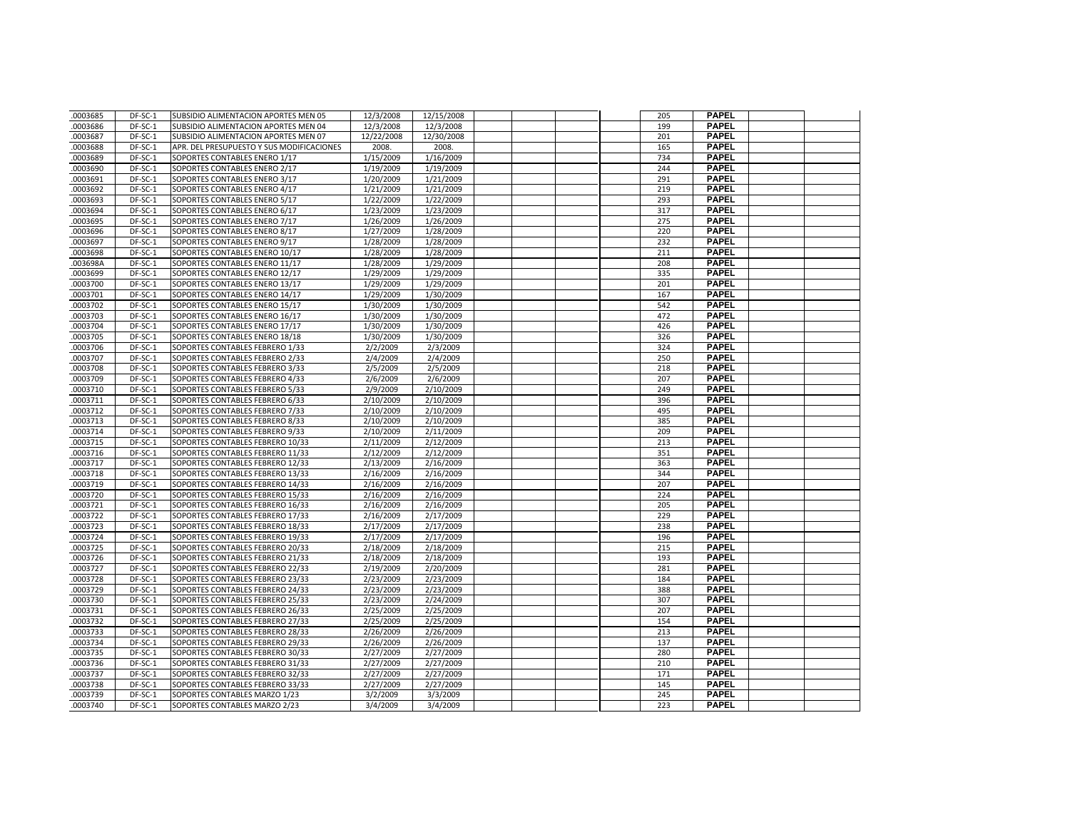| .0003685 | DF-SC-1   | SUBSIDIO ALIMENTACION APORTES MEN 05      | 12/3/2008  | 12/15/2008 |  | 205 | <b>PAPEL</b> |  |
|----------|-----------|-------------------------------------------|------------|------------|--|-----|--------------|--|
| .0003686 | DF-SC-1   | SUBSIDIO ALIMENTACION APORTES MEN 04      | 12/3/2008  | 12/3/2008  |  | 199 | <b>PAPEL</b> |  |
| .0003687 | DF-SC-1   | SUBSIDIO ALIMENTACION APORTES MEN 07      | 12/22/2008 | 12/30/2008 |  | 201 | <b>PAPEL</b> |  |
| .0003688 | DF-SC-1   | APR. DEL PRESUPUESTO Y SUS MODIFICACIONES | 2008.      | 2008.      |  | 165 | <b>PAPEL</b> |  |
| .0003689 | DF-SC-1   | SOPORTES CONTABLES ENERO 1/17             | 1/15/2009  | 1/16/2009  |  | 734 | <b>PAPEL</b> |  |
| .0003690 | DF-SC-1   | SOPORTES CONTABLES ENERO 2/17             | 1/19/2009  | 1/19/2009  |  | 244 | <b>PAPEL</b> |  |
| .0003691 | DF-SC-1   | SOPORTES CONTABLES ENERO 3/17             | 1/20/2009  | 1/21/2009  |  | 291 | <b>PAPEL</b> |  |
| .0003692 | DF-SC-1   | SOPORTES CONTABLES ENERO 4/17             | 1/21/2009  | 1/21/2009  |  | 219 | <b>PAPEL</b> |  |
| .0003693 | DF-SC-1   | SOPORTES CONTABLES ENERO 5/17             | 1/22/2009  | 1/22/2009  |  | 293 | <b>PAPEL</b> |  |
| .0003694 | DF-SC-1   | SOPORTES CONTABLES ENERO 6/17             | 1/23/2009  | 1/23/2009  |  | 317 | <b>PAPEL</b> |  |
| .0003695 | DF-SC-1   | SOPORTES CONTABLES ENERO 7/17             | 1/26/2009  | 1/26/2009  |  | 275 | <b>PAPEL</b> |  |
| .0003696 | DF-SC-1   | SOPORTES CONTABLES ENERO 8/17             | 1/27/2009  | 1/28/2009  |  | 220 | <b>PAPEL</b> |  |
| .0003697 | DF-SC-1   | SOPORTES CONTABLES ENERO 9/17             | 1/28/2009  | 1/28/2009  |  | 232 | <b>PAPEL</b> |  |
| .0003698 | DF-SC-1   | SOPORTES CONTABLES ENERO 10/17            | 1/28/2009  | 1/28/2009  |  | 211 | <b>PAPEL</b> |  |
| .003698A | DF-SC-1   | SOPORTES CONTABLES ENERO 11/17            | 1/28/2009  | 1/29/2009  |  | 208 | <b>PAPEL</b> |  |
| .0003699 | DF-SC-1   | SOPORTES CONTABLES ENERO 12/17            | 1/29/2009  | 1/29/2009  |  | 335 | <b>PAPEL</b> |  |
| .0003700 | DF-SC-1   | SOPORTES CONTABLES ENERO 13/17            | 1/29/2009  | 1/29/2009  |  | 201 | <b>PAPEL</b> |  |
| .0003701 | DF-SC-1   | SOPORTES CONTABLES ENERO 14/17            | 1/29/2009  | 1/30/2009  |  | 167 | <b>PAPEL</b> |  |
| .0003702 | DF-SC-1   | SOPORTES CONTABLES ENERO 15/17            | 1/30/2009  | 1/30/2009  |  | 542 | <b>PAPEL</b> |  |
| .0003703 | DF-SC-1   | SOPORTES CONTABLES ENERO 16/17            | 1/30/2009  | 1/30/2009  |  | 472 | <b>PAPEL</b> |  |
| .0003704 | DF-SC-1   | SOPORTES CONTABLES ENERO 17/17            | 1/30/2009  | 1/30/2009  |  | 426 | <b>PAPEL</b> |  |
| .0003705 | DF-SC-1   | SOPORTES CONTABLES ENERO 18/18            | 1/30/2009  | 1/30/2009  |  | 326 | <b>PAPEL</b> |  |
| .0003706 | DF-SC-1   | SOPORTES CONTABLES FEBRERO 1/33           | 2/2/2009   | 2/3/2009   |  | 324 | <b>PAPEL</b> |  |
| .0003707 | DF-SC-1   | SOPORTES CONTABLES FEBRERO 2/33           | 2/4/2009   | 2/4/2009   |  | 250 | <b>PAPEL</b> |  |
| .0003708 | DF-SC-1   | SOPORTES CONTABLES FEBRERO 3/33           | 2/5/2009   | 2/5/2009   |  | 218 | <b>PAPEL</b> |  |
| .0003709 | DF-SC-1   | SOPORTES CONTABLES FEBRERO 4/33           | 2/6/2009   | 2/6/2009   |  | 207 | <b>PAPEL</b> |  |
| .0003710 | DF-SC-1   | SOPORTES CONTABLES FEBRERO 5/33           | 2/9/2009   | 2/10/2009  |  | 249 | <b>PAPEL</b> |  |
| .0003711 | DF-SC-1   | SOPORTES CONTABLES FEBRERO 6/33           | 2/10/2009  | 2/10/2009  |  | 396 | <b>PAPEL</b> |  |
| .0003712 | DF-SC-1   | SOPORTES CONTABLES FEBRERO 7/33           | 2/10/2009  | 2/10/2009  |  | 495 | <b>PAPEL</b> |  |
| .0003713 | DF-SC-1   | SOPORTES CONTABLES FEBRERO 8/33           | 2/10/2009  | 2/10/2009  |  | 385 | <b>PAPEL</b> |  |
| .0003714 | DF-SC-1   | SOPORTES CONTABLES FEBRERO 9/33           | 2/10/2009  | 2/11/2009  |  | 209 | <b>PAPEL</b> |  |
| .0003715 | DF-SC-1   | SOPORTES CONTABLES FEBRERO 10/33          | 2/11/2009  | 2/12/2009  |  | 213 | <b>PAPEL</b> |  |
| .0003716 | DF-SC-1   | SOPORTES CONTABLES FEBRERO 11/33          | 2/12/2009  | 2/12/2009  |  | 351 | <b>PAPEL</b> |  |
| .0003717 | DF-SC-1   | SOPORTES CONTABLES FEBRERO 12/33          | 2/13/2009  | 2/16/2009  |  | 363 | <b>PAPEL</b> |  |
| .0003718 | DF-SC-1   | SOPORTES CONTABLES FEBRERO 13/33          | 2/16/2009  | 2/16/2009  |  | 344 | <b>PAPEL</b> |  |
| .0003719 | DF-SC-1   | SOPORTES CONTABLES FEBRERO 14/33          | 2/16/2009  | 2/16/2009  |  | 207 | <b>PAPEL</b> |  |
| .0003720 | DF-SC-1   | SOPORTES CONTABLES FEBRERO 15/33          | 2/16/2009  | 2/16/2009  |  | 224 | <b>PAPEL</b> |  |
| .0003721 | DF-SC-1   | SOPORTES CONTABLES FEBRERO 16/33          | 2/16/2009  | 2/16/2009  |  | 205 | <b>PAPEL</b> |  |
| .0003722 | DF-SC-1   | SOPORTES CONTABLES FEBRERO 17/33          | 2/16/2009  | 2/17/2009  |  | 229 | <b>PAPEL</b> |  |
| .0003723 | DF-SC-1   | SOPORTES CONTABLES FEBRERO 18/33          | 2/17/2009  | 2/17/2009  |  | 238 | <b>PAPEL</b> |  |
| .0003724 | DF-SC-1   | SOPORTES CONTABLES FEBRERO 19/33          | 2/17/2009  | 2/17/2009  |  | 196 | <b>PAPEL</b> |  |
| .0003725 | DF-SC-1   | SOPORTES CONTABLES FEBRERO 20/33          | 2/18/2009  | 2/18/2009  |  | 215 | <b>PAPEL</b> |  |
| .0003726 | DF-SC-1   | SOPORTES CONTABLES FEBRERO 21/33          | 2/18/2009  | 2/18/2009  |  | 193 | <b>PAPEL</b> |  |
| .0003727 | DF-SC-1   | SOPORTES CONTABLES FEBRERO 22/33          | 2/19/2009  | 2/20/2009  |  | 281 | <b>PAPEL</b> |  |
| .0003728 | DF-SC-1   | SOPORTES CONTABLES FEBRERO 23/33          | 2/23/2009  | 2/23/2009  |  | 184 | <b>PAPEL</b> |  |
| .0003729 | DF-SC-1   | SOPORTES CONTABLES FEBRERO 24/33          | 2/23/2009  | 2/23/2009  |  | 388 | <b>PAPEL</b> |  |
| .0003730 | DF-SC-1   | SOPORTES CONTABLES FEBRERO 25/33          | 2/23/2009  | 2/24/2009  |  | 307 | <b>PAPEL</b> |  |
| .0003731 | DF-SC-1   | SOPORTES CONTABLES FEBRERO 26/33          | 2/25/2009  | 2/25/2009  |  | 207 | <b>PAPEL</b> |  |
| .0003732 | DF-SC-1   | SOPORTES CONTABLES FEBRERO 27/33          | 2/25/2009  | 2/25/2009  |  | 154 | <b>PAPEL</b> |  |
| .0003733 | $DF-SC-1$ | SOPORTES CONTABLES FEBRERO 28/33          | 2/26/2009  | 2/26/2009  |  | 213 | <b>PAPEL</b> |  |
| .0003734 | DF-SC-1   | SOPORTES CONTABLES FEBRERO 29/33          | 2/26/2009  | 2/26/2009  |  | 137 | <b>PAPEL</b> |  |
| .0003735 | DF-SC-1   | SOPORTES CONTABLES FEBRERO 30/33          | 2/27/2009  | 2/27/2009  |  | 280 | <b>PAPEL</b> |  |
| .0003736 | DF-SC-1   | SOPORTES CONTABLES FEBRERO 31/33          | 2/27/2009  | 2/27/2009  |  | 210 | <b>PAPEL</b> |  |
| .0003737 | DF-SC-1   | SOPORTES CONTABLES FEBRERO 32/33          | 2/27/2009  | 2/27/2009  |  | 171 | <b>PAPEL</b> |  |
| .0003738 | DF-SC-1   | SOPORTES CONTABLES FEBRERO 33/33          | 2/27/2009  | 2/27/2009  |  | 145 | <b>PAPEL</b> |  |
| .0003739 | DF-SC-1   | SOPORTES CONTABLES MARZO 1/23             | 3/2/2009   | 3/3/2009   |  | 245 | <b>PAPEL</b> |  |
| .0003740 | DF-SC-1   | SOPORTES CONTABLES MARZO 2/23             | 3/4/2009   | 3/4/2009   |  | 223 | <b>PAPEL</b> |  |
|          |           |                                           |            |            |  |     |              |  |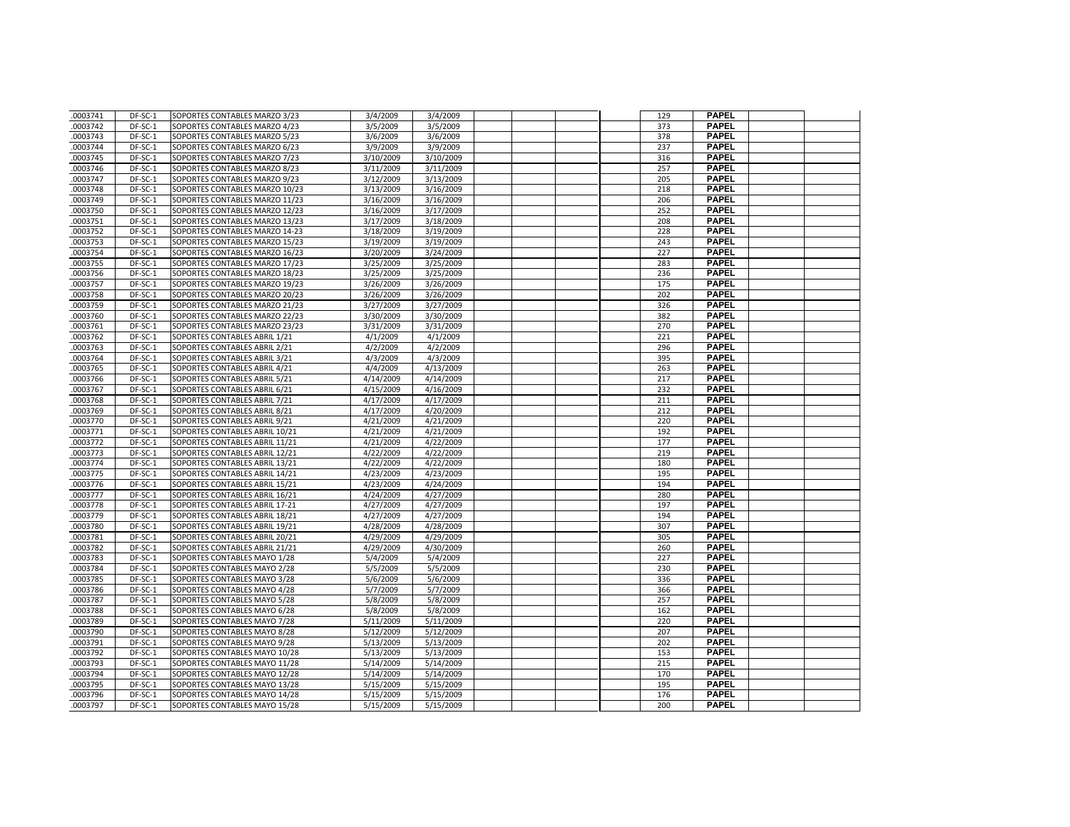| .0003741 | DF-SC-1   | SOPORTES CONTABLES MARZO 3/23  | 3/4/2009  | 3/4/2009  |  | 129 | <b>PAPEL</b>                 |  |
|----------|-----------|--------------------------------|-----------|-----------|--|-----|------------------------------|--|
| .0003742 | DF-SC-1   | SOPORTES CONTABLES MARZO 4/23  | 3/5/2009  | 3/5/2009  |  | 373 | <b>PAPEL</b>                 |  |
| .0003743 | DF-SC-1   | SOPORTES CONTABLES MARZO 5/23  | 3/6/2009  | 3/6/2009  |  | 378 | <b>PAPEL</b>                 |  |
| .0003744 | DF-SC-1   | SOPORTES CONTABLES MARZO 6/23  | 3/9/2009  | 3/9/2009  |  | 237 | <b>PAPEL</b>                 |  |
| .0003745 | DF-SC-1   | SOPORTES CONTABLES MARZO 7/23  | 3/10/2009 | 3/10/2009 |  | 316 | <b>PAPEL</b>                 |  |
| .0003746 | DF-SC-1   | SOPORTES CONTABLES MARZO 8/23  | 3/11/2009 | 3/11/2009 |  | 257 | <b>PAPEL</b>                 |  |
| .0003747 | DF-SC-1   | SOPORTES CONTABLES MARZO 9/23  | 3/12/2009 | 3/13/2009 |  | 205 | <b>PAPEL</b>                 |  |
| .0003748 | DF-SC-1   | SOPORTES CONTABLES MARZO 10/23 | 3/13/2009 | 3/16/2009 |  | 218 | <b>PAPEL</b>                 |  |
| .0003749 | DF-SC-1   | SOPORTES CONTABLES MARZO 11/23 | 3/16/2009 | 3/16/2009 |  | 206 | <b>PAPEL</b>                 |  |
| .0003750 | DF-SC-1   | SOPORTES CONTABLES MARZO 12/23 | 3/16/2009 | 3/17/2009 |  | 252 | <b>PAPEL</b>                 |  |
| .0003751 | DF-SC-1   | SOPORTES CONTABLES MARZO 13/23 | 3/17/2009 | 3/18/2009 |  | 208 | <b>PAPEL</b>                 |  |
| .0003752 | DF-SC-1   | SOPORTES CONTABLES MARZO 14-23 | 3/18/2009 | 3/19/2009 |  | 228 | <b>PAPEL</b>                 |  |
| .0003753 | DF-SC-1   | SOPORTES CONTABLES MARZO 15/23 | 3/19/2009 | 3/19/2009 |  | 243 | <b>PAPEL</b>                 |  |
| .0003754 | DF-SC-1   | SOPORTES CONTABLES MARZO 16/23 | 3/20/2009 | 3/24/2009 |  | 227 | <b>PAPEL</b>                 |  |
| .0003755 | DF-SC-1   | SOPORTES CONTABLES MARZO 17/23 | 3/25/2009 | 3/25/2009 |  | 283 | <b>PAPEL</b>                 |  |
| 0003756  | DF-SC-1   | SOPORTES CONTABLES MARZO 18/23 | 3/25/2009 | 3/25/2009 |  | 236 | <b>PAPEL</b>                 |  |
| .0003757 | DF-SC-1   | SOPORTES CONTABLES MARZO 19/23 | 3/26/2009 | 3/26/2009 |  | 175 | <b>PAPEL</b>                 |  |
| .0003758 | DF-SC-1   | SOPORTES CONTABLES MARZO 20/23 | 3/26/2009 | 3/26/2009 |  | 202 | <b>PAPEL</b>                 |  |
| .0003759 | DF-SC-1   | SOPORTES CONTABLES MARZO 21/23 | 3/27/2009 | 3/27/2009 |  | 326 | <b>PAPEL</b>                 |  |
| .0003760 | DF-SC-1   | SOPORTES CONTABLES MARZO 22/23 | 3/30/2009 | 3/30/2009 |  | 382 | <b>PAPEL</b>                 |  |
| .0003761 | DF-SC-1   | SOPORTES CONTABLES MARZO 23/23 | 3/31/2009 | 3/31/2009 |  | 270 | <b>PAPEL</b>                 |  |
| .0003762 | DF-SC-1   | SOPORTES CONTABLES ABRIL 1/21  | 4/1/2009  | 4/1/2009  |  | 221 | <b>PAPEL</b>                 |  |
| .0003763 | DF-SC-1   | SOPORTES CONTABLES ABRIL 2/21  | 4/2/2009  | 4/2/2009  |  | 296 | <b>PAPEL</b>                 |  |
| .0003764 | $DF-SC-1$ | SOPORTES CONTABLES ABRIL 3/21  | 4/3/2009  | 4/3/2009  |  | 395 | <b>PAPEL</b>                 |  |
| .0003765 | DF-SC-1   | SOPORTES CONTABLES ABRIL 4/21  | 4/4/2009  | 4/13/2009 |  | 263 | <b>PAPEL</b>                 |  |
| .0003766 | DF-SC-1   | SOPORTES CONTABLES ABRIL 5/21  | 4/14/2009 | 4/14/2009 |  | 217 | <b>PAPEL</b>                 |  |
| .0003767 | DF-SC-1   | SOPORTES CONTABLES ABRIL 6/21  | 4/15/2009 | 4/16/2009 |  | 232 | <b>PAPEL</b>                 |  |
| .0003768 | DF-SC-1   | SOPORTES CONTABLES ABRIL 7/21  | 4/17/2009 | 4/17/2009 |  | 211 | <b>PAPEL</b>                 |  |
| 0003769  | DF-SC-1   | SOPORTES CONTABLES ABRIL 8/21  | 4/17/2009 | 4/20/2009 |  | 212 | <b>PAPEL</b>                 |  |
| .0003770 | DF-SC-1   | SOPORTES CONTABLES ABRIL 9/21  | 4/21/2009 | 4/21/2009 |  | 220 | <b>PAPEL</b>                 |  |
| .0003771 | DF-SC-1   | SOPORTES CONTABLES ABRIL 10/21 | 4/21/2009 | 4/21/2009 |  | 192 | <b>PAPEL</b>                 |  |
| .0003772 | DF-SC-1   | SOPORTES CONTABLES ABRIL 11/21 | 4/21/2009 | 4/22/2009 |  | 177 | <b>PAPEL</b>                 |  |
| .0003773 | DF-SC-1   | SOPORTES CONTABLES ABRIL 12/21 | 4/22/2009 | 4/22/2009 |  | 219 | <b>PAPEL</b>                 |  |
| .0003774 | DF-SC-1   | SOPORTES CONTABLES ABRIL 13/21 | 4/22/2009 | 4/22/2009 |  | 180 | <b>PAPEL</b>                 |  |
| .0003775 | DF-SC-1   | SOPORTES CONTABLES ABRIL 14/21 | 4/23/2009 | 4/23/2009 |  | 195 | <b>PAPEL</b>                 |  |
| .0003776 | DF-SC-1   | SOPORTES CONTABLES ABRIL 15/21 | 4/23/2009 | 4/24/2009 |  | 194 | <b>PAPEL</b>                 |  |
| .0003777 | DF-SC-1   | SOPORTES CONTABLES ABRIL 16/21 | 4/24/2009 | 4/27/2009 |  | 280 | <b>PAPEL</b>                 |  |
| .0003778 | DF-SC-1   | SOPORTES CONTABLES ABRIL 17-21 | 4/27/2009 | 4/27/2009 |  | 197 | <b>PAPEL</b>                 |  |
| .0003779 | DF-SC-1   | SOPORTES CONTABLES ABRIL 18/21 | 4/27/2009 | 4/27/2009 |  | 194 | <b>PAPEL</b>                 |  |
| .0003780 | DF-SC-1   | SOPORTES CONTABLES ABRIL 19/21 | 4/28/2009 | 4/28/2009 |  | 307 | <b>PAPEL</b>                 |  |
| .0003781 | DF-SC-1   | SOPORTES CONTABLES ABRIL 20/21 | 4/29/2009 | 4/29/2009 |  | 305 | <b>PAPEL</b>                 |  |
| .0003782 | DF-SC-1   | SOPORTES CONTABLES ABRIL 21/21 | 4/29/2009 | 4/30/2009 |  | 260 | <b>PAPEL</b>                 |  |
| .0003783 | DF-SC-1   | SOPORTES CONTABLES MAYO 1/28   | 5/4/2009  | 5/4/2009  |  | 227 | <b>PAPEL</b>                 |  |
| .0003784 | DF-SC-1   | SOPORTES CONTABLES MAYO 2/28   | 5/5/2009  | 5/5/2009  |  | 230 | <b>PAPEL</b>                 |  |
| .0003785 | DF-SC-1   | SOPORTES CONTABLES MAYO 3/28   | 5/6/2009  | 5/6/2009  |  | 336 | <b>PAPEL</b>                 |  |
| .0003786 | DF-SC-1   | SOPORTES CONTABLES MAYO 4/28   | 5/7/2009  | 5/7/2009  |  | 366 | <b>PAPEL</b>                 |  |
| .0003787 | DF-SC-1   | SOPORTES CONTABLES MAYO 5/28   | 5/8/2009  | 5/8/2009  |  | 257 | <b>PAPEL</b>                 |  |
| .0003788 | DF-SC-1   | SOPORTES CONTABLES MAYO 6/28   | 5/8/2009  | 5/8/2009  |  | 162 | <b>PAPEL</b>                 |  |
| .0003789 | DF-SC-1   | SOPORTES CONTABLES MAYO 7/28   | 5/11/2009 | 5/11/2009 |  | 220 | <b>PAPEL</b>                 |  |
| .0003790 | DF-SC-1   | SOPORTES CONTABLES MAYO 8/28   | 5/12/2009 | 5/12/2009 |  | 207 | <b>PAPEL</b>                 |  |
| .0003791 | DF-SC-1   | SOPORTES CONTABLES MAYO 9/28   | 5/13/2009 | 5/13/2009 |  | 202 | <b>PAPEL</b><br><b>PAPEL</b> |  |
| 0003792  | DF-SC-1   | SOPORTES CONTABLES MAYO 10/28  | 5/13/2009 | 5/13/2009 |  | 153 |                              |  |
| .0003793 | DF-SC-1   | SOPORTES CONTABLES MAYO 11/28  | 5/14/2009 | 5/14/2009 |  | 215 | <b>PAPEL</b>                 |  |
| .0003794 | DF-SC-1   | SOPORTES CONTABLES MAYO 12/28  | 5/14/2009 | 5/14/2009 |  | 170 | <b>PAPEL</b><br><b>PAPEL</b> |  |
| .0003795 | DF-SC-1   | SOPORTES CONTABLES MAYO 13/28  | 5/15/2009 | 5/15/2009 |  | 195 | <b>PAPEL</b>                 |  |
| .0003796 | DF-SC-1   | SOPORTES CONTABLES MAYO 14/28  | 5/15/2009 | 5/15/2009 |  | 176 | <b>PAPEL</b>                 |  |
| .0003797 | DF-SC-1   | SOPORTES CONTABLES MAYO 15/28  | 5/15/2009 | 5/15/2009 |  | 200 |                              |  |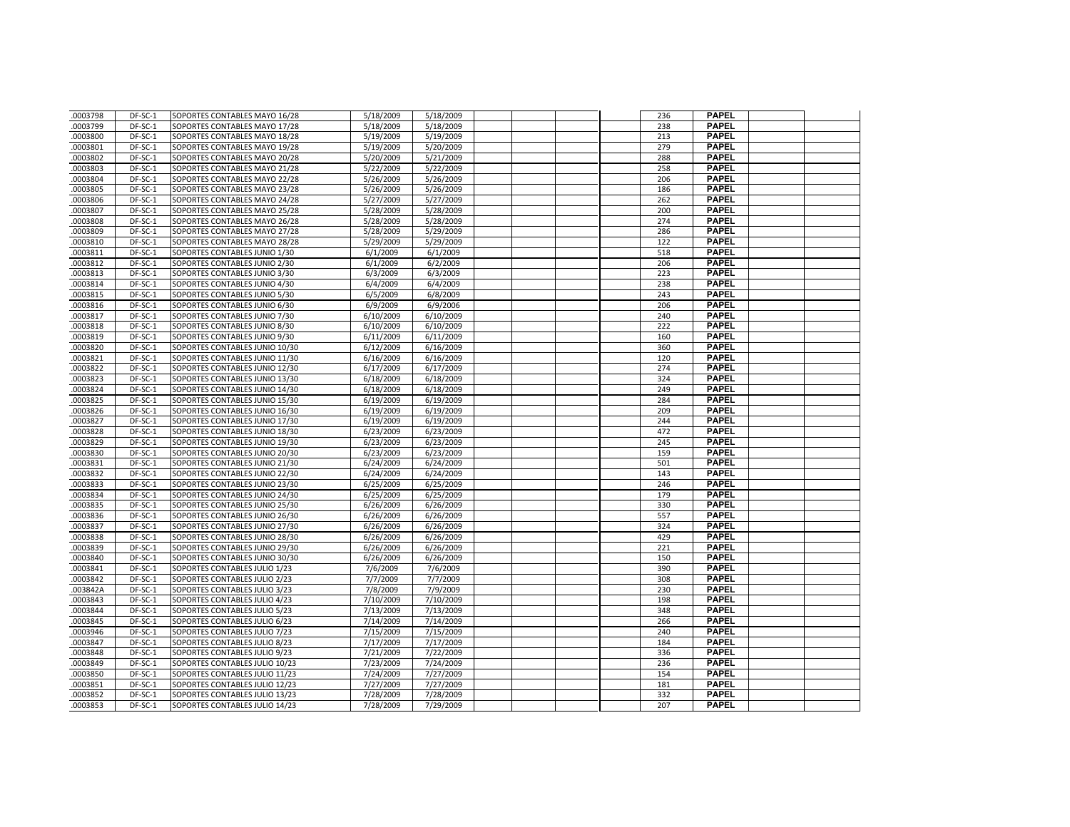| .0003798             | DF-SC-1            | SOPORTES CONTABLES MAYO 16/28                                    | 5/18/2009              | 5/18/2009              |  | 236        | <b>PAPEL</b>                 |  |
|----------------------|--------------------|------------------------------------------------------------------|------------------------|------------------------|--|------------|------------------------------|--|
| .0003799             | DF-SC-1            | SOPORTES CONTABLES MAYO 17/28                                    | 5/18/2009              | 5/18/2009              |  | 238        | <b>PAPEL</b>                 |  |
| .0003800             | DF-SC-1            | SOPORTES CONTABLES MAYO 18/28                                    | 5/19/2009              | 5/19/2009              |  | 213        | <b>PAPEL</b>                 |  |
| .0003801             | DF-SC-1            | SOPORTES CONTABLES MAYO 19/28                                    | 5/19/2009              | 5/20/2009              |  | 279        | <b>PAPEL</b>                 |  |
| .0003802             | DF-SC-1            | SOPORTES CONTABLES MAYO 20/28                                    | 5/20/2009              | 5/21/2009              |  | 288        | <b>PAPEL</b>                 |  |
| .0003803             | DF-SC-1            | SOPORTES CONTABLES MAYO 21/28                                    | 5/22/2009              | 5/22/2009              |  | 258        | <b>PAPEL</b>                 |  |
| .0003804             | DF-SC-1            | SOPORTES CONTABLES MAYO 22/28                                    | 5/26/2009              | 5/26/2009              |  | 206        | <b>PAPEL</b>                 |  |
| .0003805             | DF-SC-1            | SOPORTES CONTABLES MAYO 23/28                                    | 5/26/2009              | 5/26/2009              |  | 186        | <b>PAPEL</b>                 |  |
| .0003806             | DF-SC-1            | SOPORTES CONTABLES MAYO 24/28                                    | 5/27/2009              | 5/27/2009              |  | 262        | <b>PAPEL</b>                 |  |
| .0003807             | DF-SC-1            | SOPORTES CONTABLES MAYO 25/28                                    | 5/28/2009              | 5/28/2009              |  | 200        | <b>PAPEL</b>                 |  |
| 0003808              | DF-SC-1            | SOPORTES CONTABLES MAYO 26/28                                    | 5/28/2009              | 5/28/2009              |  | 274        | <b>PAPEL</b>                 |  |
| 0003809              | DF-SC-1            | SOPORTES CONTABLES MAYO 27/28                                    | 5/28/2009              | 5/29/2009              |  | 286        | <b>PAPEL</b>                 |  |
| .0003810             | DF-SC-1            | SOPORTES CONTABLES MAYO 28/28                                    | 5/29/2009              | 5/29/2009              |  | 122        | <b>PAPEL</b>                 |  |
| .0003811             | DF-SC-1            | SOPORTES CONTABLES JUNIO 1/30                                    | 6/1/2009               | 6/1/2009               |  | 518        | <b>PAPEL</b>                 |  |
| .0003812             | DF-SC-1            | SOPORTES CONTABLES JUNIO 2/30                                    | 6/1/2009               | 6/2/2009               |  | 206        | <b>PAPEL</b>                 |  |
| .0003813             | DF-SC-1            | SOPORTES CONTABLES JUNIO 3/30                                    | 6/3/2009               | 6/3/2009               |  | 223        | <b>PAPEL</b>                 |  |
| .0003814             | DF-SC-1            | SOPORTES CONTABLES JUNIO 4/30                                    | 6/4/2009               | 6/4/2009               |  | 238        | <b>PAPEL</b>                 |  |
| .0003815             | DF-SC-1            | SOPORTES CONTABLES JUNIO 5/30                                    | 6/5/2009               | 6/8/2009               |  | 243        | <b>PAPEL</b>                 |  |
| .0003816             | DF-SC-1            | SOPORTES CONTABLES JUNIO 6/30                                    | 6/9/2009               | 6/9/2006               |  | 206        | <b>PAPEL</b>                 |  |
| .0003817             | DF-SC-1            | SOPORTES CONTABLES JUNIO 7/30                                    | 6/10/2009              | 6/10/2009              |  | 240        | <b>PAPEL</b>                 |  |
| 0003818              | DF-SC-1            | SOPORTES CONTABLES JUNIO 8/30                                    | 6/10/2009              | 6/10/2009              |  | 222        | <b>PAPEL</b>                 |  |
| .0003819             | DF-SC-1            | SOPORTES CONTABLES JUNIO 9/30                                    | 6/11/2009              | 6/11/2009              |  | 160        | <b>PAPEL</b>                 |  |
| .0003820             | DF-SC-1            | SOPORTES CONTABLES JUNIO 10/30                                   | 6/12/2009              | 6/16/2009              |  | 360        | <b>PAPEL</b>                 |  |
| .0003821             | DF-SC-1            | SOPORTES CONTABLES JUNIO 11/30                                   | 6/16/2009              | 6/16/2009              |  | 120        | <b>PAPEL</b>                 |  |
| .0003822             | DF-SC-1            | SOPORTES CONTABLES JUNIO 12/30                                   | 6/17/2009              | 6/17/2009              |  | 274        | <b>PAPEL</b>                 |  |
| .0003823             | DF-SC-1            | SOPORTES CONTABLES JUNIO 13/30                                   | 6/18/2009              | 6/18/2009              |  | 324        | <b>PAPEL</b>                 |  |
| .0003824             | DF-SC-1            | SOPORTES CONTABLES JUNIO 14/30                                   | 6/18/2009              | 6/18/2009              |  | 249        | <b>PAPEL</b>                 |  |
| .0003825             | DF-SC-1            | SOPORTES CONTABLES JUNIO 15/30                                   | 6/19/2009              | 6/19/2009              |  | 284        | <b>PAPEL</b>                 |  |
| .0003826             | DF-SC-1            | SOPORTES CONTABLES JUNIO 16/30                                   | 6/19/2009              | 6/19/2009              |  | 209        | <b>PAPEL</b>                 |  |
| .0003827             | DF-SC-1            | SOPORTES CONTABLES JUNIO 17/30                                   | 6/19/2009              | 6/19/2009              |  | 244        | <b>PAPEL</b>                 |  |
| .0003828             | DF-SC-1            | SOPORTES CONTABLES JUNIO 18/30                                   | 6/23/2009              | 6/23/2009              |  | 472        | <b>PAPEL</b>                 |  |
| .0003829             | DF-SC-1            | SOPORTES CONTABLES JUNIO 19/30                                   | 6/23/2009              | 6/23/2009              |  | 245        | <b>PAPEL</b>                 |  |
| .0003830             | DF-SC-1            | SOPORTES CONTABLES JUNIO 20/30                                   | 6/23/2009              | 6/23/2009              |  | 159        | <b>PAPEL</b>                 |  |
| 0003831              | DF-SC-1            | SOPORTES CONTABLES JUNIO 21/30                                   | 6/24/2009              | 6/24/2009              |  | 501        | <b>PAPEL</b>                 |  |
| .0003832             | DF-SC-1            | SOPORTES CONTABLES JUNIO 22/30                                   | 6/24/2009              | 6/24/2009              |  | 143        | <b>PAPEL</b>                 |  |
| .0003833             | DF-SC-1            | SOPORTES CONTABLES JUNIO 23/30                                   | 6/25/2009              | 6/25/2009              |  | 246        | <b>PAPEL</b>                 |  |
| .0003834             | DF-SC-1            | SOPORTES CONTABLES JUNIO 24/30                                   | 6/25/2009              | 6/25/2009              |  | 179        | <b>PAPEL</b>                 |  |
| .0003835             | DF-SC-1            | SOPORTES CONTABLES JUNIO 25/30                                   | 6/26/2009              | 6/26/2009              |  | 330        | <b>PAPEL</b>                 |  |
| 0003836              | DF-SC-1            | SOPORTES CONTABLES JUNIO 26/30                                   | 6/26/2009              | 6/26/2009              |  | 557        | <b>PAPEL</b><br><b>PAPEL</b> |  |
| .0003837             | DF-SC-1            | SOPORTES CONTABLES JUNIO 27/30                                   | 6/26/2009              | 6/26/2009              |  | 324<br>429 | <b>PAPEL</b>                 |  |
| .0003838<br>.0003839 | DF-SC-1<br>DF-SC-1 | SOPORTES CONTABLES JUNIO 28/30<br>SOPORTES CONTABLES JUNIO 29/30 | 6/26/2009<br>6/26/2009 | 6/26/2009<br>6/26/2009 |  | 221        | <b>PAPEL</b>                 |  |
| .0003840             | DF-SC-1            | SOPORTES CONTABLES JUNIO 30/30                                   | 6/26/2009              | 6/26/2009              |  | 150        | <b>PAPEL</b>                 |  |
| .0003841             | DF-SC-1            | SOPORTES CONTABLES JULIO 1/23                                    | 7/6/2009               |                        |  | 390        | <b>PAPEL</b>                 |  |
| .0003842             | DF-SC-1            | SOPORTES CONTABLES JULIO 2/23                                    | 7/7/2009               | 7/6/2009<br>7/7/2009   |  | 308        | <b>PAPEL</b>                 |  |
| .003842A             | DF-SC-1            | SOPORTES CONTABLES JULIO 3/23                                    | 7/8/2009               | 7/9/2009               |  | 230        | <b>PAPEL</b>                 |  |
| .0003843             | DF-SC-1            | SOPORTES CONTABLES JULIO 4/23                                    | 7/10/2009              | 7/10/2009              |  | 198        | <b>PAPEL</b>                 |  |
| .0003844             | DF-SC-1            | SOPORTES CONTABLES JULIO 5/23                                    | 7/13/2009              | 7/13/2009              |  | 348        | <b>PAPEL</b>                 |  |
| .0003845             | DF-SC-1            | SOPORTES CONTABLES JULIO 6/23                                    | 7/14/2009              | 7/14/2009              |  | 266        | <b>PAPEL</b>                 |  |
| .0003946             | DF-SC-1            | SOPORTES CONTABLES JULIO 7/23                                    | 7/15/2009              | 7/15/2009              |  | 240        | <b>PAPEL</b>                 |  |
| .0003847             | DF-SC-1            | SOPORTES CONTABLES JULIO 8/23                                    | 7/17/2009              | 7/17/2009              |  | 184        | <b>PAPEL</b>                 |  |
| 0003848              | DF-SC-1            | SOPORTES CONTABLES JULIO 9/23                                    | $\frac{1}{7}$ 21/2009  | 7/22/2009              |  | 336        | <b>PAPEL</b>                 |  |
| .0003849             | DF-SC-1            | SOPORTES CONTABLES JULIO 10/23                                   | 7/23/2009              | 7/24/2009              |  | 236        | <b>PAPEL</b>                 |  |
| .0003850             | DF-SC-1            | SOPORTES CONTABLES JULIO 11/23                                   | 7/24/2009              | 7/27/2009              |  | 154        | <b>PAPEL</b>                 |  |
| .0003851             | DF-SC-1            | SOPORTES CONTABLES JULIO 12/23                                   | 7/27/2009              | 7/27/2009              |  | 181        | <b>PAPEL</b>                 |  |
| .0003852             | DF-SC-1            | SOPORTES CONTABLES JULIO 13/23                                   | 7/28/2009              | 7/28/2009              |  | 332        | <b>PAPEL</b>                 |  |
| .0003853             | DF-SC-1            | SOPORTES CONTABLES JULIO 14/23                                   | 7/28/2009              | 7/29/2009              |  | 207        | <b>PAPEL</b>                 |  |
|                      |                    |                                                                  |                        |                        |  |            |                              |  |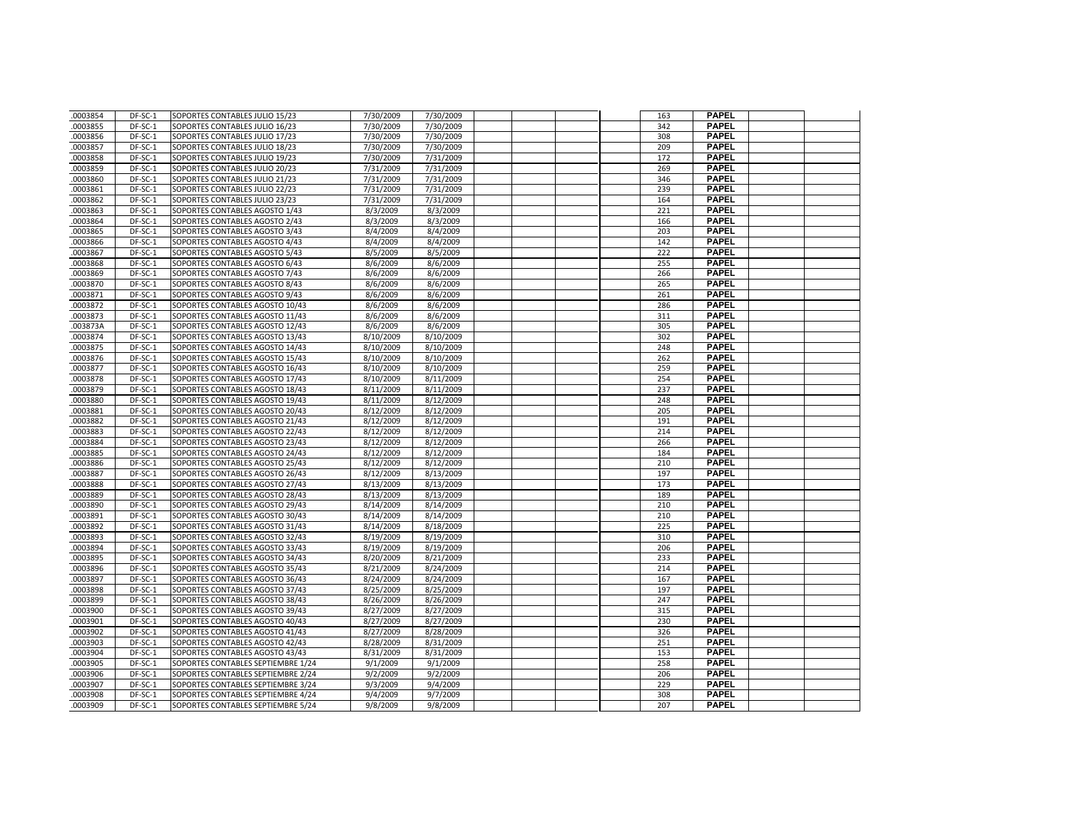| .0003854             | DF-SC-1            | SOPORTES CONTABLES JULIO 15/23                                           | 7/30/2009            | 7/30/2009            |  | 163        | <b>PAPEL</b>                 |  |
|----------------------|--------------------|--------------------------------------------------------------------------|----------------------|----------------------|--|------------|------------------------------|--|
| .0003855             | DF-SC-1            | SOPORTES CONTABLES JULIO 16/23                                           | 7/30/2009            | 7/30/2009            |  | 342        | <b>PAPEL</b>                 |  |
| .0003856             | DF-SC-1            | SOPORTES CONTABLES JULIO 17/23                                           | 7/30/2009            | 7/30/2009            |  | 308        | <b>PAPEL</b>                 |  |
| .0003857             | DF-SC-1            | SOPORTES CONTABLES JULIO 18/23                                           | 7/30/2009            | 7/30/2009            |  | 209        | <b>PAPEL</b>                 |  |
| .0003858             | DF-SC-1            | SOPORTES CONTABLES JULIO 19/23                                           | 7/30/2009            | 7/31/2009            |  | 172        | <b>PAPEL</b>                 |  |
| .0003859             | DF-SC-1            | SOPORTES CONTABLES JULIO 20/23                                           | 7/31/2009            | 7/31/2009            |  | 269        | <b>PAPEL</b>                 |  |
| .0003860             | DF-SC-1            | SOPORTES CONTABLES JULIO 21/23                                           | 7/31/2009            | 7/31/2009            |  | 346        | <b>PAPEL</b>                 |  |
| .0003861             | DF-SC-1            | SOPORTES CONTABLES JULIO 22/23                                           | 7/31/2009            | 7/31/2009            |  | 239        | <b>PAPEL</b>                 |  |
| .0003862             | DF-SC-1            | SOPORTES CONTABLES JULIO 23/23                                           | 7/31/2009            | 7/31/2009            |  | 164        | <b>PAPEL</b>                 |  |
| .0003863             | DF-SC-1            | SOPORTES CONTABLES AGOSTO 1/43                                           | 8/3/2009             | 8/3/2009             |  | 221        | <b>PAPEL</b>                 |  |
| .0003864             | DF-SC-1            | SOPORTES CONTABLES AGOSTO 2/43                                           | 8/3/2009             | 8/3/2009             |  | 166        | <b>PAPEL</b>                 |  |
| .0003865             | DF-SC-1            | SOPORTES CONTABLES AGOSTO 3/43                                           | 8/4/2009             | 8/4/2009             |  | 203        | <b>PAPEL</b>                 |  |
| 0003866              | DF-SC-1            | SOPORTES CONTABLES AGOSTO 4/43                                           | 8/4/2009             | 8/4/2009             |  | 142        | <b>PAPEL</b>                 |  |
| .0003867             | DF-SC-1            | SOPORTES CONTABLES AGOSTO 5/43                                           | 8/5/2009             | 8/5/2009             |  | 222        | <b>PAPEL</b>                 |  |
| .0003868             | DF-SC-1            | SOPORTES CONTABLES AGOSTO 6/43                                           | 8/6/2009             | 8/6/2009             |  | 255        | <b>PAPEL</b>                 |  |
| .0003869             | DF-SC-1            | SOPORTES CONTABLES AGOSTO 7/43                                           | 8/6/2009             | 8/6/2009             |  | 266        | <b>PAPEL</b>                 |  |
| .0003870             | DF-SC-1            | SOPORTES CONTABLES AGOSTO 8/43                                           | 8/6/2009             | 8/6/2009             |  | 265        | <b>PAPEL</b>                 |  |
| .0003871             | DF-SC-1            | SOPORTES CONTABLES AGOSTO 9/43                                           | 8/6/2009             | 8/6/2009             |  | 261        | <b>PAPEL</b>                 |  |
| .0003872             | DF-SC-1            | SOPORTES CONTABLES AGOSTO 10/43                                          | 8/6/2009             | 8/6/2009             |  | 286        | <b>PAPEL</b>                 |  |
| .0003873             | DF-SC-1            | SOPORTES CONTABLES AGOSTO 11/43                                          | 8/6/2009             | 8/6/2009             |  | 311        | <b>PAPEL</b>                 |  |
| 003873A              | DF-SC-1            | SOPORTES CONTABLES AGOSTO 12/43                                          | 8/6/2009             | 8/6/2009             |  | 305        | <b>PAPEL</b>                 |  |
| .0003874             | DF-SC-1            | SOPORTES CONTABLES AGOSTO 13/43                                          | 8/10/2009            | 8/10/2009            |  | 302        | <b>PAPEL</b>                 |  |
| .0003875             | DF-SC-1            | SOPORTES CONTABLES AGOSTO 14/43                                          | 8/10/2009            | 8/10/2009            |  | 248        | <b>PAPEL</b>                 |  |
| 0003876              | DF-SC-1            | SOPORTES CONTABLES AGOSTO 15/43                                          | 8/10/2009            | 8/10/2009            |  | 262        | <b>PAPEL</b>                 |  |
| .0003877             | DF-SC-1            | SOPORTES CONTABLES AGOSTO 16/43                                          | 8/10/2009            | 8/10/2009            |  | 259        | <b>PAPEL</b>                 |  |
| .0003878             | DF-SC-1            | SOPORTES CONTABLES AGOSTO 17/43                                          | 8/10/2009            | 8/11/2009            |  | 254        | <b>PAPEL</b>                 |  |
| .0003879             | DF-SC-1            | SOPORTES CONTABLES AGOSTO 18/43                                          | 8/11/2009            | 8/11/2009            |  | 237        | <b>PAPEL</b>                 |  |
| .0003880             | DF-SC-1            | SOPORTES CONTABLES AGOSTO 19/43                                          | 8/11/2009            | 8/12/2009            |  | 248        | <b>PAPEL</b>                 |  |
| .0003881             | DF-SC-1            | SOPORTES CONTABLES AGOSTO 20/43                                          | 8/12/2009            | 8/12/2009            |  | 205        | <b>PAPEL</b>                 |  |
| .0003882             | DF-SC-1            | SOPORTES CONTABLES AGOSTO 21/43                                          | 8/12/2009            | 8/12/2009            |  | 191        | <b>PAPEL</b>                 |  |
| .0003883             | DF-SC-1            | SOPORTES CONTABLES AGOSTO 22/43                                          | 8/12/2009            | 8/12/2009            |  | 214        | <b>PAPEL</b>                 |  |
| .0003884             | DF-SC-1            | SOPORTES CONTABLES AGOSTO 23/43                                          | 8/12/2009            | 8/12/2009            |  | 266        | <b>PAPEL</b>                 |  |
| .0003885             | DF-SC-1            | SOPORTES CONTABLES AGOSTO 24/43                                          | 8/12/2009            | 8/12/2009            |  | 184        | <b>PAPEL</b>                 |  |
| 0003886              | DF-SC-1            | SOPORTES CONTABLES AGOSTO 25/43                                          | 8/12/2009            | 8/12/2009            |  | 210        | <b>PAPEL</b>                 |  |
| .0003887             | DF-SC-1            | SOPORTES CONTABLES AGOSTO 26/43                                          | 8/12/2009            | 8/13/2009            |  | 197        | <b>PAPEL</b>                 |  |
| .0003888             | DF-SC-1            | SOPORTES CONTABLES AGOSTO 27/43                                          | 8/13/2009            | 8/13/2009            |  | 173        | <b>PAPEL</b>                 |  |
| .0003889             | DF-SC-1            | SOPORTES CONTABLES AGOSTO 28/43                                          | 8/13/2009            | 8/13/2009            |  | 189        | <b>PAPEL</b>                 |  |
| .0003890             | DF-SC-1            | SOPORTES CONTABLES AGOSTO 29/43                                          | 8/14/2009            | 8/14/2009            |  | 210        | <b>PAPEL</b>                 |  |
| .0003891             | DF-SC-1            | SOPORTES CONTABLES AGOSTO 30/43                                          | 8/14/2009            | 8/14/2009            |  | 210        | <b>PAPEL</b>                 |  |
| .0003892             | DF-SC-1            | SOPORTES CONTABLES AGOSTO 31/43                                          | 8/14/2009            | 8/18/2009            |  | 225        | <b>PAPEL</b>                 |  |
| .0003893             | DF-SC-1            | SOPORTES CONTABLES AGOSTO 32/43                                          | 8/19/2009            | 8/19/2009            |  | 310        | <b>PAPEL</b>                 |  |
| 0003894              | DF-SC-1            | SOPORTES CONTABLES AGOSTO 33/43                                          | 8/19/2009            | 8/19/2009            |  | 206        | <b>PAPEL</b>                 |  |
| .0003895             | DF-SC-1            | SOPORTES CONTABLES AGOSTO 34/43                                          | 8/20/2009            | 8/21/2009            |  | 233        | <b>PAPEL</b>                 |  |
| .0003896             | DF-SC-1            | SOPORTES CONTABLES AGOSTO 35/43                                          | 8/21/2009            | 8/24/2009            |  | 214        | <b>PAPEL</b>                 |  |
| .0003897             | DF-SC-1            | SOPORTES CONTABLES AGOSTO 36/43                                          | 8/24/2009            | 8/24/2009            |  | 167        | <b>PAPEL</b>                 |  |
| .0003898             | DF-SC-1            | SOPORTES CONTABLES AGOSTO 37/43                                          | 8/25/2009            | 8/25/2009            |  | 197        | <b>PAPEL</b>                 |  |
| .0003899             | DF-SC-1            | SOPORTES CONTABLES AGOSTO 38/43                                          | 8/26/2009            | 8/26/2009            |  | 247        | <b>PAPEL</b>                 |  |
| .0003900             | DF-SC-1            | SOPORTES CONTABLES AGOSTO 39/43                                          | 8/27/2009            | 8/27/2009            |  | 315        | <b>PAPEL</b>                 |  |
| .0003901             | DF-SC-1            | SOPORTES CONTABLES AGOSTO 40/43                                          | 8/27/2009            | 8/27/2009            |  | 230        | <b>PAPEL</b>                 |  |
| .0003902             | DF-SC-1            | SOPORTES CONTABLES AGOSTO 41/43                                          | 8/27/2009            | 8/28/2009            |  | 326        | <b>PAPEL</b><br><b>PAPEL</b> |  |
| .0003903             | DF-SC-1            | SOPORTES CONTABLES AGOSTO 42/43                                          | 8/28/2009            | 8/31/2009            |  | 251        | <b>PAPEL</b>                 |  |
| 0003904              | DF-SC-1            | SOPORTES CONTABLES AGOSTO 43/43                                          | 8/31/2009            | 8/31/2009            |  | 153        | <b>PAPEL</b>                 |  |
| .0003905             | DF-SC-1            | SOPORTES CONTABLES SEPTIEMBRE 1/24                                       | 9/1/2009             | 9/1/2009<br>9/2/2009 |  | 258        | <b>PAPEL</b>                 |  |
| .0003906<br>.0003907 | DF-SC-1<br>DF-SC-1 | SOPORTES CONTABLES SEPTIEMBRE 2/24<br>SOPORTES CONTABLES SEPTIEMBRE 3/24 | 9/2/2009<br>9/3/2009 | 9/4/2009             |  | 206<br>229 | <b>PAPEL</b>                 |  |
| .0003908             | DF-SC-1            | SOPORTES CONTABLES SEPTIEMBRE 4/24                                       | 9/4/2009             | 9/7/2009             |  | 308        | <b>PAPEL</b>                 |  |
| .0003909             | DF-SC-1            | SOPORTES CONTABLES SEPTIEMBRE 5/24                                       | 9/8/2009             | 9/8/2009             |  | 207        | <b>PAPEL</b>                 |  |
|                      |                    |                                                                          |                      |                      |  |            |                              |  |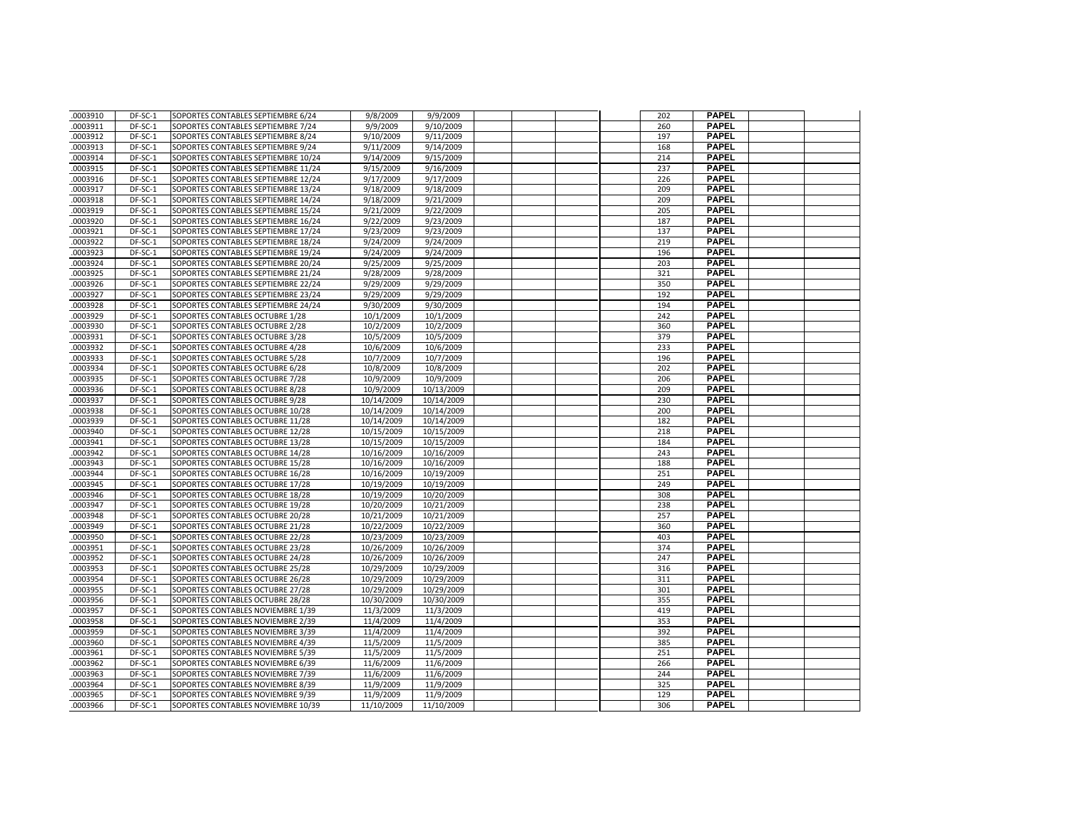| .0003910             | DF-SC-1            | SOPORTES CONTABLES SEPTIEMBRE 6/24                                     | 9/8/2009               | 9/9/2009               |  | 202        | <b>PAPEL</b>                 |  |
|----------------------|--------------------|------------------------------------------------------------------------|------------------------|------------------------|--|------------|------------------------------|--|
| .0003911             | DF-SC-1            | SOPORTES CONTABLES SEPTIEMBRE 7/24                                     | 9/9/2009               | 9/10/2009              |  | 260        | <b>PAPEL</b>                 |  |
| .0003912             | DF-SC-1            | SOPORTES CONTABLES SEPTIEMBRE 8/24                                     | 9/10/2009              | 9/11/2009              |  | 197        | <b>PAPEL</b>                 |  |
| .0003913             | DF-SC-1            | SOPORTES CONTABLES SEPTIEMBRE 9/24                                     | 9/11/2009              | 9/14/2009              |  | 168        | <b>PAPEL</b>                 |  |
| .0003914             | DF-SC-1            | SOPORTES CONTABLES SEPTIEMBRE 10/24                                    | 9/14/2009              | 9/15/2009              |  | 214        | <b>PAPEL</b>                 |  |
| .0003915             | DF-SC-1            | SOPORTES CONTABLES SEPTIEMBRE 11/24                                    | 9/15/2009              | 9/16/2009              |  | 237        | <b>PAPEL</b>                 |  |
| .0003916             | DF-SC-1            | SOPORTES CONTABLES SEPTIEMBRE 12/24                                    | 9/17/2009              | 9/17/2009              |  | 226        | <b>PAPEL</b>                 |  |
| .0003917             | DF-SC-1            | SOPORTES CONTABLES SEPTIEMBRE 13/24                                    | 9/18/2009              | 9/18/2009              |  | 209        | <b>PAPEL</b>                 |  |
| .0003918             | DF-SC-1            | SOPORTES CONTABLES SEPTIEMBRE 14/24                                    | 9/18/2009              | 9/21/2009              |  | 209        | <b>PAPEL</b>                 |  |
| .0003919             | DF-SC-1            | SOPORTES CONTABLES SEPTIEMBRE 15/24                                    | $\frac{9}{21}/2009$    | 9/22/2009              |  | 205        | <b>PAPEL</b>                 |  |
| .0003920             | DF-SC-1            | SOPORTES CONTABLES SEPTIEMBRE 16/24                                    | 9/22/2009              | 9/23/2009              |  | 187        | <b>PAPEL</b>                 |  |
| .0003921             | DF-SC-1            | SOPORTES CONTABLES SEPTIEMBRE 17/24                                    | 9/23/2009              | 9/23/2009              |  | 137        | <b>PAPEL</b>                 |  |
| .0003922             | DF-SC-1            | SOPORTES CONTABLES SEPTIEMBRE 18/24                                    | 9/24/2009              | 9/24/2009              |  | 219        | <b>PAPEL</b>                 |  |
| .0003923             | DF-SC-1            | SOPORTES CONTABLES SEPTIEMBRE 19/24                                    | 9/24/2009              | 9/24/2009              |  | 196        | <b>PAPEL</b>                 |  |
| .0003924             | DF-SC-1            | SOPORTES CONTABLES SEPTIEMBRE 20/24                                    | 9/25/2009              | 9/25/2009              |  | 203        | <b>PAPEL</b>                 |  |
| .0003925             | DF-SC-1            | SOPORTES CONTABLES SEPTIEMBRE 21/24                                    | 9/28/2009              | 9/28/2009              |  | 321        | <b>PAPEL</b>                 |  |
| .0003926             | DF-SC-1            | SOPORTES CONTABLES SEPTIEMBRE 22/24                                    | 9/29/2009              | 9/29/2009              |  | 350        | <b>PAPEL</b>                 |  |
| .0003927             | DF-SC-1            | SOPORTES CONTABLES SEPTIEMBRE 23/24                                    | 9/29/2009              | 9/29/2009              |  | 192        | <b>PAPEL</b>                 |  |
| .0003928             | DF-SC-1            | SOPORTES CONTABLES SEPTIEMBRE 24/24                                    | 9/30/2009              | 9/30/2009              |  | 194        | <b>PAPEL</b>                 |  |
| .0003929             | DF-SC-1            | SOPORTES CONTABLES OCTUBRE 1/28                                        | 10/1/2009              | 10/1/2009              |  | 242        | <b>PAPEL</b>                 |  |
| .0003930             | DF-SC-1            | SOPORTES CONTABLES OCTUBRE 2/28                                        | 10/2/2009              | 10/2/2009              |  | 360        | <b>PAPEL</b>                 |  |
| .0003931             | DF-SC-1            | SOPORTES CONTABLES OCTUBRE 3/28                                        | 10/5/2009              | 10/5/2009              |  | 379        | <b>PAPEL</b>                 |  |
| .0003932             | DF-SC-1            | SOPORTES CONTABLES OCTUBRE 4/28                                        | 10/6/2009              | 10/6/2009              |  | 233        | <b>PAPEL</b>                 |  |
| .0003933             | DF-SC-1            | SOPORTES CONTABLES OCTUBRE 5/28                                        | 10/7/2009              | 10/7/2009              |  | 196        | <b>PAPEL</b>                 |  |
| .0003934             | DF-SC-1            | SOPORTES CONTABLES OCTUBRE 6/28                                        | 10/8/2009              | 10/8/2009              |  | 202        | <b>PAPEL</b>                 |  |
| .0003935             | DF-SC-1            | SOPORTES CONTABLES OCTUBRE 7/28                                        | 10/9/2009              | 10/9/2009              |  | 206        | <b>PAPEL</b>                 |  |
| .0003936             | DF-SC-1            | SOPORTES CONTABLES OCTUBRE 8/28                                        | 10/9/2009              | 10/13/2009             |  | 209        | <b>PAPEL</b>                 |  |
| .0003937             | DF-SC-1            | SOPORTES CONTABLES OCTUBRE 9/28                                        | 10/14/2009             | 10/14/2009             |  | 230        | <b>PAPEL</b>                 |  |
| .0003938             | DF-SC-1            | SOPORTES CONTABLES OCTUBRE 10/28                                       | 10/14/2009             | 10/14/2009             |  | 200        | <b>PAPEL</b>                 |  |
| .0003939             | DF-SC-1            | SOPORTES CONTABLES OCTUBRE 11/28                                       | 10/14/2009             | 10/14/2009             |  | 182        | <b>PAPEL</b>                 |  |
| .0003940             | DF-SC-1            | SOPORTES CONTABLES OCTUBRE 12/28                                       | 10/15/2009             | 10/15/2009             |  | 218        | <b>PAPEL</b>                 |  |
| .0003941             | DF-SC-1            | SOPORTES CONTABLES OCTUBRE 13/28                                       | 10/15/2009             | 10/15/2009             |  | 184        | <b>PAPEL</b>                 |  |
| .0003942             | DF-SC-1            | SOPORTES CONTABLES OCTUBRE 14/28                                       | 10/16/2009             | 10/16/2009             |  | 243        | <b>PAPEL</b>                 |  |
| .0003943             | DF-SC-1            | SOPORTES CONTABLES OCTUBRE 15/28                                       | 10/16/2009             | 10/16/2009             |  | 188        | <b>PAPEL</b>                 |  |
| .0003944             | DF-SC-1            | SOPORTES CONTABLES OCTUBRE 16/28                                       | 10/16/2009             | 10/19/2009             |  | 251        | <b>PAPEL</b>                 |  |
| .0003945             | DF-SC-1            | SOPORTES CONTABLES OCTUBRE 17/28                                       | 10/19/2009             | 10/19/2009             |  | 249        | <b>PAPEL</b>                 |  |
| .0003946             | DF-SC-1            | SOPORTES CONTABLES OCTUBRE 18/28                                       | 10/19/2009             | 10/20/2009             |  | 308        | <b>PAPEL</b>                 |  |
| .0003947             | DF-SC-1            | SOPORTES CONTABLES OCTUBRE 19/28                                       | 10/20/2009             | 10/21/2009             |  | 238        | <b>PAPEL</b>                 |  |
| .0003948             | DF-SC-1            | SOPORTES CONTABLES OCTUBRE 20/28                                       | 10/21/2009             | 10/21/2009             |  | 257        | <b>PAPEL</b>                 |  |
| .0003949             | DF-SC-1            | SOPORTES CONTABLES OCTUBRE 21/28                                       | 10/22/2009             | 10/22/2009             |  | 360        | <b>PAPEL</b>                 |  |
| .0003950             | DF-SC-1            | SOPORTES CONTABLES OCTUBRE 22/28                                       | 10/23/2009             | 10/23/2009             |  | 403        | <b>PAPEL</b>                 |  |
| .0003951             | DF-SC-1            | SOPORTES CONTABLES OCTUBRE 23/28                                       | 10/26/2009             | 10/26/2009             |  | 374        | <b>PAPEL</b>                 |  |
| .0003952             | DF-SC-1            | SOPORTES CONTABLES OCTUBRE 24/28                                       | 10/26/2009             | 10/26/2009             |  | 247        | <b>PAPEL</b>                 |  |
| .0003953             | DF-SC-1            | SOPORTES CONTABLES OCTUBRE 25/28                                       | 10/29/2009             | 10/29/2009             |  | 316        | <b>PAPEL</b>                 |  |
| .0003954             | DF-SC-1            | SOPORTES CONTABLES OCTUBRE 26/28                                       | 10/29/2009             | 10/29/2009             |  | 311        | <b>PAPEL</b>                 |  |
| .0003955             | DF-SC-1            | SOPORTES CONTABLES OCTUBRE 27/28                                       | 10/29/2009             | 10/29/2009             |  | 301        | <b>PAPEL</b>                 |  |
| .0003956             | DF-SC-1            | SOPORTES CONTABLES OCTUBRE 28/28                                       | 10/30/2009             | 10/30/2009             |  | 355        | <b>PAPEL</b>                 |  |
| .0003957             | DF-SC-1            | SOPORTES CONTABLES NOVIEMBRE 1/39                                      | 11/3/2009              | 11/3/2009              |  | 419        | <b>PAPEL</b>                 |  |
| .0003958             | DF-SC-1            | SOPORTES CONTABLES NOVIEMBRE 2/39                                      | 11/4/2009              | 11/4/2009              |  | 353        | <b>PAPEL</b>                 |  |
| .0003959             | DF-SC-1            | SOPORTES CONTABLES NOVIEMBRE 3/39                                      | 11/4/2009              | 11/4/2009              |  | 392        | <b>PAPEL</b>                 |  |
| .0003960             | DF-SC-1            | SOPORTES CONTABLES NOVIEMBRE 4/39                                      | 11/5/2009              | 11/5/2009              |  | 385        | <b>PAPEL</b>                 |  |
| .0003961             | DF-SC-1            | SOPORTES CONTABLES NOVIEMBRE 5/39                                      | 11/5/2009              | 11/5/2009              |  | 251        | <b>PAPEL</b>                 |  |
| .0003962             | DF-SC-1            | SOPORTES CONTABLES NOVIEMBRE 6/39                                      | 11/6/2009              | 11/6/2009              |  | 266        | <b>PAPEL</b><br><b>PAPEL</b> |  |
| .0003963<br>.0003964 | DF-SC-1<br>DF-SC-1 | SOPORTES CONTABLES NOVIEMBRE 7/39<br>SOPORTES CONTABLES NOVIEMBRE 8/39 | 11/6/2009<br>11/9/2009 | 11/6/2009<br>11/9/2009 |  | 244<br>325 | <b>PAPEL</b>                 |  |
| .0003965             | DF-SC-1            |                                                                        |                        | 11/9/2009              |  | 129        | <b>PAPEL</b>                 |  |
|                      | DF-SC-1            | SOPORTES CONTABLES NOVIEMBRE 9/39                                      | 11/9/2009              | 11/10/2009             |  | 306        | <b>PAPEL</b>                 |  |
| .0003966             |                    | SOPORTES CONTABLES NOVIEMBRE 10/39                                     | 11/10/2009             |                        |  |            |                              |  |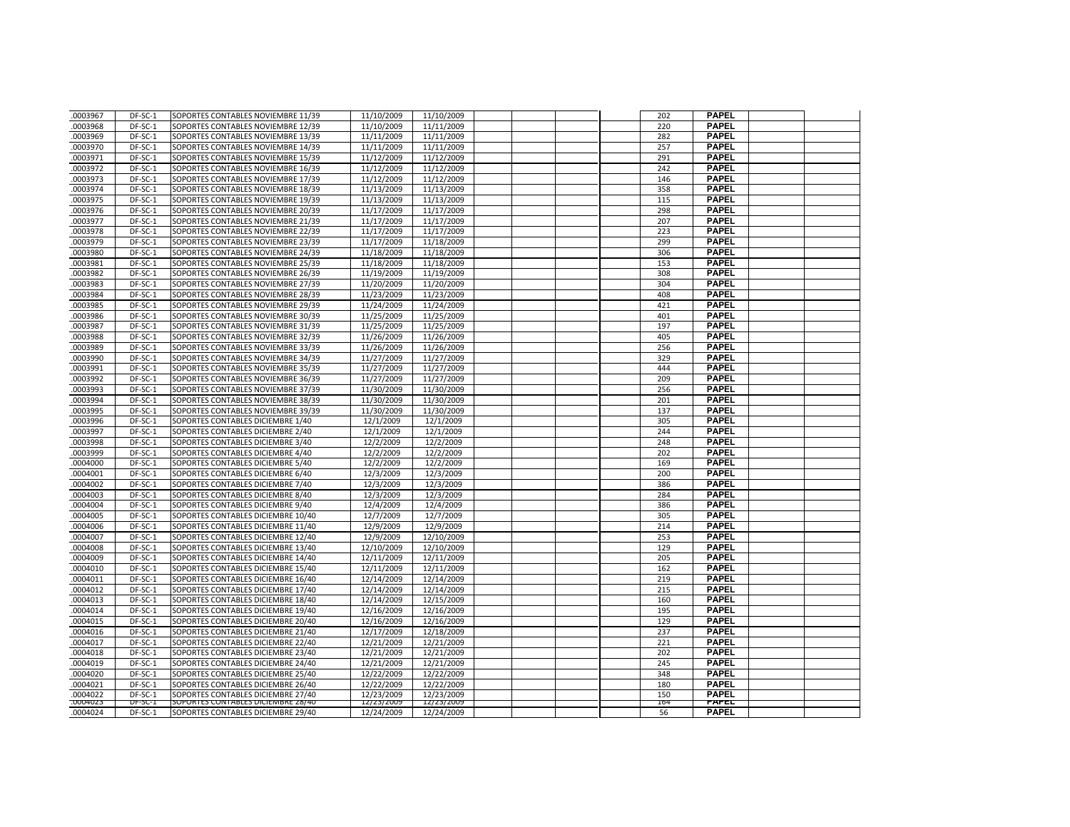| .0003967             | DF-SC-1            | SOPORTES CONTABLES NOVIEMBRE 11/39                                       | 11/10/2009               | 11/10/2009               |  | 202        | <b>PAPEL</b>                 |  |
|----------------------|--------------------|--------------------------------------------------------------------------|--------------------------|--------------------------|--|------------|------------------------------|--|
| .0003968             | DF-SC-1            | SOPORTES CONTABLES NOVIEMBRE 12/39                                       | 11/10/2009               | 11/11/2009               |  | 220        | <b>PAPEL</b>                 |  |
| .0003969             | DF-SC-1            | SOPORTES CONTABLES NOVIEMBRE 13/39                                       | 11/11/2009               | 11/11/2009               |  | 282        | <b>PAPEL</b>                 |  |
| .0003970             | DF-SC-1            | SOPORTES CONTABLES NOVIEMBRE 14/39                                       | 11/11/2009               | 11/11/2009               |  | 257        | <b>PAPEL</b>                 |  |
| .0003971             | DF-SC-1            | SOPORTES CONTABLES NOVIEMBRE 15/39                                       | 11/12/2009               | 11/12/2009               |  | 291        | <b>PAPEL</b>                 |  |
| .0003972             | DF-SC-1            | SOPORTES CONTABLES NOVIEMBRE 16/39                                       | 11/12/2009               | 11/12/2009               |  | 242        | <b>PAPEL</b>                 |  |
| .0003973             | DF-SC-1            | SOPORTES CONTABLES NOVIEMBRE 17/39                                       | 11/12/2009               | 11/12/2009               |  | 146        | <b>PAPEL</b>                 |  |
| .0003974             | DF-SC-1            | SOPORTES CONTABLES NOVIEMBRE 18/39                                       | 11/13/2009               | 11/13/2009               |  | 358        | <b>PAPEL</b>                 |  |
| .0003975             | DF-SC-1            | SOPORTES CONTABLES NOVIEMBRE 19/39                                       | 11/13/2009               | 11/13/2009               |  | 115        | <b>PAPEL</b>                 |  |
| 0003976              | DF-SC-1            | SOPORTES CONTABLES NOVIEMBRE 20/39                                       | 11/17/2009               | 11/17/2009               |  | 298        | <b>PAPEL</b>                 |  |
| .0003977             | DF-SC-1            | SOPORTES CONTABLES NOVIEMBRE 21/39                                       | 11/17/2009               | 11/17/2009               |  | 207        | <b>PAPEL</b>                 |  |
| .0003978             | DF-SC-1            | SOPORTES CONTABLES NOVIEMBRE 22/39                                       | 11/17/2009               | 11/17/2009               |  | 223        | <b>PAPEL</b>                 |  |
| .0003979             | DF-SC-1            | SOPORTES CONTABLES NOVIEMBRE 23/39                                       | 11/17/2009               | 11/18/2009               |  | 299        | <b>PAPEL</b>                 |  |
| .0003980             | DF-SC-1            | SOPORTES CONTABLES NOVIEMBRE 24/39                                       | 11/18/2009               | 11/18/2009               |  | 306        | <b>PAPEL</b>                 |  |
| .0003981             | $DF-SC-1$          | SOPORTES CONTABLES NOVIEMBRE 25/39                                       | 11/18/2009               | 11/18/2009               |  | 153        | <b>PAPEL</b>                 |  |
| .0003982             | DF-SC-1            | SOPORTES CONTABLES NOVIEMBRE 26/39                                       | 11/19/2009               | 11/19/2009               |  | 308        | <b>PAPEL</b>                 |  |
| .0003983             | DF-SC-1            | SOPORTES CONTABLES NOVIEMBRE 27/39                                       | 11/20/2009               | 11/20/2009               |  | 304        | <b>PAPEL</b>                 |  |
| .0003984             | DF-SC-1            | SOPORTES CONTABLES NOVIEMBRE 28/39                                       | 11/23/2009               | 11/23/2009               |  | 408        | <b>PAPEL</b>                 |  |
| .0003985             | DF-SC-1            | SOPORTES CONTABLES NOVIEMBRE 29/39                                       | 11/24/2009               | 11/24/2009               |  | 421        | <b>PAPEL</b>                 |  |
| .0003986             | $DF-SC-1$          | SOPORTES CONTABLES NOVIEMBRE 30/39                                       | 11/25/2009               | 11/25/2009               |  | 401        | <b>PAPEL</b>                 |  |
| .0003987             | DF-SC-1            | SOPORTES CONTABLES NOVIEMBRE 31/39                                       | 11/25/2009               | 11/25/2009               |  | 197        | <b>PAPEL</b>                 |  |
| .0003988             | DF-SC-1            | SOPORTES CONTABLES NOVIEMBRE 32/39                                       | 11/26/2009               | 11/26/2009               |  | 405        | <b>PAPEL</b>                 |  |
| .0003989             | DF-SC-1            | SOPORTES CONTABLES NOVIEMBRE 33/39                                       | 11/26/2009               | 11/26/2009               |  | 256        | <b>PAPEL</b>                 |  |
| .0003990             | DF-SC-1            | SOPORTES CONTABLES NOVIEMBRE 34/39                                       | 11/27/2009               | 11/27/2009               |  | 329        | <b>PAPEL</b>                 |  |
| .0003991             | DF-SC-1            | SOPORTES CONTABLES NOVIEMBRE 35/39                                       | 11/27/2009               | 11/27/2009               |  | 444        | <b>PAPEL</b>                 |  |
| .0003992             | DF-SC-1            | SOPORTES CONTABLES NOVIEMBRE 36/39                                       | 11/27/2009               | 11/27/2009               |  | 209        | <b>PAPEL</b>                 |  |
| 0003993              | DF-SC-1            | SOPORTES CONTABLES NOVIEMBRE 37/39                                       | 11/30/2009               | 11/30/2009               |  | 256        | <b>PAPEL</b>                 |  |
| .0003994             | DF-SC-1            | SOPORTES CONTABLES NOVIEMBRE 38/39                                       | 11/30/2009               | 11/30/2009               |  | 201        | <b>PAPEL</b>                 |  |
| .0003995             | DF-SC-1            | SOPORTES CONTABLES NOVIEMBRE 39/39                                       | 11/30/2009               | 11/30/2009               |  | 137        | <b>PAPEL</b>                 |  |
| .0003996             | DF-SC-1            | SOPORTES CONTABLES DICIEMBRE 1/40                                        | 12/1/2009                | 12/1/2009                |  | 305        | <b>PAPEL</b>                 |  |
| .0003997             | DF-SC-1            | SOPORTES CONTABLES DICIEMBRE 2/40                                        | 12/1/2009                | 12/1/2009                |  | 244        | <b>PAPEL</b>                 |  |
| .0003998             | DF-SC-1            | SOPORTES CONTABLES DICIEMBRE 3/40                                        | 12/2/2009                | 12/2/2009                |  | 248        | <b>PAPEL</b>                 |  |
| .0003999             | DF-SC-1            | SOPORTES CONTABLES DICIEMBRE 4/40                                        | 12/2/2009                | 12/2/2009                |  | 202        | <b>PAPEL</b>                 |  |
| .0004000             | DF-SC-1            | SOPORTES CONTABLES DICIEMBRE 5/40                                        | 12/2/2009                | 12/2/2009                |  | 169        | <b>PAPEL</b>                 |  |
| .0004001             | DF-SC-1            | SOPORTES CONTABLES DICIEMBRE 6/40                                        | 12/3/2009                | 12/3/2009                |  | 200        | <b>PAPEL</b>                 |  |
| .0004002             | DF-SC-1            | SOPORTES CONTABLES DICIEMBRE 7/40                                        | 12/3/2009                | 12/3/2009                |  | 386        | <b>PAPEL</b>                 |  |
| .0004003             | DF-SC-1            | SOPORTES CONTABLES DICIEMBRE 8/40                                        | 12/3/2009                | 12/3/2009                |  | 284        | <b>PAPEL</b>                 |  |
| .0004004             | DF-SC-1            | SOPORTES CONTABLES DICIEMBRE 9/40                                        | 12/4/2009                | 12/4/2009                |  | 386        | <b>PAPEL</b>                 |  |
| .0004005             | DF-SC-1            | SOPORTES CONTABLES DICIEMBRE 10/40                                       | 12/7/2009                | 12/7/2009                |  | 305        | <b>PAPEL</b>                 |  |
| .0004006             | DF-SC-1            | SOPORTES CONTABLES DICIEMBRE 11/40                                       | 12/9/2009                | 12/9/2009                |  | 214        | <b>PAPEL</b>                 |  |
| .0004007             | DF-SC-1            | SOPORTES CONTABLES DICIEMBRE 12/40                                       | 12/9/2009                | 12/10/2009               |  | 253        | <b>PAPEL</b>                 |  |
| .0004008             | DF-SC-1            | SOPORTES CONTABLES DICIEMBRE 13/40                                       | 12/10/2009               | 12/10/2009               |  | 129        | <b>PAPEL</b>                 |  |
| .0004009             | DF-SC-1            | SOPORTES CONTABLES DICIEMBRE 14/40                                       | 12/11/2009               | 12/11/2009               |  | 205        | <b>PAPEL</b>                 |  |
| .0004010             | DF-SC-1            | SOPORTES CONTABLES DICIEMBRE 15/40                                       | 12/11/2009               | 12/11/2009               |  | 162        | <b>PAPEL</b>                 |  |
| .0004011             | DF-SC-1            | SOPORTES CONTABLES DICIEMBRE 16/40                                       | 12/14/2009               | 12/14/2009               |  | 219        | <b>PAPEL</b>                 |  |
| .0004012             | DF-SC-1            | SOPORTES CONTABLES DICIEMBRE 17/40                                       | 12/14/2009               | 12/14/2009               |  | 215        | <b>PAPEL</b>                 |  |
| .0004013             | DF-SC-1            | SOPORTES CONTABLES DICIEMBRE 18/40                                       | 12/14/2009               | 12/15/2009               |  | 160        | <b>PAPEL</b>                 |  |
| .0004014             | DF-SC-1            | SOPORTES CONTABLES DICIEMBRE 19/40                                       | 12/16/2009               | 12/16/2009               |  | 195        | <b>PAPEL</b>                 |  |
| .0004015             | DF-SC-1            | SOPORTES CONTABLES DICIEMBRE 20/40                                       | 12/16/2009               | 12/16/2009               |  | 129        | <b>PAPEL</b>                 |  |
| .0004016             | DF-SC-1            | SOPORTES CONTABLES DICIEMBRE 21/40                                       | 12/17/2009               | 12/18/2009               |  | 237        | <b>PAPEL</b>                 |  |
| .0004017             | DF-SC-1            | SOPORTES CONTABLES DICIEMBRE 22/40                                       | 12/21/2009               | 12/21/2009               |  | 221        | <b>PAPEL</b>                 |  |
| .0004018             | DF-SC-1            | SOPORTES CONTABLES DICIEMBRE 23/40                                       | 12/21/2009               | 12/21/2009               |  | 202        | <b>PAPEL</b>                 |  |
| .0004019             | DF-SC-1            | SOPORTES CONTABLES DICIEMBRE 24/40                                       | 12/21/2009               | 12/21/2009               |  | 245        | <b>PAPEL</b>                 |  |
| .0004020             | DF-SC-1            | SOPORTES CONTABLES DICIEMBRE 25/40                                       | 12/22/2009               | 12/22/2009               |  | 348        | <b>PAPEL</b>                 |  |
| .0004021             | DF-SC-1            | SOPORTES CONTABLES DICIEMBRE 26/40                                       | 12/22/2009               | 12/22/2009               |  | 180        | <b>PAPEL</b>                 |  |
| .0004022<br>.0004023 | DF-SC-1<br>DF-SC-I | SOPORTES CONTABLES DICIEMBRE 27/40<br>SUPURTES CONTABLES DICIEMBRE 28/40 | 12/23/2009<br>12/23/2009 | 12/23/2009<br>12/23/2009 |  | 150<br>164 | <b>PAPEL</b><br><b>PAPEL</b> |  |
| .0004024             | DF-SC-1            | SOPORTES CONTABLES DICIEMBRE 29/40                                       | 12/24/2009               | 12/24/2009               |  | 56         | <b>PAPEL</b>                 |  |
|                      |                    |                                                                          |                          |                          |  |            |                              |  |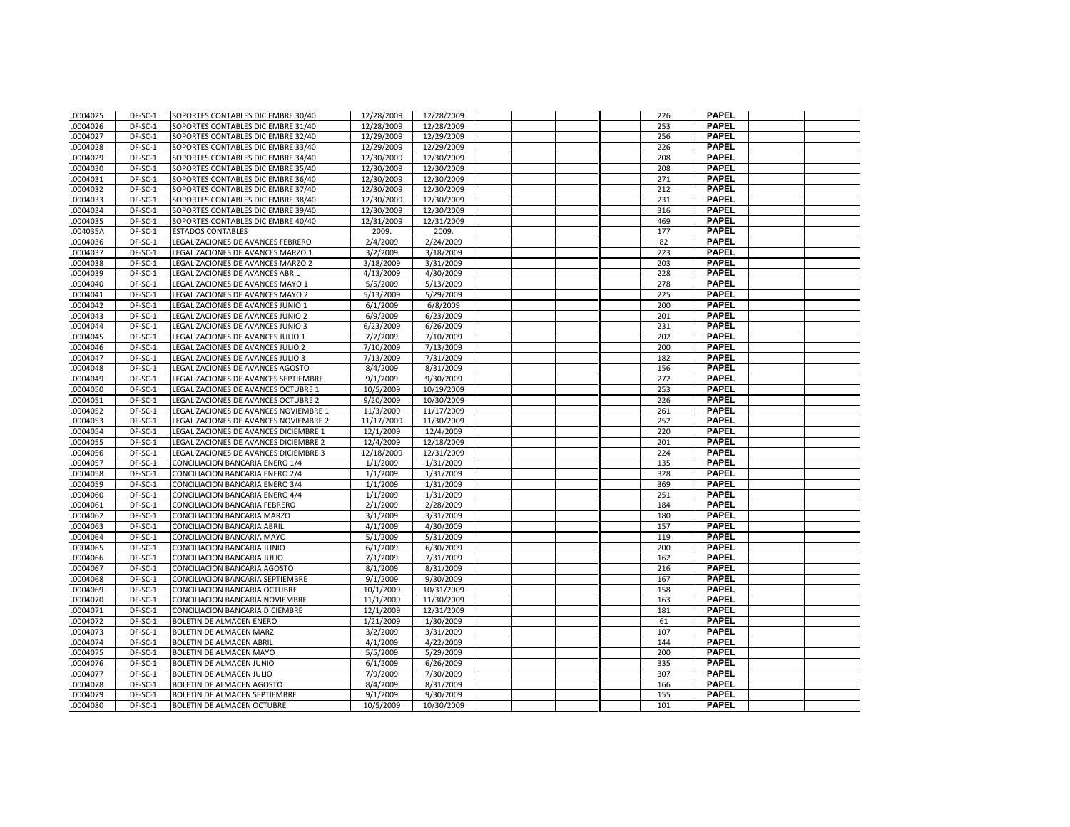| .0004025 | DF-SC-1   | SOPORTES CONTABLES DICIEMBRE 30/40    | 12/28/2009 | 12/28/2009 |  | 226 | <b>PAPEL</b> |  |
|----------|-----------|---------------------------------------|------------|------------|--|-----|--------------|--|
| .0004026 | DF-SC-1   | SOPORTES CONTABLES DICIEMBRE 31/40    | 12/28/2009 | 12/28/2009 |  | 253 | <b>PAPEL</b> |  |
| .0004027 | DF-SC-1   | SOPORTES CONTABLES DICIEMBRE 32/40    | 12/29/2009 | 12/29/2009 |  | 256 | <b>PAPEL</b> |  |
| .0004028 | DF-SC-1   | SOPORTES CONTABLES DICIEMBRE 33/40    | 12/29/2009 | 12/29/2009 |  | 226 | <b>PAPEL</b> |  |
| .0004029 | DF-SC-1   | SOPORTES CONTABLES DICIEMBRE 34/40    | 12/30/2009 | 12/30/2009 |  | 208 | <b>PAPEL</b> |  |
| .0004030 | DF-SC-1   | SOPORTES CONTABLES DICIEMBRE 35/40    | 12/30/2009 | 12/30/2009 |  | 208 | <b>PAPEL</b> |  |
| .0004031 | DF-SC-1   | SOPORTES CONTABLES DICIEMBRE 36/40    | 12/30/2009 | 12/30/2009 |  | 271 | <b>PAPEL</b> |  |
| .0004032 | DF-SC-1   | SOPORTES CONTABLES DICIEMBRE 37/40    | 12/30/2009 | 12/30/2009 |  | 212 | <b>PAPEL</b> |  |
| .0004033 | DF-SC-1   | SOPORTES CONTABLES DICIEMBRE 38/40    | 12/30/2009 | 12/30/2009 |  | 231 | <b>PAPEL</b> |  |
| .0004034 | $DF-SC-1$ | SOPORTES CONTABLES DICIEMBRE 39/40    | 12/30/2009 | 12/30/2009 |  | 316 | <b>PAPEL</b> |  |
| .0004035 | DF-SC-1   | SOPORTES CONTABLES DICIEMBRE 40/40    | 12/31/2009 | 12/31/2009 |  | 469 | <b>PAPEL</b> |  |
| .004035A | DF-SC-1   | <b>ESTADOS CONTABLES</b>              | 2009.      | 2009.      |  | 177 | <b>PAPEL</b> |  |
| .0004036 | DF-SC-1   | LEGALIZACIONES DE AVANCES FEBRERO     | 2/4/2009   | 2/24/2009  |  | 82  | <b>PAPEL</b> |  |
| .0004037 | DF-SC-1   | LEGALIZACIONES DE AVANCES MARZO 1     | 3/2/2009   | 3/18/2009  |  | 223 | <b>PAPEL</b> |  |
| .0004038 | DF-SC-1   | LEGALIZACIONES DE AVANCES MARZO 2     | 3/18/2009  | 3/31/2009  |  | 203 | <b>PAPEL</b> |  |
| .0004039 | DF-SC-1   | LEGALIZACIONES DE AVANCES ABRIL       | 4/13/2009  | 4/30/2009  |  | 228 | <b>PAPEL</b> |  |
| .0004040 | DF-SC-1   | LEGALIZACIONES DE AVANCES MAYO 1      | 5/5/2009   | 5/13/2009  |  | 278 | <b>PAPEL</b> |  |
| .0004041 | DF-SC-1   | LEGALIZACIONES DE AVANCES MAYO 2      | 5/13/2009  | 5/29/2009  |  | 225 | <b>PAPEL</b> |  |
| .0004042 | DF-SC-1   | LEGALIZACIONES DE AVANCES JUNIO 1     | 6/1/2009   | 6/8/2009   |  | 200 | <b>PAPEL</b> |  |
| .0004043 | DF-SC-1   | LEGALIZACIONES DE AVANCES JUNIO 2     | 6/9/2009   | 6/23/2009  |  | 201 | <b>PAPEL</b> |  |
| .0004044 | DF-SC-1   | LEGALIZACIONES DE AVANCES JUNIO 3     | 6/23/2009  | 6/26/2009  |  | 231 | <b>PAPEL</b> |  |
| .0004045 | DF-SC-1   | LEGALIZACIONES DE AVANCES JULIO 1     | 7/7/2009   | 7/10/2009  |  | 202 | <b>PAPEL</b> |  |
| .0004046 | DF-SC-1   | LEGALIZACIONES DE AVANCES JULIO 2     | 7/10/2009  | 7/13/2009  |  | 200 | <b>PAPEL</b> |  |
| .0004047 | DF-SC-1   | LEGALIZACIONES DE AVANCES JULIO 3     | 7/13/2009  | 7/31/2009  |  | 182 | <b>PAPEL</b> |  |
| .0004048 | DF-SC-1   | LEGALIZACIONES DE AVANCES AGOSTO      | 8/4/2009   | 8/31/2009  |  | 156 | <b>PAPEL</b> |  |
| .0004049 | DF-SC-1   | LEGALIZACIONES DE AVANCES SEPTIEMBRE  | 9/1/2009   | 9/30/2009  |  | 272 | <b>PAPEL</b> |  |
| .0004050 | DF-SC-1   | LEGALIZACIONES DE AVANCES OCTUBRE 1   | 10/5/2009  | 10/19/2009 |  | 253 | <b>PAPEL</b> |  |
| .0004051 | DF-SC-1   | LEGALIZACIONES DE AVANCES OCTUBRE 2   | 9/20/2009  | 10/30/2009 |  | 226 | <b>PAPEL</b> |  |
| .0004052 | DF-SC-1   | LEGALIZACIONES DE AVANCES NOVIEMBRE 1 | 11/3/2009  | 11/17/2009 |  | 261 | <b>PAPEL</b> |  |
| .0004053 | DF-SC-1   | LEGALIZACIONES DE AVANCES NOVIEMBRE 2 | 11/17/2009 | 11/30/2009 |  | 252 | <b>PAPEL</b> |  |
| .0004054 | DF-SC-1   | LEGALIZACIONES DE AVANCES DICIEMBRE 1 | 12/1/2009  | 12/4/2009  |  | 220 | <b>PAPEL</b> |  |
| .0004055 | DF-SC-1   | LEGALIZACIONES DE AVANCES DICIEMBRE 2 | 12/4/2009  | 12/18/2009 |  | 201 | <b>PAPEL</b> |  |
| .0004056 | DF-SC-1   | LEGALIZACIONES DE AVANCES DICIEMBRE 3 | 12/18/2009 | 12/31/2009 |  | 224 | <b>PAPEL</b> |  |
| .0004057 | DF-SC-1   | CONCILIACION BANCARIA ENERO 1/4       | 1/1/2009   | 1/31/2009  |  | 135 | <b>PAPEL</b> |  |
| .0004058 | DF-SC-1   | CONCILIACION BANCARIA ENERO 2/4       | 1/1/2009   | 1/31/2009  |  | 328 | <b>PAPEL</b> |  |
| .0004059 | DF-SC-1   | CONCILIACION BANCARIA ENERO 3/4       | 1/1/2009   | 1/31/2009  |  | 369 | <b>PAPEL</b> |  |
| .0004060 | DF-SC-1   | CONCILIACION BANCARIA ENERO 4/4       | 1/1/2009   | 1/31/2009  |  | 251 | <b>PAPEL</b> |  |
| .0004061 | DF-SC-1   | CONCILIACION BANCARIA FEBRERO         | 2/1/2009   | 2/28/2009  |  | 184 | <b>PAPEL</b> |  |
| .0004062 | DF-SC-1   | CONCILIACION BANCARIA MARZO           | 3/1/2009   | 3/31/2009  |  | 180 | <b>PAPEL</b> |  |
| .0004063 | DF-SC-1   | CONCILIACION BANCARIA ABRIL           | 4/1/2009   | 4/30/2009  |  | 157 | <b>PAPEL</b> |  |
| .0004064 | DF-SC-1   | CONCILIACION BANCARIA MAYO            | 5/1/2009   | 5/31/2009  |  | 119 | <b>PAPEL</b> |  |
| .0004065 | DF-SC-1   | CONCILIACION BANCARIA JUNIO           | 6/1/2009   | 6/30/2009  |  | 200 | <b>PAPEL</b> |  |
| .0004066 | DF-SC-1   | CONCILIACION BANCARIA JULIO           | 7/1/2009   | 7/31/2009  |  | 162 | <b>PAPEL</b> |  |
| .0004067 | DF-SC-1   | CONCILIACION BANCARIA AGOSTO          | 8/1/2009   | 8/31/2009  |  | 216 | <b>PAPEL</b> |  |
| .0004068 | DF-SC-1   | CONCILIACION BANCARIA SEPTIEMBRE      | 9/1/2009   | 9/30/2009  |  | 167 | <b>PAPEL</b> |  |
| .0004069 | DF-SC-1   | CONCILIACION BANCARIA OCTUBRE         | 10/1/2009  | 10/31/2009 |  | 158 | <b>PAPEL</b> |  |
| .0004070 | DF-SC-1   | CONCILIACION BANCARIA NOVIEMBRE       | 11/1/2009  | 11/30/2009 |  | 163 | <b>PAPEL</b> |  |
| .0004071 | DF-SC-1   | CONCILIACION BANCARIA DICIEMBRE       | 12/1/2009  | 12/31/2009 |  | 181 | <b>PAPEL</b> |  |
| .0004072 | DF-SC-1   | <b>BOLETIN DE ALMACEN ENERO</b>       | 1/21/2009  | 1/30/2009  |  | 61  | <b>PAPEL</b> |  |
| .0004073 | $DF-SC-1$ | BOLETIN DE ALMACEN MARZ               | 3/2/2009   | 3/31/2009  |  | 107 | <b>PAPEL</b> |  |
| .0004074 | DF-SC-1   | BOLETIN DE ALMACEN ABRIL              | 4/1/2009   | 4/22/2009  |  | 144 | <b>PAPEL</b> |  |
| .0004075 | DF-SC-1   | <b>BOLETIN DE ALMACEN MAYO</b>        | 5/5/2009   | 5/29/2009  |  | 200 | <b>PAPEL</b> |  |
| .0004076 | DF-SC-1   | <b>BOLETIN DE ALMACEN JUNIO</b>       | 6/1/2009   | 6/26/2009  |  | 335 | <b>PAPEL</b> |  |
| .0004077 | DF-SC-1   | BOLETIN DE ALMACEN JULIO              | 7/9/2009   | 7/30/2009  |  | 307 | <b>PAPEL</b> |  |
| 0004078  | DF-SC-1   | BOLETIN DE ALMACEN AGOSTO             | 8/4/2009   | 8/31/2009  |  | 166 | <b>PAPEL</b> |  |
| .0004079 | DF-SC-1   | BOLETIN DE ALMACEN SEPTIEMBRE         | 9/1/2009   | 9/30/2009  |  | 155 | <b>PAPEL</b> |  |
| .0004080 | DF-SC-1   | BOLETIN DE ALMACEN OCTUBRE            | 10/5/2009  | 10/30/2009 |  | 101 | <b>PAPEL</b> |  |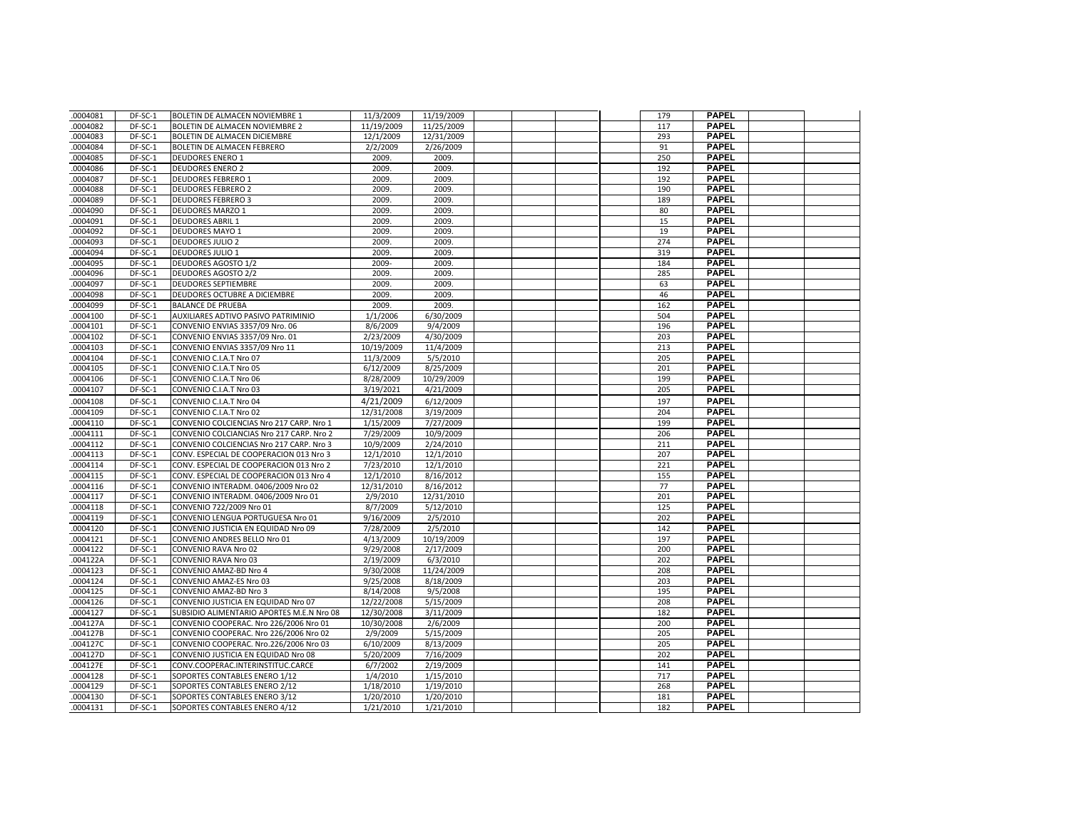| .0004081 | DF-SC-1 | BOLETIN DE ALMACEN NOVIEMBRE 1            | 11/3/2009  | 11/19/2009 |  | 179 | <b>PAPEL</b>                 |  |
|----------|---------|-------------------------------------------|------------|------------|--|-----|------------------------------|--|
| .0004082 | DF-SC-1 | <b>BOLETIN DE ALMACEN NOVIEMBRE 2</b>     | 11/19/2009 | 11/25/2009 |  | 117 | <b>PAPEL</b>                 |  |
| .0004083 | DF-SC-1 | BOLETIN DE ALMACEN DICIEMBRE              | 12/1/2009  | 12/31/2009 |  | 293 | <b>PAPEL</b>                 |  |
| 0004084  | DF-SC-1 | <b>BOLETIN DE ALMACEN FEBRERO</b>         | 2/2/2009   | 2/26/2009  |  | 91  | <b>PAPEL</b>                 |  |
| .0004085 | DF-SC-1 | <b>DEUDORES ENERO 1</b>                   | 2009.      | 2009.      |  | 250 | <b>PAPEL</b>                 |  |
| .0004086 | DF-SC-1 | <b>DEUDORES ENERO 2</b>                   | 2009.      | 2009.      |  | 192 | <b>PAPEL</b>                 |  |
| .0004087 | DF-SC-1 | <b>DEUDORES FEBRERO 1</b>                 | 2009.      | 2009.      |  | 192 | <b>PAPEL</b>                 |  |
| .0004088 | DF-SC-1 | <b>DEUDORES FEBRERO 2</b>                 | 2009.      | 2009.      |  | 190 | <b>PAPEL</b>                 |  |
| .0004089 | DF-SC-1 | <b>DEUDORES FEBRERO 3</b>                 | 2009.      | 2009.      |  | 189 | <b>PAPEL</b>                 |  |
| .0004090 | DF-SC-1 | <b>DEUDORES MARZO 1</b>                   | 2009.      | 2009.      |  | 80  | <b>PAPEL</b>                 |  |
| .0004091 | DF-SC-1 | <b>DEUDORES ABRIL 1</b>                   | 2009.      | 2009.      |  | 15  | <b>PAPEL</b>                 |  |
| .0004092 | DF-SC-1 | <b>DEUDORES MAYO 1</b>                    | 2009.      | 2009.      |  | 19  | <b>PAPEL</b>                 |  |
| .0004093 | DF-SC-1 | <b>DEUDORES JULIO 2</b>                   | 2009.      | 2009.      |  | 274 | <b>PAPEL</b>                 |  |
| .0004094 | DF-SC-1 | <b>DEUDORES JULIO 1</b>                   | 2009.      | 2009.      |  | 319 | <b>PAPEL</b>                 |  |
| .0004095 | DF-SC-1 | <b>DEUDORES AGOSTO 1/2</b>                | 2009-      | 2009.      |  | 184 | <b>PAPEL</b>                 |  |
| .0004096 | DF-SC-1 | <b>DEUDORES AGOSTO 2/2</b>                | 2009.      | 2009.      |  | 285 | <b>PAPEL</b>                 |  |
| .0004097 | DF-SC-1 | <b>DEUDORES SEPTIEMBRE</b>                | 2009.      | 2009.      |  | 63  | <b>PAPEL</b>                 |  |
| .0004098 | DF-SC-1 | DEUDORES OCTUBRE A DICIEMBRE              | 2009.      | 2009.      |  | 46  | <b>PAPEL</b>                 |  |
| .0004099 | DF-SC-1 | <b>BALANCE DE PRUEBA</b>                  | 2009.      | 2009.      |  | 162 | <b>PAPEL</b>                 |  |
| .0004100 | DF-SC-1 | AUXILIARES ADTIVO PASIVO PATRIMINIO       | 1/1/2006   | 6/30/2009  |  | 504 | <b>PAPEL</b>                 |  |
| .0004101 | DF-SC-1 | CONVENIO ENVIAS 3357/09 Nro. 06           | 8/6/2009   | 9/4/2009   |  | 196 | <b>PAPEL</b>                 |  |
| .0004102 | DF-SC-1 | CONVENIO ENVIAS 3357/09 Nro. 01           | 2/23/2009  | 4/30/2009  |  | 203 | <b>PAPEL</b>                 |  |
| .0004103 | DF-SC-1 | CONVENIO ENVIAS 3357/09 Nro 11            | 10/19/2009 | 11/4/2009  |  | 213 | <b>PAPEL</b>                 |  |
| .0004104 | DF-SC-1 | CONVENIO C.I.A.T Nro 07                   | 11/3/2009  | 5/5/2010   |  | 205 | <b>PAPEL</b>                 |  |
| .0004105 | DF-SC-1 | CONVENIO C.I.A.T Nro 05                   | 6/12/2009  | 8/25/2009  |  | 201 | <b>PAPEL</b>                 |  |
| 0004106  | DF-SC-1 | CONVENIO C.I.A.T Nro 06                   | 8/28/2009  | 10/29/2009 |  | 199 | <b>PAPEL</b>                 |  |
| .0004107 | DF-SC-1 | CONVENIO C.I.A.T Nro 03                   | 3/19/2021  | 4/21/2009  |  | 205 | <b>PAPEL</b>                 |  |
| .0004108 | DF-SC-1 | CONVENIO C.I.A.T Nro 04                   | 4/21/2009  | 6/12/2009  |  | 197 | <b>PAPEL</b>                 |  |
| .0004109 | DF-SC-1 | CONVENIO C.I.A.T Nro 02                   | 12/31/2008 | 3/19/2009  |  | 204 | <b>PAPEL</b>                 |  |
| .0004110 | DF-SC-1 | CONVENIO COLCIENCIAS Nro 217 CARP. Nro 1  | 1/15/2009  | 7/27/2009  |  | 199 | <b>PAPEL</b>                 |  |
| .0004111 | DF-SC-1 | CONVENIO COLCIANCIAS Nro 217 CARP. Nro 2  | 7/29/2009  | 10/9/2009  |  | 206 | <b>PAPEL</b>                 |  |
| .0004112 | DF-SC-1 | CONVENIO COLCIENCIAS Nro 217 CARP. Nro 3  | 10/9/2009  | 2/24/2010  |  | 211 | <b>PAPEL</b>                 |  |
| .0004113 | DF-SC-1 | CONV. ESPECIAL DE COOPERACION 013 Nro 3   | 12/1/2010  | 12/1/2010  |  | 207 | <b>PAPEL</b>                 |  |
| .0004114 | DF-SC-1 | CONV. ESPECIAL DE COOPERACION 013 Nro 2   | 7/23/2010  | 12/1/2010  |  | 221 | <b>PAPEL</b>                 |  |
| .0004115 | DF-SC-1 | CONV. ESPECIAL DE COOPERACION 013 Nro 4   | 12/1/2010  | 8/16/2012  |  | 155 | <b>PAPEL</b>                 |  |
| .0004116 | DF-SC-1 | CONVENIO INTERADM. 0406/2009 Nro 02       | 12/31/2010 | 8/16/2012  |  | 77  | <b>PAPEL</b>                 |  |
| .0004117 | DF-SC-1 | CONVENIO INTERADM. 0406/2009 Nro 01       | 2/9/2010   | 12/31/2010 |  | 201 | <b>PAPEL</b>                 |  |
| .0004118 | DF-SC-1 | CONVENIO 722/2009 Nro 01                  | 8/7/2009   | 5/12/2010  |  | 125 | <b>PAPEL</b>                 |  |
| .0004119 | DF-SC-1 | CONVENIO LENGUA PORTUGUESA Nro 01         | 9/16/2009  | 2/5/2010   |  | 202 | <b>PAPEL</b>                 |  |
| .0004120 | DF-SC-1 | CONVENIO JUSTICIA EN EQUIDAD Nro 09       | 7/28/2009  | 2/5/2010   |  | 142 | <b>PAPEL</b>                 |  |
| .0004121 | DF-SC-1 | CONVENIO ANDRES BELLO Nro 01              | 4/13/2009  | 10/19/2009 |  | 197 | <b>PAPEL</b>                 |  |
| .0004122 | DF-SC-1 | CONVENIO RAVA Nro 02                      | 9/29/2008  | 2/17/2009  |  | 200 | <b>PAPEL</b>                 |  |
| .004122A | DF-SC-1 | CONVENIO RAVA Nro 03                      | 2/19/2009  | 6/3/2010   |  | 202 | <b>PAPEL</b>                 |  |
| .0004123 | DF-SC-1 | CONVENIO AMAZ-BD Nro 4                    | 9/30/2008  | 11/24/2009 |  | 208 | <b>PAPEL</b>                 |  |
| .0004124 | DF-SC-1 | CONVENIO AMAZ-ES Nro 03                   | 9/25/2008  | 8/18/2009  |  | 203 | <b>PAPEL</b>                 |  |
| .0004125 | DF-SC-1 | CONVENIO AMAZ-BD Nro 3                    | 8/14/2008  | 9/5/2008   |  | 195 | <b>PAPEL</b>                 |  |
| .0004126 | DF-SC-1 | CONVENIO JUSTICIA EN EQUIDAD Nro 07       | 12/22/2008 | 5/15/2009  |  | 208 | <b>PAPEL</b>                 |  |
| .0004127 | DF-SC-1 | SUBSIDIO ALIMENTARIO APORTES M.E.N Nro 08 | 12/30/2008 | 3/11/2009  |  | 182 | <b>PAPEL</b>                 |  |
| .004127A | DF-SC-1 | CONVENIO COOPERAC. Nro 226/2006 Nro 01    | 10/30/2008 | 2/6/2009   |  | 200 | <b>PAPEL</b>                 |  |
| .004127B | DF-SC-1 | CONVENIO COOPERAC. Nro 226/2006 Nro 02    | 2/9/2009   | 5/15/2009  |  | 205 | <b>PAPEL</b>                 |  |
| .004127C | DF-SC-1 | CONVENIO COOPERAC. Nro.226/2006 Nro 03    | 6/10/2009  | 8/13/2009  |  | 205 | <b>PAPEL</b>                 |  |
| .004127D | DF-SC-1 | CONVENIO JUSTICIA EN EQUIDAD Nro 08       | 5/20/2009  | 7/16/2009  |  | 202 | <b>PAPEL</b>                 |  |
| .004127E | DF-SC-1 | CONV.COOPERAC.INTERINSTITUC.CARCE         | 6/7/2002   | 2/19/2009  |  | 141 | <b>PAPEL</b>                 |  |
| .0004128 | DF-SC-1 | SOPORTES CONTABLES ENERO 1/12             | 1/4/2010   | 1/15/2010  |  | 717 | <b>PAPEL</b><br><b>PAPEL</b> |  |
| 0004129  | DF-SC-1 | SOPORTES CONTABLES ENERO 2/12             | 1/18/2010  | 1/19/2010  |  | 268 | <b>PAPEL</b>                 |  |
| .0004130 | DF-SC-1 | SOPORTES CONTABLES ENERO 3/12             | 1/20/2010  | 1/20/2010  |  | 181 | <b>PAPEL</b>                 |  |
| .0004131 | DF-SC-1 | SOPORTES CONTABLES ENERO 4/12             | 1/21/2010  | 1/21/2010  |  | 182 |                              |  |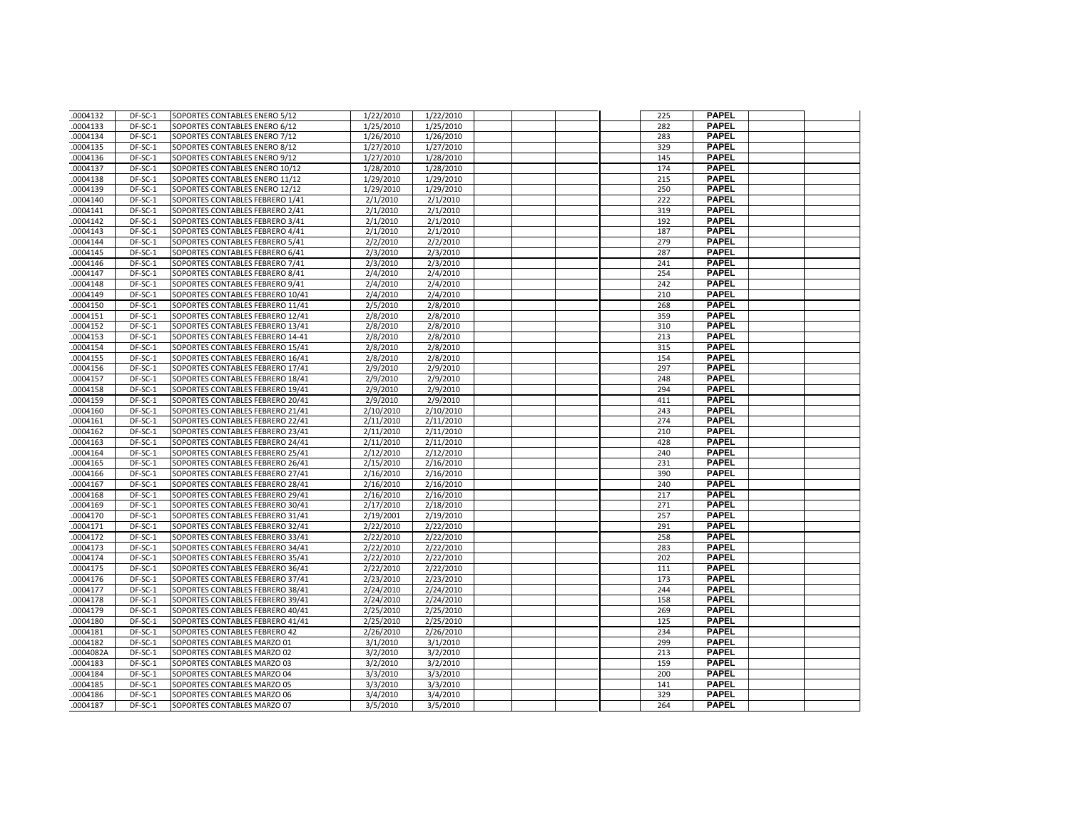| .0004132             | DF-SC-1            | SOPORTES CONTABLES ENERO 5/12    | 1/22/2010 | 1/22/2010 |  | 225        | <b>PAPEL</b>                 |  |
|----------------------|--------------------|----------------------------------|-----------|-----------|--|------------|------------------------------|--|
| .0004133             | DF-SC-1            | SOPORTES CONTABLES ENERO 6/12    | 1/25/2010 | 1/25/2010 |  | 282        | <b>PAPEL</b>                 |  |
| .0004134             | DF-SC-1            | SOPORTES CONTABLES ENERO 7/12    | 1/26/2010 | 1/26/2010 |  | 283        | <b>PAPEL</b>                 |  |
| .0004135             | DF-SC-1            | SOPORTES CONTABLES ENERO 8/12    | 1/27/2010 | 1/27/2010 |  | 329        | <b>PAPEL</b>                 |  |
| .0004136             | DF-SC-1            | SOPORTES CONTABLES ENERO 9/12    | 1/27/2010 | 1/28/2010 |  | 145        | <b>PAPEL</b>                 |  |
| .0004137             | DF-SC-1            | SOPORTES CONTABLES ENERO 10/12   | 1/28/2010 | 1/28/2010 |  | 174        | <b>PAPEL</b>                 |  |
| .0004138             | DF-SC-1            | SOPORTES CONTABLES ENERO 11/12   | 1/29/2010 | 1/29/2010 |  | 215        | <b>PAPEL</b>                 |  |
| .0004139             | DF-SC-1            | SOPORTES CONTABLES ENERO 12/12   | 1/29/2010 | 1/29/2010 |  | 250        | <b>PAPEL</b>                 |  |
| .0004140             | DF-SC-1            | SOPORTES CONTABLES FEBRERO 1/41  | 2/1/2010  | 2/1/2010  |  | 222        | <b>PAPEL</b>                 |  |
| .0004141             | DF-SC-1            | SOPORTES CONTABLES FEBRERO 2/41  | 2/1/2010  | 2/1/2010  |  | 319        | <b>PAPEL</b>                 |  |
| .0004142             | DF-SC-1            | SOPORTES CONTABLES FEBRERO 3/41  | 2/1/2010  | 2/1/2010  |  | 192        | <b>PAPEL</b>                 |  |
| .0004143             | DF-SC-1            | SOPORTES CONTABLES FEBRERO 4/41  | 2/1/2010  | 2/1/2010  |  | 187        | <b>PAPEL</b>                 |  |
| .0004144             | DF-SC-1            | SOPORTES CONTABLES FEBRERO 5/41  | 2/2/2010  | 2/2/2010  |  | 279        | <b>PAPEL</b>                 |  |
| .0004145             | DF-SC-1            | SOPORTES CONTABLES FEBRERO 6/41  | 2/3/2010  | 2/3/2010  |  | 287        | <b>PAPEL</b>                 |  |
| .0004146             | DF-SC-1            | SOPORTES CONTABLES FEBRERO 7/41  | 2/3/2010  | 2/3/2010  |  | 241        | <b>PAPEL</b>                 |  |
| .0004147             | DF-SC-1            | SOPORTES CONTABLES FEBRERO 8/41  | 2/4/2010  | 2/4/2010  |  | 254        | <b>PAPEL</b>                 |  |
| .0004148             | DF-SC-1            | SOPORTES CONTABLES FEBRERO 9/41  | 2/4/2010  | 2/4/2010  |  | 242        | <b>PAPEL</b>                 |  |
| .0004149             | DF-SC-1            | SOPORTES CONTABLES FEBRERO 10/41 | 2/4/2010  | 2/4/2010  |  | 210        | <b>PAPEL</b>                 |  |
| .0004150             | DF-SC-1            | SOPORTES CONTABLES FEBRERO 11/41 | 2/5/2010  | 2/8/2010  |  | 268        | <b>PAPEL</b>                 |  |
| .0004151             | $DF-SC-1$          | SOPORTES CONTABLES FEBRERO 12/41 | 2/8/2010  | 2/8/2010  |  | 359        | <b>PAPEL</b>                 |  |
| .0004152             | DF-SC-1            | SOPORTES CONTABLES FEBRERO 13/41 | 2/8/2010  | 2/8/2010  |  | 310        | <b>PAPEL</b>                 |  |
| .0004153             | DF-SC-1            | SOPORTES CONTABLES FEBRERO 14-41 | 2/8/2010  | 2/8/2010  |  | 213        | <b>PAPEL</b>                 |  |
| .0004154             | DF-SC-1            | SOPORTES CONTABLES FEBRERO 15/41 | 2/8/2010  | 2/8/2010  |  | 315        | <b>PAPEL</b>                 |  |
| .0004155             | DF-SC-1            | SOPORTES CONTABLES FEBRERO 16/41 | 2/8/2010  | 2/8/2010  |  | 154        | <b>PAPEL</b>                 |  |
| .0004156             | DF-SC-1            | SOPORTES CONTABLES FEBRERO 17/41 | 2/9/2010  | 2/9/2010  |  | 297        | <b>PAPEL</b>                 |  |
| .0004157             | DF-SC-1            | SOPORTES CONTABLES FEBRERO 18/41 | 2/9/2010  | 2/9/2010  |  | 248        | <b>PAPEL</b>                 |  |
| .0004158             | DF-SC-1            | SOPORTES CONTABLES FEBRERO 19/41 | 2/9/2010  | 2/9/2010  |  | 294        | <b>PAPEL</b>                 |  |
| .0004159             | DF-SC-1            | SOPORTES CONTABLES FEBRERO 20/41 | 2/9/2010  | 2/9/2010  |  | 411        | <b>PAPEL</b>                 |  |
| .0004160             | DF-SC-1            | SOPORTES CONTABLES FEBRERO 21/41 | 2/10/2010 | 2/10/2010 |  | 243        | <b>PAPEL</b>                 |  |
| .0004161             | DF-SC-1            | SOPORTES CONTABLES FEBRERO 22/41 | 2/11/2010 | 2/11/2010 |  | 274        | <b>PAPEL</b>                 |  |
| .0004162             | DF-SC-1            | SOPORTES CONTABLES FEBRERO 23/41 | 2/11/2010 | 2/11/2010 |  | 210        | <b>PAPEL</b>                 |  |
| .0004163             | DF-SC-1            | SOPORTES CONTABLES FEBRERO 24/41 | 2/11/2010 | 2/11/2010 |  | 428        | <b>PAPEL</b>                 |  |
| .0004164             | DF-SC-1            | SOPORTES CONTABLES FEBRERO 25/41 | 2/12/2010 | 2/12/2010 |  | 240        | <b>PAPEL</b>                 |  |
| 0004165              | DF-SC-1            | SOPORTES CONTABLES FEBRERO 26/41 | 2/15/2010 | 2/16/2010 |  | 231        | <b>PAPEL</b>                 |  |
| .0004166             | DF-SC-1            | SOPORTES CONTABLES FEBRERO 27/41 | 2/16/2010 | 2/16/2010 |  | 390        | <b>PAPEL</b>                 |  |
| .0004167             | DF-SC-1            | SOPORTES CONTABLES FEBRERO 28/41 | 2/16/2010 | 2/16/2010 |  | 240        | <b>PAPEL</b>                 |  |
| .0004168             | DF-SC-1            | SOPORTES CONTABLES FEBRERO 29/41 | 2/16/2010 | 2/16/2010 |  | 217        | <b>PAPEL</b>                 |  |
| .0004169             | DF-SC-1            | SOPORTES CONTABLES FEBRERO 30/41 | 2/17/2010 | 2/18/2010 |  | 271        | <b>PAPEL</b>                 |  |
| .0004170             | DF-SC-1            | SOPORTES CONTABLES FEBRERO 31/41 | 2/19/2001 | 2/19/2010 |  | 257        | <b>PAPEL</b>                 |  |
| .0004171             | DF-SC-1            | SOPORTES CONTABLES FEBRERO 32/41 | 2/22/2010 | 2/22/2010 |  | 291        | <b>PAPEL</b>                 |  |
| .0004172             | DF-SC-1            | SOPORTES CONTABLES FEBRERO 33/41 | 2/22/2010 | 2/22/2010 |  | 258        | <b>PAPEL</b>                 |  |
| .0004173             | DF-SC-1            | SOPORTES CONTABLES FEBRERO 34/41 | 2/22/2010 | 2/22/2010 |  | 283        | <b>PAPEL</b>                 |  |
| 0004174              | DF-SC-1            | SOPORTES CONTABLES FEBRERO 35/41 | 2/22/2010 | 2/22/2010 |  | 202        | <b>PAPEL</b>                 |  |
| .0004175             | DF-SC-1            | SOPORTES CONTABLES FEBRERO 36/41 | 2/22/2010 | 2/22/2010 |  | 111        | <b>PAPEL</b>                 |  |
| .0004176             | DF-SC-1            | SOPORTES CONTABLES FEBRERO 37/41 | 2/23/2010 | 2/23/2010 |  | 173        | <b>PAPEL</b>                 |  |
| .0004177             | DF-SC-1            | SOPORTES CONTABLES FEBRERO 38/41 | 2/24/2010 | 2/24/2010 |  | 244        | <b>PAPEL</b>                 |  |
| 0004178              | DF-SC-1            | SOPORTES CONTABLES FEBRERO 39/41 | 2/24/2010 | 2/24/2010 |  | 158        | <b>PAPEL</b>                 |  |
| .0004179             | DF-SC-1            | SOPORTES CONTABLES FEBRERO 40/41 | 2/25/2010 | 2/25/2010 |  | 269        | <b>PAPEL</b>                 |  |
| .0004180             | DF-SC-1            | SOPORTES CONTABLES FEBRERO 41/41 | 2/25/2010 | 2/25/2010 |  | 125        | <b>PAPEL</b>                 |  |
| .0004181             | DF-SC-1            | SOPORTES CONTABLES FEBRERO 42    | 2/26/2010 | 2/26/2010 |  | 234        | <b>PAPEL</b>                 |  |
| .0004182             | DF-SC-1            | SOPORTES CONTABLES MARZO 01      | 3/1/2010  | 3/1/2010  |  | 299        | <b>PAPEL</b>                 |  |
| .0004082A            | DF-SC-1            | SOPORTES CONTABLES MARZO 02      | 3/2/2010  | 3/2/2010  |  | 213        | <b>PAPEL</b>                 |  |
| .0004183             | DF-SC-1            | SOPORTES CONTABLES MARZO 03      | 3/2/2010  | 3/2/2010  |  | 159        | <b>PAPEL</b>                 |  |
| .0004184             | DF-SC-1            | SOPORTES CONTABLES MARZO 04      | 3/3/2010  | 3/3/2010  |  | 200        | <b>PAPEL</b><br><b>PAPEL</b> |  |
| .0004185             | DF-SC-1            | SOPORTES CONTABLES MARZO 05      | 3/3/2010  | 3/3/2010  |  | 141        | <b>PAPEL</b>                 |  |
| .0004186<br>.0004187 | DF-SC-1<br>DF-SC-1 | SOPORTES CONTABLES MARZO 06      | 3/4/2010  | 3/4/2010  |  | 329<br>264 | <b>PAPEL</b>                 |  |
|                      |                    | SOPORTES CONTABLES MARZO 07      | 3/5/2010  | 3/5/2010  |  |            |                              |  |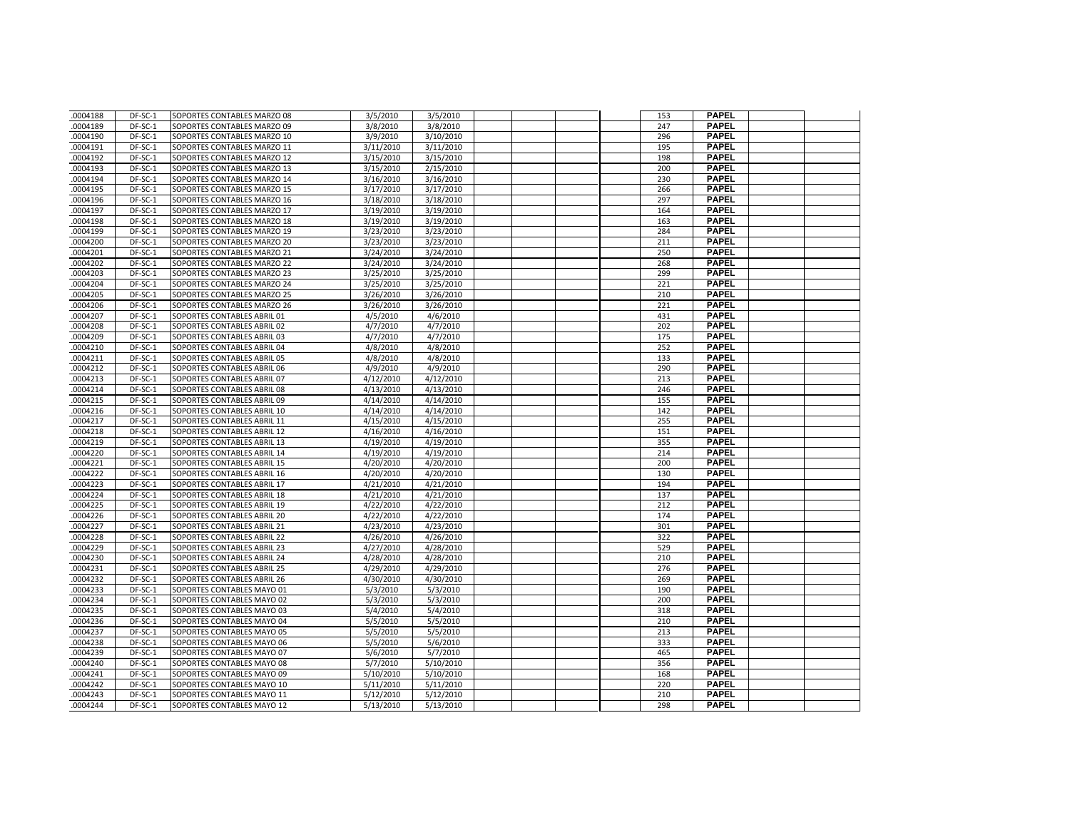| .0004188 | DF-SC-1 | SOPORTES CONTABLES MARZO 08 | 3/5/2010  | 3/5/2010  |  | 153 | <b>PAPEL</b>                 |  |
|----------|---------|-----------------------------|-----------|-----------|--|-----|------------------------------|--|
| 0004189  | DF-SC-1 | SOPORTES CONTABLES MARZO 09 | 3/8/2010  | 3/8/2010  |  | 247 | <b>PAPEL</b>                 |  |
| .0004190 | DF-SC-1 | SOPORTES CONTABLES MARZO 10 | 3/9/2010  | 3/10/2010 |  | 296 | <b>PAPEL</b>                 |  |
| .0004191 | DF-SC-1 | SOPORTES CONTABLES MARZO 11 | 3/11/2010 | 3/11/2010 |  | 195 | <b>PAPEL</b>                 |  |
| .0004192 | DF-SC-1 | SOPORTES CONTABLES MARZO 12 | 3/15/2010 | 3/15/2010 |  | 198 | <b>PAPEL</b>                 |  |
| .0004193 | DF-SC-1 | SOPORTES CONTABLES MARZO 13 | 3/15/2010 | 2/15/2010 |  | 200 | <b>PAPEL</b>                 |  |
| .0004194 | DF-SC-1 | SOPORTES CONTABLES MARZO 14 | 3/16/2010 | 3/16/2010 |  | 230 | <b>PAPEL</b>                 |  |
| .0004195 | DF-SC-1 | SOPORTES CONTABLES MARZO 15 | 3/17/2010 | 3/17/2010 |  | 266 | <b>PAPEL</b>                 |  |
| .0004196 | DF-SC-1 | SOPORTES CONTABLES MARZO 16 | 3/18/2010 | 3/18/2010 |  | 297 | <b>PAPEL</b>                 |  |
| .0004197 | DF-SC-1 | SOPORTES CONTABLES MARZO 17 | 3/19/2010 | 3/19/2010 |  | 164 | <b>PAPEL</b>                 |  |
| 0004198  | DF-SC-1 | SOPORTES CONTABLES MARZO 18 | 3/19/2010 | 3/19/2010 |  | 163 | <b>PAPEL</b>                 |  |
| .0004199 | DF-SC-1 | SOPORTES CONTABLES MARZO 19 | 3/23/2010 | 3/23/2010 |  | 284 | <b>PAPEL</b>                 |  |
| .0004200 | DF-SC-1 | SOPORTES CONTABLES MARZO 20 | 3/23/2010 | 3/23/2010 |  | 211 | <b>PAPEL</b>                 |  |
| .0004201 | DF-SC-1 | SOPORTES CONTABLES MARZO 21 | 3/24/2010 | 3/24/2010 |  | 250 | <b>PAPEL</b>                 |  |
| .0004202 | DF-SC-1 | SOPORTES CONTABLES MARZO 22 | 3/24/2010 | 3/24/2010 |  | 268 | <b>PAPEL</b>                 |  |
| 0004203  | DF-SC-1 | SOPORTES CONTABLES MARZO 23 | 3/25/2010 | 3/25/2010 |  | 299 | <b>PAPEL</b>                 |  |
| .0004204 | DF-SC-1 | SOPORTES CONTABLES MARZO 24 | 3/25/2010 | 3/25/2010 |  | 221 | <b>PAPEL</b>                 |  |
| .0004205 | DF-SC-1 | SOPORTES CONTABLES MARZO 25 | 3/26/2010 | 3/26/2010 |  | 210 | <b>PAPEL</b>                 |  |
| .0004206 | DF-SC-1 | SOPORTES CONTABLES MARZO 26 | 3/26/2010 | 3/26/2010 |  | 221 | <b>PAPEL</b>                 |  |
| .0004207 | DF-SC-1 | SOPORTES CONTABLES ABRIL 01 | 4/5/2010  | 4/6/2010  |  | 431 | <b>PAPEL</b>                 |  |
| 0004208  | DF-SC-1 | SOPORTES CONTABLES ABRIL 02 | 4/7/2010  | 4/7/2010  |  | 202 | <b>PAPEL</b>                 |  |
| .0004209 | DF-SC-1 | SOPORTES CONTABLES ABRIL 03 | 4/7/2010  | 4/7/2010  |  | 175 | <b>PAPEL</b>                 |  |
| .0004210 | DF-SC-1 | SOPORTES CONTABLES ABRIL 04 | 4/8/2010  | 4/8/2010  |  | 252 | <b>PAPEL</b>                 |  |
| 0004211  | DF-SC-1 | SOPORTES CONTABLES ABRIL 05 | 4/8/2010  | 4/8/2010  |  | 133 | <b>PAPEL</b>                 |  |
| .0004212 | DF-SC-1 | SOPORTES CONTABLES ABRIL 06 | 4/9/2010  | 4/9/2010  |  | 290 | <b>PAPEL</b>                 |  |
| .0004213 | DF-SC-1 | SOPORTES CONTABLES ABRIL 07 | 4/12/2010 | 4/12/2010 |  | 213 | <b>PAPEL</b>                 |  |
| .0004214 | DF-SC-1 | SOPORTES CONTABLES ABRIL 08 | 4/13/2010 | 4/13/2010 |  | 246 | <b>PAPEL</b>                 |  |
| .0004215 | DF-SC-1 | SOPORTES CONTABLES ABRIL 09 | 4/14/2010 | 4/14/2010 |  | 155 | <b>PAPEL</b>                 |  |
| 0004216  | DF-SC-1 | SOPORTES CONTABLES ABRIL 10 | 4/14/2010 | 4/14/2010 |  | 142 | <b>PAPEL</b>                 |  |
| .0004217 | DF-SC-1 | SOPORTES CONTABLES ABRIL 11 | 4/15/2010 | 4/15/2010 |  | 255 | <b>PAPEL</b>                 |  |
| .0004218 | DF-SC-1 | SOPORTES CONTABLES ABRIL 12 | 4/16/2010 | 4/16/2010 |  | 151 | <b>PAPEL</b>                 |  |
| .0004219 | DF-SC-1 | SOPORTES CONTABLES ABRIL 13 | 4/19/2010 | 4/19/2010 |  | 355 | <b>PAPEL</b>                 |  |
| .0004220 | DF-SC-1 | SOPORTES CONTABLES ABRIL 14 | 4/19/2010 | 4/19/2010 |  | 214 | <b>PAPEL</b>                 |  |
| .0004221 | DF-SC-1 | SOPORTES CONTABLES ABRIL 15 | 4/20/2010 | 4/20/2010 |  | 200 | <b>PAPEL</b>                 |  |
| .0004222 | DF-SC-1 | SOPORTES CONTABLES ABRIL 16 | 4/20/2010 | 4/20/2010 |  | 130 | <b>PAPEL</b>                 |  |
| .0004223 | DF-SC-1 | SOPORTES CONTABLES ABRIL 17 | 4/21/2010 | 4/21/2010 |  | 194 | <b>PAPEL</b>                 |  |
| .0004224 | DF-SC-1 | SOPORTES CONTABLES ABRIL 18 | 4/21/2010 | 4/21/2010 |  | 137 | <b>PAPEL</b>                 |  |
| .0004225 | DF-SC-1 | SOPORTES CONTABLES ABRIL 19 | 4/22/2010 | 4/22/2010 |  | 212 | <b>PAPEL</b>                 |  |
| 0004226  | DF-SC-1 | SOPORTES CONTABLES ABRIL 20 | 4/22/2010 | 4/22/2010 |  | 174 | <b>PAPEL</b>                 |  |
| .0004227 | DF-SC-1 | SOPORTES CONTABLES ABRIL 21 | 4/23/2010 | 4/23/2010 |  | 301 | <b>PAPEL</b>                 |  |
| .0004228 | DF-SC-1 | SOPORTES CONTABLES ABRIL 22 | 4/26/2010 | 4/26/2010 |  | 322 | <b>PAPEL</b>                 |  |
| .0004229 | DF-SC-1 | SOPORTES CONTABLES ABRIL 23 | 4/27/2010 | 4/28/2010 |  | 529 | <b>PAPEL</b>                 |  |
| .0004230 | DF-SC-1 | SOPORTES CONTABLES ABRIL 24 | 4/28/2010 | 4/28/2010 |  | 210 | <b>PAPEL</b>                 |  |
| .0004231 | DF-SC-1 | SOPORTES CONTABLES ABRIL 25 | 4/29/2010 | 4/29/2010 |  | 276 | <b>PAPEL</b>                 |  |
| .0004232 | DF-SC-1 | SOPORTES CONTABLES ABRIL 26 | 4/30/2010 | 4/30/2010 |  | 269 | <b>PAPEL</b>                 |  |
| .0004233 | DF-SC-1 | SOPORTES CONTABLES MAYO 01  | 5/3/2010  | 5/3/2010  |  | 190 | <b>PAPEL</b>                 |  |
| 0004234  | DF-SC-1 | SOPORTES CONTABLES MAYO 02  | 5/3/2010  | 5/3/2010  |  | 200 | <b>PAPEL</b>                 |  |
| .0004235 | DF-SC-1 | SOPORTES CONTABLES MAYO 03  | 5/4/2010  | 5/4/2010  |  | 318 | <b>PAPEL</b>                 |  |
| .0004236 | DF-SC-1 | SOPORTES CONTABLES MAYO 04  | 5/5/2010  | 5/5/2010  |  | 210 | <b>PAPEL</b>                 |  |
| .0004237 | DF-SC-1 | SOPORTES CONTABLES MAYO 05  | 5/5/2010  | 5/5/2010  |  | 213 | <b>PAPEL</b>                 |  |
| .0004238 | DF-SC-1 | SOPORTES CONTABLES MAYO 06  | 5/5/2010  | 5/6/2010  |  | 333 | <b>PAPEL</b>                 |  |
| 0004239  | DF-SC-1 | SOPORTES CONTABLES MAYO 07  | 5/6/2010  | 5/7/2010  |  | 465 | <b>PAPEL</b>                 |  |
| .0004240 | DF-SC-1 | SOPORTES CONTABLES MAYO 08  | 5/7/2010  | 5/10/2010 |  | 356 | <b>PAPEL</b>                 |  |
| .0004241 | DF-SC-1 | SOPORTES CONTABLES MAYO 09  | 5/10/2010 | 5/10/2010 |  | 168 | <b>PAPEL</b>                 |  |
| .0004242 | DF-SC-1 | SOPORTES CONTABLES MAYO 10  | 5/11/2010 | 5/11/2010 |  | 220 | <b>PAPEL</b><br><b>PAPEL</b> |  |
| 0004243  | DF-SC-1 | SOPORTES CONTABLES MAYO 11  | 5/12/2010 | 5/12/2010 |  | 210 | <b>PAPEL</b>                 |  |
| .0004244 | DF-SC-1 | SOPORTES CONTABLES MAYO 12  | 5/13/2010 | 5/13/2010 |  | 298 |                              |  |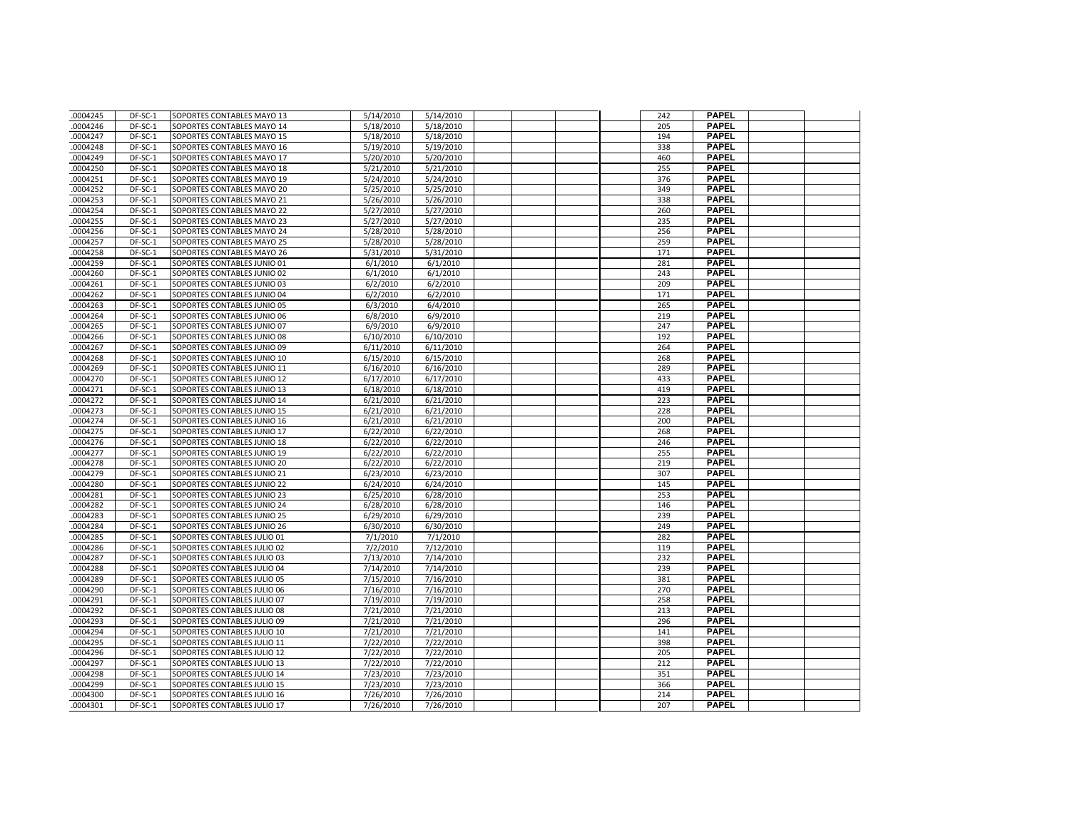| .0004245             | DF-SC-1            | SOPORTES CONTABLES MAYO 13                                 | 5/14/2010              | 5/14/2010              |  | 242        | <b>PAPEL</b>                 |  |
|----------------------|--------------------|------------------------------------------------------------|------------------------|------------------------|--|------------|------------------------------|--|
| .0004246             | DF-SC-1            | SOPORTES CONTABLES MAYO 14                                 | 5/18/2010              | 5/18/2010              |  | 205        | <b>PAPEL</b>                 |  |
| 0004247              | DF-SC-1            | SOPORTES CONTABLES MAYO 15                                 | 5/18/2010              | 5/18/2010              |  | 194        | <b>PAPEL</b>                 |  |
| .0004248             | DF-SC-1            | SOPORTES CONTABLES MAYO 16                                 | 5/19/2010              | 5/19/2010              |  | 338        | <b>PAPEL</b>                 |  |
| .0004249             | DF-SC-1            | SOPORTES CONTABLES MAYO 17                                 | 5/20/2010              | 5/20/2010              |  | 460        | <b>PAPEL</b>                 |  |
| .0004250             | DF-SC-1            | SOPORTES CONTABLES MAYO 18                                 | 5/21/2010              | 5/21/2010              |  | 255        | <b>PAPEL</b>                 |  |
| .0004251             | DF-SC-1            | SOPORTES CONTABLES MAYO 19                                 | 5/24/2010              | 5/24/2010              |  | 376        | <b>PAPEL</b>                 |  |
| .0004252             | DF-SC-1            | SOPORTES CONTABLES MAYO 20                                 | 5/25/2010              | 5/25/2010              |  | 349        | <b>PAPEL</b>                 |  |
| .0004253             | DF-SC-1            | SOPORTES CONTABLES MAYO 21                                 | 5/26/2010              | 5/26/2010              |  | 338        | <b>PAPEL</b>                 |  |
| .0004254             | DF-SC-1            | SOPORTES CONTABLES MAYO 22                                 | 5/27/2010              | 5/27/2010              |  | 260        | <b>PAPEL</b>                 |  |
| .0004255             | DF-SC-1            | SOPORTES CONTABLES MAYO 23                                 | 5/27/2010              | 5/27/2010              |  | 235        | <b>PAPEL</b>                 |  |
| .0004256             | DF-SC-1            | SOPORTES CONTABLES MAYO 24                                 | 5/28/2010              | 5/28/2010              |  | 256        | <b>PAPEL</b>                 |  |
| .0004257             | DF-SC-1            | SOPORTES CONTABLES MAYO 25                                 | 5/28/2010              | 5/28/2010              |  | 259        | <b>PAPEL</b>                 |  |
| .0004258             | DF-SC-1            | SOPORTES CONTABLES MAYO 26                                 | 5/31/2010              | 5/31/2010              |  | 171        | <b>PAPEL</b>                 |  |
| .0004259             | DF-SC-1            | SOPORTES CONTABLES JUNIO 01                                | 6/1/2010               | 6/1/2010               |  | 281        | <b>PAPEL</b>                 |  |
| .0004260             | DF-SC-1            | SOPORTES CONTABLES JUNIO 02                                | 6/1/2010               | 6/1/2010               |  | 243        | <b>PAPEL</b>                 |  |
| .0004261             | DF-SC-1            | SOPORTES CONTABLES JUNIO 03                                | 6/2/2010               | 6/2/2010               |  | 209        | <b>PAPEL</b>                 |  |
| .0004262             | DF-SC-1            | SOPORTES CONTABLES JUNIO 04                                | 6/2/2010               | 6/2/2010               |  | 171        | <b>PAPEL</b>                 |  |
| .0004263             | DF-SC-1            | SOPORTES CONTABLES JUNIO 05                                | 6/3/2010               | 6/4/2010               |  | 265        | <b>PAPEL</b>                 |  |
| .0004264             | DF-SC-1            | SOPORTES CONTABLES JUNIO 06                                | 6/8/2010               | 6/9/2010               |  | 219        | <b>PAPEL</b>                 |  |
| 0004265              | DF-SC-1            | SOPORTES CONTABLES JUNIO 07                                | 6/9/2010               | 6/9/2010               |  | 247        | <b>PAPEL</b>                 |  |
| .0004266             | DF-SC-1            | SOPORTES CONTABLES JUNIO 08                                | 6/10/2010              | 6/10/2010              |  | 192        | <b>PAPEL</b>                 |  |
| .0004267             | DF-SC-1            | SOPORTES CONTABLES JUNIO 09                                | 6/11/2010              | 6/11/2010              |  | 264        | <b>PAPEL</b>                 |  |
| .0004268             | DF-SC-1            | SOPORTES CONTABLES JUNIO 10                                | 6/15/2010              | 6/15/2010              |  | 268        | <b>PAPEL</b>                 |  |
| .0004269             | DF-SC-1            | SOPORTES CONTABLES JUNIO 11                                | 6/16/2010              | 6/16/2010              |  | 289        | <b>PAPEL</b>                 |  |
| 0004270              | DF-SC-1            | SOPORTES CONTABLES JUNIO 12                                | 6/17/2010              | 6/17/2010              |  | 433        | <b>PAPEL</b>                 |  |
| .0004271             | DF-SC-1            | SOPORTES CONTABLES JUNIO 13                                | 6/18/2010              | 6/18/2010              |  | 419        | <b>PAPEL</b>                 |  |
| .0004272             | DF-SC-1            | SOPORTES CONTABLES JUNIO 14                                | 6/21/2010              | 6/21/2010              |  | 223        | <b>PAPEL</b>                 |  |
| 0004273              | DF-SC-1            | SOPORTES CONTABLES JUNIO 15                                | 6/21/2010              | 6/21/2010              |  | 228        | <b>PAPEL</b>                 |  |
| .0004274             | DF-SC-1            | SOPORTES CONTABLES JUNIO 16                                | 6/21/2010              | 6/21/2010              |  | 200        | <b>PAPEL</b>                 |  |
| .0004275             | DF-SC-1            | SOPORTES CONTABLES JUNIO 17                                | 6/22/2010              | 6/22/2010              |  | 268        | <b>PAPEL</b>                 |  |
| .0004276             | DF-SC-1            | SOPORTES CONTABLES JUNIO 18                                | 6/22/2010              | 6/22/2010              |  | 246        | <b>PAPEL</b>                 |  |
| .0004277             | DF-SC-1            | SOPORTES CONTABLES JUNIO 19                                | 6/22/2010              | 6/22/2010              |  | 255        | <b>PAPEL</b>                 |  |
| 0004278              | DF-SC-1            | SOPORTES CONTABLES JUNIO 20                                | 6/22/2010              | 6/22/2010              |  | 219        | <b>PAPEL</b>                 |  |
| .0004279             | DF-SC-1            | SOPORTES CONTABLES JUNIO 21                                | 6/23/2010              | 6/23/2010              |  | 307        | <b>PAPEL</b>                 |  |
| .0004280             | DF-SC-1            | SOPORTES CONTABLES JUNIO 22                                | 6/24/2010              | 6/24/2010              |  | 145        | <b>PAPEL</b>                 |  |
| .0004281             | DF-SC-1            | SOPORTES CONTABLES JUNIO 23                                | 6/25/2010              | 6/28/2010              |  | 253        | <b>PAPEL</b>                 |  |
| .0004282             | DF-SC-1            | SOPORTES CONTABLES JUNIO 24                                | 6/28/2010              | 6/28/2010              |  | 146        | <b>PAPEL</b>                 |  |
| 0004283              | DF-SC-1            | SOPORTES CONTABLES JUNIO 25                                | 6/29/2010              | 6/29/2010              |  | 239        | <b>PAPEL</b>                 |  |
| .0004284             | DF-SC-1            | SOPORTES CONTABLES JUNIO 26                                | 6/30/2010              | 6/30/2010              |  | 249        | <b>PAPEL</b>                 |  |
| .0004285             | DF-SC-1            | SOPORTES CONTABLES JULIO 01                                | 7/1/2010               | 7/1/2010               |  | 282        | <b>PAPEL</b>                 |  |
| .0004286             | DF-SC-1            | SOPORTES CONTABLES JULIO 02                                | 7/2/2010               | 7/12/2010              |  | 119        | <b>PAPEL</b>                 |  |
| .0004287             | DF-SC-1            | SOPORTES CONTABLES JULIO 03                                | 7/13/2010              | 7/14/2010              |  | 232        | <b>PAPEL</b>                 |  |
| .0004288             | DF-SC-1            | SOPORTES CONTABLES JULIO 04                                | 7/14/2010              | 7/14/2010              |  | 239        | <b>PAPEL</b>                 |  |
| .0004289             | DF-SC-1            | SOPORTES CONTABLES JULIO 05                                | 7/15/2010              | 7/16/2010              |  | 381        | <b>PAPEL</b>                 |  |
| .0004290             | DF-SC-1            | SOPORTES CONTABLES JULIO 06                                | 7/16/2010              | 7/16/2010              |  | 270        | <b>PAPEL</b>                 |  |
| 0004291              | DF-SC-1            | SOPORTES CONTABLES JULIO 07                                | 7/19/2010              | 7/19/2010              |  | 258        | <b>PAPEL</b>                 |  |
| .0004292             | DF-SC-1            | SOPORTES CONTABLES JULIO 08                                | 7/21/2010              | 7/21/2010              |  | 213        | <b>PAPEL</b>                 |  |
| .0004293             | DF-SC-1            | SOPORTES CONTABLES JULIO 09                                | 7/21/2010              | 7/21/2010              |  | 296        | <b>PAPEL</b>                 |  |
| .0004294             | DF-SC-1            | SOPORTES CONTABLES JULIO 10                                | 7/21/2010              | 7/21/2010              |  | 141        | <b>PAPEL</b>                 |  |
| .0004295             | DF-SC-1            | SOPORTES CONTABLES JULIO 11                                | 7/22/2010              | 7/22/2010              |  | 398        | <b>PAPEL</b><br><b>PAPEL</b> |  |
| 0004296              | DF-SC-1            | SOPORTES CONTABLES JULIO 12                                | 7/22/2010              | 7/22/2010              |  | 205        |                              |  |
| .0004297             | DF-SC-1            | SOPORTES CONTABLES JULIO 13                                | 7/22/2010              | 7/22/2010              |  | 212        | <b>PAPEL</b><br><b>PAPEL</b> |  |
| .0004298<br>.0004299 | DF-SC-1<br>DF-SC-1 | SOPORTES CONTABLES JULIO 14<br>SOPORTES CONTABLES JULIO 15 | 7/23/2010<br>7/23/2010 | 7/23/2010<br>7/23/2010 |  | 351<br>366 | <b>PAPEL</b>                 |  |
| 0004300              | DF-SC-1            | SOPORTES CONTABLES JULIO 16                                | 7/26/2010              | 7/26/2010              |  | 214        | <b>PAPEL</b>                 |  |
| .0004301             | DF-SC-1            | SOPORTES CONTABLES JULIO 17                                | 7/26/2010              | 7/26/2010              |  | 207        | <b>PAPEL</b>                 |  |
|                      |                    |                                                            |                        |                        |  |            |                              |  |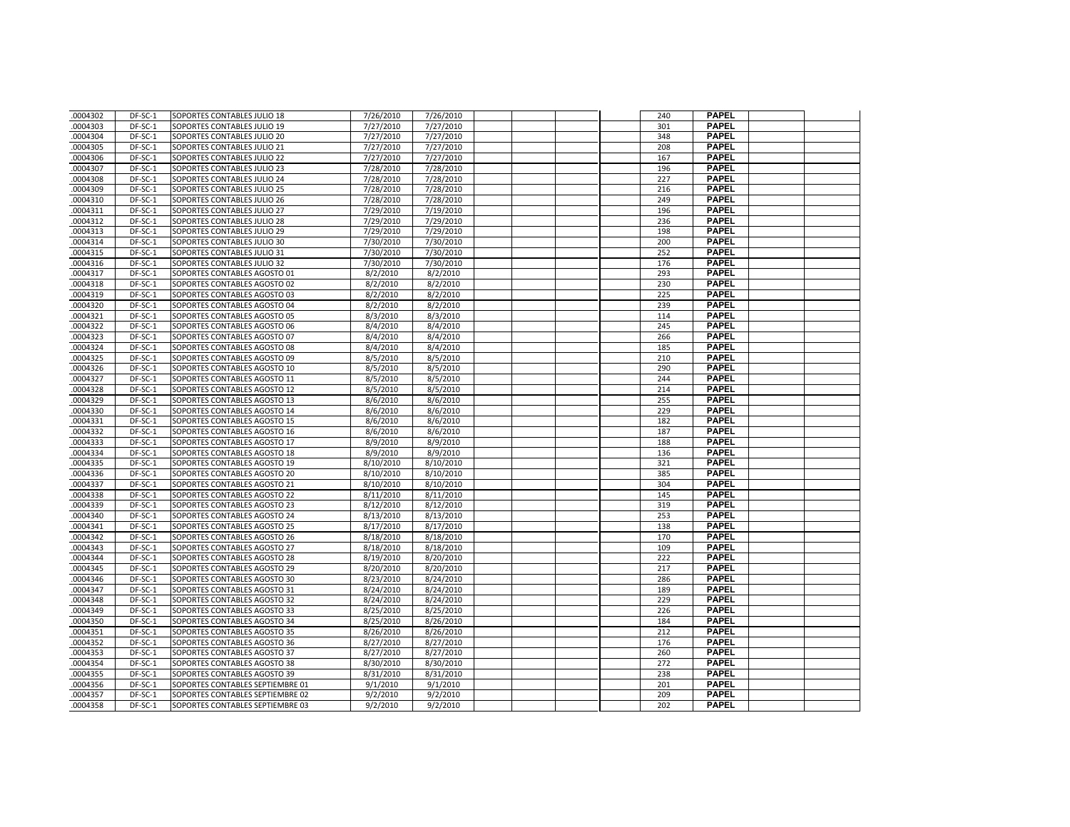| .0004302             | DF-SC-1            | SOPORTES CONTABLES JULIO 18                                  | 7/26/2010              | 7/26/2010              |  | 240        | <b>PAPEL</b>                 |  |
|----------------------|--------------------|--------------------------------------------------------------|------------------------|------------------------|--|------------|------------------------------|--|
| .0004303             | DF-SC-1            | SOPORTES CONTABLES JULIO 19                                  | 7/27/2010              | 7/27/2010              |  | 301        | <b>PAPEL</b>                 |  |
| .0004304             | DF-SC-1            | SOPORTES CONTABLES JULIO 20                                  | 7/27/2010              | 7/27/2010              |  | 348        | <b>PAPEL</b>                 |  |
| .0004305             | DF-SC-1            | SOPORTES CONTABLES JULIO 21                                  | 7/27/2010              | 7/27/2010              |  | 208        | <b>PAPEL</b>                 |  |
| 0004306              | DF-SC-1            | SOPORTES CONTABLES JULIO 22                                  | 7/27/2010              | 7/27/2010              |  | 167        | <b>PAPEL</b>                 |  |
| .0004307             | DF-SC-1            | SOPORTES CONTABLES JULIO 23                                  | 7/28/2010              | 7/28/2010              |  | 196        | <b>PAPEL</b>                 |  |
| .0004308             | DF-SC-1            | SOPORTES CONTABLES JULIO 24                                  | 7/28/2010              | 7/28/2010              |  | 227        | <b>PAPEL</b>                 |  |
| 0004309              | DF-SC-1            | SOPORTES CONTABLES JULIO 25                                  | 7/28/2010              | 7/28/2010              |  | 216        | <b>PAPEL</b>                 |  |
| .0004310             | DF-SC-1            | SOPORTES CONTABLES JULIO 26                                  | 7/28/2010              | 7/28/2010              |  | 249        | <b>PAPEL</b>                 |  |
| .0004311             | DF-SC-1            | SOPORTES CONTABLES JULIO 27                                  | 7/29/2010              | 7/19/2010              |  | 196        | <b>PAPEL</b>                 |  |
| .0004312             | DF-SC-1            | SOPORTES CONTABLES JULIO 28                                  | 7/29/2010              | 7/29/2010              |  | 236        | <b>PAPEL</b>                 |  |
| .0004313             | DF-SC-1            | SOPORTES CONTABLES JULIO 29                                  | 7/29/2010              | 7/29/2010              |  | 198        | <b>PAPEL</b>                 |  |
| 0004314              | DF-SC-1            | SOPORTES CONTABLES JULIO 30                                  | 7/30/2010              | 7/30/2010              |  | 200        | <b>PAPEL</b>                 |  |
| .0004315             | DF-SC-1            | SOPORTES CONTABLES JULIO 31                                  | 7/30/2010              | 7/30/2010              |  | 252        | <b>PAPEL</b>                 |  |
| .0004316             | DF-SC-1            | SOPORTES CONTABLES JULIO 32                                  | 7/30/2010              | 7/30/2010              |  | 176        | <b>PAPEL</b>                 |  |
| .0004317             | DF-SC-1            | SOPORTES CONTABLES AGOSTO 01                                 | 8/2/2010               | 8/2/2010               |  | 293        | <b>PAPEL</b>                 |  |
| .0004318             | DF-SC-1            | SOPORTES CONTABLES AGOSTO 02                                 | 8/2/2010               | 8/2/2010               |  | 230        | <b>PAPEL</b>                 |  |
| .0004319             | DF-SC-1            | SOPORTES CONTABLES AGOSTO 03                                 | 8/2/2010               | 8/2/2010               |  | 225        | <b>PAPEL</b>                 |  |
| .0004320             | DF-SC-1            | SOPORTES CONTABLES AGOSTO 04                                 | 8/2/2010               | 8/2/2010               |  | 239        | <b>PAPEL</b>                 |  |
| .0004321             | DF-SC-1            | SOPORTES CONTABLES AGOSTO 05                                 | 8/3/2010               | 8/3/2010               |  | 114        | <b>PAPEL</b>                 |  |
| .0004322             | DF-SC-1            | SOPORTES CONTABLES AGOSTO 06                                 | 8/4/2010               | 8/4/2010               |  | 245        | <b>PAPEL</b>                 |  |
| .0004323             | DF-SC-1            | SOPORTES CONTABLES AGOSTO 07                                 | 8/4/2010               | 8/4/2010               |  | 266        | <b>PAPEL</b>                 |  |
| .0004324             | DF-SC-1            | SOPORTES CONTABLES AGOSTO 08                                 | 8/4/2010               | 8/4/2010               |  | 185        | <b>PAPEL</b>                 |  |
| .0004325             | DF-SC-1            | SOPORTES CONTABLES AGOSTO 09                                 | 8/5/2010               | 8/5/2010               |  | 210        | <b>PAPEL</b>                 |  |
| .0004326             | DF-SC-1            | SOPORTES CONTABLES AGOSTO 10                                 | 8/5/2010               | 8/5/2010               |  | 290        | <b>PAPEL</b>                 |  |
| .0004327             | DF-SC-1            | SOPORTES CONTABLES AGOSTO 11                                 | 8/5/2010               | 8/5/2010               |  | 244        | <b>PAPEL</b>                 |  |
| .0004328             | DF-SC-1            | SOPORTES CONTABLES AGOSTO 12                                 | 8/5/2010               | 8/5/2010               |  | 214        | <b>PAPEL</b>                 |  |
| .0004329             | DF-SC-1            | SOPORTES CONTABLES AGOSTO 13                                 | 8/6/2010               | 8/6/2010               |  | 255        | <b>PAPEL</b>                 |  |
| .0004330             | DF-SC-1            | SOPORTES CONTABLES AGOSTO 14                                 | 8/6/2010               | 8/6/2010               |  | 229        | <b>PAPEL</b>                 |  |
| .0004331             | DF-SC-1            | SOPORTES CONTABLES AGOSTO 15                                 | 8/6/2010               | 8/6/2010               |  | 182        | <b>PAPEL</b>                 |  |
| 0004332              | DF-SC-1            | SOPORTES CONTABLES AGOSTO 16                                 | 8/6/2010               | 8/6/2010               |  | 187        | <b>PAPEL</b>                 |  |
| .0004333             | DF-SC-1            | SOPORTES CONTABLES AGOSTO 17                                 | 8/9/2010               | 8/9/2010               |  | 188        | <b>PAPEL</b>                 |  |
| .0004334             | DF-SC-1            | SOPORTES CONTABLES AGOSTO 18                                 | 8/9/2010               | 8/9/2010               |  | 136        | <b>PAPEL</b>                 |  |
| .0004335             | DF-SC-1            | SOPORTES CONTABLES AGOSTO 19                                 | 8/10/2010              | 8/10/2010              |  | 321        | <b>PAPEL</b>                 |  |
| .0004336             | DF-SC-1            | SOPORTES CONTABLES AGOSTO 20                                 | 8/10/2010              | 8/10/2010              |  | 385        | <b>PAPEL</b>                 |  |
| 0004337              | DF-SC-1            | SOPORTES CONTABLES AGOSTO 21                                 | 8/10/2010              | 8/10/2010              |  | 304        | <b>PAPEL</b>                 |  |
| .0004338             | DF-SC-1            | SOPORTES CONTABLES AGOSTO 22                                 | 8/11/2010              | 8/11/2010              |  | 145        | <b>PAPEL</b>                 |  |
| .0004339             | DF-SC-1            | SOPORTES CONTABLES AGOSTO 23                                 | 8/12/2010              | 8/12/2010              |  | 319        | <b>PAPEL</b>                 |  |
| 0004340              | DF-SC-1            | SOPORTES CONTABLES AGOSTO 24                                 | 8/13/2010              | 8/13/2010              |  | 253        | <b>PAPEL</b>                 |  |
| .0004341             | DF-SC-1            | SOPORTES CONTABLES AGOSTO 25                                 | 8/17/2010              | 8/17/2010              |  | 138        | <b>PAPEL</b>                 |  |
| .0004342             | DF-SC-1            | SOPORTES CONTABLES AGOSTO 26                                 | 8/18/2010              | 8/18/2010              |  | 170        | <b>PAPEL</b>                 |  |
| .0004343             | DF-SC-1            | SOPORTES CONTABLES AGOSTO 27                                 | 8/18/2010              | 8/18/2010              |  | 109        | <b>PAPEL</b>                 |  |
| .0004344             | DF-SC-1            | SOPORTES CONTABLES AGOSTO 28                                 | 8/19/2010              | 8/20/2010              |  | 222        | <b>PAPEL</b>                 |  |
| 0004345              | DF-SC-1            | SOPORTES CONTABLES AGOSTO 29                                 | 8/20/2010              | 8/20/2010              |  | 217        | <b>PAPEL</b>                 |  |
| .0004346             | DF-SC-1            | SOPORTES CONTABLES AGOSTO 30                                 | 8/23/2010              | 8/24/2010              |  | 286        | <b>PAPEL</b>                 |  |
| .0004347             | DF-SC-1            | SOPORTES CONTABLES AGOSTO 31                                 | 8/24/2010              | 8/24/2010              |  | 189        | <b>PAPEL</b>                 |  |
| 0004348              | DF-SC-1            | SOPORTES CONTABLES AGOSTO 32                                 | 8/24/2010              | 8/24/2010              |  | 229        | <b>PAPEL</b>                 |  |
| .0004349             | DF-SC-1            | SOPORTES CONTABLES AGOSTO 33                                 | 8/25/2010              | 8/25/2010              |  | 226        | <b>PAPEL</b><br><b>PAPEL</b> |  |
| 0004350              | DF-SC-1<br>DF-SC-1 | SOPORTES CONTABLES AGOSTO 34                                 | 8/25/2010              | 8/26/2010              |  | 184<br>212 | <b>PAPEL</b>                 |  |
| .0004351<br>.0004352 |                    | SOPORTES CONTABLES AGOSTO 35                                 | 8/26/2010<br>8/27/2010 | 8/26/2010<br>8/27/2010 |  |            | <b>PAPEL</b>                 |  |
| .0004353             | DF-SC-1<br>DF-SC-1 | SOPORTES CONTABLES AGOSTO 36                                 | 8/27/2010              | 8/27/2010              |  | 176<br>260 | <b>PAPEL</b>                 |  |
| .0004354             | DF-SC-1            | SOPORTES CONTABLES AGOSTO 37<br>SOPORTES CONTABLES AGOSTO 38 | 8/30/2010              | 8/30/2010              |  | 272        | <b>PAPEL</b>                 |  |
| .0004355             | DF-SC-1            | SOPORTES CONTABLES AGOSTO 39                                 | 8/31/2010              | 8/31/2010              |  | 238        | <b>PAPEL</b>                 |  |
| .0004356             | DF-SC-1            | SOPORTES CONTABLES SEPTIEMBRE 01                             | 9/1/2010               | 9/1/2010               |  | 201        | <b>PAPEL</b>                 |  |
| 0004357              | DF-SC-1            | SOPORTES CONTABLES SEPTIEMBRE 02                             | 9/2/2010               | 9/2/2010               |  | 209        | PAPEL                        |  |
| 0004358              | DF-SC-1            | SOPORTES CONTABLES SEPTIEMBRE 03                             | 9/2/2010               | 9/2/2010               |  | 202        | <b>PAPEL</b>                 |  |
|                      |                    |                                                              |                        |                        |  |            |                              |  |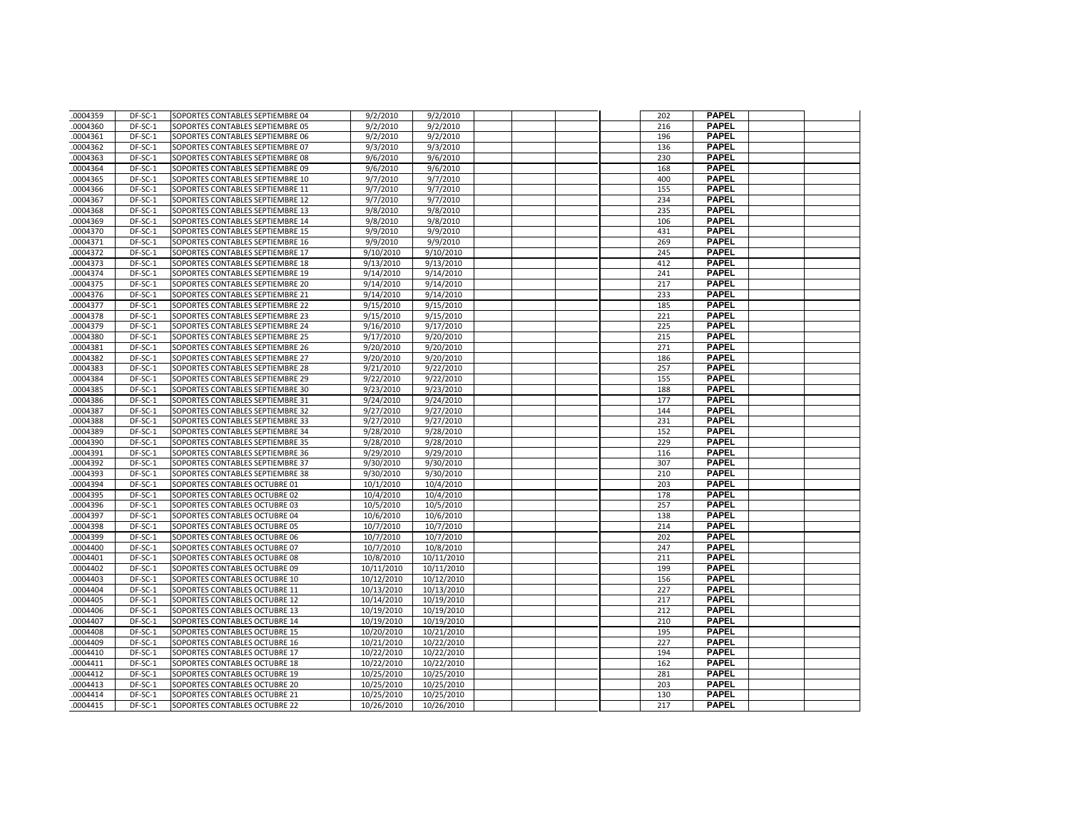| .0004359 | $DF-SC-1$ | SOPORTES CONTABLES SEPTIEMBRE 04 | 9/2/2010   | 9/2/2010   |  | 202 | <b>PAPEL</b> |  |
|----------|-----------|----------------------------------|------------|------------|--|-----|--------------|--|
| .0004360 | DF-SC-1   | SOPORTES CONTABLES SEPTIEMBRE 05 | 9/2/2010   | 9/2/2010   |  | 216 | <b>PAPEL</b> |  |
| .0004361 | DF-SC-1   | SOPORTES CONTABLES SEPTIEMBRE 06 | 9/2/2010   | 9/2/2010   |  | 196 | <b>PAPEL</b> |  |
| 0004362  | DF-SC-1   | SOPORTES CONTABLES SEPTIEMBRE 07 | 9/3/2010   | 9/3/2010   |  | 136 | <b>PAPEL</b> |  |
| .0004363 | DF-SC-1   | SOPORTES CONTABLES SEPTIEMBRE 08 | 9/6/2010   | 9/6/2010   |  | 230 | <b>PAPEL</b> |  |
| .0004364 | DF-SC-1   | SOPORTES CONTABLES SEPTIEMBRE 09 | 9/6/2010   | 9/6/2010   |  | 168 | <b>PAPEL</b> |  |
| .0004365 | DF-SC-1   | SOPORTES CONTABLES SEPTIEMBRE 10 | 9/7/2010   | 9/7/2010   |  | 400 | <b>PAPEL</b> |  |
| .0004366 | DF-SC-1   | SOPORTES CONTABLES SEPTIEMBRE 11 | 9/7/2010   | 9/7/2010   |  | 155 | <b>PAPEL</b> |  |
| .0004367 | DF-SC-1   | SOPORTES CONTABLES SEPTIEMBRE 12 | 9/7/2010   | 9/7/2010   |  | 234 | <b>PAPEL</b> |  |
| .0004368 | DF-SC-1   | SOPORTES CONTABLES SEPTIEMBRE 13 | 9/8/2010   | 9/8/2010   |  | 235 | <b>PAPEL</b> |  |
| .0004369 | DF-SC-1   | SOPORTES CONTABLES SEPTIEMBRE 14 | 9/8/2010   | 9/8/2010   |  | 106 | <b>PAPEL</b> |  |
| .0004370 | DF-SC-1   | SOPORTES CONTABLES SEPTIEMBRE 15 | 9/9/2010   | 9/9/2010   |  | 431 | <b>PAPEL</b> |  |
| .0004371 | DF-SC-1   | SOPORTES CONTABLES SEPTIEMBRE 16 | 9/9/2010   | 9/9/2010   |  | 269 | <b>PAPEL</b> |  |
| 0004372  | DF-SC-1   | SOPORTES CONTABLES SEPTIEMBRE 17 | 9/10/2010  | 9/10/2010  |  | 245 | <b>PAPEL</b> |  |
| .0004373 | DF-SC-1   | SOPORTES CONTABLES SEPTIEMBRE 18 | 9/13/2010  | 9/13/2010  |  | 412 | <b>PAPEL</b> |  |
| .0004374 | DF-SC-1   | SOPORTES CONTABLES SEPTIEMBRE 19 | 9/14/2010  | 9/14/2010  |  | 241 | <b>PAPEL</b> |  |
| .0004375 | DF-SC-1   | SOPORTES CONTABLES SEPTIEMBRE 20 | 9/14/2010  | 9/14/2010  |  | 217 | <b>PAPEL</b> |  |
| .0004376 | DF-SC-1   | SOPORTES CONTABLES SEPTIEMBRE 21 | 9/14/2010  | 9/14/2010  |  | 233 | <b>PAPEL</b> |  |
| .0004377 | DF-SC-1   | SOPORTES CONTABLES SEPTIEMBRE 22 | 9/15/2010  | 9/15/2010  |  | 185 | <b>PAPEL</b> |  |
| .0004378 | DF-SC-1   | SOPORTES CONTABLES SEPTIEMBRE 23 | 9/15/2010  | 9/15/2010  |  | 221 | <b>PAPEL</b> |  |
| .0004379 | DF-SC-1   | SOPORTES CONTABLES SEPTIEMBRE 24 | 9/16/2010  | 9/17/2010  |  | 225 | <b>PAPEL</b> |  |
| .0004380 | DF-SC-1   | SOPORTES CONTABLES SEPTIEMBRE 25 | 9/17/2010  | 9/20/2010  |  | 215 | <b>PAPEL</b> |  |
| .0004381 | DF-SC-1   | SOPORTES CONTABLES SEPTIEMBRE 26 | 9/20/2010  | 9/20/2010  |  | 271 | <b>PAPEL</b> |  |
| .0004382 | DF-SC-1   | SOPORTES CONTABLES SEPTIEMBRE 27 | 9/20/2010  | 9/20/2010  |  | 186 | <b>PAPEL</b> |  |
| .0004383 | DF-SC-1   | SOPORTES CONTABLES SEPTIEMBRE 28 | 9/21/2010  | 9/22/2010  |  | 257 | <b>PAPEL</b> |  |
| .0004384 | DF-SC-1   | SOPORTES CONTABLES SEPTIEMBRE 29 | 9/22/2010  | 9/22/2010  |  | 155 | <b>PAPEL</b> |  |
| .0004385 | DF-SC-1   | SOPORTES CONTABLES SEPTIEMBRE 30 | 9/23/2010  | 9/23/2010  |  | 188 | <b>PAPEL</b> |  |
| .0004386 | DF-SC-1   | SOPORTES CONTABLES SEPTIEMBRE 31 | 9/24/2010  | 9/24/2010  |  | 177 | <b>PAPEL</b> |  |
| .0004387 | DF-SC-1   | SOPORTES CONTABLES SEPTIEMBRE 32 | 9/27/2010  | 9/27/2010  |  | 144 | <b>PAPEL</b> |  |
| .0004388 | DF-SC-1   | SOPORTES CONTABLES SEPTIEMBRE 33 | 9/27/2010  | 9/27/2010  |  | 231 | <b>PAPEL</b> |  |
| .0004389 | DF-SC-1   | SOPORTES CONTABLES SEPTIEMBRE 34 | 9/28/2010  | 9/28/2010  |  | 152 | <b>PAPEL</b> |  |
| .0004390 | DF-SC-1   | SOPORTES CONTABLES SEPTIEMBRE 35 | 9/28/2010  | 9/28/2010  |  | 229 | <b>PAPEL</b> |  |
| .0004391 | DF-SC-1   | SOPORTES CONTABLES SEPTIEMBRE 36 | 9/29/2010  | 9/29/2010  |  | 116 | <b>PAPEL</b> |  |
| .0004392 | DF-SC-1   | SOPORTES CONTABLES SEPTIEMBRE 37 | 9/30/2010  | 9/30/2010  |  | 307 | <b>PAPEL</b> |  |
| .0004393 | DF-SC-1   | SOPORTES CONTABLES SEPTIEMBRE 38 | 9/30/2010  | 9/30/2010  |  | 210 | <b>PAPEL</b> |  |
| .0004394 | DF-SC-1   | SOPORTES CONTABLES OCTUBRE 01    | 10/1/2010  | 10/4/2010  |  | 203 | <b>PAPEL</b> |  |
| 0004395  | DF-SC-1   | SOPORTES CONTABLES OCTUBRE 02    | 10/4/2010  | 10/4/2010  |  | 178 | <b>PAPEL</b> |  |
|          |           |                                  |            |            |  |     | <b>PAPEL</b> |  |
| .0004396 | DF-SC-1   | SOPORTES CONTABLES OCTUBRE 03    | 10/5/2010  | 10/5/2010  |  | 257 | <b>PAPEL</b> |  |
| .0004397 | DF-SC-1   | SOPORTES CONTABLES OCTUBRE 04    | 10/6/2010  | 10/6/2010  |  | 138 | <b>PAPEL</b> |  |
| .0004398 | DF-SC-1   | SOPORTES CONTABLES OCTUBRE 05    | 10/7/2010  | 10/7/2010  |  | 214 |              |  |
| 0004399  | DF-SC-1   | SOPORTES CONTABLES OCTUBRE 06    | 10/7/2010  | 10/7/2010  |  | 202 | <b>PAPEL</b> |  |
| .0004400 | DF-SC-1   | SOPORTES CONTABLES OCTUBRE 07    | 10/7/2010  | 10/8/2010  |  | 247 | <b>PAPEL</b> |  |
| .0004401 | DF-SC-1   | SOPORTES CONTABLES OCTUBRE 08    | 10/8/2010  | 10/11/2010 |  | 211 | <b>PAPEL</b> |  |
| .0004402 | DF-SC-1   | SOPORTES CONTABLES OCTUBRE 09    | 10/11/2010 | 10/11/2010 |  | 199 | <b>PAPEL</b> |  |
| .0004403 | DF-SC-1   | SOPORTES CONTABLES OCTUBRE 10    | 10/12/2010 | 10/12/2010 |  | 156 | <b>PAPEL</b> |  |
| .0004404 | DF-SC-1   | SOPORTES CONTABLES OCTUBRE 11    | 10/13/2010 | 10/13/2010 |  | 227 | <b>PAPEL</b> |  |
| .0004405 | DF-SC-1   | SOPORTES CONTABLES OCTUBRE 12    | 10/14/2010 | 10/19/2010 |  | 217 | <b>PAPEL</b> |  |
| .0004406 | DF-SC-1   | SOPORTES CONTABLES OCTUBRE 13    | 10/19/2010 | 10/19/2010 |  | 212 | <b>PAPEL</b> |  |
| .0004407 | DF-SC-1   | SOPORTES CONTABLES OCTUBRE 14    | 10/19/2010 | 10/19/2010 |  | 210 | <b>PAPEL</b> |  |
| .0004408 | DF-SC-1   | SOPORTES CONTABLES OCTUBRE 15    | 10/20/2010 | 10/21/2010 |  | 195 | <b>PAPEL</b> |  |
| .0004409 | DF-SC-1   | SOPORTES CONTABLES OCTUBRE 16    | 10/21/2010 | 10/22/2010 |  | 227 | <b>PAPEL</b> |  |
| .0004410 | DF-SC-1   | SOPORTES CONTABLES OCTUBRE 17    | 10/22/2010 | 10/22/2010 |  | 194 | <b>PAPEL</b> |  |
| .0004411 | DF-SC-1   | SOPORTES CONTABLES OCTUBRE 18    | 10/22/2010 | 10/22/2010 |  | 162 | <b>PAPEL</b> |  |
| .0004412 | DF-SC-1   | SOPORTES CONTABLES OCTUBRE 19    | 10/25/2010 | 10/25/2010 |  | 281 | <b>PAPEL</b> |  |
| .0004413 | DF-SC-1   | SOPORTES CONTABLES OCTUBRE 20    | 10/25/2010 | 10/25/2010 |  | 203 | <b>PAPEL</b> |  |
| .0004414 | DF-SC-1   | SOPORTES CONTABLES OCTUBRE 21    | 10/25/2010 | 10/25/2010 |  | 130 | PAPEL        |  |
| .0004415 | DF-SC-1   | SOPORTES CONTABLES OCTUBRE 22    | 10/26/2010 | 10/26/2010 |  | 217 | <b>PAPEL</b> |  |
|          |           |                                  |            |            |  |     |              |  |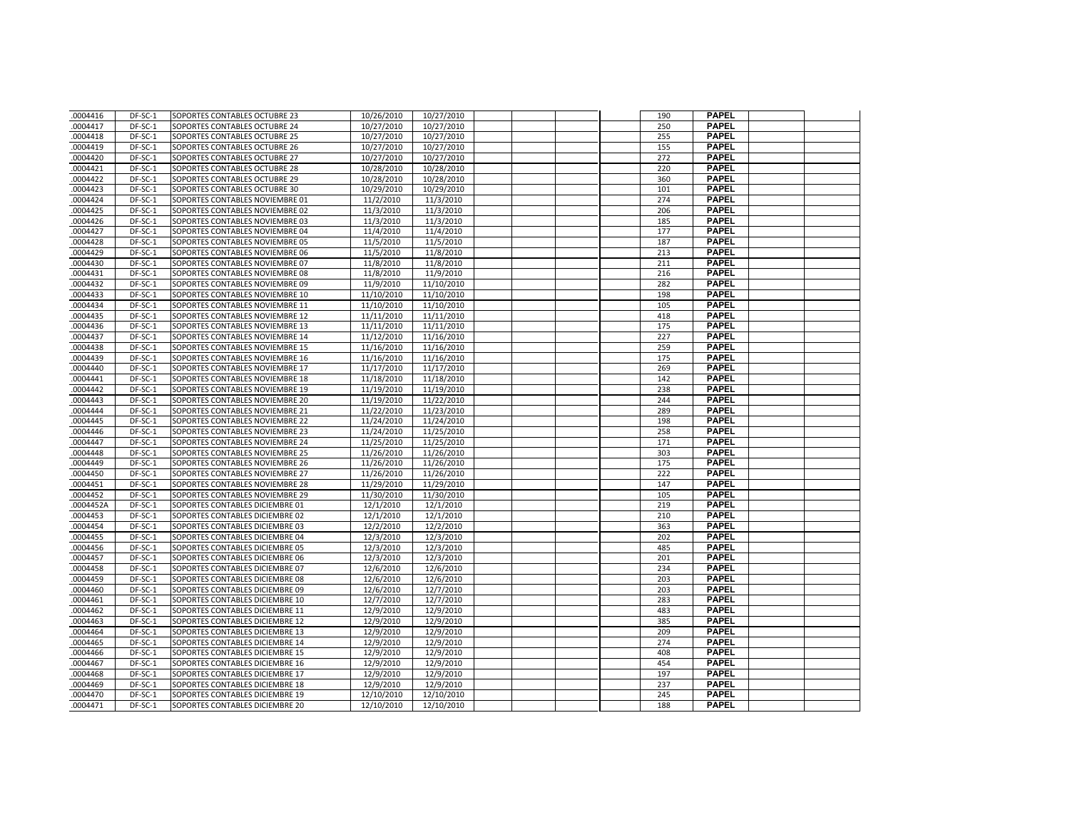| 0004416   | DF-SC-1 | SOPORTES CONTABLES OCTUBRE 23   | 10/26/2010 | 10/27/2010 |  | 190 | <b>PAPEL</b> |  |
|-----------|---------|---------------------------------|------------|------------|--|-----|--------------|--|
| .0004417  | DF-SC-1 | SOPORTES CONTABLES OCTUBRE 24   | 10/27/2010 | 10/27/2010 |  | 250 | <b>PAPEL</b> |  |
| .0004418  | DF-SC-1 | SOPORTES CONTABLES OCTUBRE 25   | 10/27/2010 | 10/27/2010 |  | 255 | <b>PAPEL</b> |  |
| 0004419   | DF-SC-1 | SOPORTES CONTABLES OCTUBRE 26   | 10/27/2010 | 10/27/2010 |  | 155 | <b>PAPEL</b> |  |
| .0004420  | DF-SC-1 | SOPORTES CONTABLES OCTUBRE 27   | 10/27/2010 | 10/27/2010 |  | 272 | <b>PAPEL</b> |  |
| .0004421  | DF-SC-1 | SOPORTES CONTABLES OCTUBRE 28   | 10/28/2010 | 10/28/2010 |  | 220 | <b>PAPEL</b> |  |
| .0004422  | DF-SC-1 | SOPORTES CONTABLES OCTUBRE 29   | 10/28/2010 | 10/28/2010 |  | 360 | <b>PAPEL</b> |  |
| .0004423  | DF-SC-1 | SOPORTES CONTABLES OCTUBRE 30   | 10/29/2010 | 10/29/2010 |  | 101 | <b>PAPEL</b> |  |
| .0004424  | DF-SC-1 | SOPORTES CONTABLES NOVIEMBRE 01 | 11/2/2010  | 11/3/2010  |  | 274 | <b>PAPEL</b> |  |
| .0004425  | DF-SC-1 | SOPORTES CONTABLES NOVIEMBRE 02 | 11/3/2010  | 11/3/2010  |  | 206 | <b>PAPEL</b> |  |
| 0004426   | DF-SC-1 | SOPORTES CONTABLES NOVIEMBRE 03 | 11/3/2010  | 11/3/2010  |  | 185 | <b>PAPEL</b> |  |
| .0004427  | DF-SC-1 | SOPORTES CONTABLES NOVIEMBRE 04 | 11/4/2010  | 11/4/2010  |  | 177 | <b>PAPEL</b> |  |
| .0004428  | DF-SC-1 | SOPORTES CONTABLES NOVIEMBRE 05 | 11/5/2010  | 11/5/2010  |  | 187 | <b>PAPEL</b> |  |
| .0004429  | DF-SC-1 | SOPORTES CONTABLES NOVIEMBRE 06 | 11/5/2010  | 11/8/2010  |  | 213 | <b>PAPEL</b> |  |
| .0004430  | DF-SC-1 | SOPORTES CONTABLES NOVIEMBRE 07 | 11/8/2010  | 11/8/2010  |  | 211 | <b>PAPEL</b> |  |
| 0004431   | DF-SC-1 | SOPORTES CONTABLES NOVIEMBRE 08 | 11/8/2010  | 11/9/2010  |  | 216 | <b>PAPEL</b> |  |
| .0004432  | DF-SC-1 | SOPORTES CONTABLES NOVIEMBRE 09 | 11/9/2010  | 11/10/2010 |  | 282 | <b>PAPEL</b> |  |
| .0004433  | DF-SC-1 | SOPORTES CONTABLES NOVIEMBRE 10 | 11/10/2010 | 11/10/2010 |  | 198 | <b>PAPEL</b> |  |
| .0004434  | DF-SC-1 | SOPORTES CONTABLES NOVIEMBRE 11 | 11/10/2010 | 11/10/2010 |  | 105 | <b>PAPEL</b> |  |
| .0004435  | DF-SC-1 | SOPORTES CONTABLES NOVIEMBRE 12 | 11/11/2010 | 11/11/2010 |  | 418 | <b>PAPEL</b> |  |
| 0004436   | DF-SC-1 | SOPORTES CONTABLES NOVIEMBRE 13 | 11/11/2010 | 11/11/2010 |  | 175 | <b>PAPEL</b> |  |
| .0004437  | DF-SC-1 | SOPORTES CONTABLES NOVIEMBRE 14 | 11/12/2010 | 11/16/2010 |  | 227 | <b>PAPEL</b> |  |
| .0004438  | DF-SC-1 | SOPORTES CONTABLES NOVIEMBRE 15 | 11/16/2010 | 11/16/2010 |  | 259 | <b>PAPEL</b> |  |
| 0004439   | DF-SC-1 | SOPORTES CONTABLES NOVIEMBRE 16 | 11/16/2010 | 11/16/2010 |  | 175 | <b>PAPEL</b> |  |
| .0004440  | DF-SC-1 | SOPORTES CONTABLES NOVIEMBRE 17 | 11/17/2010 | 11/17/2010 |  | 269 | <b>PAPEL</b> |  |
| .0004441  | DF-SC-1 | SOPORTES CONTABLES NOVIEMBRE 18 | 11/18/2010 | 11/18/2010 |  | 142 | <b>PAPEL</b> |  |
| .0004442  | DF-SC-1 | SOPORTES CONTABLES NOVIEMBRE 19 | 11/19/2010 | 11/19/2010 |  | 238 | <b>PAPEL</b> |  |
| .0004443  | DF-SC-1 | SOPORTES CONTABLES NOVIEMBRE 20 | 11/19/2010 | 11/22/2010 |  | 244 | <b>PAPEL</b> |  |
| 0004444   | DF-SC-1 | SOPORTES CONTABLES NOVIEMBRE 21 | 11/22/2010 | 11/23/2010 |  | 289 | <b>PAPEL</b> |  |
| .0004445  | DF-SC-1 | SOPORTES CONTABLES NOVIEMBRE 22 | 11/24/2010 | 11/24/2010 |  | 198 | <b>PAPEL</b> |  |
| .0004446  | DF-SC-1 | SOPORTES CONTABLES NOVIEMBRE 23 | 11/24/2010 | 11/25/2010 |  | 258 | <b>PAPEL</b> |  |
| .0004447  | DF-SC-1 | SOPORTES CONTABLES NOVIEMBRE 24 | 11/25/2010 | 11/25/2010 |  | 171 | <b>PAPEL</b> |  |
| .0004448  | DF-SC-1 | SOPORTES CONTABLES NOVIEMBRE 25 | 11/26/2010 | 11/26/2010 |  | 303 | <b>PAPEL</b> |  |
| .0004449  | DF-SC-1 | SOPORTES CONTABLES NOVIEMBRE 26 | 11/26/2010 | 11/26/2010 |  | 175 | <b>PAPEL</b> |  |
| .0004450  | DF-SC-1 | SOPORTES CONTABLES NOVIEMBRE 27 | 11/26/2010 | 11/26/2010 |  | 222 | <b>PAPEL</b> |  |
| .0004451  | DF-SC-1 | SOPORTES CONTABLES NOVIEMBRE 28 | 11/29/2010 | 11/29/2010 |  | 147 | <b>PAPEL</b> |  |
| .0004452  | DF-SC-1 | SOPORTES CONTABLES NOVIEMBRE 29 | 11/30/2010 | 11/30/2010 |  | 105 | <b>PAPEL</b> |  |
| .0004452A | DF-SC-1 | SOPORTES CONTABLES DICIEMBRE 01 | 12/1/2010  | 12/1/2010  |  | 219 | <b>PAPEL</b> |  |
| .0004453  | DF-SC-1 | SOPORTES CONTABLES DICIEMBRE 02 | 12/1/2010  | 12/1/2010  |  | 210 | <b>PAPEL</b> |  |
| .0004454  | DF-SC-1 | SOPORTES CONTABLES DICIEMBRE 03 | 12/2/2010  | 12/2/2010  |  | 363 | <b>PAPEL</b> |  |
| .0004455  | DF-SC-1 | SOPORTES CONTABLES DICIEMBRE 04 | 12/3/2010  | 12/3/2010  |  | 202 | <b>PAPEL</b> |  |
| .0004456  | DF-SC-1 | SOPORTES CONTABLES DICIEMBRE 05 | 12/3/2010  | 12/3/2010  |  | 485 | <b>PAPEL</b> |  |
| .0004457  | DF-SC-1 | SOPORTES CONTABLES DICIEMBRE 06 | 12/3/2010  | 12/3/2010  |  | 201 | <b>PAPEL</b> |  |
| .0004458  | DF-SC-1 | SOPORTES CONTABLES DICIEMBRE 07 | 12/6/2010  | 12/6/2010  |  | 234 | <b>PAPEL</b> |  |
| .0004459  | DF-SC-1 | SOPORTES CONTABLES DICIEMBRE 08 | 12/6/2010  | 12/6/2010  |  | 203 | <b>PAPEL</b> |  |
| .0004460  | DF-SC-1 | SOPORTES CONTABLES DICIEMBRE 09 | 12/6/2010  | 12/7/2010  |  | 203 | <b>PAPEL</b> |  |
| 0004461   | DF-SC-1 | SOPORTES CONTABLES DICIEMBRE 10 | 12/7/2010  | 12/7/2010  |  | 283 | <b>PAPEL</b> |  |
| .0004462  | DF-SC-1 | SOPORTES CONTABLES DICIEMBRE 11 | 12/9/2010  | 12/9/2010  |  | 483 | <b>PAPEL</b> |  |
| .0004463  | DF-SC-1 | SOPORTES CONTABLES DICIEMBRE 12 | 12/9/2010  | 12/9/2010  |  | 385 | <b>PAPEL</b> |  |
| .0004464  | DF-SC-1 | SOPORTES CONTABLES DICIEMBRE 13 | 12/9/2010  | 12/9/2010  |  | 209 | <b>PAPEL</b> |  |
| .0004465  | DF-SC-1 | SOPORTES CONTABLES DICIEMBRE 14 | 12/9/2010  | 12/9/2010  |  | 274 | <b>PAPEL</b> |  |
| 0004466   | DF-SC-1 | SOPORTES CONTABLES DICIEMBRE 15 | 12/9/2010  | 12/9/2010  |  | 408 | <b>PAPEL</b> |  |
| .0004467  | DF-SC-1 | SOPORTES CONTABLES DICIEMBRE 16 | 12/9/2010  | 12/9/2010  |  | 454 | <b>PAPEL</b> |  |
| .0004468  | DF-SC-1 | SOPORTES CONTABLES DICIEMBRE 17 | 12/9/2010  | 12/9/2010  |  | 197 | <b>PAPEL</b> |  |
| .0004469  | DF-SC-1 | SOPORTES CONTABLES DICIEMBRE 18 | 12/9/2010  | 12/9/2010  |  | 237 | <b>PAPEL</b> |  |
| .0004470  | DF-SC-1 | SOPORTES CONTABLES DICIEMBRE 19 | 12/10/2010 | 12/10/2010 |  | 245 | <b>PAPEL</b> |  |
| .0004471  | DF-SC-1 | SOPORTES CONTABLES DICIEMBRE 20 | 12/10/2010 | 12/10/2010 |  | 188 | <b>PAPEL</b> |  |
|           |         |                                 |            |            |  |     |              |  |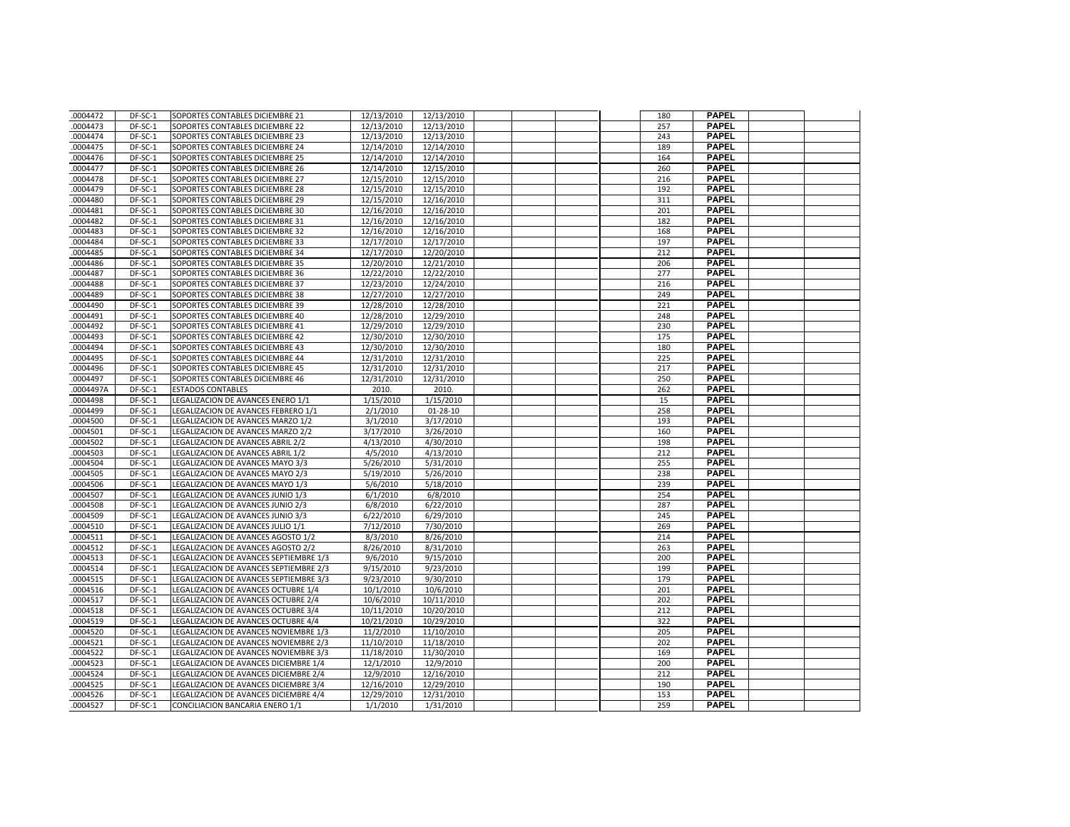| 0004472   | DF-SC-1 | SOPORTES CONTABLES DICIEMBRE 21        | 12/13/2010 | 12/13/2010     |  | 180 | <b>PAPEL</b>                 |  |
|-----------|---------|----------------------------------------|------------|----------------|--|-----|------------------------------|--|
| .0004473  | DF-SC-1 | SOPORTES CONTABLES DICIEMBRE 22        | 12/13/2010 | 12/13/2010     |  | 257 | <b>PAPEL</b>                 |  |
| .0004474  | DF-SC-1 | SOPORTES CONTABLES DICIEMBRE 23        | 12/13/2010 | 12/13/2010     |  | 243 | <b>PAPEL</b>                 |  |
| .0004475  | DF-SC-1 | SOPORTES CONTABLES DICIEMBRE 24        | 12/14/2010 | 12/14/2010     |  | 189 | <b>PAPEL</b>                 |  |
| .0004476  | DF-SC-1 | SOPORTES CONTABLES DICIEMBRE 25        | 12/14/2010 | 12/14/2010     |  | 164 | <b>PAPEL</b>                 |  |
| .0004477  | DF-SC-1 | SOPORTES CONTABLES DICIEMBRE 26        | 12/14/2010 | 12/15/2010     |  | 260 | <b>PAPEL</b>                 |  |
| .0004478  | DF-SC-1 | SOPORTES CONTABLES DICIEMBRE 27        | 12/15/2010 | 12/15/2010     |  | 216 | <b>PAPEL</b>                 |  |
| .0004479  | DF-SC-1 | SOPORTES CONTABLES DICIEMBRE 28        | 12/15/2010 | 12/15/2010     |  | 192 | <b>PAPEL</b>                 |  |
| .0004480  | DF-SC-1 | SOPORTES CONTABLES DICIEMBRE 29        | 12/15/2010 | 12/16/2010     |  | 311 | <b>PAPEL</b>                 |  |
| .0004481  | DF-SC-1 | SOPORTES CONTABLES DICIEMBRE 30        | 12/16/2010 | 12/16/2010     |  | 201 | <b>PAPEL</b>                 |  |
| 0004482   | DF-SC-1 | SOPORTES CONTABLES DICIEMBRE 31        | 12/16/2010 | 12/16/2010     |  | 182 | <b>PAPEL</b>                 |  |
| .0004483  | DF-SC-1 | SOPORTES CONTABLES DICIEMBRE 32        | 12/16/2010 | 12/16/2010     |  | 168 | <b>PAPEL</b>                 |  |
| .0004484  | DF-SC-1 | SOPORTES CONTABLES DICIEMBRE 33        | 12/17/2010 | 12/17/2010     |  | 197 | <b>PAPEL</b>                 |  |
| 0004485   | DF-SC-1 | SOPORTES CONTABLES DICIEMBRE 34        | 12/17/2010 | 12/20/2010     |  | 212 | <b>PAPEL</b>                 |  |
| .0004486  | DF-SC-1 | SOPORTES CONTABLES DICIEMBRE 35        | 12/20/2010 | 12/21/2010     |  | 206 | <b>PAPEL</b>                 |  |
| 0004487   | DF-SC-1 | SOPORTES CONTABLES DICIEMBRE 36        | 12/22/2010 | 12/22/2010     |  | 277 | <b>PAPEL</b>                 |  |
| .0004488  | DF-SC-1 | SOPORTES CONTABLES DICIEMBRE 37        | 12/23/2010 | 12/24/2010     |  | 216 | <b>PAPEL</b>                 |  |
| .0004489  | DF-SC-1 | SOPORTES CONTABLES DICIEMBRE 38        | 12/27/2010 | 12/27/2010     |  | 249 | <b>PAPEL</b>                 |  |
| .0004490  | DF-SC-1 | SOPORTES CONTABLES DICIEMBRE 39        | 12/28/2010 | 12/28/2010     |  | 221 | <b>PAPEL</b>                 |  |
| .0004491  | DF-SC-1 | SOPORTES CONTABLES DICIEMBRE 40        | 12/28/2010 | 12/29/2010     |  | 248 | <b>PAPEL</b>                 |  |
| 0004492   | DF-SC-1 | SOPORTES CONTABLES DICIEMBRE 41        | 12/29/2010 | 12/29/2010     |  | 230 | <b>PAPEL</b>                 |  |
| .0004493  | DF-SC-1 | SOPORTES CONTABLES DICIEMBRE 42        | 12/30/2010 | 12/30/2010     |  | 175 | <b>PAPEL</b>                 |  |
| .0004494  | DF-SC-1 | SOPORTES CONTABLES DICIEMBRE 43        | 12/30/2010 | 12/30/2010     |  | 180 | <b>PAPEL</b>                 |  |
| 0004495   | DF-SC-1 | SOPORTES CONTABLES DICIEMBRE 44        | 12/31/2010 | 12/31/2010     |  | 225 | <b>PAPEL</b>                 |  |
| .0004496  | DF-SC-1 | SOPORTES CONTABLES DICIEMBRE 45        | 12/31/2010 | 12/31/2010     |  | 217 | <b>PAPEL</b>                 |  |
| .0004497  | DF-SC-1 | SOPORTES CONTABLES DICIEMBRE 46        | 12/31/2010 | 12/31/2010     |  | 250 | <b>PAPEL</b>                 |  |
| .0004497A | DF-SC-1 | <b>ESTADOS CONTABLES</b>               | 2010.      | 2010.          |  | 262 | <b>PAPEL</b>                 |  |
| .0004498  | DF-SC-1 | LEGALIZACION DE AVANCES ENERO 1/1      | 1/15/2010  | 1/15/2010      |  | 15  | <b>PAPEL</b>                 |  |
| 0004499   | DF-SC-1 | LEGALIZACION DE AVANCES FEBRERO 1/1    | 2/1/2010   | $01 - 28 - 10$ |  | 258 | <b>PAPEL</b>                 |  |
| .0004500  | DF-SC-1 | LEGALIZACION DE AVANCES MARZO 1/2      | 3/1/2010   | 3/17/2010      |  | 193 | <b>PAPEL</b>                 |  |
| .0004501  | DF-SC-1 | LEGALIZACION DE AVANCES MARZO 2/2      | 3/17/2010  | 3/26/2010      |  | 160 | <b>PAPEL</b>                 |  |
| .0004502  | DF-SC-1 | LEGALIZACION DE AVANCES ABRIL 2/2      | 4/13/2010  | 4/30/2010      |  | 198 | <b>PAPEL</b>                 |  |
| .0004503  | DF-SC-1 | LEGALIZACION DE AVANCES ABRIL 1/2      | 4/5/2010   | 4/13/2010      |  | 212 | <b>PAPEL</b>                 |  |
| .0004504  | DF-SC-1 | LEGALIZACION DE AVANCES MAYO 3/3       | 5/26/2010  | 5/31/2010      |  | 255 | <b>PAPEL</b>                 |  |
| .0004505  | DF-SC-1 | LEGALIZACION DE AVANCES MAYO 2/3       | 5/19/2010  | 5/26/2010      |  | 238 | <b>PAPEL</b>                 |  |
| .0004506  | DF-SC-1 | LEGALIZACION DE AVANCES MAYO 1/3       | 5/6/2010   | 5/18/2010      |  | 239 | <b>PAPEL</b>                 |  |
| .0004507  | DF-SC-1 | LEGALIZACION DE AVANCES JUNIO 1/3      | 6/1/2010   | 6/8/2010       |  | 254 | <b>PAPEL</b>                 |  |
| .0004508  | DF-SC-1 | LEGALIZACION DE AVANCES JUNIO 2/3      | 6/8/2010   | 6/22/2010      |  | 287 | <b>PAPEL</b>                 |  |
| .0004509  | DF-SC-1 | LEGALIZACION DE AVANCES JUNIO 3/3      | 6/22/2010  | 6/29/2010      |  | 245 | <b>PAPEL</b>                 |  |
| .0004510  | DF-SC-1 | LEGALIZACION DE AVANCES JULIO 1/1      | 7/12/2010  | 7/30/2010      |  | 269 | <b>PAPEL</b>                 |  |
| .0004511  | DF-SC-1 | LEGALIZACION DE AVANCES AGOSTO 1/2     | 8/3/2010   | 8/26/2010      |  | 214 | <b>PAPEL</b>                 |  |
| .0004512  | DF-SC-1 | LEGALIZACION DE AVANCES AGOSTO 2/2     | 8/26/2010  | 8/31/2010      |  | 263 | <b>PAPEL</b>                 |  |
| .0004513  | DF-SC-1 | LEGALIZACION DE AVANCES SEPTIEMBRE 1/3 | 9/6/2010   | 9/15/2010      |  | 200 | <b>PAPEL</b>                 |  |
| .0004514  | DF-SC-1 | LEGALIZACION DE AVANCES SEPTIEMBRE 2/3 | 9/15/2010  | 9/23/2010      |  | 199 | <b>PAPEL</b>                 |  |
| .0004515  | DF-SC-1 | LEGALIZACION DE AVANCES SEPTIEMBRE 3/3 | 9/23/2010  | 9/30/2010      |  | 179 | <b>PAPEL</b>                 |  |
| .0004516  | DF-SC-1 | LEGALIZACION DE AVANCES OCTUBRE 1/4    | 10/1/2010  | 10/6/2010      |  | 201 | <b>PAPEL</b>                 |  |
| .0004517  | DF-SC-1 | LEGALIZACION DE AVANCES OCTUBRE 2/4    | 10/6/2010  | 10/11/2010     |  | 202 | <b>PAPEL</b>                 |  |
| .0004518  | DF-SC-1 | LEGALIZACION DE AVANCES OCTUBRE 3/4    | 10/11/2010 | 10/20/2010     |  | 212 | <b>PAPEL</b>                 |  |
| .0004519  | DF-SC-1 | LEGALIZACION DE AVANCES OCTUBRE 4/4    | 10/21/2010 | 10/29/2010     |  | 322 | <b>PAPEL</b>                 |  |
| .0004520  | DF-SC-1 | LEGALIZACION DE AVANCES NOVIEMBRE 1/3  | 11/2/2010  | 11/10/2010     |  | 205 | <b>PAPEL</b>                 |  |
| .0004521  | DF-SC-1 | LEGALIZACION DE AVANCES NOVIEMBRE 2/3  | 11/10/2010 | 11/18/2010     |  | 202 | <b>PAPEL</b>                 |  |
| 0004522   | DF-SC-1 | LEGALIZACION DE AVANCES NOVIEMBRE 3/3  | 11/18/2010 | 11/30/2010     |  | 169 | <b>PAPEL</b>                 |  |
| .0004523  | DF-SC-1 | LEGALIZACION DE AVANCES DICIEMBRE 1/4  | 12/1/2010  | 12/9/2010      |  | 200 | <b>PAPEL</b>                 |  |
| .0004524  | DF-SC-1 | LEGALIZACION DE AVANCES DICIEMBRE 2/4  | 12/9/2010  | 12/16/2010     |  | 212 | <b>PAPEL</b>                 |  |
| .0004525  | DF-SC-1 | LEGALIZACION DE AVANCES DICIEMBRE 3/4  | 12/16/2010 | 12/29/2010     |  | 190 | <b>PAPEL</b><br><b>PAPEL</b> |  |
| .0004526  | DF-SC-1 | LEGALIZACION DE AVANCES DICIEMBRE 4/4  | 12/29/2010 | 12/31/2010     |  | 153 | <b>PAPEL</b>                 |  |
| .0004527  | DF-SC-1 | CONCILIACION BANCARIA ENERO 1/1        | 1/1/2010   | 1/31/2010      |  | 259 |                              |  |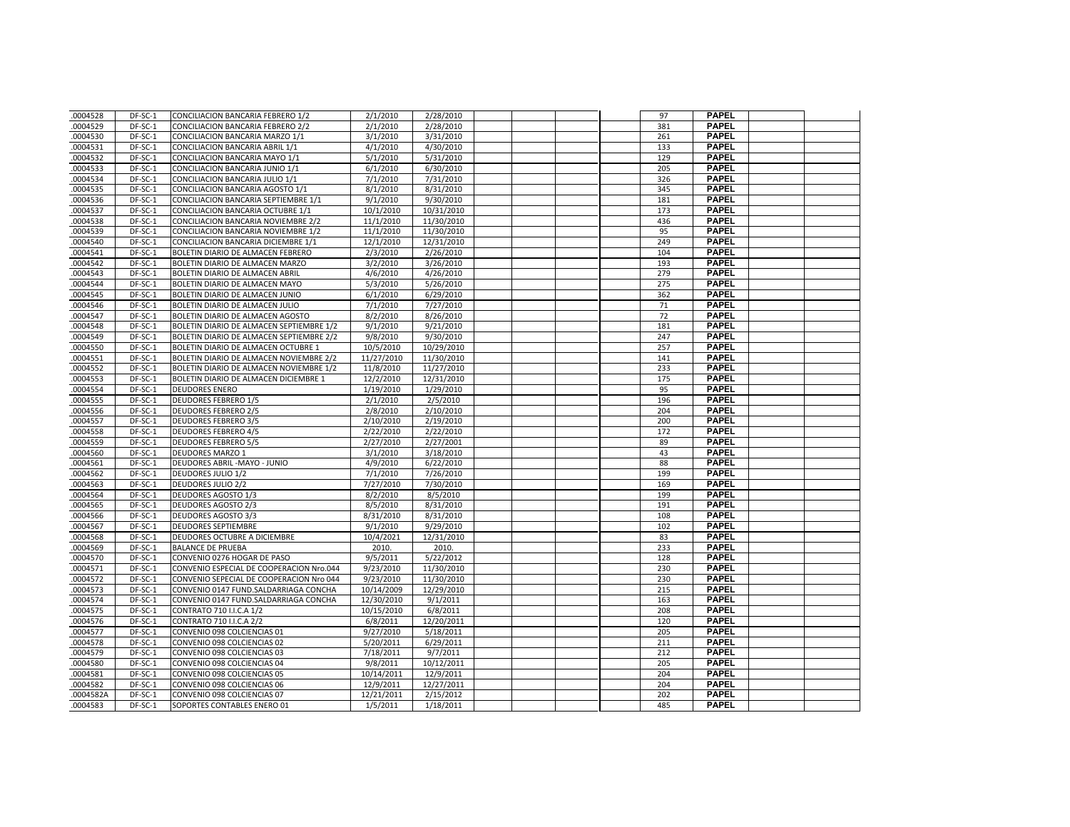| .0004528  | DF-SC-1 | CONCILIACION BANCARIA FEBRERO 1/2        | 2/1/2010   | 2/28/2010  |  |  | 97  | <b>PAPEL</b> |  |
|-----------|---------|------------------------------------------|------------|------------|--|--|-----|--------------|--|
| .0004529  | DF-SC-1 | CONCILIACION BANCARIA FEBRERO 2/2        | 2/1/2010   | 2/28/2010  |  |  | 381 | <b>PAPEL</b> |  |
| .0004530  | DF-SC-1 | CONCILIACION BANCARIA MARZO 1/1          | 3/1/2010   | 3/31/2010  |  |  | 261 | <b>PAPEL</b> |  |
| .0004531  | DF-SC-1 | CONCILIACION BANCARIA ABRIL 1/1          | 4/1/2010   | 4/30/2010  |  |  | 133 | <b>PAPEL</b> |  |
| .0004532  | DF-SC-1 | CONCILIACION BANCARIA MAYO 1/1           | 5/1/2010   | 5/31/2010  |  |  | 129 | <b>PAPEL</b> |  |
| .0004533  | DF-SC-1 | CONCILIACION BANCARIA JUNIO 1/1          | 6/1/2010   | 6/30/2010  |  |  | 205 | <b>PAPEL</b> |  |
| .0004534  | DF-SC-1 | CONCILIACION BANCARIA JULIO 1/1          | 7/1/2010   | 7/31/2010  |  |  | 326 | <b>PAPEL</b> |  |
| .0004535  | DF-SC-1 | CONCILIACION BANCARIA AGOSTO 1/1         | 8/1/2010   | 8/31/2010  |  |  | 345 | <b>PAPEL</b> |  |
| .0004536  | DF-SC-1 | CONCILIACION BANCARIA SEPTIEMBRE 1/1     | 9/1/2010   | 9/30/2010  |  |  | 181 | <b>PAPEL</b> |  |
| .0004537  | DF-SC-1 | CONCILIACION BANCARIA OCTUBRE 1/1        | 10/1/2010  | 10/31/2010 |  |  | 173 | <b>PAPEL</b> |  |
| .0004538  | DF-SC-1 | CONCILIACION BANCARIA NOVIEMBRE 2/2      | 11/1/2010  | 11/30/2010 |  |  | 436 | <b>PAPEL</b> |  |
| .0004539  | DF-SC-1 | CONCILIACION BANCARIA NOVIEMBRE 1/2      | 11/1/2010  | 11/30/2010 |  |  | 95  | <b>PAPEL</b> |  |
| .0004540  | DF-SC-1 | CONCILIACION BANCARIA DICIEMBRE 1/1      | 12/1/2010  | 12/31/2010 |  |  | 249 | <b>PAPEL</b> |  |
| .0004541  | DF-SC-1 | BOLETIN DIARIO DE ALMACEN FEBRERO        | 2/3/2010   | 2/26/2010  |  |  | 104 | <b>PAPEL</b> |  |
| .0004542  | DF-SC-1 | BOLETIN DIARIO DE ALMACEN MARZO          | 3/2/2010   | 3/26/2010  |  |  | 193 | <b>PAPEL</b> |  |
| .0004543  | DF-SC-1 | <b>BOLETIN DIARIO DE ALMACEN ABRIL</b>   | 4/6/2010   | 4/26/2010  |  |  | 279 | <b>PAPEL</b> |  |
| .0004544  | DF-SC-1 | BOLETIN DIARIO DE ALMACEN MAYO           | 5/3/2010   | 5/26/2010  |  |  | 275 | <b>PAPEL</b> |  |
| .0004545  | DF-SC-1 | BOLETIN DIARIO DE ALMACEN JUNIO          | 6/1/2010   | 6/29/2010  |  |  | 362 | <b>PAPEL</b> |  |
| .0004546  | DF-SC-1 | BOLETIN DIARIO DE ALMACEN JULIO          | 7/1/2010   | 7/27/2010  |  |  | 71  | <b>PAPEL</b> |  |
| .0004547  | DF-SC-1 | BOLETIN DIARIO DE ALMACEN AGOSTO         | 8/2/2010   | 8/26/2010  |  |  | 72  | <b>PAPEL</b> |  |
| .0004548  | DF-SC-1 | BOLETIN DIARIO DE ALMACEN SEPTIEMBRE 1/2 | 9/1/2010   | 9/21/2010  |  |  | 181 | <b>PAPEL</b> |  |
| .0004549  | DF-SC-1 | BOLETIN DIARIO DE ALMACEN SEPTIEMBRE 2/2 | 9/8/2010   | 9/30/2010  |  |  | 247 | <b>PAPEL</b> |  |
| .0004550  | DF-SC-1 | BOLETIN DIARIO DE ALMACEN OCTUBRE 1      | 10/5/2010  | 10/29/2010 |  |  | 257 | <b>PAPEL</b> |  |
| 0004551   | DF-SC-1 | BOLETIN DIARIO DE ALMACEN NOVIEMBRE 2/2  | 11/27/2010 | 11/30/2010 |  |  | 141 | <b>PAPEL</b> |  |
| .0004552  | DF-SC-1 | BOLETIN DIARIO DE ALMACEN NOVIEMBRE 1/2  | 11/8/2010  | 11/27/2010 |  |  | 233 | <b>PAPEL</b> |  |
| .0004553  | DF-SC-1 | BOLETIN DIARIO DE ALMACEN DICIEMBRE 1    | 12/2/2010  | 12/31/2010 |  |  | 175 | <b>PAPEL</b> |  |
| .0004554  | DF-SC-1 | <b>DEUDORES ENERO</b>                    | 1/19/2010  | 1/29/2010  |  |  | 95  | <b>PAPEL</b> |  |
| .0004555  | DF-SC-1 | <b>DEUDORES FEBRERO 1/5</b>              | 2/1/2010   | 2/5/2010   |  |  | 196 | <b>PAPEL</b> |  |
| .0004556  | DF-SC-1 | <b>DEUDORES FEBRERO 2/5</b>              | 2/8/2010   | 2/10/2010  |  |  | 204 | <b>PAPEL</b> |  |
| .0004557  | DF-SC-1 | <b>DEUDORES FEBRERO 3/5</b>              | 2/10/2010  | 2/19/2010  |  |  | 200 | <b>PAPEL</b> |  |
| .0004558  | DF-SC-1 | <b>DEUDORES FEBRERO 4/5</b>              | 2/22/2010  | 2/22/2010  |  |  | 172 | <b>PAPEL</b> |  |
| .0004559  | DF-SC-1 | <b>DEUDORES FEBRERO 5/5</b>              | 2/27/2010  | 2/27/2001  |  |  | 89  | <b>PAPEL</b> |  |
| .0004560  | DF-SC-1 | <b>DEUDORES MARZO 1</b>                  | 3/1/2010   | 3/18/2010  |  |  | 43  | <b>PAPEL</b> |  |
| .0004561  | DF-SC-1 | DEUDORES ABRIL - MAYO - JUNIO            | 4/9/2010   | 6/22/2010  |  |  | 88  | <b>PAPEL</b> |  |
| .0004562  | DF-SC-1 | <b>DEUDORES JULIO 1/2</b>                | 7/1/2010   | 7/26/2010  |  |  | 199 | <b>PAPEL</b> |  |
| .0004563  | DF-SC-1 | <b>DEUDORES JULIO 2/2</b>                | 7/27/2010  | 7/30/2010  |  |  | 169 | <b>PAPEL</b> |  |
| 0004564   | DF-SC-1 | <b>DEUDORES AGOSTO 1/3</b>               | 8/2/2010   | 8/5/2010   |  |  | 199 | <b>PAPEL</b> |  |
| .0004565  | DF-SC-1 | <b>DEUDORES AGOSTO 2/3</b>               | 8/5/2010   | 8/31/2010  |  |  | 191 | <b>PAPEL</b> |  |
| .0004566  | DF-SC-1 | <b>DEUDORES AGOSTO 3/3</b>               | 8/31/2010  | 8/31/2010  |  |  | 108 | <b>PAPEL</b> |  |
| .0004567  | DF-SC-1 | DEUDORES SEPTIEMBRE                      | 9/1/2010   | 9/29/2010  |  |  | 102 | <b>PAPEL</b> |  |
| .0004568  | DF-SC-1 | DEUDORES OCTUBRE A DICIEMBRE             | 10/4/2021  | 12/31/2010 |  |  | 83  | <b>PAPEL</b> |  |
| 0004569   | DF-SC-1 | <b>BALANCE DE PRUEBA</b>                 | 2010.      | 2010.      |  |  | 233 | <b>PAPEL</b> |  |
| .0004570  | DF-SC-1 | CONVENIO 0276 HOGAR DE PASO              | 9/5/2011   | 5/22/2012  |  |  | 128 | <b>PAPEL</b> |  |
| .0004571  | DF-SC-1 | CONVENIO ESPECIAL DE COOPERACION Nro.044 | 9/23/2010  | 11/30/2010 |  |  | 230 | <b>PAPEL</b> |  |
| .0004572  | DF-SC-1 | CONVENIO SEPECIAL DE COOPERACION Nro 044 | 9/23/2010  | 11/30/2010 |  |  | 230 | <b>PAPEL</b> |  |
| .0004573  | DF-SC-1 | CONVENIO 0147 FUND.SALDARRIAGA CONCHA    | 10/14/2009 | 12/29/2010 |  |  | 215 | <b>PAPEL</b> |  |
| .0004574  | DF-SC-1 | CONVENIO 0147 FUND.SALDARRIAGA CONCHA    | 12/30/2010 | 9/1/2011   |  |  | 163 | <b>PAPEL</b> |  |
| .0004575  | DF-SC-1 | CONTRATO 710 I.I.C.A 1/2                 | 10/15/2010 | 6/8/2011   |  |  | 208 | <b>PAPEL</b> |  |
| .0004576  | DF-SC-1 | CONTRATO 710 I.I.C.A 2/2                 | 6/8/2011   | 12/20/2011 |  |  | 120 | <b>PAPEL</b> |  |
| .0004577  | DF-SC-1 | CONVENIO 098 COLCIENCIAS 01              | 9/27/2010  | 5/18/2011  |  |  | 205 | <b>PAPEL</b> |  |
| .0004578  | DF-SC-1 | CONVENIO 098 COLCIENCIAS 02              | 5/20/2011  | 6/29/2011  |  |  | 211 | <b>PAPEL</b> |  |
| .0004579  | DF-SC-1 | CONVENIO 098 COLCIENCIAS 03              | 7/18/2011  | 9/7/2011   |  |  | 212 | <b>PAPEL</b> |  |
| .0004580  | DF-SC-1 | CONVENIO 098 COLCIENCIAS 04              | 9/8/2011   | 10/12/2011 |  |  | 205 | <b>PAPEL</b> |  |
| .0004581  | DF-SC-1 | CONVENIO 098 COLCIENCIAS 05              | 10/14/2011 | 12/9/2011  |  |  | 204 | <b>PAPEL</b> |  |
| 0004582   | DF-SC-1 | CONVENIO 098 COLCIENCIAS 06              | 12/9/2011  | 12/27/2011 |  |  | 204 | <b>PAPEL</b> |  |
| .0004582A | DF-SC-1 | CONVENIO 098 COLCIENCIAS 07              | 12/21/2011 | 2/15/2012  |  |  | 202 | <b>PAPEL</b> |  |
| .0004583  | DF-SC-1 | SOPORTES CONTABLES ENERO 01              | 1/5/2011   | 1/18/2011  |  |  | 485 | <b>PAPEL</b> |  |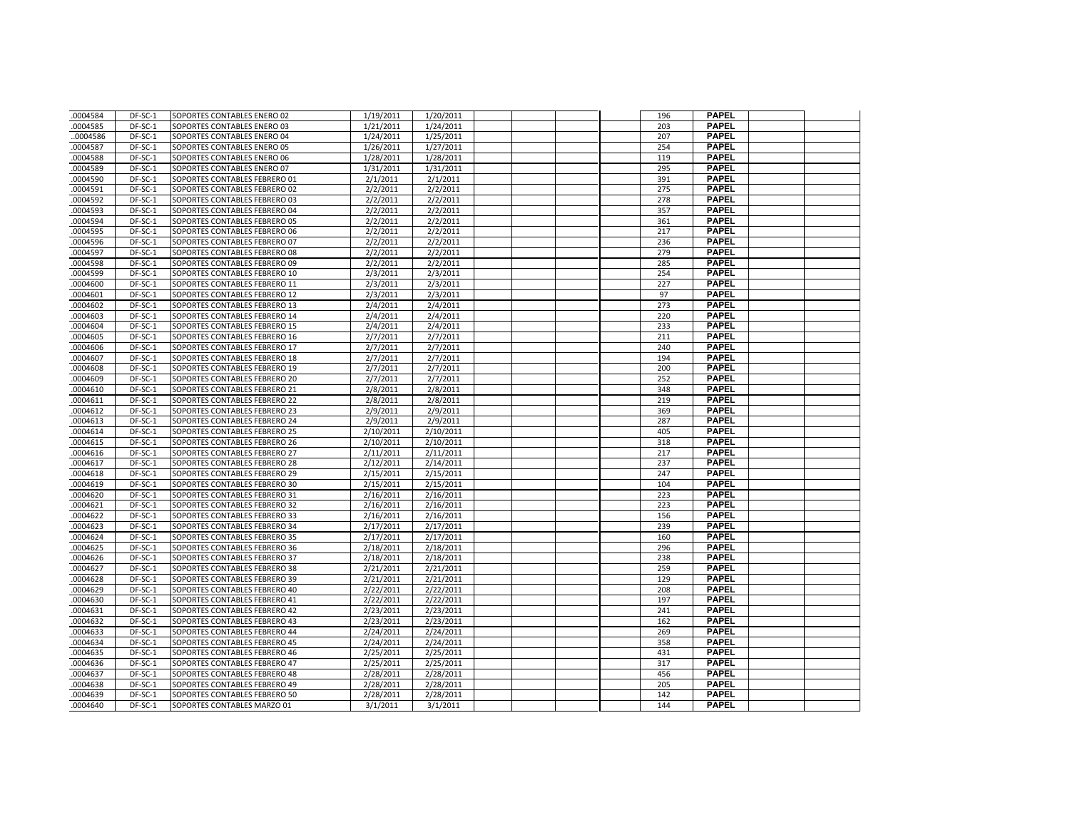| .0004584             | DF-SC-1            | SOPORTES CONTABLES ENERO 02                                    | 1/19/2011              | 1/20/2011              |  | 196        | <b>PAPEL</b>                 |  |
|----------------------|--------------------|----------------------------------------------------------------|------------------------|------------------------|--|------------|------------------------------|--|
| .0004585             | DF-SC-1            | SOPORTES CONTABLES ENERO 03                                    | 1/21/2011              | 1/24/2011              |  | 203        | <b>PAPEL</b>                 |  |
| .0004586             | DF-SC-1            | SOPORTES CONTABLES ENERO 04                                    | 1/24/2011              | 1/25/2011              |  | 207        | <b>PAPEL</b>                 |  |
| .0004587             | DF-SC-1            | SOPORTES CONTABLES ENERO 05                                    | 1/26/2011              | 1/27/2011              |  | 254        | <b>PAPEL</b>                 |  |
| .0004588             | DF-SC-1            | SOPORTES CONTABLES ENERO 06                                    | 1/28/2011              | 1/28/2011              |  | 119        | <b>PAPEL</b>                 |  |
| .0004589             | DF-SC-1            | SOPORTES CONTABLES ENERO 07                                    | 1/31/2011              | 1/31/2011              |  | 295        | <b>PAPEL</b>                 |  |
| .0004590             | DF-SC-1            | SOPORTES CONTABLES FEBRERO 01                                  | 2/1/2011               | 2/1/2011               |  | 391        | <b>PAPEL</b>                 |  |
| .0004591             | DF-SC-1            | SOPORTES CONTABLES FEBRERO 02                                  | 2/2/2011               | 2/2/2011               |  | 275        | <b>PAPEL</b>                 |  |
| .0004592             | DF-SC-1            | SOPORTES CONTABLES FEBRERO 03                                  | 2/2/2011               | 2/2/2011               |  | 278        | <b>PAPEL</b>                 |  |
| .0004593             | DF-SC-1            | SOPORTES CONTABLES FEBRERO 04                                  | 2/2/2011               | 2/2/2011               |  | 357        | <b>PAPEL</b>                 |  |
| .0004594             | DF-SC-1            | SOPORTES CONTABLES FEBRERO 05                                  | 2/2/2011               | 2/2/2011               |  | 361        | <b>PAPEL</b>                 |  |
| .0004595             | DF-SC-1            | SOPORTES CONTABLES FEBRERO 06                                  | 2/2/2011               | 2/2/2011               |  | 217        | <b>PAPEL</b>                 |  |
| .0004596             | DF-SC-1            | SOPORTES CONTABLES FEBRERO 07                                  | 2/2/2011               | 2/2/2011               |  | 236        | <b>PAPEL</b>                 |  |
| .0004597             | DF-SC-1            | SOPORTES CONTABLES FEBRERO 08                                  | 2/2/2011               | 2/2/2011               |  | 279        | <b>PAPEL</b>                 |  |
| .0004598             | DF-SC-1            | SOPORTES CONTABLES FEBRERO 09                                  | 2/2/2011               | 2/2/2011               |  | 285        | <b>PAPEL</b>                 |  |
| .0004599             | DF-SC-1            | SOPORTES CONTABLES FEBRERO 10                                  | 2/3/2011               | 2/3/2011               |  | 254        | <b>PAPEL</b>                 |  |
| .0004600             | DF-SC-1            | SOPORTES CONTABLES FEBRERO 11                                  | 2/3/2011               | 2/3/2011               |  | 227        | <b>PAPEL</b>                 |  |
| .0004601             | DF-SC-1            | SOPORTES CONTABLES FEBRERO 12                                  | 2/3/2011               | 2/3/2011               |  | 97         | <b>PAPEL</b>                 |  |
| .0004602             | DF-SC-1            | SOPORTES CONTABLES FEBRERO 13                                  | 2/4/2011               | 2/4/2011               |  | 273        | <b>PAPEL</b>                 |  |
| .0004603             | DF-SC-1            | SOPORTES CONTABLES FEBRERO 14                                  | 2/4/2011               | 2/4/2011               |  | 220        | <b>PAPEL</b>                 |  |
| 0004604              | DF-SC-1            | SOPORTES CONTABLES FEBRERO 15                                  | 2/4/2011               | 2/4/2011               |  | 233        | <b>PAPEL</b>                 |  |
| .0004605             | DF-SC-1            | SOPORTES CONTABLES FEBRERO 16                                  | 2/7/2011               | 2/7/2011               |  | 211        | <b>PAPEL</b>                 |  |
| .0004606             | DF-SC-1            | SOPORTES CONTABLES FEBRERO 17                                  | 2/7/2011               | 2/7/2011               |  | 240        | <b>PAPEL</b>                 |  |
| .0004607             | DF-SC-1            | SOPORTES CONTABLES FEBRERO 18                                  | 2/7/2011               | 2/7/2011               |  | 194        | <b>PAPEL</b>                 |  |
| .0004608             | DF-SC-1            | SOPORTES CONTABLES FEBRERO 19                                  | 2/7/2011               | 2/7/2011               |  | 200        | <b>PAPEL</b>                 |  |
| 0004609              | DF-SC-1            | SOPORTES CONTABLES FEBRERO 20                                  | 2/7/2011               | 2/7/2011               |  | 252        | <b>PAPEL</b>                 |  |
| .0004610             | DF-SC-1            | SOPORTES CONTABLES FEBRERO 21                                  | 2/8/2011               | 2/8/2011               |  | 348        | <b>PAPEL</b>                 |  |
| .0004611             | DF-SC-1            | SOPORTES CONTABLES FEBRERO 22                                  | 2/8/2011               | 2/8/2011               |  | 219        | <b>PAPEL</b>                 |  |
| 0004612              | DF-SC-1            | SOPORTES CONTABLES FEBRERO 23                                  | 2/9/2011               | 2/9/2011               |  | 369        | <b>PAPEL</b>                 |  |
| .0004613             | DF-SC-1            | SOPORTES CONTABLES FEBRERO 24                                  | 2/9/2011               | 2/9/2011               |  | 287        | <b>PAPEL</b>                 |  |
| .0004614             | DF-SC-1            | SOPORTES CONTABLES FEBRERO 25                                  | 2/10/2011              | 2/10/2011              |  | 405        | <b>PAPEL</b>                 |  |
| .0004615             | DF-SC-1            | SOPORTES CONTABLES FEBRERO 26                                  | 2/10/2011              | 2/10/2011              |  | 318        | <b>PAPEL</b>                 |  |
| .0004616             | DF-SC-1            | SOPORTES CONTABLES FEBRERO 27                                  | 2/11/2011              | 2/11/2011              |  | 217        | <b>PAPEL</b>                 |  |
| 0004617              | DF-SC-1            | SOPORTES CONTABLES FEBRERO 28                                  | 2/12/2011              | 2/14/2011              |  | 237        | <b>PAPEL</b>                 |  |
| .0004618             | DF-SC-1            | SOPORTES CONTABLES FEBRERO 29                                  | 2/15/2011              | 2/15/2011              |  | 247        | <b>PAPEL</b>                 |  |
| .0004619             | DF-SC-1            | SOPORTES CONTABLES FEBRERO 30                                  | 2/15/2011              | 2/15/2011              |  | 104        | <b>PAPEL</b>                 |  |
| .0004620             | DF-SC-1            | SOPORTES CONTABLES FEBRERO 31                                  | 2/16/2011              | 2/16/2011              |  | 223        | <b>PAPEL</b>                 |  |
| .0004621             | DF-SC-1            | SOPORTES CONTABLES FEBRERO 32                                  | 2/16/2011              | 2/16/2011              |  | 223        | <b>PAPEL</b>                 |  |
| 0004622              | DF-SC-1            | SOPORTES CONTABLES FEBRERO 33                                  | 2/16/2011              | 2/16/2011              |  | 156        | <b>PAPEL</b>                 |  |
| .0004623             | DF-SC-1            | SOPORTES CONTABLES FEBRERO 34                                  | 2/17/2011              | 2/17/2011              |  | 239        | <b>PAPEL</b>                 |  |
| .0004624             | DF-SC-1            | SOPORTES CONTABLES FEBRERO 35                                  | 2/17/2011              | 2/17/2011              |  | 160        | <b>PAPEL</b>                 |  |
| .0004625             | DF-SC-1            | SOPORTES CONTABLES FEBRERO 36                                  | 2/18/2011              | 2/18/2011              |  | 296        | <b>PAPEL</b>                 |  |
| .0004626             | DF-SC-1            | SOPORTES CONTABLES FEBRERO 37                                  | 2/18/2011              | 2/18/2011              |  | 238        | <b>PAPEL</b>                 |  |
| .0004627             | DF-SC-1            | SOPORTES CONTABLES FEBRERO 38                                  | 2/21/2011              | 2/21/2011              |  | 259        | <b>PAPEL</b>                 |  |
| .0004628             | DF-SC-1            | SOPORTES CONTABLES FEBRERO 39                                  | 2/21/2011              | 2/21/2011              |  | 129        | <b>PAPEL</b>                 |  |
| .0004629             | DF-SC-1            | SOPORTES CONTABLES FEBRERO 40                                  | 2/22/2011              | 2/22/2011              |  | 208        | <b>PAPEL</b>                 |  |
| 0004630              | DF-SC-1            | SOPORTES CONTABLES FEBRERO 41                                  | 2/22/2011              | 2/22/2011              |  | 197        | <b>PAPEL</b>                 |  |
| .0004631             | DF-SC-1            | SOPORTES CONTABLES FEBRERO 42                                  | 2/23/2011              | 2/23/2011              |  | 241        | <b>PAPEL</b>                 |  |
| .0004632             | DF-SC-1            | SOPORTES CONTABLES FEBRERO 43                                  | 2/23/2011              | 2/23/2011              |  | 162        | <b>PAPEL</b>                 |  |
| .0004633             | DF-SC-1            | SOPORTES CONTABLES FEBRERO 44                                  | 2/24/2011              | 2/24/2011              |  | 269        | <b>PAPEL</b><br><b>PAPEL</b> |  |
| .0004634             | DF-SC-1            | SOPORTES CONTABLES FEBRERO 45                                  | 2/24/2011              | 2/24/2011              |  | 358        | <b>PAPEL</b>                 |  |
| 0004635              | DF-SC-1            | SOPORTES CONTABLES FEBRERO 46                                  | 2/25/2011              | 2/25/2011              |  | 431        | <b>PAPEL</b>                 |  |
| .0004636             | DF-SC-1            | SOPORTES CONTABLES FEBRERO 47                                  | 2/25/2011              | 2/25/2011              |  | 317        | <b>PAPEL</b>                 |  |
| .0004637<br>.0004638 | DF-SC-1<br>DF-SC-1 | SOPORTES CONTABLES FEBRERO 48<br>SOPORTES CONTABLES FEBRERO 49 | 2/28/2011<br>2/28/2011 | 2/28/2011<br>2/28/2011 |  | 456<br>205 | <b>PAPEL</b>                 |  |
| .0004639             | DF-SC-1            | SOPORTES CONTABLES FEBRERO 50                                  | 2/28/2011              | 2/28/2011              |  | 142        | <b>PAPEL</b>                 |  |
| .0004640             | DF-SC-1            | SOPORTES CONTABLES MARZO 01                                    | 3/1/2011               | 3/1/2011               |  | 144        | <b>PAPEL</b>                 |  |
|                      |                    |                                                                |                        |                        |  |            |                              |  |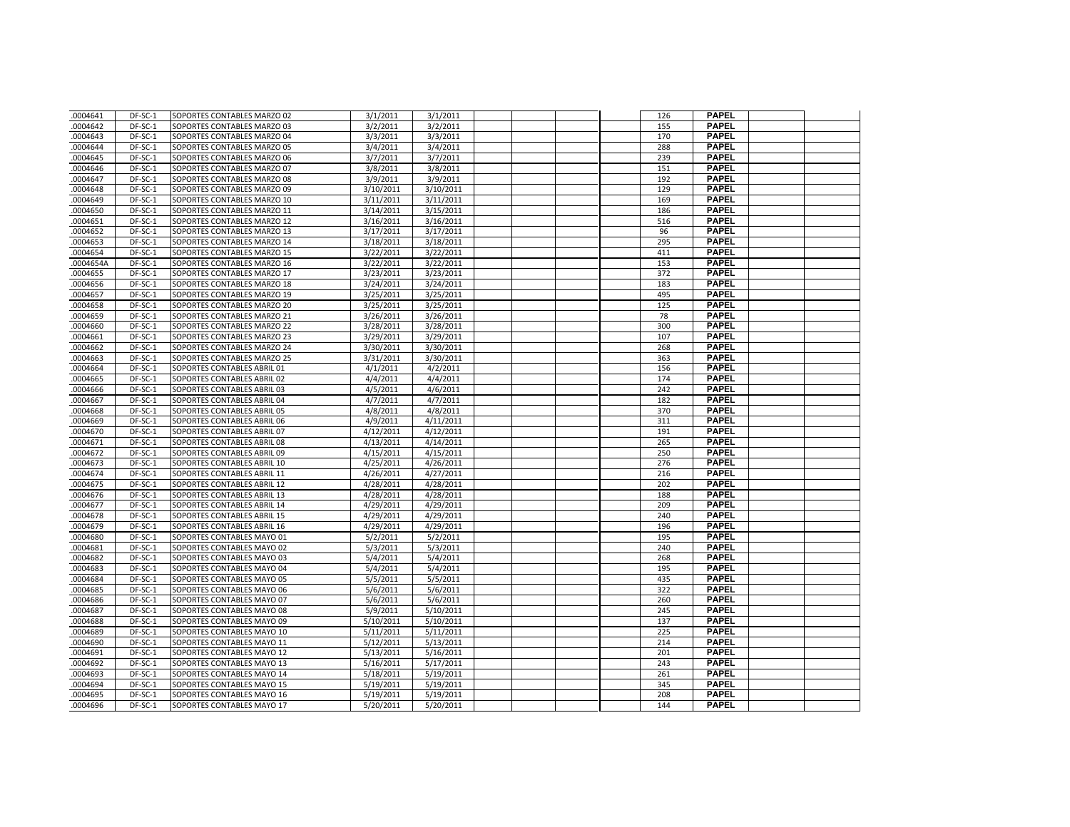| .0004641           | DF-SC-1            | SOPORTES CONTABLES MARZO 02                              | 3/1/2011               | 3/1/2011               |  | 126        | <b>PAPEL</b>                 |  |
|--------------------|--------------------|----------------------------------------------------------|------------------------|------------------------|--|------------|------------------------------|--|
| .0004642           | DF-SC-1            | SOPORTES CONTABLES MARZO 03                              | 3/2/2011               | 3/2/2011               |  | 155        | <b>PAPEL</b>                 |  |
| .0004643           | DF-SC-1            | SOPORTES CONTABLES MARZO 04                              | 3/3/2011               | 3/3/2011               |  | 170        | <b>PAPEL</b>                 |  |
| 0004644            | DF-SC-1            | SOPORTES CONTABLES MARZO 05                              | 3/4/2011               | 3/4/2011               |  | 288        | <b>PAPEL</b>                 |  |
| .0004645           | DF-SC-1            | SOPORTES CONTABLES MARZO 06                              | 3/7/2011               | 3/7/2011               |  | 239        | <b>PAPEL</b>                 |  |
| .0004646           | DF-SC-1            | SOPORTES CONTABLES MARZO 07                              | 3/8/2011               | 3/8/2011               |  | 151        | <b>PAPEL</b>                 |  |
| 0004647            | DF-SC-1            | SOPORTES CONTABLES MARZO 08                              | 3/9/2011               | 3/9/2011               |  | 192        | <b>PAPEL</b>                 |  |
| .0004648           | DF-SC-1            | SOPORTES CONTABLES MARZO 09                              | 3/10/2011              | 3/10/2011              |  | 129        | <b>PAPEL</b>                 |  |
| .0004649           | DF-SC-1            | SOPORTES CONTABLES MARZO 10                              | 3/11/2011              | 3/11/2011              |  | 169        | <b>PAPEL</b>                 |  |
| .0004650           | DF-SC-1            | SOPORTES CONTABLES MARZO 11                              | 3/14/2011              | 3/15/2011              |  | 186        | <b>PAPEL</b>                 |  |
| 0004651            | DF-SC-1            | SOPORTES CONTABLES MARZO 12                              | 3/16/2011              | 3/16/2011              |  | 516        | <b>PAPEL</b>                 |  |
| .0004652           | DF-SC-1            | SOPORTES CONTABLES MARZO 13                              | 3/17/2011              | 3/17/2011              |  | 96         | <b>PAPEL</b>                 |  |
| .0004653           | DF-SC-1            | SOPORTES CONTABLES MARZO 14                              | 3/18/2011              | 3/18/2011              |  | 295        | <b>PAPEL</b>                 |  |
| .0004654           | DF-SC-1            | SOPORTES CONTABLES MARZO 15                              | 3/22/2011              | 3/22/2011              |  | 411        | <b>PAPEL</b>                 |  |
| .0004654A          | DF-SC-1            | SOPORTES CONTABLES MARZO 16                              | 3/22/2011              | 3/22/2011              |  | 153        | <b>PAPEL</b>                 |  |
| 0004655            | DF-SC-1            | SOPORTES CONTABLES MARZO 17                              | 3/23/2011              | 3/23/2011              |  | 372        | <b>PAPEL</b>                 |  |
| .0004656           | DF-SC-1            | SOPORTES CONTABLES MARZO 18                              | 3/24/2011              | 3/24/2011              |  | 183        | <b>PAPEL</b>                 |  |
| .0004657           | DF-SC-1            | SOPORTES CONTABLES MARZO 19                              | 3/25/2011              | 3/25/2011              |  | 495        | <b>PAPEL</b>                 |  |
| 0004658            | DF-SC-1            | SOPORTES CONTABLES MARZO 20                              | 3/25/2011              | 3/25/2011              |  | 125        | <b>PAPEL</b>                 |  |
| .0004659           | DF-SC-1            | SOPORTES CONTABLES MARZO 21                              | 3/26/2011              | 3/26/2011              |  | 78         | <b>PAPEL</b>                 |  |
| 0004660            | DF-SC-1            | SOPORTES CONTABLES MARZO 22                              | 3/28/2011              | 3/28/2011              |  | 300        | <b>PAPEL</b>                 |  |
| .0004661           | DF-SC-1            | SOPORTES CONTABLES MARZO 23                              | 3/29/2011              | 3/29/2011              |  | 107        | <b>PAPEL</b>                 |  |
| .0004662           | DF-SC-1            | SOPORTES CONTABLES MARZO 24                              | 3/30/2011              | 3/30/2011              |  | 268        | <b>PAPEL</b>                 |  |
| 0004663            | DF-SC-1            | SOPORTES CONTABLES MARZO 25                              | 3/31/2011              | 3/30/2011              |  | 363        | <b>PAPEL</b>                 |  |
| .0004664           | DF-SC-1            | SOPORTES CONTABLES ABRIL 01                              | 4/1/2011               | 4/2/2011               |  | 156        | <b>PAPEL</b>                 |  |
| .0004665           | DF-SC-1            | SOPORTES CONTABLES ABRIL 02                              | 4/4/2011               | 4/4/2011               |  | 174        | <b>PAPEL</b>                 |  |
| .0004666           | DF-SC-1            | SOPORTES CONTABLES ABRIL 03                              | 4/5/2011               | 4/6/2011               |  | 242        | <b>PAPEL</b>                 |  |
| .0004667           | DF-SC-1            | SOPORTES CONTABLES ABRIL 04                              | 4/7/2011               | 4/7/2011               |  | 182        | <b>PAPEL</b>                 |  |
| 0004668            | DF-SC-1            | SOPORTES CONTABLES ABRIL 05                              | 4/8/2011               | 4/8/2011               |  | 370        | <b>PAPEL</b>                 |  |
| .0004669           | DF-SC-1            | SOPORTES CONTABLES ABRIL 06                              | 4/9/2011               | 4/11/2011              |  | 311        | <b>PAPEL</b>                 |  |
| .0004670           | DF-SC-1            | SOPORTES CONTABLES ABRIL 07                              | 4/12/2011              | 4/12/2011              |  | 191        | <b>PAPEL</b>                 |  |
| .0004671           | DF-SC-1            | SOPORTES CONTABLES ABRIL 08                              | 4/13/2011              | 4/14/2011              |  | 265        | <b>PAPEL</b>                 |  |
| .0004672           | DF-SC-1            | SOPORTES CONTABLES ABRIL 09                              | 4/15/2011              | 4/15/2011              |  | 250        | <b>PAPEL</b>                 |  |
| .0004673           | DF-SC-1            | SOPORTES CONTABLES ABRIL 10                              | 4/25/2011              | 4/26/2011              |  | 276        | <b>PAPEL</b>                 |  |
| .0004674           | DF-SC-1            | SOPORTES CONTABLES ABRIL 11                              | 4/26/2011              | 4/27/2011              |  | 216        | <b>PAPEL</b>                 |  |
| .0004675           | DF-SC-1            | SOPORTES CONTABLES ABRIL 12                              | 4/28/2011              | 4/28/2011              |  | 202        | <b>PAPEL</b>                 |  |
| .0004676           | DF-SC-1            | SOPORTES CONTABLES ABRIL 13                              | 4/28/2011              | 4/28/2011              |  | 188        | <b>PAPEL</b>                 |  |
| .0004677           | DF-SC-1            | SOPORTES CONTABLES ABRIL 14                              | 4/29/2011              | 4/29/2011              |  | 209        | <b>PAPEL</b>                 |  |
| 0004678            | DF-SC-1            | SOPORTES CONTABLES ABRIL 15                              | 4/29/2011              | 4/29/2011              |  | 240        | <b>PAPEL</b>                 |  |
| .0004679           | DF-SC-1            | SOPORTES CONTABLES ABRIL 16                              | 4/29/2011              | 4/29/2011              |  | 196        | <b>PAPEL</b>                 |  |
| .0004680           | DF-SC-1            | SOPORTES CONTABLES MAYO 01                               | 5/2/2011               | 5/2/2011               |  | 195        | <b>PAPEL</b>                 |  |
| 0004681            | DF-SC-1            | SOPORTES CONTABLES MAYO 02                               | 5/3/2011               | 5/3/2011               |  | 240        | <b>PAPEL</b>                 |  |
| .0004682           | DF-SC-1            | SOPORTES CONTABLES MAYO 03                               | 5/4/2011               | 5/4/2011               |  | 268        | <b>PAPEL</b>                 |  |
| .0004683           | DF-SC-1            | SOPORTES CONTABLES MAYO 04                               | 5/4/2011               | 5/4/2011               |  | 195        | <b>PAPEL</b>                 |  |
| .0004684           | DF-SC-1            | SOPORTES CONTABLES MAYO 05                               | 5/5/2011               | 5/5/2011               |  | 435        | <b>PAPEL</b>                 |  |
| .0004685           | DF-SC-1            | SOPORTES CONTABLES MAYO 06                               | 5/6/2011               | 5/6/2011               |  | 322        | <b>PAPEL</b>                 |  |
| 0004686            | DF-SC-1            | SOPORTES CONTABLES MAYO 07                               | 5/6/2011               | 5/6/2011               |  | 260        | <b>PAPEL</b>                 |  |
| .0004687           | DF-SC-1            | SOPORTES CONTABLES MAYO 08                               | 5/9/2011               | 5/10/2011              |  | 245        | <b>PAPEL</b>                 |  |
| 0004688            | DF-SC-1            | SOPORTES CONTABLES MAYO 09                               | 5/10/2011              | 5/10/2011              |  | 137        | <b>PAPEL</b>                 |  |
| .0004689           | DF-SC-1            | SOPORTES CONTABLES MAYO 10                               | 5/11/2011              | 5/11/2011              |  | 225        | <b>PAPEL</b>                 |  |
| .0004690           | DF-SC-1            | SOPORTES CONTABLES MAYO 11                               | 5/12/2011              | 5/13/2011              |  | 214        | <b>PAPEL</b><br><b>PAPEL</b> |  |
| 0004691            | DF-SC-1            | SOPORTES CONTABLES MAYO 12                               | 5/13/2011              | 5/16/2011              |  | 201        |                              |  |
| .0004692           | DF-SC-1            | SOPORTES CONTABLES MAYO 13                               | 5/16/2011              | 5/17/2011              |  | 243        | <b>PAPEL</b><br><b>PAPEL</b> |  |
| .0004693           | DF-SC-1<br>DF-SC-1 | SOPORTES CONTABLES MAYO 14                               | 5/18/2011              | 5/19/2011              |  | 261<br>345 | <b>PAPEL</b>                 |  |
| 0004694<br>0004695 | DF-SC-1            | SOPORTES CONTABLES MAYO 15<br>SOPORTES CONTABLES MAYO 16 | 5/19/2011              | 5/19/2011<br>5/19/2011 |  | 208        | <b>PAPEL</b>                 |  |
| .0004696           | DF-SC-1            |                                                          | 5/19/2011<br>5/20/2011 | 5/20/2011              |  | 144        | <b>PAPEL</b>                 |  |
|                    |                    | SOPORTES CONTABLES MAYO 17                               |                        |                        |  |            |                              |  |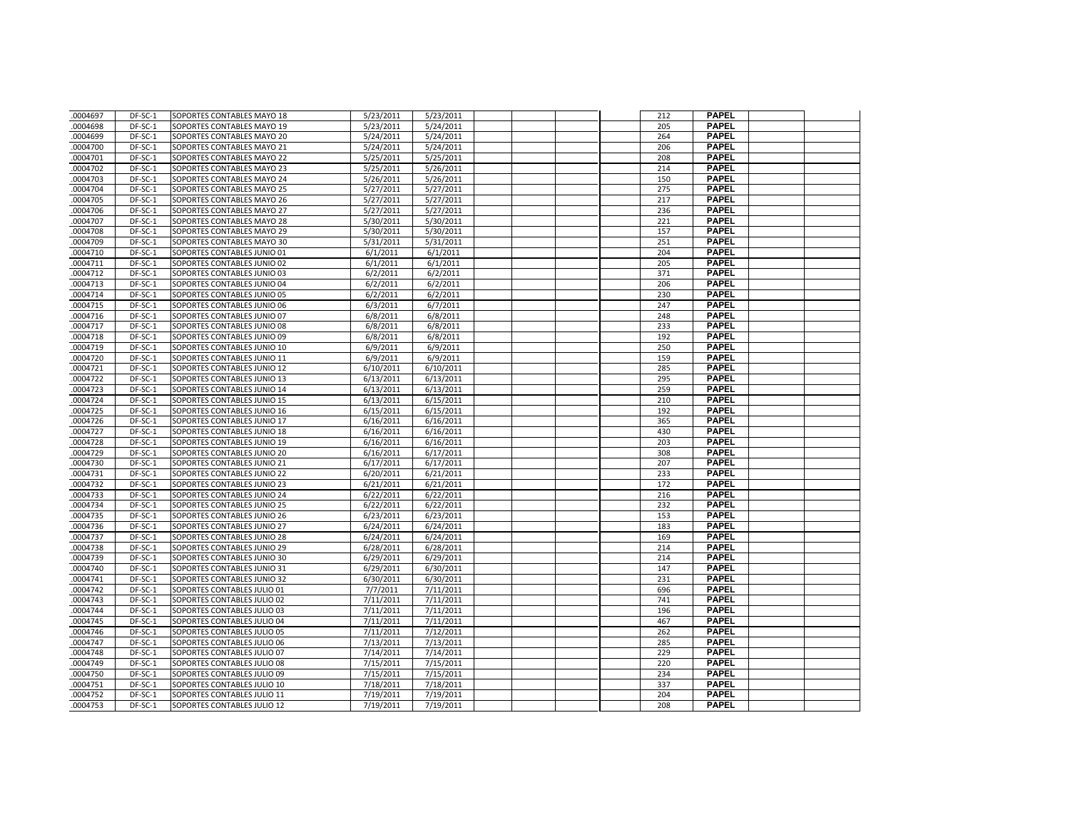| .0004697 | DF-SC-1   | SOPORTES CONTABLES MAYO 18  | 5/23/2011 | 5/23/2011 |  | 212 | <b>PAPEL</b> |  |
|----------|-----------|-----------------------------|-----------|-----------|--|-----|--------------|--|
| .0004698 | DF-SC-1   | SOPORTES CONTABLES MAYO 19  | 5/23/2011 | 5/24/2011 |  | 205 | <b>PAPEL</b> |  |
| 0004699  | DF-SC-1   | SOPORTES CONTABLES MAYO 20  | 5/24/2011 | 5/24/2011 |  | 264 | <b>PAPEL</b> |  |
| .0004700 | DF-SC-1   | SOPORTES CONTABLES MAYO 21  | 5/24/2011 | 5/24/2011 |  | 206 | <b>PAPEL</b> |  |
| .0004701 | DF-SC-1   | SOPORTES CONTABLES MAYO 22  | 5/25/2011 | 5/25/2011 |  | 208 | <b>PAPEL</b> |  |
| .0004702 | DF-SC-1   | SOPORTES CONTABLES MAYO 23  | 5/25/2011 | 5/26/2011 |  | 214 | <b>PAPEL</b> |  |
| .0004703 | DF-SC-1   | SOPORTES CONTABLES MAYO 24  | 5/26/2011 | 5/26/2011 |  | 150 | <b>PAPEL</b> |  |
| .0004704 | DF-SC-1   | SOPORTES CONTABLES MAYO 25  | 5/27/2011 | 5/27/2011 |  | 275 | <b>PAPEL</b> |  |
| .0004705 | DF-SC-1   | SOPORTES CONTABLES MAYO 26  | 5/27/2011 | 5/27/2011 |  | 217 | <b>PAPEL</b> |  |
| .0004706 | DF-SC-1   | SOPORTES CONTABLES MAYO 27  | 5/27/2011 | 5/27/2011 |  | 236 | <b>PAPEL</b> |  |
| .0004707 | DF-SC-1   | SOPORTES CONTABLES MAYO 28  | 5/30/2011 | 5/30/2011 |  | 221 | <b>PAPEL</b> |  |
| .0004708 | DF-SC-1   | SOPORTES CONTABLES MAYO 29  | 5/30/2011 | 5/30/2011 |  | 157 | <b>PAPEL</b> |  |
| .0004709 | DF-SC-1   | SOPORTES CONTABLES MAYO 30  | 5/31/2011 | 5/31/2011 |  | 251 | <b>PAPEL</b> |  |
| .0004710 | DF-SC-1   | SOPORTES CONTABLES JUNIO 01 | 6/1/2011  | 6/1/2011  |  | 204 | <b>PAPEL</b> |  |
| .0004711 | DF-SC-1   | SOPORTES CONTABLES JUNIO 02 | 6/1/2011  | 6/1/2011  |  | 205 | <b>PAPEL</b> |  |
| 0004712  | DF-SC-1   | SOPORTES CONTABLES JUNIO 03 | 6/2/2011  | 6/2/2011  |  | 371 | <b>PAPEL</b> |  |
| .0004713 | DF-SC-1   | SOPORTES CONTABLES JUNIO 04 | 6/2/2011  | 6/2/2011  |  | 206 | <b>PAPEL</b> |  |
| .0004714 | DF-SC-1   | SOPORTES CONTABLES JUNIO 05 | 6/2/2011  | 6/2/2011  |  | 230 | <b>PAPEL</b> |  |
| .0004715 | DF-SC-1   | SOPORTES CONTABLES JUNIO 06 | 6/3/2011  | 6/7/2011  |  | 247 | <b>PAPEL</b> |  |
| 0004716  | DF-SC-1   | SOPORTES CONTABLES JUNIO 07 | 6/8/2011  | 6/8/2011  |  | 248 | <b>PAPEL</b> |  |
| .0004717 | DF-SC-1   | SOPORTES CONTABLES JUNIO 08 | 6/8/2011  | 6/8/2011  |  | 233 | <b>PAPEL</b> |  |
| .0004718 | DF-SC-1   | SOPORTES CONTABLES JUNIO 09 | 6/8/2011  | 6/8/2011  |  | 192 | <b>PAPEL</b> |  |
| .0004719 | DF-SC-1   | SOPORTES CONTABLES JUNIO 10 | 6/9/2011  | 6/9/2011  |  | 250 | <b>PAPEL</b> |  |
| 0004720  | DF-SC-1   | SOPORTES CONTABLES JUNIO 11 | 6/9/2011  | 6/9/2011  |  | 159 | <b>PAPEL</b> |  |
| .0004721 | DF-SC-1   | SOPORTES CONTABLES JUNIO 12 | 6/10/2011 | 6/10/2011 |  | 285 | <b>PAPEL</b> |  |
| .0004722 | DF-SC-1   | SOPORTES CONTABLES JUNIO 13 | 6/13/2011 | 6/13/2011 |  | 295 | <b>PAPEL</b> |  |
| .0004723 | DF-SC-1   | SOPORTES CONTABLES JUNIO 14 | 6/13/2011 | 6/13/2011 |  | 259 | <b>PAPEL</b> |  |
| .0004724 | DF-SC-1   | SOPORTES CONTABLES JUNIO 15 | 6/13/2011 | 6/15/2011 |  | 210 | <b>PAPEL</b> |  |
| 0004725  | DF-SC-1   | SOPORTES CONTABLES JUNIO 16 | 6/15/2011 | 6/15/2011 |  | 192 | <b>PAPEL</b> |  |
| .0004726 | DF-SC-1   | SOPORTES CONTABLES JUNIO 17 | 6/16/2011 | 6/16/2011 |  | 365 | <b>PAPEL</b> |  |
| .0004727 | DF-SC-1   | SOPORTES CONTABLES JUNIO 18 | 6/16/2011 | 6/16/2011 |  | 430 | <b>PAPEL</b> |  |
| .0004728 | DF-SC-1   | SOPORTES CONTABLES JUNIO 19 | 6/16/2011 | 6/16/2011 |  | 203 | <b>PAPEL</b> |  |
| .0004729 | DF-SC-1   | SOPORTES CONTABLES JUNIO 20 | 6/16/2011 | 6/17/2011 |  | 308 | <b>PAPEL</b> |  |
| .0004730 | $DF-SC-1$ | SOPORTES CONTABLES JUNIO 21 | 6/17/2011 | 6/17/2011 |  | 207 | <b>PAPEL</b> |  |
| .0004731 | DF-SC-1   | SOPORTES CONTABLES JUNIO 22 | 6/20/2011 | 6/21/2011 |  | 233 | <b>PAPEL</b> |  |
| .0004732 | DF-SC-1   | SOPORTES CONTABLES JUNIO 23 | 6/21/2011 | 6/21/2011 |  | 172 | <b>PAPEL</b> |  |
| .0004733 | DF-SC-1   | SOPORTES CONTABLES JUNIO 24 | 6/22/2011 | 6/22/2011 |  | 216 | <b>PAPEL</b> |  |
| .0004734 | DF-SC-1   | SOPORTES CONTABLES JUNIO 25 | 6/22/2011 | 6/22/2011 |  | 232 | <b>PAPEL</b> |  |
| .0004735 | DF-SC-1   | SOPORTES CONTABLES JUNIO 26 | 6/23/2011 | 6/23/2011 |  | 153 | <b>PAPEL</b> |  |
| .0004736 | DF-SC-1   | SOPORTES CONTABLES JUNIO 27 | 6/24/2011 | 6/24/2011 |  | 183 | <b>PAPEL</b> |  |
| .0004737 | DF-SC-1   | SOPORTES CONTABLES JUNIO 28 | 6/24/2011 | 6/24/2011 |  | 169 | <b>PAPEL</b> |  |
| 0004738  | DF-SC-1   | SOPORTES CONTABLES JUNIO 29 | 6/28/2011 | 6/28/2011 |  | 214 | <b>PAPEL</b> |  |
| .0004739 | DF-SC-1   | SOPORTES CONTABLES JUNIO 30 | 6/29/2011 | 6/29/2011 |  | 214 | <b>PAPEL</b> |  |
| .0004740 | DF-SC-1   | SOPORTES CONTABLES JUNIO 31 | 6/29/2011 | 6/30/2011 |  | 147 | <b>PAPEL</b> |  |
| .0004741 | DF-SC-1   | SOPORTES CONTABLES JUNIO 32 | 6/30/2011 | 6/30/2011 |  | 231 | <b>PAPEL</b> |  |
| .0004742 | DF-SC-1   | SOPORTES CONTABLES JULIO 01 | 7/7/2011  | 7/11/2011 |  | 696 | <b>PAPEL</b> |  |
| .0004743 | DF-SC-1   | SOPORTES CONTABLES JULIO 02 | 7/11/2011 | 7/11/2011 |  | 741 | <b>PAPEL</b> |  |
| .0004744 | DF-SC-1   | SOPORTES CONTABLES JULIO 03 | 7/11/2011 | 7/11/2011 |  | 196 | <b>PAPEL</b> |  |
| .0004745 | DF-SC-1   | SOPORTES CONTABLES JULIO 04 | 7/11/2011 | 7/11/2011 |  | 467 | <b>PAPEL</b> |  |
| .0004746 | $DF-SC-1$ | SOPORTES CONTABLES JULIO 05 | 7/11/2011 | 7/12/2011 |  | 262 | <b>PAPEL</b> |  |
| .0004747 | DF-SC-1   | SOPORTES CONTABLES JULIO 06 | 7/13/2011 | 7/13/2011 |  | 285 | <b>PAPEL</b> |  |
| .0004748 | DF-SC-1   | SOPORTES CONTABLES JULIO 07 | 7/14/2011 | 7/14/2011 |  | 229 | <b>PAPEL</b> |  |
| .0004749 | DF-SC-1   | SOPORTES CONTABLES JULIO 08 | 7/15/2011 | 7/15/2011 |  | 220 | <b>PAPEL</b> |  |
| .0004750 | DF-SC-1   | SOPORTES CONTABLES JULIO 09 | 7/15/2011 | 7/15/2011 |  | 234 | <b>PAPEL</b> |  |
| 0004751  | DF-SC-1   | SOPORTES CONTABLES JULIO 10 | 7/18/2011 | 7/18/2011 |  | 337 | <b>PAPEL</b> |  |
| .0004752 | DF-SC-1   | SOPORTES CONTABLES JULIO 11 | 7/19/2011 | 7/19/2011 |  | 204 | <b>PAPEL</b> |  |
| .0004753 | DF-SC-1   | SOPORTES CONTABLES JULIO 12 | 7/19/2011 | 7/19/2011 |  | 208 | <b>PAPEL</b> |  |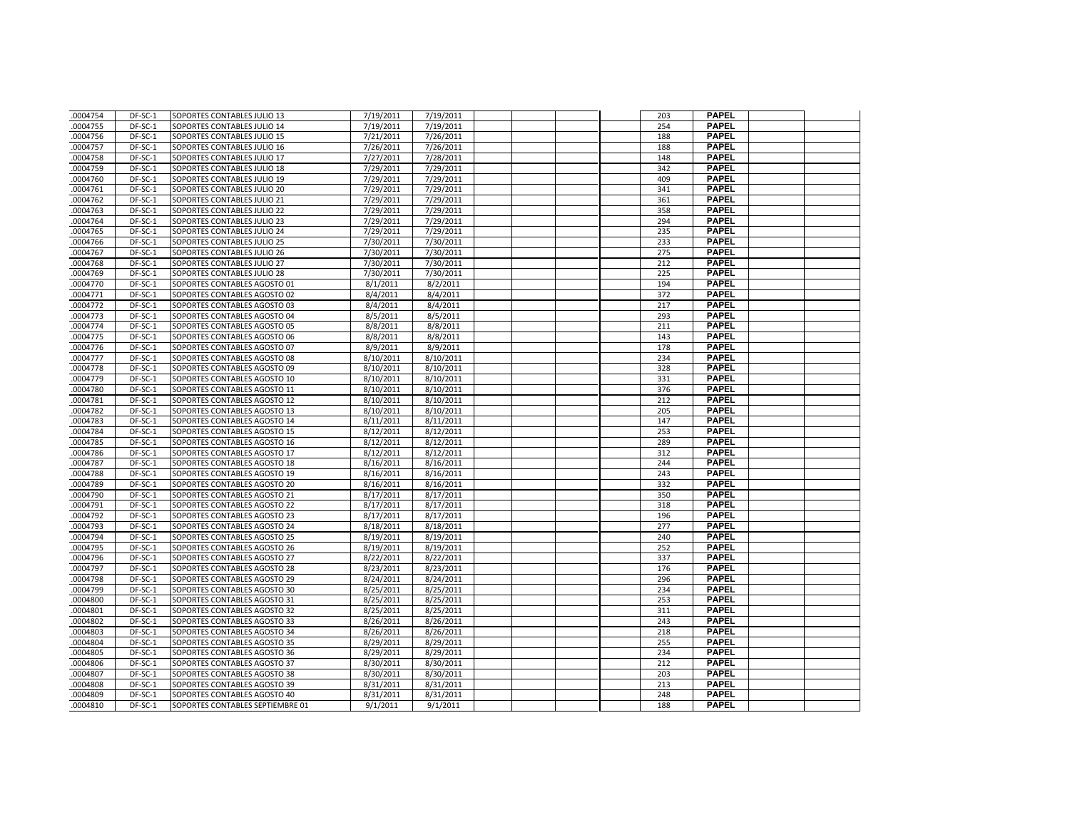| .0004754             | DF-SC-1            | SOPORTES CONTABLES JULIO 13                                  | 7/19/2011              | 7/19/2011              |  | 203        | <b>PAPEL</b>                 |  |
|----------------------|--------------------|--------------------------------------------------------------|------------------------|------------------------|--|------------|------------------------------|--|
| .0004755             | DF-SC-1            | SOPORTES CONTABLES JULIO 14                                  | 7/19/2011              | 7/19/2011              |  | 254        | <b>PAPEL</b>                 |  |
| .0004756             | DF-SC-1            | SOPORTES CONTABLES JULIO 15                                  | 7/21/2011              | 7/26/2011              |  | 188        | <b>PAPEL</b>                 |  |
| .0004757             | DF-SC-1            | SOPORTES CONTABLES JULIO 16                                  | 7/26/2011              | 7/26/2011              |  | 188        | <b>PAPEL</b>                 |  |
| .0004758             | DF-SC-1            | SOPORTES CONTABLES JULIO 17                                  | 7/27/2011              | 7/28/2011              |  | 148        | <b>PAPEL</b>                 |  |
| .0004759             | DF-SC-1            | SOPORTES CONTABLES JULIO 18                                  | 7/29/2011              | 7/29/2011              |  | 342        | <b>PAPEL</b>                 |  |
| .0004760             | DF-SC-1            | SOPORTES CONTABLES JULIO 19                                  | 7/29/2011              | 7/29/2011              |  | 409        | <b>PAPEL</b>                 |  |
| 0004761              | DF-SC-1            | SOPORTES CONTABLES JULIO 20                                  | 7/29/2011              | 7/29/2011              |  | 341        | <b>PAPEL</b>                 |  |
| .0004762             | DF-SC-1            | SOPORTES CONTABLES JULIO 21                                  | 7/29/2011              | 7/29/2011              |  | 361        | <b>PAPEL</b>                 |  |
| .0004763             | DF-SC-1            | SOPORTES CONTABLES JULIO 22                                  | 7/29/2011              | 7/29/2011              |  | 358        | <b>PAPEL</b>                 |  |
| .0004764             | DF-SC-1            | SOPORTES CONTABLES JULIO 23                                  | 7/29/2011              | 7/29/2011              |  | 294        | <b>PAPEL</b>                 |  |
| .0004765             | DF-SC-1            | SOPORTES CONTABLES JULIO 24                                  | 7/29/2011              | 7/29/2011              |  | 235        | <b>PAPEL</b>                 |  |
| 0004766              | DF-SC-1            | SOPORTES CONTABLES JULIO 25                                  | 7/30/2011              | 7/30/2011              |  | 233        | <b>PAPEL</b>                 |  |
| .0004767             | DF-SC-1            | SOPORTES CONTABLES JULIO 26                                  | 7/30/2011              | 7/30/2011              |  | 275        | <b>PAPEL</b>                 |  |
| .0004768             | DF-SC-1            | SOPORTES CONTABLES JULIO 27                                  | 7/30/2011              | 7/30/2011              |  | 212        | <b>PAPEL</b>                 |  |
| .0004769             | DF-SC-1            | SOPORTES CONTABLES JULIO 28                                  | 7/30/2011              | 7/30/2011              |  | 225        | <b>PAPEL</b>                 |  |
| .0004770             | DF-SC-1            | SOPORTES CONTABLES AGOSTO 01                                 | 8/1/2011               | 8/2/2011               |  | 194        | <b>PAPEL</b>                 |  |
| .0004771             | DF-SC-1            | SOPORTES CONTABLES AGOSTO 02                                 | 8/4/2011               | 8/4/2011               |  | 372        | <b>PAPEL</b>                 |  |
| .0004772             | DF-SC-1            | SOPORTES CONTABLES AGOSTO 03                                 | 8/4/2011               | 8/4/2011               |  | 217        | <b>PAPEL</b>                 |  |
| .0004773             | DF-SC-1            | SOPORTES CONTABLES AGOSTO 04                                 | 8/5/2011               | 8/5/2011               |  | 293        | <b>PAPEL</b>                 |  |
| .0004774             | DF-SC-1            | SOPORTES CONTABLES AGOSTO 05                                 | 8/8/2011               | 8/8/2011               |  | 211        | <b>PAPEL</b>                 |  |
| .0004775             | DF-SC-1            | SOPORTES CONTABLES AGOSTO 06                                 | 8/8/2011               | 8/8/2011               |  | 143        | <b>PAPEL</b>                 |  |
| .0004776             | DF-SC-1            | SOPORTES CONTABLES AGOSTO 07                                 | 8/9/2011               | 8/9/2011               |  | 178        | <b>PAPEL</b>                 |  |
| .0004777             | DF-SC-1            | SOPORTES CONTABLES AGOSTO 08                                 | 8/10/2011              | 8/10/2011              |  | 234        | <b>PAPEL</b>                 |  |
| .0004778             | DF-SC-1            | SOPORTES CONTABLES AGOSTO 09                                 | 8/10/2011              | 8/10/2011              |  | 328        | <b>PAPEL</b>                 |  |
| 0004779              | DF-SC-1            | SOPORTES CONTABLES AGOSTO 10                                 | 8/10/2011              | 8/10/2011              |  | 331        | <b>PAPEL</b>                 |  |
| .0004780             | DF-SC-1            | SOPORTES CONTABLES AGOSTO 11                                 | 8/10/2011              | 8/10/2011              |  | 376        | <b>PAPEL</b>                 |  |
| 0004781              | DF-SC-1            | SOPORTES CONTABLES AGOSTO 12                                 | 8/10/2011              | 8/10/2011              |  | 212        | <b>PAPEL</b>                 |  |
| 0004782              | DF-SC-1            | SOPORTES CONTABLES AGOSTO 13                                 | 8/10/2011              | 8/10/2011              |  | 205        | <b>PAPEL</b>                 |  |
| .0004783             | DF-SC-1            | SOPORTES CONTABLES AGOSTO 14                                 | 8/11/2011              | 8/11/2011              |  | 147        | <b>PAPEL</b>                 |  |
| .0004784             | DF-SC-1            | SOPORTES CONTABLES AGOSTO 15                                 | 8/12/2011              | 8/12/2011              |  | 253        | <b>PAPEL</b>                 |  |
| .0004785             | DF-SC-1            | SOPORTES CONTABLES AGOSTO 16                                 | 8/12/2011              | 8/12/2011              |  | 289        | <b>PAPEL</b>                 |  |
| .0004786             | DF-SC-1            | SOPORTES CONTABLES AGOSTO 17                                 | 8/12/2011              | 8/12/2011              |  | 312        | <b>PAPEL</b>                 |  |
| 0004787              | DF-SC-1            | SOPORTES CONTABLES AGOSTO 18                                 | 8/16/2011              | 8/16/2011              |  | 244        | <b>PAPEL</b>                 |  |
| .0004788             | DF-SC-1            | SOPORTES CONTABLES AGOSTO 19                                 | 8/16/2011              | 8/16/2011              |  | 243        | <b>PAPEL</b>                 |  |
| .0004789             | DF-SC-1            | SOPORTES CONTABLES AGOSTO 20                                 | 8/16/2011              | 8/16/2011              |  | 332        | <b>PAPEL</b>                 |  |
| .0004790             | DF-SC-1            | SOPORTES CONTABLES AGOSTO 21                                 | 8/17/2011              | 8/17/2011              |  | 350        | <b>PAPEL</b>                 |  |
| .0004791             | DF-SC-1            | SOPORTES CONTABLES AGOSTO 22                                 | 8/17/2011              | 8/17/2011              |  | 318        | <b>PAPEL</b>                 |  |
| 0004792              | DF-SC-1            | SOPORTES CONTABLES AGOSTO 23                                 | 8/17/2011              | 8/17/2011              |  | 196        | <b>PAPEL</b>                 |  |
| .0004793             | DF-SC-1            | SOPORTES CONTABLES AGOSTO 24                                 | 8/18/2011              | 8/18/2011              |  | 277        | <b>PAPEL</b>                 |  |
| .0004794             | DF-SC-1            | SOPORTES CONTABLES AGOSTO 25                                 | 8/19/2011              | 8/19/2011              |  | 240        | <b>PAPEL</b>                 |  |
| .0004795             | DF-SC-1            | SOPORTES CONTABLES AGOSTO 26                                 | 8/19/2011              | 8/19/2011              |  | 252        | <b>PAPEL</b>                 |  |
| .0004796             | DF-SC-1            | SOPORTES CONTABLES AGOSTO 27                                 | 8/22/2011              | 8/22/2011              |  | 337        | <b>PAPEL</b>                 |  |
| .0004797             | DF-SC-1            | SOPORTES CONTABLES AGOSTO 28                                 | 8/23/2011              | 8/23/2011              |  | 176        | <b>PAPEL</b>                 |  |
| .0004798             | DF-SC-1            | SOPORTES CONTABLES AGOSTO 29                                 | 8/24/2011              | 8/24/2011              |  | 296        | <b>PAPEL</b>                 |  |
| .0004799             | DF-SC-1            | SOPORTES CONTABLES AGOSTO 30                                 | 8/25/2011              | 8/25/2011              |  | 234        | <b>PAPEL</b>                 |  |
| 0004800              | DF-SC-1            | SOPORTES CONTABLES AGOSTO 31                                 | 8/25/2011              | 8/25/2011              |  | 253        | <b>PAPEL</b>                 |  |
| .0004801             | DF-SC-1            | SOPORTES CONTABLES AGOSTO 32                                 | 8/25/2011              | 8/25/2011              |  | 311        | <b>PAPEL</b>                 |  |
| .0004802             | DF-SC-1            | SOPORTES CONTABLES AGOSTO 33                                 | 8/26/2011              | 8/26/2011              |  | 243        | <b>PAPEL</b>                 |  |
| .0004803             | DF-SC-1            | SOPORTES CONTABLES AGOSTO 34                                 | 8/26/2011              | 8/26/2011              |  | 218        | <b>PAPEL</b>                 |  |
| .0004804             | DF-SC-1            | SOPORTES CONTABLES AGOSTO 35                                 | 8/29/2011              | 8/29/2011              |  | 255        | <b>PAPEL</b><br><b>PAPEL</b> |  |
| 0004805              | DF-SC-1            | SOPORTES CONTABLES AGOSTO 36                                 | 8/29/2011              | 8/29/2011              |  | 234        | <b>PAPEL</b>                 |  |
| .0004806             | DF-SC-1            | SOPORTES CONTABLES AGOSTO 37                                 | 8/30/2011              | 8/30/2011              |  | 212        | <b>PAPEL</b>                 |  |
| .0004807<br>.0004808 | DF-SC-1<br>DF-SC-1 | SOPORTES CONTABLES AGOSTO 38<br>SOPORTES CONTABLES AGOSTO 39 | 8/30/2011<br>8/31/2011 | 8/30/2011<br>8/31/2011 |  | 203<br>213 | <b>PAPEL</b>                 |  |
| 0004809              | DF-SC-1            | SOPORTES CONTABLES AGOSTO 40                                 | 8/31/2011              | 8/31/2011              |  | 248        | <b>PAPEL</b>                 |  |
| .0004810             | DF-SC-1            | SOPORTES CONTABLES SEPTIEMBRE 01                             | 9/1/2011               | 9/1/2011               |  | 188        | <b>PAPEL</b>                 |  |
|                      |                    |                                                              |                        |                        |  |            |                              |  |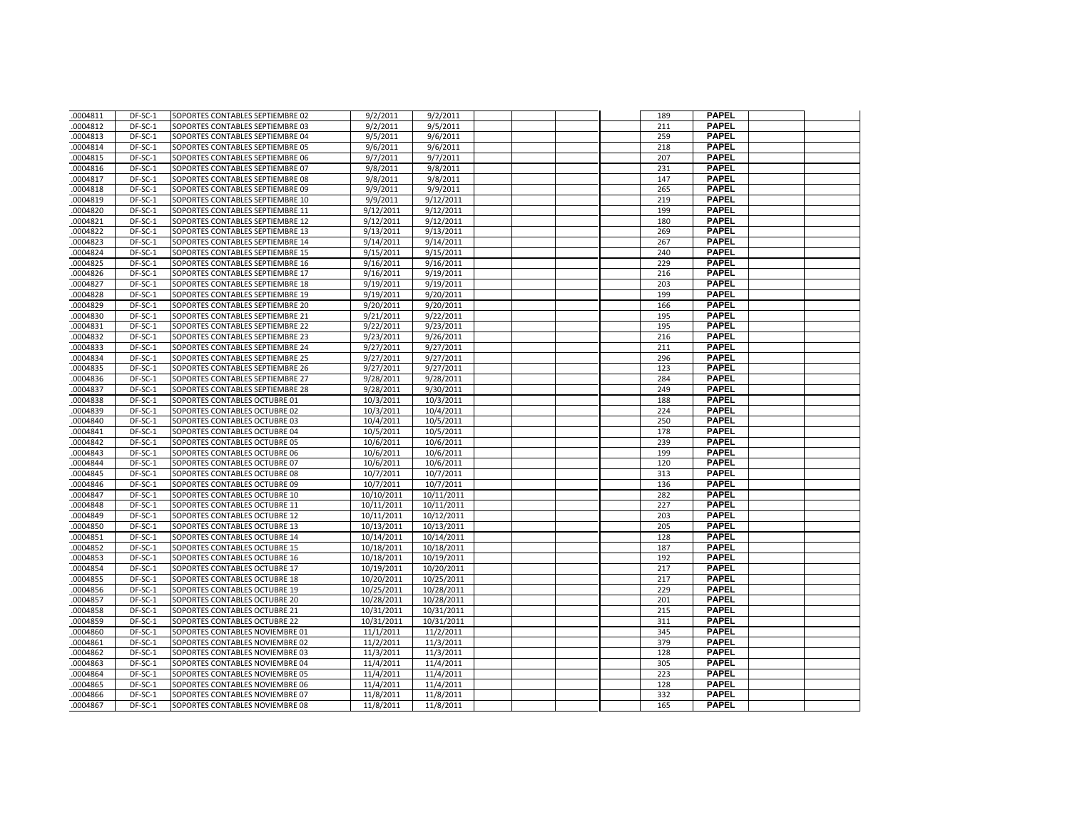| .0004811 | DF-SC-1 | SOPORTES CONTABLES SEPTIEMBRE 02 | 9/2/2011   | 9/2/2011               |  | 189 | <b>PAPEL</b> |  |
|----------|---------|----------------------------------|------------|------------------------|--|-----|--------------|--|
| .0004812 | DF-SC-1 | SOPORTES CONTABLES SEPTIEMBRE 03 | 9/2/2011   | 9/5/2011               |  | 211 | <b>PAPEL</b> |  |
| .0004813 | DF-SC-1 | SOPORTES CONTABLES SEPTIEMBRE 04 | 9/5/2011   | 9/6/2011               |  | 259 | <b>PAPEL</b> |  |
| 0004814  | DF-SC-1 | SOPORTES CONTABLES SEPTIEMBRE 05 | 9/6/2011   | 9/6/2011               |  | 218 | <b>PAPEL</b> |  |
| .0004815 | DF-SC-1 | SOPORTES CONTABLES SEPTIEMBRE 06 | 9/7/2011   | 9/7/2011               |  | 207 | <b>PAPEL</b> |  |
| 0004816  | DF-SC-1 | SOPORTES CONTABLES SEPTIEMBRE 07 | 9/8/2011   | 9/8/2011               |  | 231 | <b>PAPEL</b> |  |
| .0004817 | DF-SC-1 | SOPORTES CONTABLES SEPTIEMBRE 08 | 9/8/2011   | 9/8/2011               |  | 147 | <b>PAPEL</b> |  |
| .0004818 | DF-SC-1 | SOPORTES CONTABLES SEPTIEMBRE 09 | 9/9/2011   | 9/9/2011               |  | 265 | <b>PAPEL</b> |  |
| .0004819 | DF-SC-1 | SOPORTES CONTABLES SEPTIEMBRE 10 | 9/9/2011   | 9/12/2011              |  | 219 | <b>PAPEL</b> |  |
| .0004820 | DF-SC-1 | SOPORTES CONTABLES SEPTIEMBRE 11 | 9/12/2011  | 9/12/2011              |  | 199 | <b>PAPEL</b> |  |
| .0004821 | DF-SC-1 | SOPORTES CONTABLES SEPTIEMBRE 12 | 9/12/2011  | 9/12/2011              |  | 180 | <b>PAPEL</b> |  |
| .0004822 | DF-SC-1 | SOPORTES CONTABLES SEPTIEMBRE 13 | 9/13/2011  | 9/13/2011              |  | 269 | <b>PAPEL</b> |  |
| .0004823 | DF-SC-1 | SOPORTES CONTABLES SEPTIEMBRE 14 | 9/14/2011  | 9/14/2011              |  | 267 | <b>PAPEL</b> |  |
| 0004824  | DF-SC-1 | SOPORTES CONTABLES SEPTIEMBRE 15 | 9/15/2011  | 9/15/2011              |  | 240 | <b>PAPEL</b> |  |
| .0004825 | DF-SC-1 | SOPORTES CONTABLES SEPTIEMBRE 16 | 9/16/2011  | 9/16/2011              |  | 229 | <b>PAPEL</b> |  |
| .0004826 | DF-SC-1 | SOPORTES CONTABLES SEPTIEMBRE 17 | 9/16/2011  | 9/19/2011              |  | 216 | <b>PAPEL</b> |  |
| .0004827 | DF-SC-1 | SOPORTES CONTABLES SEPTIEMBRE 18 | 9/19/2011  | 9/19/2011              |  | 203 | <b>PAPEL</b> |  |
| .0004828 | DF-SC-1 | SOPORTES CONTABLES SEPTIEMBRE 19 | 9/19/2011  | 9/20/2011              |  | 199 | <b>PAPEL</b> |  |
| .0004829 | DF-SC-1 | SOPORTES CONTABLES SEPTIEMBRE 20 | 9/20/2011  |                        |  | 166 | <b>PAPEL</b> |  |
| .0004830 | DF-SC-1 | SOPORTES CONTABLES SEPTIEMBRE 21 | 9/21/2011  | 9/20/2011<br>9/22/2011 |  | 195 | <b>PAPEL</b> |  |
| .0004831 | DF-SC-1 | SOPORTES CONTABLES SEPTIEMBRE 22 | 9/22/2011  | 9/23/2011              |  | 195 | <b>PAPEL</b> |  |
|          |         |                                  |            |                        |  | 216 | <b>PAPEL</b> |  |
| .0004832 | DF-SC-1 | SOPORTES CONTABLES SEPTIEMBRE 23 | 9/23/2011  | 9/26/2011              |  |     |              |  |
| .0004833 | DF-SC-1 | SOPORTES CONTABLES SEPTIEMBRE 24 | 9/27/2011  | 9/27/2011              |  | 211 | <b>PAPEL</b> |  |
| .0004834 | DF-SC-1 | SOPORTES CONTABLES SEPTIEMBRE 25 | 9/27/2011  | 9/27/2011              |  | 296 | <b>PAPEL</b> |  |
| .0004835 | DF-SC-1 | SOPORTES CONTABLES SEPTIEMBRE 26 | 9/27/2011  | 9/27/2011              |  | 123 | <b>PAPEL</b> |  |
| .0004836 | DF-SC-1 | SOPORTES CONTABLES SEPTIEMBRE 27 | 9/28/2011  | 9/28/2011              |  | 284 | <b>PAPEL</b> |  |
| .0004837 | DF-SC-1 | SOPORTES CONTABLES SEPTIEMBRE 28 | 9/28/2011  | 9/30/2011              |  | 249 | <b>PAPEL</b> |  |
| .0004838 | DF-SC-1 | SOPORTES CONTABLES OCTUBRE 01    | 10/3/2011  | 10/3/2011              |  | 188 | <b>PAPEL</b> |  |
| .0004839 | DF-SC-1 | SOPORTES CONTABLES OCTUBRE 02    | 10/3/2011  | 10/4/2011              |  | 224 | <b>PAPEL</b> |  |
| .0004840 | DF-SC-1 | SOPORTES CONTABLES OCTUBRE 03    | 10/4/2011  | 10/5/2011              |  | 250 | <b>PAPEL</b> |  |
| .0004841 | DF-SC-1 | SOPORTES CONTABLES OCTUBRE 04    | 10/5/2011  | 10/5/2011              |  | 178 | <b>PAPEL</b> |  |
| .0004842 | DF-SC-1 | SOPORTES CONTABLES OCTUBRE 05    | 10/6/2011  | 10/6/2011              |  | 239 | <b>PAPEL</b> |  |
| .0004843 | DF-SC-1 | SOPORTES CONTABLES OCTUBRE 06    | 10/6/2011  | 10/6/2011              |  | 199 | <b>PAPEL</b> |  |
| .0004844 | DF-SC-1 | SOPORTES CONTABLES OCTUBRE 07    | 10/6/2011  | 10/6/2011              |  | 120 | <b>PAPEL</b> |  |
| .0004845 | DF-SC-1 | SOPORTES CONTABLES OCTUBRE 08    | 10/7/2011  | 10/7/2011              |  | 313 | <b>PAPEL</b> |  |
| .0004846 | DF-SC-1 | SOPORTES CONTABLES OCTUBRE 09    | 10/7/2011  | 10/7/2011              |  | 136 | PAPEL        |  |
| .0004847 | DF-SC-1 | SOPORTES CONTABLES OCTUBRE 10    | 10/10/2011 | 10/11/2011             |  | 282 | <b>PAPEL</b> |  |
| .0004848 | DF-SC-1 | SOPORTES CONTABLES OCTUBRE 11    | 10/11/2011 | 10/11/2011             |  | 227 | <b>PAPEL</b> |  |
| 0004849  | DF-SC-1 | SOPORTES CONTABLES OCTUBRE 12    | 10/11/2011 | 10/12/2011             |  | 203 | <b>PAPEL</b> |  |
| .0004850 | DF-SC-1 | SOPORTES CONTABLES OCTUBRE 13    | 10/13/2011 | 10/13/2011             |  | 205 | <b>PAPEL</b> |  |
| .0004851 | DF-SC-1 | SOPORTES CONTABLES OCTUBRE 14    | 10/14/2011 | 10/14/2011             |  | 128 | <b>PAPEL</b> |  |
| 0004852  | DF-SC-1 | SOPORTES CONTABLES OCTUBRE 15    | 10/18/2011 | 10/18/2011             |  | 187 | <b>PAPEL</b> |  |
| .0004853 | DF-SC-1 | SOPORTES CONTABLES OCTUBRE 16    | 10/18/2011 | 10/19/2011             |  | 192 | <b>PAPEL</b> |  |
| .0004854 | DF-SC-1 | SOPORTES CONTABLES OCTUBRE 17    | 10/19/2011 | 10/20/2011             |  | 217 | <b>PAPEL</b> |  |
| .0004855 | DF-SC-1 | SOPORTES CONTABLES OCTUBRE 18    | 10/20/2011 | 10/25/2011             |  | 217 | <b>PAPEL</b> |  |
| .0004856 | DF-SC-1 | SOPORTES CONTABLES OCTUBRE 19    | 10/25/2011 | 10/28/2011             |  | 229 | <b>PAPEL</b> |  |
| .0004857 | DF-SC-1 | SOPORTES CONTABLES OCTUBRE 20    | 10/28/2011 | 10/28/2011             |  | 201 | <b>PAPEL</b> |  |
| .0004858 | DF-SC-1 | SOPORTES CONTABLES OCTUBRE 21    | 10/31/2011 | 10/31/2011             |  | 215 | <b>PAPEL</b> |  |
| .0004859 | DF-SC-1 | SOPORTES CONTABLES OCTUBRE 22    | 10/31/2011 | 10/31/2011             |  | 311 | <b>PAPEL</b> |  |
| .0004860 | DF-SC-1 | SOPORTES CONTABLES NOVIEMBRE 01  | 11/1/2011  | 11/2/2011              |  | 345 | <b>PAPEL</b> |  |
| .0004861 | DF-SC-1 | SOPORTES CONTABLES NOVIEMBRE 02  | 11/2/2011  | 11/3/2011              |  | 379 | <b>PAPEL</b> |  |
| 0004862  | DF-SC-1 | SOPORTES CONTABLES NOVIEMBRE 03  | 11/3/2011  | 11/3/2011              |  | 128 | <b>PAPEL</b> |  |
| .0004863 | DF-SC-1 | SOPORTES CONTABLES NOVIEMBRE 04  | 11/4/2011  | 11/4/2011              |  | 305 | <b>PAPEL</b> |  |
| .0004864 | DF-SC-1 | SOPORTES CONTABLES NOVIEMBRE 05  | 11/4/2011  | 11/4/2011              |  | 223 | <b>PAPEL</b> |  |
| .0004865 | DF-SC-1 | SOPORTES CONTABLES NOVIEMBRE 06  | 11/4/2011  | 11/4/2011              |  | 128 | PAPEL        |  |
| .0004866 | DF-SC-1 | SOPORTES CONTABLES NOVIEMBRE 07  | 11/8/2011  | 11/8/2011              |  | 332 | <b>PAPEL</b> |  |
| .0004867 | DF-SC-1 | SOPORTES CONTABLES NOVIEMBRE 08  | 11/8/2011  | 11/8/2011              |  | 165 | <b>PAPEL</b> |  |
|          |         |                                  |            |                        |  |     |              |  |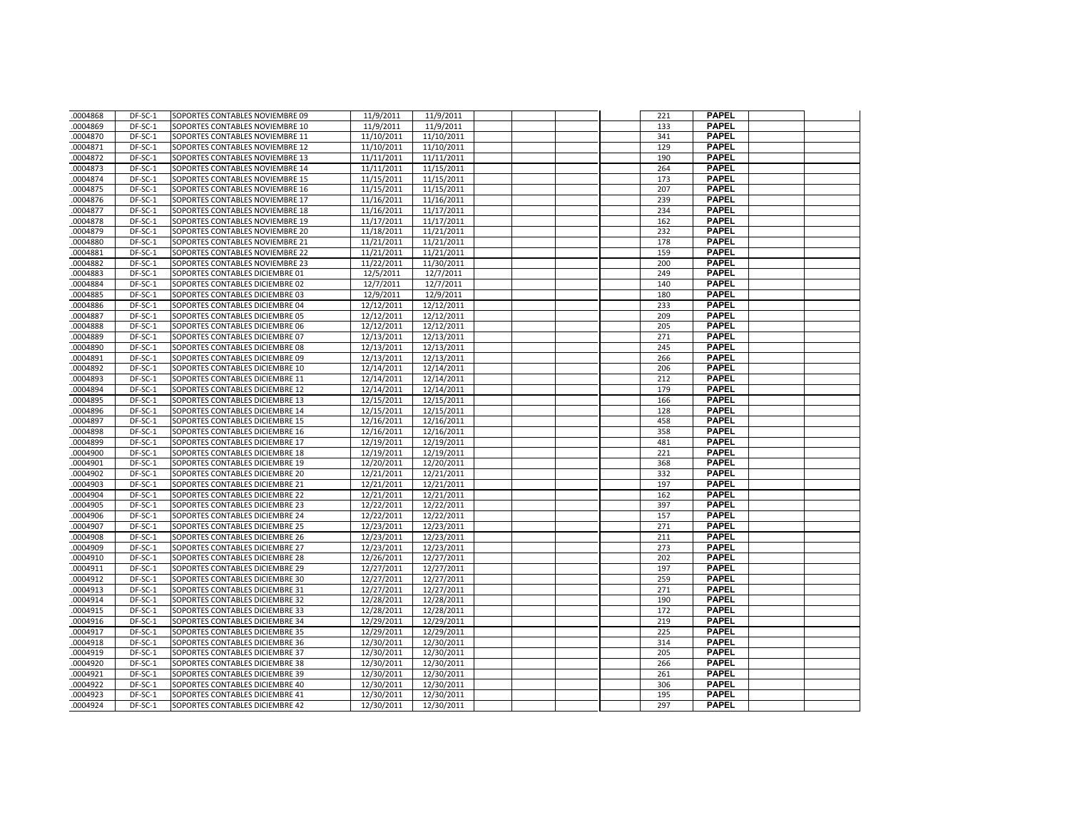| 0004868  | DF-SC-1   | SOPORTES CONTABLES NOVIEMBRE 09 | 11/9/2011  | 11/9/2011  |  | 221 | <b>PAPEL</b>                 |  |
|----------|-----------|---------------------------------|------------|------------|--|-----|------------------------------|--|
| .0004869 | DF-SC-1   | SOPORTES CONTABLES NOVIEMBRE 10 | 11/9/2011  | 11/9/2011  |  | 133 | <b>PAPEL</b>                 |  |
| .0004870 | DF-SC-1   | SOPORTES CONTABLES NOVIEMBRE 11 | 11/10/2011 | 11/10/2011 |  | 341 | <b>PAPEL</b>                 |  |
| 0004871  | DF-SC-1   | SOPORTES CONTABLES NOVIEMBRE 12 | 11/10/2011 | 11/10/2011 |  | 129 | <b>PAPEL</b>                 |  |
| .0004872 | DF-SC-1   | SOPORTES CONTABLES NOVIEMBRE 13 | 11/11/2011 | 11/11/2011 |  | 190 | <b>PAPEL</b>                 |  |
| .0004873 | DF-SC-1   | SOPORTES CONTABLES NOVIEMBRE 14 | 11/11/2011 | 11/15/2011 |  | 264 | <b>PAPEL</b>                 |  |
| .0004874 | DF-SC-1   | SOPORTES CONTABLES NOVIEMBRE 15 | 11/15/2011 | 11/15/2011 |  | 173 | <b>PAPEL</b>                 |  |
| .0004875 | DF-SC-1   | SOPORTES CONTABLES NOVIEMBRE 16 | 11/15/2011 | 11/15/2011 |  | 207 | <b>PAPEL</b>                 |  |
| .0004876 | DF-SC-1   | SOPORTES CONTABLES NOVIEMBRE 17 | 11/16/2011 | 11/16/2011 |  | 239 | <b>PAPEL</b>                 |  |
| .0004877 | DF-SC-1   | SOPORTES CONTABLES NOVIEMBRE 18 | 11/16/2011 | 11/17/2011 |  | 234 | <b>PAPEL</b>                 |  |
| 0004878  | DF-SC-1   | SOPORTES CONTABLES NOVIEMBRE 19 | 11/17/2011 | 11/17/2011 |  | 162 | <b>PAPEL</b>                 |  |
| .0004879 | DF-SC-1   | SOPORTES CONTABLES NOVIEMBRE 20 | 11/18/2011 | 11/21/2011 |  | 232 | <b>PAPEL</b>                 |  |
| .0004880 | DF-SC-1   | SOPORTES CONTABLES NOVIEMBRE 21 | 11/21/2011 | 11/21/2011 |  | 178 | <b>PAPEL</b>                 |  |
| 0004881  | DF-SC-1   | SOPORTES CONTABLES NOVIEMBRE 22 | 11/21/2011 | 11/21/2011 |  | 159 | <b>PAPEL</b>                 |  |
| .0004882 | DF-SC-1   | SOPORTES CONTABLES NOVIEMBRE 23 | 11/22/2011 | 11/30/2011 |  | 200 | <b>PAPEL</b>                 |  |
| 0004883  | DF-SC-1   | SOPORTES CONTABLES DICIEMBRE 01 | 12/5/2011  | 12/7/2011  |  | 249 | <b>PAPEL</b>                 |  |
| .0004884 | DF-SC-1   | SOPORTES CONTABLES DICIEMBRE 02 | 12/7/2011  | 12/7/2011  |  | 140 | <b>PAPEL</b>                 |  |
| .0004885 | DF-SC-1   | SOPORTES CONTABLES DICIEMBRE 03 | 12/9/2011  | 12/9/2011  |  | 180 | <b>PAPEL</b>                 |  |
| .0004886 | DF-SC-1   | SOPORTES CONTABLES DICIEMBRE 04 | 12/12/2011 | 12/12/2011 |  | 233 | <b>PAPEL</b>                 |  |
| .0004887 | DF-SC-1   | SOPORTES CONTABLES DICIEMBRE 05 | 12/12/2011 | 12/12/2011 |  | 209 | <b>PAPEL</b>                 |  |
| 0004888  | DF-SC-1   | SOPORTES CONTABLES DICIEMBRE 06 | 12/12/2011 | 12/12/2011 |  | 205 | <b>PAPEL</b>                 |  |
| .0004889 | DF-SC-1   | SOPORTES CONTABLES DICIEMBRE 07 | 12/13/2011 | 12/13/2011 |  | 271 | <b>PAPEL</b>                 |  |
| .0004890 | DF-SC-1   | SOPORTES CONTABLES DICIEMBRE 08 | 12/13/2011 | 12/13/2011 |  | 245 | <b>PAPEL</b>                 |  |
| 0004891  | $DF-SC-1$ | SOPORTES CONTABLES DICIEMBRE 09 | 12/13/2011 | 12/13/2011 |  | 266 | <b>PAPEL</b>                 |  |
| .0004892 | DF-SC-1   | SOPORTES CONTABLES DICIEMBRE 10 | 12/14/2011 | 12/14/2011 |  | 206 | <b>PAPEL</b>                 |  |
| .0004893 | DF-SC-1   | SOPORTES CONTABLES DICIEMBRE 11 | 12/14/2011 | 12/14/2011 |  | 212 | <b>PAPEL</b>                 |  |
| 0004894  | DF-SC-1   | SOPORTES CONTABLES DICIEMBRE 12 | 12/14/2011 | 12/14/2011 |  | 179 | <b>PAPEL</b>                 |  |
| .0004895 | DF-SC-1   | SOPORTES CONTABLES DICIEMBRE 13 | 12/15/2011 | 12/15/2011 |  | 166 | <b>PAPEL</b>                 |  |
| 0004896  | DF-SC-1   | SOPORTES CONTABLES DICIEMBRE 14 | 12/15/2011 | 12/15/2011 |  | 128 | <b>PAPEL</b>                 |  |
| .0004897 | DF-SC-1   | SOPORTES CONTABLES DICIEMBRE 15 | 12/16/2011 | 12/16/2011 |  | 458 | <b>PAPEL</b>                 |  |
| .0004898 | DF-SC-1   | SOPORTES CONTABLES DICIEMBRE 16 | 12/16/2011 | 12/16/2011 |  | 358 | <b>PAPEL</b>                 |  |
| .0004899 | DF-SC-1   | SOPORTES CONTABLES DICIEMBRE 17 | 12/19/2011 | 12/19/2011 |  | 481 | <b>PAPEL</b>                 |  |
| .0004900 | DF-SC-1   | SOPORTES CONTABLES DICIEMBRE 18 | 12/19/2011 | 12/19/2011 |  | 221 | <b>PAPEL</b>                 |  |
| .0004901 | DF-SC-1   | SOPORTES CONTABLES DICIEMBRE 19 | 12/20/2011 | 12/20/2011 |  | 368 | <b>PAPEL</b>                 |  |
| .0004902 | DF-SC-1   | SOPORTES CONTABLES DICIEMBRE 20 | 12/21/2011 | 12/21/2011 |  | 332 | <b>PAPEL</b>                 |  |
| .0004903 | DF-SC-1   | SOPORTES CONTABLES DICIEMBRE 21 | 12/21/2011 | 12/21/2011 |  | 197 | <b>PAPEL</b>                 |  |
| .0004904 | DF-SC-1   | SOPORTES CONTABLES DICIEMBRE 22 | 12/21/2011 | 12/21/2011 |  | 162 | <b>PAPEL</b>                 |  |
| .0004905 | DF-SC-1   | SOPORTES CONTABLES DICIEMBRE 23 | 12/22/2011 | 12/22/2011 |  | 397 | <b>PAPEL</b>                 |  |
| .0004906 | DF-SC-1   | SOPORTES CONTABLES DICIEMBRE 24 | 12/22/2011 | 12/22/2011 |  | 157 | <b>PAPEL</b>                 |  |
| .0004907 | DF-SC-1   | SOPORTES CONTABLES DICIEMBRE 25 | 12/23/2011 | 12/23/2011 |  | 271 | <b>PAPEL</b>                 |  |
| .0004908 | DF-SC-1   | SOPORTES CONTABLES DICIEMBRE 26 | 12/23/2011 | 12/23/2011 |  | 211 | <b>PAPEL</b>                 |  |
| .0004909 | DF-SC-1   | SOPORTES CONTABLES DICIEMBRE 27 | 12/23/2011 | 12/23/2011 |  | 273 | <b>PAPEL</b>                 |  |
| .0004910 | DF-SC-1   | SOPORTES CONTABLES DICIEMBRE 28 | 12/26/2011 | 12/27/2011 |  | 202 | <b>PAPEL</b>                 |  |
| .0004911 | DF-SC-1   | SOPORTES CONTABLES DICIEMBRE 29 | 12/27/2011 | 12/27/2011 |  | 197 | <b>PAPEL</b>                 |  |
| .0004912 | DF-SC-1   | SOPORTES CONTABLES DICIEMBRE 30 | 12/27/2011 | 12/27/2011 |  | 259 | <b>PAPEL</b>                 |  |
| .0004913 | DF-SC-1   | SOPORTES CONTABLES DICIEMBRE 31 | 12/27/2011 | 12/27/2011 |  | 271 | <b>PAPEL</b>                 |  |
| 0004914  | DF-SC-1   | SOPORTES CONTABLES DICIEMBRE 32 | 12/28/2011 | 12/28/2011 |  | 190 | <b>PAPEL</b>                 |  |
| .0004915 | DF-SC-1   | SOPORTES CONTABLES DICIEMBRE 33 | 12/28/2011 | 12/28/2011 |  | 172 | <b>PAPEL</b>                 |  |
| .0004916 | DF-SC-1   | SOPORTES CONTABLES DICIEMBRE 34 | 12/29/2011 | 12/29/2011 |  | 219 | <b>PAPEL</b>                 |  |
| .0004917 | DF-SC-1   | SOPORTES CONTABLES DICIEMBRE 35 | 12/29/2011 | 12/29/2011 |  | 225 | <b>PAPEL</b>                 |  |
| .0004918 | DF-SC-1   | SOPORTES CONTABLES DICIEMBRE 36 | 12/30/2011 | 12/30/2011 |  | 314 | <b>PAPEL</b>                 |  |
| 0004919  | DF-SC-1   | SOPORTES CONTABLES DICIEMBRE 37 | 12/30/2011 | 12/30/2011 |  | 205 | <b>PAPEL</b>                 |  |
| .0004920 | DF-SC-1   | SOPORTES CONTABLES DICIEMBRE 38 | 12/30/2011 | 12/30/2011 |  | 266 | <b>PAPEL</b>                 |  |
| .0004921 | DF-SC-1   | SOPORTES CONTABLES DICIEMBRE 39 | 12/30/2011 | 12/30/2011 |  | 261 | <b>PAPEL</b><br><b>PAPEL</b> |  |
| .0004922 | DF-SC-1   | SOPORTES CONTABLES DICIEMBRE 40 | 12/30/2011 | 12/30/2011 |  | 306 | <b>PAPEL</b>                 |  |
| .0004923 | DF-SC-1   | SOPORTES CONTABLES DICIEMBRE 41 | 12/30/2011 | 12/30/2011 |  | 195 | <b>PAPEL</b>                 |  |
| .0004924 | DF-SC-1   | SOPORTES CONTABLES DICIEMBRE 42 | 12/30/2011 | 12/30/2011 |  | 297 |                              |  |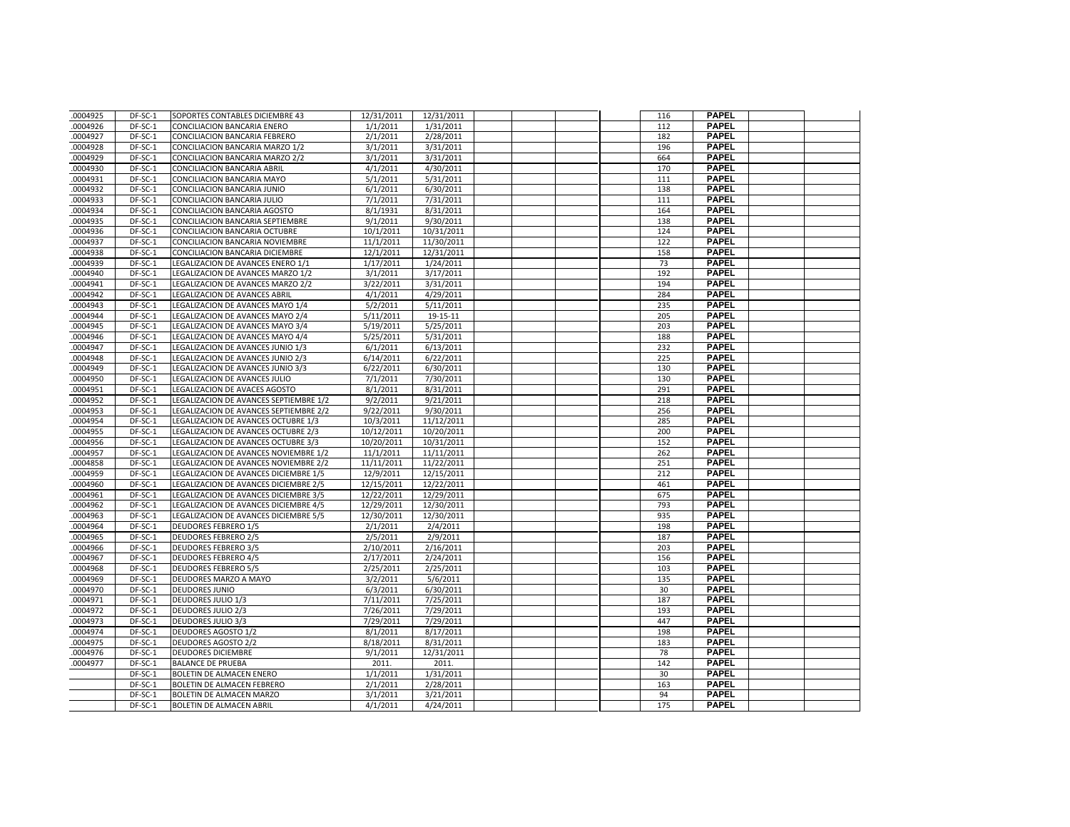| .0004925 | DF-SC-1   | SOPORTES CONTABLES DICIEMBRE 43        | 12/31/2011            | 12/31/2011 |  |  | 116 | <b>PAPEL</b> |  |
|----------|-----------|----------------------------------------|-----------------------|------------|--|--|-----|--------------|--|
| .0004926 | DF-SC-1   | CONCILIACION BANCARIA ENERO            | 1/1/2011              | 1/31/2011  |  |  | 112 | <b>PAPEL</b> |  |
| .0004927 | DF-SC-1   | CONCILIACION BANCARIA FEBRERO          | 2/1/2011              | 2/28/2011  |  |  | 182 | <b>PAPEL</b> |  |
| .0004928 | DF-SC-1   | CONCILIACION BANCARIA MARZO 1/2        | 3/1/2011              | 3/31/2011  |  |  | 196 | <b>PAPEL</b> |  |
| .0004929 | DF-SC-1   | CONCILIACION BANCARIA MARZO 2/2        | 3/1/2011              | 3/31/2011  |  |  | 664 | <b>PAPEL</b> |  |
| .0004930 | DF-SC-1   | CONCILIACION BANCARIA ABRIL            | 4/1/2011              | 4/30/2011  |  |  | 170 | <b>PAPEL</b> |  |
| .0004931 | DF-SC-1   | CONCILIACION BANCARIA MAYO             | 5/1/2011              | 5/31/2011  |  |  | 111 | <b>PAPEL</b> |  |
| .0004932 | DF-SC-1   | CONCILIACION BANCARIA JUNIO            | 6/1/2011              | 6/30/2011  |  |  | 138 | <b>PAPEL</b> |  |
| .0004933 | DF-SC-1   | CONCILIACION BANCARIA JULIO            | 7/1/2011              | 7/31/2011  |  |  | 111 | <b>PAPEL</b> |  |
| .0004934 | $DF-SC-1$ | CONCILIACION BANCARIA AGOSTO           | 8/1/1931              | 8/31/2011  |  |  | 164 | <b>PAPEL</b> |  |
| 0004935  | DF-SC-1   | CONCILIACION BANCARIA SEPTIEMBRE       | 9/1/2011              | 9/30/2011  |  |  | 138 | <b>PAPEL</b> |  |
| .0004936 | DF-SC-1   | CONCILIACION BANCARIA OCTUBRE          | 10/1/2011             | 10/31/2011 |  |  | 124 | <b>PAPEL</b> |  |
| .0004937 | DF-SC-1   | CONCILIACION BANCARIA NOVIEMBRE        | 11/1/2011             | 11/30/2011 |  |  | 122 | <b>PAPEL</b> |  |
| .0004938 | DF-SC-1   | CONCILIACION BANCARIA DICIEMBRE        | 12/1/2011             | 12/31/2011 |  |  | 158 | <b>PAPEL</b> |  |
| .0004939 | DF-SC-1   | LEGALIZACION DE AVANCES ENERO 1/1      | 1/17/2011             | 1/24/2011  |  |  | 73  | <b>PAPEL</b> |  |
| .0004940 | DF-SC-1   | LEGALIZACION DE AVANCES MARZO 1/2      | 3/1/2011              | 3/17/2011  |  |  | 192 | <b>PAPEL</b> |  |
| .0004941 | DF-SC-1   | LEGALIZACION DE AVANCES MARZO 2/2      | 3/22/2011             | 3/31/2011  |  |  | 194 | <b>PAPEL</b> |  |
| .0004942 | DF-SC-1   | LEGALIZACION DE AVANCES ABRIL          | 4/1/2011              | 4/29/2011  |  |  | 284 | <b>PAPEL</b> |  |
| .0004943 | DF-SC-1   | LEGALIZACION DE AVANCES MAYO 1/4       | 5/2/2011              | 5/11/2011  |  |  | 235 | <b>PAPEL</b> |  |
| .0004944 | DF-SC-1   | LEGALIZACION DE AVANCES MAYO 2/4       | 5/11/2011             | 19-15-11   |  |  | 205 | <b>PAPEL</b> |  |
| .0004945 | DF-SC-1   | LEGALIZACION DE AVANCES MAYO 3/4       | 5/19/2011             | 5/25/2011  |  |  | 203 | <b>PAPEL</b> |  |
| .0004946 | DF-SC-1   | LEGALIZACION DE AVANCES MAYO 4/4       | 5/25/2011             | 5/31/2011  |  |  | 188 | <b>PAPEL</b> |  |
| .0004947 | DF-SC-1   | LEGALIZACION DE AVANCES JUNIO 1/3      | 6/1/2011              | 6/13/2011  |  |  | 232 | <b>PAPEL</b> |  |
| .0004948 | DF-SC-1   | LEGALIZACION DE AVANCES JUNIO 2/3      | 6/14/2011             | 6/22/2011  |  |  | 225 | <b>PAPEL</b> |  |
| .0004949 | DF-SC-1   | LEGALIZACION DE AVANCES JUNIO 3/3      | 6/22/2011             | 6/30/2011  |  |  | 130 | <b>PAPEL</b> |  |
| .0004950 | DF-SC-1   | LEGALIZACION DE AVANCES JULIO          | 7/1/2011              | 7/30/2011  |  |  | 130 | <b>PAPEL</b> |  |
| .0004951 | DF-SC-1   | LEGALIZACION DE AVACES AGOSTO          | 8/1/2011              | 8/31/2011  |  |  | 291 | <b>PAPEL</b> |  |
| .0004952 | DF-SC-1   | LEGALIZACION DE AVANCES SEPTIEMBRE 1/2 | 9/2/2011              | 9/21/2011  |  |  | 218 | <b>PAPEL</b> |  |
| .0004953 | DF-SC-1   | LEGALIZACION DE AVANCES SEPTIEMBRE 2/2 | 9/22/2011             | 9/30/2011  |  |  | 256 | <b>PAPEL</b> |  |
| .0004954 | DF-SC-1   | LEGALIZACION DE AVANCES OCTUBRE 1/3    | 10/3/2011             | 11/12/2011 |  |  | 285 | <b>PAPEL</b> |  |
| .0004955 | DF-SC-1   | LEGALIZACION DE AVANCES OCTUBRE 2/3    | 10/12/2011            | 10/20/2011 |  |  | 200 | <b>PAPEL</b> |  |
| .0004956 | DF-SC-1   | LEGALIZACION DE AVANCES OCTUBRE 3/3    | 10/20/2011            | 10/31/2011 |  |  | 152 | <b>PAPEL</b> |  |
| .0004957 | DF-SC-1   | LEGALIZACION DE AVANCES NOVIEMBRE 1/2  | 11/1/2011             | 11/11/2011 |  |  | 262 | <b>PAPEL</b> |  |
| .0004858 | DF-SC-1   | LEGALIZACION DE AVANCES NOVIEMBRE 2/2  | 11/11/2011            | 11/22/2011 |  |  | 251 | <b>PAPEL</b> |  |
| .0004959 | DF-SC-1   | LEGALIZACION DE AVANCES DICIEMBRE 1/5  | 12/9/2011             | 12/15/2011 |  |  | 212 | <b>PAPEL</b> |  |
| .0004960 | DF-SC-1   | LEGALIZACION DE AVANCES DICIEMBRE 2/5  | 12/15/2011            | 12/22/2011 |  |  | 461 | <b>PAPEL</b> |  |
| .0004961 | DF-SC-1   | LEGALIZACION DE AVANCES DICIEMBRE 3/5  | 12/22/2011            | 12/29/2011 |  |  | 675 | <b>PAPEL</b> |  |
| .0004962 | DF-SC-1   | LEGALIZACION DE AVANCES DICIEMBRE 4/5  | 12/29/2011            | 12/30/2011 |  |  | 793 | <b>PAPEL</b> |  |
| .0004963 | DF-SC-1   | LEGALIZACION DE AVANCES DICIEMBRE 5/5  | 12/30/2011            | 12/30/2011 |  |  | 935 | <b>PAPEL</b> |  |
| .0004964 | DF-SC-1   | <b>DEUDORES FEBRERO 1/5</b>            | 2/1/2011              | 2/4/2011   |  |  | 198 | <b>PAPEL</b> |  |
| .0004965 | DF-SC-1   | <b>DEUDORES FEBRERO 2/5</b>            | 2/5/2011              | 2/9/2011   |  |  | 187 | <b>PAPEL</b> |  |
| .0004966 | DF-SC-1   | <b>DEUDORES FEBRERO 3/5</b>            | 2/10/2011             | 2/16/2011  |  |  | 203 | <b>PAPEL</b> |  |
| .0004967 | DF-SC-1   | <b>DEUDORES FEBRERO 4/5</b>            | 2/17/2011             | 2/24/2011  |  |  | 156 | <b>PAPEL</b> |  |
| .0004968 | DF-SC-1   | <b>DEUDORES FEBRERO 5/5</b>            | 2/25/2011             | 2/25/2011  |  |  | 103 | <b>PAPEL</b> |  |
| .0004969 | DF-SC-1   | DEUDORES MARZO A MAYO                  | 3/2/2011              | 5/6/2011   |  |  | 135 | <b>PAPEL</b> |  |
| .0004970 | DF-SC-1   | <b>DEUDORES JUNIO</b>                  | 6/3/2011              | 6/30/2011  |  |  | 30  | <b>PAPEL</b> |  |
| .0004971 | DF-SC-1   | <b>DEUDORES JULIO 1/3</b>              | 7/11/2011             | 7/25/2011  |  |  | 187 | <b>PAPEL</b> |  |
| .0004972 | DF-SC-1   | <b>DEUDORES JULIO 2/3</b>              | $\frac{1}{7}/26/2011$ | 7/29/2011  |  |  | 193 | <b>PAPEL</b> |  |
| .0004973 | DF-SC-1   | <b>DEUDORES JULIO 3/3</b>              | 7/29/2011             | 7/29/2011  |  |  | 447 | <b>PAPEL</b> |  |
| .0004974 | $DF-SC-1$ | <b>DEUDORES AGOSTO 1/2</b>             | 8/1/2011              | 8/17/2011  |  |  | 198 | <b>PAPEL</b> |  |
| .0004975 | DF-SC-1   | <b>DEUDORES AGOSTO 2/2</b>             | 8/18/2011             | 8/31/2011  |  |  | 183 | <b>PAPEL</b> |  |
| .0004976 | DF-SC-1   | <b>DEUDORES DICIEMBRE</b>              | 9/1/2011              | 12/31/2011 |  |  | 78  | <b>PAPEL</b> |  |
| .0004977 | DF-SC-1   | <b>BALANCE DE PRUEBA</b>               | 2011.                 | 2011.      |  |  | 142 | <b>PAPEL</b> |  |
|          | DF-SC-1   | BOLETIN DE ALMACEN ENERO               | 1/1/2011              | 1/31/2011  |  |  | 30  | <b>PAPEL</b> |  |
|          | DF-SC-1   | BOLETIN DE ALMACEN FEBRERO             | 2/1/2011              | 2/28/2011  |  |  | 163 | <b>PAPEL</b> |  |
|          | DF-SC-1   | BOLETIN DE ALMACEN MARZO               | 3/1/2011              | 3/21/2011  |  |  | 94  | <b>PAPEL</b> |  |
|          | DF-SC-1   | BOLETIN DE ALMACEN ABRIL               | 4/1/2011              | 4/24/2011  |  |  | 175 | <b>PAPEL</b> |  |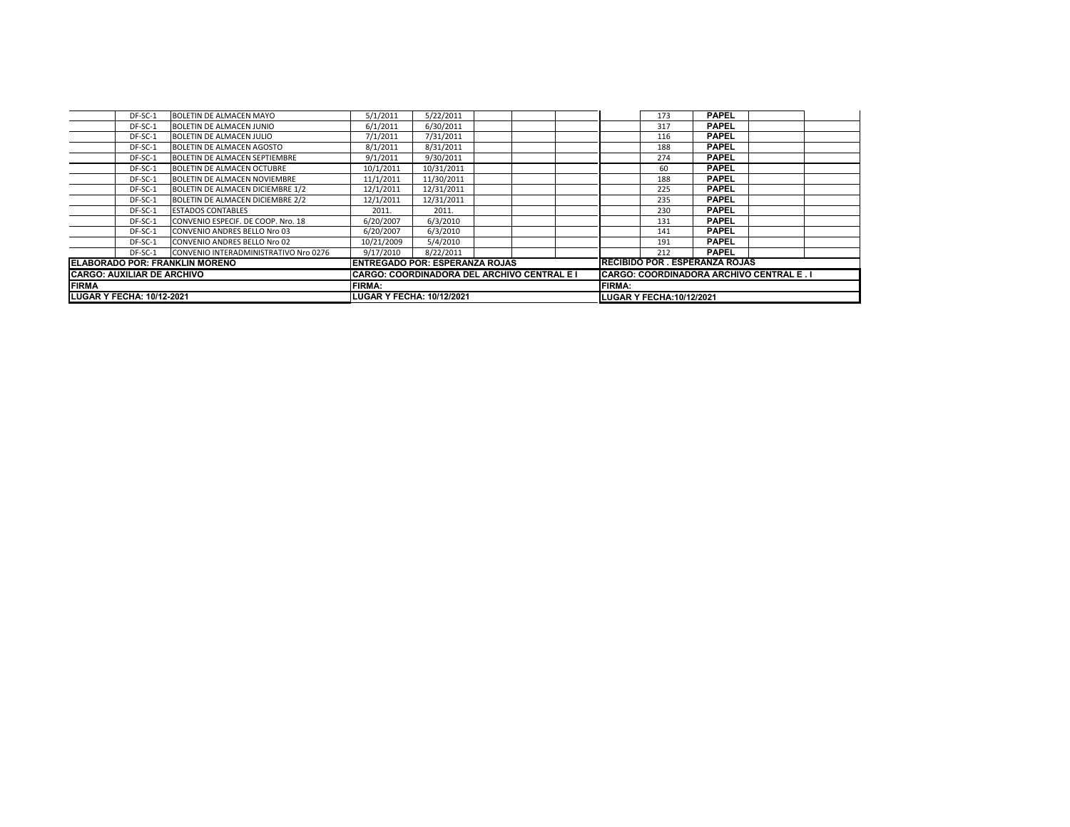| <b>LUGAR Y FECHA: 10/12-2021</b>      | <b>LUGAR Y FECHA: 10/12/2021</b>            |                                                |            |  |               | <b>LUGAR Y FECHA:10/12/2021</b> |                                       |              |  |  |
|---------------------------------------|---------------------------------------------|------------------------------------------------|------------|--|---------------|---------------------------------|---------------------------------------|--------------|--|--|
| <b>FIRMA</b>                          | <b>FIRMA:</b>                               |                                                |            |  | <b>FIRMA:</b> |                                 |                                       |              |  |  |
| <b>CARGO: AUXILIAR DE ARCHIVO</b>     | CARGO: COORDINADORA DEL ARCHIVO CENTRAL E I | <b>CARGO: COORDINADORA ARCHIVO CENTRAL E.I</b> |            |  |               |                                 |                                       |              |  |  |
| <b>ELABORADO POR: FRANKLIN MORENO</b> | <b>ENTREGADO POR: ESPERANZA ROJAS</b>       |                                                |            |  |               |                                 | <b>RECIBIDO POR . ESPERANZA ROJAS</b> |              |  |  |
| DF-SC-1                               | CONVENIO INTERADMINISTRATIVO Nro 0276       | 9/17/2010                                      | 8/22/2011  |  |               |                                 | 212                                   | <b>PAPEL</b> |  |  |
| DF-SC-1                               | <b>CONVENIO ANDRES BELLO Nro 02</b>         | 10/21/2009                                     | 5/4/2010   |  |               |                                 | 191                                   | <b>PAPEL</b> |  |  |
| DF-SC-1                               | <b>CONVENIO ANDRES BELLO Nro 03</b>         | 6/20/2007                                      | 6/3/2010   |  |               |                                 | 141                                   | <b>PAPEL</b> |  |  |
| DF-SC-1                               | CONVENIO ESPECIF. DE COOP. Nro. 18          | 6/20/2007                                      | 6/3/2010   |  |               |                                 | 131                                   | <b>PAPEL</b> |  |  |
| DF-SC-1                               | <b>ESTADOS CONTABLES</b>                    | 2011.                                          | 2011.      |  |               |                                 | 230                                   | <b>PAPEL</b> |  |  |
| DF-SC-1                               | BOLETIN DE ALMACEN DICIEMBRE 2/2            | 12/1/2011                                      | 12/31/2011 |  |               |                                 | 235                                   | <b>PAPEL</b> |  |  |
| DF-SC-1                               | <b>BOLETIN DE ALMACEN DICIEMBRE 1/2</b>     | 12/1/2011                                      | 12/31/2011 |  |               |                                 | 225                                   | <b>PAPEL</b> |  |  |
| DF-SC-1                               | BOLETIN DE ALMACEN NOVIEMBRE                | 11/1/2011                                      | 11/30/2011 |  |               |                                 | 188                                   | <b>PAPEL</b> |  |  |
| DF-SC-1                               | BOLETIN DE ALMACEN OCTUBRE                  | 10/1/2011                                      | 10/31/2011 |  |               |                                 | 60                                    | <b>PAPEL</b> |  |  |
| DF-SC-1                               | <b>BOLETIN DE ALMACEN SEPTIEMBRE</b>        | 9/1/2011                                       | 9/30/2011  |  |               |                                 | 274                                   | <b>PAPEL</b> |  |  |
| DF-SC-1                               | <b>BOLETIN DE ALMACEN AGOSTO</b>            | 8/1/2011                                       | 8/31/2011  |  |               |                                 | 188                                   | <b>PAPEL</b> |  |  |
| DF-SC-1                               | BOLETIN DE ALMACEN JULIO                    | 7/1/2011                                       | 7/31/2011  |  |               |                                 | 116                                   | <b>PAPEL</b> |  |  |
| DF-SC-1                               | <b>BOLETIN DE ALMACEN JUNIO</b>             | 6/1/2011                                       | 6/30/2011  |  |               |                                 | 317                                   | <b>PAPEL</b> |  |  |
| DF-SC-1                               | BOLETIN DE ALMACEN MAYO                     | 5/1/2011                                       | 5/22/2011  |  |               |                                 | 173                                   | <b>PAPEL</b> |  |  |